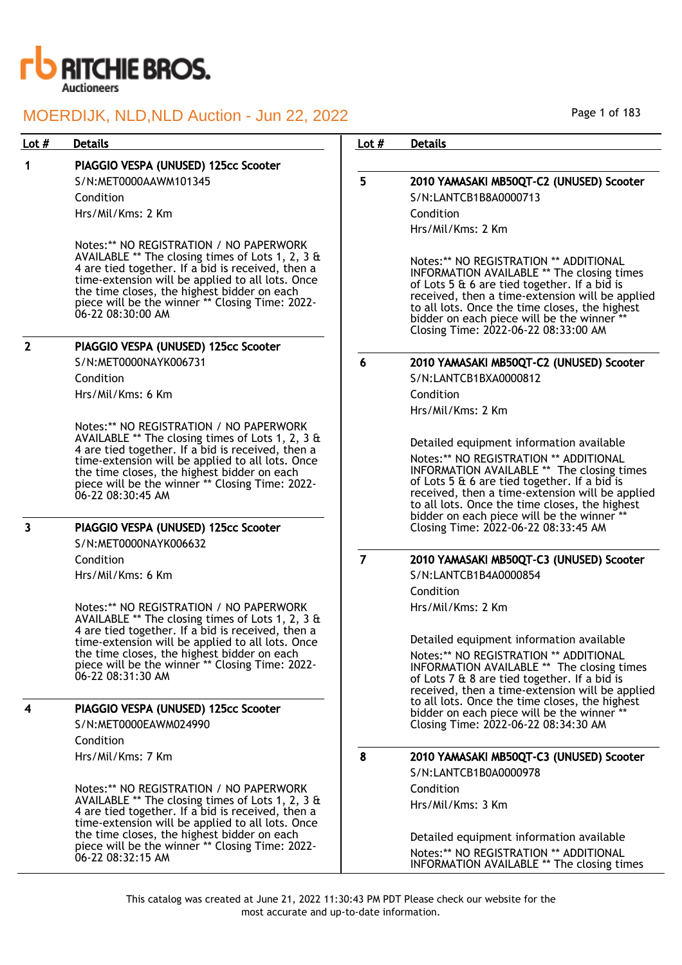

### Lot # Details **Details According to the United States Lot # Details**

## 1 PIAGGIO VESPA (UNUSED) 125cc Scooter

S/N:MET0000AAWM101345 Condition Hrs/Mil/Kms: 2 Km

Notes:\*\* NO REGISTRATION / NO PAPERWORK AVAILABLE \*\* The closing times of Lots 1, 2, 3 & 4 are tied together. If a bid is received, then a time-extension will be applied to all lots. Once the time closes, the highest bidder on each piece will be the winner \*\* Closing Time: 2022- 06-22 08:30:00 AM

## 2 PIAGGIO VESPA (UNUSED) 125cc Scooter

S/N:MET0000NAYK006731

Condition Hrs/Mil/Kms: 6 Km

Notes:\*\* NO REGISTRATION / NO PAPERWORK AVAILABLE \*\* The closing times of Lots 1, 2, 3 & 4 are tied together. If a bid is received, then a time-extension will be applied to all lots. Once the time closes, the highest bidder on each piece will be the winner \*\* Closing Time: 2022- 06-22 08:30:45 AM

## 3 PIAGGIO VESPA (UNUSED) 125cc Scooter

S/N:MET0000NAYK006632

Condition

Hrs/Mil/Kms: 6 Km

Notes:\*\* NO REGISTRATION / NO PAPERWORK AVAILABLE \*\* The closing times of Lots 1, 2, 3 & 4 are tied together. If a bid is received, then a time-extension will be applied to all lots. Once the time closes, the highest bidder on each piece will be the winner \*\* Closing Time: 2022- 06-22 08:31:30 AM

## PIAGGIO VESPA (UNUSED) 125cc Scooter

S/N:MET0000EAWM024990

Condition Hrs/Mil/Kms: 7 Km

Notes:\*\* NO REGISTRATION / NO PAPERWORK AVAILABLE \*\* The closing times of Lots 1, 2, 3 & 4 are tied together. If a bid is received, then a time-extension will be applied to all lots. Once the time closes, the highest bidder on each piece will be the winner \*\* Closing Time: 2022- 06-22 08:32:15 AM

Page 1 of 183

## 5 2010 YAMASAKI MB50QT-C2 (UNUSED) Scooter S/N:LANTCB1B8A0000713 Condition

Hrs/Mil/Kms: 2 Km

Notes:\*\* NO REGISTRATION \*\* ADDITIONAL INFORMATION AVAILABLE \*\* The closing times of Lots 5 & 6 are tied together. If a bid is received, then a time-extension will be applied to all lots. Once the time closes, the highest bidder on each piece will be the winner \*\* Closing Time: 2022-06-22 08:33:00 AM

6 2010 YAMASAKI MB50QT-C2 (UNUSED) Scooter

S/N:LANTCB1BXA0000812 Condition Hrs/Mil/Kms: 2 Km

Detailed equipment information available Notes:\*\* NO REGISTRATION \*\* ADDITIONAL INFORMATION AVAILABLE \*\* The closing times of Lots 5 & 6 are tied together. If a bid is received, then a time-extension will be applied to all lots. Once the time closes, the highest bidder on each piece will be the winner Closing Time: 2022-06-22 08:33:45 AM

## 7 2010 YAMASAKI MB50QT-C3 (UNUSED) Scooter

S/N:LANTCB1B4A0000854 Condition Hrs/Mil/Kms: 2 Km

> Detailed equipment information available Notes:\*\* NO REGISTRATION \*\* ADDITIONAL INFORMATION AVAILABLE \*\* The closing times of Lots 7 & 8 are tied together. If a bid is received, then a time-extension will be applied to all lots. Once the time closes, the highest bidder on each piece will be the winner \*\* Closing Time: 2022-06-22 08:34:30 AM

## 8 2010 YAMASAKI MB50QT-C3 (UNUSED) Scooter

S/N:LANTCB1B0A0000978 Condition Hrs/Mil/Kms: 3 Km

Detailed equipment information available Notes:\*\* NO REGISTRATION \*\* ADDITIONAL INFORMATION AVAILABLE \*\* The closing times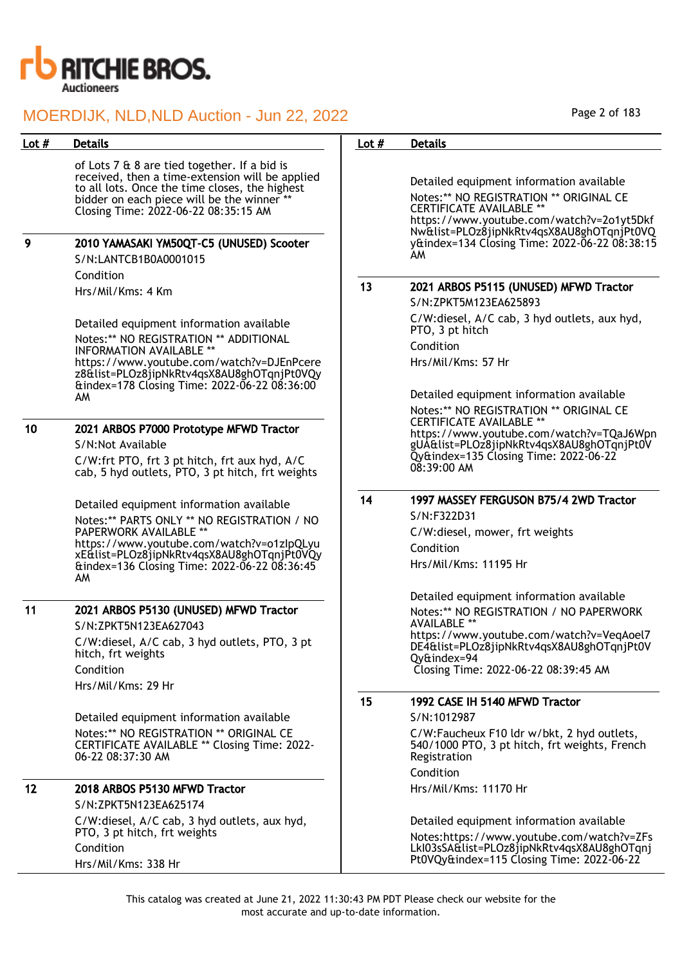

| Lot $#$ | <b>Details</b>                                                                                                                                                                                                                                                                                               | Lot $#$ | <b>Details</b>                                                                                                                                                                                                                                                          |
|---------|--------------------------------------------------------------------------------------------------------------------------------------------------------------------------------------------------------------------------------------------------------------------------------------------------------------|---------|-------------------------------------------------------------------------------------------------------------------------------------------------------------------------------------------------------------------------------------------------------------------------|
| 9       | of Lots 7 & 8 are tied together. If a bid is<br>received, then a time-extension will be applied<br>to all lots. Once the time closes, the highest<br>bidder on each piece will be the winner **<br>Closing Time: 2022-06-22 08:35:15 AM<br>2010 YAMASAKI YM50QT-C5 (UNUSED) Scooter<br>S/N:LANTCB1B0A0001015 |         | Detailed equipment information available<br>Notes:** NO REGISTRATION ** ORIGINAL CE<br><b>CERTIFICATE AVAILABLE **</b><br>https://www.youtube.com/watch?v=2o1yt5Dkf<br>Nw&list=PLOz8jipNkRtv4qsX8AU8ghOTqnjPt0VQ<br>y&index=134 Closing Time: 2022-06-22 08:38:15<br>AM |
|         | Condition                                                                                                                                                                                                                                                                                                    | 13      | 2021 ARBOS P5115 (UNUSED) MFWD Tractor                                                                                                                                                                                                                                  |
|         | Hrs/Mil/Kms: 4 Km                                                                                                                                                                                                                                                                                            |         | S/N:ZPKT5M123EA625893                                                                                                                                                                                                                                                   |
|         | Detailed equipment information available<br>Notes:** NO REGISTRATION ** ADDITIONAL                                                                                                                                                                                                                           |         | C/W:diesel, A/C cab, 3 hyd outlets, aux hyd,<br>PTO, 3 pt hitch<br>Condition                                                                                                                                                                                            |
|         | <b>INFORMATION AVAILABLE **</b><br>https://www.youtube.com/watch?v=DJEnPcere<br>z8&list=PLOz8jipNkRtv4qsX8AU8ghOTqnjPt0VQy                                                                                                                                                                                   |         | Hrs/Mil/Kms: 57 Hr                                                                                                                                                                                                                                                      |
|         | &index=178 Closing Time: 2022-06-22 08:36:00<br>AM                                                                                                                                                                                                                                                           |         | Detailed equipment information available<br>Notes:** NO REGISTRATION ** ORIGINAL CE                                                                                                                                                                                     |
| 10      | 2021 ARBOS P7000 Prototype MFWD Tractor<br>S/N:Not Available                                                                                                                                                                                                                                                 |         | <b>CERTIFICATE AVAILABLE **</b><br>https://www.youtube.com/watch?v=TQaJ6Wpn<br>gUA&list=PLOz8jipNkRtv4qsX8AU8ghOTqnjPt0V<br>Qy&index=135 Closing Time: 2022-06-22                                                                                                       |
|         | C/W:frt PTO, frt 3 pt hitch, frt aux hyd, A/C<br>cab, 5 hyd outlets, PTO, 3 pt hitch, frt weights                                                                                                                                                                                                            |         | $08:39:00$ AM                                                                                                                                                                                                                                                           |
|         | Detailed equipment information available<br>Notes:** PARTS ONLY ** NO REGISTRATION / NO<br><b>PAPERWORK AVAILABLE **</b><br>https://www.youtube.com/watch?v=o1zlpQLyu<br>xE&list=PLOz8jipNkRtv4qsX8AU8ghOTqnjPt0VQy<br>AM                                                                                    | 14      | 1997 MASSEY FERGUSON B75/4 2WD Tractor<br>S/N:F322D31<br>C/W:diesel, mower, frt weights<br>Condition<br>Hrs/Mil/Kms: 11195 Hr<br>Detailed equipment information available                                                                                               |
| 11      | 2021 ARBOS P5130 (UNUSED) MFWD Tractor<br>S/N:ZPKT5N123EA627043<br>C/W:diesel, A/C cab, 3 hyd outlets, PTO, 3 pt<br>hitch, frt weights<br>Condition<br>Hrs/Mil/Kms: 29 Hr                                                                                                                                    |         | Notes:** NO REGISTRATION / NO PAPERWORK<br><b>AVAILABLE **</b><br>https://www.youtube.com/watch?v=VegAoel7<br>DE4&list=PLOz8jipNkRtv4qsX8AU8ghOTqnjPt0V<br>Qy&index=94<br>Closing Time: 2022-06-22 08:39:45 AM                                                          |
|         |                                                                                                                                                                                                                                                                                                              | 15      | 1992 CASE IH 5140 MFWD Tractor                                                                                                                                                                                                                                          |
|         | Detailed equipment information available<br>Notes:** NO REGISTRATION ** ORIGINAL CE<br><b>CERTIFICATE AVAILABLE ** Closing Time: 2022-</b><br>06-22 08:37:30 AM                                                                                                                                              |         | S/N:1012987<br>C/W:Faucheux F10 ldr w/bkt, 2 hyd outlets,<br>540/1000 PTO, 3 pt hitch, frt weights, French<br>Registration<br>Condition                                                                                                                                 |
| 12      | 2018 ARBOS P5130 MFWD Tractor                                                                                                                                                                                                                                                                                |         | Hrs/Mil/Kms: 11170 Hr                                                                                                                                                                                                                                                   |
|         | S/N:ZPKT5N123EA625174                                                                                                                                                                                                                                                                                        |         |                                                                                                                                                                                                                                                                         |
|         | C/W:diesel, A/C cab, 3 hyd outlets, aux hyd,<br>PTO, 3 pt hitch, frt weights                                                                                                                                                                                                                                 |         | Detailed equipment information available<br>Notes:https://www.youtube.com/watch?v=ZFs                                                                                                                                                                                   |
|         | Condition<br>Hrs/Mil/Kms: 338 Hr                                                                                                                                                                                                                                                                             |         | LkI03sSA&list=PLOz8jipNkRtv4qsX8AU8ghOTqnj<br>Pt0VQy&index=115 Closing Time: 2022-06-22                                                                                                                                                                                 |

Page 2 of 183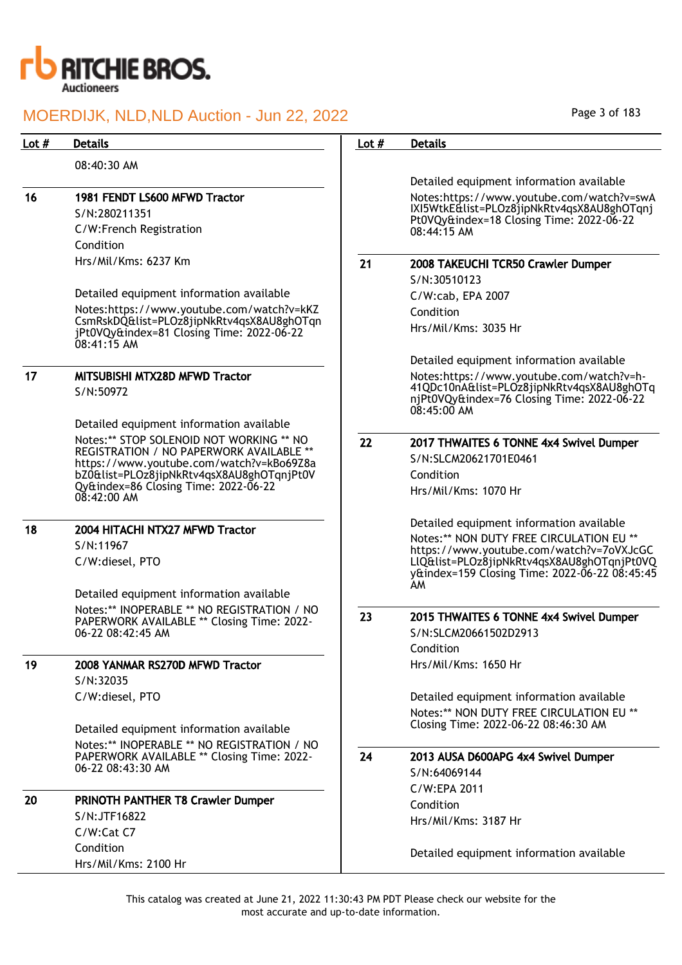

Page 3 of 183

| Lot $#$ | <b>Details</b>                                                                                          | Lot $#$ | <b>Details</b>                                                                                           |
|---------|---------------------------------------------------------------------------------------------------------|---------|----------------------------------------------------------------------------------------------------------|
|         | 08:40:30 AM                                                                                             |         |                                                                                                          |
|         |                                                                                                         |         | Detailed equipment information available                                                                 |
| 16      | 1981 FENDT LS600 MFWD Tractor                                                                           |         | Notes:https://www.youtube.com/watch?v=swA                                                                |
|         | S/N:280211351                                                                                           |         | IXI5WtkE&list=PLOz8jipNkRtv4qsX8AU8ghOTqnj<br>Pt0VQy&index=18 Closing Time: 2022-06-22                   |
|         | C/W:French Registration                                                                                 |         | 08:44:15 AM                                                                                              |
|         | Condition                                                                                               |         |                                                                                                          |
|         | Hrs/Mil/Kms: 6237 Km                                                                                    | 21      | 2008 TAKEUCHI TCR50 Crawler Dumper                                                                       |
|         |                                                                                                         |         | S/N:30510123                                                                                             |
|         | Detailed equipment information available                                                                |         | C/W:cab, EPA 2007                                                                                        |
|         | Notes:https://www.youtube.com/watch?v=kKZ                                                               |         | Condition                                                                                                |
|         | CsmRskDQ&list=PLOz8jipNkRtv4qsX8AU8ghOTqn<br>jPt0VQy&index=81 Closing Time: 2022-06-22<br>$08:41:15$ AM |         | Hrs/Mil/Kms: 3035 Hr                                                                                     |
|         |                                                                                                         |         | Detailed equipment information available                                                                 |
| 17      | MITSUBISHI MTX28D MFWD Tractor                                                                          |         | Notes:https://www.youtube.com/watch?v=h-                                                                 |
|         | S/N:50972                                                                                               |         | 41QDc10nA&list=PLOz8jipNkRtv4qsX8AU8ghOTq<br>njPt0VQy&index=76 Closing Time: 2022-06-22<br>$08:45:00$ AM |
|         | Detailed equipment information available                                                                |         |                                                                                                          |
|         | Notes:** STOP SOLENOID NOT WORKING ** NO<br>REGISTRATION / NO PAPERWORK AVAILABLE **                    | 22      | 2017 THWAITES 6 TONNE 4x4 Swivel Dumper                                                                  |
|         | https://www.youtube.com/watch?v=kBo69Z8a                                                                |         | S/N:SLCM20621701E0461                                                                                    |
|         | bZ0&list=PLOz8jipNkRtv4qsX8AU8ghOTqnjPt0V                                                               |         | Condition                                                                                                |
|         | Qy&index=86 Closing Time: 2022-06-22<br>$0\bar{8}$ :42:00 AM                                            |         | Hrs/Mil/Kms: 1070 Hr                                                                                     |
| 18      | 2004 HITACHI NTX27 MFWD Tractor                                                                         |         | Detailed equipment information available                                                                 |
|         | S/N:11967                                                                                               |         | Notes:** NON DUTY FREE CIRCULATION EU **                                                                 |
|         | C/W:diesel, PTO                                                                                         |         | https://www.youtube.com/watch?v=7oVXJcGC<br>LlQ&list=PLOz8jipNkRtv4qsX8AU8ghOTqnjPt0VQ                   |
|         |                                                                                                         |         | y&index=159 Closing Time: 2022-06-22 08:45:45                                                            |
|         | Detailed equipment information available                                                                |         | AM                                                                                                       |
|         | Notes:** INOPERABLE ** NO REGISTRATION / NO                                                             |         |                                                                                                          |
|         | PAPERWORK AVAILABLE ** Closing Time: 2022-                                                              | 23      | 2015 THWAITES 6 TONNE 4x4 Swivel Dumper                                                                  |
|         | 06-22 08:42:45 AM                                                                                       |         | S/N:SLCM20661502D2913                                                                                    |
|         |                                                                                                         |         | Condition                                                                                                |
| 19      | 2008 YANMAR RS270D MFWD Tractor                                                                         |         | Hrs/Mil/Kms: 1650 Hr                                                                                     |
|         | S/N:32035                                                                                               |         |                                                                                                          |
|         | C/W:diesel, PTO                                                                                         |         | Detailed equipment information available                                                                 |
|         |                                                                                                         |         | Notes:** NON DUTY FREE CIRCULATION EU **<br>Closing Time: 2022-06-22 08:46:30 AM                         |
|         | Detailed equipment information available                                                                |         |                                                                                                          |
|         | Notes:** INOPERABLE ** NO REGISTRATION / NO<br>PAPERWORK AVAILABLE ** Closing Time: 2022-               | 24      | 2013 AUSA D600APG 4x4 Swivel Dumper                                                                      |
|         | 06-22 08:43:30 AM                                                                                       |         | S/N:64069144                                                                                             |
|         |                                                                                                         |         | C/W:EPA 2011                                                                                             |
| 20      | PRINOTH PANTHER T8 Crawler Dumper                                                                       |         | Condition                                                                                                |
|         | S/N:JTF16822                                                                                            |         | Hrs/Mil/Kms: 3187 Hr                                                                                     |
|         | C/W:Cat C7                                                                                              |         |                                                                                                          |
|         | Condition                                                                                               |         | Detailed equipment information available                                                                 |
|         | Hrs/Mil/Kms: 2100 Hr                                                                                    |         |                                                                                                          |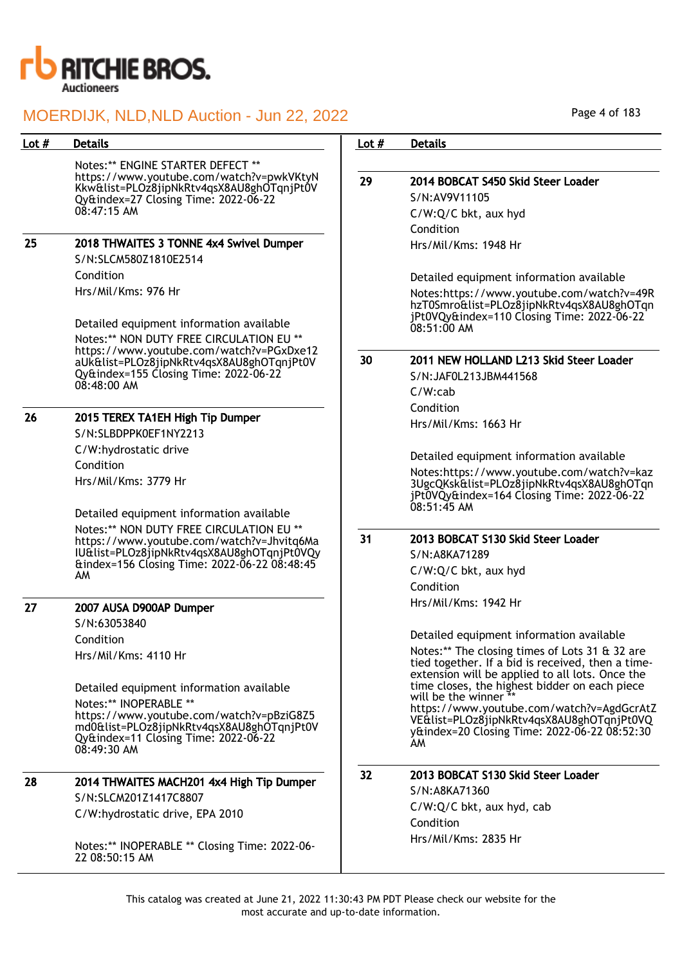

| Lot $#$ | <b>Details</b>                                                                          | Lot $#$ | <b>Details</b>                                                                                           |
|---------|-----------------------------------------------------------------------------------------|---------|----------------------------------------------------------------------------------------------------------|
|         | Notes:** ENGINE STARTER DEFECT **                                                       |         |                                                                                                          |
|         | https://www.youtube.com/watch?v=pwkVKtyN                                                | 29      | 2014 BOBCAT S450 Skid Steer Loader                                                                       |
|         | Kkw&list=PLOz8jipNkRtv4qsX8AU8ghOTqnjPt0V<br>Qy&index=27 Closing Time: 2022-06-22       |         | S/N:AV9V11105                                                                                            |
|         | $08:47:15$ AM                                                                           |         | C/W:Q/C bkt, aux hyd                                                                                     |
|         |                                                                                         |         | Condition                                                                                                |
| 25      | 2018 THWAITES 3 TONNE 4x4 Swivel Dumper                                                 |         | Hrs/Mil/Kms: 1948 Hr                                                                                     |
|         | S/N:SLCM580Z1810E2514                                                                   |         |                                                                                                          |
|         | Condition                                                                               |         | Detailed equipment information available                                                                 |
|         | Hrs/Mil/Kms: 976 Hr                                                                     |         | Notes:https://www.youtube.com/watch?v=49R<br>hzT0Smro&list=PLOz8jipNkRtv4qsX8AU8ghOTqn                   |
|         | Detailed equipment information available                                                |         | jPt0VQy&index=110 Closing Time: 2022-06-22<br>08:51:00 AM                                                |
|         | Notes:** NON DUTY FREE CIRCULATION EU **                                                |         |                                                                                                          |
|         | https://www.youtube.com/watch?v=PGxDxe12                                                | 30      | 2011 NEW HOLLAND L213 Skid Steer Loader                                                                  |
|         | aUk&list=PLOz8jipNkRtv4qsX8AU8ghOTqnjPt0V<br>Qy&index=155 Closing Time: 2022-06-22      |         | S/N:JAF0L213JBM441568                                                                                    |
|         | $08:48:00$ AM                                                                           |         | $C/W$ : $cab$                                                                                            |
|         |                                                                                         |         | Condition                                                                                                |
| 26      | 2015 TEREX TA1EH High Tip Dumper                                                        |         | Hrs/Mil/Kms: 1663 Hr                                                                                     |
|         | S/N:SLBDPPK0EF1NY2213                                                                   |         |                                                                                                          |
|         | C/W:hydrostatic drive                                                                   |         | Detailed equipment information available                                                                 |
|         | Condition                                                                               |         | Notes:https://www.youtube.com/watch?v=kaz                                                                |
|         | Hrs/Mil/Kms: 3779 Hr                                                                    |         | 3UgcQKsk&list=PLOz8jipNkRtv4qsX8AU8ghOTqn<br>jPt0VQy&index=164 Closing Time: 2022-06-22<br>$08:51:45$ AM |
|         | Detailed equipment information available                                                |         |                                                                                                          |
|         | Notes:** NON DUTY FREE CIRCULATION EU **                                                | 31      | 2013 BOBCAT S130 Skid Steer Loader                                                                       |
|         | https://www.youtube.com/watch?v=Jhvitq6Ma<br>IU&list=PLOz8jipNkRtv4qsX8AU8ghOTqnjPt0VQy |         | S/N:A8KA71289                                                                                            |
|         | &index=156 Closing Time: 2022-06-22 08:48:45                                            |         | C/W:Q/C bkt, aux hyd                                                                                     |
|         | AM                                                                                      |         | Condition                                                                                                |
|         |                                                                                         |         | Hrs/Mil/Kms: 1942 Hr                                                                                     |
| 27      | 2007 AUSA D900AP Dumper                                                                 |         |                                                                                                          |
|         | S/N:63053840                                                                            |         | Detailed equipment information available                                                                 |
|         | Condition                                                                               |         | Notes:** The closing times of Lots 31 & 32 are                                                           |
|         | Hrs/Mil/Kms: 4110 Hr                                                                    |         | tied together. If a bid is received, then a time-                                                        |
|         |                                                                                         |         | extension will be applied to all lots. Once the<br>time closes, the highest bidder on each piece         |
|         | Detailed equipment information available                                                |         | will be the winner **                                                                                    |
|         | Notes:** INOPERABLE **<br>https://www.youtube.com/watch?v=pBziG8Z5                      |         | https://www.youtube.com/watch?v=AgdGcrAtZ                                                                |
|         | md0&list=PLOz8jipNkRtv4qsX8AU8ghOTqnjPt0V                                               |         | VE&list=PLOz8jipNkRtv4qsX8AU8ghOTqnjPt0VQ<br>y&index=20 Closing Time: 2022-06-22 08:52:30                |
|         | Qy&index=11 Closing Time: 2022-06-22<br>$0\&:49:30$ AM                                  |         | AM                                                                                                       |
| 28      | 2014 THWAITES MACH201 4x4 High Tip Dumper                                               | 32      | 2013 BOBCAT S130 Skid Steer Loader                                                                       |
|         | S/N:SLCM201Z1417C8807                                                                   |         | S/N:A8KA71360                                                                                            |
|         | C/W:hydrostatic drive, EPA 2010                                                         |         | C/W:Q/C bkt, aux hyd, cab                                                                                |
|         |                                                                                         |         | Condition                                                                                                |
|         | Notes:** INOPERABLE ** Closing Time: 2022-06-<br>22 08:50:15 AM                         |         | Hrs/Mil/Kms: 2835 Hr                                                                                     |

Page 4 of 183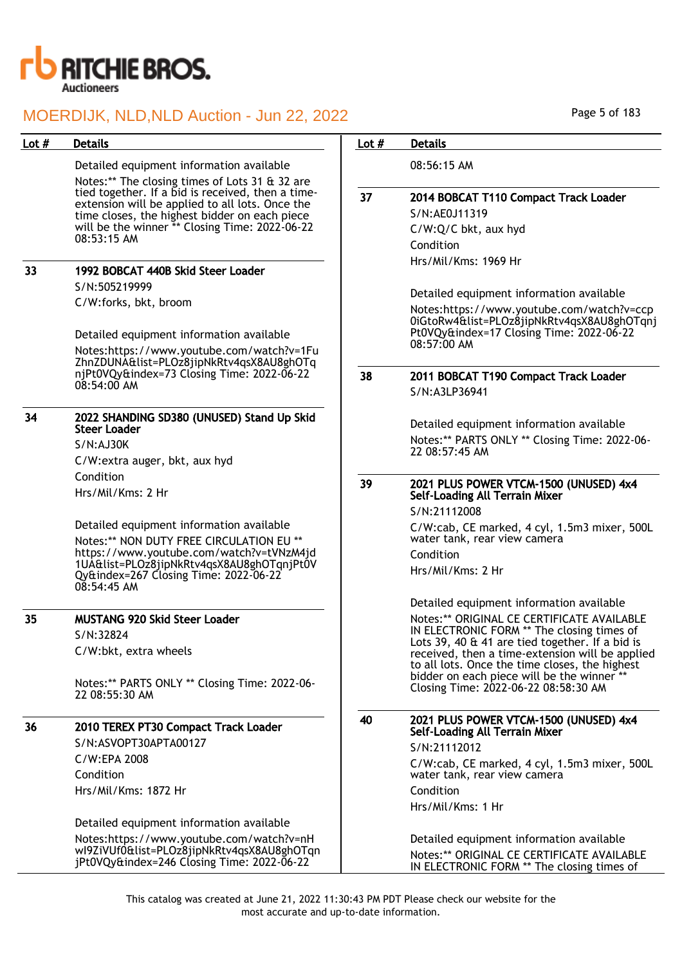

| Lot $#$ | <b>Details</b>                                                                                       | Lot $#$ | <b>Details</b>                                                                                    |
|---------|------------------------------------------------------------------------------------------------------|---------|---------------------------------------------------------------------------------------------------|
|         | Detailed equipment information available                                                             |         | 08:56:15 AM                                                                                       |
|         | Notes:** The closing times of Lots 31 & 32 are                                                       |         |                                                                                                   |
|         | tied together. If a bid is received, then a time-<br>extension will be applied to all lots. Once the | 37      | 2014 BOBCAT T110 Compact Track Loader                                                             |
|         | time closes, the highest bidder on each piece                                                        |         | S/N:AE0J11319                                                                                     |
|         | will be the winner ** Closing Time: 2022-06-22<br>08:53:15 AM                                        |         | C/W:Q/C bkt, aux hyd                                                                              |
|         |                                                                                                      |         | Condition                                                                                         |
| 33      | 1992 BOBCAT 440B Skid Steer Loader                                                                   |         | Hrs/Mil/Kms: 1969 Hr                                                                              |
|         | S/N:505219999                                                                                        |         |                                                                                                   |
|         | C/W:forks, bkt, broom                                                                                |         | Detailed equipment information available                                                          |
|         |                                                                                                      |         | Notes:https://www.youtube.com/watch?v=ccp<br>0iGtoRw4&list=PLOz8jipNkRtv4qsX8AU8ghOTqnj           |
|         | Detailed equipment information available                                                             |         | Pt0VQy&index=17 Closing Time: 2022-06-22                                                          |
|         | Notes:https://www.youtube.com/watch?v=1Fu                                                            |         | 08:57:00 AM                                                                                       |
|         | ZhnZDUNA&list=PLOz8jipNkRtv4qsX8AU8ghOTq<br>njPt0VQy&index=73 Closing Time: 2022-06-22               |         |                                                                                                   |
|         | $08:54:00$ AM                                                                                        | 38      | 2011 BOBCAT T190 Compact Track Loader<br>S/N:A3LP36941                                            |
|         |                                                                                                      |         |                                                                                                   |
| 34      | 2022 SHANDING SD380 (UNUSED) Stand Up Skid                                                           |         | Detailed equipment information available                                                          |
|         | <b>Steer Loader</b>                                                                                  |         | Notes:** PARTS ONLY ** Closing Time: 2022-06-                                                     |
|         | S/N:AJ30K                                                                                            |         | 22 08:57:45 AM                                                                                    |
|         | C/W: extra auger, bkt, aux hyd<br>Condition                                                          |         |                                                                                                   |
|         | Hrs/Mil/Kms: 2 Hr                                                                                    | 39      | 2021 PLUS POWER VTCM-1500 (UNUSED) 4x4                                                            |
|         |                                                                                                      |         | <b>Self-Loading All Terrain Mixer</b><br>S/N:21112008                                             |
|         | Detailed equipment information available                                                             |         | C/W:cab, CE marked, 4 cyl, 1.5m3 mixer, 500L                                                      |
|         | Notes:** NON DUTY FREE CIRCULATION EU **                                                             |         | water tank, rear view camera                                                                      |
|         | https://www.youtube.com/watch?v=tVNzM4jd<br>1UA&list=PLOz8jipNkRtv4qsX8AU8ghOTqnjPt0V                |         | Condition                                                                                         |
|         | Qy&index=267 Closing Time: 2022-06-22                                                                |         | Hrs/Mil/Kms: 2 Hr                                                                                 |
|         | $08:54:45$ AM                                                                                        |         |                                                                                                   |
|         |                                                                                                      |         | Detailed equipment information available                                                          |
| 35      | <b>MUSTANG 920 Skid Steer Loader</b>                                                                 |         | Notes:** ORIGINAL CE CERTIFICATE AVAILABLE<br>IN ELECTRONIC FORM ** The closing times of          |
|         | S/N:32824                                                                                            |         | Lots 39, 40 & 41 are tied together. If a bid is                                                   |
|         | C/W:bkt, extra wheels                                                                                |         | received, then a time-extension will be applied<br>to all lots. Once the time closes, the highest |
|         | Notes:** PARTS ONLY ** Closing Time: 2022-06-                                                        |         | bidder on each piece will be the winner **                                                        |
|         | 22 08:55:30 AM                                                                                       |         | Closing Time: 2022-06-22 08:58:30 AM                                                              |
|         |                                                                                                      |         |                                                                                                   |
| 36      | 2010 TEREX PT30 Compact Track Loader                                                                 | 40      | 2021 PLUS POWER VTCM-1500 (UNUSED) 4x4<br>Self-Loading All Terrain Mixer                          |
|         | S/N:ASVOPT30APTA00127                                                                                |         | S/N:21112012                                                                                      |
|         | C/W:EPA 2008                                                                                         |         | C/W:cab, CE marked, 4 cyl, 1.5m3 mixer, 500L                                                      |
|         | Condition                                                                                            |         | water tank, rear view camera                                                                      |
|         | Hrs/Mil/Kms: 1872 Hr                                                                                 |         | Condition                                                                                         |
|         |                                                                                                      |         | Hrs/Mil/Kms: 1 Hr                                                                                 |
|         | Detailed equipment information available                                                             |         |                                                                                                   |
|         | Notes: https://www.youtube.com/watch?v=nH<br>wl9ZiVUf0&list=PLOz8jipNkRtv4qsX8AU8ghOTqn              |         | Detailed equipment information available                                                          |
|         | jPt0VQy&index=246 Closing Time: 2022-06-22                                                           |         | Notes:** ORIGINAL CE CERTIFICATE AVAILABLE<br>IN ELECTRONIC FORM ** The closing times of          |

Page 5 of 183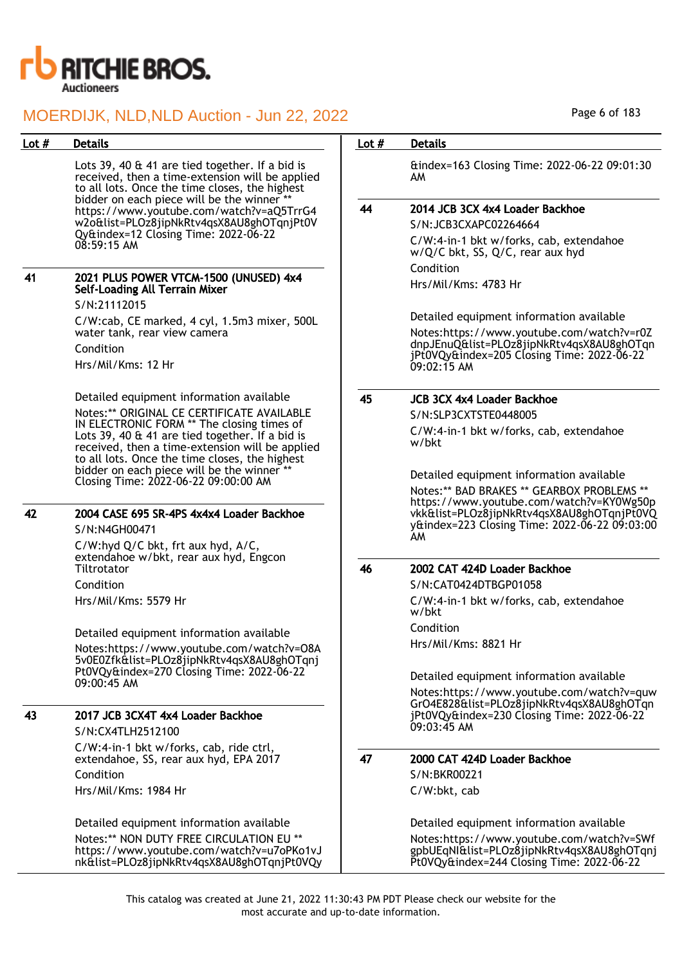

| Lot $#$ | <b>Details</b>                                                                                                                                       | Lot $#$ | <b>Details</b>                                                                                                                          |
|---------|------------------------------------------------------------------------------------------------------------------------------------------------------|---------|-----------------------------------------------------------------------------------------------------------------------------------------|
|         | Lots 39, 40 & 41 are tied together. If a bid is<br>received, then a time-extension will be applied<br>to all lots. Once the time closes, the highest |         | &index=163 Closing Time: 2022-06-22 09:01:30<br>AM.                                                                                     |
|         | bidder on each piece will be the winner **<br>https://www.youtube.com/watch?v=aQ5TrrG4                                                               | 44      | 2014 JCB 3CX 4x4 Loader Backhoe                                                                                                         |
|         | w2o&list=PLOz8jipNkRtv4qsX8AU8ghOTqnjPt0V                                                                                                            |         | S/N:JCB3CXAPC02264664                                                                                                                   |
|         | Qy&index=12 Closing Time: 2022-06-22<br>$08:59:15$ AM                                                                                                |         | C/W:4-in-1 bkt w/forks, cab, extendahoe<br>w/Q/C bkt, SS, Q/C, rear aux hyd                                                             |
| 41      | 2021 PLUS POWER VTCM-1500 (UNUSED) 4x4                                                                                                               |         | Condition                                                                                                                               |
|         | <b>Self-Loading All Terrain Mixer</b><br>S/N:21112015                                                                                                |         | Hrs/Mil/Kms: 4783 Hr                                                                                                                    |
|         | C/W:cab, CE marked, 4 cyl, 1.5m3 mixer, 500L                                                                                                         |         | Detailed equipment information available                                                                                                |
|         | water tank, rear view camera                                                                                                                         |         | Notes:https://www.youtube.com/watch?v=r0Z                                                                                               |
|         | Condition                                                                                                                                            |         | dnpJEnuQ&list=PLOz8jipNkRtv4qsX8AU8ghOTqn<br>jPt0VQy&index=205 Closing Time: 2022-06-22                                                 |
|         | Hrs/Mil/Kms: 12 Hr                                                                                                                                   |         | 09:02:15 AM                                                                                                                             |
|         | Detailed equipment information available                                                                                                             | 45      | <b>JCB 3CX 4x4 Loader Backhoe</b>                                                                                                       |
|         | Notes:** ORIGINAL CE CERTIFICATE AVAILABLE<br>IN ELECTRONIC FORM ** The closing times of                                                             |         | S/N:SLP3CXTSTE0448005                                                                                                                   |
|         | Lots 39, 40 & 41 are tied together. If a bid is<br>received, then a time-extension will be applied<br>to all lots. Once the time closes, the highest |         | C/W:4-in-1 bkt w/forks, cab, extendahoe<br>w/bkt                                                                                        |
|         | bidder on each piece will be the winner **                                                                                                           |         | Detailed equipment information available                                                                                                |
|         | Closing Time: 2022-06-22 09:00:00 AM                                                                                                                 |         | Notes:** BAD BRAKES ** GEARBOX PROBLEMS **                                                                                              |
| 42      | 2004 CASE 695 SR-4PS 4x4x4 Loader Backhoe<br>S/N:N4GH00471                                                                                           |         | https://www.youtube.com/watch?v=KY0Wg50p<br>vkk&list=PLOz8jipNkRtv4qsX8AU8ghOTqnjPt0VQ<br>y&index=223 Closing Time: 2022-06-22 09:03:00 |
|         | C/W:hyd Q/C bkt, frt aux hyd, A/C,                                                                                                                   |         | AM.                                                                                                                                     |
|         | extendahoe w/bkt, rear aux hyd, Engcon<br>Tiltrotator                                                                                                | 46      | 2002 CAT 424D Loader Backhoe                                                                                                            |
|         | Condition                                                                                                                                            |         | S/N:CAT0424DTBGP01058                                                                                                                   |
|         | Hrs/Mil/Kms: 5579 Hr                                                                                                                                 |         | C/W:4-in-1 bkt w/forks, cab, extendahoe<br>w/bkt                                                                                        |
|         | Detailed equipment information available                                                                                                             |         | Condition                                                                                                                               |
|         | Notes:https://www.youtube.com/watch?v=08A<br>5v0E0Zfk&list=PLOz8jipNkRtv4qsX8AU8ghOTqnj                                                              |         | Hrs/Mil/Kms: 8821 Hr                                                                                                                    |
|         | Pt0VQy&index=270 Closing Time: 2022-06-22<br>$09:00:45$ AM                                                                                           |         | Detailed equipment information available                                                                                                |
|         |                                                                                                                                                      |         | Notes:https://www.youtube.com/watch?v=quw                                                                                               |
| 43      | 2017 JCB 3CX4T 4x4 Loader Backhoe                                                                                                                    |         | GrO4E828&list=PLOz8jipNkRtv4qsX8AU8ghOTqn<br>jPt0VQy&index=230 Closing Time: 2022-06-22                                                 |
|         | S/N:CX4TLH2512100                                                                                                                                    |         | $09:03:45$ AM                                                                                                                           |
|         | C/W:4-in-1 bkt w/forks, cab, ride ctrl,                                                                                                              |         |                                                                                                                                         |
|         | extendahoe, SS, rear aux hyd, EPA 2017                                                                                                               | 47      | 2000 CAT 424D Loader Backhoe                                                                                                            |
|         | Condition                                                                                                                                            |         | S/N:BKR00221                                                                                                                            |
|         | Hrs/Mil/Kms: 1984 Hr                                                                                                                                 |         | C/W:bkt, cab                                                                                                                            |
|         | Detailed equipment information available                                                                                                             |         | Detailed equipment information available                                                                                                |
|         | Notes:** NON DUTY FREE CIRCULATION EU **<br>https://www.youtube.com/watch?v=u7oPKo1vJ<br>nk&list=PLOz8jipNkRtv4qsX8AU8ghOTqnjPt0VQy                  |         | Notes:https://www.youtube.com/watch?v=SWf<br>gpbUEqNI&list=PLOz8jipNkRtv4qsX8AU8ghOTqnj<br>Pt0VQy&index=244 Closing Time: 2022-06-22    |

Page 6 of 183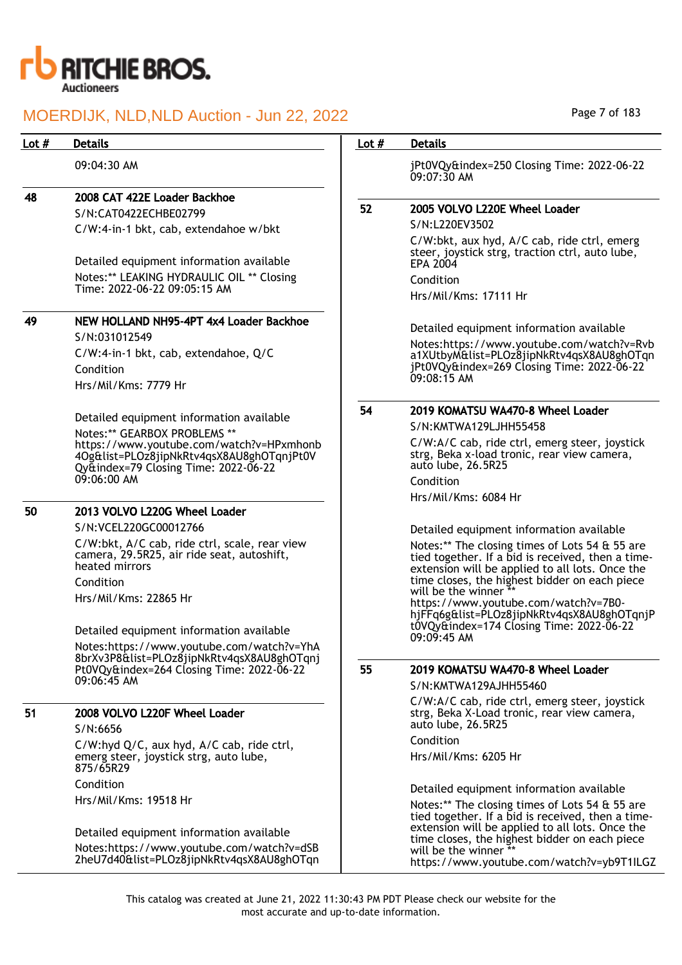

| Lot $#$       | <b>Details</b>                                                                                                                | Lot $#$ | <b>Details</b>                                                                                                                                         |
|---------------|-------------------------------------------------------------------------------------------------------------------------------|---------|--------------------------------------------------------------------------------------------------------------------------------------------------------|
|               | 09:04:30 AM                                                                                                                   |         | jPt0VQy&index=250 Closing Time: 2022-06-22<br>09:07:30 AM                                                                                              |
| 48            | 2008 CAT 422E Loader Backhoe                                                                                                  |         |                                                                                                                                                        |
|               | S/N:CAT0422ECHBE02799                                                                                                         | 52      | 2005 VOLVO L220E Wheel Loader                                                                                                                          |
|               | C/W:4-in-1 bkt, cab, extendahoe w/bkt                                                                                         |         | S/N:L220EV3502                                                                                                                                         |
|               | Detailed equipment information available                                                                                      |         | C/W:bkt, aux hyd, A/C cab, ride ctrl, emerg<br>steer, joystick strg, traction ctrl, auto lube,<br>EPA 2004                                             |
|               | Notes:** LEAKING HYDRAULIC OIL ** Closing                                                                                     |         | Condition                                                                                                                                              |
|               | Time: 2022-06-22 09:05:15 AM                                                                                                  |         | Hrs/Mil/Kms: 17111 Hr                                                                                                                                  |
| 49            | NEW HOLLAND NH95-4PT 4x4 Loader Backhoe                                                                                       |         |                                                                                                                                                        |
|               | S/N:031012549                                                                                                                 |         | Detailed equipment information available                                                                                                               |
|               | C/W:4-in-1 bkt, cab, extendahoe, Q/C                                                                                          |         | Notes:https://www.youtube.com/watch?v=Rvb                                                                                                              |
|               | Condition                                                                                                                     |         | a1XUtbyM&list=PLOz8jipNkRtv4qsX8AU8ghOTqn<br>jPt0VQy&index=269 Closing Time: 2022-06-22                                                                |
|               | Hrs/Mil/Kms: 7779 Hr                                                                                                          |         | 09:08:15 AM                                                                                                                                            |
|               |                                                                                                                               |         |                                                                                                                                                        |
|               | Detailed equipment information available                                                                                      | 54      | 2019 KOMATSU WA470-8 Wheel Loader                                                                                                                      |
|               | Notes:** GEARBOX PROBLEMS **                                                                                                  |         | S/N:KMTWA129LJHH55458                                                                                                                                  |
|               | https://www.youtube.com/watch?v=HPxmhonb<br>4Og&list=PLOz8jipNkRtv4qsX8AU8ghOTqnjPt0V<br>Qy&index=79 Closing Time: 2022-06-22 |         | C/W:A/C cab, ride ctrl, emerg steer, joystick<br>strg, Beka x-load tronic, rear view camera,<br>auto lube, 26.5R25                                     |
|               |                                                                                                                               |         | Condition                                                                                                                                              |
| $09:06:00$ AM |                                                                                                                               |         | Hrs/Mil/Kms: 6084 Hr                                                                                                                                   |
| 50            | 2013 VOLVO L220G Wheel Loader                                                                                                 |         |                                                                                                                                                        |
|               | S/N:VCEL220GC00012766                                                                                                         |         | Detailed equipment information available                                                                                                               |
|               | C/W:bkt, A/C cab, ride ctrl, scale, rear view<br>camera, 29.5R25, air ride seat, autoshift,<br>heated mirrors                 |         | Notes:** The closing times of Lots 54 & 55 are<br>tied together. If a bid is received, then a time-<br>extension will be applied to all lots. Once the |
|               | Condition                                                                                                                     |         | time closes, the highest bidder on each piece<br>will be the winner **                                                                                 |
|               | Hrs/Mil/Kms: 22865 Hr                                                                                                         |         | https://www.youtube.com/watch?v=7B0-                                                                                                                   |
|               |                                                                                                                               |         | hjFFq6g&list=PLOz8jipNkRtv4qsX8AU8ghOTqnjP                                                                                                             |
|               | Detailed equipment information available                                                                                      |         | t0VQy&index=174 Closing Time: 2022-06-22<br>$09:09:45$ AM                                                                                              |
|               | Notes:https://www.youtube.com/watch?v=YhA<br>8brXv3P8&list=PLOz8jipNkRtv4qsX8AU8ghOTqnj                                       |         |                                                                                                                                                        |
|               | Pt0VQy&index=264 Closing Time: 2022-06-22                                                                                     | 55      | 2019 KOMATSU WA470-8 Wheel Loader                                                                                                                      |
|               | 09:06:45 AM                                                                                                                   |         | S/N:KMTWA129AJHH55460                                                                                                                                  |
|               |                                                                                                                               |         | C/W:A/C cab, ride ctrl, emerg steer, joystick                                                                                                          |
| 51            | 2008 VOLVO L220F Wheel Loader<br>S/N:6656                                                                                     |         | strg, Beka X-Load tronic, rear view camera,<br>auto lube, 26.5R25                                                                                      |
|               | C/W:hyd Q/C, aux hyd, A/C cab, ride ctrl,                                                                                     |         | Condition                                                                                                                                              |
|               | emerg steer, joystick strg, auto lube,<br>875/65R29                                                                           |         | Hrs/Mil/Kms: 6205 Hr                                                                                                                                   |
|               | Condition                                                                                                                     |         | Detailed equipment information available                                                                                                               |
|               | Hrs/Mil/Kms: 19518 Hr                                                                                                         |         | Notes:** The closing times of Lots 54 & 55 are<br>tied together. If a bid is received, then a time-                                                    |
|               | Detailed equipment information available                                                                                      |         | extension will be applied to all lots. Once the<br>time closes, the highest bidder on each piece                                                       |
|               |                                                                                                                               |         |                                                                                                                                                        |

will be the winner \*\*

https://www.youtube.com/watch?v=yb9T1ILGZ

Notes:https://www.youtube.com/watch?v=dSB 2heU7d40&list=PLOz8jipNkRtv4qsX8AU8ghOTqn Page 7 of 183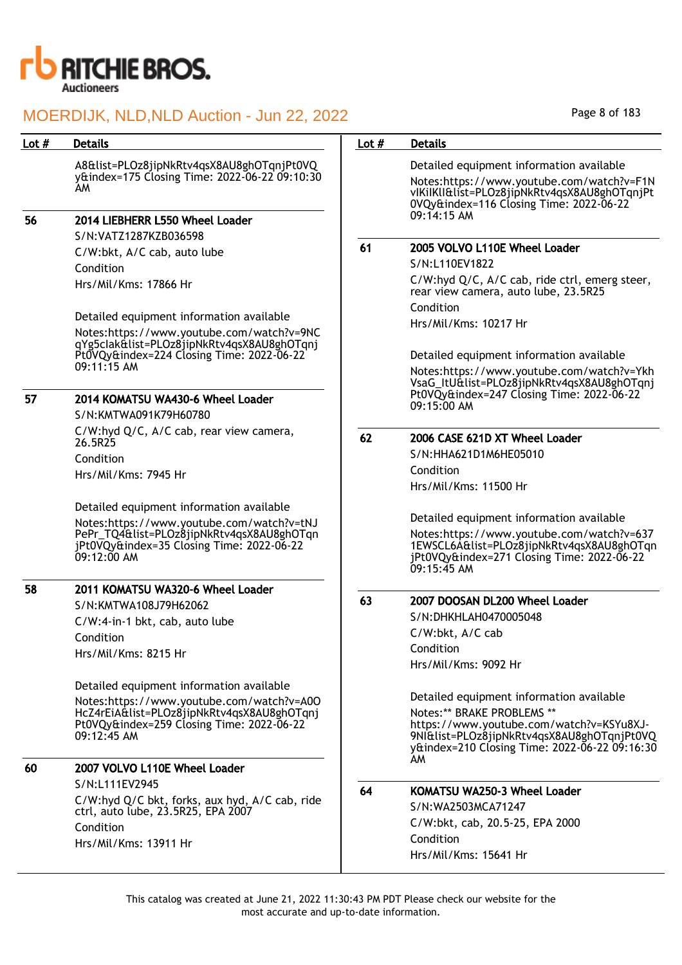

| Lot $#$ | <b>Details</b>                                                                                          | Lot $#$ | <b>Details</b>                                                                                                                                                              |
|---------|---------------------------------------------------------------------------------------------------------|---------|-----------------------------------------------------------------------------------------------------------------------------------------------------------------------------|
|         | A8&list=PLOz8jipNkRtv4qsX8AU8ghOTqnjPt0VQ                                                               |         | Detailed equipment information available                                                                                                                                    |
|         | y&index=175 Closing Time: 2022-06-22 09:10:30<br>AM.                                                    |         | Notes:https://www.youtube.com/watch?v=F1N<br>vIKiIKlI&list=PLOz8jipNkRtv4qsX8AU8ghOTqnjPt<br>0VQy&index=116 Closing Time: 2022-06-22                                        |
| 56      | 2014 LIEBHERR L550 Wheel Loader                                                                         |         | $09:14:15$ AM                                                                                                                                                               |
|         | S/N:VATZ1287KZB036598                                                                                   |         |                                                                                                                                                                             |
|         | C/W:bkt, A/C cab, auto lube                                                                             | 61      | 2005 VOLVO L110E Wheel Loader                                                                                                                                               |
|         | Condition                                                                                               |         | S/N:L110EV1822                                                                                                                                                              |
|         | Hrs/Mil/Kms: 17866 Hr                                                                                   |         | C/W:hyd Q/C, A/C cab, ride ctrl, emerg steer,<br>rear view camera, auto lube, 23.5R25                                                                                       |
|         | Detailed equipment information available                                                                |         | Condition                                                                                                                                                                   |
|         | Notes:https://www.youtube.com/watch?v=9NC<br>qYg5clak&list=PLOz8jipNkRtv4qsX8AU8ghOTqnj                 |         | Hrs/Mil/Kms: 10217 Hr                                                                                                                                                       |
|         | Pt0VQy&index=224 Closing Time: 2022-06-22                                                               |         | Detailed equipment information available                                                                                                                                    |
|         | 09:11:15 AM                                                                                             |         | Notes:https://www.youtube.com/watch?v=Ykh<br>VsaG_ItU&list=PLOz8jipNkRtv4qsX8AU8ghOTqnj                                                                                     |
| 57      | 2014 KOMATSU WA430-6 Wheel Loader                                                                       |         | Pt0VQy&index=247 Closing Time: 2022-06-22<br>09:15:00 AM                                                                                                                    |
|         | S/N:KMTWA091K79H60780                                                                                   |         |                                                                                                                                                                             |
|         | C/W:hyd Q/C, A/C cab, rear view camera,<br>26.5R25                                                      | 62      | 2006 CASE 621D XT Wheel Loader                                                                                                                                              |
|         | Condition                                                                                               |         | S/N:HHA621D1M6HE05010                                                                                                                                                       |
|         | Hrs/Mil/Kms: 7945 Hr                                                                                    |         | Condition<br>Hrs/Mil/Kms: 11500 Hr                                                                                                                                          |
|         | Detailed equipment information available                                                                |         |                                                                                                                                                                             |
|         | Notes:https://www.youtube.com/watch?v=tNJ                                                               |         | Detailed equipment information available                                                                                                                                    |
|         | PePr_TQ4&list=PLOz8jipNkRtv4qsX8AU8ghOTqn<br>jPt0VQy&index=35 Closing Time: 2022-06-22<br>$09:12:00$ AM |         | Notes:https://www.youtube.com/watch?v=637<br>1EWSCL6A&list=PLOz8jipNkRtv4qsX8AU8ghOTqn<br>jPt0VQy&index=271 Closing Time: 2022-06-22<br>$09:15:45$ AM                       |
| 58      | 2011 KOMATSU WA320-6 Wheel Loader                                                                       |         |                                                                                                                                                                             |
|         | S/N:KMTWA108J79H62062                                                                                   | 63      | 2007 DOOSAN DL200 Wheel Loader                                                                                                                                              |
|         | C/W:4-in-1 bkt, cab, auto lube                                                                          |         | S/N:DHKHLAH0470005048                                                                                                                                                       |
|         | Condition                                                                                               |         | C/W:bkt, A/C cab                                                                                                                                                            |
|         | Hrs/Mil/Kms: 8215 Hr                                                                                    |         | Condition                                                                                                                                                                   |
|         |                                                                                                         |         | Hrs/Mil/Kms: 9092 Hr                                                                                                                                                        |
|         | Detailed equipment information available                                                                |         |                                                                                                                                                                             |
|         | Notes:https://www.youtube.com/watch?v=A00                                                               |         | Detailed equipment information available                                                                                                                                    |
|         | HcZ4rEiA&list=PLOz8jipNkRtv4qsX8AU8ghOTqnj<br>Pt0VQy&index=259 Closing Time: 2022-06-22<br>09:12:45 AM  |         | Notes:** BRAKE PROBLEMS **<br>https://www.youtube.com/watch?v=KSYu8XJ-<br>9NI&list=PLOz8jipNkRtv4qsX8AU8ghOTqnjPt0VQ<br>y&index=210 Closing Time: 2022-06-22 09:16:30<br>AM |
| 60      | 2007 VOLVO L110E Wheel Loader                                                                           |         |                                                                                                                                                                             |
|         | S/N:L111EV2945                                                                                          | 64      | KOMATSU WA250-3 Wheel Loader                                                                                                                                                |
|         | C/W:hyd Q/C bkt, forks, aux hyd, A/C cab, ride                                                          |         | S/N:WA2503MCA71247                                                                                                                                                          |
|         | ctrl, auto lube, 23.5R25, EPA 2007                                                                      |         | C/W:bkt, cab, 20.5-25, EPA 2000                                                                                                                                             |
|         | Condition                                                                                               |         | Condition                                                                                                                                                                   |
|         | Hrs/Mil/Kms: 13911 Hr                                                                                   |         | Hrs/Mil/Kms: 15641 Hr                                                                                                                                                       |
|         |                                                                                                         |         |                                                                                                                                                                             |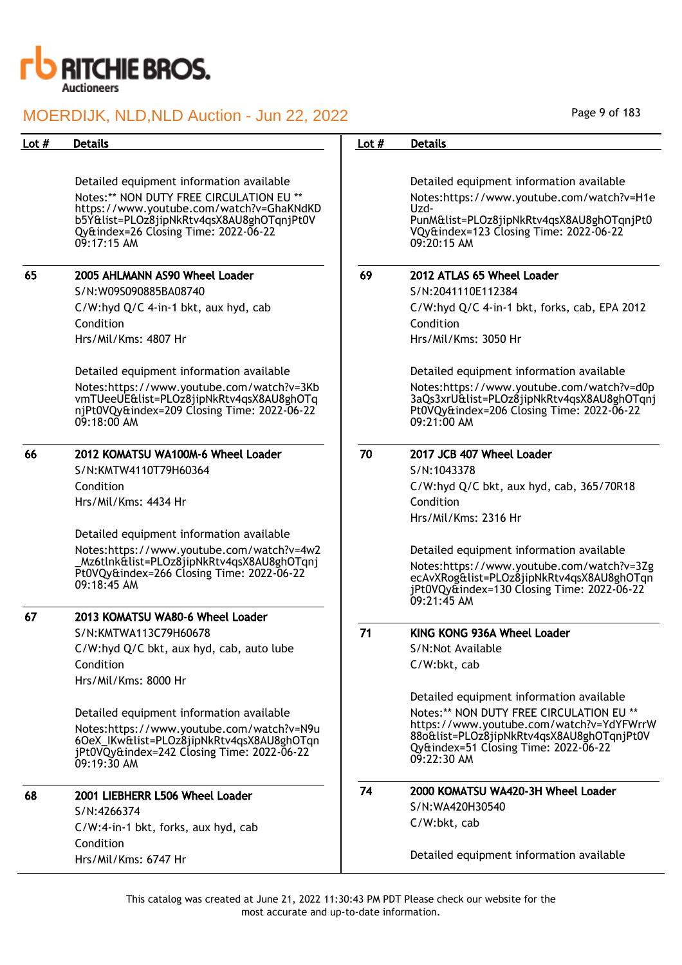

| Lot $#$ | <b>Details</b>                                                                                                                                        | Lot $#$ | <b>Details</b>                                                                                                                                      |
|---------|-------------------------------------------------------------------------------------------------------------------------------------------------------|---------|-----------------------------------------------------------------------------------------------------------------------------------------------------|
|         |                                                                                                                                                       |         |                                                                                                                                                     |
|         | Detailed equipment information available                                                                                                              |         | Detailed equipment information available                                                                                                            |
|         | Notes:** NON DUTY FREE CIRCULATION EU **                                                                                                              |         | Notes:https://www.youtube.com/watch?v=H1e                                                                                                           |
|         | https://www.youtube.com/watch?v=GhaKNdKD<br>b5Y&list=PLOz8jipNkRtv4qsX8AU8ghOTqnjPt0V<br>Qy&index=26 Closing Time: 2022-06-22<br>$09:17:15$ AM        |         | Uzd-<br>PunM&list=PLOz8jipNkRtv4qsX8AU8ghOTqnjPt0<br>VQy&index=123 Closing Time: 2022-06-22<br>09:20:15 AM                                          |
| 65      | 2005 AHLMANN AS90 Wheel Loader                                                                                                                        | 69      | 2012 ATLAS 65 Wheel Loader                                                                                                                          |
|         | S/N:W09S090885BA08740                                                                                                                                 |         | S/N:2041110E112384                                                                                                                                  |
|         | C/W:hyd Q/C 4-in-1 bkt, aux hyd, cab                                                                                                                  |         | C/W:hyd Q/C 4-in-1 bkt, forks, cab, EPA 2012                                                                                                        |
|         | Condition                                                                                                                                             |         | Condition                                                                                                                                           |
|         | Hrs/Mil/Kms: 4807 Hr                                                                                                                                  |         | Hrs/Mil/Kms: 3050 Hr                                                                                                                                |
|         | Detailed equipment information available                                                                                                              |         | Detailed equipment information available                                                                                                            |
|         | Notes:https://www.youtube.com/watch?v=3Kb<br>vmTUeeUE&list=PLOz8jipNkRtv4qsX8AU8ghOTq<br>njPt0VQy&index=209 Closing Time: 2022-06-22<br>$09:18:00$ AM |         | Notes:https://www.youtube.com/watch?v=d0p<br>3aQs3xrU&list=PLOz8jipNkRtv4qsX8AU8ghOTqnj<br>Pt0VQy&index=206 Closing Time: 2022-06-22<br>09:21:00 AM |
| 66      | 2012 KOMATSU WA100M-6 Wheel Loader                                                                                                                    | 70      | 2017 JCB 407 Wheel Loader                                                                                                                           |
|         | S/N:KMTW4110T79H60364                                                                                                                                 |         | S/N:1043378                                                                                                                                         |
|         | Condition                                                                                                                                             |         | C/W:hyd Q/C bkt, aux hyd, cab, 365/70R18                                                                                                            |
|         | Hrs/Mil/Kms: 4434 Hr                                                                                                                                  |         | Condition                                                                                                                                           |
|         |                                                                                                                                                       |         | Hrs/Mil/Kms: 2316 Hr                                                                                                                                |
|         | Detailed equipment information available                                                                                                              |         |                                                                                                                                                     |
|         | Notes:https://www.youtube.com/watch?v=4w2<br>_Mz6tlnk&list=PLOz8jipNkRtv4qsX8AU8ghOTqnj<br>Pt0VQy&index=266 Closing Time: 2022-06-22                  |         | Detailed equipment information available<br>Notes:https://www.youtube.com/watch?v=3Zg<br>ecAvXRog&list=PLOz8jipNkRtv4qsX8AU8ghOTqn                  |
|         | 09:18:45 AM                                                                                                                                           |         | jPt0VQy&index=130 Closing Time: 2022-06-22<br>09:21:45 AM                                                                                           |
| 67      | 2013 KOMATSU WA80-6 Wheel Loader                                                                                                                      |         |                                                                                                                                                     |
|         | S/N:KMTWA113C79H60678                                                                                                                                 | 71      | KING KONG 936A Wheel Loader                                                                                                                         |
|         | C/W:hyd Q/C bkt, aux hyd, cab, auto lube                                                                                                              |         | S/N:Not Available                                                                                                                                   |
|         | Condition                                                                                                                                             |         | C/W:bkt, cab                                                                                                                                        |
|         | Hrs/Mil/Kms: 8000 Hr                                                                                                                                  |         |                                                                                                                                                     |
|         |                                                                                                                                                       |         | Detailed equipment information available                                                                                                            |
|         | Detailed equipment information available                                                                                                              |         | Notes:** NON DUTY FREE CIRCULATION EU **<br>https://www.youtube.com/watch?v=YdYFWrrW                                                                |
|         | Notes:https://www.youtube.com/watch?v=N9u<br>60eX_IKw&list=PLOz8jipNkRtv4qsX8AU8ghOTqn<br>jPt0VQy&index=242 Closing Time: 2022-06-22<br>09:19:30 AM   |         | 88o&list=PLOz8jipNkRtv4qsX8AU8ghOTqnjPt0V<br>Qy&index=51 Closing Time: 2022-06-22<br>$09:22:30$ AM                                                  |
| 68      | 2001 LIEBHERR L506 Wheel Loader                                                                                                                       | 74      | 2000 KOMATSU WA420-3H Wheel Loader                                                                                                                  |
|         | S/N:4266374                                                                                                                                           |         | S/N:WA420H30540                                                                                                                                     |
|         | C/W:4-in-1 bkt, forks, aux hyd, cab                                                                                                                   |         | C/W:bkt, cab                                                                                                                                        |
|         | Condition                                                                                                                                             |         |                                                                                                                                                     |
|         | Hrs/Mil/Kms: 6747 Hr                                                                                                                                  |         | Detailed equipment information available                                                                                                            |

Page 9 of 183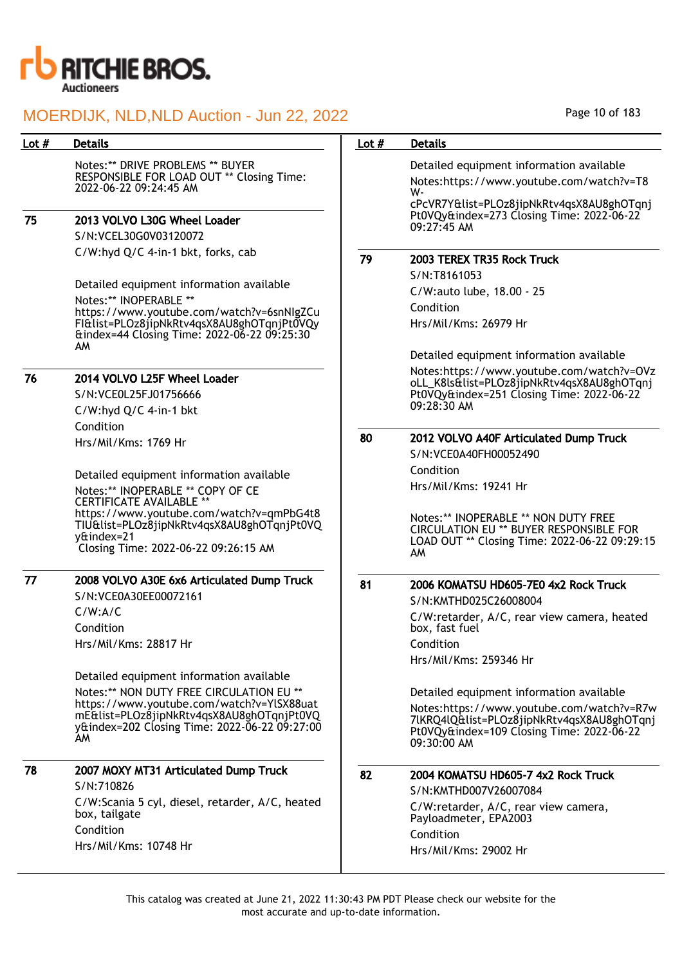

Notes:\*\* DRIVE PROBLEMS \*\* BUYER RESPONSIBLE FOR LOAD OUT \*\* Closing Time: 2022-06-22 09:24:45 AM

75 2013 VOLVO L30G Wheel Loader

S/N:VCEL30G0V03120072 C/W:hyd Q/C 4-in-1 bkt, forks, cab

Detailed equipment information available Notes:\*\* INOPERABLE \*\* https://www.youtube.com/watch?v=6snNIgZCu FI&list=PLOz8jipNkRtv4qsX8AU8ghOTqnjPt0VQy &index=44 Closing Time: 2022-06-22 09:25:30 AM

## 76 2014 VOLVO L25F Wheel Loader

S/N:VCE0L25FJ01756666 C/W:hyd Q/C 4-in-1 bkt Condition Hrs/Mil/Kms: 1769 Hr

Detailed equipment information available Notes:\*\* INOPERABLE \*\* COPY OF CE CERTIFICATE AVAILABLE<sup>\*</sup> https://www.youtube.com/watch?v=qmPbG4t8 TIU&list=PLOz8jipNkRtv4qsX8AU8ghOTqnjPt0VQ y&index=21 Closing Time: 2022-06-22 09:26:15 AM

## 77 2008 VOLVO A30E 6x6 Articulated Dump Truck

S/N:VCE0A30EE00072161 C/W:A/C Condition Hrs/Mil/Kms: 28817 Hr

Detailed equipment information available Notes:\*\* NON DUTY FREE CIRCULATION EU \*\* https://www.youtube.com/watch?v=YlSX88uat mE&list=PLOz8jipNkRtv4qsX8AU8ghOTqnjPt0VQ y&index=202 Closing Time: 2022-06-22 09:27:00 AM

| 78 | 2007 MOXY MT31 Articulated Dump Truck                            |
|----|------------------------------------------------------------------|
|    | S/N:710826                                                       |
|    | C/W:Scania 5 cyl, diesel, retarder, A/C, heated<br>box, tailgate |
|    | Condition                                                        |
|    |                                                                  |

Hrs/Mil/Kms: 10748 Hr

## Lot # Details **Details According to the United States Lot # Details**

Detailed equipment information available Notes:https://www.youtube.com/watch?v=T8

WcPcVR7Y&list=PLOz8jipNkRtv4qsX8AU8ghOTqnj Pt0VQy&index=273 Closing Time: 2022-06-22 09:27:45 AM

## 79 2003 TEREX TR35 Rock Truck

S/N:T8161053 C/W:auto lube, 18.00 - 25 Condition Hrs/Mil/Kms: 26979 Hr

Detailed equipment information available

Notes:https://www.youtube.com/watch?v=OVz oLL\_K8ls&list=PLOz8jipNkRtv4qsX8AU8ghOTqnj Pt0VQy&index=251 Closing Time: 2022-06-22 09:28:30 AM

# 80 2012 VOLVO A40F Articulated Dump Truck

S/N:VCE0A40FH00052490 Condition Hrs/Mil/Kms: 19241 Hr

Notes:\*\* INOPERABLE \*\* NON DUTY FREE CIRCULATION EU \*\* BUYER RESPONSIBLE FOR LOAD OUT \*\* Closing Time: 2022-06-22 09:29:15 AM

## 81 2006 KOMATSU HD605-7E0 4x2 Rock Truck

S/N:KMTHD025C26008004 C/W:retarder, A/C, rear view camera, heated box, fast fuel Condition Hrs/Mil/Kms: 259346 Hr

Detailed equipment information available Notes:https://www.youtube.com/watch?v=R7w 7lKRQ4lQ&list=PLOz8jipNkRtv4qsX8AU8ghOTqnj Pt0VQy&index=109 Closing Time: 2022-06-22 09:30:00 AM

## 82 2004 KOMATSU HD605-7 4x2 Rock Truck S/N:KMTHD007V26007084 C/W:retarder, A/C, rear view camera, Payloadmeter, EPA2003 Condition Hrs/Mil/Kms: 29002 Hr

This catalog was created at June 21, 2022 11:30:43 PM PDT Please check our website for the most accurate and up-to-date information.

Page 10 of 183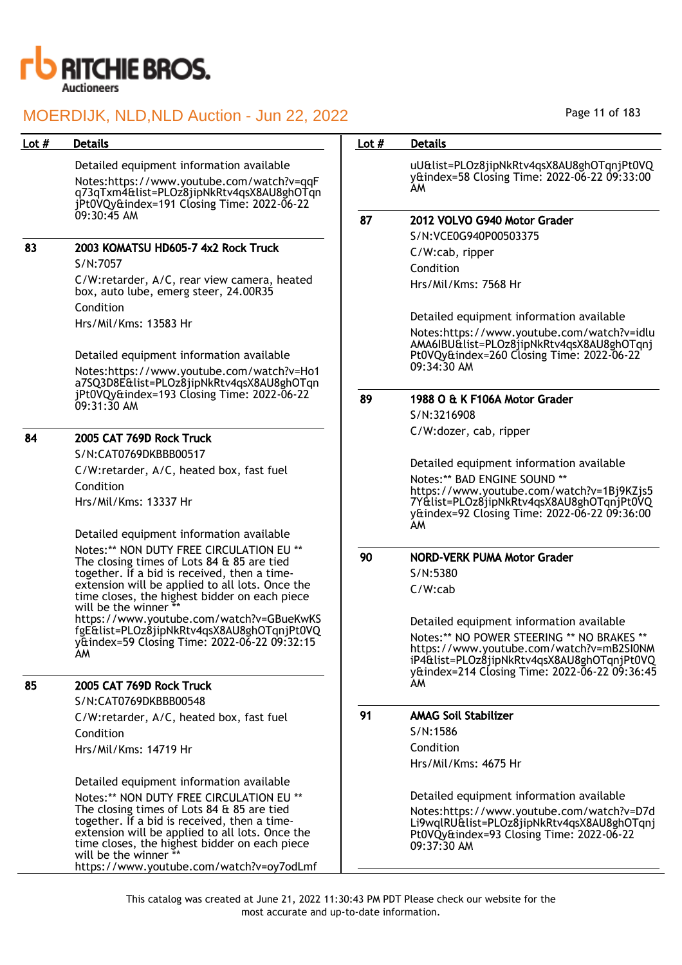

|         | MOERDIJK, NLD, NLD Auction - Jun 22, 2022                                                                                                                                                                                                                           |         | Page 11 of 183                                                                                                                                                                                                                    |
|---------|---------------------------------------------------------------------------------------------------------------------------------------------------------------------------------------------------------------------------------------------------------------------|---------|-----------------------------------------------------------------------------------------------------------------------------------------------------------------------------------------------------------------------------------|
| Lot $#$ | <b>Details</b>                                                                                                                                                                                                                                                      | Lot $#$ | <b>Details</b>                                                                                                                                                                                                                    |
|         | Detailed equipment information available<br>Notes:https://www.youtube.com/watch?v=qqF<br>q73qTxm4&list=PLOz8jipNkRtv4qsX8AU8ghOTqn<br>jPt0VQy&index=191 Closing Time: 2022-06-22                                                                                    |         | uU&list=PLOz8jipNkRtv4qsX8AU8ghOTqnjPt0VQ<br>y&index=58 Closing Time: 2022-06-22 09:33:00<br>AM                                                                                                                                   |
|         | 09:30:45 AM                                                                                                                                                                                                                                                         | 87      | 2012 VOLVO G940 Motor Grader                                                                                                                                                                                                      |
| 83      | 2003 KOMATSU HD605-7 4x2 Rock Truck<br>S/N:7057                                                                                                                                                                                                                     |         | S/N:VCE0G940P00503375<br>C/W:cab, ripper                                                                                                                                                                                          |
|         | C/W:retarder, A/C, rear view camera, heated<br>box, auto lube, emerg steer, 24.00R35                                                                                                                                                                                |         | Condition<br>Hrs/Mil/Kms: 7568 Hr                                                                                                                                                                                                 |
|         | Condition<br>Hrs/Mil/Kms: 13583 Hr                                                                                                                                                                                                                                  |         | Detailed equipment information available                                                                                                                                                                                          |
|         | Detailed equipment information available<br>Notes:https://www.youtube.com/watch?v=Ho1<br>a7SQ3D8E&list=PLOz8jipNkRtv4qsX8AU8ghOTqn                                                                                                                                  |         | Notes:https://www.youtube.com/watch?v=idlu<br>AMA6IBU&list=PLOz8jipNkRtv4qsX8AU8ghOTqnj<br>Pt0VQy&index=260 Closing Time: 2022-06-22<br>09:34:30 AM                                                                               |
|         | jPt0VQy&index=193 Closing Time: 2022-06-22<br>09:31:30 AM                                                                                                                                                                                                           | 89      | 1988 O & K F106A Motor Grader                                                                                                                                                                                                     |
| 84      | 2005 CAT 769D Rock Truck                                                                                                                                                                                                                                            |         | S/N:3216908<br>C/W:dozer, cab, ripper                                                                                                                                                                                             |
|         | S/N:CAT0769DKBBB00517                                                                                                                                                                                                                                               |         |                                                                                                                                                                                                                                   |
|         | C/W:retarder, A/C, heated box, fast fuel<br>Condition<br>Hrs/Mil/Kms: 13337 Hr                                                                                                                                                                                      |         | Detailed equipment information available<br>Notes:** BAD ENGINE SOUND **<br>https://www.youtube.com/watch?v=1Bj9KZjs5<br>7Y&list=PLOz8jipNkRtv4qsX8AU8ghOTqnjPt0VQ<br>y&index=92 Closing Time: 2022-06-22 09:36:00<br>AM.         |
|         | Detailed equipment information available                                                                                                                                                                                                                            |         |                                                                                                                                                                                                                                   |
|         | Notes:** NON DUTY FREE CIRCULATION EU **<br>The closing times of Lots 84 & 85 are tied<br>together. If a bid is received, then a time-                                                                                                                              | 90      | <b>NORD-VERK PUMA Motor Grader</b><br>S/N:5380                                                                                                                                                                                    |
|         | extension will be applied to all lots. Once the<br>time closes, the highest bidder on each piece<br>will be the winner **                                                                                                                                           |         | $C/W$ : $cab$                                                                                                                                                                                                                     |
|         | https://www.youtube.com/watch?v=GBueKwKS<br>fgE&list=PLOz8jipNkRtv4qsX8AU8ghOTqnjPt0VQ<br>yttindex=59 Closing Time: 2022-06-22 09:32:15<br>AM                                                                                                                       |         | Detailed equipment information available<br>Notes:** NO POWER STEERING ** NO BRAKES **<br>https://www.youtube.com/watch?v=mB2SI0NM<br>iP4&list=PLOz8jipNkRtv4qsX8AU8ghOTqnjPt0VQ<br>y&index=214 Closing Time: 2022-06-22 09:36:45 |
| 85      | 2005 CAT 769D Rock Truck<br>S/N:CAT0769DKBBB00548                                                                                                                                                                                                                   |         | AM                                                                                                                                                                                                                                |
|         | C/W:retarder, A/C, heated box, fast fuel<br>Condition                                                                                                                                                                                                               | 91      | <b>AMAG Soil Stabilizer</b><br>S/N:1586                                                                                                                                                                                           |
|         | Hrs/Mil/Kms: 14719 Hr                                                                                                                                                                                                                                               |         | Condition<br>Hrs/Mil/Kms: 4675 Hr                                                                                                                                                                                                 |
|         | Detailed equipment information available                                                                                                                                                                                                                            |         |                                                                                                                                                                                                                                   |
|         | Notes:** NON DUTY FREE CIRCULATION EU **<br>The closing times of Lots 84 & 85 are tied<br>together. If a bid is received, then a time-<br>extension will be applied to all lots. Once the<br>time closes, the highest bidder on each piece<br>will be the winner ** |         | Detailed equipment information available<br>Notes:https://www.youtube.com/watch?v=D7d<br>Li9wqlRU&list=PLOz8jipNkRtv4qsX8AU8ghOTqnj<br>Pt0VQy&index=93 Closing Time: 2022-06-22<br>09:37:30 AM                                    |
|         | https://www.youtube.com/watch?v=oy7odLmf                                                                                                                                                                                                                            |         |                                                                                                                                                                                                                                   |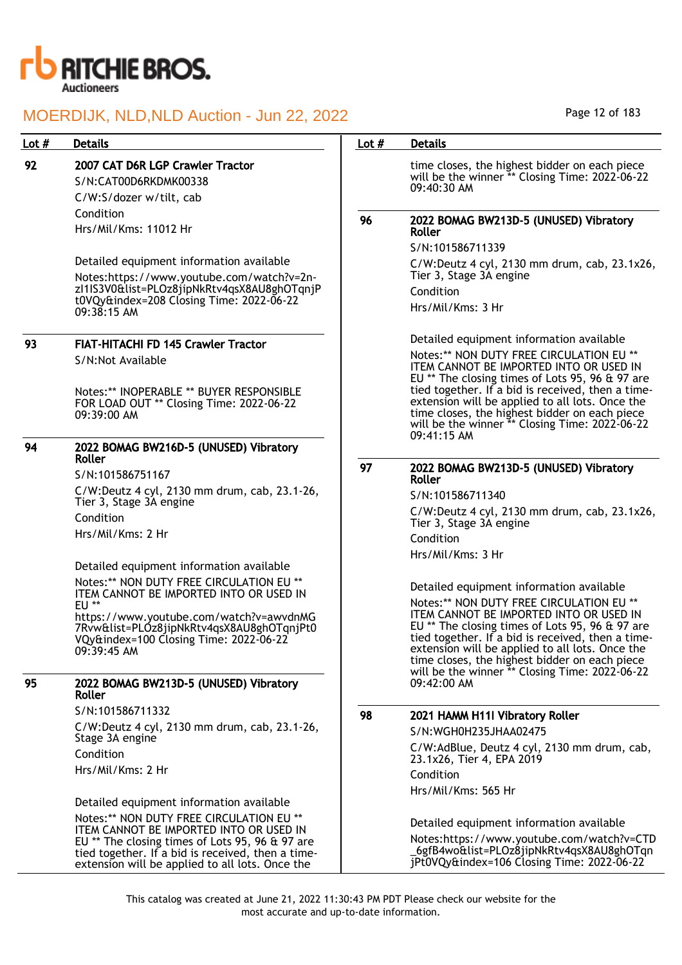

| Lot $#$ | <b>Details</b>                                                                                                                                | Lot $#$ | <b>Details</b>                                                                                                                                                                                                                                                                                        |
|---------|-----------------------------------------------------------------------------------------------------------------------------------------------|---------|-------------------------------------------------------------------------------------------------------------------------------------------------------------------------------------------------------------------------------------------------------------------------------------------------------|
| 92      | 2007 CAT D6R LGP Crawler Tractor<br>S/N:CAT00D6RKDMK00338<br>C/W:S/dozer w/tilt, cab                                                          |         | time closes, the highest bidder on each piece<br>will be the winner ** Closing Time: 2022-06-22<br>09:40:30 AM                                                                                                                                                                                        |
|         | Condition                                                                                                                                     | 96      | 2022 BOMAG BW213D-5 (UNUSED) Vibratory                                                                                                                                                                                                                                                                |
|         | Hrs/Mil/Kms: 11012 Hr                                                                                                                         |         | Roller                                                                                                                                                                                                                                                                                                |
|         |                                                                                                                                               |         | S/N:101586711339                                                                                                                                                                                                                                                                                      |
|         | Detailed equipment information available<br>Notes:https://www.youtube.com/watch?v=2n-                                                         |         | C/W:Deutz 4 cyl, 2130 mm drum, cab, 23.1x26,<br>Tier 3, Stage 3A engine                                                                                                                                                                                                                               |
|         | zl1IS3V0&list=PLOz8jipNkRtv4qsX8AU8ghOTqnjP                                                                                                   |         | Condition                                                                                                                                                                                                                                                                                             |
|         | t0VQy&index=208 Closing Time: 2022-06-22<br>09:38:15 AM                                                                                       |         | Hrs/Mil/Kms: 3 Hr                                                                                                                                                                                                                                                                                     |
| 93      | <b>FIAT-HITACHI FD 145 Crawler Tractor</b>                                                                                                    |         | Detailed equipment information available                                                                                                                                                                                                                                                              |
|         | S/N:Not Available                                                                                                                             |         | Notes:** NON DUTY FREE CIRCULATION EU **<br>ITEM CANNOT BE IMPORTED INTO OR USED IN<br>EU ** The closing times of Lots 95, 96 & 97 are                                                                                                                                                                |
|         | Notes:** INOPERABLE ** BUYER RESPONSIBLE<br>FOR LOAD OUT ** Closing Time: 2022-06-22<br>09:39:00 AM                                           |         | tied together. If a bid is received, then a time-<br>extension will be applied to all lots. Once the<br>time closes, the highest bidder on each piece<br>will be the winner ** Closing Time: 2022-06-22<br>09:41:15 AM                                                                                |
| 94      | 2022 BOMAG BW216D-5 (UNUSED) Vibratory<br>Roller                                                                                              |         |                                                                                                                                                                                                                                                                                                       |
|         | S/N:101586751167                                                                                                                              | 97      | 2022 BOMAG BW213D-5 (UNUSED) Vibratory<br>Roller                                                                                                                                                                                                                                                      |
|         | C/W:Deutz 4 cyl, 2130 mm drum, cab, 23.1-26,                                                                                                  |         | S/N:101586711340                                                                                                                                                                                                                                                                                      |
|         | Tier 3, Stage 3A engine<br>Condition                                                                                                          |         | C/W:Deutz 4 cyl, 2130 mm drum, cab, 23.1x26,<br>Tier 3, Stage 3A engine                                                                                                                                                                                                                               |
|         | Hrs/Mil/Kms: 2 Hr                                                                                                                             |         | Condition                                                                                                                                                                                                                                                                                             |
|         |                                                                                                                                               |         | Hrs/Mil/Kms: 3 Hr                                                                                                                                                                                                                                                                                     |
|         | Detailed equipment information available                                                                                                      |         |                                                                                                                                                                                                                                                                                                       |
|         | Notes:** NON DUTY FREE CIRCULATION EU **<br>ITEM CANNOT BE IMPORTED INTO OR USED IN<br>$EU**$                                                 |         | Detailed equipment information available<br>Notes:** NON DUTY FREE CIRCULATION EU **                                                                                                                                                                                                                  |
|         | https://www.youtube.com/watch?v=awvdnMG<br>7Rvw&list=PLOz8jipNkRtv4qsX8AU8ghOTqnjPt0<br>VQy&index=100 Closing Time: 2022-06-22<br>09:39:45 AM |         | ITEM CANNOT BE IMPORTED INTO OR USED IN<br>EU ** The closing times of Lots 95, 96 & 97 are<br>tied together. If a bid is received, then a time-<br>extension will be applied to all lots. Once the<br>time closes, the highest bidder on each piece<br>will be the winner ** Closing Time: 2022-06-22 |
| 95      | 2022 BOMAG BW213D-5 (UNUSED) Vibratory<br>Roller                                                                                              |         | 09:42:00 AM                                                                                                                                                                                                                                                                                           |
|         | S/N:101586711332                                                                                                                              | 98      | 2021 HAMM H11I Vibratory Roller                                                                                                                                                                                                                                                                       |
|         | C/W:Deutz 4 cyl, 2130 mm drum, cab, 23.1-26,                                                                                                  |         | S/N:WGH0H235JHAA02475                                                                                                                                                                                                                                                                                 |
|         | Stage 3A engine                                                                                                                               |         | C/W:AdBlue, Deutz 4 cyl, 2130 mm drum, cab,                                                                                                                                                                                                                                                           |
|         | Condition                                                                                                                                     |         | 23.1x26, Tier 4, EPA 2019                                                                                                                                                                                                                                                                             |
|         | Hrs/Mil/Kms: 2 Hr                                                                                                                             |         | Condition                                                                                                                                                                                                                                                                                             |
|         | Detailed equipment information available                                                                                                      |         | Hrs/Mil/Kms: 565 Hr                                                                                                                                                                                                                                                                                   |
|         | Notes:** NON DUTY FREE CIRCULATION EU **                                                                                                      |         | Detailed equipment information available                                                                                                                                                                                                                                                              |
|         | ITEM CANNOT BE IMPORTED INTO OR USED IN<br>EU ** The closing times of Lots 95, 96 & 97 are                                                    |         | Notes:https://www.youtube.com/watch?v=CTD                                                                                                                                                                                                                                                             |
|         | tied together. If a bid is received, then a time-<br>extension will be applied to all lots. Once the                                          |         | _6gfB4wo&list=PLOz8jipNkRtv4qsX8AU8ghOTqn<br>jPt0VQy&index=106 Closing Time: 2022-06-22                                                                                                                                                                                                               |

Page 12 of 183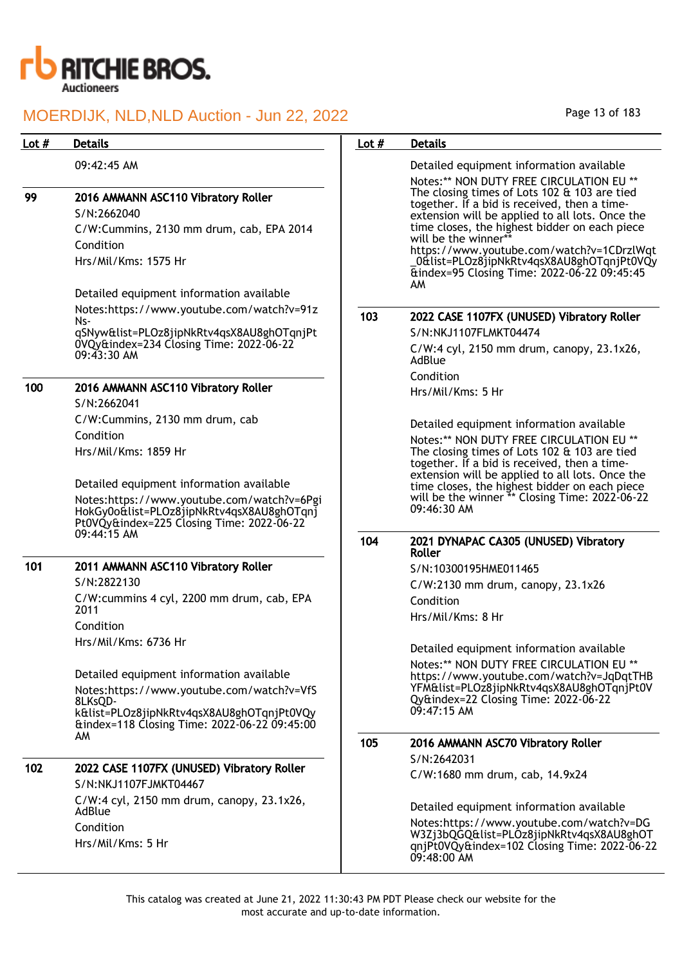

Lot # Details **Details According to the United States Lot # Details** 

|     | 09:42:45 AM                                                                                                                          |     | Detailed equipment information available<br>Notes:** NON DUTY FREE CIRCULATION EU **                                                                                                                                                                                                                                                                                     |
|-----|--------------------------------------------------------------------------------------------------------------------------------------|-----|--------------------------------------------------------------------------------------------------------------------------------------------------------------------------------------------------------------------------------------------------------------------------------------------------------------------------------------------------------------------------|
| 99  | 2016 AMMANN ASC110 Vibratory Roller<br>S/N:2662040<br>C/W:Cummins, 2130 mm drum, cab, EPA 2014<br>Condition<br>Hrs/Mil/Kms: 1575 Hr  |     | The closing times of Lots 102 & 103 are tied<br>together. If a bid is received, then a time-<br>extension will be applied to all lots. Once the<br>time closes, the highest bidder on each piece<br>will be the winner**<br>https://www.youtube.com/watch?v=1CDrzlWqt<br>_0&list=PLOz8jipNkRtv4qsX8AU8ghOTqnjPt0VQy<br>&index=95 Closing Time: 2022-06-22 09:45:45<br>AM |
|     | Detailed equipment information available<br>Notes:https://www.youtube.com/watch?v=91z                                                |     |                                                                                                                                                                                                                                                                                                                                                                          |
|     | Ns-                                                                                                                                  | 103 | 2022 CASE 1107FX (UNUSED) Vibratory Roller                                                                                                                                                                                                                                                                                                                               |
|     | qSNyw&list=PLOz8jipNkRtv4qsX8AU8ghOTqnjPt<br>0VQy&index=234 Closing Time: 2022-06-22                                                 |     | S/N:NKJ1107FLMKT04474                                                                                                                                                                                                                                                                                                                                                    |
|     | $09:43:30$ AM                                                                                                                        |     | $C/W:4$ cyl, 2150 mm drum, canopy, 23.1x26,<br>AdBlue                                                                                                                                                                                                                                                                                                                    |
| 100 |                                                                                                                                      |     | Condition                                                                                                                                                                                                                                                                                                                                                                |
|     | 2016 AMMANN ASC110 Vibratory Roller<br>S/N:2662041                                                                                   |     | Hrs/Mil/Kms: 5 Hr                                                                                                                                                                                                                                                                                                                                                        |
|     | C/W:Cummins, 2130 mm drum, cab                                                                                                       |     |                                                                                                                                                                                                                                                                                                                                                                          |
|     | Condition                                                                                                                            |     | Detailed equipment information available<br>Notes:** NON DUTY FREE CIRCULATION EU **                                                                                                                                                                                                                                                                                     |
|     | Hrs/Mil/Kms: 1859 Hr                                                                                                                 |     | The closing times of Lots 102 & 103 are tied<br>together. If a bid is received, then a time-<br>extension will be applied to all lots. Once the                                                                                                                                                                                                                          |
|     | Detailed equipment information available                                                                                             |     | time closes, the highest bidder on each piece                                                                                                                                                                                                                                                                                                                            |
|     | Notes:https://www.youtube.com/watch?v=6Pgi<br>HokGy0o&list=PLOz8jipNkRtv4qsX8AU8ghOTqnj<br>Pt0VQy&index=225 Closing Time: 2022-06-22 |     | will be the winner ** Closing Time: 2022-06-22<br>$09:46:30$ AM                                                                                                                                                                                                                                                                                                          |
|     | 09:44:15 AM                                                                                                                          | 104 | 2021 DYNAPAC CA305 (UNUSED) Vibratory<br>Roller                                                                                                                                                                                                                                                                                                                          |
| 101 | 2011 AMMANN ASC110 Vibratory Roller                                                                                                  |     | S/N:10300195HME011465                                                                                                                                                                                                                                                                                                                                                    |
|     | S/N:2822130                                                                                                                          |     | $C/W:2130$ mm drum, canopy, $23.1x26$                                                                                                                                                                                                                                                                                                                                    |
|     | C/W:cummins 4 cyl, 2200 mm drum, cab, EPA                                                                                            |     | Condition                                                                                                                                                                                                                                                                                                                                                                |
|     | 2011                                                                                                                                 |     | Hrs/Mil/Kms: 8 Hr                                                                                                                                                                                                                                                                                                                                                        |
|     | Condition                                                                                                                            |     |                                                                                                                                                                                                                                                                                                                                                                          |
|     | Hrs/Mil/Kms: 6736 Hr                                                                                                                 |     | Detailed equipment information available                                                                                                                                                                                                                                                                                                                                 |
|     |                                                                                                                                      |     | Notes:** NON DUTY FREE CIRCULATION EU **                                                                                                                                                                                                                                                                                                                                 |
|     | Detailed equipment information available                                                                                             |     | https://www.youtube.com/watch?v=JqDqtTHB<br>YFM&list=PLOz8jipNkRtv4qsX8AU8ghOTqnjPt0V                                                                                                                                                                                                                                                                                    |
|     | Notes:https://www.youtube.com/watch?v=VfS<br>8LKsQD-                                                                                 |     | Qy&index=22 Closing Time: 2022-06-22                                                                                                                                                                                                                                                                                                                                     |
|     | k&list=PLOz8jipNkRtv4qsX8AU8ghOTqnjPt0VQy<br>&index=118 Closing Time: 2022-06-22 09:45:00                                            |     | 09:47:15 AM                                                                                                                                                                                                                                                                                                                                                              |
|     | AM                                                                                                                                   | 105 | 2016 AMMANN ASC70 Vibratory Roller                                                                                                                                                                                                                                                                                                                                       |
| 102 |                                                                                                                                      |     | S/N:2642031                                                                                                                                                                                                                                                                                                                                                              |
|     | 2022 CASE 1107FX (UNUSED) Vibratory Roller<br>S/N:NKJ1107FJMKT04467                                                                  |     | C/W:1680 mm drum, cab, 14.9x24                                                                                                                                                                                                                                                                                                                                           |
|     | C/W:4 cyl, 2150 mm drum, canopy, 23.1x26,                                                                                            |     |                                                                                                                                                                                                                                                                                                                                                                          |
|     | AdBlue                                                                                                                               |     | Detailed equipment information available                                                                                                                                                                                                                                                                                                                                 |
|     | Condition<br>Hrs/Mil/Kms: 5 Hr                                                                                                       |     | Notes:https://www.youtube.com/watch?v=DG<br>W3Zj3bQGQ&list=PLOz8jipNkRtv4qsX8AU8ghOT<br>qnjPt0VQy&index=102 Closing Time: 2022-06-22<br>09:48:00 AM                                                                                                                                                                                                                      |

Page 13 of 183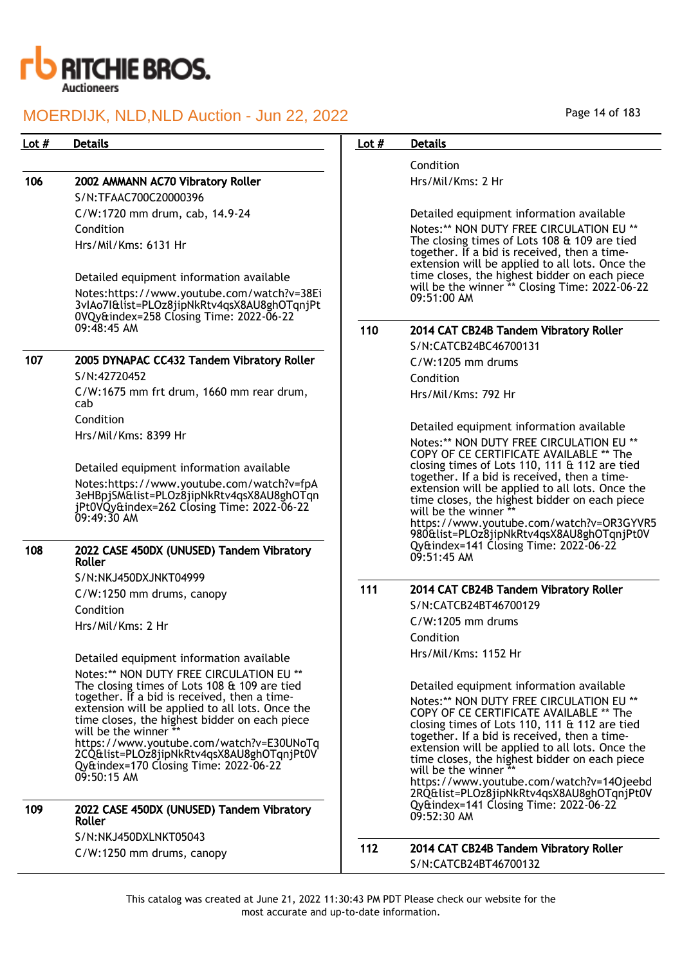

## Lot # Details **Details According to the United States Lot # Details**

## 106 2002 AMMANN AC70 Vibratory Roller

S/N:TFAAC700C20000396 C/W:1720 mm drum, cab, 14.9-24 Condition Hrs/Mil/Kms: 6131 Hr

Detailed equipment information available Notes:https://www.youtube.com/watch?v=38Ei 3vIAo7I&list=PLOz8jipNkRtv4qsX8AU8ghOTqnjPt 0VQy&index=258 Closing Time: 2022-06-22 09:48:45 AM

## 107 2005 DYNAPAC CC432 Tandem Vibratory Roller

S/N:42720452 C/W:1675 mm frt drum, 1660 mm rear drum, cab Condition Hrs/Mil/Kms: 8399 Hr

Detailed equipment information available Notes:https://www.youtube.com/watch?v=fpA 3eHBpjSM&list=PLOz8jipNkRtv4qsX8AU8ghOTqn jPt0VQy&index=262 Closing Time: 2022-06-22  $09:49:30$  AM

### 108 2022 CASE 450DX (UNUSED) Tandem Vibratory Roller

S/N:NKJ450DXJNKT04999

C/W:1250 mm drums, canopy

Condition

09:50:15 AM

Hrs/Mil/Kms: 2 Hr

Detailed equipment information available Notes:\*\* NON DUTY FREE CIRCULATION EU \*\* The closing times of Lots 108 & 109 are tied together. If a bid is received, then a timeextension will be applied to all lots. Once the time closes, the highest bidder on each piece will be the winner https://www.youtube.com/watch?v=E30UNoTq 2CQ&list=PLOz8jipNkRtv4qsX8AU8ghOTqnjPt0V Qy&index=170 Closing Time: 2022-06-22

| 109 | 2022 CASE 450DX (UNUSED) Tandem Vibratory<br>Roller |
|-----|-----------------------------------------------------|
|     | S/N:NKJ450DXLNKT05043                               |

C/W:1250 mm drums, canopy

Condition Hrs/Mil/Kms: 2 Hr

Detailed equipment information available

Notes:\*\* NON DUTY FREE CIRCULATION EU \*\* The closing times of Lots 108 & 109 are tied together. If a bid is received, then a timeextension will be applied to all lots. Once the time closes, the highest bidder on each piece will be the winner \*\* Closing Time: 2022-06-22 09:51:00 AM

## 110 2014 CAT CB24B Tandem Vibratory Roller

S/N:CATCB24BC46700131 C/W:1205 mm drums Condition Hrs/Mil/Kms: 792 Hr

Detailed equipment information available Notes:\*\* NON DUTY FREE CIRCULATION EU \*\* COPY OF CE CERTIFICATE AVAILABLE \*\* The closing times of Lots 110, 111 & 112 are tied together. If a bid is received, then a timeextension will be applied to all lots. Once the time closes, the highest bidder on each piece will be the winner  $^{\frac{3}{2}}$ https://www.youtube.com/watch?v=OR3GYVR5 980&list=PLOz8jipNkRtv4qsX8AU8ghOTqnjPt0V Qy&index=141 Closing Time: 2022-06-22 09:51:45 AM

## 111 2014 CAT CB24B Tandem Vibratory Roller

S/N:CATCB24BT46700129 C/W:1205 mm drums Condition Hrs/Mil/Kms: 1152 Hr

Detailed equipment information available Notes:\*\* NON DUTY FREE CIRCULATION EU \*\* COPY OF CE CERTIFICATE AVAILABLE \*\* The closing times of Lots 110, 111 & 112 are tied together. If a bid is received, then a timeextension will be applied to all lots. Once the time closes, the highest bidder on each piece will be the winner \*\*

https://www.youtube.com/watch?v=14Ojeebd 2RQ&list=PLOz8jipNkRtv4qsX8AU8ghOTqnjPt0V Qy&index=141 Closing Time: 2022-06-22 09:52:30 AM

## 112 2014 CAT CB24B Tandem Vibratory Roller S/N:CATCB24BT46700132

This catalog was created at June 21, 2022 11:30:43 PM PDT Please check our website for the most accurate and up-to-date information.

Page 14 of 183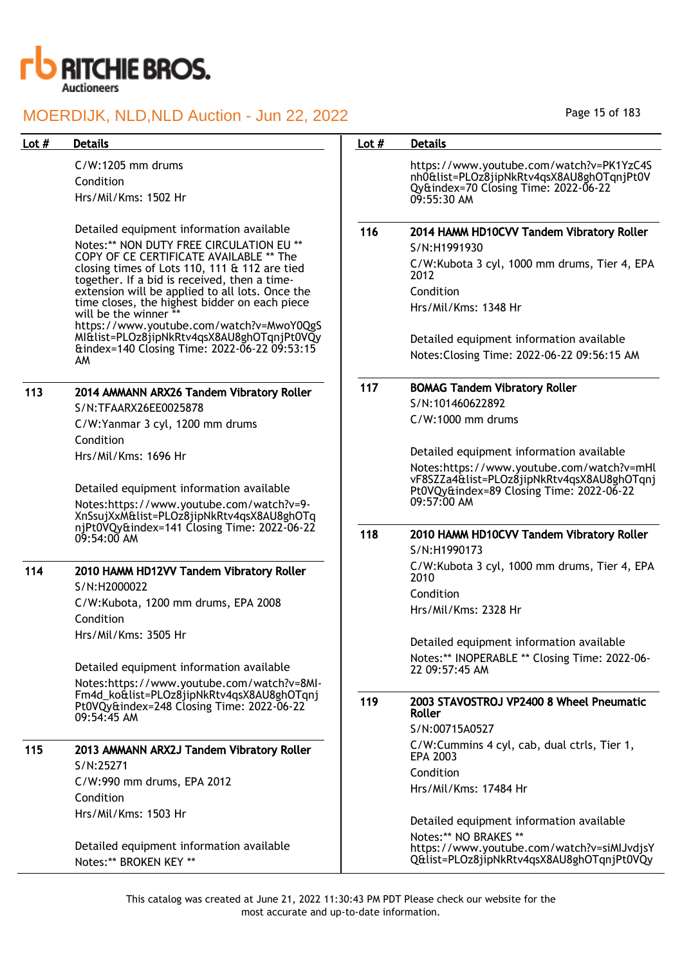

C/W:1205 mm drums Condition Hrs/Mil/Kms: 1502 Hr

Detailed equipment information available Notes:\*\* NON DUTY FREE CIRCULATION EU \*\* COPY OF CE CERTIFICATE AVAILABLE \*\* The closing times of Lots 110, 111 & 112 are tied together. If a bid is received, then a timeextension will be applied to all lots. Once the time closes, the highest bidder on each piece will be the winner https://www.youtube.com/watch?v=MwoY0QgS MI&list=PLOz8jipNkRtv4qsX8AU8ghOTqnjPt0VQy

&index=140 Closing Time: 2022-06-22 09:53:15 AM

## 113 2014 AMMANN ARX26 Tandem Vibratory Roller S/N:TFAARX26EE0025878

C/W:Yanmar 3 cyl, 1200 mm drums Condition Hrs/Mil/Kms: 1696 Hr

Detailed equipment information available Notes:https://www.youtube.com/watch?v=9- XnSsujXxM&list=PLOz8jipNkRtv4qsX8AU8ghOTq njPt0VQy&index=141 Closing Time: 2022-06-22 09:54:00 AM

## 114 2010 HAMM HD12VV Tandem Vibratory Roller S/N:H2000022 C/W:Kubota, 1200 mm drums, EPA 2008

Condition Hrs/Mil/Kms: 3505 Hr

Detailed equipment information available Notes:https://www.youtube.com/watch?v=8MI-Fm4d\_ko&list=PLOz8jipNkRtv4qsX8AU8ghOTqnj Pt0VQy&index=248 Closing Time: 2022-06-22 09:54:45 AM

## 115 2013 AMMANN ARX2J Tandem Vibratory Roller S/N:25271 C/W:990 mm drums, EPA 2012 Condition

Hrs/Mil/Kms: 1503 Hr

Detailed equipment information available Notes:\*\* BROKEN KEY \*\*

## Page 15 of 183

## Lot # Details **Details According to the United States Lot # Details** https://www.youtube.com/watch?v=PK1YzC4S nh0&list=PLOz8jipNkRtv4qsX8AU8ghOTqnjPt0V Qy&index=70 Closing Time: 2022-06-22 09:55:30 AM 116 2014 HAMM HD10CVV Tandem Vibratory Roller S/N:H1991930 C/W:Kubota 3 cyl, 1000 mm drums, Tier 4, EPA 2012 Condition Hrs/Mil/Kms: 1348 Hr Detailed equipment information available Notes:Closing Time: 2022-06-22 09:56:15 AM 117 BOMAG Tandem Vibratory Roller S/N:101460622892 C/W:1000 mm drums Detailed equipment information available Notes:https://www.youtube.com/watch?v=mHl vF8SZZa4&list=PLOz8jipNkRtv4qsX8AU8ghOTqnj Pt0VQy&index=89 Closing Time: 2022-06-22 09:57:00 AM 118 2010 HAMM HD10CVV Tandem Vibratory Roller S/N:H1990173 C/W:Kubota 3 cyl, 1000 mm drums, Tier 4, EPA 2010 Condition Hrs/Mil/Kms: 2328 Hr Detailed equipment information available Notes:\*\* INOPERABLE \*\* Closing Time: 2022-06- 22 09:57:45 AM 119 2003 STAVOSTROJ VP2400 8 Wheel Pneumatic Roller S/N:00715A0527 C/W:Cummins 4 cyl, cab, dual ctrls, Tier 1, EPA 2003 Condition Hrs/Mil/Kms: 17484 Hr Detailed equipment information available Notes:\*\* NO BRAKES \*\* https://www.youtube.com/watch?v=siMIJvdjsY

Q&list=PLOz8jipNkRtv4qsX8AU8ghOTqnjPt0VQy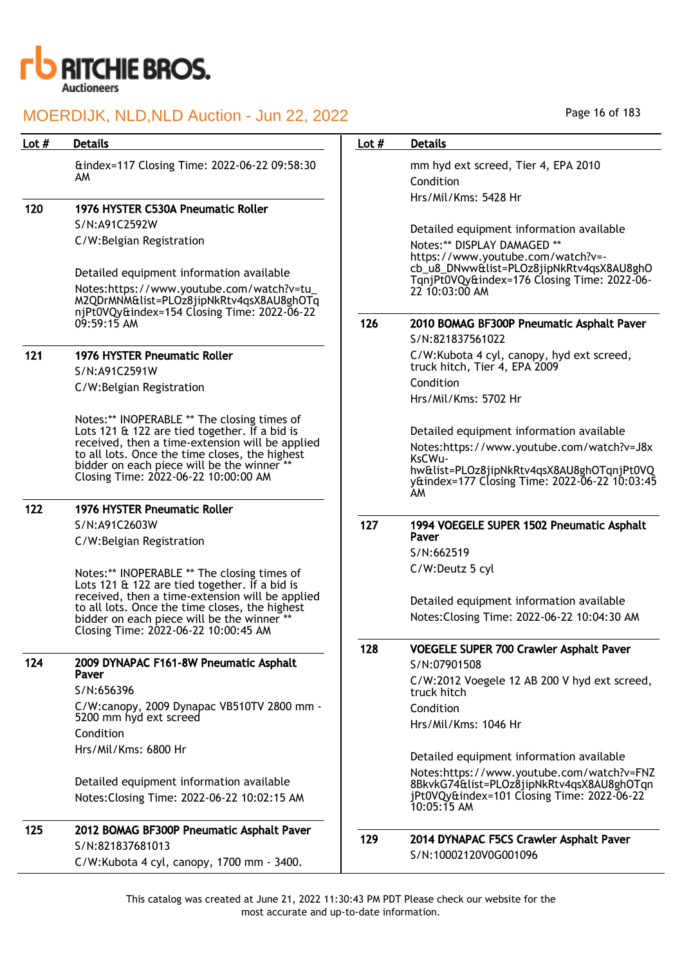

| Lot $#$ | <b>Details</b>                                                                               | Lot $#$ | <b>Details</b>                                                                             |
|---------|----------------------------------------------------------------------------------------------|---------|--------------------------------------------------------------------------------------------|
|         | &index=117 Closing Time: 2022-06-22 09:58:30                                                 |         | mm hyd ext screed, Tier 4, EPA 2010                                                        |
|         | AM.                                                                                          |         | Condition                                                                                  |
|         | 1976 HYSTER C530A Pneumatic Roller                                                           |         | Hrs/Mil/Kms: 5428 Hr                                                                       |
| 120     | S/N:A91C2592W                                                                                |         |                                                                                            |
|         | C/W:Belgian Registration                                                                     |         | Detailed equipment information available                                                   |
|         |                                                                                              |         | Notes:** DISPLAY DAMAGED **<br>https://www.youtube.com/watch?v=-                           |
|         | Detailed equipment information available                                                     |         | cb_u8_DNww&list=PLOz8jipNkRtv4qsX8AU8ghO                                                   |
|         | Notes: https://www.youtube.com/watch?v=tu_                                                   |         | TqnjPt0VQy&index=176 Closing Time: 2022-06-<br>22 10:03:00 AM                              |
|         | M2QDrMNM&list=PLOz8jipNkRtv4qsX8AU8ghOTq                                                     |         |                                                                                            |
|         | njPt0VQy&index=154 Closing Time: 2022-06-22<br>$09:59:15$ AM                                 | 126     | 2010 BOMAG BF300P Pneumatic Asphalt Paver                                                  |
|         |                                                                                              |         | S/N:821837561022                                                                           |
| 121     | <b>1976 HYSTER Pneumatic Roller</b>                                                          |         | C/W:Kubota 4 cyl, canopy, hyd ext screed,                                                  |
|         | S/N:A91C2591W                                                                                |         | truck hitch, Tier 4, EPA 2009                                                              |
|         | C/W:Belgian Registration                                                                     |         | Condition                                                                                  |
|         |                                                                                              |         | Hrs/Mil/Kms: 5702 Hr                                                                       |
|         | Notes:** INOPERABLE ** The closing times of<br>Lots 121 & 122 are tied together. If a bid is |         | Detailed equipment information available                                                   |
|         | received, then a time-extension will be applied                                              |         | Notes:https://www.youtube.com/watch?v=J8x                                                  |
|         | to all lots. Once the time closes, the highest<br>bidder on each piece will be the winner ** |         | KsCWu-                                                                                     |
|         | Closing Time: 2022-06-22 10:00:00 AM                                                         |         | hw&list=PLOz8jipNkRtv4qsX8AU8ghOTqnjPt0VQ<br>y&index=177 Closing Time: 2022-06-22 10:03:45 |
|         |                                                                                              |         | AM                                                                                         |
| 122     | <b>1976 HYSTER Pneumatic Roller</b>                                                          |         |                                                                                            |
|         | S/N:A91C2603W                                                                                | 127     | 1994 VOEGELE SUPER 1502 Pneumatic Asphalt<br>Paver                                         |
|         | C/W:Belgian Registration                                                                     |         | S/N:662519                                                                                 |
|         |                                                                                              |         | C/W:Deutz 5 cyl                                                                            |
|         | Notes:** INOPERABLE ** The closing times of<br>Lots 121 & 122 are tied together. If a bid is |         |                                                                                            |
|         | received, then a time-extension will be applied                                              |         | Detailed equipment information available                                                   |
|         | to all lots. Once the time closes, the highest<br>bidder on each piece will be the winner ** |         | Notes: Closing Time: 2022-06-22 10:04:30 AM                                                |
|         | Closing Time: 2022-06-22 10:00:45 AM                                                         |         |                                                                                            |
|         |                                                                                              | 128     | <b>VOEGELE SUPER 700 Crawler Asphalt Paver</b>                                             |
| 124     | 2009 DYNAPAC F161-8W Pneumatic Asphalt<br>Paver                                              |         | S/N:07901508                                                                               |
|         | S/N:656396                                                                                   |         | C/W:2012 Voegele 12 AB 200 V hyd ext screed,<br>truck hitch                                |
|         | C/W:canopy, 2009 Dynapac VB510TV 2800 mm -                                                   |         | Condition                                                                                  |
|         | 5200 mm hyd ext screed                                                                       |         | Hrs/Mil/Kms: 1046 Hr                                                                       |
|         | Condition                                                                                    |         |                                                                                            |
|         | Hrs/Mil/Kms: 6800 Hr                                                                         |         | Detailed equipment information available                                                   |
|         |                                                                                              |         | Notes:https://www.youtube.com/watch?v=FNZ                                                  |
|         | Detailed equipment information available                                                     |         | 8BkvkG74&list=PLOz8jipNkRtv4qsX8AU8ghOTqn<br>jPt0VQy&index=101 Closing Time: 2022-06-22    |
|         | Notes: Closing Time: 2022-06-22 10:02:15 AM                                                  |         | $10:05:15$ AM                                                                              |
| 125     | 2012 BOMAG BF300P Pneumatic Asphalt Paver                                                    |         |                                                                                            |
|         | S/N:821837681013                                                                             | 129     | 2014 DYNAPAC F5CS Crawler Asphalt Paver                                                    |
|         | C/W:Kubota 4 cyl, canopy, 1700 mm - 3400.                                                    |         | S/N:10002120V0G001096                                                                      |

Page 16 of 183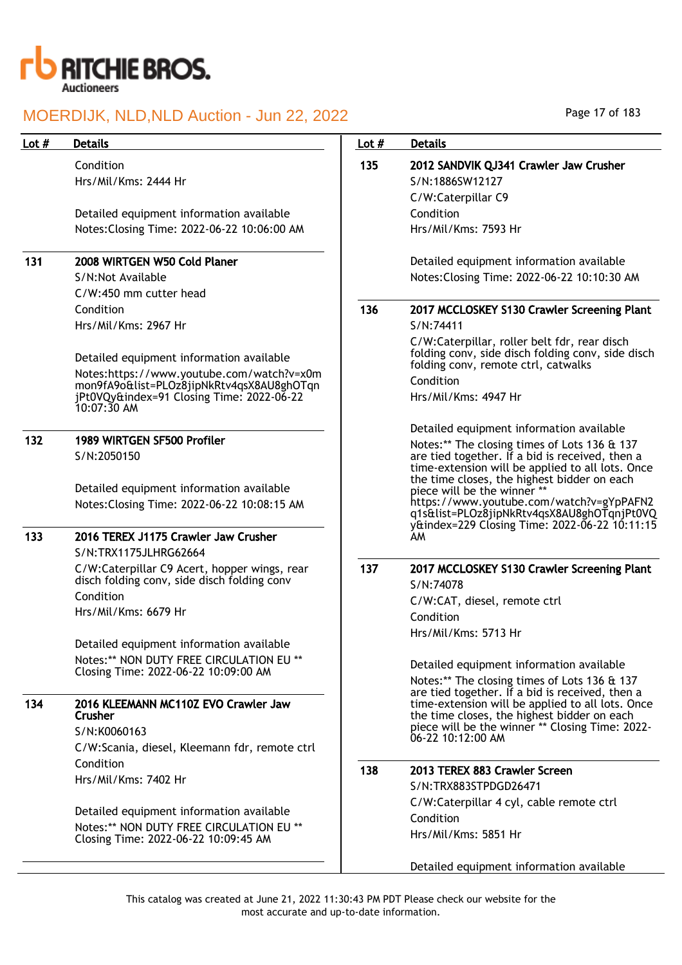

Condition Hrs/Mil/Kms: 2444 Hr

Detailed equipment information available Notes:Closing Time: 2022-06-22 10:06:00 AM

## 131 2008 WIRTGEN W50 Cold Planer

S/N:Not Available C/W:450 mm cutter head Condition Hrs/Mil/Kms: 2967 Hr

Detailed equipment information available

Notes:https://www.youtube.com/watch?v=x0m mon9fA9o&list=PLOz8jipNkRtv4qsX8AU8ghOTqn jPt0VQy&index=91 Closing Time: 2022-06-22 10:07:30 AM

### 132 1989 WIRTGEN SF500 Profiler S/N:2050150

Detailed equipment information available Notes:Closing Time: 2022-06-22 10:08:15 AM

## 133 2016 TEREX J1175 Crawler Jaw Crusher

S/N:TRX1175JLHRG62664 C/W:Caterpillar C9 Acert, hopper wings, rear disch folding conv, side disch folding conv Condition Hrs/Mil/Kms: 6679 Hr

Detailed equipment information available Notes:\*\* NON DUTY FREE CIRCULATION EU \*\* Closing Time: 2022-06-22 10:09:00 AM

#### 134 2016 KLEEMANN MC110Z EVO Crawler Jaw **Crusher**

S/N:K0060163 C/W:Scania, diesel, Kleemann fdr, remote ctrl Condition Hrs/Mil/Kms: 7402 Hr

Detailed equipment information available Notes:\*\* NON DUTY FREE CIRCULATION EU \*\* Closing Time: 2022-06-22 10:09:45 AM

Page 17 of 183

## Lot # Details **Details According to the United States Lot # Details** 135 2012 SANDVIK QJ341 Crawler Jaw Crusher S/N:1886SW12127 C/W:Caterpillar C9 Condition Hrs/Mil/Kms: 7593 Hr Detailed equipment information available Notes:Closing Time: 2022-06-22 10:10:30 AM 136 2017 MCCLOSKEY S130 Crawler Screening Plant S/N:74411 C/W:Caterpillar, roller belt fdr, rear disch folding conv, side disch folding conv, side disch folding conv, remote ctrl, catwalks Condition Hrs/Mil/Kms: 4947 Hr Detailed equipment information available Notes:\*\* The closing times of Lots 136 & 137 are tied together. If a bid is received, then a time-extension will be applied to all lots. Once the time closes, the highest bidder on each piece will be the winner \* https://www.youtube.com/watch?v=gYpPAFN2 q1s&list=PLOz8jipNkRtv4qsX8AU8ghOTqnjPt0VQ y&index=229 Closing Time: 2022-06-22 10:11:15 AM 137 2017 MCCLOSKEY S130 Crawler Screening Plant S/N:74078 C/W:CAT, diesel, remote ctrl Condition Hrs/Mil/Kms: 5713 Hr Detailed equipment information available Notes:\*\* The closing times of Lots 136 & 137 are tied together. If a bid is received, then a time-extension will be applied to all lots. Once the time closes, the highest bidder on each piece will be the winner \*\* Closing Time: 2022- 06-22 10:12:00 AM 138 2013 TEREX 883 Crawler Screen S/N:TRX883STPDGD26471 C/W:Caterpillar 4 cyl, cable remote ctrl Condition Hrs/Mil/Kms: 5851 Hr Detailed equipment information available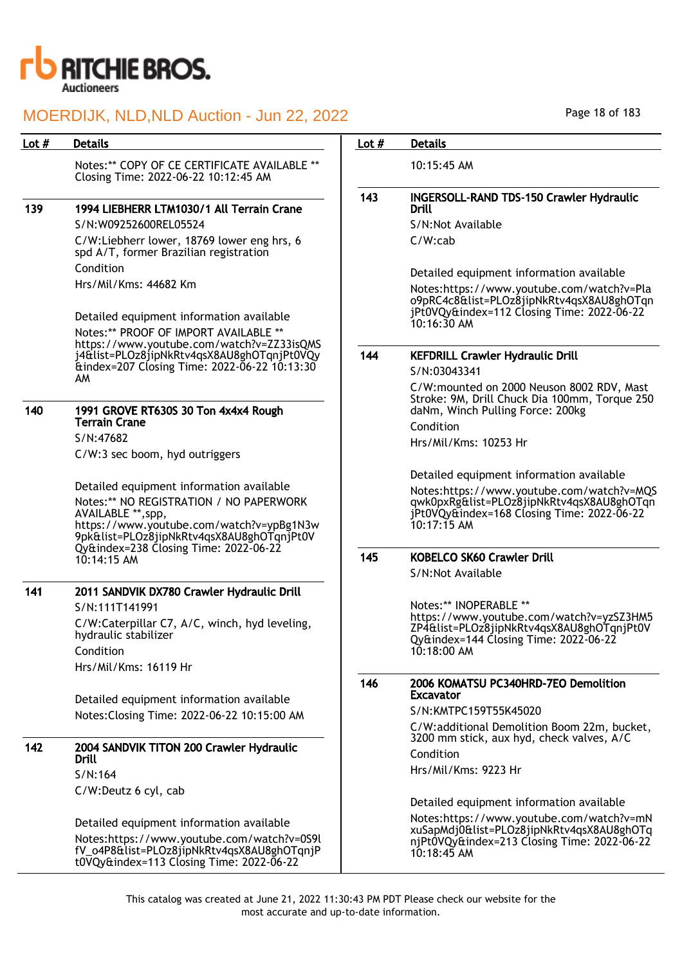

|     |                                                                                                                                                        |     | <b>Details</b>                                                                                                                       |
|-----|--------------------------------------------------------------------------------------------------------------------------------------------------------|-----|--------------------------------------------------------------------------------------------------------------------------------------|
|     | Notes:** COPY OF CE CERTIFICATE AVAILABLE **<br>Closing Time: 2022-06-22 10:12:45 AM                                                                   |     | 10:15:45 AM                                                                                                                          |
|     |                                                                                                                                                        | 143 | <b>INGERSOLL-RAND TDS-150 Crawler Hydraulic</b>                                                                                      |
| 139 | 1994 LIEBHERR LTM1030/1 All Terrain Crane                                                                                                              |     | Drill                                                                                                                                |
|     | S/N:W09252600REL05524                                                                                                                                  |     | S/N:Not Available                                                                                                                    |
|     | C/W:Liebherr lower, 18769 lower eng hrs, 6<br>spd A/T, former Brazilian registration                                                                   |     | $C/W$ : $cab$                                                                                                                        |
|     | Condition                                                                                                                                              |     | Detailed equipment information available                                                                                             |
|     | Hrs/Mil/Kms: 44682 Km                                                                                                                                  |     | Notes:https://www.youtube.com/watch?v=Pla<br>o9pRC4c8&list=PLOz8jipNkRtv4qsX8AU8ghOTqn<br>jPt0VQy&index=112 Closing Time: 2022-06-22 |
|     | Detailed equipment information available<br>Notes:** PROOF OF IMPORT AVAILABLE **                                                                      |     | $10:16:30$ AM                                                                                                                        |
|     | https://www.youtube.com/watch?v=ZZ33isQMS<br>j4&list=PLOz8jipNkRtv4qsX8AU8ghOTqnjPt0VQy                                                                | 144 | <b>KEFDRILL Crawler Hydraulic Drill</b>                                                                                              |
|     | &index=207 Closing Time: 2022-06-22 10:13:30                                                                                                           |     | S/N:03043341                                                                                                                         |
|     | AM                                                                                                                                                     |     | C/W:mounted on 2000 Neuson 8002 RDV, Mast<br>Stroke: 9M, Drill Chuck Dia 100mm, Torque 250                                           |
| 140 | 1991 GROVE RT630S 30 Ton 4x4x4 Rough<br><b>Terrain Crane</b>                                                                                           |     | daNm, Winch Pulling Force: 200kg<br>Condition                                                                                        |
|     | S/N:47682                                                                                                                                              |     | Hrs/Mil/Kms: 10253 Hr                                                                                                                |
|     | C/W:3 sec boom, hyd outriggers                                                                                                                         |     |                                                                                                                                      |
|     |                                                                                                                                                        |     | Detailed equipment information available                                                                                             |
|     | Detailed equipment information available                                                                                                               |     | Notes:https://www.youtube.com/watch?v=MQS                                                                                            |
|     | Notes:** NO REGISTRATION / NO PAPERWORK<br>AVAILABLE **, spp,<br>https://www.youtube.com/watch?v=ypBg1N3w<br>9pk&list=PLOz8jipNkRtv4qsX8AU8ghOTqnjPt0V |     | qwk0pxRg&list=PLOz8jipNkRtv4qsX8AU8ghOTqn<br>jPt0VQy&index=168 Closing Time: 2022-06-22<br>$10:17:15$ AM                             |
|     | Qy&index=238 Closing Time: 2022-06-22<br>10:14:15 AM                                                                                                   | 145 | KOBELCO SK60 Crawler Drill<br>S/N:Not Available                                                                                      |
|     | 2011 SANDVIK DX780 Crawler Hydraulic Drill                                                                                                             |     |                                                                                                                                      |
| 141 | S/N:111T141991                                                                                                                                         |     | Notes:** INOPERABLE **                                                                                                               |
|     | C/W:Caterpillar C7, A/C, winch, hyd leveling,                                                                                                          |     | https://www.youtube.com/watch?v=yzSZ3HM5                                                                                             |
|     | hydraulic stabilizer                                                                                                                                   |     | ZP4&list=PLOz8jipNkRtv4qsX8AU8ghOTqnjPt0V<br>Qy&index=144 Closing Time: 2022-06-22                                                   |
|     | Condition                                                                                                                                              |     | 10:18:00 AM                                                                                                                          |
|     | Hrs/Mil/Kms: 16119 Hr                                                                                                                                  |     |                                                                                                                                      |
|     |                                                                                                                                                        | 146 | 2006 KOMATSU PC340HRD-7EO Demolition<br><b>Excavator</b>                                                                             |
|     | Detailed equipment information available<br>Notes: Closing Time: 2022-06-22 10:15:00 AM                                                                |     | S/N:KMTPC159T55K45020                                                                                                                |
|     |                                                                                                                                                        |     | C/W:additional Demolition Boom 22m, bucket,<br>3200 mm stick, aux hyd, check valves, A/C                                             |
| 142 | 2004 SANDVIK TITON 200 Crawler Hydraulic<br>Drill                                                                                                      |     | Condition                                                                                                                            |
|     | S/N:164                                                                                                                                                |     | Hrs/Mil/Kms: 9223 Hr                                                                                                                 |
|     |                                                                                                                                                        |     |                                                                                                                                      |
|     | C/W:Deutz 6 cyl, cab                                                                                                                                   |     | Detailed equipment information available                                                                                             |
|     | Detailed equipment information available                                                                                                               |     | Notes:https://www.youtube.com/watch?v=mN                                                                                             |
|     | Notes:https://www.youtube.com/watch?v=0S9l<br>fV_o4P8&list=PLOz8jipNkRtv4qsX8AU8ghOTqnjP<br>t0VQy&index=113 Closing Time: 2022-06-22                   |     | xuSapMdj0&list=PLOz8jipNkRtv4qsX8AU8ghOTq<br>njPt0VQy&index=213 Closing Time: 2022-06-22<br>$10:18:45$ AM                            |

Page 18 of 183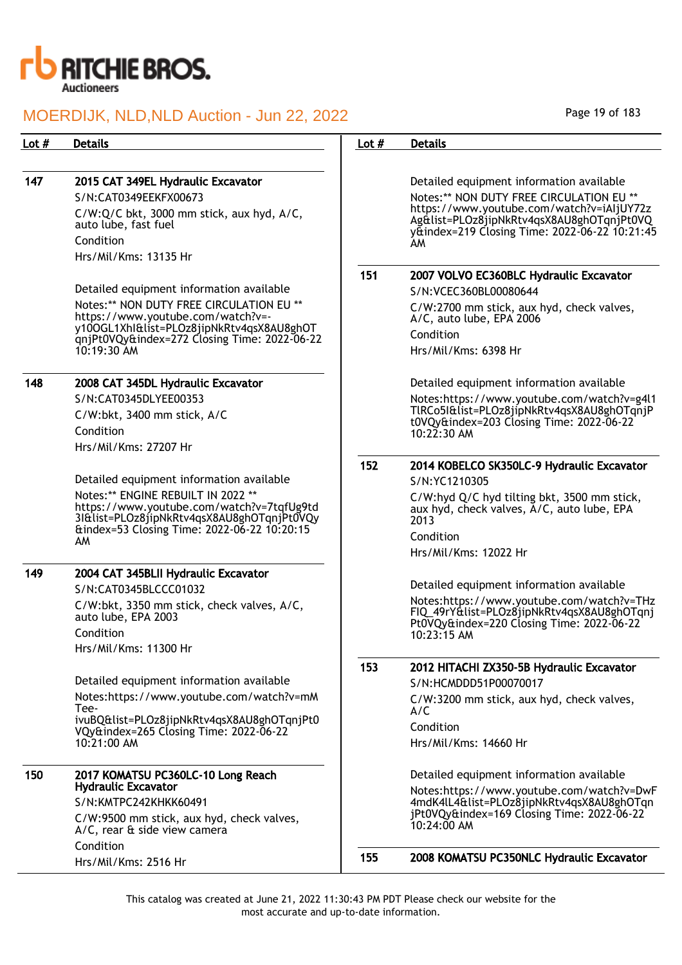

| Lot $#$ | <b>Details</b>                                                                                                                | Lot $#$ | <b>Details</b>                                                                                                                                      |
|---------|-------------------------------------------------------------------------------------------------------------------------------|---------|-----------------------------------------------------------------------------------------------------------------------------------------------------|
|         |                                                                                                                               |         |                                                                                                                                                     |
| 147     | 2015 CAT 349EL Hydraulic Excavator                                                                                            |         | Detailed equipment information available                                                                                                            |
|         | S/N:CAT0349EEKFX00673                                                                                                         |         | Notes:** NON DUTY FREE CIRCULATION EU **                                                                                                            |
|         | C/W:Q/C bkt, 3000 mm stick, aux hyd, A/C,<br>auto lube, fast fuel                                                             |         | https://www.youtube.com/watch?v=iAljUY72z<br>Ag&list=PLOz8jipNkRtv4qsX8AU8ghOTqnjPt0VQ<br>y&index=219 Closing Time: 2022-06-22 10:21:45             |
|         | Condition                                                                                                                     |         | AM.                                                                                                                                                 |
|         | Hrs/Mil/Kms: 13135 Hr                                                                                                         |         |                                                                                                                                                     |
|         |                                                                                                                               | 151     | 2007 VOLVO EC360BLC Hydraulic Excavator                                                                                                             |
|         | Detailed equipment information available                                                                                      |         | S/N:VCEC360BL00080644                                                                                                                               |
|         | Notes:** NON DUTY FREE CIRCULATION EU **<br>https://www.youtube.com/watch?v=-                                                 |         | C/W:2700 mm stick, aux hyd, check valves,<br>A/C, auto lube, EPA 2006                                                                               |
|         | y100GL1Xhl&list=PLOz8jipNkRtv4qsX8AU8ghOT<br>qnjPt0VQy&index=272 Closing Time: 2022-06-22                                     |         | Condition                                                                                                                                           |
|         | $10:19:30$ AM                                                                                                                 |         | Hrs/Mil/Kms: 6398 Hr                                                                                                                                |
| 148     | 2008 CAT 345DL Hydraulic Excavator                                                                                            |         | Detailed equipment information available                                                                                                            |
|         | S/N:CAT0345DLYEE00353                                                                                                         |         | Notes:https://www.youtube.com/watch?v=g4l1                                                                                                          |
|         | C/W:bkt, 3400 mm stick, A/C                                                                                                   |         | TIRCo5I&list=PLOz8jipNkRtv4qsX8AU8ghOTqnjP<br>t0VQy&index=203 Closing Time: 2022-06-22                                                              |
|         | Condition                                                                                                                     |         | $10:22:30$ AM                                                                                                                                       |
|         | Hrs/Mil/Kms: 27207 Hr                                                                                                         |         |                                                                                                                                                     |
|         |                                                                                                                               | 152     | 2014 KOBELCO SK350LC-9 Hydraulic Excavator                                                                                                          |
|         | Detailed equipment information available                                                                                      |         | S/N:YC1210305                                                                                                                                       |
|         | Notes:** ENGINE REBUILT IN 2022 **<br>https://www.youtube.com/watch?v=7tqfUg9td<br>3I&list=PLOz8jipNkRtv4qsX8AU8ghOTqnjPt0VQy |         | C/W:hyd Q/C hyd tilting bkt, 3500 mm stick,<br>aux hyd, check valves, A/C, auto lube, EPA<br>2013                                                   |
|         | &index=53 Closing Time: 2022-06-22 10:20:15                                                                                   |         | Condition                                                                                                                                           |
|         | AM                                                                                                                            |         | Hrs/Mil/Kms: 12022 Hr                                                                                                                               |
| 149     | 2004 CAT 345BLII Hydraulic Excavator                                                                                          |         |                                                                                                                                                     |
|         | S/N:CAT0345BLCCC01032                                                                                                         |         | Detailed equipment information available                                                                                                            |
|         | C/W:bkt, 3350 mm stick, check valves, A/C,<br>auto lube, EPA 2003<br>Condition                                                |         | Notes:https://www.youtube.com/watch?v=THz<br>FIQ_49rY&list=PLOz8jipNkRtv4qsX8AU8ghOTqnj<br>Pt0VQy&index=220 Closing Time: 2022-06-22<br>10:23:15 AM |
|         | Hrs/Mil/Kms: 11300 Hr                                                                                                         |         |                                                                                                                                                     |
|         | Detailed equipment information available                                                                                      | 153     | 2012 HITACHI ZX350-5B Hydraulic Excavator                                                                                                           |
|         | Notes:https://www.youtube.com/watch?v=mM                                                                                      |         | S/N:HCMDDD51P00070017                                                                                                                               |
|         | Tee-<br>ivuBQ&list=PLOz8jipNkRtv4qsX8AU8ghOTqnjPt0                                                                            |         | C/W:3200 mm stick, aux hyd, check valves,<br>A/C                                                                                                    |
|         | VQy&index=265 Closing Time: 2022-06-22                                                                                        |         | Condition                                                                                                                                           |
|         | 10:21:00 AM                                                                                                                   |         | Hrs/Mil/Kms: 14660 Hr                                                                                                                               |
| 150     | 2017 KOMATSU PC360LC-10 Long Reach                                                                                            |         | Detailed equipment information available                                                                                                            |
|         | <b>Hydraulic Excavator</b>                                                                                                    |         | Notes:https://www.youtube.com/watch?v=DwF                                                                                                           |
|         | S/N:KMTPC242KHKK60491                                                                                                         |         | 4mdK4lL4&list=PLOz8jipNkRtv4qsX8AU8ghOTqn<br>jPt0VQy&index=169 Closing Time: 2022-06-22                                                             |
|         | C/W:9500 mm stick, aux hyd, check valves,<br>A/C, rear & side view camera                                                     |         | 10:24:00 AM                                                                                                                                         |
|         | Condition                                                                                                                     | 155     | 2008 KOMATSU PC350NLC Hydraulic Excavator                                                                                                           |
|         | Hrs/Mil/Kms: 2516 Hr                                                                                                          |         |                                                                                                                                                     |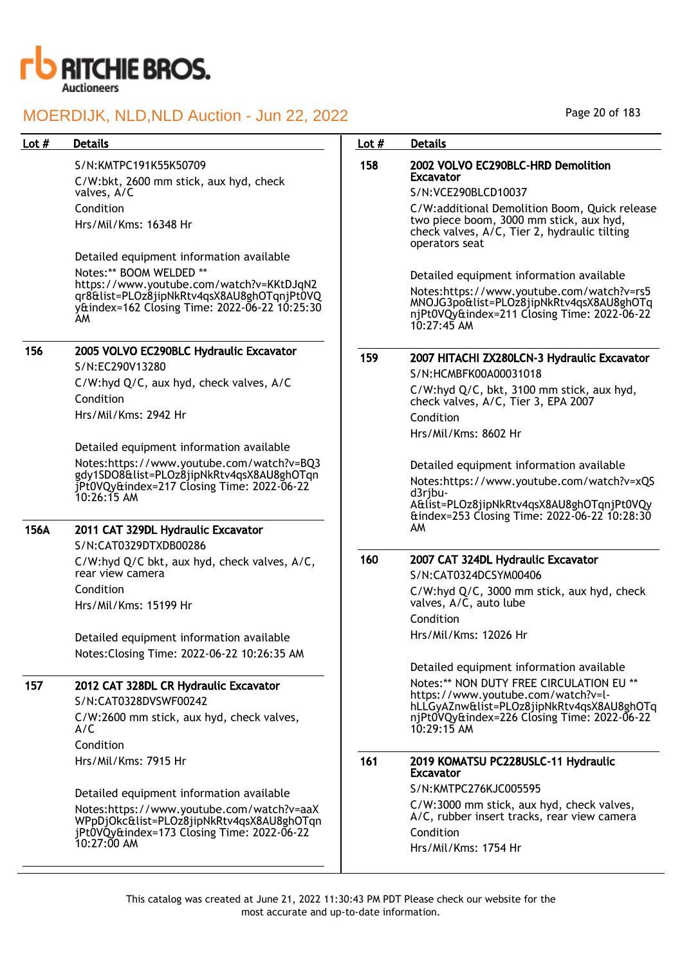

## Lot # Details **Details According to the United States Lot # Details**

### S/N:KMTPC191K55K50709

C/W:bkt, 2600 mm stick, aux hyd, check valves, A/C Condition Hrs/Mil/Kms: 16348 Hr

Detailed equipment information available Notes:\*\* BOOM WELDED \*\* https://www.youtube.com/watch?v=KKtDJqN2 qr8&list=PLOz8jipNkRtv4qsX8AU8ghOTqnjPt0VQ y&index=162 Closing Time: 2022-06-22 10:25:30 AM

### 156 2005 VOLVO EC290BLC Hydraulic Excavator S/N:EC290V13280

C/W:hyd Q/C, aux hyd, check valves, A/C Condition Hrs/Mil/Kms: 2942 Hr

Detailed equipment information available Notes:https://www.youtube.com/watch?v=BQ3 gdy1SDO8&list=PLOz8jipNkRtv4qsX8AU8ghOTqn jPt0VQy&index=217 Closing Time: 2022-06-22 10:26:15 AM

## 156A 2011 CAT 329DL Hydraulic Excavator

S/N:CAT0329DTXDB00286 C/W:hyd Q/C bkt, aux hyd, check valves, A/C, rear view camera Condition Hrs/Mil/Kms: 15199 Hr

Detailed equipment information available Notes:Closing Time: 2022-06-22 10:26:35 AM

## 157 2012 CAT 328DL CR Hydraulic Excavator

S/N:CAT0328DVSWF00242 C/W:2600 mm stick, aux hyd, check valves, A/C Condition Hrs/Mil/Kms: 7915 Hr

Detailed equipment information available Notes:https://www.youtube.com/watch?v=aaX WPpDjOkc&list=PLOz8jipNkRtv4qsX8AU8ghOTqn jPt0VQy&index=173 Closing Time: 2022-06-22 10:27:00 AM

## 158 2002 VOLVO EC290BLC-HRD Demolition Excavator

### S/N:VCE290BLCD10037

C/W:additional Demolition Boom, Quick release two piece boom, 3000 mm stick, aux hyd, check valves, A/C, Tier 2, hydraulic tilting operators seat

Detailed equipment information available

Notes:https://www.youtube.com/watch?v=rs5 MNOJG3po&list=PLOz8jipNkRtv4qsX8AU8ghOTq njPt0VQy&index=211 Closing Time: 2022-06-22 10:27:45 AM

159 2007 HITACHI ZX280LCN-3 Hydraulic Excavator

S/N:HCMBFK00A00031018 C/W:hyd Q/C, bkt, 3100 mm stick, aux hyd, check valves, A/C, Tier 3, EPA 2007 Condition Hrs/Mil/Kms: 8602 Hr

Detailed equipment information available Notes:https://www.youtube.com/watch?v=xQS d3rjbu-A&list=PLOz8jipNkRtv4qsX8AU8ghOTqnjPt0VQy &index=253 Closing Time: 2022-06-22 10:28:30 AM

## 160 2007 CAT 324DL Hydraulic Excavator

S/N:CAT0324DCSYM00406 C/W:hyd Q/C, 3000 mm stick, aux hyd, check valves, A/C, auto lube Condition Hrs/Mil/Kms: 12026 Hr

Detailed equipment information available Notes:\*\* NON DUTY FREE CIRCULATION EU \*\* https://www.youtube.com/watch?v=lhLLGyAZnw&list=PLOz8jipNkRtv4qsX8AU8ghOTq njPt0VQy&index=226 Closing Time: 2022-06-22 10:29:15 AM

#### 161 2019 KOMATSU PC228USLC-11 Hydraulic Excavator

S/N:KMTPC276KJC005595 C/W:3000 mm stick, aux hyd, check valves, A/C, rubber insert tracks, rear view camera Condition Hrs/Mil/Kms: 1754 Hr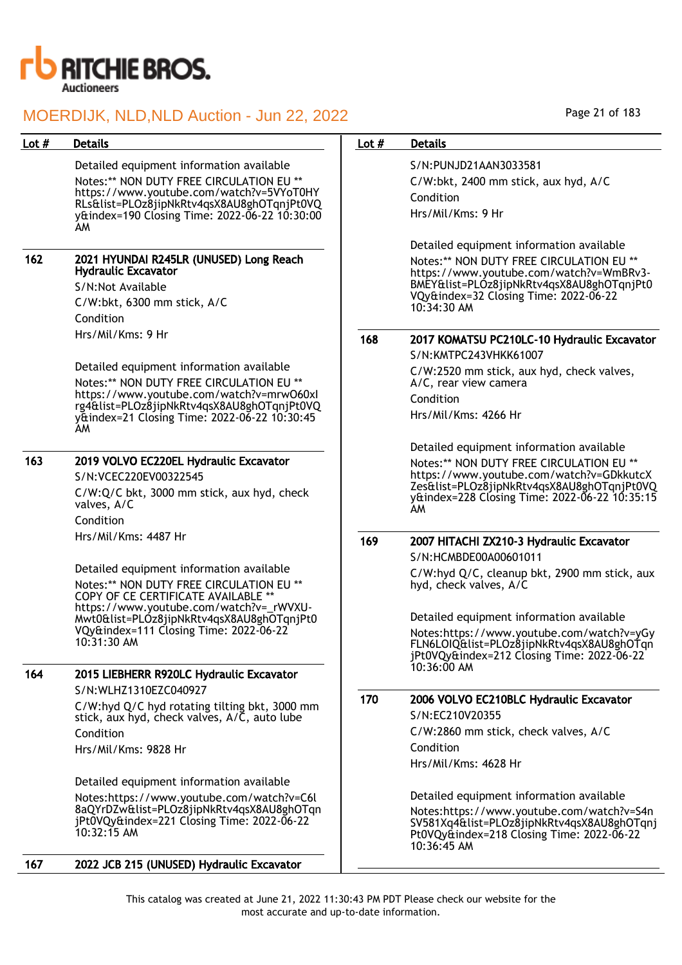

| Lot $#$ | <b>Details</b>                                                                                                              | Lot $#$ | <b>Details</b>                                                                                                                                      |
|---------|-----------------------------------------------------------------------------------------------------------------------------|---------|-----------------------------------------------------------------------------------------------------------------------------------------------------|
|         | Detailed equipment information available<br>Notes:** NON DUTY FREE CIRCULATION EU **                                        |         | S/N:PUNJD21AAN3033581<br>C/W:bkt, 2400 mm stick, aux hyd, A/C                                                                                       |
|         | https://www.youtube.com/watch?v=5VYoT0HY                                                                                    |         | Condition                                                                                                                                           |
|         | RLs&list=PLOz8jipNkRtv4qsX8AU8ghOTqnjPt0VQ<br>y&index=190 Closing Time: 2022-06-22 10:30:00<br>AM                           |         | Hrs/Mil/Kms: 9 Hr                                                                                                                                   |
|         |                                                                                                                             |         | Detailed equipment information available                                                                                                            |
| 162     | 2021 HYUNDAI R245LR (UNUSED) Long Reach<br><b>Hydraulic Excavator</b>                                                       |         | Notes:** NON DUTY FREE CIRCULATION EU **<br>https://www.youtube.com/watch?v=WmBRv3-                                                                 |
|         | S/N:Not Available                                                                                                           |         | BMEY&list=PLOz8jipNkRtv4qsX8AU8ghOTqnjPt0<br>VQy&index=32 Closing Time: 2022-06-22                                                                  |
|         | C/W:bkt, 6300 mm stick, A/C                                                                                                 |         | 10:34:30 AM                                                                                                                                         |
|         | Condition                                                                                                                   |         |                                                                                                                                                     |
|         | Hrs/Mil/Kms: 9 Hr                                                                                                           | 168     | 2017 KOMATSU PC210LC-10 Hydraulic Excavator                                                                                                         |
|         |                                                                                                                             |         | S/N:KMTPC243VHKK61007                                                                                                                               |
|         | Detailed equipment information available<br>Notes:** NON DUTY FREE CIRCULATION EU **                                        |         | C/W:2520 mm stick, aux hyd, check valves,<br>A/C, rear view camera                                                                                  |
|         | https://www.youtube.com/watch?v=mrw060xl<br>rg4&list=PLOz8jipNkRtv4qsX8AU8ghOTqnjPt0VQ                                      |         | Condition                                                                                                                                           |
|         | yttindex=21 Closing Time: 2022-06-22 10:30:45<br>AM                                                                         |         | Hrs/Mil/Kms: 4266 Hr                                                                                                                                |
|         |                                                                                                                             |         | Detailed equipment information available                                                                                                            |
| 163     | 2019 VOLVO EC220EL Hydraulic Excavator                                                                                      |         | Notes:** NON DUTY FREE CIRCULATION EU **                                                                                                            |
|         | S/N:VCEC220EV00322545                                                                                                       |         | https://www.youtube.com/watch?v=GDkkutcX<br>Zes&list=PLOz8jipNkRtv4qsX8AU8ghOTqnjPt0VQ                                                              |
|         | C/W:Q/C bkt, 3000 mm stick, aux hyd, check<br>valves, A/C                                                                   |         | y&index=228 Closing Time: 2022-06-22 10:35:15<br>AM                                                                                                 |
|         | Condition                                                                                                                   |         |                                                                                                                                                     |
|         | Hrs/Mil/Kms: 4487 Hr                                                                                                        | 169     | 2007 HITACHI ZX210-3 Hydraulic Excavator<br>S/N:HCMBDE00A00601011                                                                                   |
|         | Detailed equipment information available<br>Notes:** NON DUTY FREE CIRCULATION EU **<br>COPY OF CE CERTIFICATE AVAILABLE ** |         | C/W:hyd Q/C, cleanup bkt, 2900 mm stick, aux<br>hyd, check valves, A/C                                                                              |
|         | https://www.youtube.com/watch?v=_rWVXU-<br>Mwt0&list=PLOz8jipNkRtv4qsX8AU8ghOTqnjPt0                                        |         | Detailed equipment information available                                                                                                            |
|         | VQy&index=111 Closing Time: 2022-06-22<br>10:31:30 AM                                                                       |         | Notes:https://www.youtube.com/watch?v=yGy<br>FLN6LOIQ&list=PLOz8jipNkRtv4qsX8AU8ghOTqn<br>jPt0VQy&index=212 Closing Time: 2022-06-22                |
| 164     | 2015 LIEBHERR R920LC Hydraulic Excavator                                                                                    |         | 10:36:00 AM                                                                                                                                         |
|         | S/N:WLHZ1310EZC040927                                                                                                       | 170     |                                                                                                                                                     |
|         | C/W:hyd Q/C hyd rotating tilting bkt, 3000 mm<br>stick, aux hyd, check valves, A/C, auto lube                               |         | 2006 VOLVO EC210BLC Hydraulic Excavator<br>S/N:EC210V20355                                                                                          |
|         | Condition                                                                                                                   |         | C/W:2860 mm stick, check valves, A/C                                                                                                                |
|         | Hrs/Mil/Kms: 9828 Hr                                                                                                        |         | Condition                                                                                                                                           |
|         |                                                                                                                             |         | Hrs/Mil/Kms: 4628 Hr                                                                                                                                |
|         | Detailed equipment information available                                                                                    |         |                                                                                                                                                     |
|         | Notes:https://www.youtube.com/watch?v=C6l<br>8aQYrDZw&list=PLOz8jipNkRtv4qsX8AU8ghOTqn                                      |         | Detailed equipment information available                                                                                                            |
|         | jPt0VQy&index=221 Closing Time: 2022-06-22<br>10:32:15 AM                                                                   |         | Notes:https://www.youtube.com/watch?v=S4n<br>SV581Xq4&list=PLOz8jipNkRtv4qsX8AU8ghOTqnj<br>Pt0VQy&index=218 Closing Time: 2022-06-22<br>10:36:45 AM |
| 167     | 2022 JCB 215 (UNUSED) Hydraulic Excavator                                                                                   |         |                                                                                                                                                     |

Page 21 of 183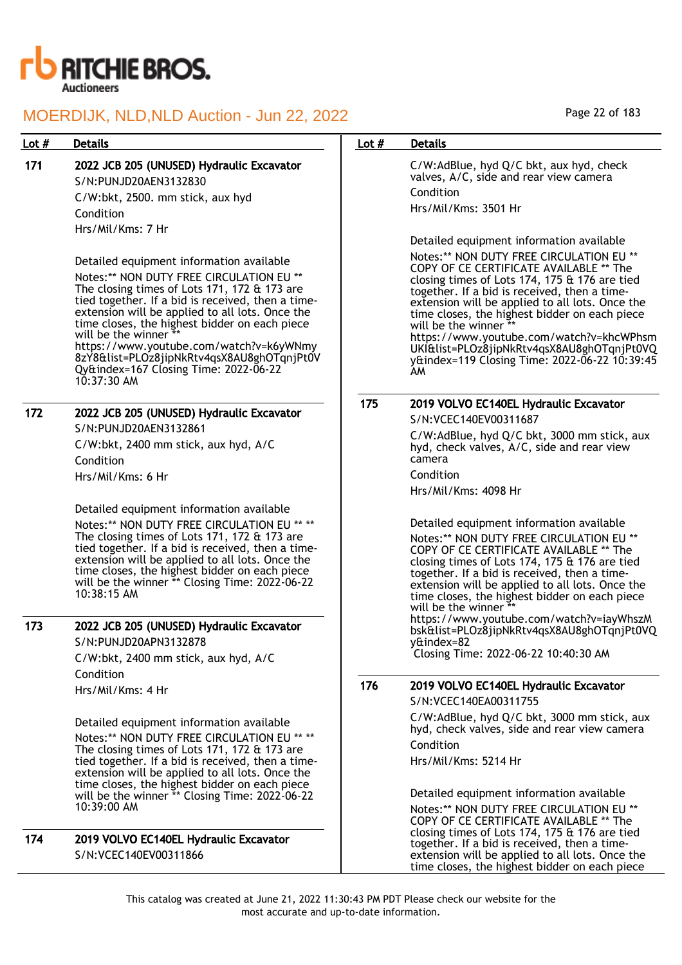

## 171 2022 JCB 205 (UNUSED) Hydraulic Excavator

S/N:PUNJD20AEN3132830 C/W:bkt, 2500. mm stick, aux hyd Condition Hrs/Mil/Kms: 7 Hr

Detailed equipment information available

Notes:\*\* NON DUTY FREE CIRCULATION EU \*\* The closing times of Lots 171, 172 & 173 are tied together. If a bid is received, then a timeextension will be applied to all lots. Once the time closes, the highest bidder on each piece will be the winner https://www.youtube.com/watch?v=k6yWNmy 8zY8&list=PLOz8jipNkRtv4qsX8AU8ghOTqnjPt0V Qy&index=167 Closing Time: 2022-06-22

172 2022 JCB 205 (UNUSED) Hydraulic Excavator S/N:PUNJD20AEN3132861

10:37:30 AM

C/W:bkt, 2400 mm stick, aux hyd, A/C Condition Hrs/Mil/Kms: 6 Hr

Detailed equipment information available Notes:\*\* NON DUTY FREE CIRCULATION EU \*\* \*\* The closing times of Lots 171, 172 & 173 are tied together. If a bid is received, then a timeextension will be applied to all lots. Once the time closes, the highest bidder on each piece will be the winner \*\* Closing Time: 2022-06-22 10:38:15 AM

## 173 2022 JCB 205 (UNUSED) Hydraulic Excavator S/N:PUNJD20APN3132878

C/W:bkt, 2400 mm stick, aux hyd, A/C Condition

Hrs/Mil/Kms: 4 Hr

Detailed equipment information available

Notes:\*\* NON DUTY FREE CIRCULATION EU \*\* \*\* The closing times of Lots 171, 172 & 173 are tied together. If a bid is received, then a timeextension will be applied to all lots. Once the time closes, the highest bidder on each piece will be the winner \*\* Closing Time: 2022-06-22 10:39:00 AM

174 2019 VOLVO EC140EL Hydraulic Excavator S/N:VCEC140EV00311866

## Lot # Details **Details According to the United States Lot # Details**

C/W:AdBlue, hyd Q/C bkt, aux hyd, check valves, A/C, side and rear view camera Condition

Hrs/Mil/Kms: 3501 Hr

Detailed equipment information available

Notes:\*\* NON DUTY FREE CIRCULATION EU \*\* COPY OF CE CERTIFICATE AVAILABLE \*\* The closing times of Lots 174, 175 & 176 are tied together. If a bid is received, then a timeextension will be applied to all lots. Once the time closes, the highest bidder on each piece will be the winner \*\*

https://www.youtube.com/watch?v=khcWPhsm UKI&list=PLOz8jipNkRtv4qsX8AU8ghOTqnjPt0VQ y&index=119 Closing Time: 2022-06-22 10:39:45 AM

| 175 | 2019 VOLVO EC140EL Hydraulic Excavator |  |  |  |
|-----|----------------------------------------|--|--|--|
|-----|----------------------------------------|--|--|--|

S/N:VCEC140EV00311687

C/W:AdBlue, hyd Q/C bkt, 3000 mm stick, aux hyd, check valves, A/C, side and rear view camera

Condition

Hrs/Mil/Kms: 4098 Hr

Detailed equipment information available

Notes:\*\* NON DUTY FREE CIRCULATION EU \*\* COPY OF CE CERTIFICATE AVAILABLE \*\* The closing times of Lots 174, 175 & 176 are tied together. If a bid is received, then a timeextension will be applied to all lots. Once the time closes, the highest bidder on each piece will be the winner https://www.youtube.com/watch?v=iayWhszM bsk&list=PLOz8jipNkRtv4qsX8AU8ghOTqnjPt0VQ y&index=82

Closing Time: 2022-06-22 10:40:30 AM

# 176 2019 VOLVO EC140EL Hydraulic Excavator

S/N:VCEC140EA00311755

C/W:AdBlue, hyd Q/C bkt, 3000 mm stick, aux hyd, check valves, side and rear view camera Condition

Hrs/Mil/Kms: 5214 Hr

Detailed equipment information available Notes:\*\* NON DUTY FREE CIRCULATION EU \*\* COPY OF CE CERTIFICATE AVAILABLE \*\* The closing times of Lots 174, 175 & 176 are tied together. If a bid is received, then a timeextension will be applied to all lots. Once the time closes, the highest bidder on each piece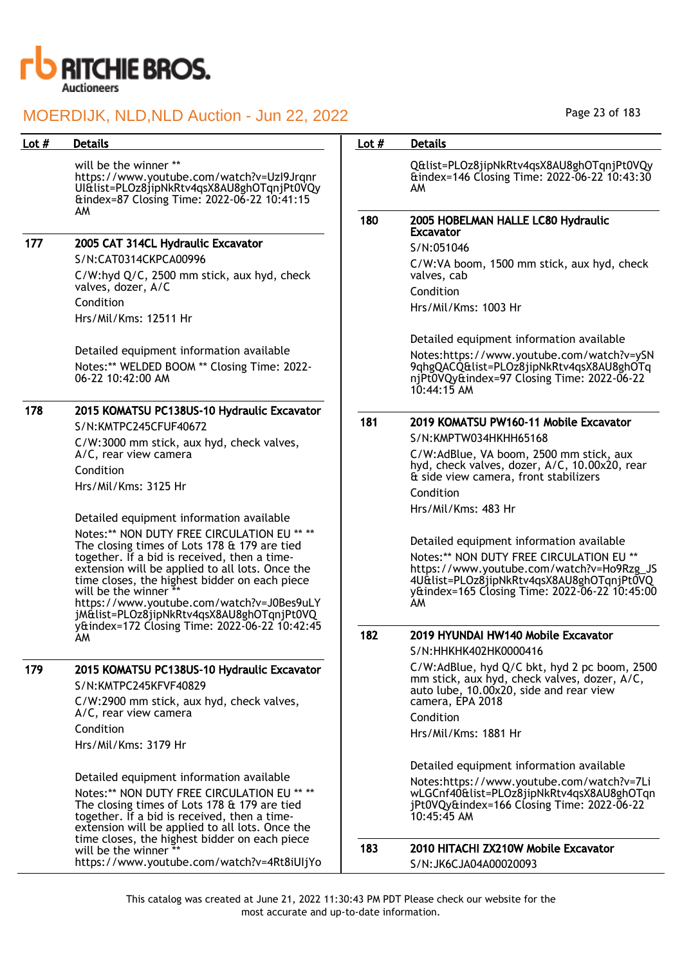

will be the winner \*\* https://www.youtube.com/watch?v=UzI9Jrqnr UI&list=PLOz8jipNkRtv4qsX8AU8ghOTqnjPt0VQy &index=87 Closing Time: 2022-06-22 10:41:15 AM

177 2005 CAT 314CL Hydraulic Excavator

S/N:CAT0314CKPCA00996

C/W:hyd Q/C, 2500 mm stick, aux hyd, check valves, dozer, A/C Condition

Hrs/Mil/Kms: 12511 Hr

Detailed equipment information available Notes:\*\* WELDED BOOM \*\* Closing Time: 2022- 06-22 10:42:00 AM

## 178 2015 KOMATSU PC138US-10 Hydraulic Excavator

S/N:KMTPC245CFUF40672 C/W:3000 mm stick, aux hyd, check valves,

A/C, rear view camera Condition

Hrs/Mil/Kms: 3125 Hr

Detailed equipment information available

Notes:\*\* NON DUTY FREE CIRCULATION EU \*\* \*\* The closing times of Lots 178 & 179 are tied together. If a bid is received, then a timeextension will be applied to all lots. Once the time closes, the highest bidder on each piece will be the winner https://www.youtube.com/watch?v=J0Bes9uLY jM&list=PLOz8jipNkRtv4qsX8AU8ghOTqnjPt0VQ y&index=172 Closing Time: 2022-06-22 10:42:45 AM

## 179 2015 KOMATSU PC138US-10 Hydraulic Excavator

S/N:KMTPC245KFVF40829 C/W:2900 mm stick, aux hyd, check valves, A/C, rear view camera Condition Hrs/Mil/Kms: 3179 Hr

Detailed equipment information available Notes:\*\* NON DUTY FREE CIRCULATION EU \*\* \*\* The closing times of Lots 178 & 179 are tied together. If a bid is received, then a timeextension will be applied to all lots. Once the time closes, the highest bidder on each piece will be the winner https://www.youtube.com/watch?v=4Rt8iUIjYo Page 23 of 183

## Lot # Details **Details According to the United States Lot # Details**

Q&list=PLOz8jipNkRtv4qsX8AU8ghOTqnjPt0VQy &index=146 Closing Time: 2022-06-22 10:43:30 AM

#### 180 2005 HOBELMAN HALLE LC80 Hydraulic Excavator

S/N:051046

C/W:VA boom, 1500 mm stick, aux hyd, check valves, cab

Condition

Hrs/Mil/Kms: 1003 Hr

Detailed equipment information available Notes:https://www.youtube.com/watch?v=ySN 9qhgQACQ&list=PLOz8jipNkRtv4qsX8AU8ghOTq njPt0VQy&index=97 Closing Time: 2022-06-22 10:44:15 AM

## 181 2019 KOMATSU PW160-11 Mobile Excavator

S/N:KMPTW034HKHH65168

C/W:AdBlue, VA boom, 2500 mm stick, aux hyd, check valves, dozer, A/C, 10.00x20, rear & side view camera, front stabilizers

Condition Hrs/Mil/Kms: 483 Hr

Detailed equipment information available Notes:\*\* NON DUTY FREE CIRCULATION EU \*\* https://www.youtube.com/watch?v=Ho9Rzg\_JS 4U&list=PLOz8jipNkRtv4qsX8AU8ghOTqnjPt0VQ y&index=165 Closing Time: 2022-06-22 10:45:00 AM

## 182 2019 HYUNDAI HW140 Mobile Excavator

S/N:HHKHK402HK0000416 C/W:AdBlue, hyd Q/C bkt, hyd 2 pc boom, 2500 mm stick, aux hyd, check valves, dozer, A/C, auto lube, 10.00x20, side and rear view camera, EPA 2018 Condition

Hrs/Mil/Kms: 1881 Hr

Detailed equipment information available

Notes:https://www.youtube.com/watch?v=7Li wLGCnf40&list=PLOz8jipNkRtv4qsX8AU8ghOTqn jPt0VQy&index=166 Closing Time: 2022-06-22 10:45:45 AM

## 183 2010 HITACHI ZX210W Mobile Excavator S/N:JK6CJA04A00020093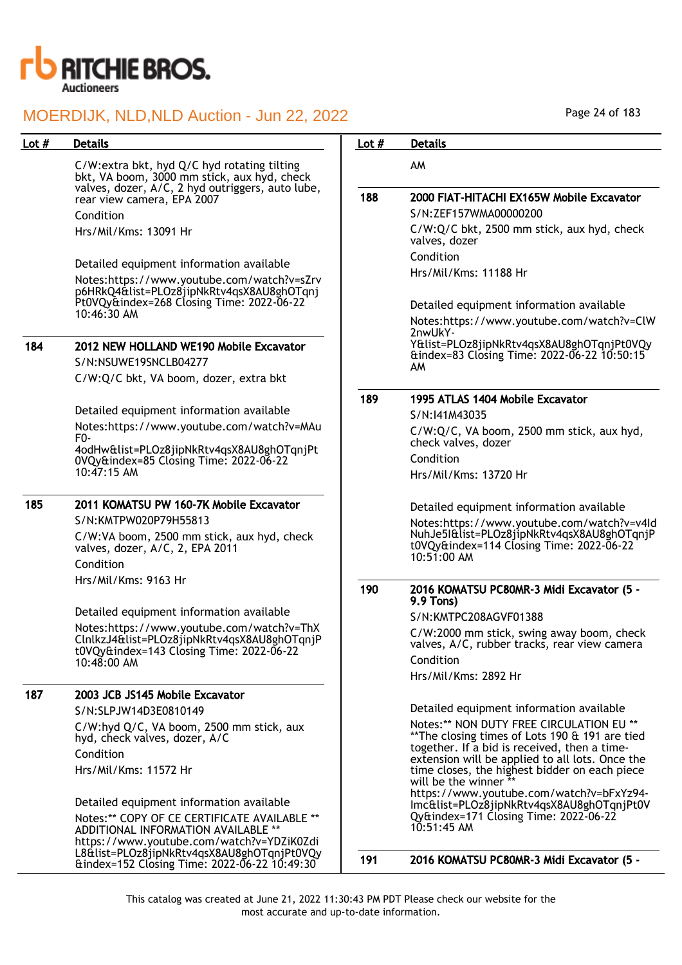

#### Lot # Details **Details According to the United States Lot # Details** C/W:extra bkt, hyd Q/C hyd rotating tilting bkt, VA boom, 3000 mm stick, aux hyd, check valves, dozer, A/C, 2 hyd outriggers, auto lube, rear view camera, EPA 2007 Condition Hrs/Mil/Kms: 13091 Hr Detailed equipment information available Notes:https://www.youtube.com/watch?v=sZrv p6HRkQ4&list=PLOz8jipNkRtv4qsX8AU8ghOTqnj Pt0VQy&index=268 Closing Time: 2022-06-22 10:46:30 AM 184 2012 NEW HOLLAND WE190 Mobile Excavator S/N:NSUWE19SNCLB04277 C/W:Q/C bkt, VA boom, dozer, extra bkt Detailed equipment information available Notes:https://www.youtube.com/watch?v=MAu F0- 4odHw&list=PLOz8jipNkRtv4qsX8AU8ghOTqnjPt 0VQy&index=85 Closing Time: 2022-06-22 10:47:15 AM 185 2011 KOMATSU PW 160-7K Mobile Excavator S/N:KMTPW020P79H55813 C/W:VA boom, 2500 mm stick, aux hyd, check valves, dozer, A/C, 2, EPA 2011 Condition Hrs/Mil/Kms: 9163 Hr Detailed equipment information available Notes:https://www.youtube.com/watch?v=ThX ClnlkzJ4&list=PLOz8jipNkRtv4qsX8AU8ghOTqnjP t0VQy&index=143 Closing Time: 2022-06-22 10:48:00 AM 187 2003 JCB JS145 Mobile Excavator S/N:SLPJW14D3E0810149 C/W:hyd Q/C, VA boom, 2500 mm stick, aux hyd, check valves, dozer, A/C Condition Hrs/Mil/Kms: 11572 Hr Detailed equipment information available Notes:\*\* COPY OF CE CERTIFICATE AVAILABLE \*\* ADDITIONAL INFORMATION AVAILABLE https://www.youtube.com/watch?v=YDZiK0Zdi L8&list=PLOz8jipNkRtv4qsX8AU8ghOTqnjPt0VQy &index=152 Closing Time: 2022-06-22 10:49:30 AM 188 2000 FIAT-HITACHI EX165W Mobile Excavator S/N:ZEF157WMA00000200 C/W:Q/C bkt, 2500 mm stick, aux hyd, check valves, dozer Condition Hrs/Mil/Kms: 11188 Hr Detailed equipment information available Notes:https://www.youtube.com/watch?v=ClW 2nwUkY-Y&list=PLOz8jipNkRtv4qsX8AU8ghOTqnjPt0VQy &index=83 Closing Time: 2022-06-22 10:50:15 AM 189 1995 ATLAS 1404 Mobile Excavator S/N:I41M43035 C/W:Q/C, VA boom, 2500 mm stick, aux hyd, check valves, dozer Condition Hrs/Mil/Kms: 13720 Hr Detailed equipment information available Notes:https://www.youtube.com/watch?v=v4Id NuhJe5I&list=PLOz8jipNkRtv4qsX8AU8ghOTqnjP t0VQy&index=114 Closing Time: 2022-06-22  $10:51:00$  AM 190 2016 KOMATSU PC80MR-3 Midi Excavator (5 - 9.9 Tons) S/N:KMTPC208AGVF01388 C/W:2000 mm stick, swing away boom, check valves, A/C, rubber tracks, rear view camera Condition Hrs/Mil/Kms: 2892 Hr Detailed equipment information available Notes:\*\* NON DUTY FREE CIRCULATION EU \*\* \*\*The closing times of Lots 190 & 191 are tied together. If a bid is received, then a timeextension will be applied to all lots. Once the time closes, the highest bidder on each piece will be the winner \*\* https://www.youtube.com/watch?v=bFxYz94- Imc&list=PLOz8jipNkRtv4qsX8AU8ghOTqnjPt0V Qy&index=171 Closing Time: 2022-06-22 10:51:45 AM 191 2016 KOMATSU PC80MR-3 Midi Excavator (5 -

Page 24 of 183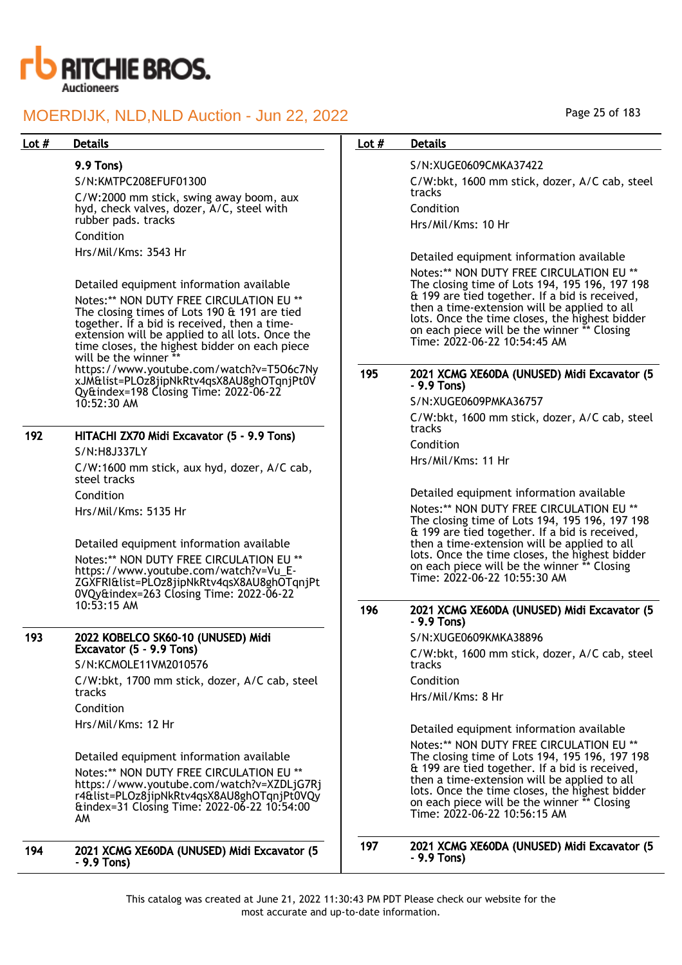

## 9.9 Tons)

S/N:KMTPC208EFUF01300

C/W:2000 mm stick, swing away boom, aux hyd, check valves, dozer, A/C, steel with rubber pads. tracks Condition

Hrs/Mil/Kms: 3543 Hr

Detailed equipment information available Notes:\*\* NON DUTY FREE CIRCULATION EU \*\* The closing times of Lots 190 & 191 are tied together. If a bid is received, then a timeextension will be applied to all lots. Once the time closes, the highest bidder on each piece will be the winner https://www.youtube.com/watch?v=T5O6c7Ny xJM&list=PLOz8jipNkRtv4qsX8AU8ghOTqnjPt0V Qy&index=198 Closing Time: 2022-06-22 10:52:30 AM

## 192 HITACHI ZX70 Midi Excavator (5 - 9.9 Tons) S/N:H8J337LY

C/W:1600 mm stick, aux hyd, dozer, A/C cab, steel tracks Condition Hrs/Mil/Kms: 5135 Hr

Detailed equipment information available Notes:\*\* NON DUTY FREE CIRCULATION EU \*\* https://www.youtube.com/watch?v=Vu\_E-ZGXFRI&list=PLOz8jipNkRtv4qsX8AU8ghOTqnjPt 0VQy&index=263 Closing Time: 2022-06-22 10:53:15 AM

## 193 2022 KOBELCO SK60-10 (UNUSED) Midi Excavator (5 - 9.9 Tons)

S/N:KCMOLE11VM2010576 C/W:bkt, 1700 mm stick, dozer, A/C cab, steel tracks Condition Hrs/Mil/Kms: 12 Hr

Detailed equipment information available Notes:\*\* NON DUTY FREE CIRCULATION EU \*\* https://www.youtube.com/watch?v=XZDLjG7Rj r4&list=PLOz8jipNkRtv4qsX8AU8ghOTqnjPt0VQy &index=31 Closing Time: 2022-06-22 10:54:00 AM

### 194 2021 XCMG XE60DA (UNUSED) Midi Excavator (5 - 9.9 Tons)

Page 25 of 183

## Lot # Details **Details According to the United States Lot # Details**

S/N:XUGE0609CMKA37422 C/W:bkt, 1600 mm stick, dozer, A/C cab, steel tracks Condition Hrs/Mil/Kms: 10 Hr

Detailed equipment information available Notes:\*\* NON DUTY FREE CIRCULATION EU \*\* The closing time of Lots 194, 195 196, 197 198 & 199 are tied together. If a bid is received, then a time-extension will be applied to all lots. Once the time closes, the highest bidder on each piece will be the winner \*\* Closing Time: 2022-06-22 10:54:45 AM

## 195 2021 XCMG XE60DA (UNUSED) Midi Excavator (5 - 9.9 Tons)

S/N:XUGE0609PMKA36757

C/W:bkt, 1600 mm stick, dozer, A/C cab, steel tracks

Condition

Hrs/Mil/Kms: 11 Hr

Detailed equipment information available Notes:\*\* NON DUTY FREE CIRCULATION EU The closing time of Lots 194, 195 196, 197 198 & 199 are tied together. If a bid is received, then a time-extension will be applied to all lots. Once the time closes, the highest bidder on each piece will be the winner \*\* Closing Time: 2022-06-22 10:55:30 AM

## 196 2021 XCMG XE60DA (UNUSED) Midi Excavator (5 - 9.9 Tons)

S/N:XUGE0609KMKA38896 C/W:bkt, 1600 mm stick, dozer, A/C cab, steel tracks Condition

Hrs/Mil/Kms: 8 Hr

Detailed equipment information available Notes:\*\* NON DUTY FREE CIRCULATION EU \*\* The closing time of Lots 194, 195 196, 197 198 & 199 are tied together. If a bid is received, then a time-extension will be applied to all lots. Once the time closes, the highest bidder on each piece will be the winner \*\* Closing Time: 2022-06-22 10:56:15 AM

197 2021 XCMG XE60DA (UNUSED) Midi Excavator (5 - 9.9 Tons)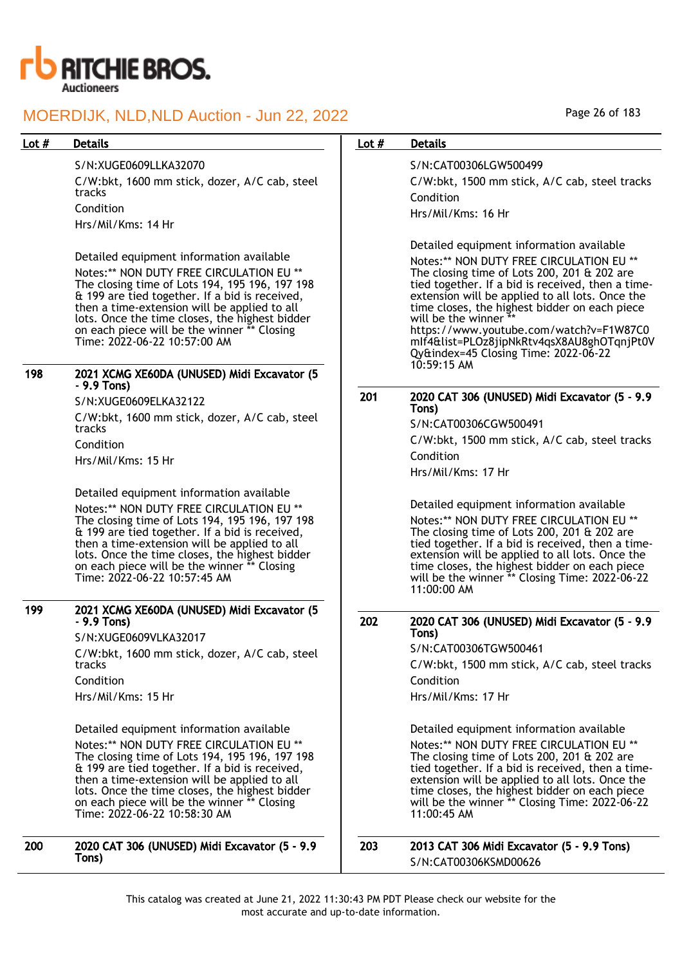

#### S/N:XUGE0609LLKA32070

C/W:bkt, 1600 mm stick, dozer, A/C cab, steel tracks Condition Hrs/Mil/Kms: 14 Hr

Detailed equipment information available Notes:\*\* NON DUTY FREE CIRCULATION EU \*\* The closing time of Lots 194, 195 196, 197 198 & 199 are tied together. If a bid is received, then a time-extension will be applied to all lots. Once the time closes, the highest bidder on each piece will be the winner \*\* Closing Time: 2022-06-22 10:57:00 AM

#### 198 2021 XCMG XE60DA (UNUSED) Midi Excavator (5 - 9.9 Tons)

S/N:XUGE0609ELKA32122

C/W:bkt, 1600 mm stick, dozer, A/C cab, steel tracks Condition

Hrs/Mil/Kms: 15 Hr

Detailed equipment information available Notes:\*\* NON DUTY FREE CIRCULATION EU \* The closing time of Lots 194, 195 196, 197 198 & 199 are tied together. If a bid is received, then a time-extension will be applied to all lots. Once the time closes, the highest bidder on each piece will be the winner \*\* Closing Time: 2022-06-22 10:57:45 AM

#### 199 2021 XCMG XE60DA (UNUSED) Midi Excavator (5 - 9.9 Tons)

S/N:XUGE0609VLKA32017 C/W:bkt, 1600 mm stick, dozer, A/C cab, steel tracks Condition Hrs/Mil/Kms: 15 Hr

Detailed equipment information available Notes:\*\* NON DUTY FREE CIRCULATION EU \*\* The closing time of Lots 194, 195 196, 197 198 & 199 are tied together. If a bid is received, then a time-extension will be applied to all lots. Once the time closes, the highest bidder on each piece will be the winner \*\* Closing Time: 2022-06-22 10:58:30 AM

200 2020 CAT 306 (UNUSED) Midi Excavator (5 - 9.9 Tons)

### Lot # Details **Details According to the United States Lot # Details**

S/N:CAT00306LGW500499 C/W:bkt, 1500 mm stick, A/C cab, steel tracks Condition

Hrs/Mil/Kms: 16 Hr

Detailed equipment information available Notes:\*\* NON DUTY FREE CIRCULATION EU \*\* The closing time of Lots 200, 201 & 202 are tied together. If a bid is received, then a timeextension will be applied to all lots. Once the time closes, the highest bidder on each piece will be the winner  $*$ https://www.youtube.com/watch?v=F1W87C0 mIf4&list=PLOz8jipNkRtv4qsX8AU8ghOTqnjPt0V Qy&index=45 Closing Time: 2022-06-22 10:59:15 AM

### 201 2020 CAT 306 (UNUSED) Midi Excavator (5 - 9.9 Tons)

S/N:CAT00306CGW500491

C/W:bkt, 1500 mm stick, A/C cab, steel tracks Condition

Hrs/Mil/Kms: 17 Hr

Detailed equipment information available Notes:\*\* NON DUTY FREE CIRCULATION EU \*\* The closing time of Lots 200, 201 & 202 are tied together. If a bid is received, then a timeextension will be applied to all lots. Once the time closes, the highest bidder on each piece will be the winner \*\* Closing Time: 2022-06-22 11:00:00 AM

#### 202 2020 CAT 306 (UNUSED) Midi Excavator (5 - 9.9 Tons)

S/N:CAT00306TGW500461

C/W:bkt, 1500 mm stick, A/C cab, steel tracks Condition

Hrs/Mil/Kms: 17 Hr

Detailed equipment information available

Notes:\*\* NON DUTY FREE CIRCULATION EU \*\* The closing time of Lots 200, 201 & 202 are tied together. If a bid is received, then a timeextension will be applied to all lots. Once the time closes, the highest bidder on each piece will be the winner \*\* Closing Time: 2022-06-22 11:00:45 AM

203 2013 CAT 306 Midi Excavator (5 - 9.9 Tons) S/N:CAT00306KSMD00626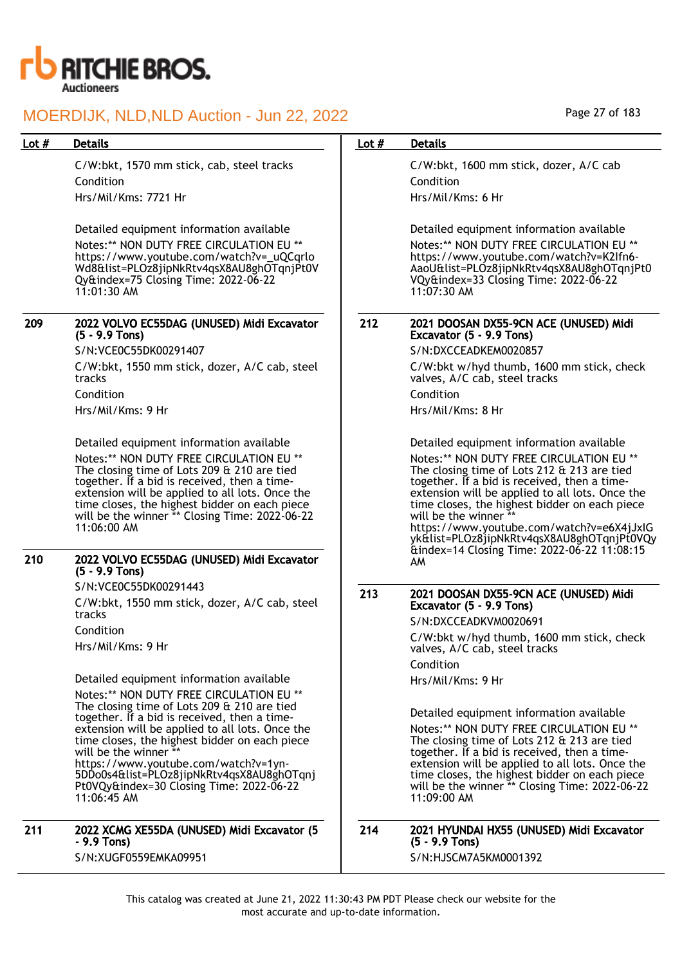

C/W:bkt, 1570 mm stick, cab, steel tracks Condition Hrs/Mil/Kms: 7721 Hr

Detailed equipment information available Notes:\*\* NON DUTY FREE CIRCULATION EU \*\* https://www.youtube.com/watch?v=\_uQCqrlo Wd8&list=PLOz8jipNkRtv4qsX8AU8ghOTqnjPt0V Qy&index=75 Closing Time: 2022-06-22 11:01:30 AM

## 209 2022 VOLVO EC55DAG (UNUSED) Midi Excavator (5 - 9.9 Tons)

S/N:VCE0C55DK00291407 C/W:bkt, 1550 mm stick, dozer, A/C cab, steel tracks Condition Hrs/Mil/Kms: 9 Hr

Detailed equipment information available Notes:\*\* NON DUTY FREE CIRCULATION EU \*\* The closing time of Lots 209 & 210 are tied together. If a bid is received, then a timeextension will be applied to all lots. Once the time closes, the highest bidder on each piece will be the winner \*\* Closing Time: 2022-06-22 11:06:00 AM

#### 210 2022 VOLVO EC55DAG (UNUSED) Midi Excavator (5 - 9.9 Tons)

S/N:VCE0C55DK00291443

C/W:bkt, 1550 mm stick, dozer, A/C cab, steel tracks Condition

Hrs/Mil/Kms: 9 Hr

Detailed equipment information available Notes:\*\* NON DUTY FREE CIRCULATION EU \*\* The closing time of Lots 209 & 210 are tied together. If a bid is received, then a timeextension will be applied to all lots. Once the time closes, the highest bidder on each piece will be the winner https://www.youtube.com/watch?v=1yn-5DDo0s4&list=PLOz8jipNkRtv4qsX8AU8ghOTqnj Pt0VQy&index=30 Closing Time: 2022-06-22  $11:06:45$  AM

#### 211 2022 XCMG XE55DA (UNUSED) Midi Excavator (5 - 9.9 Tons) S/N:XUGF0559EMKA09951

## Page 27 of 183

## Lot # Details **Details According to the United States Lot # Details**

C/W:bkt, 1600 mm stick, dozer, A/C cab Condition Hrs/Mil/Kms: 6 Hr

Detailed equipment information available Notes:\*\* NON DUTY FREE CIRCULATION EU \*\* https://www.youtube.com/watch?v=K2Ifn6- AaoU&list=PLOz8jipNkRtv4qsX8AU8ghOTqnjPt0 VQy&index=33 Closing Time: 2022-06-22 11:07:30 AM

## 212 2021 DOOSAN DX55-9CN ACE (UNUSED) Midi Excavator (5 - 9.9 Tons)

S/N:DXCCEADKEM0020857

C/W:bkt w/hyd thumb, 1600 mm stick, check valves, A/C cab, steel tracks Condition

Hrs/Mil/Kms: 8 Hr

Detailed equipment information available Notes:\*\* NON DUTY FREE CIRCULATION EU \*\* The closing time of Lots 212 & 213 are tied together. If a bid is received, then a timeextension will be applied to all lots. Once the time closes, the highest bidder on each piece will be the winner https://www.youtube.com/watch?v=e6X4jJxIG yk&list=PLOz8jipNkRtv4qsX8AU8ghOTqnjPt0VQy &index=14 Closing Time: 2022-06-22 11:08:15 AM

## 213 2021 DOOSAN DX55-9CN ACE (UNUSED) Midi Excavator (5 - 9.9 Tons)

S/N:DXCCEADKVM0020691

C/W:bkt w/hyd thumb, 1600 mm stick, check valves, A/C cab, steel tracks

Condition Hrs/Mil/Kms: 9 Hr

Detailed equipment information available Notes:\*\* NON DUTY FREE CIRCULATION EU \*\* The closing time of Lots 212 & 213 are tied together. If a bid is received, then a timeextension will be applied to all lots. Once the time closes, the highest bidder on each piece will be the winner \*\* Closing Time: 2022-06-22 11:09:00 AM

### 214 2021 HYUNDAI HX55 (UNUSED) Midi Excavator (5 - 9.9 Tons) S/N:HJSCM7A5KM0001392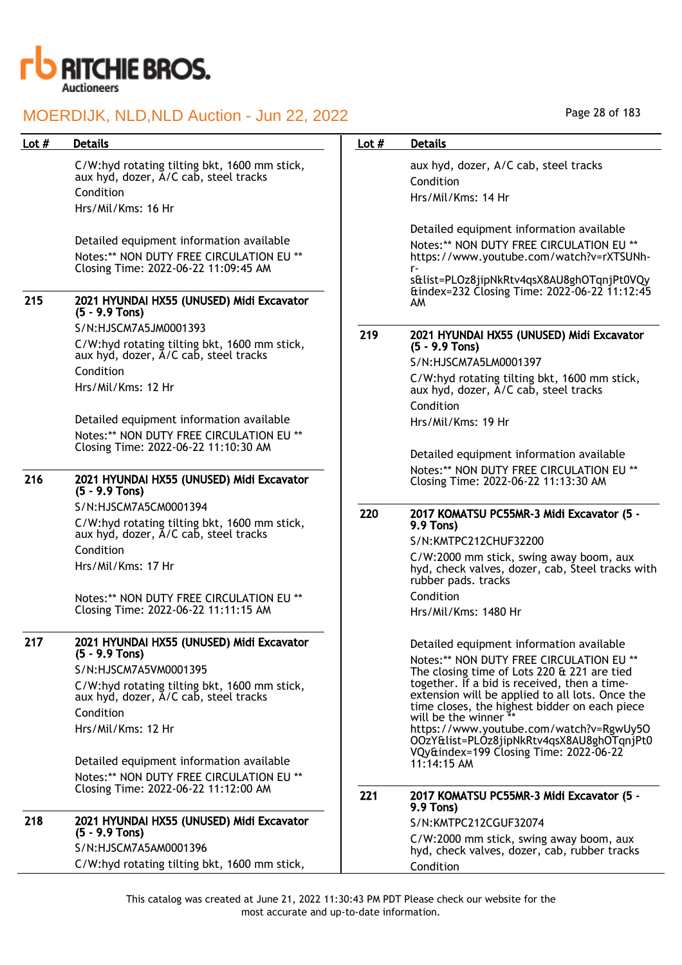

| Lot $#$ | <b>Details</b>                                                                                                                                                                                                                                                                                             | Lot $#$ | <b>Details</b>                                                                                                                                                                                                                                                                                                                                                                                                                                                    |
|---------|------------------------------------------------------------------------------------------------------------------------------------------------------------------------------------------------------------------------------------------------------------------------------------------------------------|---------|-------------------------------------------------------------------------------------------------------------------------------------------------------------------------------------------------------------------------------------------------------------------------------------------------------------------------------------------------------------------------------------------------------------------------------------------------------------------|
|         | C/W:hyd rotating tilting bkt, 1600 mm stick,<br>aux hyd, dozer, A/C cab, steel tracks<br>Condition<br>Hrs/Mil/Kms: 16 Hr                                                                                                                                                                                   |         | aux hyd, dozer, A/C cab, steel tracks<br>Condition<br>Hrs/Mil/Kms: 14 Hr                                                                                                                                                                                                                                                                                                                                                                                          |
|         | Detailed equipment information available<br>Notes:** NON DUTY FREE CIRCULATION EU **<br>Closing Time: 2022-06-22 11:09:45 AM                                                                                                                                                                               |         | Detailed equipment information available<br>Notes:** NON DUTY FREE CIRCULATION EU **<br>https://www.youtube.com/watch?v=rXTSUNh-<br>r-<br>s&list=PLOz8jipNkRtv4qsX8AU8ghOTqnjPt0VQy<br>&index=232 Closing Time: 2022-06-22 11:12:45                                                                                                                                                                                                                               |
| 215     | 2021 HYUNDAI HX55 (UNUSED) Midi Excavator<br>$(5 - 9.9$ Tons)                                                                                                                                                                                                                                              |         | AM                                                                                                                                                                                                                                                                                                                                                                                                                                                                |
|         | S/N:HJSCM7A5JM0001393<br>C/W:hyd rotating tilting bkt, 1600 mm stick,<br>aux hyd, dozer, A/C cab, steel tracks<br>Condition<br>Hrs/Mil/Kms: 12 Hr                                                                                                                                                          | 219     | 2021 HYUNDAI HX55 (UNUSED) Midi Excavator<br>$(5 - 9.9$ Tons)<br>S/N:HJSCM7A5LM0001397<br>C/W:hyd rotating tilting bkt, 1600 mm stick,<br>aux hyd, dozer, A/C cab, steel tracks                                                                                                                                                                                                                                                                                   |
|         | Detailed equipment information available<br>Notes:** NON DUTY FREE CIRCULATION EU **<br>Closing Time: 2022-06-22 11:10:30 AM                                                                                                                                                                               |         | Condition<br>Hrs/Mil/Kms: 19 Hr<br>Detailed equipment information available                                                                                                                                                                                                                                                                                                                                                                                       |
| 216     | 2021 HYUNDAI HX55 (UNUSED) Midi Excavator<br>$(5 - 9.9$ Tons)                                                                                                                                                                                                                                              |         | Notes:** NON DUTY FREE CIRCULATION EU **<br>Closing Time: 2022-06-22 11:13:30 AM                                                                                                                                                                                                                                                                                                                                                                                  |
|         | S/N:HJSCM7A5CM0001394<br>C/W:hyd rotating tilting bkt, 1600 mm stick,<br>aux hyd, dozer, A/C cab, steel tracks<br>Condition<br>Hrs/Mil/Kms: 17 Hr<br>Notes:** NON DUTY FREE CIRCULATION EU **<br>Closing Time: 2022-06-22 11:11:15 AM                                                                      | 220     | 2017 KOMATSU PC55MR-3 Midi Excavator (5 -<br>9.9 Tons)<br>S/N:KMTPC212CHUF32200<br>C/W:2000 mm stick, swing away boom, aux<br>hyd, check valves, dozer, cab, Steel tracks with<br>rubber pads. tracks<br>Condition<br>Hrs/Mil/Kms: 1480 Hr                                                                                                                                                                                                                        |
| 217     | 2021 HYUNDAI HX55 (UNUSED) Midi Excavator<br>$(5 - 9.9$ Tons)<br>S/N:HJSCM7A5VM0001395<br>C/W:hyd rotating tilting bkt, 1600 mm stick,<br>aux hyd, dozer, A/C cab, steel tracks<br>Condition<br>Hrs/Mil/Kms: 12 Hr<br>Detailed equipment information available<br>Notes:** NON DUTY FREE CIRCULATION EU ** |         | Detailed equipment information available<br>Notes:** NON DUTY FREE CIRCULATION EU **<br>The closing time of Lots 220 & 221 are tied<br>together. If a bid is received, then a time-<br>extension will be applied to all lots. Once the<br>time closes, the highest bidder on each piece<br>will be the winner **<br>https://www.youtube.com/watch?v=RgwUy50<br>OOzY&list=PLOz8jipNkRtv4qsX8AU8ghOTqnjPt0<br>VQy&index=199 Closing Time: 2022-06-22<br>11:14:15 AM |
|         | Closing Time: 2022-06-22 11:12:00 AM                                                                                                                                                                                                                                                                       | 221     | 2017 KOMATSU PC55MR-3 Midi Excavator (5 -<br>9.9 Tons)                                                                                                                                                                                                                                                                                                                                                                                                            |
| 218     | 2021 HYUNDAI HX55 (UNUSED) Midi Excavator<br>$(5 - 9.9$ Tons)<br>S/N:HJSCM7A5AM0001396                                                                                                                                                                                                                     |         | S/N:KMTPC212CGUF32074<br>C/W:2000 mm stick, swing away boom, aux                                                                                                                                                                                                                                                                                                                                                                                                  |
|         | C/W:hyd rotating tilting bkt, 1600 mm stick,                                                                                                                                                                                                                                                               |         | hyd, check valves, dozer, cab, rubber tracks<br>Condition                                                                                                                                                                                                                                                                                                                                                                                                         |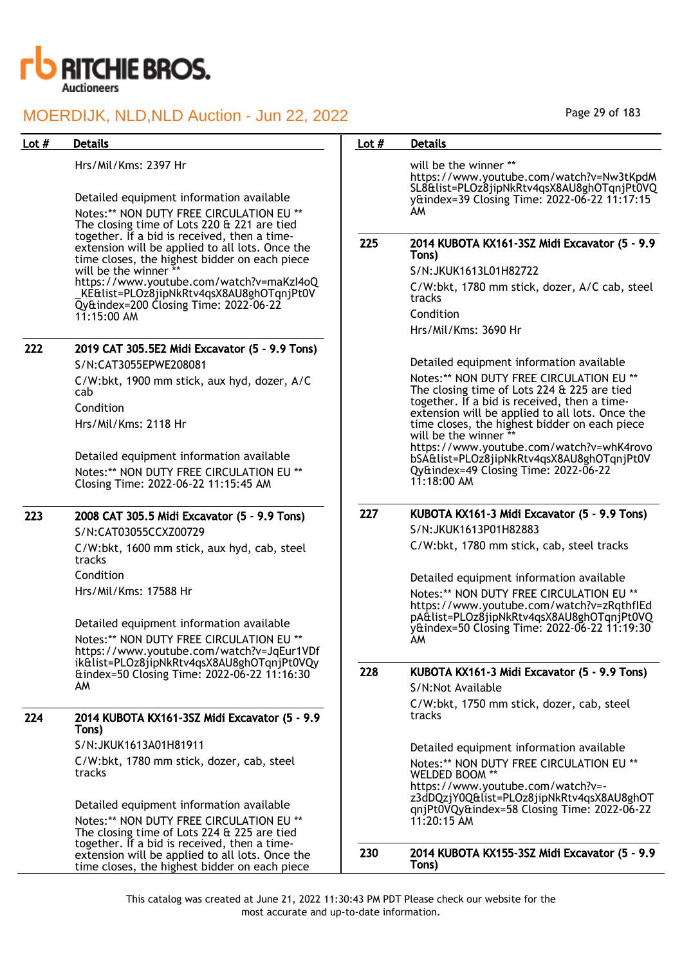

| Lot $#$ | <b>Details</b>                                                                                                                                              | Lot $#$ | <b>Details</b>                                                                                                                                                        |
|---------|-------------------------------------------------------------------------------------------------------------------------------------------------------------|---------|-----------------------------------------------------------------------------------------------------------------------------------------------------------------------|
|         | Hrs/Mil/Kms: 2397 Hr<br>Detailed equipment information available<br>Notes:** NON DUTY FREE CIRCULATION EU **<br>The closing time of Lots 220 & 221 are tied |         | will be the winner **<br>https://www.youtube.com/watch?v=Nw3tKpdM<br>SL8&list=PLOz8jipNkRtv4qsX8AU8ghOTqnjPt0VQ<br>y&index=39 Closing Time: 2022-06-22 11:17:15<br>AM |
|         | together. If a bid is received, then a time-<br>extension will be applied to all lots. Once the                                                             | 225     | 2014 KUBOTA KX161-3SZ Midi Excavator (5 - 9.9<br>Tons)                                                                                                                |
|         | time closes, the highest bidder on each piece<br>will be the winner **                                                                                      |         | S/N:JKUK1613L01H82722                                                                                                                                                 |
|         | https://www.youtube.com/watch?v=maKzI4oQ<br>_KE&list=PLOz8jipNkRtv4qsX8AU8ghOTqnjPt0V                                                                       |         | C/W:bkt, 1780 mm stick, dozer, A/C cab, steel<br>tracks                                                                                                               |
|         | Qy&index=200 Closing Time: 2022-06-22<br>$11:15:00$ AM                                                                                                      |         | Condition                                                                                                                                                             |
|         |                                                                                                                                                             |         | Hrs/Mil/Kms: 3690 Hr                                                                                                                                                  |
| 222     | 2019 CAT 305.5E2 Midi Excavator (5 - 9.9 Tons)                                                                                                              |         |                                                                                                                                                                       |
|         | S/N:CAT3055EPWE208081                                                                                                                                       |         | Detailed equipment information available                                                                                                                              |
|         | C/W:bkt, 1900 mm stick, aux hyd, dozer, A/C<br>cab                                                                                                          |         | Notes:** NON DUTY FREE CIRCULATION EU **<br>The closing time of Lots 224 & 225 are tied<br>together. If a bid is received, then a time-                               |
|         | Condition<br>Hrs/Mil/Kms: 2118 Hr                                                                                                                           |         | extension will be applied to all lots. Once the<br>time closes, the highest bidder on each piece<br>will be the winner                                                |
|         | Detailed equipment information available<br>Notes:** NON DUTY FREE CIRCULATION EU **<br>Closing Time: 2022-06-22 11:15:45 AM                                |         | https://www.youtube.com/watch?v=whK4rovo<br>bSA&list=PLOz8jipNkRtv4qsX8AU8ghOTqnjPt0V<br>Qy&index=49 Closing Time: 2022-06-22<br>$11:18:00$ AM                        |
| 223     | 2008 CAT 305.5 Midi Excavator (5 - 9.9 Tons)                                                                                                                | 227     | KUBOTA KX161-3 Midi Excavator (5 - 9.9 Tons)                                                                                                                          |
|         | S/N:CAT03055CCXZ00729                                                                                                                                       |         | S/N: JKUK1613P01H82883                                                                                                                                                |
|         | C/W:bkt, 1600 mm stick, aux hyd, cab, steel<br>tracks                                                                                                       |         | C/W:bkt, 1780 mm stick, cab, steel tracks                                                                                                                             |
|         | Condition                                                                                                                                                   |         | Detailed equipment information available                                                                                                                              |
|         | Hrs/Mil/Kms: 17588 Hr                                                                                                                                       |         | Notes:** NON DUTY FREE CIRCULATION EU **<br>https://www.youtube.com/watch?v=zRqthflEd                                                                                 |
|         | Detailed equipment information available<br>Notes:** NON DUTY FREE CIRCULATION EU **<br>https://www.youtube.com/watch?v=JqEur1VDf                           |         | pA&list=PLOz8jipNkRtv4qsX8AU8ghOTqnjPt0VQ<br>y&index=50 Closing Time: 2022-06-22 11:19:30<br>AΜ                                                                       |
|         | ik&list=PLOz8jipNkRtv4gsX8AU8ghOTgnjPt0VQy<br>& & & andex=50 Closing Time: 2022-06-22 11:16:30                                                              | 228     | KUBOTA KX161-3 Midi Excavator (5 - 9.9 Tons)                                                                                                                          |
|         | AM                                                                                                                                                          |         | S/N:Not Available                                                                                                                                                     |
| 224     | 2014 KUBOTA KX161-3SZ Midi Excavator (5 - 9.9<br>Tons)                                                                                                      |         | C/W:bkt, 1750 mm stick, dozer, cab, steel<br>tracks                                                                                                                   |
|         | S/N:JKUK1613A01H81911                                                                                                                                       |         | Detailed equipment information available                                                                                                                              |
|         | C/W:bkt, 1780 mm stick, dozer, cab, steel                                                                                                                   |         | Notes:** NON DUTY FREE CIRCULATION EU **                                                                                                                              |
|         | tracks                                                                                                                                                      |         | WELDED BOOM **<br>https://www.youtube.com/watch?v=-                                                                                                                   |
|         | Detailed equipment information available                                                                                                                    |         | z3dDQzjY0Q&list=PLOz8jipNkRtv4qsX8AU8ghOT<br>qnjPt0VQy&index=58 Closing Time: 2022-06-22                                                                              |
|         | Notes:** NON DUTY FREE CIRCULATION EU **<br>The closing time of Lots 224 & 225 are tied                                                                     |         | $11:20:15$ AM                                                                                                                                                         |
|         | together. If a bid is received, then a time-<br>extension will be applied to all lots. Once the<br>time closes, the highest bidder on each piece            | 230     | 2014 KUBOTA KX155-3SZ Midi Excavator (5 - 9.9<br>Tons)                                                                                                                |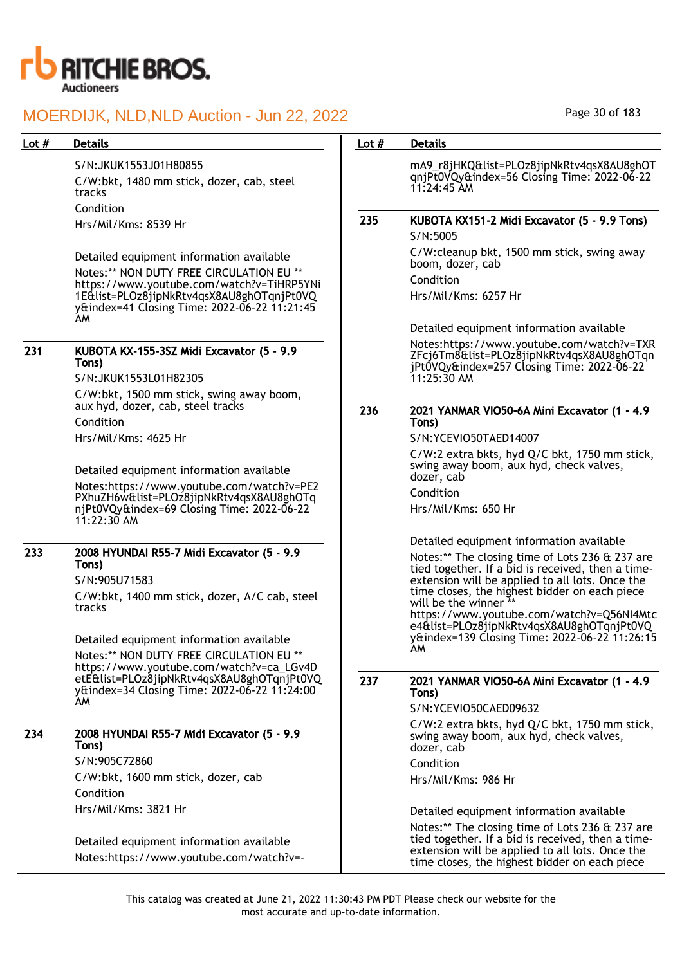

## S/N:JKUK1553J01H80855

C/W:bkt, 1480 mm stick, dozer, cab, steel tracks Condition Hrs/Mil/Kms: 8539 Hr

Detailed equipment information available Notes:\*\* NON DUTY FREE CIRCULATION EU \*\* https://www.youtube.com/watch?v=TiHRP5YNi 1E&list=PLOz8jipNkRtv4qsX8AU8ghOTqnjPt0VQ y&index=41 Closing Time: 2022-06-22 11:21:45 AM

### 231 KUBOTA KX-155-3SZ Midi Excavator (5 - 9.9 Tons)

S/N:JKUK1553L01H82305 C/W:bkt, 1500 mm stick, swing away boom, aux hyd, dozer, cab, steel tracks Condition Hrs/Mil/Kms: 4625 Hr

Detailed equipment information available Notes:https://www.youtube.com/watch?v=PE2 PXhuZH6w&list=PLOz8jipNkRtv4qsX8AU8ghOTq njPt0VQy&index=69 Closing Time: 2022-06-22 11:22:30 AM

## 233 2008 HYUNDAI R55-7 Midi Excavator (5 - 9.9 Tons)

S/N:905U71583

C/W:bkt, 1400 mm stick, dozer, A/C cab, steel tracks

Detailed equipment information available Notes:\*\* NON DUTY FREE CIRCULATION EU \*\* https://www.youtube.com/watch?v=ca\_LGv4D etE&list=PLOz8jipNkRtv4qsX8AU8ghOTqnjPt0VQ y&index=34 Closing Time: 2022-06-22 11:24:00 AM

## 234 2008 HYUNDAI R55-7 Midi Excavator (5 - 9.9 Tons)

S/N:905C72860 C/W:bkt, 1600 mm stick, dozer, cab Condition Hrs/Mil/Kms: 3821 Hr

Detailed equipment information available Notes:https://www.youtube.com/watch?v=-

### Lot # Details **Details According to the United States Lot # Details**

mA9\_r8jHKQ&list=PLOz8jipNkRtv4qsX8AU8ghOT qnjPt0VQy&index=56 Closing Time: 2022-06-22 11:24:45 AM

## 235 KUBOTA KX151-2 Midi Excavator (5 - 9.9 Tons)

S/N:5005 C/W:cleanup bkt, 1500 mm stick, swing away boom, dozer, cab Condition

Hrs/Mil/Kms: 6257 Hr

Detailed equipment information available

Notes:https://www.youtube.com/watch?v=TXR ZFcj6Tm8&list=PLOz8jipNkRtv4qsX8AU8ghOTqn jPt0VQy&index=257 Closing Time: 2022-06-22 11:25:30 AM

### 236 2021 YANMAR VIO50-6A Mini Excavator (1 - 4.9 Tons)

S/N:YCEVIO50TAED14007

C/W:2 extra bkts, hyd Q/C bkt, 1750 mm stick, swing away boom, aux hyd, check valves, dozer, cab

Condition

AM

Hrs/Mil/Kms: 650 Hr

Detailed equipment information available

Notes:\*\* The closing time of Lots 236 & 237 are tied together. If a bid is received, then a timeextension will be applied to all lots. Once the time closes, the highest bidder on each piece will be the winner \*\* https://www.youtube.com/watch?v=Q56NI4Mtc e4&list=PLOz8jipNkRtv4qsX8AU8ghOTqnjPt0VQ y&index=139 Closing Time: 2022-06-22 11:26:15

### 237 2021 YANMAR VIO50-6A Mini Excavator (1 - 4.9 Tons)

S/N:YCEVIO50CAED09632

C/W:2 extra bkts, hyd Q/C bkt, 1750 mm stick, swing away boom, aux hyd, check valves, dozer, cab Condition

Hrs/Mil/Kms: 986 Hr

Detailed equipment information available

Notes:\*\* The closing time of Lots 236 & 237 are tied together. If a bid is received, then a timeextension will be applied to all lots. Once the time closes, the highest bidder on each piece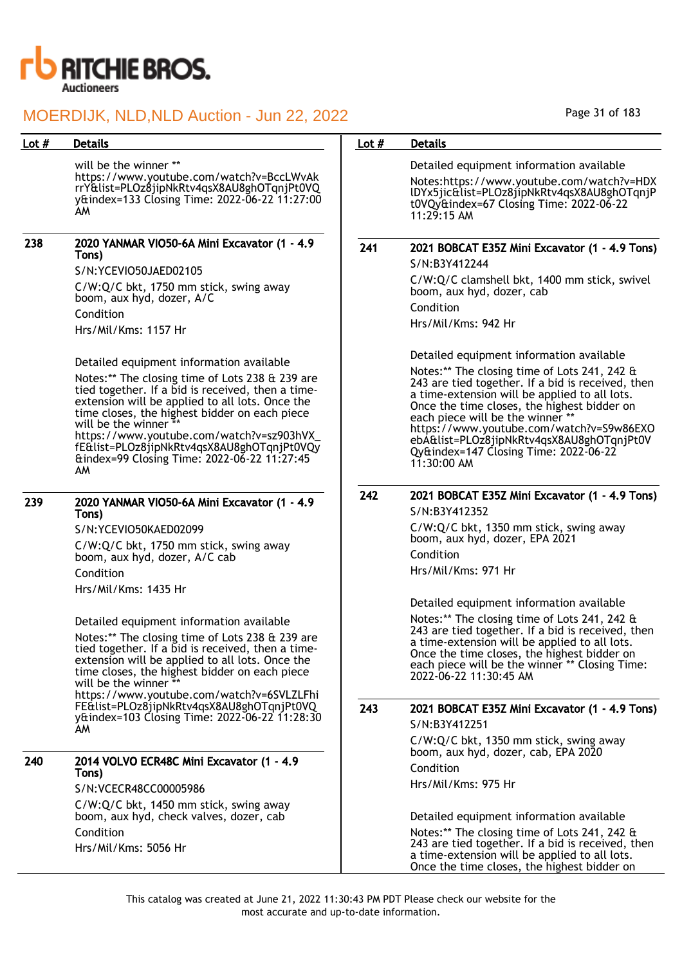

## Lot # Details **Details According to the United States Lot # Details** will be the winner \*\* https://www.youtube.com/watch?v=BccLWvAk rrY&list=PLOz8jipNkRtv4qsX8AU8ghOTqnjPt0VQ y&index=133 Closing Time: 2022-06-22 11:27:00 AM 238 2020 YANMAR VIO50-6A Mini Excavator (1 - 4.9 Tons) S/N:YCEVIO50JAED02105 C/W:Q/C bkt, 1750 mm stick, swing away boom, aux hyd, dozer, A/C Condition Hrs/Mil/Kms: 1157 Hr Detailed equipment information available Notes:\*\* The closing time of Lots 238 & 239 are tied together. If a bid is received, then a timeextension will be applied to all lots. Once the time closes, the highest bidder on each piece will be the winner https://www.youtube.com/watch?v=sz903hVX\_ fE&list=PLOz8jipNkRtv4qsX8AU8ghOTqnjPt0VQy &index=99 Closing Time: 2022-06-22 11:27:45 AM 239 2020 YANMAR VIO50-6A Mini Excavator (1 - 4.9 Tons) S/N:YCEVIO50KAED02099 C/W:Q/C bkt, 1750 mm stick, swing away boom, aux hyd, dozer, A/C cab Condition

Hrs/Mil/Kms: 1435 Hr

Detailed equipment information available

Notes:\*\* The closing time of Lots 238 & 239 are tied together. If a bid is received, then a timeextension will be applied to all lots. Once the time closes, the highest bidder on each piece will be the winner https://www.youtube.com/watch?v=6SVLZLFhi FE&list=PLOz8jipNkRtv4qsX8AU8ghOTqnjPt0VQ

y&index=103 Closing Time: 2022-06-22 11:28:30 AM

## 240 2014 VOLVO ECR48C Mini Excavator (1 - 4.9 Tons)

S/N:VCECR48CC00005986

C/W:Q/C bkt, 1450 mm stick, swing away boom, aux hyd, check valves, dozer, cab Condition Hrs/Mil/Kms: 5056 Hr

Detailed equipment information available Notes:https://www.youtube.com/watch?v=HDX lDYx5jic&list=PLOz8jipNkRtv4qsX8AU8ghOTqnjP t0VQy&index=67 Closing Time: 2022-06-22 11:29:15 AM 241 2021 BOBCAT E35Z Mini Excavator (1 - 4.9 Tons) S/N:B3Y412244 C/W:Q/C clamshell bkt, 1400 mm stick, swivel boom, aux hyd, dozer, cab Condition Hrs/Mil/Kms: 942 Hr Detailed equipment information available Notes:\*\* The closing time of Lots 241, 242 & 243 are tied together. If a bid is received, then a time-extension will be applied to all lots. Once the time closes, the highest bidder on each piece will be the winner \*\* https://www.youtube.com/watch?v=S9w86EXO ebA&list=PLOz8jipNkRtv4qsX8AU8ghOTqnjPt0V Qy&index=147 Closing Time: 2022-06-22 11:30:00 AM 242 2021 BOBCAT E35Z Mini Excavator (1 - 4.9 Tons) S/N:B3Y412352 C/W:Q/C bkt, 1350 mm stick, swing away boom, aux hyd, dozer, EPA 2021 Condition Hrs/Mil/Kms: 971 Hr Detailed equipment information available Notes:\*\* The closing time of Lots 241, 242 & 243 are tied together. If a bid is received, then a time-extension will be applied to all lots. Once the time closes, the highest bidder on each piece will be the winner \*\* Closing Time:

## 243 2021 BOBCAT E35Z Mini Excavator (1 - 4.9 Tons)

2022-06-22 11:30:45 AM

S/N:B3Y412251

C/W:Q/C bkt, 1350 mm stick, swing away boom, aux hyd, dozer, cab, EPA 2020 Condition Hrs/Mil/Kms: 975 Hr

Detailed equipment information available

Notes:\*\* The closing time of Lots 241, 242 & 243 are tied together. If a bid is received, then a time-extension will be applied to all lots. Once the time closes, the highest bidder on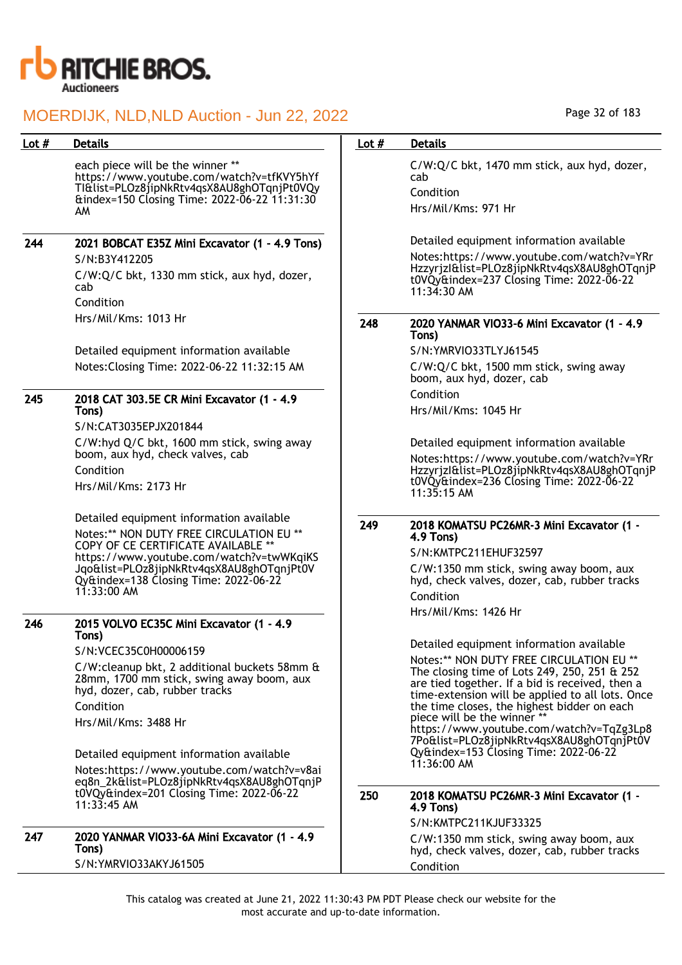

| Lot $#$ | <b>Details</b>                                                                                                                                                                                                                                                                             | Lot $#$ | <b>Details</b>                                                                                                                                                                                                                                                                                                                                                                                                                                              |
|---------|--------------------------------------------------------------------------------------------------------------------------------------------------------------------------------------------------------------------------------------------------------------------------------------------|---------|-------------------------------------------------------------------------------------------------------------------------------------------------------------------------------------------------------------------------------------------------------------------------------------------------------------------------------------------------------------------------------------------------------------------------------------------------------------|
|         | each piece will be the winner **<br>https://www.youtube.com/watch?v=tfKVY5hYf<br>TI&list=PLOz8jipNkRtv4qsX8AU8ghOTqnjPt0VQy<br>&index=150 Closing Time: 2022-06-22 11:31:30<br>AM                                                                                                          |         | C/W:Q/C bkt, 1470 mm stick, aux hyd, dozer,<br>cab<br>Condition<br>Hrs/Mil/Kms: 971 Hr                                                                                                                                                                                                                                                                                                                                                                      |
| 244     | 2021 BOBCAT E35Z Mini Excavator (1 - 4.9 Tons)<br>S/N:B3Y412205<br>C/W:Q/C bkt, 1330 mm stick, aux hyd, dozer,<br>cab<br>Condition                                                                                                                                                         |         | Detailed equipment information available<br>Notes:https://www.youtube.com/watch?v=YRr<br>Hzzyrjzl&list=PLOz8jipNkRtv4qsX8AU8ghOTqnjP<br>t0VQy&index=237 Closing Time: 2022-06-22<br>11:34:30 AM                                                                                                                                                                                                                                                             |
|         | Hrs/Mil/Kms: 1013 Hr<br>Detailed equipment information available<br>Notes: Closing Time: 2022-06-22 11:32:15 AM                                                                                                                                                                            | 248     | 2020 YANMAR VIO33-6 Mini Excavator (1 - 4.9<br>Tons)<br>S/N:YMRVIO33TLYJ61545<br>C/W:Q/C bkt, 1500 mm stick, swing away<br>boom, aux hyd, dozer, cab                                                                                                                                                                                                                                                                                                        |
| 245     | 2018 CAT 303.5E CR Mini Excavator (1 - 4.9<br>Tons)<br>S/N:CAT3035EPJX201844<br>C/W:hyd Q/C bkt, 1600 mm stick, swing away<br>boom, aux hyd, check valves, cab<br>Condition                                                                                                                |         | Condition<br>Hrs/Mil/Kms: 1045 Hr<br>Detailed equipment information available<br>Notes:https://www.youtube.com/watch?v=YRr<br>Hzzyrjzl&list=PLOz8jipNkRtv4qsX8AU8ghOTqnjP                                                                                                                                                                                                                                                                                   |
|         | Hrs/Mil/Kms: 2173 Hr<br>Detailed equipment information available<br>Notes:** NON DUTY FREE CIRCULATION EU **<br>COPY OF CE CERTIFICATE AVAILABLE **<br>https://www.youtube.com/watch?v=twWKqiKS                                                                                            | 249     | t0VQy&index=236 Closing Time: 2022-06-22<br>$11:35:15$ AM<br>2018 KOMATSU PC26MR-3 Mini Excavator (1 -<br>4.9 Tons)<br>S/N:KMTPC211EHUF32597                                                                                                                                                                                                                                                                                                                |
|         | Jqo&list=PLOz8jipNkRtv4qsX8AU8ghOTqnjPt0V<br>Qy&index=138 Closing Time: 2022-06-22<br>$11:33:00$ AM                                                                                                                                                                                        |         | C/W:1350 mm stick, swing away boom, aux<br>hyd, check valves, dozer, cab, rubber tracks<br>Condition<br>Hrs/Mil/Kms: 1426 Hr                                                                                                                                                                                                                                                                                                                                |
| 246     | 2015 VOLVO EC35C Mini Excavator (1 - 4.9<br>Tons)<br>S/N:VCEC35C0H00006159<br>C/W:cleanup bkt, 2 additional buckets 58mm &<br>28mm, 1700 mm stick, swing away boom, aux<br>hyd, dozer, cab, rubber tracks<br>Condition<br>Hrs/Mil/Kms: 3488 Hr<br>Detailed equipment information available |         | Detailed equipment information available<br>Notes:** NON DUTY FREE CIRCULATION EU **<br>The closing time of Lots 249, 250, 251 & 252<br>are tied together. If a bid is received, then a<br>time-extension will be applied to all lots. Once<br>the time closes, the highest bidder on each<br>piece will be the winner **<br>https://www.youtube.com/watch?v=TqZg3Lp8<br>7Po&list=PLOz8jipNkRtv4qsX8AU8ghOTqnjPt0V<br>Qy&index=153 Closing Time: 2022-06-22 |
|         | Notes:https://www.youtube.com/watch?v=v8ai<br>eq8n_2k&list=PLOz8jipNkRtv4qsX8AU8ghOTqnjP<br>t0VQy&index=201 Closing Time: 2022-06-22                                                                                                                                                       |         | $11:36:00$ AM                                                                                                                                                                                                                                                                                                                                                                                                                                               |
|         | $11:33:45$ AM                                                                                                                                                                                                                                                                              | 250     | 2018 KOMATSU PC26MR-3 Mini Excavator (1 -<br>4.9 Tons)<br>S/N:KMTPC211KJUF33325                                                                                                                                                                                                                                                                                                                                                                             |
| 247     | 2020 YANMAR VIO33-6A Mini Excavator (1 - 4.9<br>Tons)<br>S/N:YMRVIO33AKYJ61505                                                                                                                                                                                                             |         | C/W:1350 mm stick, swing away boom, aux<br>hyd, check valves, dozer, cab, rubber tracks<br>Condition                                                                                                                                                                                                                                                                                                                                                        |

Page 32 of 183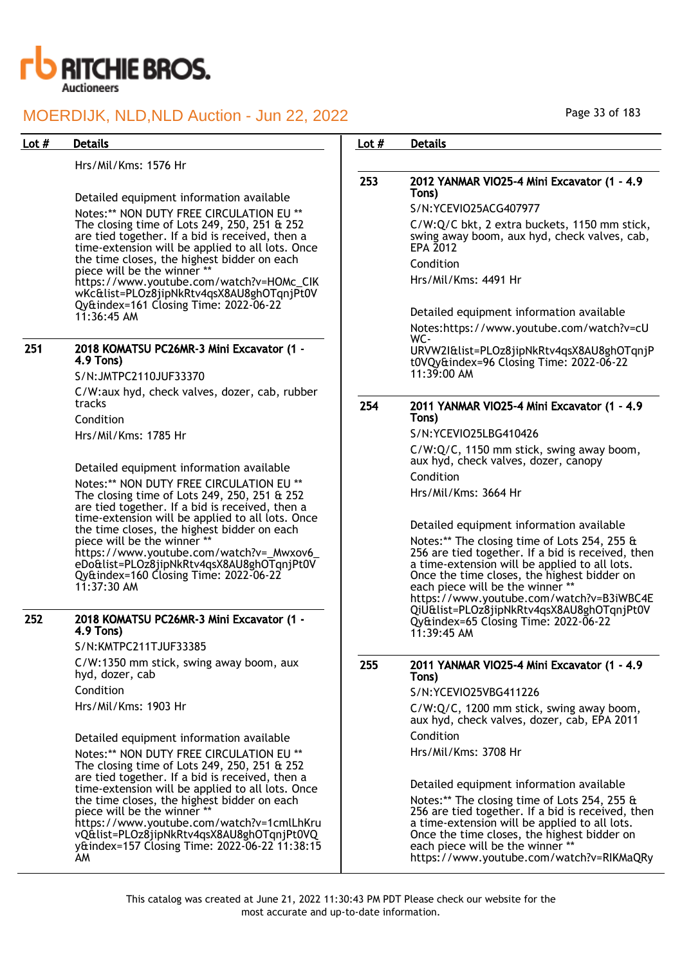

Hrs/Mil/Kms: 1576 Hr

Detailed equipment information available

Notes:\*\* NON DUTY FREE CIRCULATION EU \*\* The closing time of Lots 249, 250, 251 & 252 are tied together. If a bid is received, then a time-extension will be applied to all lots. Once the time closes, the highest bidder on each piece will be the winner \*\* https://www.youtube.com/watch?v=HOMc\_CIK wKc&list=PLOz8jipNkRtv4qsX8AU8ghOTqnjPt0V Qy&index=161 Closing Time: 2022-06-22 11:36:45 AM

#### 251 2018 KOMATSU PC26MR-3 Mini Excavator (1 - 4.9 Tons)

S/N:JMTPC2110JUF33370

C/W:aux hyd, check valves, dozer, cab, rubber tracks

Condition

Hrs/Mil/Kms: 1785 Hr

Detailed equipment information available Notes:\*\* NON DUTY FREE CIRCULATION EU \*\* The closing time of Lots 249, 250, 251 & 252 are tied together. If a bid is received, then a time-extension will be applied to all lots. Once the time closes, the highest bidder on each piece will be the winner \* https://www.youtube.com/watch?v=\_Mwxov6\_ eDo&list=PLOz8jipNkRtv4qsX8AU8ghOTqnjPt0V Qy&index=160 Closing Time: 2022-06-22 11:37:30 AM

### 252 2018 KOMATSU PC26MR-3 Mini Excavator (1 - 4.9 Tons)

S/N:KMTPC211TJUF33385

C/W:1350 mm stick, swing away boom, aux hyd, dozer, cab

Condition

Hrs/Mil/Kms: 1903 Hr

Detailed equipment information available

Notes:\*\* NON DUTY FREE CIRCULATION EU \*\* The closing time of Lots 249, 250, 251 & 252 are tied together. If a bid is received, then a time-extension will be applied to all lots. Once the time closes, the highest bidder on each piece will be the winner https://www.youtube.com/watch?v=1cmlLhKru

vQ&list=PLOz8jipNkRtv4qsX8AU8ghOTqnjPt0VQ y&index=157 Closing Time: 2022-06-22 11:38:15 AM

### Lot # Details **Details According to the United States Lot # Details**

## 253 2012 YANMAR VIO25-4 Mini Excavator (1 - 4.9 Tons)

S/N:YCEVIO25ACG407977

C/W:Q/C bkt, 2 extra buckets, 1150 mm stick, swing away boom, aux hyd, check valves, cab, EPA 2012

Condition

Hrs/Mil/Kms: 4491 Hr

Detailed equipment information available Notes:https://www.youtube.com/watch?v=cU WC-URVW2I&list=PLOz8jipNkRtv4qsX8AU8ghOTqnjP

t0VQy&index=96 Closing Time: 2022-06-22 11:39:00 AM

### 254 2011 YANMAR VIO25-4 Mini Excavator (1 - 4.9 Tons)

S/N:YCEVIO25LBG410426

C/W:Q/C, 1150 mm stick, swing away boom, aux hyd, check valves, dozer, canopy

Condition

Hrs/Mil/Kms: 3664 Hr

Detailed equipment information available

Notes:\*\* The closing time of Lots 254, 255 & 256 are tied together. If a bid is received, then a time-extension will be applied to all lots. Once the time closes, the highest bidder on each piece will be the winner \* https://www.youtube.com/watch?v=B3iWBC4E QiU&list=PLOz8jipNkRtv4qsX8AU8ghOTqnjPt0V Qy&index=65 Closing Time: 2022-06-22 11:39:45 AM

### 255 2011 YANMAR VIO25-4 Mini Excavator (1 - 4.9 Tons)

S/N:YCEVIO25VBG411226

C/W:Q/C, 1200 mm stick, swing away boom, aux hyd, check valves, dozer, cab, EPA 2011 Condition

Hrs/Mil/Kms: 3708 Hr

Detailed equipment information available

Notes:\*\* The closing time of Lots 254, 255 & 256 are tied together. If a bid is received, then a time-extension will be applied to all lots. Once the time closes, the highest bidder on each piece will be the winner \* https://www.youtube.com/watch?v=RIKMaQRy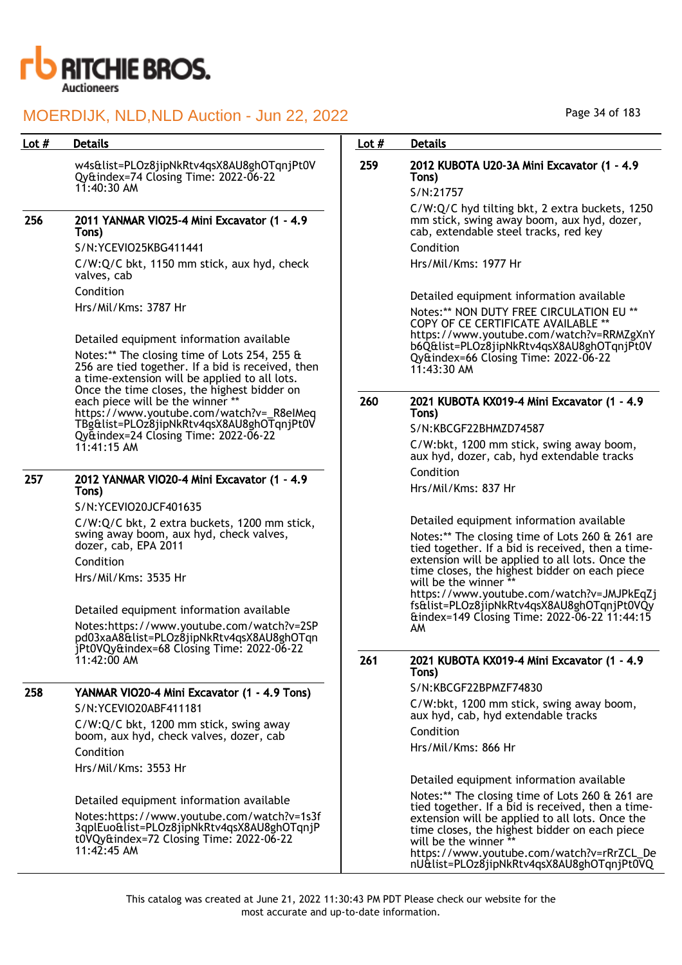

w4s&list=PLOz8jipNkRtv4qsX8AU8ghOTqnjPt0V Qy&index=74 Closing Time: 2022-06-22 11:40:30 AM

256 2011 YANMAR VIO25-4 Mini Excavator (1 - 4.9 Tons)

> S/N:YCEVIO25KBG411441 C/W:Q/C bkt, 1150 mm stick, aux hyd, check valves, cab Condition Hrs/Mil/Kms: 3787 Hr

Detailed equipment information available Notes:\*\* The closing time of Lots 254, 255 & 256 are tied together. If a bid is received, then a time-extension will be applied to all lots. Once the time closes, the highest bidder on each piece will be the winner \*\* https://www.youtube.com/watch?v=\_R8eIMeq TBg&list=PLOz8jipNkRtv4qsX8AU8ghOTqnjPt0V Qy&index=24 Closing Time: 2022-06-22 11:41:15 AM

### 257 2012 YANMAR VIO20-4 Mini Excavator (1 - 4.9 Tons)

S/N:YCEVIO20JCF401635

C/W:Q/C bkt, 2 extra buckets, 1200 mm stick, swing away boom, aux hyd, check valves, dozer, cab, EPA 2011 Condition

Hrs/Mil/Kms: 3535 Hr

Detailed equipment information available Notes:https://www.youtube.com/watch?v=2SP pd03xaA8&list=PLOz8jipNkRtv4qsX8AU8ghOTqn jPt0VQy&index=68 Closing Time: 2022-06-22 11:42:00 AM

## 258 YANMAR VIO20-4 Mini Excavator (1 - 4.9 Tons)

S/N:YCEVIO20ABF411181

C/W:Q/C bkt, 1200 mm stick, swing away boom, aux hyd, check valves, dozer, cab Condition

Hrs/Mil/Kms: 3553 Hr

Detailed equipment information available

Notes:https://www.youtube.com/watch?v=1s3f 3qplEuo&list=PLOz8jipNkRtv4qsX8AU8ghOTqnjP t0VQy&index=72 Closing Time: 2022-06-22 11:42:45 AM

## Lot # Details **Details According to the United States Lot # Details**

## 259 2012 KUBOTA U20-3A Mini Excavator (1 - 4.9 Tons)

S/N:21757

C/W:Q/C hyd tilting bkt, 2 extra buckets, 1250 mm stick, swing away boom, aux hyd, dozer, cab, extendable steel tracks, red key

Condition Hrs/Mil/Kms: 1977 Hr

Detailed equipment information available Notes:\*\* NON DUTY FREE CIRCULATION EU \*\* COPY OF CE CERTIFICATE AVAILABLE https://www.youtube.com/watch?v=RRMZgXnY b6Q&list=PLOz8jipNkRtv4qsX8AU8ghOTqnjPt0V Qy&index=66 Closing Time: 2022-06-22 11:43:30 AM

## 260 2021 KUBOTA KX019-4 Mini Excavator (1 - 4.9 Tons)

S/N:KBCGF22BHMZD74587

C/W:bkt, 1200 mm stick, swing away boom, aux hyd, dozer, cab, hyd extendable tracks Condition

Hrs/Mil/Kms: 837 Hr

Detailed equipment information available Notes:\*\* The closing time of Lots 260 & 261 are tied together. If a bid is received, then a timeextension will be applied to all lots. Once the time closes, the highest bidder on each piece will be the winner \*\*

https://www.youtube.com/watch?v=JMJPkEqZj fs&list=PLOz8jipNkRtv4qsX8AU8ghOTqnjPt0VQy &index=149 Closing Time: 2022-06-22 11:44:15 AM

### 261 2021 KUBOTA KX019-4 Mini Excavator (1 - 4.9 Tons)

S/N:KBCGF22BPMZF74830

C/W:bkt, 1200 mm stick, swing away boom, aux hyd, cab, hyd extendable tracks Condition

Hrs/Mil/Kms: 866 Hr

Detailed equipment information available

Notes:\*\* The closing time of Lots 260 & 261 are tied together. If a bid is received, then a timeextension will be applied to all lots. Once the time closes, the highest bidder on each piece will be the winner https://www.youtube.com/watch?v=rRrZCL\_De nU&list=PLOz8jipNkRtv4qsX8AU8ghOTqnjPt0VQ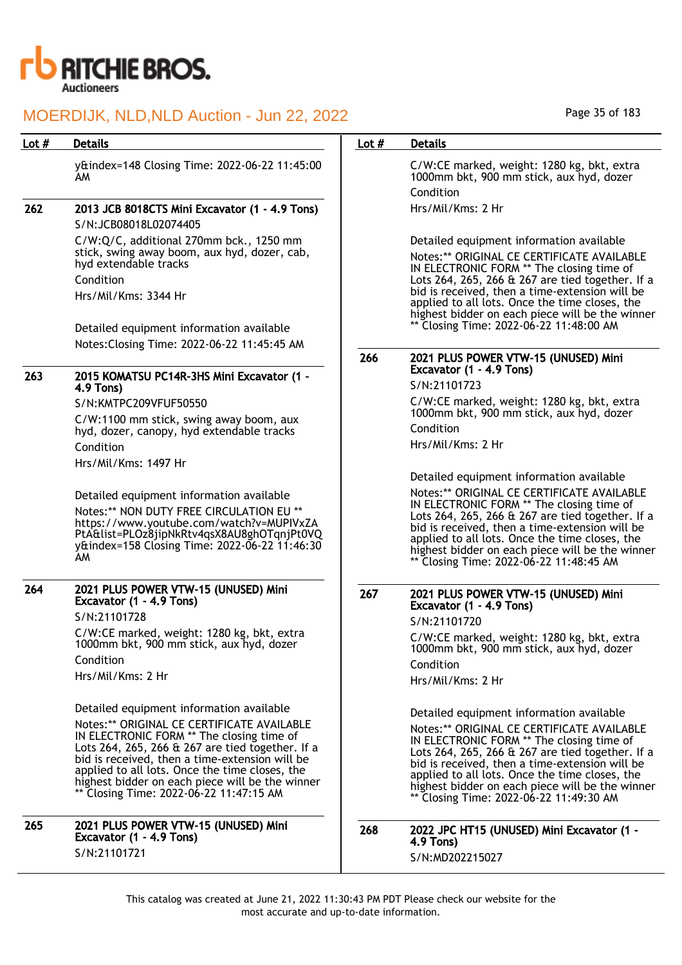

| Lot $#$ | Detail |
|---------|--------|
|         |        |

y&index=148 Closing Time: 2022-06-22 11:45:00 AM

## 262 2013 JCB 8018CTS Mini Excavator (1 - 4.9 Tons) S/N:JCB08018L02074405

C/W:Q/C, additional 270mm bck., 1250 mm stick, swing away boom, aux hyd, dozer, cab, hyd extendable tracks Condition Hrs/Mil/Kms: 3344 Hr

Detailed equipment information available Notes:Closing Time: 2022-06-22 11:45:45 AM

## 263 2015 KOMATSU PC14R-3HS Mini Excavator (1 - 4.9 Tons)

S/N:KMTPC209VFUF50550

C/W:1100 mm stick, swing away boom, aux hyd, dozer, canopy, hyd extendable tracks Condition Hrs/Mil/Kms: 1497 Hr

Detailed equipment information available Notes:\*\* NON DUTY FREE CIRCULATION EU \*\* https://www.youtube.com/watch?v=MUPIVxZA PtA&list=PLOz8jipNkRtv4qsX8AU8ghOTqnjPt0VQ y&index=158 Closing Time: 2022-06-22 11:46:30 AM

#### 264 2021 PLUS POWER VTW-15 (UNUSED) Mini Excavator (1 - 4.9 Tons) S/N:21101728

C/W:CE marked, weight: 1280 kg, bkt, extra 1000mm bkt, 900 mm stick, aux hyd, dozer Condition Hrs/Mil/Kms: 2 Hr

Detailed equipment information available Notes:\*\* ORIGINAL CE CERTIFICATE AVAILABLE IN ELECTRONIC FORM \*\* The closing time of Lots 264, 265, 266 & 267 are tied together. If a bid is received, then a time-extension will be applied to all lots. Once the time closes, the highest bidder on each piece will be the winner Closing Time: 2022-06-22 11:47:15 AM

265 2021 PLUS POWER VTW-15 (UNUSED) Mini Excavator (1 - 4.9 Tons) S/N:21101721

## Page 35 of 183

## Lot # Details **Details According to the United States Lot # Details**

C/W:CE marked, weight: 1280 kg, bkt, extra 1000mm bkt, 900 mm stick, aux hyd, dozer Condition

Hrs/Mil/Kms: 2 Hr

Detailed equipment information available

Notes:\*\* ORIGINAL CE CERTIFICATE AVAILABLE IN ELECTRONIC FORM \*\* The closing time of Lots 264, 265, 266 & 267 are tied together. If a bid is received, then a time-extension will be applied to all lots. Once the time closes, the highest bidder on each piece will be the winner \*\* Closing Time: 2022-06-22 11:48:00 AM

## 266 2021 PLUS POWER VTW-15 (UNUSED) Mini Excavator (1 - 4.9 Tons)

S/N:21101723

C/W:CE marked, weight: 1280 kg, bkt, extra 1000mm bkt, 900 mm stick, aux hyd, dozer Condition

Hrs/Mil/Kms: 2 Hr

Detailed equipment information available Notes:\*\* ORIGINAL CE CERTIFICATE AVAILABLE IN ELECTRONIC FORM \*\* The closing time of Lots 264, 265, 266 & 267 are tied together. If a bid is received, then a time-extension will be applied to all lots. Once the time closes, the highest bidder on each piece will be the winner \*\* Closing Time: 2022-06-22 11:48:45 AM

## 267 2021 PLUS POWER VTW-15 (UNUSED) Mini Excavator (1 - 4.9 Tons)

S/N:21101720

C/W:CE marked, weight: 1280 kg, bkt, extra 1000mm bkt, 900 mm stick, aux hyd, dozer

Condition Hrs/Mil/Kms: 2 Hr

Detailed equipment information available Notes:\*\* ORIGINAL CE CERTIFICATE AVAILABLE IN ELECTRONIC FORM \*\* The closing time of Lots 264, 265, 266 & 267 are tied together. If a bid is received, then a time-extension will be applied to all lots. Once the time closes, the highest bidder on each piece will be the winner \*\* Closing Time: 2022-06-22 11:49:30 AM

268 2022 JPC HT15 (UNUSED) Mini Excavator (1 - 4.9 Tons) S/N:MD202215027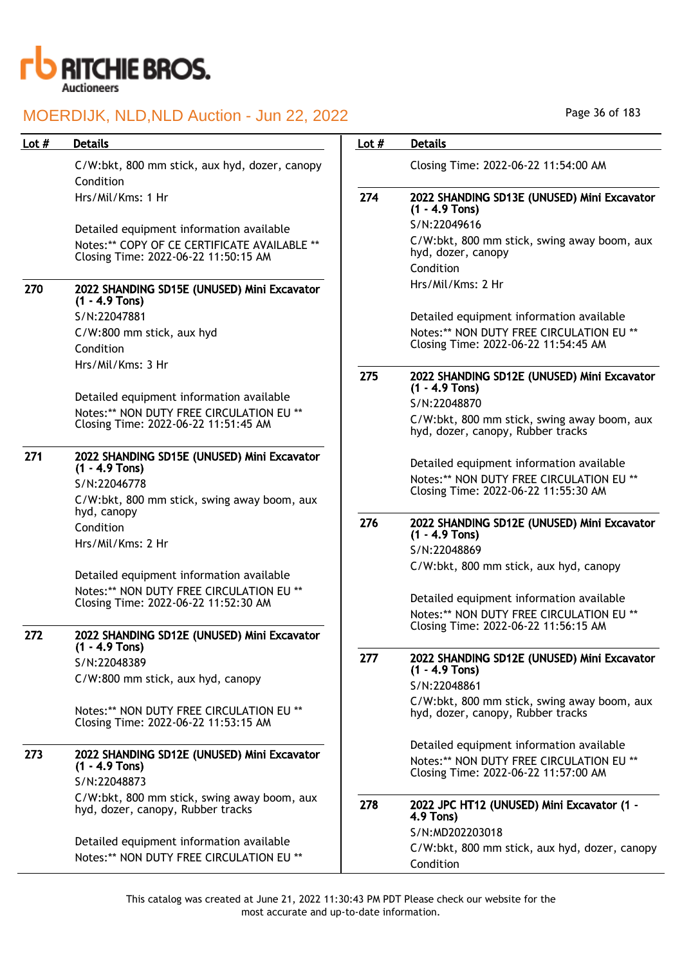

| Lot $#$ | <b>Details</b>                                                                       | Lot $#$ | <b>Details</b>                                                                   |
|---------|--------------------------------------------------------------------------------------|---------|----------------------------------------------------------------------------------|
|         | C/W:bkt, 800 mm stick, aux hyd, dozer, canopy<br>Condition                           |         | Closing Time: 2022-06-22 11:54:00 AM                                             |
|         | Hrs/Mil/Kms: 1 Hr                                                                    | 274     | 2022 SHANDING SD13E (UNUSED) Mini Excavator<br>$(1 - 4.9$ Tons)                  |
|         | Detailed equipment information available                                             |         | S/N:22049616                                                                     |
|         | Notes:** COPY OF CE CERTIFICATE AVAILABLE **<br>Closing Time: 2022-06-22 11:50:15 AM |         | C/W:bkt, 800 mm stick, swing away boom, aux<br>hyd, dozer, canopy<br>Condition   |
| 270     | 2022 SHANDING SD15E (UNUSED) Mini Excavator<br>$(1 - 4.9$ Tons)                      |         | Hrs/Mil/Kms: 2 Hr                                                                |
|         | S/N:22047881                                                                         |         | Detailed equipment information available                                         |
|         | C/W:800 mm stick, aux hyd<br>Condition                                               |         | Notes:** NON DUTY FREE CIRCULATION EU **<br>Closing Time: 2022-06-22 11:54:45 AM |
|         | Hrs/Mil/Kms: 3 Hr                                                                    | 275     | 2022 SHANDING SD12E (UNUSED) Mini Excavator<br>$(1 - 4.9$ Tons)                  |
|         | Detailed equipment information available                                             |         | S/N:22048870                                                                     |
|         | Notes: ** NON DUTY FREE CIRCULATION EU **<br>Closing Time: 2022-06-22 11:51:45 AM    |         | C/W:bkt, 800 mm stick, swing away boom, aux<br>hyd, dozer, canopy, Rubber tracks |
| 271     | 2022 SHANDING SD15E (UNUSED) Mini Excavator<br>$(1 - 4.9$ Tons)                      |         | Detailed equipment information available                                         |
|         | S/N:22046778                                                                         |         | Notes:** NON DUTY FREE CIRCULATION EU **<br>Closing Time: 2022-06-22 11:55:30 AM |
|         | C/W:bkt, 800 mm stick, swing away boom, aux<br>hyd, canopy                           |         |                                                                                  |
|         | Condition                                                                            | 276     | 2022 SHANDING SD12E (UNUSED) Mini Excavator<br>$(1 - 4.9$ Tons)                  |
|         | Hrs/Mil/Kms: 2 Hr                                                                    |         | S/N:22048869                                                                     |
|         |                                                                                      |         | C/W:bkt, 800 mm stick, aux hyd, canopy                                           |
|         | Detailed equipment information available                                             |         |                                                                                  |
|         | Notes:** NON DUTY FREE CIRCULATION EU **<br>Closing Time: 2022-06-22 11:52:30 AM     |         | Detailed equipment information available                                         |
|         |                                                                                      |         | Notes:** NON DUTY FREE CIRCULATION EU **                                         |
| 272     | 2022 SHANDING SD12E (UNUSED) Mini Excavator<br>$(1 - 4.9$ Tons)                      |         | Closing Time: 2022-06-22 11:56:15 AM                                             |
|         | S/N:22048389                                                                         | 277     | 2022 SHANDING SD12E (UNUSED) Mini Excavator                                      |
|         | C/W:800 mm stick, aux hyd, canopy                                                    |         | $(1 - 4.9$ Tons)<br>S/N:22048861                                                 |
|         | Notes:** NON DUTY FREE CIRCULATION EU **<br>Closing Time: 2022-06-22 11:53:15 AM     |         | C/W:bkt, 800 mm stick, swing away boom, aux<br>hyd, dozer, canopy, Rubber tracks |
|         |                                                                                      |         | Detailed equipment information available                                         |
| 273     | 2022 SHANDING SD12E (UNUSED) Mini Excavator<br>$(1 - 4.9$ Tons)<br>S/N:22048873      |         | Notes:** NON DUTY FREE CIRCULATION EU **<br>Closing Time: 2022-06-22 11:57:00 AM |
|         | C/W:bkt, 800 mm stick, swing away boom, aux<br>hyd, dozer, canopy, Rubber tracks     | 278     | 2022 JPC HT12 (UNUSED) Mini Excavator (1 -<br>4.9 Tons)                          |
|         |                                                                                      |         | S/N:MD202203018                                                                  |
|         | Detailed equipment information available<br>Notes:** NON DUTY FREE CIRCULATION EU ** |         | C/W:bkt, 800 mm stick, aux hyd, dozer, canopy                                    |
|         |                                                                                      |         | Condition                                                                        |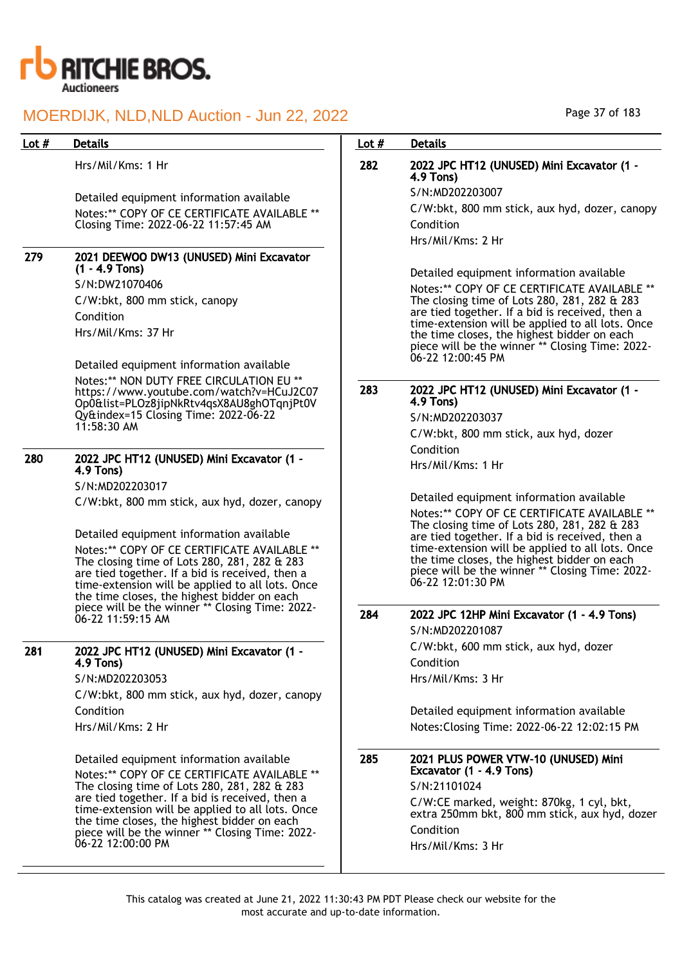

Hrs/Mil/Kms: 1 Hr

Detailed equipment information available Notes:\*\* COPY OF CE CERTIFICATE AVAILABLE \*\* Closing Time: 2022-06-22 11:57:45 AM

#### 279 2021 DEEWOO DW13 (UNUSED) Mini Excavator (1 - 4.9 Tons)

S/N:DW21070406 C/W:bkt, 800 mm stick, canopy Condition Hrs/Mil/Kms: 37 Hr

Detailed equipment information available Notes:\*\* NON DUTY FREE CIRCULATION EU \*\* https://www.youtube.com/watch?v=HCuJ2C07 Op0&list=PLOz8jipNkRtv4qsX8AU8ghOTqnjPt0V Qy&index=15 Closing Time: 2022-06-22 11:58:30 AM

## 280 2022 JPC HT12 (UNUSED) Mini Excavator (1 - 4.9 Tons)

S/N:MD202203017 C/W:bkt, 800 mm stick, aux hyd, dozer, canopy

Detailed equipment information available Notes:\*\* COPY OF CE CERTIFICATE AVAILABLE \*\* The closing time of Lots 280, 281, 282 & 283 are tied together. If a bid is received, then a time-extension will be applied to all lots. Once the time closes, the highest bidder on each piece will be the winner \*\* Closing Time: 2022- 06-22 11:59:15 AM

## 281 2022 JPC HT12 (UNUSED) Mini Excavator (1 - 4.9 Tons)

S/N:MD202203053

C/W:bkt, 800 mm stick, aux hyd, dozer, canopy Condition Hrs/Mil/Kms: 2 Hr

Detailed equipment information available

Notes:\*\* COPY OF CE CERTIFICATE AVAILABLE \*\* The closing time of Lots 280, 281, 282 & 283 are tied together. If a bid is received, then a time-extension will be applied to all lots. Once the time closes, the highest bidder on each piece will be the winner \*\* Closing Time: 2022- 06-22 12:00:00 PM

## Lot # Details **Details According to the United States Lot # Details**

## 282 2022 JPC HT12 (UNUSED) Mini Excavator (1 - 4.9 Tons)

S/N:MD202203007

C/W:bkt, 800 mm stick, aux hyd, dozer, canopy Condition

Hrs/Mil/Kms: 2 Hr

Detailed equipment information available

Notes:\*\* COPY OF CE CERTIFICATE AVAILABLE \*\* The closing time of Lots 280, 281, 282 & 283 are tied together. If a bid is received, then a time-extension will be applied to all lots. Once the time closes, the highest bidder on each piece will be the winner \*\* Closing Time: 2022- 06-22 12:00:45 PM

### 283 2022 JPC HT12 (UNUSED) Mini Excavator (1 - 4.9 Tons)

S/N:MD202203037 C/W:bkt, 800 mm stick, aux hyd, dozer Condition Hrs/Mil/Kms: 1 Hr

Detailed equipment information available Notes:\*\* COPY OF CE CERTIFICATE AVAILABLE \*\* The closing time of Lots 280, 281, 282 & 283 are tied together. If a bid is received, then a time-extension will be applied to all lots. Once the time closes, the highest bidder on each piece will be the winner \*\* Closing Time: 2022- 06-22 12:01:30 PM

## 284 2022 JPC 12HP Mini Excavator (1 - 4.9 Tons)

S/N:MD202201087 C/W:bkt, 600 mm stick, aux hyd, dozer Condition

Hrs/Mil/Kms: 3 Hr

Detailed equipment information available Notes:Closing Time: 2022-06-22 12:02:15 PM

285 2021 PLUS POWER VTW-10 (UNUSED) Mini Excavator (1 - 4.9 Tons) S/N:21101024 C/W:CE marked, weight: 870kg, 1 cyl, bkt, extra 250mm bkt, 800 mm stick, aux hyd, dozer Condition Hrs/Mil/Kms: 3 Hr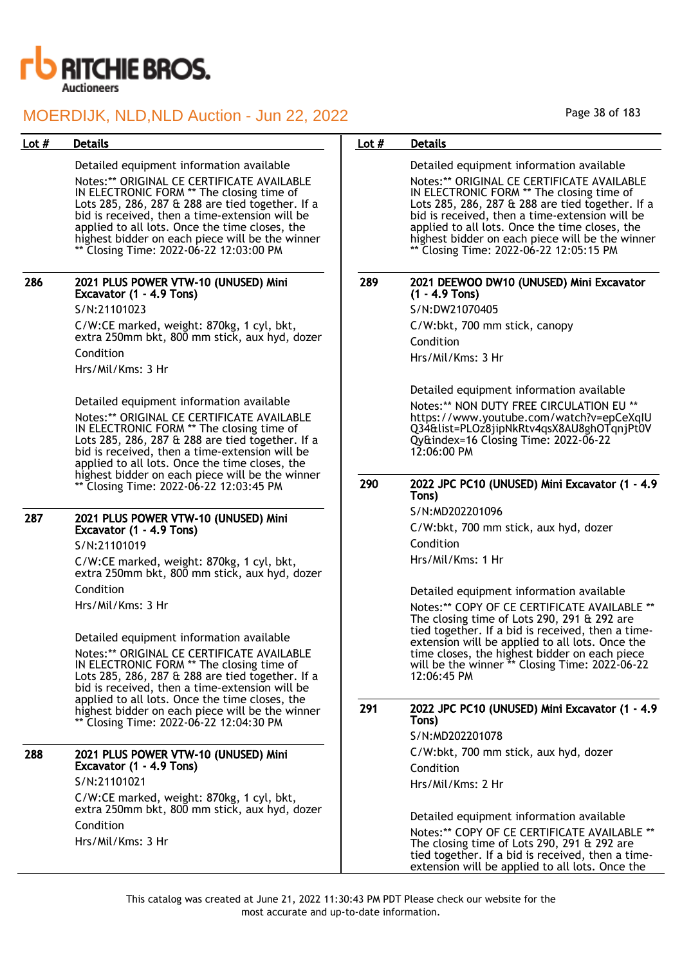

Detailed equipment information available Notes:\*\* ORIGINAL CE CERTIFICATE AVAILABLE IN ELECTRONIC FORM \*\* The closing time of Lots 285, 286, 287 & 288 are tied together. If a bid is received, then a time-extension will be applied to all lots. Once the time closes, the highest bidder on each piece will be the winner \*\* Closing Time: 2022-06-22 12:03:00 PM

#### 286 2021 PLUS POWER VTW-10 (UNUSED) Mini Excavator (1 - 4.9 Tons) S/N:21101023

C/W:CE marked, weight: 870kg, 1 cyl, bkt, extra 250mm bkt, 800 mm stick, aux hyd, dozer Condition Hrs/Mil/Kms: 3 Hr

Detailed equipment information available Notes:\*\* ORIGINAL CE CERTIFICATE AVAILABLE IN ELECTRONIC FORM \*\* The closing time of Lots 285, 286, 287 & 288 are tied together. If a bid is received, then a time-extension will be applied to all lots. Once the time closes, the highest bidder on each piece will be the winner \*\* Closing Time: 2022-06-22 12:03:45 PM

#### 287 2021 PLUS POWER VTW-10 (UNUSED) Mini Excavator (1 - 4.9 Tons)

S/N:21101019

C/W:CE marked, weight: 870kg, 1 cyl, bkt, extra 250mm bkt, 800 mm stick, aux hyd, dozer Condition Hrs/Mil/Kms: 3 Hr

Detailed equipment information available Notes:\*\* ORIGINAL CE CERTIFICATE AVAILABLE IN ELECTRONIC FORM \*\* The closing time of Lots 285, 286, 287 & 288 are tied together. If a bid is received, then a time-extension will be applied to all lots. Once the time closes, the highest bidder on each piece will be the winner \*\* Closing Time: 2022-06-22 12:04:30 PM

### 288 2021 PLUS POWER VTW-10 (UNUSED) Mini Excavator (1 - 4.9 Tons)

S/N:21101021 C/W:CE marked, weight: 870kg, 1 cyl, bkt, extra 250mm bkt, 800 mm stick, aux hyd, dozer Condition Hrs/Mil/Kms: 3 Hr

### Lot # Details **Details According to the United States Lot # Details**

Detailed equipment information available Notes:\*\* ORIGINAL CE CERTIFICATE AVAILABLE IN ELECTRONIC FORM \*\* The closing time of Lots 285, 286, 287 & 288 are tied together. If a bid is received, then a time-extension will be applied to all lots. Once the time closes, the highest bidder on each piece will be the winner \*\* Closing Time: 2022-06-22 12:05:15 PM

#### 289 2021 DEEWOO DW10 (UNUSED) Mini Excavator (1 - 4.9 Tons)

S/N:DW21070405 C/W:bkt, 700 mm stick, canopy Condition

Hrs/Mil/Kms: 3 Hr

Detailed equipment information available Notes:\*\* NON DUTY FREE CIRCULATION EU \*\* https://www.youtube.com/watch?v=epCeXqIU Q34&list=PLOz8jipNkRtv4qsX8AU8ghOTqnjPt0V Qy&index=16 Closing Time: 2022-06-22 12:06:00 PM

#### 290 2022 JPC PC10 (UNUSED) Mini Excavator (1 - 4.9 Tons)

S/N:MD202201096 C/W:bkt, 700 mm stick, aux hyd, dozer Condition Hrs/Mil/Kms: 1 Hr

Detailed equipment information available

Notes:\*\* COPY OF CE CERTIFICATE AVAILABLE \*\* The closing time of Lots 290, 291 & 292 are tied together. If a bid is received, then a timeextension will be applied to all lots. Once the time closes, the highest bidder on each piece will be the winner \*\* Closing Time: 2022-06-22 12:06:45 PM

#### 291 2022 JPC PC10 (UNUSED) Mini Excavator (1 - 4.9 Tons)

S/N:MD202201078 C/W:bkt, 700 mm stick, aux hyd, dozer Condition Hrs/Mil/Kms: 2 Hr

Detailed equipment information available Notes:\*\* COPY OF CE CERTIFICATE AVAILABLE \*\* The closing time of Lots 290, 291 & 292 are tied together. If a bid is received, then a timeextension will be applied to all lots. Once the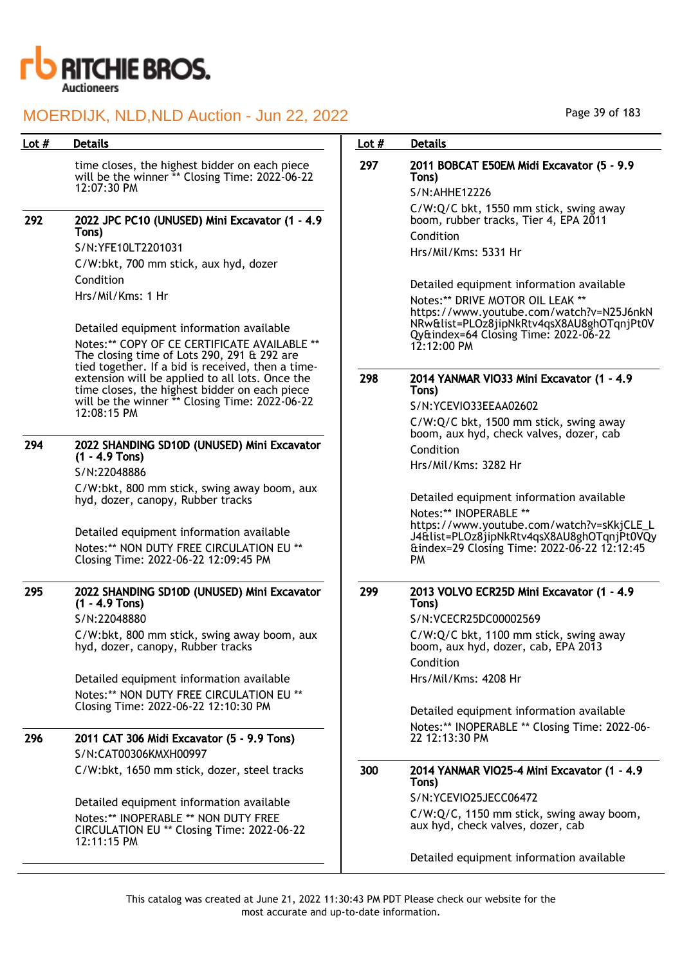

| Lot $#$ | <b>Details</b>                                                                                                                                        | Lot $#$ | <b>Details</b>                                                                                                                                                         |
|---------|-------------------------------------------------------------------------------------------------------------------------------------------------------|---------|------------------------------------------------------------------------------------------------------------------------------------------------------------------------|
|         | time closes, the highest bidder on each piece<br>will be the winner ** Closing Time: 2022-06-22<br>12:07:30 PM                                        | 297     | 2011 BOBCAT E50EM Midi Excavator (5 - 9.9<br>Tons)<br>S/N:AHHE12226                                                                                                    |
| 292     | 2022 JPC PC10 (UNUSED) Mini Excavator (1 - 4.9<br>Tons)                                                                                               |         | C/W:Q/C bkt, 1550 mm stick, swing away<br>boom, rubber tracks, Tier 4, EPA 2011<br>Condition                                                                           |
|         | S/N:YFE10LT2201031                                                                                                                                    |         | Hrs/Mil/Kms: 5331 Hr                                                                                                                                                   |
|         | C/W:bkt, 700 mm stick, aux hyd, dozer                                                                                                                 |         |                                                                                                                                                                        |
|         | Condition                                                                                                                                             |         | Detailed equipment information available                                                                                                                               |
|         | Hrs/Mil/Kms: 1 Hr                                                                                                                                     |         | Notes:** DRIVE MOTOR OIL LEAK **<br>https://www.youtube.com/watch?v=N25J6nkN                                                                                           |
|         | Detailed equipment information available                                                                                                              |         | NRw&list=PLOz8jipNkRtv4qsX8AU8ghOTqnjPt0V                                                                                                                              |
|         | Notes:** COPY OF CE CERTIFICATE AVAILABLE **<br>The closing time of Lots 290, 291 & 292 are                                                           |         | Qy&index=64 Closing Time: 2022-06-22<br>$12:12:00 \text{ PM}$                                                                                                          |
|         | tied together. If a bid is received, then a time-<br>extension will be applied to all lots. Once the<br>time closes, the highest bidder on each piece | 298     | 2014 YANMAR VIO33 Mini Excavator (1 - 4.9<br>Tons)                                                                                                                     |
|         | will be the winner ** Closing Time: 2022-06-22<br>12:08:15 PM                                                                                         |         | S/N:YCEVIO33EEAA02602                                                                                                                                                  |
|         |                                                                                                                                                       |         | C/W:Q/C bkt, 1500 mm stick, swing away<br>boom, aux hyd, check valves, dozer, cab                                                                                      |
| 294     | 2022 SHANDING SD10D (UNUSED) Mini Excavator<br>$(1 - 4.9$ Tons)                                                                                       |         | Condition                                                                                                                                                              |
|         | S/N:22048886                                                                                                                                          |         | Hrs/Mil/Kms: 3282 Hr                                                                                                                                                   |
|         | C/W:bkt, 800 mm stick, swing away boom, aux<br>hyd, dozer, canopy, Rubber tracks                                                                      |         | Detailed equipment information available                                                                                                                               |
|         | Detailed equipment information available<br>Notes:** NON DUTY FREE CIRCULATION EU **<br>Closing Time: 2022-06-22 12:09:45 PM                          |         | Notes:** INOPERABLE **<br>https://www.youtube.com/watch?v=sKkjCLE_L<br>J4&list=PLOz8jipNkRtv4qsX8AU8ghOTqnjPt0VQy<br>&index=29 Closing Time: 2022-06-22 12:12:45<br>PM |
| 295     | 2022 SHANDING SD10D (UNUSED) Mini Excavator<br>$(1 - 4.9$ Tons)                                                                                       | 299     | 2013 VOLVO ECR25D Mini Excavator (1 - 4.9<br>Tons)                                                                                                                     |
|         | S/N:22048880                                                                                                                                          |         | S/N:VCECR25DC00002569                                                                                                                                                  |
|         | C/W:bkt, 800 mm stick, swing away boom, aux<br>hyd, dozer, canopy, Rubber tracks                                                                      |         | C/W:Q/C bkt, 1100 mm stick, swing away<br>boom, aux hyd, dozer, cab, EPA 2013                                                                                          |
|         |                                                                                                                                                       |         | Condition                                                                                                                                                              |
|         | Detailed equipment information available                                                                                                              |         | Hrs/Mil/Kms: 4208 Hr                                                                                                                                                   |
|         | Notes:** NON DUTY FREE CIRCULATION EU **<br>Closing Time: 2022-06-22 12:10:30 PM                                                                      |         |                                                                                                                                                                        |
|         |                                                                                                                                                       |         | Detailed equipment information available                                                                                                                               |
| 296     | 2011 CAT 306 Midi Excavator (5 - 9.9 Tons)                                                                                                            |         | Notes:** INOPERABLE ** Closing Time: 2022-06-<br>22 12:13:30 PM                                                                                                        |
|         | S/N:CAT00306KMXH00997                                                                                                                                 |         |                                                                                                                                                                        |
|         | C/W:bkt, 1650 mm stick, dozer, steel tracks                                                                                                           | 300     | 2014 YANMAR VIO25-4 Mini Excavator (1 - 4.9<br>Tons)                                                                                                                   |
|         | Detailed equipment information available                                                                                                              |         | S/N:YCEVIO25JECC06472                                                                                                                                                  |
|         | Notes:** INOPERABLE ** NON DUTY FREE<br>CIRCULATION EU ** Closing Time: 2022-06-22                                                                    |         | C/W:Q/C, 1150 mm stick, swing away boom,<br>aux hyd, check valves, dozer, cab                                                                                          |
|         | 12:11:15 PM                                                                                                                                           |         | Detailed equipment information available                                                                                                                               |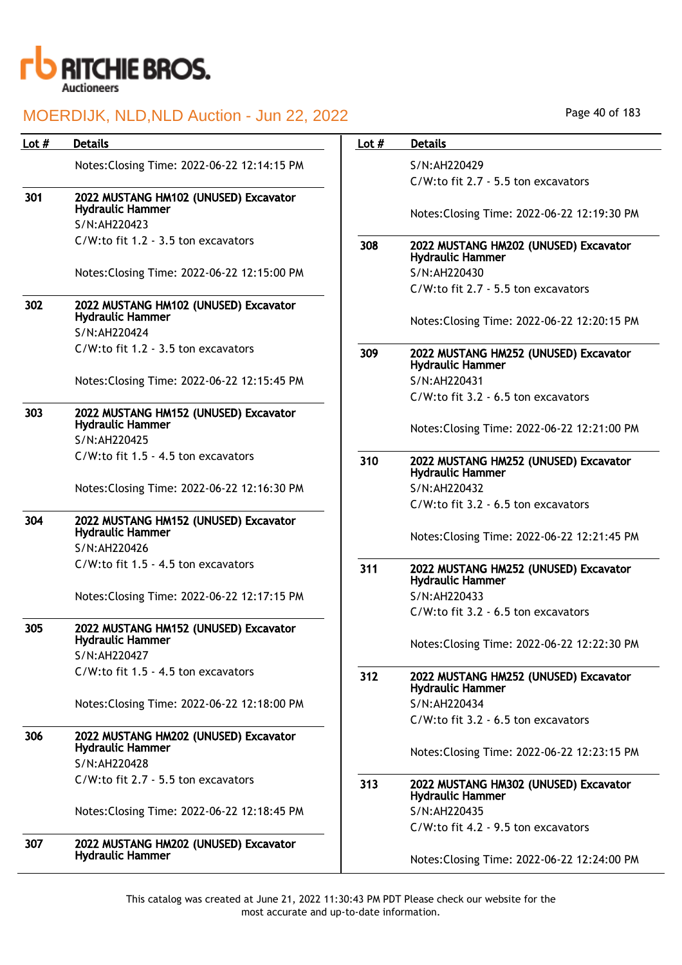

| Lot $#$ | <b>Details</b>                                                   | Lot $#$ | <b>Details</b>   |
|---------|------------------------------------------------------------------|---------|------------------|
|         | Notes: Closing Time: 2022-06-22 12:14:15 PM                      |         | S/N:AF           |
|         |                                                                  |         | $C/W:$ tc        |
| 301     | 2022 MUSTANG HM102 (UNUSED) Excavator<br><b>Hydraulic Hammer</b> |         |                  |
|         | S/N:AH220423                                                     |         | Notes:           |
|         | C/W:to fit 1.2 - 3.5 ton excavators                              | 308     | 2022 M           |
|         |                                                                  |         | Hydrau           |
|         | Notes: Closing Time: 2022-06-22 12:15:00 PM                      |         | S/N:AF           |
|         |                                                                  |         | $C/W:$ tc        |
| 302     | 2022 MUSTANG HM102 (UNUSED) Excavator<br><b>Hydraulic Hammer</b> |         | Notes:           |
|         | S/N:AH220424                                                     |         |                  |
|         | C/W:to fit 1.2 - 3.5 ton excavators                              | 309     | 2022 M<br>Hydrau |
|         | Notes: Closing Time: 2022-06-22 12:15:45 PM                      |         | S/N:AF           |
|         |                                                                  |         | $C/W:$ tc        |
| 303     | 2022 MUSTANG HM152 (UNUSED) Excavator<br><b>Hydraulic Hammer</b> |         |                  |
|         | S/N:AH220425                                                     |         | Notes:           |
|         | C/W:to fit 1.5 - 4.5 ton excavators                              | 310     | 2022 M<br>Hydrau |
|         | Notes: Closing Time: 2022-06-22 12:16:30 PM                      |         | S/N:AF           |
|         |                                                                  |         | $C/W:$ tc        |
| 304     | 2022 MUSTANG HM152 (UNUSED) Excavator<br><b>Hydraulic Hammer</b> |         | Notes:           |
|         | S/N:AH220426                                                     |         |                  |
|         | C/W:to fit 1.5 - 4.5 ton excavators                              | 311     | 2022 M<br>Hydrau |
|         | Notes: Closing Time: 2022-06-22 12:17:15 PM                      |         | S/N:AF           |
|         |                                                                  |         | $C/W:$ tc        |
| 305     | 2022 MUSTANG HM152 (UNUSED) Excavator<br><b>Hydraulic Hammer</b> |         |                  |
|         | S/N:AH220427                                                     |         | Notes:           |
|         | C/W:to fit 1.5 - 4.5 ton excavators                              | 312     | 2022 M           |
|         |                                                                  |         | Hydrau           |
|         | Notes: Closing Time: 2022-06-22 12:18:00 PM                      |         | S/N:AF           |
|         |                                                                  |         | $C/W:$ tc        |
| 306     | 2022 MUSTANG HM202 (UNUSED) Excavator<br><b>Hydraulic Hammer</b> |         | Notes:           |
|         | S/N:AH220428                                                     |         |                  |
|         | C/W:to fit 2.7 - 5.5 ton excavators                              | 313     | 2022 M<br>Hydrau |
|         | Notes: Closing Time: 2022-06-22 12:18:45 PM                      |         | S/N:AF           |
|         |                                                                  |         | $C/W:$ tc        |
| 307     | 2022 MUSTANG HM202 (UNUSED) Excavator<br><b>Hydraulic Hammer</b> |         | Notes:           |

| Page 40 of 183 |  |  |  |
|----------------|--|--|--|
|----------------|--|--|--|

| Lot $#$ | <b>Details</b>                                                                   |
|---------|----------------------------------------------------------------------------------|
|         | S/N:AH220429                                                                     |
|         | C/W:to fit 2.7 - 5.5 ton excavators                                              |
|         | Notes: Closing Time: 2022-06-22 12:19:30 PM                                      |
| 308     | 2022 MUSTANG HM202 (UNUSED) Excavator<br><b>Hydraulic Hammer</b>                 |
|         | S/N:AH220430                                                                     |
|         | C/W:to fit 2.7 - 5.5 ton excavators                                              |
|         | Notes: Closing Time: 2022-06-22 12:20:15 PM                                      |
| 309     | 2022 MUSTANG HM252 (UNUSED) Excavator<br><b>Hydraulic Hammer</b>                 |
|         | S/N:AH220431                                                                     |
|         | C/W:to fit 3.2 - 6.5 ton excavators                                              |
|         | Notes: Closing Time: 2022-06-22 12:21:00 PM                                      |
| 310     | 2022 MUSTANG HM252 (UNUSED) Excavator<br><b>Hydraulic Hammer</b>                 |
|         | S/N:AH220432                                                                     |
|         | C/W:to fit 3.2 - 6.5 ton excavators                                              |
|         | Notes: Closing Time: 2022-06-22 12:21:45 PM                                      |
| 311     | 2022 MUSTANG HM252 (UNUSED) Excavator<br><b>Hydraulic Hammer</b><br>S/N:AH220433 |
|         | C/W:to fit 3.2 - 6.5 ton excavators                                              |
|         |                                                                                  |
|         | Notes: Closing Time: 2022-06-22 12:22:30 PM                                      |
| 312     | 2022 MUSTANG HM252 (UNUSED) Excavator<br><b>Hydraulic Hammer</b>                 |
|         | S/N:AH220434                                                                     |
|         | C/W:to fit 3.2 - 6.5 ton excavators                                              |
|         | Notes: Closing Time: 2022-06-22 12:23:15 PM                                      |
| 313     | 2022 MUSTANG HM302 (UNUSED) Excavator<br><b>Hydraulic Hammer</b>                 |
|         | S/N:AH220435                                                                     |
|         | C/W:to fit 4.2 - 9.5 ton excavators                                              |
|         | Notes: Closing Time: 2022-06-22 12:24:00 PM                                      |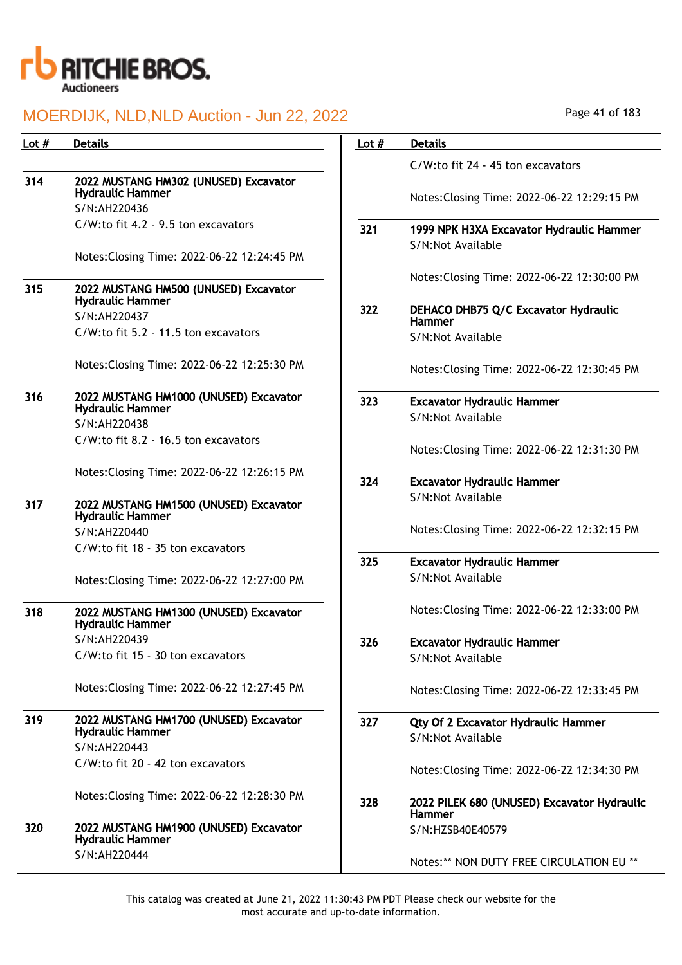

| Lot # | <b>Details</b>                                                    | Lot $#$ | <b>Details</b>                                        |
|-------|-------------------------------------------------------------------|---------|-------------------------------------------------------|
|       |                                                                   |         | C/W:to fit 24 - 45 ton excavators                     |
| 314   | 2022 MUSTANG HM302 (UNUSED) Excavator<br><b>Hydraulic Hammer</b>  |         |                                                       |
|       | S/N:AH220436                                                      |         | Notes: Closing Time: 2022-06-22 12:29:15 PM           |
|       | C/W:to fit 4.2 - 9.5 ton excavators                               | 321     | 1999 NPK H3XA Excavator Hydraulic Hammer              |
|       |                                                                   |         | S/N:Not Available                                     |
|       | Notes: Closing Time: 2022-06-22 12:24:45 PM                       |         |                                                       |
|       |                                                                   |         | Notes: Closing Time: 2022-06-22 12:30:00 PM           |
| 315   | 2022 MUSTANG HM500 (UNUSED) Excavator<br><b>Hydraulic Hammer</b>  |         |                                                       |
|       | S/N:AH220437                                                      | 322     | DEHACO DHB75 Q/C Excavator Hydraulic<br><b>Hammer</b> |
|       | C/W:to fit 5.2 - 11.5 ton excavators                              |         | S/N:Not Available                                     |
|       |                                                                   |         |                                                       |
|       | Notes: Closing Time: 2022-06-22 12:25:30 PM                       |         | Notes: Closing Time: 2022-06-22 12:30:45 PM           |
| 316   | 2022 MUSTANG HM1000 (UNUSED) Excavator                            | 323     | <b>Excavator Hydraulic Hammer</b>                     |
|       | <b>Hydraulic Hammer</b><br>S/N:AH220438                           |         | S/N:Not Available                                     |
|       | C/W:to fit 8.2 - 16.5 ton excavators                              |         |                                                       |
|       |                                                                   |         | Notes: Closing Time: 2022-06-22 12:31:30 PM           |
|       | Notes: Closing Time: 2022-06-22 12:26:15 PM                       |         |                                                       |
|       |                                                                   | 324     | <b>Excavator Hydraulic Hammer</b>                     |
| 317   | 2022 MUSTANG HM1500 (UNUSED) Excavator<br><b>Hydraulic Hammer</b> |         | S/N:Not Available                                     |
|       | S/N:AH220440                                                      |         | Notes: Closing Time: 2022-06-22 12:32:15 PM           |
|       | C/W:to fit 18 - 35 ton excavators                                 |         |                                                       |
|       |                                                                   | 325     | <b>Excavator Hydraulic Hammer</b>                     |
|       | Notes: Closing Time: 2022-06-22 12:27:00 PM                       |         | S/N:Not Available                                     |
| 318   | 2022 MUSTANG HM1300 (UNUSED) Excavator                            |         | Notes: Closing Time: 2022-06-22 12:33:00 PM           |
|       | <b>Hydraulic Hammer</b>                                           |         |                                                       |
|       | S/N:AH220439                                                      | 326     | Excavator Hydraulic Hammer                            |
|       | C/W:to fit 15 - 30 ton excavators                                 |         | S/N:Not Available                                     |
|       | Notes: Closing Time: 2022-06-22 12:27:45 PM                       |         | Notes: Closing Time: 2022-06-22 12:33:45 PM           |
|       |                                                                   |         |                                                       |
| 319   | 2022 MUSTANG HM1700 (UNUSED) Excavator                            | 327     | Qty Of 2 Excavator Hydraulic Hammer                   |
|       | <b>Hydraulic Hammer</b><br>S/N:AH220443                           |         | S/N:Not Available                                     |
|       | C/W:to fit 20 - 42 ton excavators                                 |         |                                                       |
|       |                                                                   |         | Notes: Closing Time: 2022-06-22 12:34:30 PM           |
|       | Notes: Closing Time: 2022-06-22 12:28:30 PM                       | 328     | 2022 PILEK 680 (UNUSED) Excavator Hydraulic           |
|       |                                                                   |         | <b>Hammer</b>                                         |
| 320   | 2022 MUSTANG HM1900 (UNUSED) Excavator<br><b>Hydraulic Hammer</b> |         | S/N:HZSB40E40579                                      |
|       | S/N:AH220444                                                      |         | Notes:** NON DUTY FREE CIRCULATION EU **              |
|       |                                                                   |         |                                                       |

Page 41 of 183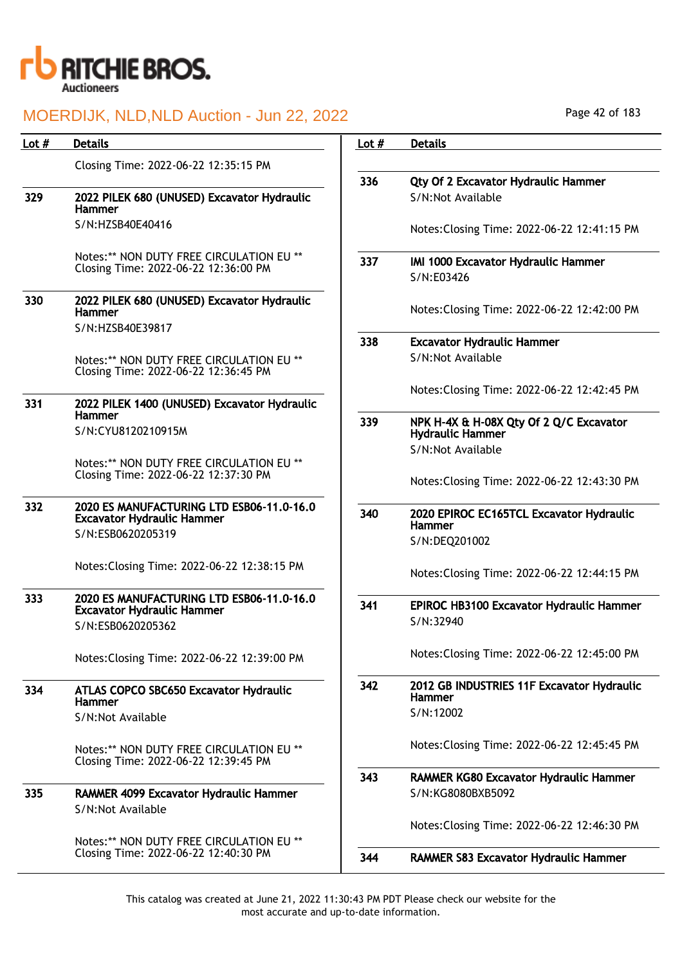

## MOERDIJK, NLD,NLD Auction - Jun 22, 2022

| Lot $#$ | <b>Details</b>                                                                   | Lot $#$ | <b>Details</b>                                                     |
|---------|----------------------------------------------------------------------------------|---------|--------------------------------------------------------------------|
|         | Closing Time: 2022-06-22 12:35:15 PM                                             |         |                                                                    |
| 329     | 2022 PILEK 680 (UNUSED) Excavator Hydraulic<br><b>Hammer</b>                     | 336     | Qty Of 2 Excavator Hydraulic Hammer<br>S/N:Not Available           |
|         | S/N:HZSB40E40416                                                                 |         | Notes: Closing Time: 2022-06-22 12:41:15 PM                        |
|         | Notes:** NON DUTY FREE CIRCULATION EU **<br>Closing Time: 2022-06-22 12:36:00 PM | 337     | IMI 1000 Excavator Hydraulic Hammer<br>S/N:E03426                  |
| 330     | 2022 PILEK 680 (UNUSED) Excavator Hydraulic<br><b>Hammer</b>                     |         | Notes: Closing Time: 2022-06-22 12:42:00 PM                        |
|         | S/N:HZSB40E39817                                                                 |         |                                                                    |
|         | Notes:** NON DUTY FREE CIRCULATION EU **<br>Closing Time: 2022-06-22 12:36:45 PM | 338     | <b>Excavator Hydraulic Hammer</b><br>S/N:Not Available             |
| 331     | 2022 PILEK 1400 (UNUSED) Excavator Hydraulic                                     |         | Notes: Closing Time: 2022-06-22 12:42:45 PM                        |
|         | <b>Hammer</b><br>S/N:CYU8120210915M                                              | 339     | NPK H-4X & H-08X Qty Of 2 Q/C Excavator<br><b>Hydraulic Hammer</b> |
|         |                                                                                  |         | S/N:Not Available                                                  |
|         | Notes:** NON DUTY FREE CIRCULATION EU **<br>Closing Time: 2022-06-22 12:37:30 PM |         | Notes: Closing Time: 2022-06-22 12:43:30 PM                        |
| 332     | 2020 ES MANUFACTURING LTD ESB06-11.0-16.0<br><b>Excavator Hydraulic Hammer</b>   | 340     | 2020 EPIROC EC165TCL Excavator Hydraulic<br><b>Hammer</b>          |
|         | S/N:ESB0620205319                                                                |         | S/N:DEQ201002                                                      |
|         | Notes: Closing Time: 2022-06-22 12:38:15 PM                                      |         | Notes: Closing Time: 2022-06-22 12:44:15 PM                        |
| 333     | 2020 ES MANUFACTURING LTD ESB06-11.0-16.0                                        | 341     | <b>EPIROC HB3100 Excavator Hydraulic Hammer</b>                    |
|         | <b>Excavator Hydraulic Hammer</b><br>S/N:ESB0620205362                           |         | S/N:32940                                                          |
|         | Notes: Closing Time: 2022-06-22 12:39:00 PM                                      |         | Notes: Closing Time: 2022-06-22 12:45:00 PM                        |
| 334     | ATLAS COPCO SBC650 Excavator Hydraulic<br><b>Hammer</b>                          | 342     | 2012 GB INDUSTRIES 11F Excavator Hydraulic<br><b>Hammer</b>        |
|         | S/N:Not Available                                                                |         | S/N:12002                                                          |
|         | Notes:** NON DUTY FREE CIRCULATION EU **<br>Closing Time: 2022-06-22 12:39:45 PM |         | Notes: Closing Time: 2022-06-22 12:45:45 PM                        |
| 335     |                                                                                  | 343     | RAMMER KG80 Excavator Hydraulic Hammer<br>S/N:KG8080BXB5092        |
|         | <b>RAMMER 4099 Excavator Hydraulic Hammer</b><br>S/N:Not Available               |         |                                                                    |
|         |                                                                                  |         | Notes: Closing Time: 2022-06-22 12:46:30 PM                        |
|         | Notes:** NON DUTY FREE CIRCULATION EU **<br>Closing Time: 2022-06-22 12:40:30 PM | 344     | <b>RAMMER S83 Excavator Hydraulic Hammer</b>                       |
|         |                                                                                  |         |                                                                    |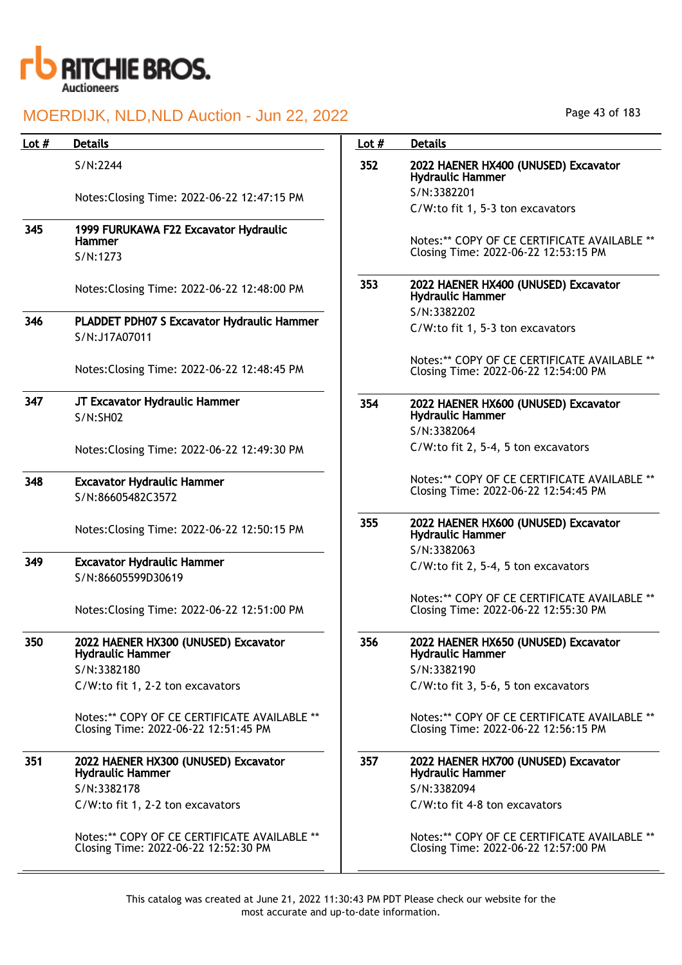

| Lot $#$ | <b>Details</b>                                                                       | Lot $#$ | <b>Details</b>                                                                       |
|---------|--------------------------------------------------------------------------------------|---------|--------------------------------------------------------------------------------------|
|         | S/N:2244                                                                             | 352     | 2022 HAENER HX400 (UNUSED) Excavator<br><b>Hydraulic Hammer</b>                      |
|         | Notes: Closing Time: 2022-06-22 12:47:15 PM                                          |         | S/N:3382201                                                                          |
|         |                                                                                      |         | C/W:to fit 1, 5-3 ton excavators                                                     |
| 345     | 1999 FURUKAWA F22 Excavator Hydraulic<br><b>Hammer</b>                               |         | Notes:** COPY OF CE CERTIFICATE AVAILABLE **<br>Closing Time: 2022-06-22 12:53:15 PM |
|         | S/N:1273                                                                             |         |                                                                                      |
|         | Notes: Closing Time: 2022-06-22 12:48:00 PM                                          | 353     | 2022 HAENER HX400 (UNUSED) Excavator<br><b>Hydraulic Hammer</b>                      |
| 346     |                                                                                      |         | S/N:3382202                                                                          |
|         | PLADDET PDH07 S Excavator Hydraulic Hammer<br>S/N:J17A07011                          |         | C/W:to fit 1, 5-3 ton excavators                                                     |
|         | Notes: Closing Time: 2022-06-22 12:48:45 PM                                          |         | Notes:** COPY OF CE CERTIFICATE AVAILABLE **<br>Closing Time: 2022-06-22 12:54:00 PM |
| 347     | JT Excavator Hydraulic Hammer<br>S/N:SHO2                                            | 354     | 2022 HAENER HX600 (UNUSED) Excavator<br><b>Hydraulic Hammer</b>                      |
|         |                                                                                      |         | S/N:3382064                                                                          |
|         | Notes: Closing Time: 2022-06-22 12:49:30 PM                                          |         | C/W:to fit 2, 5-4, 5 ton excavators                                                  |
| 348     | <b>Excavator Hydraulic Hammer</b><br>S/N:86605482C3572                               |         | Notes:** COPY OF CE CERTIFICATE AVAILABLE **<br>Closing Time: 2022-06-22 12:54:45 PM |
|         | Notes: Closing Time: 2022-06-22 12:50:15 PM                                          | 355     | 2022 HAENER HX600 (UNUSED) Excavator<br><b>Hydraulic Hammer</b>                      |
|         |                                                                                      |         | S/N:3382063                                                                          |
| 349     | <b>Excavator Hydraulic Hammer</b><br>S/N:86605599D30619                              |         | C/W:to fit 2, 5-4, 5 ton excavators                                                  |
|         | Notes: Closing Time: 2022-06-22 12:51:00 PM                                          |         | Notes:** COPY OF CE CERTIFICATE AVAILABLE **<br>Closing Time: 2022-06-22 12:55:30 PM |
| 350     | 2022 HAENER HX300 (UNUSED) Excavator<br><b>Hydraulic Hammer</b>                      | 356     | 2022 HAENER HX650 (UNUSED) Excavator<br><b>Hydraulic Hammer</b>                      |
|         | S/N:3382180                                                                          |         | S/N:3382190                                                                          |
|         | C/W:to fit 1, 2-2 ton excavators                                                     |         | C/W:to fit 3, 5-6, 5 ton excavators                                                  |
|         | Notes:** COPY OF CE CERTIFICATE AVAILABLE **<br>Closing Time: 2022-06-22 12:51:45 PM |         | Notes:** COPY OF CE CERTIFICATE AVAILABLE **<br>Closing Time: 2022-06-22 12:56:15 PM |
| 351     | 2022 HAENER HX300 (UNUSED) Excavator<br><b>Hydraulic Hammer</b>                      | 357     | 2022 HAENER HX700 (UNUSED) Excavator<br><b>Hydraulic Hammer</b>                      |
|         | S/N:3382178                                                                          |         | S/N:3382094                                                                          |
|         | C/W:to fit 1, 2-2 ton excavators                                                     |         | C/W:to fit 4-8 ton excavators                                                        |
|         | Notes:** COPY OF CE CERTIFICATE AVAILABLE **<br>Closing Time: 2022-06-22 12:52:30 PM |         | Notes:** COPY OF CE CERTIFICATE AVAILABLE **<br>Closing Time: 2022-06-22 12:57:00 PM |

Page 43 of 183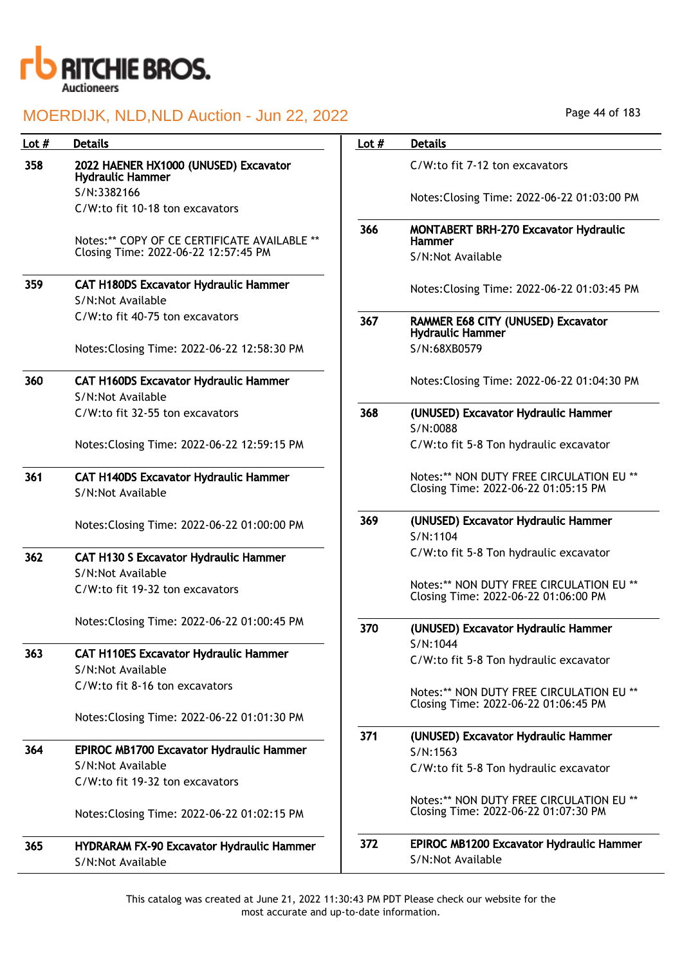

| Lot $#$ | <b>Details</b>                                                                       | Lot $#$ | <b>Details</b>                                                                   |
|---------|--------------------------------------------------------------------------------------|---------|----------------------------------------------------------------------------------|
| 358     | 2022 HAENER HX1000 (UNUSED) Excavator<br><b>Hydraulic Hammer</b>                     |         | C/W:to fit 7-12 ton excavators                                                   |
|         | S/N:3382166                                                                          |         | Notes: Closing Time: 2022-06-22 01:03:00 PM                                      |
|         | C/W:to fit 10-18 ton excavators                                                      |         |                                                                                  |
|         | Notes:** COPY OF CE CERTIFICATE AVAILABLE **<br>Closing Time: 2022-06-22 12:57:45 PM | 366     | MONTABERT BRH-270 Excavator Hydraulic<br>Hammer                                  |
|         |                                                                                      |         | S/N:Not Available                                                                |
| 359     | <b>CAT H180DS Excavator Hydraulic Hammer</b>                                         |         |                                                                                  |
|         | S/N:Not Available                                                                    |         | Notes: Closing Time: 2022-06-22 01:03:45 PM                                      |
|         | C/W:to fit 40-75 ton excavators                                                      | 367     | <b>RAMMER E68 CITY (UNUSED) Excavator</b><br><b>Hydraulic Hammer</b>             |
|         | Notes: Closing Time: 2022-06-22 12:58:30 PM                                          |         | S/N:68XB0579                                                                     |
| 360     | <b>CAT H160DS Excavator Hydraulic Hammer</b><br>S/N:Not Available                    |         | Notes: Closing Time: 2022-06-22 01:04:30 PM                                      |
|         | C/W:to fit 32-55 ton excavators                                                      | 368     | (UNUSED) Excavator Hydraulic Hammer<br>S/N:0088                                  |
|         | Notes: Closing Time: 2022-06-22 12:59:15 PM                                          |         | C/W:to fit 5-8 Ton hydraulic excavator                                           |
| 361     | <b>CAT H140DS Excavator Hydraulic Hammer</b>                                         |         | Notes:** NON DUTY FREE CIRCULATION EU **<br>Closing Time: 2022-06-22 01:05:15 PM |
|         | S/N:Not Available                                                                    |         |                                                                                  |
|         | Notes: Closing Time: 2022-06-22 01:00:00 PM                                          | 369     | (UNUSED) Excavator Hydraulic Hammer<br>S/N:1104                                  |
| 362     | <b>CAT H130 S Excavator Hydraulic Hammer</b>                                         |         | C/W:to fit 5-8 Ton hydraulic excavator                                           |
|         | S/N:Not Available                                                                    |         |                                                                                  |
|         | C/W:to fit 19-32 ton excavators                                                      |         | Notes:** NON DUTY FREE CIRCULATION EU **<br>Closing Time: 2022-06-22 01:06:00 PM |
|         | Notes: Closing Time: 2022-06-22 01:00:45 PM                                          | 370     | (UNUSED) Excavator Hydraulic Hammer                                              |
| 363     | <b>CAT H110ES Excavator Hydraulic Hammer</b>                                         |         | S/N:1044<br>C/W:to fit 5-8 Ton hydraulic excavator                               |
|         | S/N:Not Available                                                                    |         |                                                                                  |
|         | C/W:to fit 8-16 ton excavators                                                       |         | Notes:** NON DUTY FREE CIRCULATION EU **                                         |
|         |                                                                                      |         | Closing Time: 2022-06-22 01:06:45 PM                                             |
|         | Notes: Closing Time: 2022-06-22 01:01:30 PM                                          |         |                                                                                  |
|         |                                                                                      | 371     | (UNUSED) Excavator Hydraulic Hammer                                              |
| 364     | EPIROC MB1700 Excavator Hydraulic Hammer<br>S/N:Not Available                        |         | S/N:1563                                                                         |
|         | C/W:to fit 19-32 ton excavators                                                      |         | C/W:to fit 5-8 Ton hydraulic excavator                                           |
|         |                                                                                      |         |                                                                                  |
|         | Notes: Closing Time: 2022-06-22 01:02:15 PM                                          |         | Notes:** NON DUTY FREE CIRCULATION EU **<br>Closing Time: 2022-06-22 01:07:30 PM |
| 365     | HYDRARAM FX-90 Excavator Hydraulic Hammer                                            | 372     | EPIROC MB1200 Excavator Hydraulic Hammer                                         |
|         | S/N:Not Available                                                                    |         | S/N:Not Available                                                                |

Page 44 of 183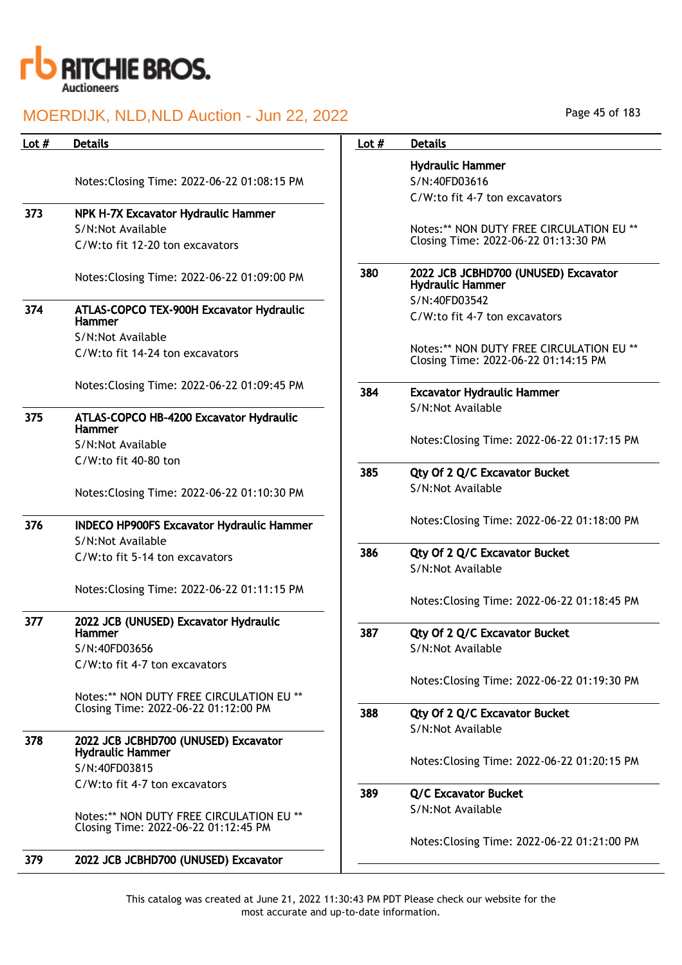

| Lot $#$ | <b>Details</b>                                                  | Lot $#$ | <b>Details</b>                                               |
|---------|-----------------------------------------------------------------|---------|--------------------------------------------------------------|
|         |                                                                 |         | <b>Hydraulic Hammer</b>                                      |
|         | Notes: Closing Time: 2022-06-22 01:08:15 PM                     |         | S/N:40FD03616                                                |
|         |                                                                 |         | C/W:to fit 4-7 ton excavators                                |
| 373     | NPK H-7X Excavator Hydraulic Hammer                             |         |                                                              |
|         | S/N:Not Available                                               |         | Notes:** NON DUTY FREE CIRC                                  |
|         | C/W:to fit 12-20 ton excavators                                 |         | Closing Time: 2022-06-22 01:1                                |
|         | Notes: Closing Time: 2022-06-22 01:09:00 PM                     | 380     | 2022 JCB JCBHD700 (UNUSED)<br><b>Hydraulic Hammer</b>        |
| 374     | ATLAS-COPCO TEX-900H Excavator Hydraulic                        |         | S/N:40FD03542                                                |
|         | <b>Hammer</b>                                                   |         | C/W:to fit 4-7 ton excavators                                |
|         | S/N:Not Available                                               |         |                                                              |
|         | C/W:to fit 14-24 ton excavators                                 |         | Notes:** NON DUTY FREE CIRC<br>Closing Time: 2022-06-22 01:1 |
|         | Notes: Closing Time: 2022-06-22 01:09:45 PM                     |         |                                                              |
|         |                                                                 | 384     | <b>Excavator Hydraulic Hammer</b>                            |
| 375     | ATLAS-COPCO HB-4200 Excavator Hydraulic<br><b>Hammer</b>        |         | S/N:Not Available                                            |
|         | S/N:Not Available                                               |         | Notes: Closing Time: 2022-06-2                               |
|         | C/W:to fit 40-80 ton                                            |         |                                                              |
|         |                                                                 | 385     | Qty Of 2 Q/C Excavator Bucke                                 |
|         | Notes: Closing Time: 2022-06-22 01:10:30 PM                     |         | S/N:Not Available                                            |
| 376     | <b>INDECO HP900FS Excavator Hydraulic Hammer</b>                |         | Notes: Closing Time: 2022-06-2                               |
|         | S/N:Not Available                                               |         |                                                              |
|         | C/W:to fit 5-14 ton excavators                                  | 386     | Qty Of 2 Q/C Excavator Bucke                                 |
|         |                                                                 |         | S/N:Not Available                                            |
|         | Notes: Closing Time: 2022-06-22 01:11:15 PM                     |         |                                                              |
|         |                                                                 |         | Notes: Closing Time: 2022-06-2                               |
| 377     | 2022 JCB (UNUSED) Excavator Hydraulic<br><b>Hammer</b>          | 387     | Qty Of 2 Q/C Excavator Bucke                                 |
|         | S/N:40FD03656                                                   |         | S/N:Not Available                                            |
|         | C/W:to fit 4-7 ton excavators                                   |         |                                                              |
|         |                                                                 |         | Notes: Closing Time: 2022-06-2                               |
|         | Notes:** NON DUTY FREE CIRCULATION EU **                        |         |                                                              |
|         | Closing Time: 2022-06-22 01:12:00 PM                            | 388     | Qty Of 2 Q/C Excavator Bucke                                 |
|         |                                                                 |         | S/N:Not Available                                            |
| 378     | 2022 JCB JCBHD700 (UNUSED) Excavator<br><b>Hydraulic Hammer</b> |         |                                                              |
|         | S/N:40FD03815                                                   |         | Notes: Closing Time: 2022-06-2                               |
|         | C/W:to fit 4-7 ton excavators                                   |         |                                                              |
|         |                                                                 | 389     | <b>Q/C Excavator Bucket</b>                                  |
|         | Notes:** NON DUTY FREE CIRCULATION EU **                        |         | S/N:Not Available                                            |
|         | Closing Time: 2022-06-22 01:12:45 PM                            |         |                                                              |
|         |                                                                 |         | Notes: Closing Time: 2022-06-2                               |
| 379     | 2022 JCB JCBHD700 (UNUSED) Excavator                            |         |                                                              |
|         |                                                                 |         |                                                              |

# aulic Hammer 40FD03616

s:\*\* NON DUTY FREE CIRCULATION EU \*\* ng Time: 2022-06-22 01:13:30 PM JCB JCBHD700 (UNUSED) Excavator aulic Hammer S/N:40FD03542 to fit 4-7 ton excavators s: \*\* NON DUTY FREE CIRCULATION EU \*\* ng Time: 2022-06-22 01:14:15 PM

s:Closing Time: 2022-06-22 01:17:15 PM

| 385 | Qty Of 2 Q/C Excavator Bucket |  |  |
|-----|-------------------------------|--|--|
|     | S/N:Not Available             |  |  |

s:Closing Time: 2022-06-22 01:18:00 PM

## Of 2 Q/C Excavator Bucket **Not Available**

s:Closing Time: 2022-06-22 01:18:45 PM

- Of 2 Q/C Excavator Bucket Not Available s:Closing Time: 2022-06-22 01:19:30 PM Of 2 Q/C Excavator Bucket Not Available s:Closing Time: 2022-06-22 01:20:15 PM **Excavator Bucket** 
	- Not Available

s:Closing Time: 2022-06-22 01:21:00 PM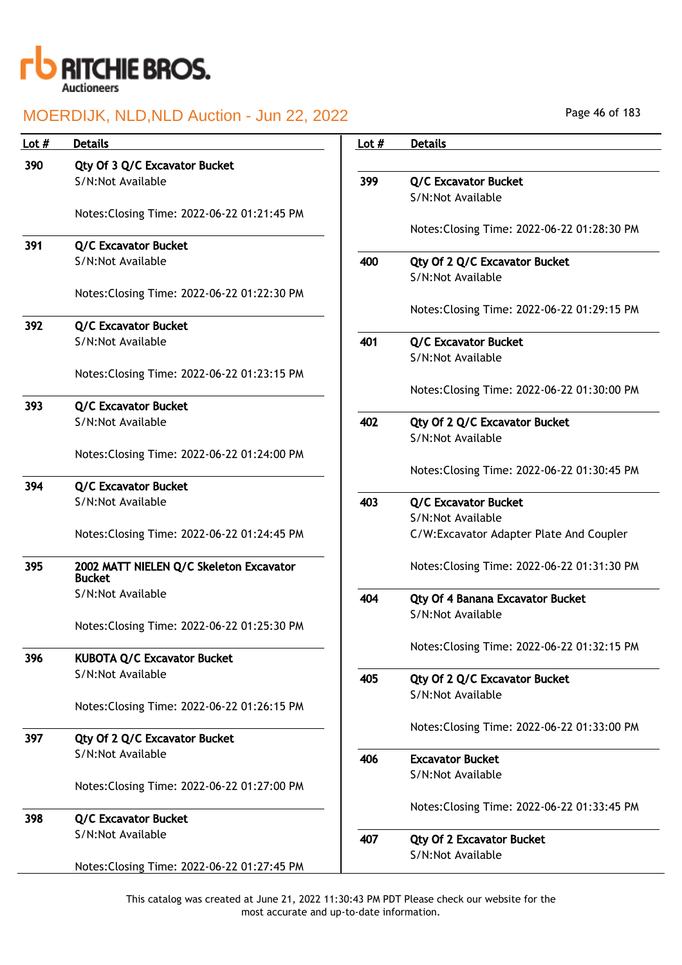

| Lot $#$ | <b>Details</b>                              | Lot $#$ | <b>Details</b>                              |
|---------|---------------------------------------------|---------|---------------------------------------------|
| 390     | Qty Of 3 Q/C Excavator Bucket               |         |                                             |
|         | S/N:Not Available                           | 399     | <b>Q/C Excavator Bucket</b>                 |
|         |                                             |         | S/N:Not Available                           |
|         | Notes: Closing Time: 2022-06-22 01:21:45 PM |         |                                             |
|         |                                             |         | Notes: Closing Time: 2022-06-22 01:28:30 PM |
| 391     | <b>Q/C Excavator Bucket</b>                 |         |                                             |
|         | S/N:Not Available                           | 400     | Qty Of 2 Q/C Excavator Bucket               |
|         |                                             |         | S/N:Not Available                           |
|         | Notes: Closing Time: 2022-06-22 01:22:30 PM |         |                                             |
|         |                                             |         | Notes: Closing Time: 2022-06-22 01:29:15 PM |
| 392     | <b>Q/C Excavator Bucket</b>                 |         |                                             |
|         | S/N:Not Available                           | 401     | <b>Q/C Excavator Bucket</b>                 |
|         |                                             |         | S/N:Not Available                           |
|         | Notes: Closing Time: 2022-06-22 01:23:15 PM |         | Notes: Closing Time: 2022-06-22 01:30:00 PM |
| 393     | <b>Q/C Excavator Bucket</b>                 |         |                                             |
|         | S/N:Not Available                           | 402     | Qty Of 2 Q/C Excavator Bucket               |
|         |                                             |         | S/N:Not Available                           |
|         | Notes: Closing Time: 2022-06-22 01:24:00 PM |         |                                             |
|         |                                             |         | Notes: Closing Time: 2022-06-22 01:30:45 PM |
| 394     | <b>Q/C Excavator Bucket</b>                 |         |                                             |
|         | S/N:Not Available                           | 403     | Q/C Excavator Bucket                        |
|         |                                             |         | S/N:Not Available                           |
|         | Notes: Closing Time: 2022-06-22 01:24:45 PM |         | C/W:Excavator Adapter Plate And Coupler     |
|         |                                             |         |                                             |
| 395     | 2002 MATT NIELEN Q/C Skeleton Excavator     |         | Notes: Closing Time: 2022-06-22 01:31:30 PM |
|         | <b>Bucket</b>                               |         |                                             |
|         | S/N:Not Available                           | 404     | Qty Of 4 Banana Excavator Bucket            |
|         |                                             |         | S/N:Not Available                           |
|         | Notes: Closing Time: 2022-06-22 01:25:30 PM |         |                                             |
| 396     | <b>KUBOTA Q/C Excavator Bucket</b>          |         | Notes: Closing Time: 2022-06-22 01:32:15 PM |
|         | S/N:Not Available                           |         |                                             |
|         |                                             | 405     | Qty Of 2 Q/C Excavator Bucket               |
|         | Notes: Closing Time: 2022-06-22 01:26:15 PM |         | S/N:Not Available                           |
|         |                                             |         |                                             |
| 397     | Qty Of 2 Q/C Excavator Bucket               |         | Notes: Closing Time: 2022-06-22 01:33:00 PM |
|         | S/N:Not Available                           | 406     | <b>Excavator Bucket</b>                     |
|         |                                             |         | S/N:Not Available                           |
|         | Notes: Closing Time: 2022-06-22 01:27:00 PM |         |                                             |
|         |                                             |         | Notes: Closing Time: 2022-06-22 01:33:45 PM |
| 398     | Q/C Excavator Bucket                        |         |                                             |
|         | S/N:Not Available                           | 407     | <b>Qty Of 2 Excavator Bucket</b>            |
|         |                                             |         | S/N:Not Available                           |
|         | Notes: Closing Time: 2022-06-22 01:27:45 PM |         |                                             |

Page 46 of 183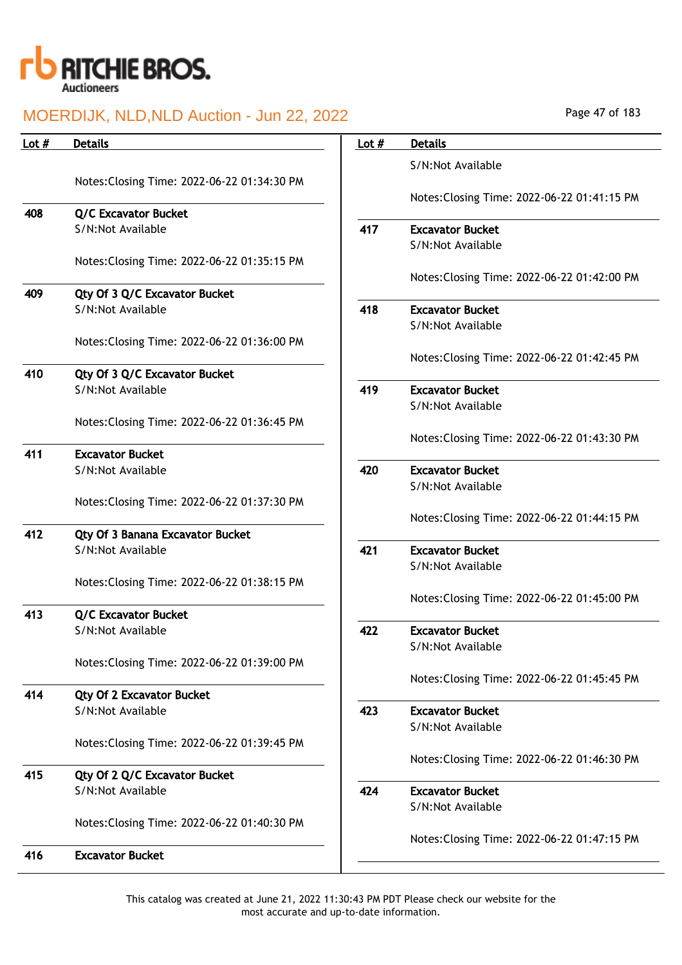

| Lot $#$ | <b>Details</b>                                     | Lot $#$ | <b>Details</b> |
|---------|----------------------------------------------------|---------|----------------|
|         |                                                    |         | S/N:No         |
|         | Notes: Closing Time: 2022-06-22 01:34:30 PM        |         | Notes:         |
| 408     | <b>Q/C Excavator Bucket</b>                        |         |                |
|         | S/N:Not Available                                  | 417     | Excava         |
|         | Notes: Closing Time: 2022-06-22 01:35:15 PM        |         | S/N:No         |
|         |                                                    |         | Notes:         |
| 409     | Qty Of 3 Q/C Excavator Bucket<br>S/N:Not Available | 418     | <b>Excava</b>  |
|         |                                                    |         | S/N:No         |
|         | Notes: Closing Time: 2022-06-22 01:36:00 PM        |         |                |
| 410     | Qty Of 3 Q/C Excavator Bucket                      |         | Notes:         |
|         | S/N:Not Available                                  | 419     | <b>Excava</b>  |
|         |                                                    |         | S/N:No         |
|         | Notes: Closing Time: 2022-06-22 01:36:45 PM        |         | Notes:         |
| 411     | <b>Excavator Bucket</b>                            |         |                |
|         | S/N:Not Available                                  | 420     | <b>Excava</b>  |
|         |                                                    |         | S/N:No         |
|         | Notes: Closing Time: 2022-06-22 01:37:30 PM        |         | Notes:         |
| 412     | <b>Qty Of 3 Banana Excavator Bucket</b>            |         |                |
|         | S/N:Not Available                                  | 421     | <b>Excava</b>  |
|         |                                                    |         | S/N:No         |
|         | Notes: Closing Time: 2022-06-22 01:38:15 PM        |         | Notes:         |
| 413     | <b>Q/C Excavator Bucket</b>                        |         |                |
|         | S/N:Not Available                                  | 422     | <b>Excava</b>  |
|         | Notes: Closing Time: 2022-06-22 01:39:00 PM        |         | S/N:No         |
|         |                                                    |         | Notes:         |
| 414     | <b>Qty Of 2 Excavator Bucket</b>                   |         |                |
|         | S/N:Not Available                                  | 423     | Excava         |
|         |                                                    |         | S/N:No         |
|         | Notes: Closing Time: 2022-06-22 01:39:45 PM        |         | Notes:         |
| 415     | Qty Of 2 Q/C Excavator Bucket                      |         |                |
|         | S/N:Not Available                                  | 424     | <b>Excava</b>  |
|         |                                                    |         | S/N:No         |
|         | Notes: Closing Time: 2022-06-22 01:40:30 PM        |         | Notes:         |
| 416     | <b>Excavator Bucket</b>                            |         |                |
|         |                                                    |         |                |

| Lot $#$ | <b>Details</b>                               |
|---------|----------------------------------------------|
|         | S/N:Not Available                            |
|         | Notes: Closing Time: 2022-06-22 01:41:15 PM  |
| 417     | <b>Excavator Bucket</b><br>S/N:Not Available |
|         |                                              |
|         | Notes: Closing Time: 2022-06-22 01:42:00 PM  |
| 418     | <b>Excavator Bucket</b>                      |
|         | S/N:Not Available                            |
|         |                                              |
|         | Notes: Closing Time: 2022-06-22 01:42:45 PM  |
| 419     | <b>Excavator Bucket</b>                      |
|         | S/N:Not Available                            |
|         |                                              |
|         | Notes: Closing Time: 2022-06-22 01:43:30 PM  |
| 420     | <b>Excavator Bucket</b>                      |
|         | S/N:Not Available                            |
|         |                                              |
|         | Notes: Closing Time: 2022-06-22 01:44:15 PM  |
| 421     | <b>Excavator Bucket</b>                      |
|         | S/N:Not Available                            |
|         |                                              |
|         | Notes: Closing Time: 2022-06-22 01:45:00 PM  |
| 422     | <b>Excavator Bucket</b>                      |
|         | S/N:Not Available                            |
|         |                                              |
|         | Notes: Closing Time: 2022-06-22 01:45:45 PM  |
| 423     | <b>Excavator Bucket</b>                      |
|         | S/N:Not Available                            |
|         |                                              |
|         | Notes: Closing Time: 2022-06-22 01:46:30 PM  |
| 424     | <b>Excavator Bucket</b>                      |
|         | S/N:Not Available                            |
|         |                                              |
|         | Notes: Closing Time: 2022-06-22 01:47:15 PM  |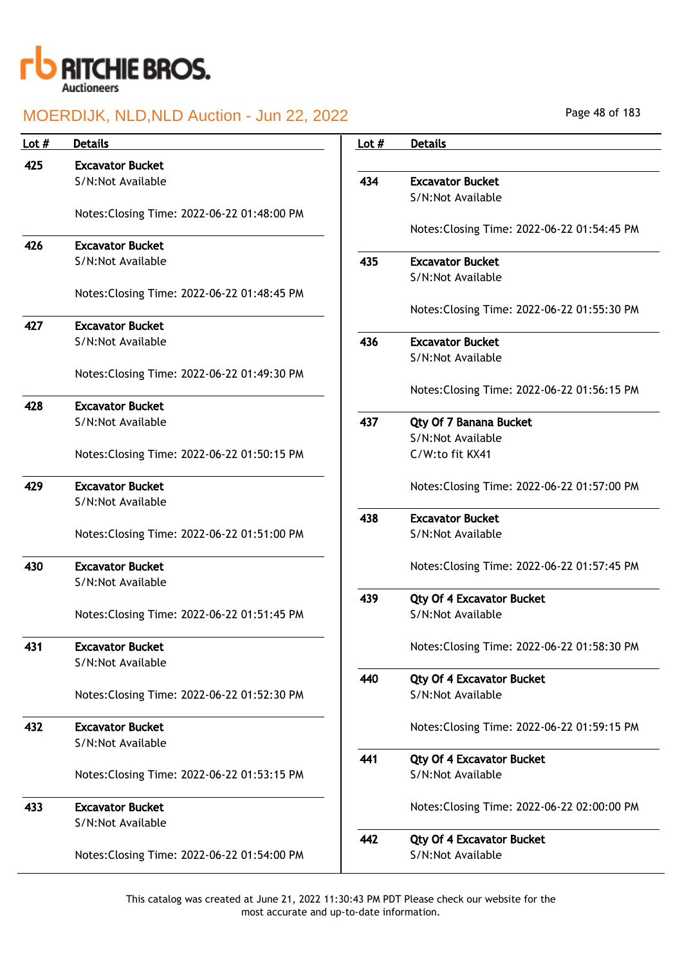

| Lot $#$ | <b>Details</b>                              | Lot $#$ | <b>Details</b>                              |
|---------|---------------------------------------------|---------|---------------------------------------------|
| 425     | <b>Excavator Bucket</b>                     |         |                                             |
|         | S/N:Not Available                           | 434     | <b>Excavator Bucket</b>                     |
|         |                                             |         | S/N:Not Available                           |
|         | Notes: Closing Time: 2022-06-22 01:48:00 PM |         |                                             |
|         |                                             |         | Notes: Closing Time: 2022-06-22 01:54:45 PM |
| 426     | <b>Excavator Bucket</b>                     |         |                                             |
|         | S/N:Not Available                           | 435     | <b>Excavator Bucket</b>                     |
|         | Notes: Closing Time: 2022-06-22 01:48:45 PM |         | S/N:Not Available                           |
|         |                                             |         | Notes: Closing Time: 2022-06-22 01:55:30 PM |
| 427     | <b>Excavator Bucket</b>                     |         |                                             |
|         | S/N:Not Available                           | 436     | <b>Excavator Bucket</b>                     |
|         |                                             |         | S/N:Not Available                           |
|         | Notes: Closing Time: 2022-06-22 01:49:30 PM |         |                                             |
|         |                                             |         | Notes: Closing Time: 2022-06-22 01:56:15 PM |
| 428     | <b>Excavator Bucket</b>                     |         |                                             |
|         | S/N:Not Available                           | 437     | Qty Of 7 Banana Bucket                      |
|         |                                             |         | S/N:Not Available                           |
|         | Notes: Closing Time: 2022-06-22 01:50:15 PM |         | C/W:to fit KX41                             |
| 429     | <b>Excavator Bucket</b>                     |         | Notes: Closing Time: 2022-06-22 01:57:00 PM |
|         | S/N:Not Available                           |         |                                             |
|         |                                             | 438     | <b>Excavator Bucket</b>                     |
|         | Notes: Closing Time: 2022-06-22 01:51:00 PM |         | S/N:Not Available                           |
|         |                                             |         |                                             |
| 430     | <b>Excavator Bucket</b>                     |         | Notes: Closing Time: 2022-06-22 01:57:45 PM |
|         | S/N:Not Available                           |         |                                             |
|         |                                             | 439     | <b>Qty Of 4 Excavator Bucket</b>            |
|         | Notes: Closing Time: 2022-06-22 01:51:45 PM |         | S/N:Not Available                           |
| 431     | <b>Excavator Bucket</b>                     |         | Notes: Closing Time: 2022-06-22 01:58:30 PM |
|         | S/N:Not Available                           |         |                                             |
|         |                                             | 440     | <b>Qty Of 4 Excavator Bucket</b>            |
|         | Notes: Closing Time: 2022-06-22 01:52:30 PM |         | S/N:Not Available                           |
|         |                                             |         |                                             |
| 432     | <b>Excavator Bucket</b>                     |         | Notes: Closing Time: 2022-06-22 01:59:15 PM |
|         | S/N:Not Available                           |         |                                             |
|         |                                             | 441     | <b>Qty Of 4 Excavator Bucket</b>            |
|         | Notes: Closing Time: 2022-06-22 01:53:15 PM |         | S/N:Not Available                           |
| 433     | <b>Excavator Bucket</b>                     |         |                                             |
|         | S/N:Not Available                           |         | Notes: Closing Time: 2022-06-22 02:00:00 PM |
|         |                                             | 442     | <b>Qty Of 4 Excavator Bucket</b>            |
|         | Notes: Closing Time: 2022-06-22 01:54:00 PM |         | S/N:Not Available                           |
|         |                                             |         |                                             |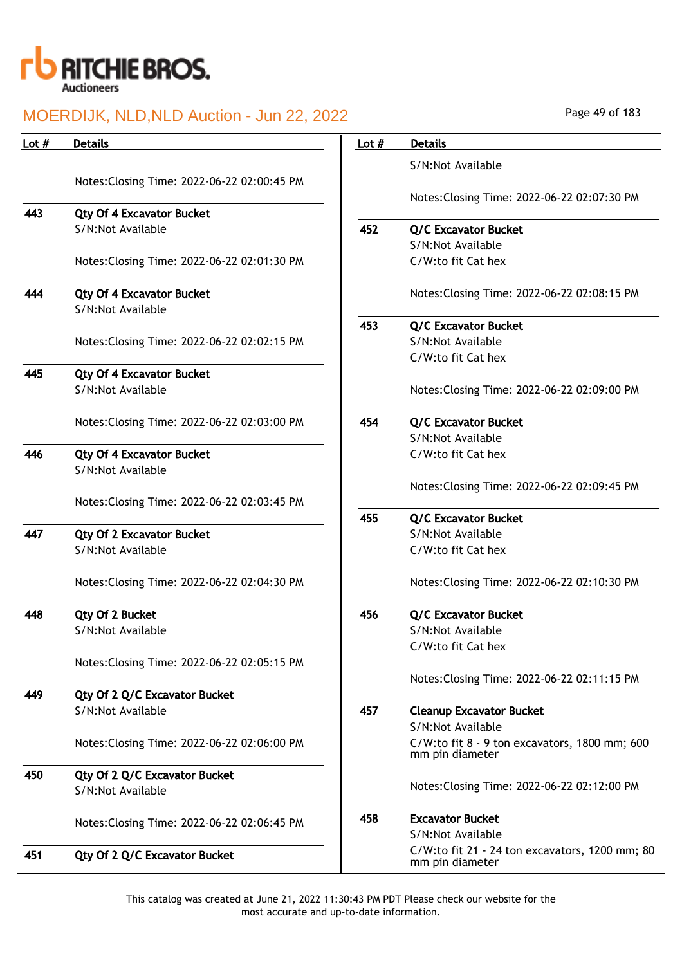

| Lot $#$ | <b>Details</b>                                        | Lot $#$ | <b>Details</b>                                                   |
|---------|-------------------------------------------------------|---------|------------------------------------------------------------------|
|         |                                                       |         | S/N:Not Available                                                |
|         | Notes: Closing Time: 2022-06-22 02:00:45 PM           |         |                                                                  |
|         |                                                       |         | Notes: Closing Time: 2022-06-22 02:07:30 PM                      |
| 443     | <b>Qty Of 4 Excavator Bucket</b>                      |         |                                                                  |
|         | S/N:Not Available                                     | 452     | <b>Q/C Excavator Bucket</b>                                      |
|         |                                                       |         | S/N:Not Available                                                |
|         | Notes: Closing Time: 2022-06-22 02:01:30 PM           |         | C/W:to fit Cat hex                                               |
| 444     | <b>Qty Of 4 Excavator Bucket</b>                      |         | Notes: Closing Time: 2022-06-22 02:08:15 PM                      |
|         | S/N:Not Available                                     |         |                                                                  |
|         |                                                       | 453     | <b>Q/C Excavator Bucket</b>                                      |
|         | Notes: Closing Time: 2022-06-22 02:02:15 PM           |         | S/N:Not Available                                                |
|         |                                                       |         | C/W:to fit Cat hex                                               |
| 445     | Qty Of 4 Excavator Bucket                             |         |                                                                  |
|         | S/N:Not Available                                     |         | Notes: Closing Time: 2022-06-22 02:09:00 PM                      |
|         | Notes: Closing Time: 2022-06-22 02:03:00 PM           | 454     | <b>Q/C Excavator Bucket</b>                                      |
|         |                                                       |         | S/N:Not Available                                                |
| 446     | Qty Of 4 Excavator Bucket                             |         | C/W:to fit Cat hex                                               |
|         | S/N:Not Available                                     |         |                                                                  |
|         |                                                       |         | Notes: Closing Time: 2022-06-22 02:09:45 PM                      |
|         | Notes: Closing Time: 2022-06-22 02:03:45 PM           |         |                                                                  |
| 447     |                                                       | 455     | <b>Q/C Excavator Bucket</b><br>S/N:Not Available                 |
|         | <b>Qty Of 2 Excavator Bucket</b><br>S/N:Not Available |         | C/W:to fit Cat hex                                               |
|         |                                                       |         |                                                                  |
|         | Notes: Closing Time: 2022-06-22 02:04:30 PM           |         | Notes: Closing Time: 2022-06-22 02:10:30 PM                      |
| 448     | Qty Of 2 Bucket                                       | 456     | <b>Q/C Excavator Bucket</b>                                      |
|         | S/N:Not Available                                     |         | S/N:Not Available                                                |
|         |                                                       |         | C/W:to fit Cat hex                                               |
|         | Notes: Closing Time: 2022-06-22 02:05:15 PM           |         |                                                                  |
|         |                                                       |         | Notes: Closing Time: 2022-06-22 02:11:15 PM                      |
| 449     | Qty Of 2 Q/C Excavator Bucket                         |         |                                                                  |
|         | S/N:Not Available                                     | 457     | <b>Cleanup Excavator Bucket</b>                                  |
|         |                                                       |         | S/N:Not Available                                                |
|         | Notes: Closing Time: 2022-06-22 02:06:00 PM           |         | C/W:to fit 8 - 9 ton excavators, 1800 mm; 600<br>mm pin diameter |
| 450     | Qty Of 2 Q/C Excavator Bucket                         |         |                                                                  |
|         | S/N:Not Available                                     |         | Notes: Closing Time: 2022-06-22 02:12:00 PM                      |
|         |                                                       | 458     | <b>Excavator Bucket</b>                                          |
|         | Notes: Closing Time: 2022-06-22 02:06:45 PM           |         | S/N:Not Available                                                |
| 451     |                                                       |         | C/W:to fit 21 - 24 ton excavators, 1200 mm; 80                   |
|         | Qty Of 2 Q/C Excavator Bucket                         |         | mm pin diameter                                                  |

Page 49 of 183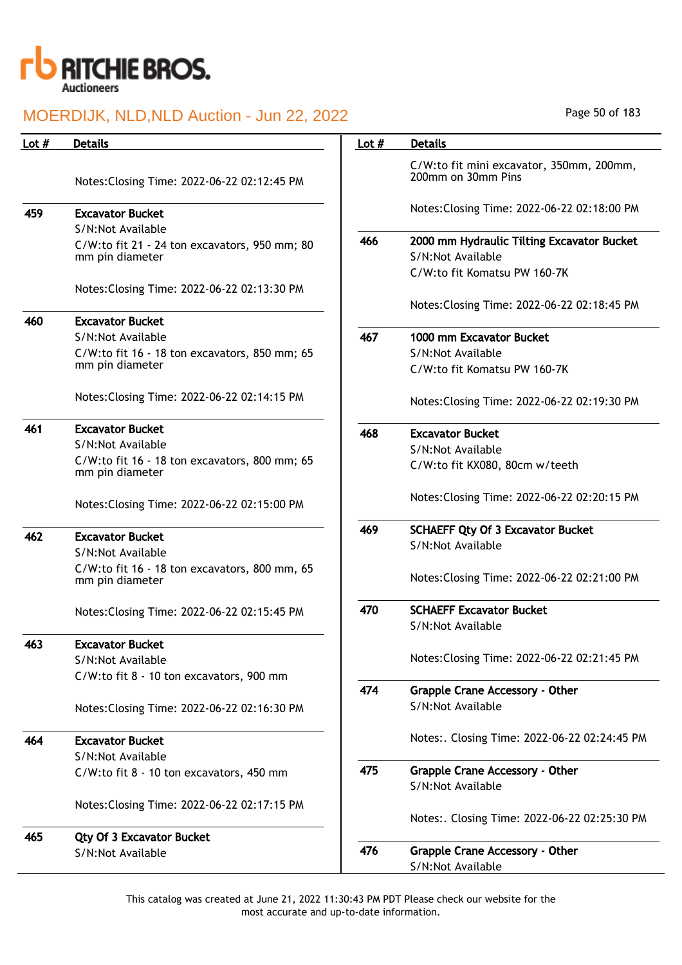

| Lot $#$ | <b>Details</b>                                                                        | Lot $#$ | <b>Details</b>                                                              |
|---------|---------------------------------------------------------------------------------------|---------|-----------------------------------------------------------------------------|
|         | Notes: Closing Time: 2022-06-22 02:12:45 PM                                           |         | C/W:to fit mini excavator, 350mm, 200mm,<br>200mm on 30mm Pins              |
| 459     | <b>Excavator Bucket</b>                                                               |         | Notes: Closing Time: 2022-06-22 02:18:00 PM                                 |
|         | S/N:Not Available<br>C/W:to fit 21 - 24 ton excavators, 950 mm; 80<br>mm pin diameter | 466     | 2000 mm Hydraulic Tilting Excavator Bucket<br>S/N:Not Available             |
|         | Notes: Closing Time: 2022-06-22 02:13:30 PM                                           |         | C/W:to fit Komatsu PW 160-7K<br>Notes: Closing Time: 2022-06-22 02:18:45 PM |
| 460     | <b>Excavator Bucket</b>                                                               |         |                                                                             |
|         | S/N:Not Available                                                                     | 467     | 1000 mm Excavator Bucket                                                    |
|         | C/W:to fit 16 - 18 ton excavators, 850 mm; 65                                         |         | S/N:Not Available                                                           |
|         | mm pin diameter                                                                       |         | C/W:to fit Komatsu PW 160-7K                                                |
|         | Notes: Closing Time: 2022-06-22 02:14:15 PM                                           |         | Notes: Closing Time: 2022-06-22 02:19:30 PM                                 |
| 461     | <b>Excavator Bucket</b>                                                               | 468     | <b>Excavator Bucket</b>                                                     |
|         | S/N:Not Available                                                                     |         | S/N:Not Available                                                           |
|         | C/W:to fit 16 - 18 ton excavators, 800 mm; 65<br>mm pin diameter                      |         | C/W:to fit KX080, 80cm w/teeth                                              |
|         | Notes: Closing Time: 2022-06-22 02:15:00 PM                                           |         | Notes: Closing Time: 2022-06-22 02:20:15 PM                                 |
| 462     | <b>Excavator Bucket</b>                                                               | 469     | <b>SCHAEFF Qty Of 3 Excavator Bucket</b>                                    |
|         | S/N:Not Available                                                                     |         | S/N:Not Available                                                           |
|         | C/W:to fit 16 - 18 ton excavators, 800 mm, 65<br>mm pin diameter                      |         | Notes: Closing Time: 2022-06-22 02:21:00 PM                                 |
|         | Notes: Closing Time: 2022-06-22 02:15:45 PM                                           | 470     | <b>SCHAEFF Excavator Bucket</b>                                             |
|         |                                                                                       |         | S/N:Not Available                                                           |
| 463     | <b>Excavator Bucket</b>                                                               |         |                                                                             |
|         | S/N:Not Available                                                                     |         | Notes: Closing Time: 2022-06-22 02:21:45 PM                                 |
|         | C/W:to fit 8 - 10 ton excavators, 900 mm                                              | 474     |                                                                             |
|         | Notes: Closing Time: 2022-06-22 02:16:30 PM                                           |         | Grapple Crane Accessory - Other<br>S/N:Not Available                        |
| 464     | <b>Excavator Bucket</b>                                                               |         | Notes:. Closing Time: 2022-06-22 02:24:45 PM                                |
|         | S/N:Not Available                                                                     |         |                                                                             |
|         | C/W:to fit 8 - 10 ton excavators, 450 mm                                              | 475     | <b>Grapple Crane Accessory - Other</b>                                      |
|         |                                                                                       |         | S/N:Not Available                                                           |
|         | Notes: Closing Time: 2022-06-22 02:17:15 PM                                           |         | Notes:. Closing Time: 2022-06-22 02:25:30 PM                                |
| 465     | <b>Qty Of 3 Excavator Bucket</b>                                                      |         |                                                                             |
|         | S/N:Not Available                                                                     | 476     | <b>Grapple Crane Accessory - Other</b><br>S/N:Not Available                 |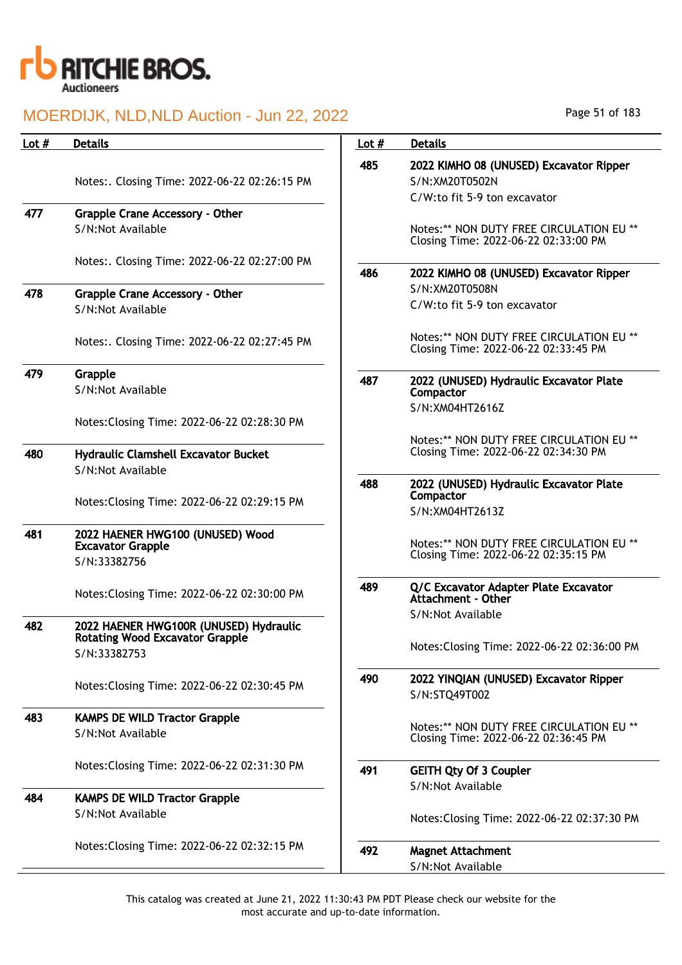

| Lot $#$ | <b>Details</b>                                                            | Lot $#$ | <b>Details</b>                                                                            |
|---------|---------------------------------------------------------------------------|---------|-------------------------------------------------------------------------------------------|
|         | Notes:. Closing Time: 2022-06-22 02:26:15 PM                              | 485     | 2022 KIMHO 08 (UNUSED) Excavator Ripper<br>S/N:XM20T0502N<br>C/W:to fit 5-9 ton excavator |
| 477     | Grapple Crane Accessory - Other                                           |         |                                                                                           |
|         | S/N:Not Available                                                         |         | Notes:** NON DUTY FREE CIRCULATION EU **<br>Closing Time: 2022-06-22 02:33:00 PM          |
|         | Notes:. Closing Time: 2022-06-22 02:27:00 PM                              | 486     | 2022 KIMHO 08 (UNUSED) Excavator Ripper                                                   |
| 478     | <b>Grapple Crane Accessory - Other</b><br>S/N:Not Available               |         | S/N:XM20T0508N<br>C/W:to fit 5-9 ton excavator                                            |
|         | Notes:. Closing Time: 2022-06-22 02:27:45 PM                              |         | Notes:** NON DUTY FREE CIRCULATION EU **<br>Closing Time: 2022-06-22 02:33:45 PM          |
| 479     | Grapple<br>S/N:Not Available                                              | 487     | 2022 (UNUSED) Hydraulic Excavator Plate<br>Compactor                                      |
|         | Notes: Closing Time: 2022-06-22 02:28:30 PM                               |         | S/N:XM04HT2616Z                                                                           |
| 480     | <b>Hydraulic Clamshell Excavator Bucket</b>                               |         | Notes:** NON DUTY FREE CIRCULATION EU **<br>Closing Time: 2022-06-22 02:34:30 PM          |
|         | S/N:Not Available                                                         |         |                                                                                           |
|         | Notes: Closing Time: 2022-06-22 02:29:15 PM                               | 488     | 2022 (UNUSED) Hydraulic Excavator Plate<br>Compactor<br>S/N:XM04HT2613Z                   |
| 481     | 2022 HAENER HWG100 (UNUSED) Wood<br><b>Excavator Grapple</b>              |         | Notes:** NON DUTY FREE CIRCULATION EU **                                                  |
|         | S/N:33382756                                                              |         | Closing Time: 2022-06-22 02:35:15 PM                                                      |
|         | Notes: Closing Time: 2022-06-22 02:30:00 PM                               | 489     | Q/C Excavator Adapter Plate Excavator<br>Attachment - Other                               |
| 482     | 2022 HAENER HWG100R (UNUSED) Hydraulic<br>Rotating Wood Excavator Grapple |         | S/N:Not Available                                                                         |
|         | S/N:33382753                                                              |         | Notes: Closing Time: 2022-06-22 02:36:00 PM                                               |
|         | Notes: Closing Time: 2022-06-22 02:30:45 PM                               | 490     | 2022 YINQIAN (UNUSED) Excavator Ripper<br>S/N:STQ49T002                                   |
| 483     | <b>KAMPS DE WILD Tractor Grapple</b>                                      |         |                                                                                           |
|         | S/N:Not Available                                                         |         | Notes:** NON DUTY FREE CIRCULATION EU **<br>Closing Time: 2022-06-22 02:36:45 PM          |
|         | Notes: Closing Time: 2022-06-22 02:31:30 PM                               | 491     | <b>GEITH Qty Of 3 Coupler</b>                                                             |
| 484     | <b>KAMPS DE WILD Tractor Grapple</b>                                      |         | S/N:Not Available                                                                         |
|         | S/N:Not Available                                                         |         | Notes: Closing Time: 2022-06-22 02:37:30 PM                                               |
|         | Notes: Closing Time: 2022-06-22 02:32:15 PM                               | 492     | <b>Magnet Attachment</b><br>S/N:Not Available                                             |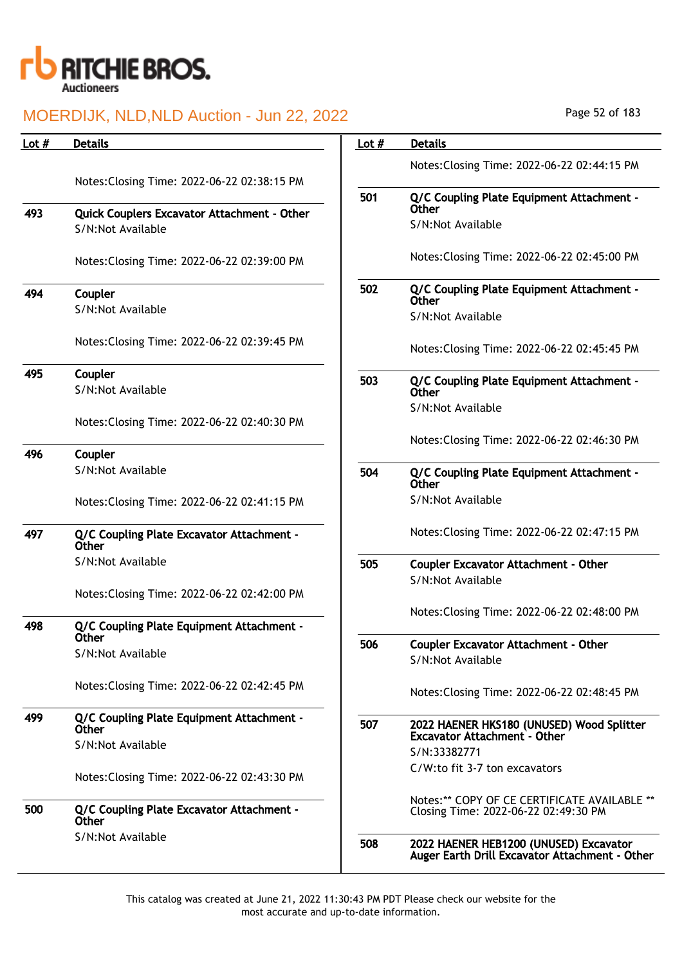

| Lot $#$ | <b>Details</b>                                            | Lot $#$ | <b>Details</b>                                                                           |
|---------|-----------------------------------------------------------|---------|------------------------------------------------------------------------------------------|
|         |                                                           |         | Notes: Closing Time: 2022-06-22 02:44:15 PM                                              |
|         | Notes: Closing Time: 2022-06-22 02:38:15 PM               |         |                                                                                          |
|         |                                                           | 501     | Q/C Coupling Plate Equipment Attachment -                                                |
| 493     | <b>Quick Couplers Excavator Attachment - Other</b>        |         | Other                                                                                    |
|         | S/N:Not Available                                         |         | S/N:Not Available                                                                        |
|         | Notes: Closing Time: 2022-06-22 02:39:00 PM               |         | Notes: Closing Time: 2022-06-22 02:45:00 PM                                              |
| 494     | Coupler                                                   | 502     | Q/C Coupling Plate Equipment Attachment -<br><b>Other</b>                                |
|         | S/N:Not Available                                         |         | S/N:Not Available                                                                        |
|         | Notes: Closing Time: 2022-06-22 02:39:45 PM               |         |                                                                                          |
|         |                                                           |         | Notes: Closing Time: 2022-06-22 02:45:45 PM                                              |
| 495     | Coupler                                                   | 503     | Q/C Coupling Plate Equipment Attachment -                                                |
|         | S/N:Not Available                                         |         | <b>Other</b>                                                                             |
|         | Notes: Closing Time: 2022-06-22 02:40:30 PM               |         | S/N:Not Available                                                                        |
|         |                                                           |         | Notes: Closing Time: 2022-06-22 02:46:30 PM                                              |
| 496     | Coupler                                                   |         |                                                                                          |
|         | S/N:Not Available                                         | 504     | Q/C Coupling Plate Equipment Attachment -<br><b>Other</b>                                |
|         | Notes: Closing Time: 2022-06-22 02:41:15 PM               |         | S/N:Not Available                                                                        |
| 497     | Q/C Coupling Plate Excavator Attachment -<br><b>Other</b> |         | Notes: Closing Time: 2022-06-22 02:47:15 PM                                              |
|         | S/N:Not Available                                         | 505     | <b>Coupler Excavator Attachment - Other</b>                                              |
|         |                                                           |         | S/N:Not Available                                                                        |
|         | Notes: Closing Time: 2022-06-22 02:42:00 PM               |         |                                                                                          |
| 498     | Q/C Coupling Plate Equipment Attachment -                 |         | Notes: Closing Time: 2022-06-22 02:48:00 PM                                              |
|         | <b>Other</b>                                              |         |                                                                                          |
|         | S/N:Not Available                                         | 506     | <b>Coupler Excavator Attachment - Other</b><br>S/N:Not Available                         |
|         |                                                           |         |                                                                                          |
|         | Notes: Closing Time: 2022-06-22 02:42:45 PM               |         | Notes: Closing Time: 2022-06-22 02:48:45 PM                                              |
| 499     | Q/C Coupling Plate Equipment Attachment -                 | 507     | 2022 HAENER HKS180 (UNUSED) Wood Splitter                                                |
|         | <b>Other</b>                                              |         | <b>Excavator Attachment - Other</b>                                                      |
|         | S/N:Not Available                                         |         | S/N:33382771                                                                             |
|         | Notes: Closing Time: 2022-06-22 02:43:30 PM               |         | C/W:to fit 3-7 ton excavators                                                            |
|         |                                                           |         | Notes:** COPY OF CE CERTIFICATE AVAILABLE **                                             |
| 500     | Q/C Coupling Plate Excavator Attachment -<br><b>Other</b> |         | Closing Time: 2022-06-22 02:49:30 PM                                                     |
|         | S/N:Not Available                                         | 508     | 2022 HAENER HEB1200 (UNUSED) Excavator<br>Auger Earth Drill Excavator Attachment - Other |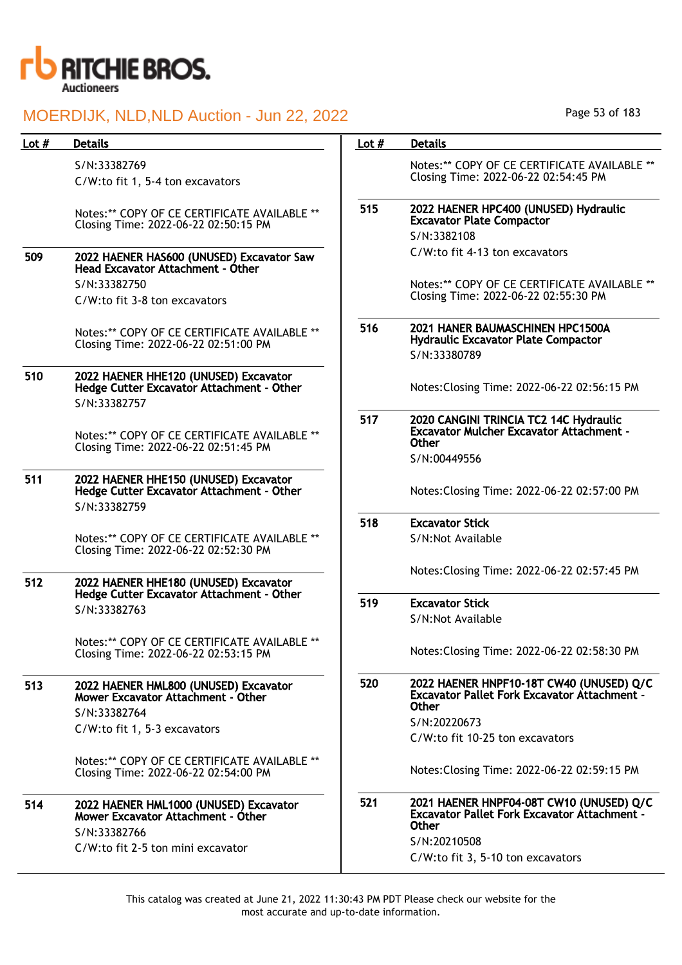

| Lot $#$ | <b>Details</b>                                                                                     | Lot $#$ | <b>Details</b>                                                                                            |
|---------|----------------------------------------------------------------------------------------------------|---------|-----------------------------------------------------------------------------------------------------------|
|         | S/N:33382769<br>C/W:to fit 1, 5-4 ton excavators                                                   |         | Notes:** COPY OF CE CERTIFICATE AVAILABLE **<br>Closing Time: 2022-06-22 02:54:45 PM                      |
|         | Notes:** COPY OF CE CERTIFICATE AVAILABLE **<br>Closing Time: 2022-06-22 02:50:15 PM               | 515     | 2022 HAENER HPC400 (UNUSED) Hydraulic<br><b>Excavator Plate Compactor</b><br>S/N:3382108                  |
| 509     | 2022 HAENER HAS600 (UNUSED) Excavator Saw<br>Head Excavator Attachment - Other                     |         | C/W:to fit 4-13 ton excavators                                                                            |
|         | S/N:33382750<br>C/W:to fit 3-8 ton excavators                                                      |         | Notes:** COPY OF CE CERTIFICATE AVAILABLE **<br>Closing Time: 2022-06-22 02:55:30 PM                      |
|         | Notes:** COPY OF CE CERTIFICATE AVAILABLE **<br>Closing Time: 2022-06-22 02:51:00 PM               | 516     | 2021 HANER BAUMASCHINEN HPC1500A<br><b>Hydraulic Excavator Plate Compactor</b><br>S/N:33380789            |
| 510     | 2022 HAENER HHE120 (UNUSED) Excavator<br>Hedge Cutter Excavator Attachment - Other<br>S/N:33382757 |         | Notes: Closing Time: 2022-06-22 02:56:15 PM                                                               |
|         | Notes:** COPY OF CE CERTIFICATE AVAILABLE **<br>Closing Time: 2022-06-22 02:51:45 PM               | 517     | 2020 CANGINI TRINCIA TC2 14C Hydraulic<br><b>Excavator Mulcher Excavator Attachment -</b><br><b>Other</b> |
| 511     | 2022 HAENER HHE150 (UNUSED) Excavator<br>Hedge Cutter Excavator Attachment - Other                 |         | S/N:00449556<br>Notes: Closing Time: 2022-06-22 02:57:00 PM                                               |
|         | S/N:33382759                                                                                       | 518     | <b>Excavator Stick</b>                                                                                    |
|         | Notes:** COPY OF CE CERTIFICATE AVAILABLE **<br>Closing Time: 2022-06-22 02:52:30 PM               |         | S/N:Not Available                                                                                         |
| 512     | 2022 HAENER HHE180 (UNUSED) Excavator                                                              |         | Notes: Closing Time: 2022-06-22 02:57:45 PM                                                               |
|         | Hedge Cutter Excavator Attachment - Other<br>S/N:33382763                                          | 519     | <b>Excavator Stick</b><br>S/N:Not Available                                                               |
|         | Notes: ** COPY OF CE CERTIFICATE AVAILABLE **<br>Closing Time: 2022-06-22 02:53:15 PM              |         | Notes: Closing Time: 2022-06-22 02:58:30 PM                                                               |
| 513     | 2022 HAENER HML800 (UNUSED) Excavator<br>Mower Excavator Attachment - Other                        | 520     | 2022 HAENER HNPF10-18T CW40 (UNUSED) Q/C<br><b>Excavator Pallet Fork Excavator Attachment -</b><br>Other  |
|         | S/N:33382764<br>C/W:to fit 1, 5-3 excavators                                                       |         | S/N:20220673                                                                                              |
|         |                                                                                                    |         | C/W:to fit 10-25 ton excavators                                                                           |
|         | Notes:** COPY OF CE CERTIFICATE AVAILABLE **<br>Closing Time: 2022-06-22 02:54:00 PM               |         | Notes: Closing Time: 2022-06-22 02:59:15 PM                                                               |
| 514     | 2022 HAENER HML1000 (UNUSED) Excavator<br>Mower Excavator Attachment - Other<br>S/N:33382766       | 521     | 2021 HAENER HNPF04-08T CW10 (UNUSED) Q/C<br><b>Excavator Pallet Fork Excavator Attachment -</b><br>Other  |
|         | C/W:to fit 2-5 ton mini excavator                                                                  |         | S/N:20210508                                                                                              |
|         |                                                                                                    |         | C/W:to fit 3, 5-10 ton excavators                                                                         |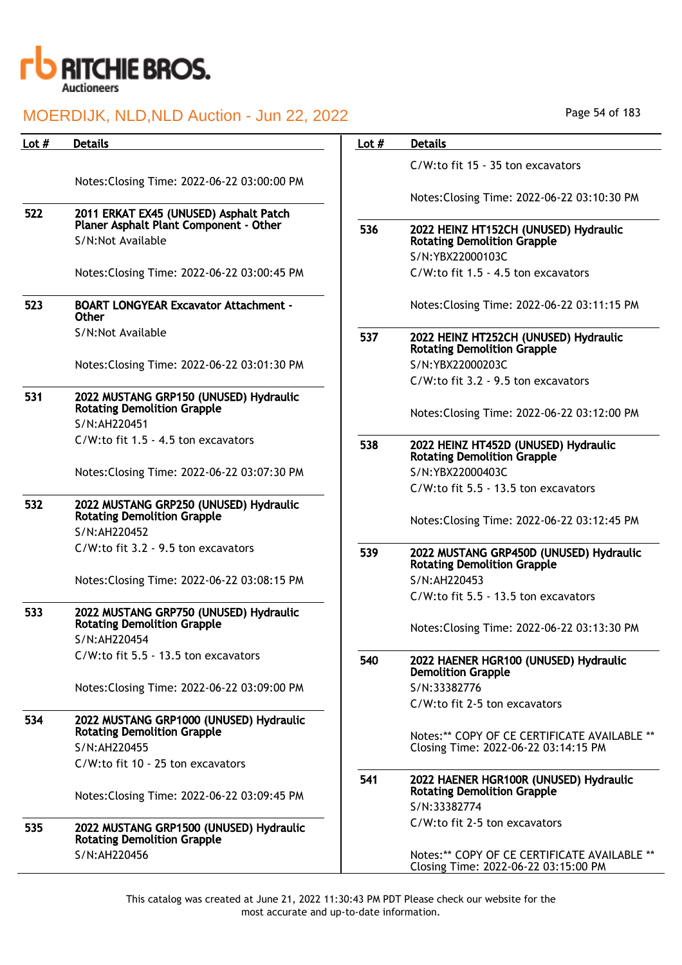

| Lot $#$ | <b>Details</b>                                                                               | Lot $#$ | <b>Details</b>                                                                       |
|---------|----------------------------------------------------------------------------------------------|---------|--------------------------------------------------------------------------------------|
|         |                                                                                              |         | C/W:to fit 15 - 35 ton excavators                                                    |
|         | Notes: Closing Time: 2022-06-22 03:00:00 PM                                                  |         |                                                                                      |
|         |                                                                                              |         | Notes: Closing Time: 2022-06-22 03:10:30 PM                                          |
| 522     | 2011 ERKAT EX45 (UNUSED) Asphalt Patch<br>Planer Asphalt Plant Component - Other             | 536     | 2022 HEINZ HT152CH (UNUSED) Hydraulic                                                |
|         | S/N:Not Available                                                                            |         | <b>Rotating Demolition Grapple</b>                                                   |
|         |                                                                                              |         | S/N:YBX22000103C                                                                     |
|         | Notes: Closing Time: 2022-06-22 03:00:45 PM                                                  |         | C/W:to fit 1.5 - 4.5 ton excavators                                                  |
| 523     | <b>BOART LONGYEAR Excavator Attachment -</b><br>Other                                        |         | Notes: Closing Time: 2022-06-22 03:11:15 PM                                          |
|         | S/N:Not Available                                                                            | 537     | 2022 HEINZ HT252CH (UNUSED) Hydraulic<br><b>Rotating Demolition Grapple</b>          |
|         | Notes: Closing Time: 2022-06-22 03:01:30 PM                                                  |         | S/N:YBX22000203C                                                                     |
|         |                                                                                              |         | C/W:to fit 3.2 - 9.5 ton excavators                                                  |
| 531     | 2022 MUSTANG GRP150 (UNUSED) Hydraulic<br><b>Rotating Demolition Grapple</b><br>S/N:AH220451 |         | Notes: Closing Time: 2022-06-22 03:12:00 PM                                          |
|         | C/W:to fit 1.5 - 4.5 ton excavators                                                          |         |                                                                                      |
|         |                                                                                              | 538     | 2022 HEINZ HT452D (UNUSED) Hydraulic<br><b>Rotating Demolition Grapple</b>           |
|         | Notes: Closing Time: 2022-06-22 03:07:30 PM                                                  |         | S/N:YBX22000403C                                                                     |
|         |                                                                                              |         | C/W:to fit 5.5 - 13.5 ton excavators                                                 |
| 532     | 2022 MUSTANG GRP250 (UNUSED) Hydraulic<br><b>Rotating Demolition Grapple</b>                 |         | Notes: Closing Time: 2022-06-22 03:12:45 PM                                          |
|         | S/N:AH220452                                                                                 |         |                                                                                      |
|         | C/W:to fit 3.2 - 9.5 ton excavators                                                          | 539     | 2022 MUSTANG GRP450D (UNUSED) Hydraulic<br><b>Rotating Demolition Grapple</b>        |
|         | Notes: Closing Time: 2022-06-22 03:08:15 PM                                                  |         | S/N:AH220453                                                                         |
|         |                                                                                              |         | C/W:to fit 5.5 - 13.5 ton excavators                                                 |
| 533     | 2022 MUSTANG GRP750 (UNUSED) Hydraulic<br><b>Rotating Demolition Grapple</b><br>S/N:AH220454 |         | Notes: Closing Time: 2022-06-22 03:13:30 PM                                          |
|         | C/W:to fit 5.5 - 13.5 ton excavators                                                         | 540     | 2022 HAENER HGR100 (UNUSED) Hydraulic                                                |
|         |                                                                                              |         | <b>Demolition Grapple</b>                                                            |
|         | Notes: Closing Time: 2022-06-22 03:09:00 PM                                                  |         | S/N:33382776                                                                         |
|         |                                                                                              |         | C/W:to fit 2-5 ton excavators                                                        |
| 534     | 2022 MUSTANG GRP1000 (UNUSED) Hydraulic<br><b>Rotating Demolition Grapple</b>                |         |                                                                                      |
|         | S/N:AH220455                                                                                 |         | Notes:** COPY OF CE CERTIFICATE AVAILABLE **<br>Closing Time: 2022-06-22 03:14:15 PM |
|         | C/W:to fit 10 - 25 ton excavators                                                            |         |                                                                                      |
|         |                                                                                              | 541     | 2022 HAENER HGR100R (UNUSED) Hydraulic                                               |
|         | Notes: Closing Time: 2022-06-22 03:09:45 PM                                                  |         | <b>Rotating Demolition Grapple</b>                                                   |
|         |                                                                                              |         | S/N:33382774<br>C/W:to fit 2-5 ton excavators                                        |
| 535     | 2022 MUSTANG GRP1500 (UNUSED) Hydraulic<br><b>Rotating Demolition Grapple</b>                |         |                                                                                      |
|         | S/N:AH220456                                                                                 |         | Notes:** COPY OF CE CERTIFICATE AVAILABLE **<br>Closing Time: 2022-06-22 03:15:00 PM |

Page 54 of 183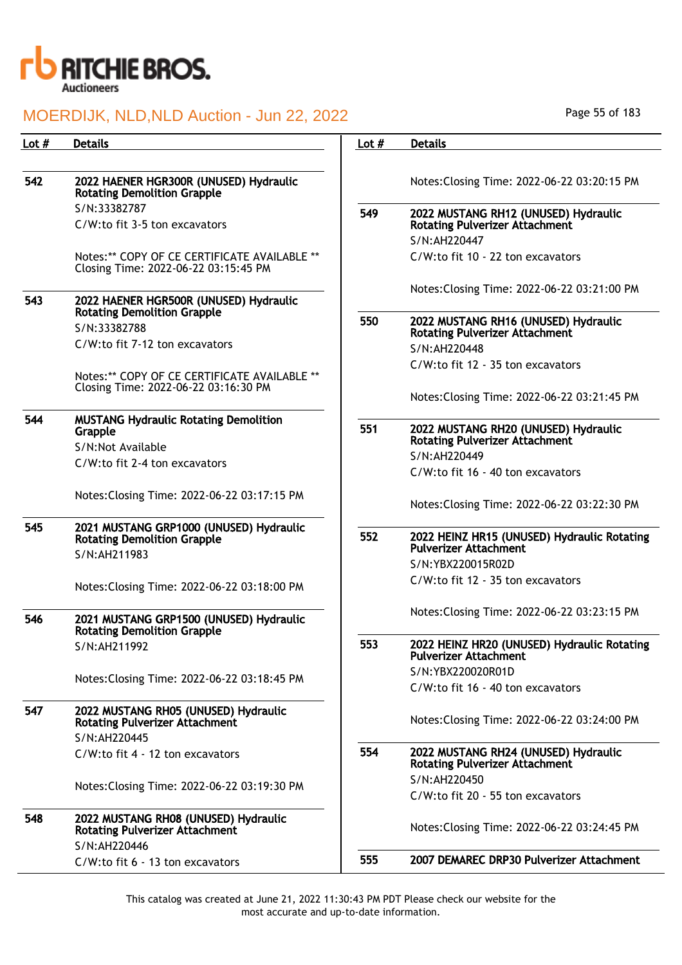

| Lot # | <b>Details</b>                                                                       | Lot $#$ | <b>Details</b>                                                                |
|-------|--------------------------------------------------------------------------------------|---------|-------------------------------------------------------------------------------|
|       |                                                                                      |         |                                                                               |
| 542   | 2022 HAENER HGR300R (UNUSED) Hydraulic<br><b>Rotating Demolition Grapple</b>         |         | Notes: Closing Time: 2022-06-22 03:20:15 PM                                   |
|       | S/N:33382787                                                                         | 549     | 2022 MUSTANG RH12 (UNUSED) Hydraulic                                          |
|       | C/W:to fit 3-5 ton excavators                                                        |         | <b>Rotating Pulverizer Attachment</b>                                         |
|       |                                                                                      |         | S/N:AH220447                                                                  |
|       | Notes:** COPY OF CE CERTIFICATE AVAILABLE **<br>Closing Time: 2022-06-22 03:15:45 PM |         | C/W:to fit 10 - 22 ton excavators                                             |
| 543   | 2022 HAENER HGR500R (UNUSED) Hydraulic<br><b>Rotating Demolition Grapple</b>         |         | Notes: Closing Time: 2022-06-22 03:21:00 PM                                   |
|       | S/N:33382788                                                                         | 550     | 2022 MUSTANG RH16 (UNUSED) Hydraulic<br><b>Rotating Pulverizer Attachment</b> |
|       | C/W:to fit 7-12 ton excavators                                                       |         | S/N:AH220448                                                                  |
|       |                                                                                      |         | C/W:to fit 12 - 35 ton excavators                                             |
|       | Notes:** COPY OF CE CERTIFICATE AVAILABLE **<br>Closing Time: 2022-06-22 03:16:30 PM |         |                                                                               |
|       |                                                                                      |         | Notes: Closing Time: 2022-06-22 03:21:45 PM                                   |
| 544   | <b>MUSTANG Hydraulic Rotating Demolition</b>                                         |         |                                                                               |
|       | Grapple                                                                              | 551     | 2022 MUSTANG RH20 (UNUSED) Hydraulic<br>Rotating Pulverizer Attachment        |
|       | S/N:Not Available                                                                    |         | S/N:AH220449                                                                  |
|       | C/W:to fit 2-4 ton excavators                                                        |         | C/W:to fit 16 - 40 ton excavators                                             |
|       | Notes: Closing Time: 2022-06-22 03:17:15 PM                                          |         |                                                                               |
|       |                                                                                      |         | Notes: Closing Time: 2022-06-22 03:22:30 PM                                   |
| 545   | 2021 MUSTANG GRP1000 (UNUSED) Hydraulic                                              |         |                                                                               |
|       | <b>Rotating Demolition Grapple</b>                                                   | 552     | 2022 HEINZ HR15 (UNUSED) Hydraulic Rotating<br><b>Pulverizer Attachment</b>   |
|       | S/N:AH211983                                                                         |         | S/N:YBX220015R02D                                                             |
|       | Notes: Closing Time: 2022-06-22 03:18:00 PM                                          |         | C/W:to fit 12 - 35 ton excavators                                             |
|       |                                                                                      |         |                                                                               |
| 546   | 2021 MUSTANG GRP1500 (UNUSED) Hydraulic<br><b>Rotating Demolition Grapple</b>        |         | Notes: Closing Time: 2022-06-22 03:23:15 PM                                   |
|       | S/N:AH211992                                                                         | 553     | 2022 HEINZ HR20 (UNUSED) Hydraulic Rotating<br><b>Pulverizer Attachment</b>   |
|       | Notes: Closing Time: 2022-06-22 03:18:45 PM                                          |         | S/N:YBX220020R01D                                                             |
|       |                                                                                      |         | C/W:to fit 16 - 40 ton excavators                                             |
| 547   | 2022 MUSTANG RH05 (UNUSED) Hydraulic<br><b>Rotating Pulverizer Attachment</b>        |         | Notes: Closing Time: 2022-06-22 03:24:00 PM                                   |
|       | S/N:AH220445                                                                         | 554     |                                                                               |
|       | C/W:to fit 4 - 12 ton excavators                                                     |         | 2022 MUSTANG RH24 (UNUSED) Hydraulic<br><b>Rotating Pulverizer Attachment</b> |
|       | Notes: Closing Time: 2022-06-22 03:19:30 PM                                          |         | S/N:AH220450                                                                  |
|       |                                                                                      |         | C/W:to fit 20 - 55 ton excavators                                             |
| 548   | 2022 MUSTANG RH08 (UNUSED) Hydraulic<br><b>Rotating Pulverizer Attachment</b>        |         | Notes: Closing Time: 2022-06-22 03:24:45 PM                                   |
|       | S/N:AH220446<br>C/W:to fit 6 - 13 ton excavators                                     | 555     | 2007 DEMAREC DRP30 Pulverizer Attachment                                      |
|       |                                                                                      |         |                                                                               |

Page 55 of 183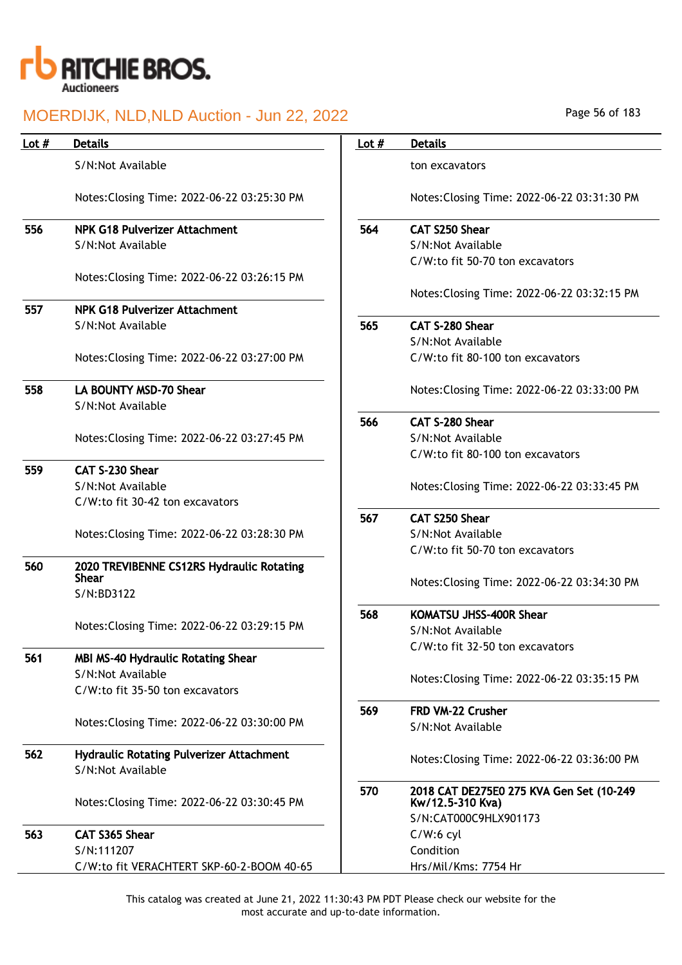

| Lot $#$ | <b>Details</b>                                                       | Lot $#$ | <b>Details</b>                                               |
|---------|----------------------------------------------------------------------|---------|--------------------------------------------------------------|
|         | S/N:Not Available                                                    |         | ton excavators                                               |
|         | Notes: Closing Time: 2022-06-22 03:25:30 PM                          |         | Notes: Closing Time: 2022-06-22 03:31:30 PM                  |
| 556     | NPK G18 Pulverizer Attachment                                        | 564     | <b>CAT S250 Shear</b>                                        |
|         | S/N:Not Available                                                    |         | S/N:Not Available                                            |
|         |                                                                      |         | C/W:to fit 50-70 ton excavators                              |
|         | Notes: Closing Time: 2022-06-22 03:26:15 PM                          |         | Notes: Closing Time: 2022-06-22 03:32:15 PM                  |
| 557     | <b>NPK G18 Pulverizer Attachment</b>                                 |         |                                                              |
|         | S/N:Not Available                                                    | 565     | CAT S-280 Shear                                              |
|         |                                                                      |         | S/N:Not Available                                            |
|         | Notes: Closing Time: 2022-06-22 03:27:00 PM                          |         | C/W:to fit 80-100 ton excavators                             |
| 558     | LA BOUNTY MSD-70 Shear                                               |         | Notes: Closing Time: 2022-06-22 03:33:00 PM                  |
|         | S/N:Not Available                                                    |         |                                                              |
|         |                                                                      | 566     | CAT S-280 Shear                                              |
|         | Notes: Closing Time: 2022-06-22 03:27:45 PM                          |         | S/N:Not Available                                            |
|         |                                                                      |         | C/W:to fit 80-100 ton excavators                             |
| 559     | CAT S-230 Shear                                                      |         |                                                              |
|         | S/N:Not Available                                                    |         | Notes: Closing Time: 2022-06-22 03:33:45 PM                  |
|         | C/W:to fit 30-42 ton excavators                                      |         |                                                              |
|         |                                                                      | 567     | <b>CAT S250 Shear</b>                                        |
|         | Notes: Closing Time: 2022-06-22 03:28:30 PM                          |         | S/N:Not Available                                            |
|         |                                                                      |         | C/W:to fit 50-70 ton excavators                              |
| 560     | 2020 TREVIBENNE CS12RS Hydraulic Rotating<br><b>Shear</b>            |         |                                                              |
|         | S/N:BD3122                                                           |         | Notes: Closing Time: 2022-06-22 03:34:30 PM                  |
|         |                                                                      | 568     | <b>KOMATSU JHSS-400R Shear</b>                               |
|         | Notes: Closing Time: 2022-06-22 03:29:15 PM                          |         | S/N:Not Available                                            |
|         |                                                                      |         | C/W:to fit 32-50 ton excavators                              |
| 561     | <b>MBI MS-40 Hydraulic Rotating Shear</b>                            |         |                                                              |
|         | S/N:Not Available                                                    |         | Notes: Closing Time: 2022-06-22 03:35:15 PM                  |
|         | C/W:to fit 35-50 ton excavators                                      |         |                                                              |
|         |                                                                      | 569     | FRD VM-22 Crusher                                            |
|         | Notes: Closing Time: 2022-06-22 03:30:00 PM                          |         | S/N:Not Available                                            |
|         |                                                                      |         |                                                              |
| 562     | <b>Hydraulic Rotating Pulverizer Attachment</b><br>S/N:Not Available |         | Notes: Closing Time: 2022-06-22 03:36:00 PM                  |
|         | Notes: Closing Time: 2022-06-22 03:30:45 PM                          | 570     | 2018 CAT DE275E0 275 KVA Gen Set (10-249<br>Kw/12.5-310 Kva) |
|         |                                                                      |         | S/N:CAT000C9HLX901173                                        |
| 563     | CAT S365 Shear                                                       |         | $C/W:6$ cyl                                                  |
|         | S/N:111207                                                           |         | Condition                                                    |
|         | C/W:to fit VERACHTERT SKP-60-2-BOOM 40-65                            |         | Hrs/Mil/Kms: 7754 Hr                                         |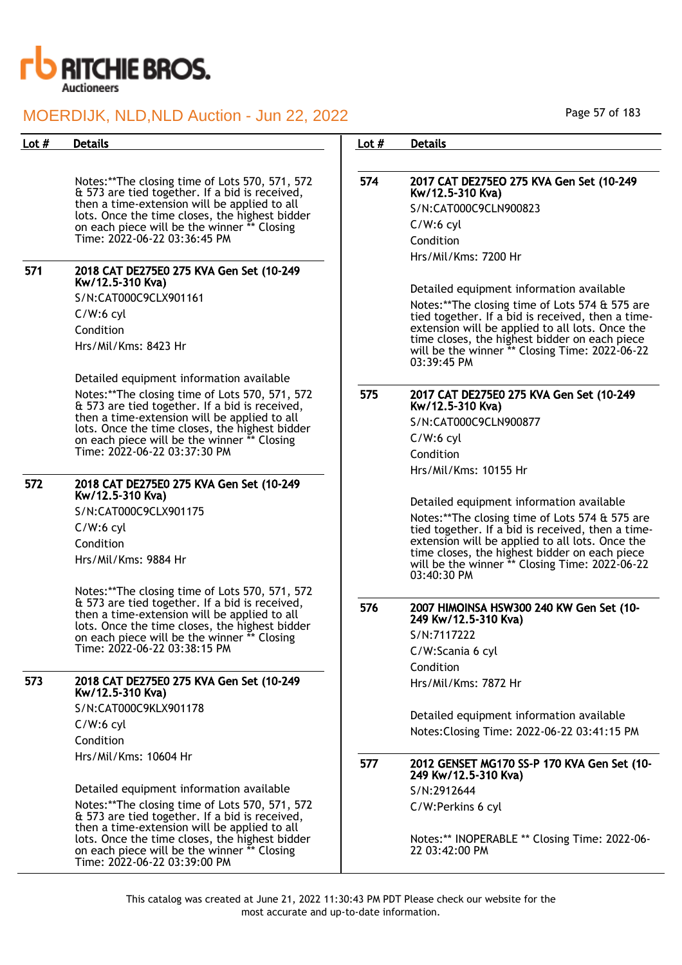

| Lot $#$ | <b>Details</b>                                                                                                                                                                                                                                                                                                                                          | Lot $#$ | <b>Details</b>                                                                                                                                                                                                                                                                                                                                |
|---------|---------------------------------------------------------------------------------------------------------------------------------------------------------------------------------------------------------------------------------------------------------------------------------------------------------------------------------------------------------|---------|-----------------------------------------------------------------------------------------------------------------------------------------------------------------------------------------------------------------------------------------------------------------------------------------------------------------------------------------------|
|         |                                                                                                                                                                                                                                                                                                                                                         |         |                                                                                                                                                                                                                                                                                                                                               |
|         | Notes:**The closing time of Lots 570, 571, 572<br>& 573 are tied together. If a bid is received,<br>then a time-extension will be applied to all<br>lots. Once the time closes, the highest bidder<br>on each piece will be the winner ** Closing<br>Time: 2022-06-22 03:36:45 PM                                                                       | 574     | 2017 CAT DE275EO 275 KVA Gen Set (10-249<br>Kw/12.5-310 Kva)<br>S/N:CAT000C9CLN900823<br>$C/W:6$ cyl<br>Condition                                                                                                                                                                                                                             |
| 571     | 2018 CAT DE275E0 275 KVA Gen Set (10-249<br>Kw/12.5-310 Kva)                                                                                                                                                                                                                                                                                            |         | Hrs/Mil/Kms: 7200 Hr                                                                                                                                                                                                                                                                                                                          |
|         | S/N:CAT000C9CLX901161<br>$C/W:6$ cyl<br>Condition<br>Hrs/Mil/Kms: 8423 Hr                                                                                                                                                                                                                                                                               |         | Detailed equipment information available<br>Notes:**The closing time of Lots 574 & 575 are<br>tied together. If a bid is received, then a time-<br>extension will be applied to all lots. Once the<br>time closes, the highest bidder on each piece<br>will be the winner ** Closing Time: 2022-06-22<br>03:39:45 PM                          |
|         | Detailed equipment information available<br>Notes:**The closing time of Lots 570, 571, 572<br>& 573 are tied together. If a bid is received,<br>then a time-extension will be applied to all<br>lots. Once the time closes, the highest bidder<br>on each piece will be the winner ** Closing<br>Time: 2022-06-22 03:37:30 PM                           | 575     | 2017 CAT DE275E0 275 KVA Gen Set (10-249<br>Kw/12.5-310 Kva)<br>S/N:CAT000C9CLN900877<br>$C/W:6$ cyl<br>Condition                                                                                                                                                                                                                             |
| 572     | 2018 CAT DE275E0 275 KVA Gen Set (10-249<br>Kw/12.5-310 Kva)<br>S/N:CAT000C9CLX901175<br>$C/W:6$ cyl<br>Condition<br>Hrs/Mil/Kms: 9884 Hr<br>Notes:** The closing time of Lots 570, 571, 572                                                                                                                                                            |         | Hrs/Mil/Kms: 10155 Hr<br>Detailed equipment information available<br>Notes:**The closing time of Lots 574 & 575 are<br>tied together. If a bid is received, then a time-<br>extension will be applied to all lots. Once the<br>time closes, the highest bidder on each piece<br>will be the winner ** Closing Time: 2022-06-22<br>03:40:30 PM |
|         | & 573 are tied together. If a bid is received,<br>then a time-extension will be applied to all<br>lots. Once the time closes, the highest bidder<br>on each piece will be the winner ** Closing<br>Time: 2022-06-22 03:38:15 PM                                                                                                                         | 576     | 2007 HIMOINSA HSW300 240 KW Gen Set (10-<br>249 Kw/12.5-310 Kva)<br>S/N:7117222<br>C/W:Scania 6 cyl<br>Condition                                                                                                                                                                                                                              |
| 573     | 2018 CAT DE275E0 275 KVA Gen Set (10-249<br>Kw/12.5-310 Kva)<br>S/N:CAT000C9KLX901178<br>$C/W:6$ cyl<br>Condition                                                                                                                                                                                                                                       |         | Hrs/Mil/Kms: 7872 Hr<br>Detailed equipment information available<br>Notes: Closing Time: 2022-06-22 03:41:15 PM                                                                                                                                                                                                                               |
|         | Hrs/Mil/Kms: 10604 Hr<br>Detailed equipment information available<br>Notes:** The closing time of Lots 570, 571, 572<br>& 573 are tied together. If a bid is received,<br>then a time-extension will be applied to all<br>lots. Once the time closes, the highest bidder<br>on each piece will be the winner ** Closing<br>Time: 2022-06-22 03:39:00 PM | 577     | 2012 GENSET MG170 SS-P 170 KVA Gen Set (10-<br>249 Kw/12.5-310 Kva)<br>S/N:2912644<br>C/W:Perkins 6 cyl<br>Notes:** INOPERABLE ** Closing Time: 2022-06-<br>22 03:42:00 PM                                                                                                                                                                    |

Page 57 of 183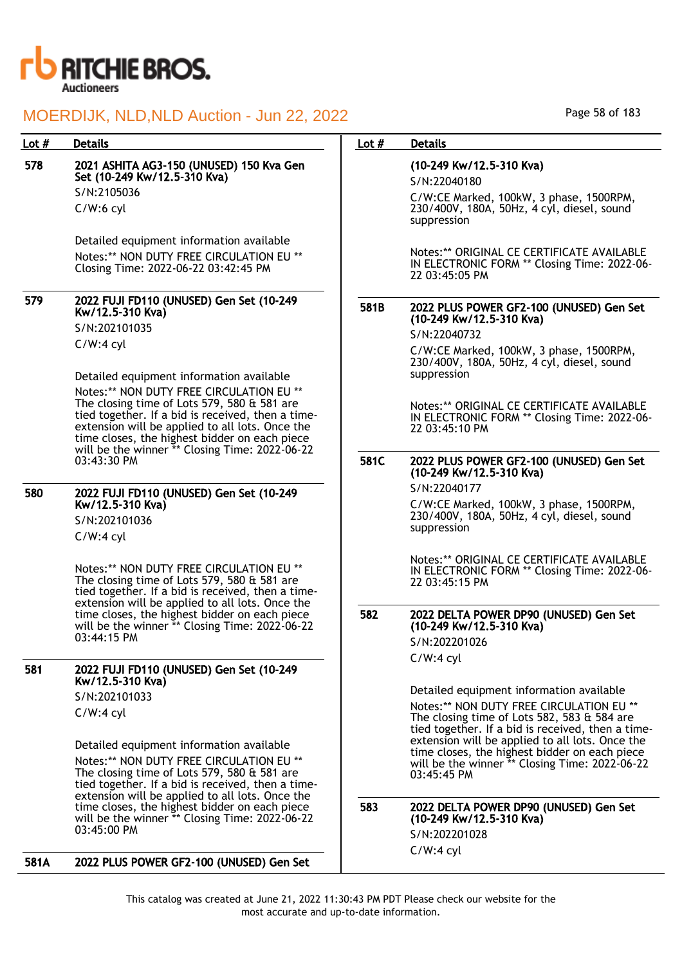

| Lot # | <b>Details</b>                                                                                                                                                                                                                                   | Lot $#$ | <b>Details</b>                                                                                                                               |
|-------|--------------------------------------------------------------------------------------------------------------------------------------------------------------------------------------------------------------------------------------------------|---------|----------------------------------------------------------------------------------------------------------------------------------------------|
| 578   | 2021 ASHITA AG3-150 (UNUSED) 150 Kva Gen<br>Set (10-249 Kw/12.5-310 Kva)                                                                                                                                                                         |         | (10-249 Kw/12.5-310 Kva)<br>S/N:22040180                                                                                                     |
|       | S/N:2105036                                                                                                                                                                                                                                      |         | C/W:CE Marked, 100kW, 3 phase, 1500RPM,                                                                                                      |
|       | $C/W:6$ cyl                                                                                                                                                                                                                                      |         | 230/400V, 180A, 50Hz, 4 cyl, diesel, sound<br>suppression                                                                                    |
|       | Detailed equipment information available                                                                                                                                                                                                         |         |                                                                                                                                              |
|       | Notes:** NON DUTY FREE CIRCULATION EU **<br>Closing Time: 2022-06-22 03:42:45 PM                                                                                                                                                                 |         | Notes:** ORIGINAL CE CERTIFICATE AVAILABLE<br>IN ELECTRONIC FORM ** Closing Time: 2022-06-<br>22 03:45:05 PM                                 |
| 579   | 2022 FUJI FD110 (UNUSED) Gen Set (10-249<br>Kw/12.5-310 Kva)                                                                                                                                                                                     | 581B    | 2022 PLUS POWER GF2-100 (UNUSED) Gen Set<br>(10-249 Kw/12.5-310 Kva)                                                                         |
|       | S/N:202101035                                                                                                                                                                                                                                    |         | S/N:22040732                                                                                                                                 |
|       | $C/W:4$ cyl                                                                                                                                                                                                                                      |         | C/W:CE Marked, 100kW, 3 phase, 1500RPM,<br>230/400V, 180A, 50Hz, 4 cyl, diesel, sound                                                        |
|       | Detailed equipment information available                                                                                                                                                                                                         |         | suppression                                                                                                                                  |
|       | Notes:** NON DUTY FREE CIRCULATION EU **<br>The closing time of Lots 579, 580 & 581 are<br>tied together. If a bid is received, then a time-<br>extension will be applied to all lots. Once the<br>time closes, the highest bidder on each piece |         | Notes:** ORIGINAL CE CERTIFICATE AVAILABLE<br>IN ELECTRONIC FORM ** Closing Time: 2022-06-<br>22 03:45:10 PM                                 |
|       | will be the winner ** Closing Time: 2022-06-22<br>03:43:30 PM                                                                                                                                                                                    | 581C    | 2022 PLUS POWER GF2-100 (UNUSED) Gen Set<br>(10-249 Kw/12.5-310 Kva)                                                                         |
| 580   | 2022 FUJI FD110 (UNUSED) Gen Set (10-249                                                                                                                                                                                                         |         | S/N:22040177                                                                                                                                 |
|       | Kw/12.5-310 Kva)                                                                                                                                                                                                                                 |         | C/W:CE Marked, 100kW, 3 phase, 1500RPM,                                                                                                      |
|       | S/N:202101036                                                                                                                                                                                                                                    |         | 230/400V, 180A, 50Hz, 4 cyl, diesel, sound<br>suppression                                                                                    |
|       | $C/W:4$ cyl                                                                                                                                                                                                                                      |         |                                                                                                                                              |
|       | Notes:** NON DUTY FREE CIRCULATION EU **<br>The closing time of Lots 579, 580 & 581 are<br>tied together. If a bid is received, then a time-                                                                                                     |         | Notes:** ORIGINAL CE CERTIFICATE AVAILABLE<br>IN ELECTRONIC FORM ** Closing Time: 2022-06-<br>22 03:45:15 PM                                 |
|       | extension will be applied to all lots. Once the<br>time closes, the highest bidder on each piece<br>will be the winner ** Closing Time: 2022-06-22                                                                                               | 582     | 2022 DELTA POWER DP90 (UNUSED) Gen Set<br>(10-249 Kw/12.5-310 Kva)                                                                           |
|       | 03:44:15 PM                                                                                                                                                                                                                                      |         | S/N:202201026                                                                                                                                |
| 581   |                                                                                                                                                                                                                                                  |         | $C/W:4$ cyl                                                                                                                                  |
|       | 2022 FUJI FD110 (UNUSED) Gen Set (10-249<br>Kw/12.5-310 Kva)                                                                                                                                                                                     |         |                                                                                                                                              |
|       | S/N:202101033                                                                                                                                                                                                                                    |         | Detailed equipment information available                                                                                                     |
|       | $C/W:4$ cyl                                                                                                                                                                                                                                      |         | Notes:** NON DUTY FREE CIRCULATION EU **<br>The closing time of Lots 582, 583 & 584 are<br>tied together. If a bid is received, then a time- |
|       | Detailed equipment information available                                                                                                                                                                                                         |         | extension will be applied to all lots. Once the                                                                                              |
|       | Notes:** NON DUTY FREE CIRCULATION EU **<br>The closing time of Lots 579, 580 & 581 are<br>tied together. If a bid is received, then a time-                                                                                                     |         | time closes, the highest bidder on each piece<br>will be the winner ** Closing Time: 2022-06-22<br>03:45:45 PM                               |
|       | extension will be applied to all lots. Once the<br>time closes, the highest bidder on each piece                                                                                                                                                 | 583     | 2022 DELTA POWER DP90 (UNUSED) Gen Set                                                                                                       |
|       | will be the winner ** Closing Time: 2022-06-22<br>03:45:00 PM                                                                                                                                                                                    |         | (10-249 Kw/12.5-310 Kva)                                                                                                                     |
|       |                                                                                                                                                                                                                                                  |         | S/N:202201028                                                                                                                                |
| 581A  | 2022 PLUS POWER GF2-100 (UNUSED) Gen Set                                                                                                                                                                                                         |         | $C/W:4$ cyl                                                                                                                                  |

Page 58 of 183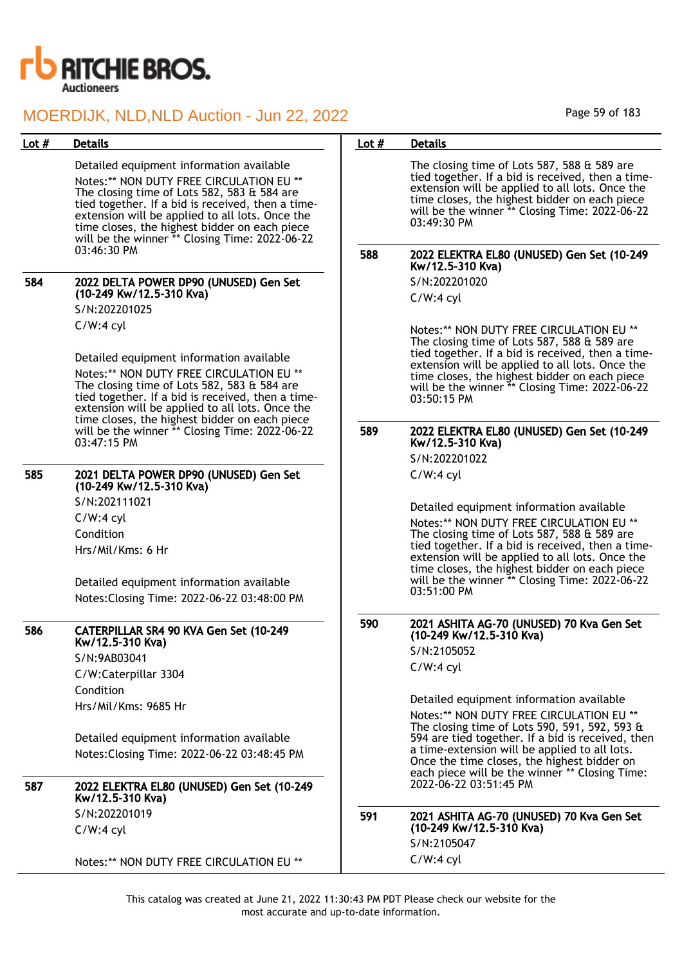

| <b>Details</b><br>Lot $#$<br>Lot $#$<br><b>Details</b>                                                                                                                                                                                                                                                                                                                                                          |                                                                                                                                                                                                         |
|-----------------------------------------------------------------------------------------------------------------------------------------------------------------------------------------------------------------------------------------------------------------------------------------------------------------------------------------------------------------------------------------------------------------|---------------------------------------------------------------------------------------------------------------------------------------------------------------------------------------------------------|
| Detailed equipment information available<br>The closing time of Lots 587, 588 $\&$ 589 are<br>Notes:** NON DUTY FREE CIRCULATION EU **<br>The closing time of Lots 582, 583 & 584 are<br>tied together. If a bid is received, then a time-<br>extension will be applied to all lots. Once the<br>03:49:30 PM<br>time closes, the highest bidder on each piece<br>will be the winner ** Closing Time: 2022-06-22 | tied together. If a bid is received, then a time-<br>extension will be applied to all lots. Once the<br>time closes, the highest bidder on each piece<br>will be the winner ** Closing Time: 2022-06-22 |
| 03:46:30 PM<br>588<br>Kw/12.5-310 Kva)                                                                                                                                                                                                                                                                                                                                                                          | 2022 ELEKTRA EL80 (UNUSED) Gen Set (10-249                                                                                                                                                              |
| S/N:202201020<br>584<br>2022 DELTA POWER DP90 (UNUSED) Gen Set<br>(10-249 Kw/12.5-310 Kva)<br>$C/W:4$ cyl                                                                                                                                                                                                                                                                                                       |                                                                                                                                                                                                         |
| S/N:202201025                                                                                                                                                                                                                                                                                                                                                                                                   |                                                                                                                                                                                                         |
| $C/W:4$ cyl<br>The closing time of Lots 587, 588 & 589 are<br>Detailed equipment information available<br>Notes:** NON DUTY FREE CIRCULATION EU **                                                                                                                                                                                                                                                              | Notes:** NON DUTY FREE CIRCULATION EU **<br>tied together. If a bid is received, then a time-<br>extension will be applied to all lots. Once the<br>time closes, the highest bidder on each piece       |
| The closing time of Lots 582, 583 & 584 are<br>tied together. If a bid is received, then a time-<br>03:50:15 PM<br>extension will be applied to all lots. Once the                                                                                                                                                                                                                                              | will be the winner ** Closing Time: 2022-06-22                                                                                                                                                          |
| time closes, the highest bidder on each piece<br>589<br>will be the winner ** Closing Time: 2022-06-22<br>Kw/12.5-310 Kva)<br>03:47:15 PM                                                                                                                                                                                                                                                                       | 2022 ELEKTRA EL80 (UNUSED) Gen Set (10-249                                                                                                                                                              |
| S/N:202201022                                                                                                                                                                                                                                                                                                                                                                                                   |                                                                                                                                                                                                         |
| 585<br>2021 DELTA POWER DP90 (UNUSED) Gen Set<br>$C/W:4$ cyl<br>(10-249 Kw/12.5-310 Kva)                                                                                                                                                                                                                                                                                                                        |                                                                                                                                                                                                         |
| S/N:202111021<br>Detailed equipment information available                                                                                                                                                                                                                                                                                                                                                       |                                                                                                                                                                                                         |
| $C/W:4$ cyl                                                                                                                                                                                                                                                                                                                                                                                                     | Notes:** NON DUTY FREE CIRCULATION EU **                                                                                                                                                                |
| Condition<br>The closing time of Lots 587, 588 & 589 are<br>Hrs/Mil/Kms: 6 Hr                                                                                                                                                                                                                                                                                                                                   | tied together. If a bid is received, then a time-<br>extension will be applied to all lots. Once the                                                                                                    |
| Detailed equipment information available<br>03:51:00 PM                                                                                                                                                                                                                                                                                                                                                         | time closes, the highest bidder on each piece<br>will be the winner ** Closing Time: 2022-06-22                                                                                                         |
| Notes: Closing Time: 2022-06-22 03:48:00 PM                                                                                                                                                                                                                                                                                                                                                                     |                                                                                                                                                                                                         |
| 590<br>586<br>CATERPILLAR SR4 90 KVA Gen Set (10-249<br>(10-249 Kw/12.5-310 Kva)<br>Kw/12.5-310 Kva)                                                                                                                                                                                                                                                                                                            | 2021 ASHITA AG-70 (UNUSED) 70 Kva Gen Set                                                                                                                                                               |
| S/N:2105052<br>S/N:9AB03041                                                                                                                                                                                                                                                                                                                                                                                     |                                                                                                                                                                                                         |
| $C/W:4$ cyl<br>C/W:Caterpillar 3304                                                                                                                                                                                                                                                                                                                                                                             |                                                                                                                                                                                                         |
| Condition                                                                                                                                                                                                                                                                                                                                                                                                       |                                                                                                                                                                                                         |
| Detailed equipment information available<br>Hrs/Mil/Kms: 9685 Hr                                                                                                                                                                                                                                                                                                                                                | Notes:** NON DUTY FREE CIRCULATION EU **                                                                                                                                                                |
| Detailed equipment information available                                                                                                                                                                                                                                                                                                                                                                        | The closing time of Lots 590, 591, 592, 593 &<br>594 are tied together. If a bid is received, then                                                                                                      |
| a time-extension will be applied to all lots.<br>Notes: Closing Time: 2022-06-22 03:48:45 PM<br>Once the time closes, the highest bidder on                                                                                                                                                                                                                                                                     | each piece will be the winner ** Closing Time:                                                                                                                                                          |
| 2022-06-22 03:51:45 PM<br>587<br>2022 ELEKTRA EL80 (UNUSED) Gen Set (10-249<br>Kw/12.5-310 Kva)                                                                                                                                                                                                                                                                                                                 |                                                                                                                                                                                                         |
| S/N:202201019<br>591<br>(10-249 Kw/12.5-310 Kva)<br>$C/W:4$ cyl                                                                                                                                                                                                                                                                                                                                                 | 2021 ASHITA AG-70 (UNUSED) 70 Kva Gen Set                                                                                                                                                               |
| S/N:2105047                                                                                                                                                                                                                                                                                                                                                                                                     |                                                                                                                                                                                                         |
| $C/W:4$ cyl<br>Notes:** NON DUTY FREE CIRCULATION EU **                                                                                                                                                                                                                                                                                                                                                         |                                                                                                                                                                                                         |

Page 59 of 183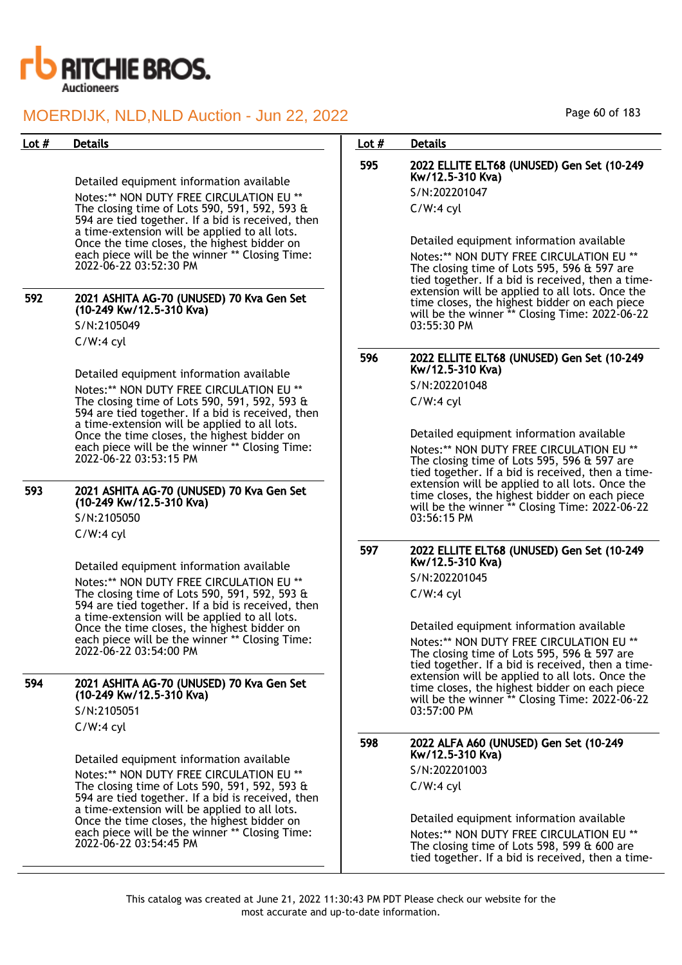

Detailed equipment information available Notes:\*\* NON DUTY FREE CIRCULATION EU \*\* The closing time of Lots 590, 591, 592, 593 & 594 are tied together. If a bid is received, then a time-extension will be applied to all lots. Once the time closes, the highest bidder on each piece will be the winner \*\* Closing Time: 2022-06-22 03:52:30 PM

592 2021 ASHITA AG-70 (UNUSED) 70 Kva Gen Set (10-249 Kw/12.5-310 Kva) S/N:2105049

> C/W:4 cyl Detailed equipment information available Notes:\*\* NON DUTY FREE CIRCULATION EU \*\* The closing time of Lots 590, 591, 592, 593 & 594 are tied together. If a bid is received, then a time-extension will be applied to all lots. Once the time closes, the highest bidder on each piece will be the winner \*\* Closing Time:

593 2021 ASHITA AG-70 (UNUSED) 70 Kva Gen Set (10-249 Kw/12.5-310 Kva) S/N:2105050

2022-06-22 03:53:15 PM

C/W:4 cyl

Detailed equipment information available Notes:\*\* NON DUTY FREE CIRCULATION EU \*\* The closing time of Lots 590, 591, 592, 593 & 594 are tied together. If a bid is received, then a time-extension will be applied to all lots. Once the time closes, the highest bidder on each piece will be the winner \*\* Closing Time: 2022-06-22 03:54:00 PM

594 2021 ASHITA AG-70 (UNUSED) 70 Kva Gen Set (10-249 Kw/12.5-310 Kva) S/N:2105051 C/W:4 cyl

> Detailed equipment information available Notes:\*\* NON DUTY FREE CIRCULATION EU \*\* The closing time of Lots 590, 591, 592, 593 & 594 are tied together. If a bid is received, then a time-extension will be applied to all lots. Once the time closes, the highest bidder on each piece will be the winner \*\* Closing Time: 2022-06-22 03:54:45 PM

### Lot # Details **Details According to the United States Lot # Details**

## 595 2022 ELLITE ELT68 (UNUSED) Gen Set (10-249 Kw/12.5-310 Kva)

S/N:202201047 C/W:4 cyl

Detailed equipment information available

Notes:\*\* NON DUTY FREE CIRCULATION EU \*\* The closing time of Lots 595, 596 & 597 are tied together. If a bid is received, then a timeextension will be applied to all lots. Once the time closes, the highest bidder on each piece will be the winner \*\* Closing Time: 2022-06-22 03:55:30 PM

## 596 2022 ELLITE ELT68 (UNUSED) Gen Set (10-249 Kw/12.5-310 Kva)

S/N:202201048 C/W:4 cyl

Detailed equipment information available

Notes:\*\* NON DUTY FREE CIRCULATION EU \*\* The closing time of Lots 595, 596 & 597 are tied together. If a bid is received, then a timeextension will be applied to all lots. Once the time closes, the highest bidder on each piece will be the winner \*\* Closing Time: 2022-06-22 03:56:15 PM

## 597 2022 ELLITE ELT68 (UNUSED) Gen Set (10-249 Kw/12.5-310 Kva)

S/N:202201045

C/W:4 cyl

Detailed equipment information available Notes:\*\* NON DUTY FREE CIRCULATION EU \*\* The closing time of Lots 595, 596 & 597 are tied together. If a bid is received, then a timeextension will be applied to all lots. Once the time closes, the highest bidder on each piece will be the winner \*\* Closing Time: 2022-06-22 03:57:00 PM

598 2022 ALFA A60 (UNUSED) Gen Set (10-249 Kw/12.5-310 Kva)

S/N:202201003 C/W:4 cyl

Detailed equipment information available Notes:\*\* NON DUTY FREE CIRCULATION EU \*\* The closing time of Lots 598, 599 & 600 are tied together. If a bid is received, then a time-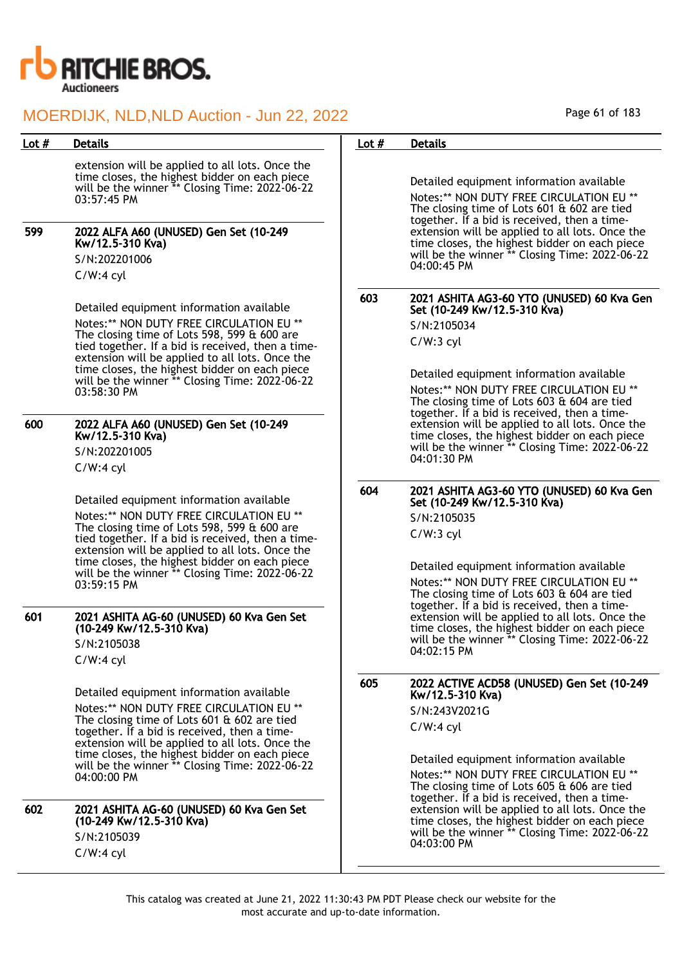

| Lot $#$ | <b>Details</b>                                                                                                                                                                                                                                                                                                                                                                                                                                                      | Lot $#$ | <b>Details</b>                                                                                                                                                                                                                                                                                                                                                                                                                                                       |
|---------|---------------------------------------------------------------------------------------------------------------------------------------------------------------------------------------------------------------------------------------------------------------------------------------------------------------------------------------------------------------------------------------------------------------------------------------------------------------------|---------|----------------------------------------------------------------------------------------------------------------------------------------------------------------------------------------------------------------------------------------------------------------------------------------------------------------------------------------------------------------------------------------------------------------------------------------------------------------------|
| 599     | extension will be applied to all lots. Once the<br>time closes, the highest bidder on each piece<br>will be the winner ** Closing Time: 2022-06-22<br>03:57:45 PM<br>2022 ALFA A60 (UNUSED) Gen Set (10-249<br>Kw/12.5-310 Kva)<br>S/N:202201006<br>$C/W:4$ cyl                                                                                                                                                                                                     |         | Detailed equipment information available<br>Notes:** NON DUTY FREE CIRCULATION EU **<br>The closing time of Lots 601 & 602 are tied<br>together. If a bid is received, then a time-<br>extension will be applied to all lots. Once the<br>time closes, the highest bidder on each piece<br>will be the winner ** Closing Time: 2022-06-22<br>04:00:45 PM                                                                                                             |
|         | Detailed equipment information available<br>Notes:** NON DUTY FREE CIRCULATION EU **<br>The closing time of Lots 598, 599 $\&$ 600 are<br>tied together. If a bid is received, then a time-<br>extension will be applied to all lots. Once the<br>time closes, the highest bidder on each piece<br>will be the winner ** Closing Time: 2022-06-22<br>03:58:30 PM                                                                                                    | 603     | 2021 ASHITA AG3-60 YTO (UNUSED) 60 Kva Gen<br>Set (10-249 Kw/12.5-310 Kva)<br>S/N:2105034<br>$C/W:3$ cyl<br>Detailed equipment information available<br>Notes:** NON DUTY FREE CIRCULATION EU **<br>The closing time of Lots 603 & 604 are tied<br>together. If a bid is received, then a time-                                                                                                                                                                      |
| 600     | 2022 ALFA A60 (UNUSED) Gen Set (10-249<br>Kw/12.5-310 Kva)<br>S/N:202201005<br>$C/W:4$ cyl                                                                                                                                                                                                                                                                                                                                                                          |         | extension will be applied to all lots. Once the<br>time closes, the highest bidder on each piece<br>will be the winner ** Closing Time: 2022-06-22<br>04:01:30 PM                                                                                                                                                                                                                                                                                                    |
|         | Detailed equipment information available<br>Notes:** NON DUTY FREE CIRCULATION EU **<br>The closing time of Lots 598, 599 $\&$ 600 are<br>tied together. If a bid is received, then a time-<br>extension will be applied to all lots. Once the<br>time closes, the highest bidder on each piece<br>will be the winner ** Closing Time: 2022-06-22<br>03:59:15 PM                                                                                                    | 604     | 2021 ASHITA AG3-60 YTO (UNUSED) 60 Kva Gen<br>Set (10-249 Kw/12.5-310 Kva)<br>S/N:2105035<br>$C/W:3$ cyl<br>Detailed equipment information available<br>Notes:** NON DUTY FREE CIRCULATION EU **<br>The closing time of Lots 603 & 604 are tied<br>together. If a bid is received, then a time-<br>extension will be applied to all lots. Once the<br>time closes, the highest bidder on each piece<br>will be the winner ** Closing Time: 2022-06-22<br>04:02:15 PM |
| 601     | 2021 ASHITA AG-60 (UNUSED) 60 Kva Gen Set<br>(10-249 Kw/12.5-310 Kva)<br>S/N:2105038<br>$C/W:4$ cyl                                                                                                                                                                                                                                                                                                                                                                 |         |                                                                                                                                                                                                                                                                                                                                                                                                                                                                      |
| 602     | Detailed equipment information available<br>Notes:** NON DUTY FREE CIRCULATION EU **<br>The closing time of Lots $601$ & $602$ are tied<br>together. If a bid is received, then a time-<br>extension will be applied to all lots. Once the<br>time closes, the highest bidder on each piece<br>will be the winner ** Closing Time: 2022-06-22<br>04:00:00 PM<br>2021 ASHITA AG-60 (UNUSED) 60 Kva Gen Set<br>(10-249 Kw/12.5-310 Kva)<br>S/N:2105039<br>$C/W:4$ cyl | 605     | 2022 ACTIVE ACD58 (UNUSED) Gen Set (10-249<br>Kw/12.5-310 Kva)<br>S/N:243V2021G<br>$C/W:4$ cyl<br>Detailed equipment information available<br>Notes:** NON DUTY FREE CIRCULATION EU **<br>The closing time of Lots 605 & 606 are tied<br>together. If a bid is received, then a time-<br>extension will be applied to all lots. Once the<br>time closes, the highest bidder on each piece<br>will be the winner ** Closing Time: 2022-06-22<br>04:03:00 PM           |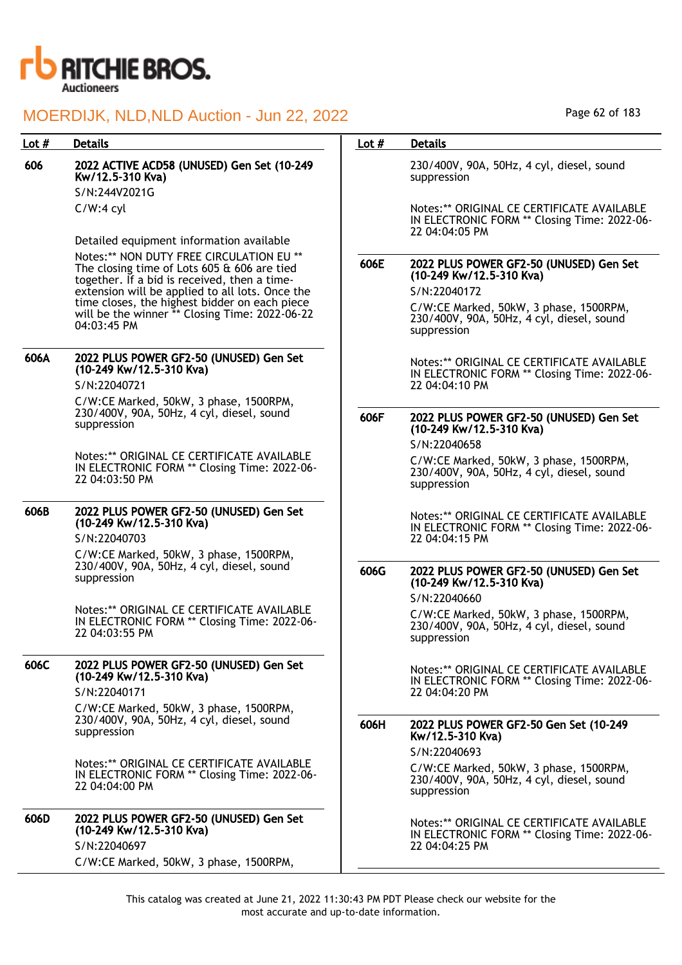

| Lot # | <b>Details</b>                                                                                               | Lot $#$ | <b>Details</b>                                                                                               |
|-------|--------------------------------------------------------------------------------------------------------------|---------|--------------------------------------------------------------------------------------------------------------|
| 606   | 2022 ACTIVE ACD58 (UNUSED) Gen Set (10-249<br>Kw/12.5-310 Kva)                                               |         | 230/400V, 90A, 50Hz, 4 cyl, diesel, sound<br>suppression                                                     |
|       | S/N:244V2021G                                                                                                |         |                                                                                                              |
|       | $C/W:4$ cyl                                                                                                  |         | Notes:** ORIGINAL CE CERTIFICATE AVAILABLE<br>IN ELECTRONIC FORM ** Closing Time: 2022-06-<br>22 04:04:05 PM |
|       | Detailed equipment information available                                                                     |         |                                                                                                              |
|       | Notes:** NON DUTY FREE CIRCULATION EU **                                                                     | 606E    | 2022 PLUS POWER GF2-50 (UNUSED) Gen Set                                                                      |
|       | The closing time of Lots 605 & 606 are tied<br>together. If a bid is received, then a time-                  |         | (10-249 Kw/12.5-310 Kva)                                                                                     |
|       | extension will be applied to all lots. Once the                                                              |         | S/N:22040172                                                                                                 |
|       | time closes, the highest bidder on each piece                                                                |         | C/W:CE Marked, 50kW, 3 phase, 1500RPM,                                                                       |
|       | will be the winner ** Closing Time: 2022-06-22<br>04:03:45 PM                                                |         | 230/400V, 90A, 50Hz, 4 cyl, diesel, sound<br>suppression                                                     |
| 606A  | 2022 PLUS POWER GF2-50 (UNUSED) Gen Set                                                                      |         |                                                                                                              |
|       | (10-249 Kw/12.5-310 Kva)                                                                                     |         | Notes:** ORIGINAL CE CERTIFICATE AVAILABLE<br>IN ELECTRONIC FORM ** Closing Time: 2022-06-                   |
|       | S/N:22040721                                                                                                 |         | 22 04:04:10 PM                                                                                               |
|       | C/W:CE Marked, 50kW, 3 phase, 1500RPM,                                                                       |         |                                                                                                              |
|       | 230/400V, 90A, 50Hz, 4 cyl, diesel, sound<br>suppression                                                     | 606F    | 2022 PLUS POWER GF2-50 (UNUSED) Gen Set<br>(10-249 Kw/12.5-310 Kva)                                          |
|       |                                                                                                              |         | S/N:22040658                                                                                                 |
|       | Notes:** ORIGINAL CE CERTIFICATE AVAILABLE<br>IN ELECTRONIC FORM ** Closing Time: 2022-06-<br>22 04:03:50 PM |         | C/W:CE Marked, 50kW, 3 phase, 1500RPM,<br>230/400V, 90A, 50Hz, 4 cyl, diesel, sound<br>suppression           |
| 606B  | 2022 PLUS POWER GF2-50 (UNUSED) Gen Set                                                                      |         | Notes:** ORIGINAL CE CERTIFICATE AVAILABLE                                                                   |
|       | (10-249 Kw/12.5-310 Kva)                                                                                     |         | IN ELECTRONIC FORM ** Closing Time: 2022-06-                                                                 |
|       | S/N:22040703                                                                                                 |         | 22 04:04:15 PM                                                                                               |
|       | C/W:CE Marked, 50kW, 3 phase, 1500RPM,                                                                       |         |                                                                                                              |
|       | 230/400V, 90A, 50Hz, 4 cyl, diesel, sound<br>suppression                                                     | 606G    | 2022 PLUS POWER GF2-50 (UNUSED) Gen Set                                                                      |
|       |                                                                                                              |         | (10-249 Kw/12.5-310 Kva)                                                                                     |
|       | Notes:** ORIGINAL CE CERTIFICATE AVAILABLE                                                                   |         | S/N:22040660                                                                                                 |
|       | IN ELECTRONIC FORM ** Closing Time: 2022-06-                                                                 |         | C/W:CE Marked, 50kW, 3 phase, 1500RPM,<br>230/400V, 90A, 50Hz, 4 cyl, diesel, sound                          |
|       | 22 04:03:55 PM                                                                                               |         | suppression                                                                                                  |
|       |                                                                                                              |         |                                                                                                              |
| 606C  | 2022 PLUS POWER GF2-50 (UNUSED) Gen Set<br>(10-249 Kw/12.5-310 Kva)                                          |         | Notes:** ORIGINAL CE CERTIFICATE AVAILABLE                                                                   |
|       | S/N:22040171                                                                                                 |         | IN ELECTRONIC FORM ** Closing Time: 2022-06-<br>22 04:04:20 PM                                               |
|       | C/W:CE Marked, 50kW, 3 phase, 1500RPM,                                                                       |         |                                                                                                              |
|       | 230/400V, 90A, 50Hz, 4 cyl, diesel, sound                                                                    | 606H    | 2022 PLUS POWER GF2-50 Gen Set (10-249                                                                       |
|       | suppression                                                                                                  |         | Kw/12.5-310 Kva)                                                                                             |
|       |                                                                                                              |         | S/N:22040693                                                                                                 |
|       | Notes:** ORIGINAL CE CERTIFICATE AVAILABLE<br>IN ELECTRONIC FORM ** Closing Time: 2022-06-<br>22 04:04:00 PM |         | C/W:CE Marked, 50kW, 3 phase, 1500RPM,<br>230/400V, 90A, 50Hz, 4 cyl, diesel, sound<br>suppression           |
| 606D  | 2022 PLUS POWER GF2-50 (UNUSED) Gen Set                                                                      |         |                                                                                                              |
|       | (10-249 Kw/12.5-310 Kva)                                                                                     |         | Notes:** ORIGINAL CE CERTIFICATE AVAILABLE<br>IN ELECTRONIC FORM ** Closing Time: 2022-06-                   |
|       | S/N:22040697                                                                                                 |         | 22 04:04:25 PM                                                                                               |
|       | C/W:CE Marked, 50kW, 3 phase, 1500RPM,                                                                       |         |                                                                                                              |

Page 62 of 183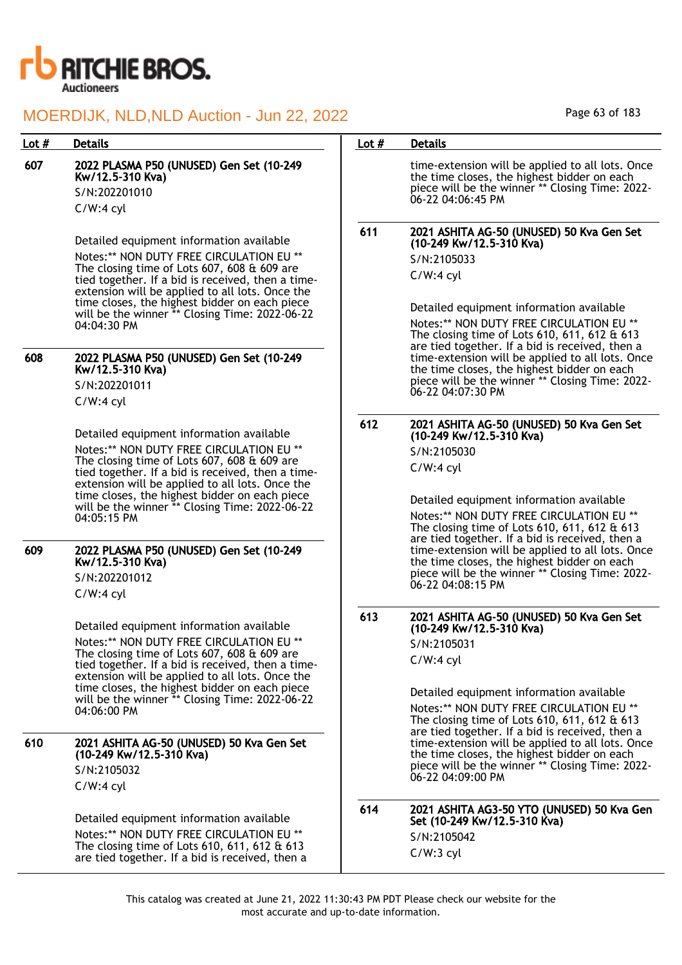

| Lot $#$ | <b>Details</b>                                                                                                                                                                                                                                                                                                                                                                                                                       | Lot $#$ | <b>Details</b>                                                                                                                                                                                                                                                                                                                                         |
|---------|--------------------------------------------------------------------------------------------------------------------------------------------------------------------------------------------------------------------------------------------------------------------------------------------------------------------------------------------------------------------------------------------------------------------------------------|---------|--------------------------------------------------------------------------------------------------------------------------------------------------------------------------------------------------------------------------------------------------------------------------------------------------------------------------------------------------------|
| 607     | 2022 PLASMA P50 (UNUSED) Gen Set (10-249<br>Kw/12.5-310 Kva)<br>S/N:202201010<br>$C/W:4$ cyl                                                                                                                                                                                                                                                                                                                                         |         | time-extension will be applied to all lots. Once<br>the time closes, the highest bidder on each<br>piece will be the winner ** Closing Time: 2022-<br>06-22 04:06:45 PM                                                                                                                                                                                |
|         | Detailed equipment information available<br>Notes:** NON DUTY FREE CIRCULATION EU **<br>The closing time of Lots 607, 608 & 609 are<br>tied together. If a bid is received, then a time-<br>extension will be applied to all lots. Once the<br>time closes, the highest bidder on each piece<br>will be the winner ** Closing Time: 2022-06-22<br>04:04:30 PM                                                                        | 611     | 2021 ASHITA AG-50 (UNUSED) 50 Kva Gen Set<br>(10-249 Kw/12.5-310 Kva)<br>S/N:2105033<br>$C/W:4$ cyl<br>Detailed equipment information available<br>Notes:** NON DUTY FREE CIRCULATION EU **<br>The closing time of Lots $610, 611, 612$ & $613$                                                                                                        |
| 608     | 2022 PLASMA P50 (UNUSED) Gen Set (10-249<br>Kw/12.5-310 Kva)<br>S/N:202201011<br>$C/W:4$ cyl                                                                                                                                                                                                                                                                                                                                         |         | are tied together. If a bid is received, then a<br>time-extension will be applied to all lots. Once<br>the time closes, the highest bidder on each<br>piece will be the winner ** Closing Time: 2022-<br>06-22 04:07:30 PM                                                                                                                             |
| 609     | 612<br>Detailed equipment information available<br>Notes:** NON DUTY FREE CIRCULATION EU **<br>The closing time of Lots 607, 608 & 609 are<br>tied together. If a bid is received, then a time-<br>extension will be applied to all lots. Once the<br>time closes, the highest bidder on each piece<br>will be the winner ** Closing Time: 2022-06-22<br>04:05:15 PM<br>2022 PLASMA P50 (UNUSED) Gen Set (10-249<br>Kw/12.5-310 Kva) |         | 2021 ASHITA AG-50 (UNUSED) 50 Kva Gen Set<br>(10-249 Kw/12.5-310 Kva)<br>S/N:2105030<br>$C/W:4$ cyl<br>Detailed equipment information available<br>Notes:** NON DUTY FREE CIRCULATION EU **<br>The closing time of Lots $610, 611, 612$ & $613$<br>are tied together. If a bid is received, then a<br>time-extension will be applied to all lots. Once |
|         | S/N:202201012<br>$C/W:4$ cyl                                                                                                                                                                                                                                                                                                                                                                                                         | 613     | the time closes, the highest bidder on each<br>piece will be the winner ** Closing Time: 2022-<br>06-22 04:08:15 PM                                                                                                                                                                                                                                    |
| 610     | Detailed equipment information available<br>Notes:** NON DUTY FREE CIRCULATION EU **<br>The closing time of Lots 607, 608 & 609 are<br>tied together. If a bid is received, then a time-<br>extension will be applied to all lots. Once the<br>time closes, the highest bidder on each piece<br>will be the winner ** Closing Time: 2022-06-22<br>$04:06:00$ PM                                                                      |         | 2021 ASHITA AG-50 (UNUSED) 50 Kva Gen Set<br>(10-249 Kw/12.5-310 Kva)<br>S/N:2105031<br>$C/W:4$ cyl<br>Detailed equipment information available<br>Notes:** NON DUTY FREE CIRCULATION EU **<br>The closing time of Lots $610, 611, 612$ & $613$<br>are tied together. If a bid is received, then a                                                     |
|         | 2021 ASHITA AG-50 (UNUSED) 50 Kva Gen Set<br>(10-249 Kw/12.5-310 Kva)<br>S/N:2105032<br>$C/W:4$ cyl                                                                                                                                                                                                                                                                                                                                  |         | time-extension will be applied to all lots. Once<br>the time closes, the highest bidder on each<br>piece will be the winner ** Closing Time: 2022-<br>06-22 04:09:00 PM                                                                                                                                                                                |
|         | Detailed equipment information available<br>Notes:** NON DUTY FREE CIRCULATION EU **<br>The closing time of Lots $610, 611, 612$ & $613$<br>are tied together. If a bid is received, then a                                                                                                                                                                                                                                          | 614     | 2021 ASHITA AG3-50 YTO (UNUSED) 50 Kva Gen<br>Set (10-249 Kw/12.5-310 Kva)<br>S/N:2105042<br>$C/W:3$ cyl                                                                                                                                                                                                                                               |

Page 63 of 183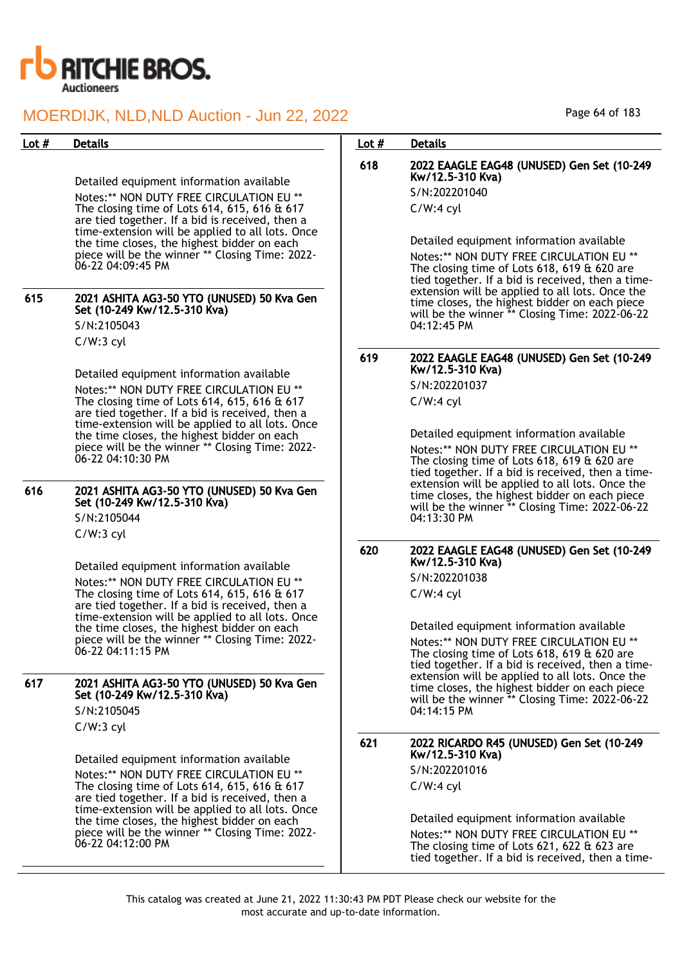

| MOERDIJK, NLD, NLD Auction - Jun 22, 2022 |                                                                                                                                                                                                                                                                                                                                                                                |         | Page 64 of 183                                                                                                                                                                                                                                                                                                                                                    |  |
|-------------------------------------------|--------------------------------------------------------------------------------------------------------------------------------------------------------------------------------------------------------------------------------------------------------------------------------------------------------------------------------------------------------------------------------|---------|-------------------------------------------------------------------------------------------------------------------------------------------------------------------------------------------------------------------------------------------------------------------------------------------------------------------------------------------------------------------|--|
| Lot $#$                                   | <b>Details</b>                                                                                                                                                                                                                                                                                                                                                                 | Lot $#$ | <b>Details</b>                                                                                                                                                                                                                                                                                                                                                    |  |
|                                           | Detailed equipment information available<br>Notes:** NON DUTY FREE CIRCULATION EU **<br>The closing time of Lots 614, 615, 616 & 617                                                                                                                                                                                                                                           | 618     | 2022 EAAGLE EAG48 (UNUSED) Gen Set (10-249<br>Kw/12.5-310 Kva)<br>S/N:202201040<br>$C/W:4$ cyl                                                                                                                                                                                                                                                                    |  |
| 615                                       | are tied together. If a bid is received, then a<br>time-extension will be applied to all lots. Once<br>the time closes, the highest bidder on each<br>piece will be the winner ** Closing Time: 2022-<br>06-22 04:09:45 PM<br>2021 ASHITA AG3-50 YTO (UNUSED) 50 Kva Gen<br>Set (10-249 Kw/12.5-310 Kva)<br>S/N:2105043<br>$C/W:3$ cyl                                         |         | Detailed equipment information available<br>Notes:** NON DUTY FREE CIRCULATION EU **<br>The closing time of Lots $618, 619$ & $620$ are<br>tied together. If a bid is received, then a time-<br>extension will be applied to all lots. Once the<br>time closes, the highest bidder on each piece<br>will be the winner ** Closing Time: 2022-06-22<br>04:12:45 PM |  |
|                                           | Detailed equipment information available<br>Notes:** NON DUTY FREE CIRCULATION EU **<br>The closing time of Lots 614, 615, 616 & 617<br>are tied together. If a bid is received, then a<br>time-extension will be applied to all lots. Once<br>the time closes, the highest bidder on each<br>piece will be the winner ** Closing Time: 2022-<br>06-22 04:10:30 PM             | 619     | 2022 EAAGLE EAG48 (UNUSED) Gen Set (10-249<br>Kw/12.5-310 Kva)<br>S/N:202201037<br>$C/W:4$ cyl<br>Detailed equipment information available<br>Notes:** NON DUTY FREE CIRCULATION EU **<br>The closing time of Lots $618, 619$ & $620$ are<br>tied together. If a bid is received, then a time-                                                                    |  |
| 616                                       | 2021 ASHITA AG3-50 YTO (UNUSED) 50 Kva Gen<br>Set (10-249 Kw/12.5-310 Kva)<br>S/N:2105044<br>$C/W:3$ cyl                                                                                                                                                                                                                                                                       |         | extension will be applied to all lots. Once the<br>time closes, the highest bidder on each piece<br>will be the winner ** Closing Time: 2022-06-22<br>04:13:30 PM                                                                                                                                                                                                 |  |
|                                           | Detailed equipment information available<br>Notes:** NON DUTY FREE CIRCULATION EU **<br>The closing time of Lots 614, 615, 616 & 617<br>are tied together. If a bid is received, then a<br>time-extension will be applied to all lots. Once<br>the time closes, the highest bidder on each<br>piece will be the winner ** Closing Time: 2022-<br>06-22 04:11:15 PM             | 620     | 2022 EAAGLE EAG48 (UNUSED) Gen Set (10-249<br>Kw/12.5-310 Kva)<br>S/N:202201038<br>$C/W:4$ cyl<br>Detailed equipment information available<br>Notes:** NON DUTY FREE CIRCULATION EU **<br>The closing time of Lots $618, 619$ & $620$ are<br>tied together. If a bid is received, then a time-                                                                    |  |
| 617                                       | 2021 ASHITA AG3-50 YTO (UNUSED) 50 Kva Gen<br>Set (10-249 Kw/12.5-310 Kva)<br>S/N:2105045<br>$C/W:3$ cyl                                                                                                                                                                                                                                                                       |         | extension will be applied to all lots. Once the<br>time closes, the highest bidder on each piece<br>will be the winner ** Closing Time: 2022-06-22<br>04:14:15 PM                                                                                                                                                                                                 |  |
|                                           | Detailed equipment information available<br>Notes:** NON DUTY FREE CIRCULATION EU **<br>The closing time of Lots $614, 615, 616 \text{ ft } 617$<br>are tied together. If a bid is received, then a<br>time-extension will be applied to all lots. Once<br>the time closes, the highest bidder on each<br>piece will be the winner ** Closing Time: 2022-<br>06-22 04:12:00 PM | 621     | 2022 RICARDO R45 (UNUSED) Gen Set (10-249<br>Kw/12.5-310 Kva)<br>S/N:202201016<br>$C/W:4$ cyl<br>Detailed equipment information available<br>Notes:** NON DUTY FREE CIRCULATION EU **<br>The closing time of Lots $621, 622$ & $623$ are<br>tied together. If a bid is received, then a time-                                                                     |  |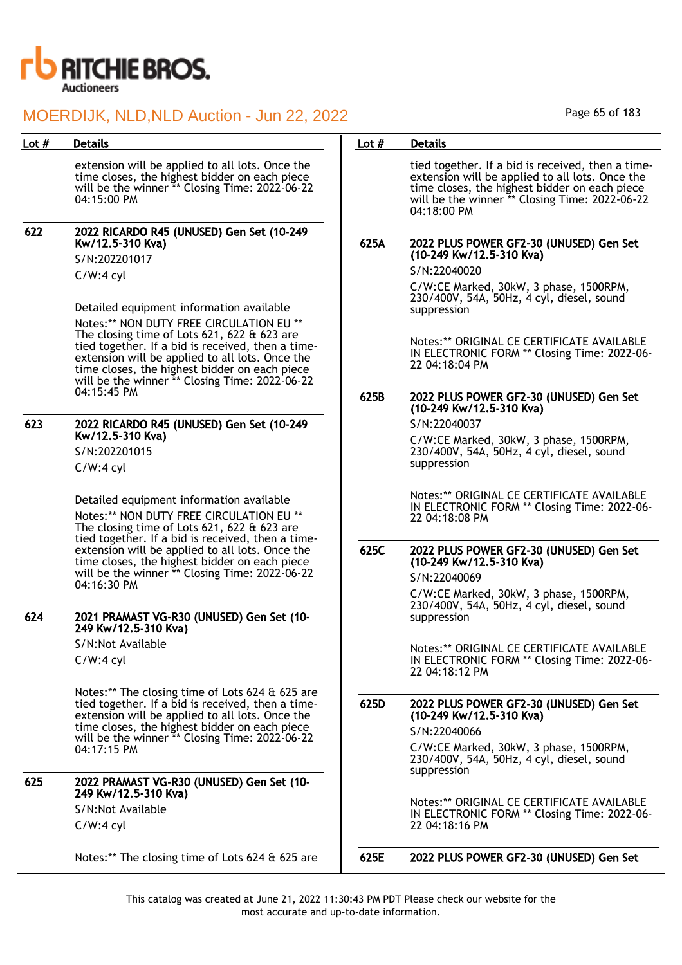

| Lot $#$ | <b>Details</b>                                                                                                                                                                                                                                                                                                                                                                                                                                                     | Lot $#$      | <b>Details</b>                                                                                                                                                                                                                                                                                                                                                                   |
|---------|--------------------------------------------------------------------------------------------------------------------------------------------------------------------------------------------------------------------------------------------------------------------------------------------------------------------------------------------------------------------------------------------------------------------------------------------------------------------|--------------|----------------------------------------------------------------------------------------------------------------------------------------------------------------------------------------------------------------------------------------------------------------------------------------------------------------------------------------------------------------------------------|
|         | extension will be applied to all lots. Once the<br>time closes, the highest bidder on each piece<br>will be the winner ** Closing Time: 2022-06-22<br>04:15:00 PM                                                                                                                                                                                                                                                                                                  |              | tied together. If a bid is received, then a time-<br>extension will be applied to all lots. Once the<br>time closes, the highest bidder on each piece<br>will be the winner ** Closing Time: 2022-06-22<br>$04:18:00 \text{ PM}$                                                                                                                                                 |
| 622     | 2022 RICARDO R45 (UNUSED) Gen Set (10-249<br>Kw/12.5-310 Kva)<br>S/N:202201017<br>$C/W:4$ cyl<br>Detailed equipment information available<br>Notes:** NON DUTY FREE CIRCULATION EU **<br>The closing time of Lots $621, 622$ & $623$ are<br>tied together. If a bid is received, then a time-<br>extension will be applied to all lots. Once the<br>time closes, the highest bidder on each piece<br>will be the winner ** Closing Time: 2022-06-22<br>04:15:45 PM | 625A<br>625B | 2022 PLUS POWER GF2-30 (UNUSED) Gen Set<br>(10-249 Kw/12.5-310 Kva)<br>S/N:22040020<br>C/W:CE Marked, 30kW, 3 phase, 1500RPM,<br>230/400V, 54A, 50Hz, 4 cyl, diesel, sound<br>suppression<br>Notes:** ORIGINAL CE CERTIFICATE AVAILABLE<br>IN ELECTRONIC FORM ** Closing Time: 2022-06-<br>22 04:18:04 PM<br>2022 PLUS POWER GF2-30 (UNUSED) Gen Set<br>(10-249 Kw/12.5-310 Kva) |
| 623     | 2022 RICARDO R45 (UNUSED) Gen Set (10-249<br>Kw/12.5-310 Kva)<br>S/N:202201015<br>$C/W:4$ cyl<br>Detailed equipment information available<br>Notes:** NON DUTY FREE CIRCULATION EU **                                                                                                                                                                                                                                                                              |              | S/N:22040037<br>C/W:CE Marked, 30kW, 3 phase, 1500RPM,<br>230/400V, 54A, 50Hz, 4 cyl, diesel, sound<br>suppression<br>Notes:** ORIGINAL CE CERTIFICATE AVAILABLE<br>IN ELECTRONIC FORM ** Closing Time: 2022-06-<br>22 04:18:08 PM                                                                                                                                               |
|         | The closing time of Lots $621, 622$ & $623$ are<br>tied together. If a bid is received, then a time-<br>extension will be applied to all lots. Once the<br>time closes, the highest bidder on each piece<br>will be the winner ** Closing Time: 2022-06-22<br>04:16:30 PM                                                                                                                                                                                          | 625C         | 2022 PLUS POWER GF2-30 (UNUSED) Gen Set<br>(10-249 Kw/12.5-310 Kva)<br>S/N:22040069<br>C/W:CE Marked, 30kW, 3 phase, 1500RPM,<br>230/400V, 54A, 50Hz, 4 cyl, diesel, sound                                                                                                                                                                                                       |
| 624     | 2021 PRAMAST VG-R30 (UNUSED) Gen Set (10-<br>249 Kw/12.5-310 Kva)<br>S/N:Not Available<br>$C/W:4$ cyl                                                                                                                                                                                                                                                                                                                                                              |              | suppression<br>Notes:** ORIGINAL CE CERTIFICATE AVAILABLE<br>IN ELECTRONIC FORM ** Closing Time: 2022-06-<br>22 04:18:12 PM                                                                                                                                                                                                                                                      |
|         | Notes:** The closing time of Lots 624 & 625 are<br>tied together. If a bid is received, then a time-<br>extension will be applied to all lots. Once the<br>time closes, the highest bidder on each piece<br>will be the winner ** Closing Time: 2022-06-22<br>04:17:15 PM                                                                                                                                                                                          | 625D         | 2022 PLUS POWER GF2-30 (UNUSED) Gen Set<br>(10-249 Kw/12.5-310 Kva)<br>S/N:22040066<br>C/W:CE Marked, 30kW, 3 phase, 1500RPM,<br>230/400V, 54A, 50Hz, 4 cyl, diesel, sound<br>suppression                                                                                                                                                                                        |
| 625     | 2022 PRAMAST VG-R30 (UNUSED) Gen Set (10-<br>249 Kw/12.5-310 Kva)<br>S/N:Not Available<br>$C/W:4$ cyl                                                                                                                                                                                                                                                                                                                                                              |              | Notes:** ORIGINAL CE CERTIFICATE AVAILABLE<br>IN ELECTRONIC FORM ** Closing Time: 2022-06-<br>22 04:18:16 PM                                                                                                                                                                                                                                                                     |
|         | Notes:** The closing time of Lots 624 & 625 are                                                                                                                                                                                                                                                                                                                                                                                                                    | 625E         | 2022 PLUS POWER GF2-30 (UNUSED) Gen Set                                                                                                                                                                                                                                                                                                                                          |

Page 65 of 183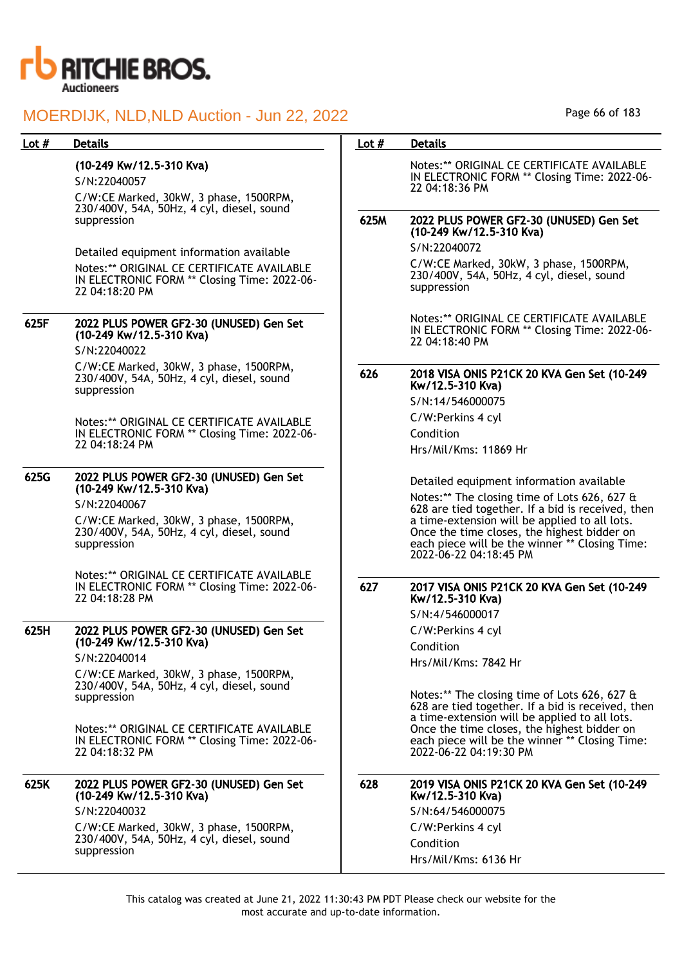

#### Lot # Details **Details According to the United States Lot # Details** (10-249 Kw/12.5-310 Kva) S/N:22040057 C/W:CE Marked, 30kW, 3 phase, 1500RPM, 230/400V, 54A, 50Hz, 4 cyl, diesel, sound suppression Detailed equipment information available Notes:\*\* ORIGINAL CE CERTIFICATE AVAILABLE IN ELECTRONIC FORM \*\* Closing Time: 2022-06- 22 04:18:20 PM 625F 2022 PLUS POWER GF2-30 (UNUSED) Gen Set (10-249 Kw/12.5-310 Kva) S/N:22040022 C/W:CE Marked, 30kW, 3 phase, 1500RPM, 230/400V, 54A, 50Hz, 4 cyl, diesel, sound suppression Notes:\*\* ORIGINAL CE CERTIFICATE AVAILABLE IN ELECTRONIC FORM \*\* Closing Time: 2022-06- 22 04:18:24 PM 625G 2022 PLUS POWER GF2-30 (UNUSED) Gen Set (10-249 Kw/12.5-310 Kva) S/N:22040067 C/W:CE Marked, 30kW, 3 phase, 1500RPM, 230/400V, 54A, 50Hz, 4 cyl, diesel, sound suppression Notes:\*\* ORIGINAL CE CERTIFICATE AVAILABLE IN ELECTRONIC FORM \*\* Closing Time: 2022-06- 22 04:18:28 PM 625H 2022 PLUS POWER GF2-30 (UNUSED) Gen Set (10-249 Kw/12.5-310 Kva) S/N:22040014 C/W:CE Marked, 30kW, 3 phase, 1500RPM, 230/400V, 54A, 50Hz, 4 cyl, diesel, sound suppression Notes:\*\* ORIGINAL CE CERTIFICATE AVAILABLE IN ELECTRONIC FORM \*\* Closing Time: 2022-06- 22 04:18:32 PM 625K 2022 PLUS POWER GF2-30 (UNUSED) Gen Set (10-249 Kw/12.5-310 Kva) S/N:22040032 C/W:CE Marked, 30kW, 3 phase, 1500RPM, 230/400V, 54A, 50Hz, 4 cyl, diesel, sound suppression Notes:\*\* ORIGINAL CE CERTIFICATE AVAILABLE IN ELECTRONIC FORM \*\* Closing Time: 2022-06- 22 04:18:36 PM 625M 2022 PLUS POWER GF2-30 (UNUSED) Gen Set (10-249 Kw/12.5-310 Kva) S/N:22040072 C/W:CE Marked, 30kW, 3 phase, 1500RPM, 230/400V, 54A, 50Hz, 4 cyl, diesel, sound suppression Notes:\*\* ORIGINAL CE CERTIFICATE AVAILABLE IN ELECTRONIC FORM \*\* Closing Time: 2022-06- 22 04:18:40 PM 626 2018 VISA ONIS P21CK 20 KVA Gen Set (10-249 Kw/12.5-310 Kva) S/N:14/546000075 C/W:Perkins 4 cyl Condition Hrs/Mil/Kms: 11869 Hr Detailed equipment information available Notes:\*\* The closing time of Lots 626, 627 & 628 are tied together. If a bid is received, then a time-extension will be applied to all lots. Once the time closes, the highest bidder on each piece will be the winner \*\* Closing Time: 2022-06-22 04:18:45 PM 627 2017 VISA ONIS P21CK 20 KVA Gen Set (10-249 Kw/12.5-310 Kva) S/N:4/546000017 C/W:Perkins 4 cyl Condition Hrs/Mil/Kms: 7842 Hr Notes:\*\* The closing time of Lots 626, 627 & 628 are tied together. If a bid is received, then a time-extension will be applied to all lots. Once the time closes, the highest bidder on each piece will be the winner \*\* Closing Time: 2022-06-22 04:19:30 PM 628 2019 VISA ONIS P21CK 20 KVA Gen Set (10-249 Kw/12.5-310 Kva) S/N:64/546000075 C/W:Perkins 4 cyl Condition Hrs/Mil/Kms: 6136 Hr

Page 66 of 183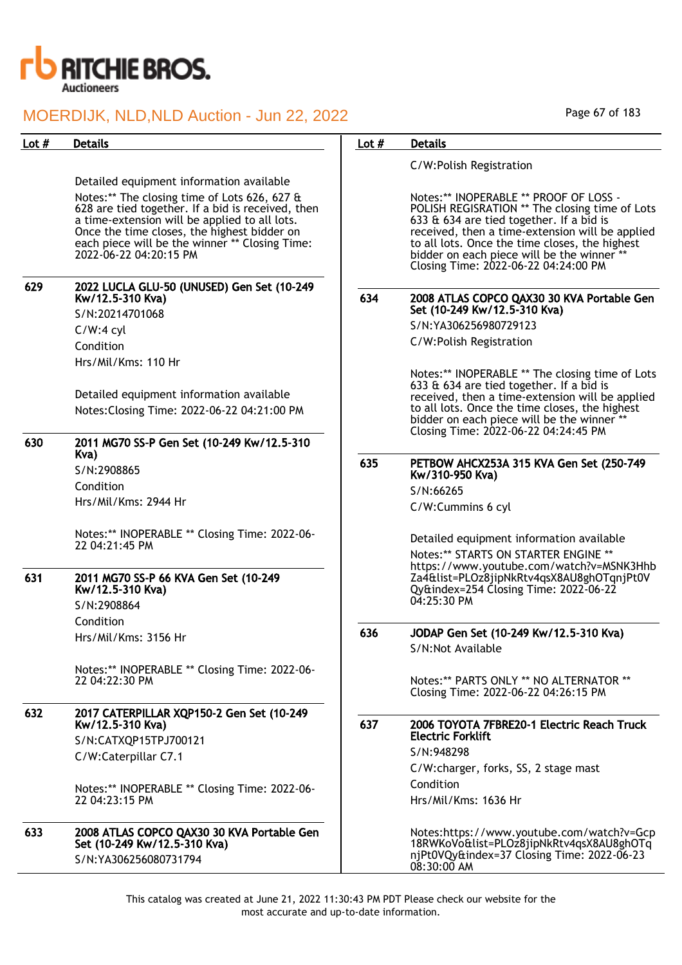

| Lot $#$ | <b>Details</b>                                                                                                                                                                                                                                                                | Lot $#$ | <b>Details</b>                                                                                                                                                                                                                                                                                                                  |
|---------|-------------------------------------------------------------------------------------------------------------------------------------------------------------------------------------------------------------------------------------------------------------------------------|---------|---------------------------------------------------------------------------------------------------------------------------------------------------------------------------------------------------------------------------------------------------------------------------------------------------------------------------------|
|         |                                                                                                                                                                                                                                                                               |         | C/W:Polish Registration                                                                                                                                                                                                                                                                                                         |
|         | Detailed equipment information available                                                                                                                                                                                                                                      |         |                                                                                                                                                                                                                                                                                                                                 |
|         | Notes:** The closing time of Lots 626, 627 &<br>628 are tied together. If a bid is received, then<br>a time-extension will be applied to all lots.<br>Once the time closes, the highest bidder on<br>each piece will be the winner ** Closing Time:<br>2022-06-22 04:20:15 PM |         | Notes:** INOPERABLE ** PROOF OF LOSS -<br>POLISH REGISRATION ** The closing time of Lots<br>633 & 634 are tied together. If a bid is<br>received, then a time-extension will be applied<br>to all lots. Once the time closes, the highest<br>bidder on each piece will be the winner **<br>Closing Time: 2022-06-22 04:24:00 PM |
| 629     | 2022 LUCLA GLU-50 (UNUSED) Gen Set (10-249<br>Kw/12.5-310 Kva)                                                                                                                                                                                                                | 634     | 2008 ATLAS COPCO QAX30 30 KVA Portable Gen                                                                                                                                                                                                                                                                                      |
|         | S/N:20214701068                                                                                                                                                                                                                                                               |         | Set (10-249 Kw/12.5-310 Kva)                                                                                                                                                                                                                                                                                                    |
|         | $C/W:4$ cyl                                                                                                                                                                                                                                                                   |         | S/N:YA306256980729123                                                                                                                                                                                                                                                                                                           |
|         | Condition                                                                                                                                                                                                                                                                     |         | C/W:Polish Registration                                                                                                                                                                                                                                                                                                         |
|         | Hrs/Mil/Kms: 110 Hr                                                                                                                                                                                                                                                           |         |                                                                                                                                                                                                                                                                                                                                 |
| 630     | Detailed equipment information available<br>Notes: Closing Time: 2022-06-22 04:21:00 PM<br>2011 MG70 SS-P Gen Set (10-249 Kw/12.5-310                                                                                                                                         |         | Notes:** INOPERABLE ** The closing time of Lots<br>633 & 634 are tied together. If a bid is<br>received, then a time-extension will be applied<br>to all lots. Once the time closes, the highest<br>bidder on each piece will be the winner **<br>Closing Time: 2022-06-22 04:24:45 PM                                          |
|         | Kva)                                                                                                                                                                                                                                                                          | 635     | PETBOW AHCX253A 315 KVA Gen Set (250-749                                                                                                                                                                                                                                                                                        |
|         | S/N:2908865                                                                                                                                                                                                                                                                   |         | Kw/310-950 Kva)                                                                                                                                                                                                                                                                                                                 |
|         | Condition                                                                                                                                                                                                                                                                     |         | S/N:66265                                                                                                                                                                                                                                                                                                                       |
|         | Hrs/Mil/Kms: 2944 Hr                                                                                                                                                                                                                                                          |         | C/W:Cummins 6 cyl                                                                                                                                                                                                                                                                                                               |
|         | Notes:** INOPERABLE ** Closing Time: 2022-06-<br>22 04:21:45 PM                                                                                                                                                                                                               |         | Detailed equipment information available<br>Notes:** STARTS ON STARTER ENGINE **<br>https://www.youtube.com/watch?v=MSNK3Hhb                                                                                                                                                                                                    |
| 631     | 2011 MG70 SS-P 66 KVA Gen Set (10-249<br>Kw/12.5-310 Kva)                                                                                                                                                                                                                     |         | Za4&list=PLOz8jipNkRtv4qsX8AU8ghOTqnjPt0V<br>Qy&index=254 Closing Time: 2022-06-22<br>04:25:30 PM                                                                                                                                                                                                                               |
|         | S/N:2908864                                                                                                                                                                                                                                                                   |         |                                                                                                                                                                                                                                                                                                                                 |
|         | Condition                                                                                                                                                                                                                                                                     | 636     | JODAP Gen Set (10-249 Kw/12.5-310 Kva)                                                                                                                                                                                                                                                                                          |
|         | Hrs/Mil/Kms: 3156 Hr                                                                                                                                                                                                                                                          |         | S/N:Not Available                                                                                                                                                                                                                                                                                                               |
|         | Notes:** INOPERABLE ** Closing Time: 2022-06-<br>22 04:22:30 PM                                                                                                                                                                                                               |         | Notes:** PARTS ONLY ** NO ALTERNATOR **<br>Closing Time: 2022-06-22 04:26:15 PM                                                                                                                                                                                                                                                 |
| 632     | 2017 CATERPILLAR XQP150-2 Gen Set (10-249                                                                                                                                                                                                                                     |         |                                                                                                                                                                                                                                                                                                                                 |
|         | Kw/12.5-310 Kva)                                                                                                                                                                                                                                                              | 637     | 2006 TOYOTA 7FBRE20-1 Electric Reach Truck<br><b>Electric Forklift</b>                                                                                                                                                                                                                                                          |
|         | S/N:CATXQP15TPJ700121                                                                                                                                                                                                                                                         |         | S/N:948298                                                                                                                                                                                                                                                                                                                      |
|         | C/W:Caterpillar C7.1                                                                                                                                                                                                                                                          |         | C/W:charger, forks, SS, 2 stage mast                                                                                                                                                                                                                                                                                            |
|         | Notes:** INOPERABLE ** Closing Time: 2022-06-                                                                                                                                                                                                                                 |         | Condition                                                                                                                                                                                                                                                                                                                       |
|         | 22 04:23:15 PM                                                                                                                                                                                                                                                                |         | Hrs/Mil/Kms: 1636 Hr                                                                                                                                                                                                                                                                                                            |
| 633     | 2008 ATLAS COPCO QAX30 30 KVA Portable Gen<br>Set (10-249 Kw/12.5-310 Kva)<br>S/N:YA306256080731794                                                                                                                                                                           |         | Notes:https://www.youtube.com/watch?v=Gcp<br>18RWKoVo&list=PLOz8jipNkRtv4qsX8AU8ghOTq<br>njPt0VQy&index=37 Closing Time: 2022-06-23<br>$08:30:00$ AM                                                                                                                                                                            |

Page 67 of 183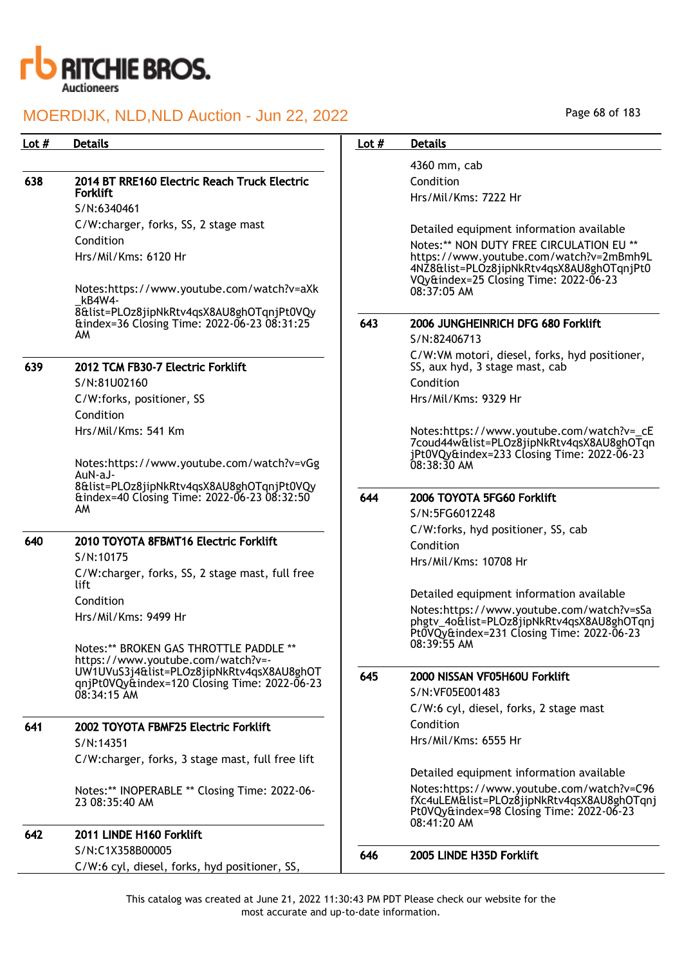

| Lot $#$ | <b>Details</b>                                                                            | Lot $#$ | <b>Details</b>                                                                                                                                     |
|---------|-------------------------------------------------------------------------------------------|---------|----------------------------------------------------------------------------------------------------------------------------------------------------|
|         |                                                                                           |         | 4360 mm, cab                                                                                                                                       |
| 638     | 2014 BT RRE160 Electric Reach Truck Electric                                              |         | Condition                                                                                                                                          |
|         | <b>Forklift</b>                                                                           |         | Hrs/Mil/Kms: 7222 Hr                                                                                                                               |
|         | S/N:6340461                                                                               |         |                                                                                                                                                    |
|         | C/W:charger, forks, SS, 2 stage mast                                                      |         | Detailed equipment information available                                                                                                           |
|         | Condition                                                                                 |         | Notes:** NON DUTY FREE CIRCULATION EU **                                                                                                           |
|         | Hrs/Mil/Kms: 6120 Hr                                                                      |         | https://www.youtube.com/watch?v=2mBmh9L<br>4NZ8&list=PLOz8jipNkRtv4qsX8AU8ghOTqnjPt0                                                               |
|         | Notes:https://www.youtube.com/watch?v=aXk<br>kB4W4-                                       |         | VQy&index=25 Closing Time: 2022-06-23<br>08:37:05 AM                                                                                               |
|         | 8&list=PLOz8jipNkRtv4qsX8AU8ghOTqnjPt0VQy                                                 |         |                                                                                                                                                    |
|         | &index=36 Closing Time: 2022-06-23 08:31:25<br>AM                                         | 643     | 2006 JUNGHEINRICH DFG 680 Forklift                                                                                                                 |
|         |                                                                                           |         | S/N:82406713                                                                                                                                       |
| 639     | 2012 TCM FB30-7 Electric Forklift                                                         |         | C/W:VM motori, diesel, forks, hyd positioner,<br>SS, aux hyd, 3 stage mast, cab                                                                    |
|         | S/N:81U02160                                                                              |         | Condition                                                                                                                                          |
|         | C/W:forks, positioner, SS                                                                 |         | Hrs/Mil/Kms: 9329 Hr                                                                                                                               |
|         | Condition                                                                                 |         |                                                                                                                                                    |
|         | Hrs/Mil/Kms: 541 Km                                                                       |         | Notes:https://www.youtube.com/watch?v=_cE<br>7coud44w&list=PLOz8jipNkRtv4qsX8AU8ghOTqn                                                             |
|         | Notes:https://www.youtube.com/watch?v=vGg<br>AuN-aJ-                                      |         | jPt0VQy&index=233 Closing Time: 2022-06-23<br>$08:38:30$ AM                                                                                        |
|         | 8&list=PLOz8jipNkRtv4qsX8AU8ghOTqnjPt0VQy<br>&index=40 Closing Time: 2022-06-23 08:32:50  | 644     | 2006 TOYOTA 5FG60 Forklift                                                                                                                         |
|         | AM                                                                                        |         | S/N:5FG6012248                                                                                                                                     |
|         |                                                                                           |         | C/W:forks, hyd positioner, SS, cab                                                                                                                 |
| 640     | 2010 TOYOTA 8FBMT16 Electric Forklift                                                     |         | Condition                                                                                                                                          |
|         | S/N:10175                                                                                 |         | Hrs/Mil/Kms: 10708 Hr                                                                                                                              |
|         | C/W:charger, forks, SS, 2 stage mast, full free<br>lift                                   |         |                                                                                                                                                    |
|         | Condition                                                                                 |         | Detailed equipment information available                                                                                                           |
|         | Hrs/Mil/Kms: 9499 Hr                                                                      |         | Notes:https://www.youtube.com/watch?v=sSa                                                                                                          |
|         |                                                                                           |         | phgtv_4o&list=PLOz8jipNkRtv4qsX8AU8ghOTqnj<br>Pt0VQy&index=231 Closing Time: 2022-06-23                                                            |
|         | Notes:** BROKEN GAS THROTTLE PADDLE **                                                    |         | 08:39:55 AM                                                                                                                                        |
|         | https://www.youtube.com/watch?v=-                                                         |         |                                                                                                                                                    |
|         | UW1UVuS3j4&list=PLOz8jipNkRtv4qsX8AU8ghOT<br>qnjPt0VQy&index=120 Closing Time: 2022-06-23 | 645     | 2000 NISSAN VF05H60U Forklift                                                                                                                      |
|         | 08:34:15 AM                                                                               |         | S/N:VF05E001483                                                                                                                                    |
|         |                                                                                           |         | C/W:6 cyl, diesel, forks, 2 stage mast                                                                                                             |
| 641     | 2002 TOYOTA FBMF25 Electric Forklift                                                      |         | Condition                                                                                                                                          |
|         | S/N:14351                                                                                 |         | Hrs/Mil/Kms: 6555 Hr                                                                                                                               |
|         | C/W:charger, forks, 3 stage mast, full free lift                                          |         |                                                                                                                                                    |
|         |                                                                                           |         | Detailed equipment information available                                                                                                           |
|         | Notes:** INOPERABLE ** Closing Time: 2022-06-<br>23 08:35:40 AM                           |         | Notes:https://www.youtube.com/watch?v=C96<br>fXc4uLEM&list=PLOz8jipNkRtv4qsX8AU8ghOTqnj<br>Pt0VQy&index=98 Closing Time: 2022-06-23<br>08:41:20 AM |
| 642     | 2011 LINDE H160 Forklift                                                                  |         |                                                                                                                                                    |
|         | S/N:C1X358B00005                                                                          | 646     | 2005 LINDE H35D Forklift                                                                                                                           |
|         | C/W:6 cyl, diesel, forks, hyd positioner, SS,                                             |         |                                                                                                                                                    |

Page 68 of 183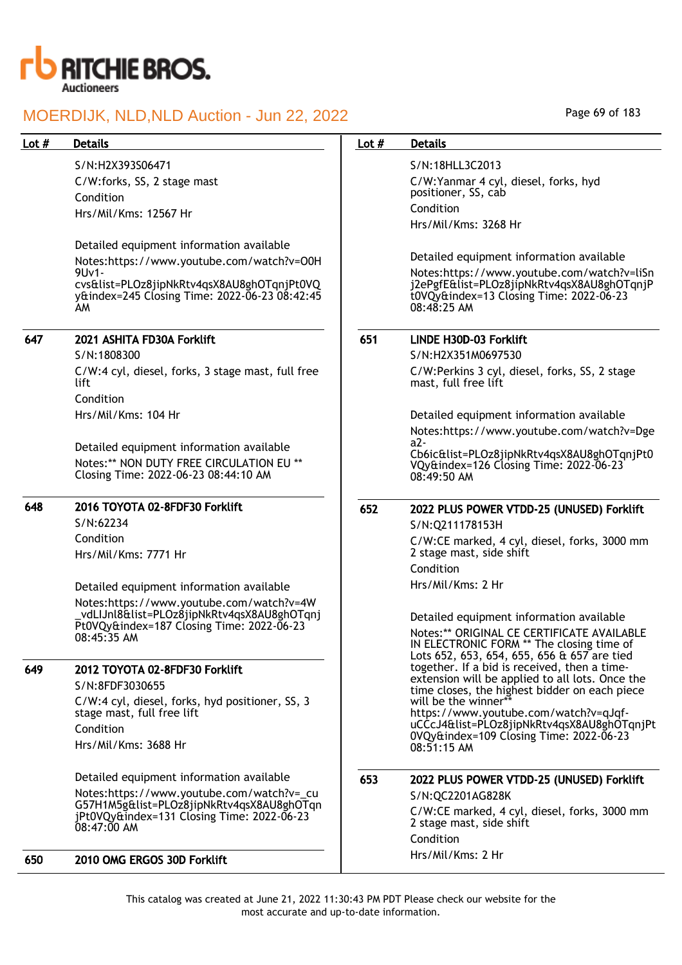

S/N:H2X393S06471 C/W:forks, SS, 2 stage mast Condition Hrs/Mil/Kms: 12567 Hr

Detailed equipment information available Notes:https://www.youtube.com/watch?v=O0H 9Uv1 cvs&list=PLOz8jipNkRtv4qsX8AU8ghOTqnjPt0VQ y&index=245 Closing Time: 2022-06-23 08:42:45 AM

## 647 2021 ASHITA FD30A Forklift

S/N:1808300 C/W:4 cyl, diesel, forks, 3 stage mast, full free lift Condition Hrs/Mil/Kms: 104 Hr

Detailed equipment information available Notes:\*\* NON DUTY FREE CIRCULATION EU \*\* Closing Time: 2022-06-23 08:44:10 AM

## 648 2016 TOYOTA 02-8FDF30 Forklift

S/N:62234 Condition Hrs/Mil/Kms: 7771 Hr

Detailed equipment information available Notes:https://www.youtube.com/watch?v=4W \_vdLIJnl8&list=PLOz8jipNkRtv4qsX8AU8ghOTqnj Pt0VQy&index=187 Closing Time: 2022-06-23 08:45:35 AM

## 649 2012 TOYOTA 02-8FDF30 Forklift

S/N:8FDF3030655 C/W:4 cyl, diesel, forks, hyd positioner, SS, 3 stage mast, full free lift Condition Hrs/Mil/Kms: 3688 Hr

Detailed equipment information available

Notes:https://www.youtube.com/watch?v=\_cu G57H1M5g&list=PLOz8jipNkRtv4qsX8AU8ghOTqn jPt0VQy&index=131 Closing Time: 2022-06-23 08:47:00 AM

650 2010 OMG ERGOS 30D Forklift

### Lot # Details **Details According to Lot # Details**

S/N:18HLL3C2013 C/W:Yanmar 4 cyl, diesel, forks, hyd positioner, SS, cab Condition Hrs/Mil/Kms: 3268 Hr

Detailed equipment information available Notes:https://www.youtube.com/watch?v=liSn j2ePgfE&list=PLOz8jipNkRtv4qsX8AU8ghOTqnjP t0VQy&index=13 Closing Time: 2022-06-23 08:48:25 AM

## 651 LINDE H30D-03 Forklift

S/N:H2X351M0697530 C/W:Perkins 3 cyl, diesel, forks, SS, 2 stage mast, full free lift

Detailed equipment information available Notes:https://www.youtube.com/watch?v=Dge a2-

Cb6ic&list=PLOz8jipNkRtv4qsX8AU8ghOTqnjPt0 VQy&index=126 Closing Time: 2022-06-23 08:49:50 AM

652 2022 PLUS POWER VTDD-25 (UNUSED) Forklift

S/N:Q211178153H C/W:CE marked, 4 cyl, diesel, forks, 3000 mm 2 stage mast, side shift Condition Hrs/Mil/Kms: 2 Hr

Detailed equipment information available Notes:\*\* ORIGINAL CE CERTIFICATE AVAILABLE IN ELECTRONIC FORM \*\* The closing time of Lots 652, 653, 654, 655, 656 & 657 are tied together. If a bid is received, then a timeextension will be applied to all lots. Once the time closes, the highest bidder on each piece will be the winner\* https://www.youtube.com/watch?v=qJqfuCCcJ4&list=PLOz8jipNkRtv4qsX8AU8ghOTqnjPt 0VQy&index=109 Closing Time: 2022-06-23 08:51:15 AM

## 653 2022 PLUS POWER VTDD-25 (UNUSED) Forklift

S/N:QC2201AG828K C/W:CE marked, 4 cyl, diesel, forks, 3000 mm 2 stage mast, side shift Condition Hrs/Mil/Kms: 2 Hr

This catalog was created at June 21, 2022 11:30:43 PM PDT Please check our website for the most accurate and up-to-date information.

Page 69 of 183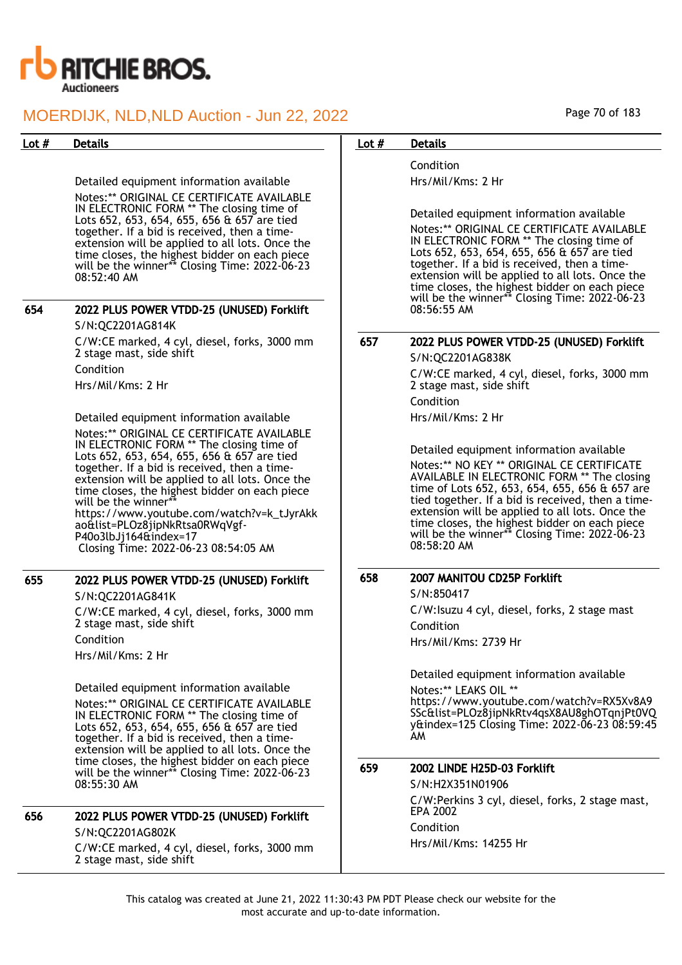

Detailed equipment information available Notes:\*\* ORIGINAL CE CERTIFICATE AVAILABLE IN ELECTRONIC FORM \*\* The closing time of Lots 652, 653, 654, 655, 656 & 657 are tied together. If a bid is received, then a timeextension will be applied to all lots. Once the time closes, the highest bidder on each piece will be the winner\*\* Closing Time: 2022-06-23 08:52:40 AM

| 654 | 2022 PLUS POWER VTDD-25 (UNUSED) Forklift                                |  |  |
|-----|--------------------------------------------------------------------------|--|--|
|     | S/N:QC2201AG814K                                                         |  |  |
|     | C/W:CE marked, 4 cyl, diesel, forks, 3000 mm<br>2 stage mast, side shift |  |  |
|     |                                                                          |  |  |

Condition

Hrs/Mil/Kms: 2 Hr

Detailed equipment information available Notes:\*\* ORIGINAL CE CERTIFICATE AVAILABLE IN ELECTRONIC FORM \*\* The closing time of Lots 652, 653, 654, 655, 656 & 657 are tied together. If a bid is received, then a timeextension will be applied to all lots. Once the time closes, the highest bidder on each piece will be the winner\* https://www.youtube.com/watch?v=k\_tJyrAkk ao&list=PLOz8jipNkRtsa0RWqVgf-P40o3lbJj164&index=17 Closing Time: 2022-06-23 08:54:05 AM

## 655 2022 PLUS POWER VTDD-25 (UNUSED) Forklift

S/N:QC2201AG841K C/W:CE marked, 4 cyl, diesel, forks, 3000 mm 2 stage mast, side shift Condition Hrs/Mil/Kms: 2 Hr

Detailed equipment information available Notes:\*\* ORIGINAL CE CERTIFICATE AVAILABLE IN ELECTRONIC FORM \*\* The closing time of Lots 652, 653, 654, 655, 656 & 657 are tied together. If a bid is received, then a timeextension will be applied to all lots. Once the time closes, the highest bidder on each piece will be the winner\*\* Closing Time: 2022-06-23 08:55:30 AM

### 656 2022 PLUS POWER VTDD-25 (UNUSED) Forklift S/N:QC2201AG802K

C/W:CE marked, 4 cyl, diesel, forks, 3000 mm 2 stage mast, side shift

#### Page 70 of 183

### Lot # Details **Details According to Lot # Details**

Condition Hrs/Mil/Kms: 2 Hr

Detailed equipment information available

Notes:\*\* ORIGINAL CE CERTIFICATE AVAILABLE IN ELECTRONIC FORM \*\* The closing time of Lots 652, 653, 654, 655, 656 & 657 are tied together. If a bid is received, then a timeextension will be applied to all lots. Once the time closes, the highest bidder on each piece will be the winner\*\* Closing Time: 2022-06-23 08:56:55 AM

## 657 2022 PLUS POWER VTDD-25 (UNUSED) Forklift

S/N:QC2201AG838K

C/W:CE marked, 4 cyl, diesel, forks, 3000 mm 2 stage mast, side shift Condition

Hrs/Mil/Kms: 2 Hr

Detailed equipment information available Notes:\*\* NO KEY \*\* ORIGINAL CE CERTIFICATE AVAILABLE IN ELECTRONIC FORM \*\* The closing time of Lots 652, 653, 654, 655, 656 & 657 are tied together. If a bid is received, then a timeextension will be applied to all lots. Once the time closes, the highest bidder on each piece will be the winner\*\* Closing Time: 2022-06-23 08:58:20 AM

## 658 2007 MANITOU CD25P Forklift

S/N:850417 C/W:Isuzu 4 cyl, diesel, forks, 2 stage mast Condition Hrs/Mil/Kms: 2739 Hr

Detailed equipment information available

Notes:\*\* LEAKS OIL \*\* https://www.youtube.com/watch?v=RX5Xv8A9 SSc&list=PLOz8jipNkRtv4qsX8AU8ghOTqnjPt0VQ y&index=125 Closing Time: 2022-06-23 08:59:45 AM

#### 659 2002 LINDE H25D-03 Forklift

S/N:H2X351N01906 C/W:Perkins 3 cyl, diesel, forks, 2 stage mast, EPA 2002 Condition Hrs/Mil/Kms: 14255 Hr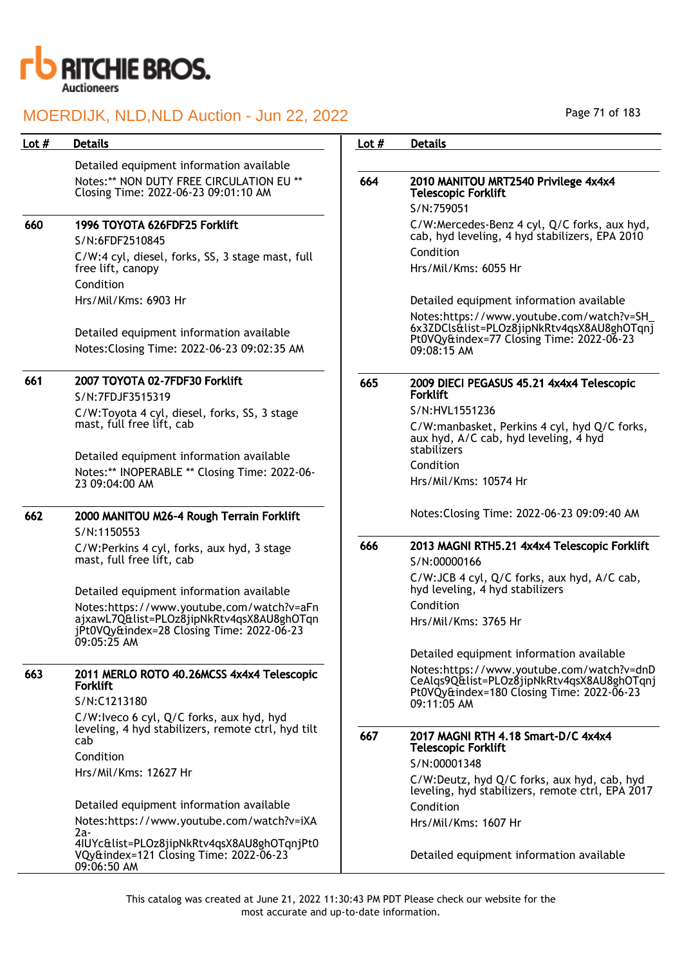

| Lot $#$ | <b>Details</b>                                                                                             | Lot $#$ | <b>Details</b>                                                                                                                                     |
|---------|------------------------------------------------------------------------------------------------------------|---------|----------------------------------------------------------------------------------------------------------------------------------------------------|
|         | Detailed equipment information available                                                                   |         |                                                                                                                                                    |
|         | Notes:** NON DUTY FREE CIRCULATION EU **<br>Closing Time: 2022-06-23 09:01:10 AM                           | 664     | 2010 MANITOU MRT2540 Privilege 4x4x4<br><b>Telescopic Forklift</b>                                                                                 |
|         |                                                                                                            |         | S/N:759051                                                                                                                                         |
| 660     | 1996 TOYOTA 626FDF25 Forklift<br>S/N:6FDF2510845                                                           |         | C/W:Mercedes-Benz 4 cyl, Q/C forks, aux hyd,<br>cab, hyd leveling, 4 hyd stabilizers, EPA 2010                                                     |
|         | C/W:4 cyl, diesel, forks, SS, 3 stage mast, full<br>free lift, canopy                                      |         | Condition<br>Hrs/Mil/Kms: 6055 Hr                                                                                                                  |
|         | Condition                                                                                                  |         |                                                                                                                                                    |
|         | Hrs/Mil/Kms: 6903 Hr                                                                                       |         | Detailed equipment information available                                                                                                           |
|         | Detailed equipment information available<br>Notes: Closing Time: 2022-06-23 09:02:35 AM                    |         | Notes:https://www.youtube.com/watch?v=SH_<br>6x3ZDCls&list=PLOz8jipNkRtv4qsX8AU8ghOTqnj<br>Pt0VQy&index=77 Closing Time: 2022-06-23<br>09:08:15 AM |
| 661     | 2007 TOYOTA 02-7FDF30 Forklift<br>S/N:7FDJF3515319                                                         | 665     | 2009 DIECI PEGASUS 45.21 4x4x4 Telescopic<br><b>Forklift</b>                                                                                       |
|         | C/W:Toyota 4 cyl, diesel, forks, SS, 3 stage                                                               |         | S/N:HVL1551236                                                                                                                                     |
|         | mast, full free lift, cab                                                                                  |         | C/W:manbasket, Perkins 4 cyl, hyd Q/C forks,<br>aux hyd, A/C cab, hyd leveling, 4 hyd<br>stabilizers                                               |
|         | Detailed equipment information available                                                                   |         | Condition                                                                                                                                          |
|         | Notes:** INOPERABLE ** Closing Time: 2022-06-<br>23 09:04:00 AM                                            |         | Hrs/Mil/Kms: 10574 Hr                                                                                                                              |
| 662     | 2000 MANITOU M26-4 Rough Terrain Forklift<br>S/N:1150553                                                   |         | Notes: Closing Time: 2022-06-23 09:09:40 AM                                                                                                        |
|         | C/W:Perkins 4 cyl, forks, aux hyd, 3 stage<br>mast, full free lift, cab                                    | 666     | 2013 MAGNI RTH5.21 4x4x4 Telescopic Forklift<br>S/N:00000166                                                                                       |
|         | Detailed equipment information available                                                                   |         | C/W:JCB 4 cyl, Q/C forks, aux hyd, A/C cab,<br>hyd leveling, 4 hyd stabilizers                                                                     |
|         | Notes:https://www.youtube.com/watch?v=aFn                                                                  |         | Condition                                                                                                                                          |
|         | ajxawL7Q&list=PLOz8jipNkRtv4qsX8AU8ghOTqn<br>jPt0VQy&index=28 Closing Time: 2022-06-23<br>09:05:25 AM      |         | Hrs/Mil/Kms: 3765 Hr                                                                                                                               |
|         |                                                                                                            |         | Detailed equipment information available                                                                                                           |
| 663     | 2011 MERLO ROTO 40.26MCSS 4x4x4 Telescopic<br><b>Forklift</b>                                              |         | Notes:https://www.youtube.com/watch?v=dnD<br>CeAlqs9Q&list=PLOz8jipNkRtv4qsX8AU8ghOTqnj<br>Pt0VQy&index=180 Closing Time: 2022-06-23               |
|         | S/N:C1213180                                                                                               |         | 09:11:05 AM                                                                                                                                        |
|         | C/W:Iveco 6 cyl, Q/C forks, aux hyd, hyd<br>leveling, 4 hyd stabilizers, remote ctrl, hyd tilt<br>cab      | 667     | 2017 MAGNI RTH 4.18 Smart-D/C 4x4x4                                                                                                                |
|         | Condition                                                                                                  |         | <b>Telescopic Forklift</b><br>S/N:00001348                                                                                                         |
|         | Hrs/Mil/Kms: 12627 Hr                                                                                      |         | C/W:Deutz, hyd Q/C forks, aux hyd, cab, hyd<br>leveling, hyd stabilizers, remote ctrl, EPA 2017                                                    |
|         | Detailed equipment information available                                                                   |         | Condition                                                                                                                                          |
|         | Notes: https://www.youtube.com/watch?v=iXA                                                                 |         | Hrs/Mil/Kms: 1607 Hr                                                                                                                               |
|         | 2a-<br>4IUYc&list=PLOz8jipNkRtv4qsX8AU8ghOTqnjPt0<br>VQy&index=121 Closing Time: 2022-06-23<br>09:06:50 AM |         | Detailed equipment information available                                                                                                           |

Page 71 of 183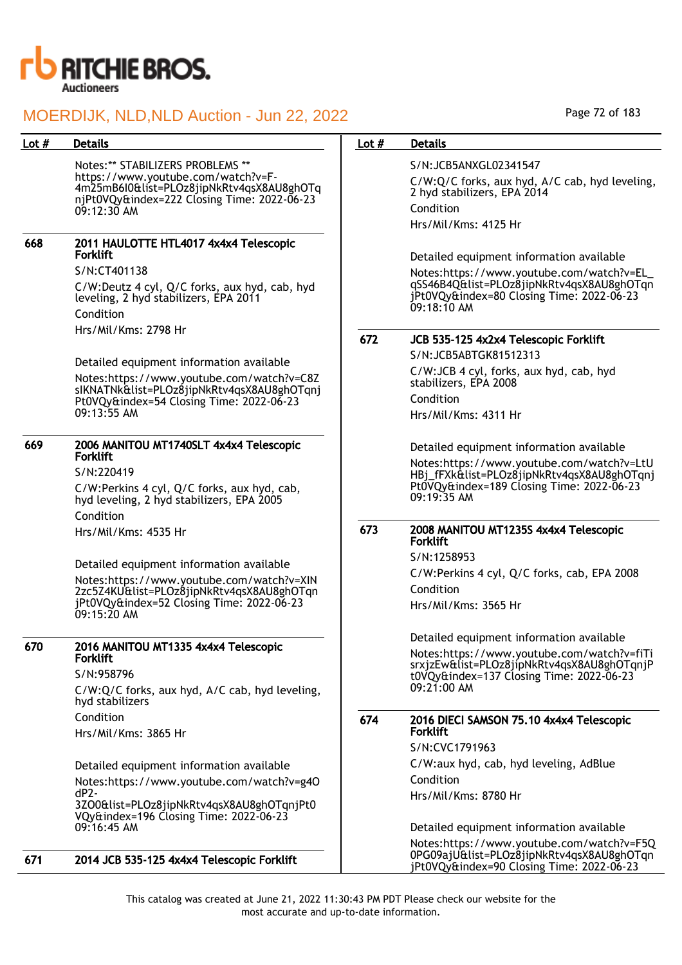

#### Lot # Details **Details According to Lot # Details** Notes:\*\* STABILIZERS PROBLEMS \*\* https://www.youtube.com/watch?v=F-4m25mB6I0&list=PLOz8jipNkRtv4qsX8AU8ghOTq njPt0VQy&index=222 Closing Time: 2022-06-23 09:12:30 AM 668 2011 HAULOTTE HTL4017 4x4x4 Telescopic Forklift S/N:CT401138 C/W:Deutz 4 cyl, Q/C forks, aux hyd, cab, hyd leveling, 2 hyd stabilizers, EPA 2011 Condition Hrs/Mil/Kms: 2798 Hr Detailed equipment information available Notes:https://www.youtube.com/watch?v=C8Z sIKNATNk&list=PLOz8jipNkRtv4qsX8AU8ghOTqnj Pt0VQy&index=54 Closing Time: 2022-06-23 09:13:55 AM 669 2006 MANITOU MT1740SLT 4x4x4 Telescopic Forklift S/N:220419 C/W:Perkins 4 cyl, Q/C forks, aux hyd, cab, hyd leveling, 2 hyd stabilizers, EPA 2005 Condition Hrs/Mil/Kms: 4535 Hr Detailed equipment information available Notes:https://www.youtube.com/watch?v=XIN 2zc5Z4KU&list=PLOz8jipNkRtv4qsX8AU8ghOTqn jPt0VQy&index=52 Closing Time: 2022-06-23 09:15:20 AM 670 2016 MANITOU MT1335 4x4x4 Telescopic Forklift S/N:958796 C/W:Q/C forks, aux hyd, A/C cab, hyd leveling, hyd stabilizers Condition Hrs/Mil/Kms: 3865 Hr Detailed equipment information available Notes:https://www.youtube.com/watch?v=g4O dP2- 3ZO0&list=PLOz8jipNkRtv4qsX8AU8ghOTqnjPt0 VQy&index=196 Closing Time: 2022-06-23 09:16:45 AM 671 2014 JCB 535-125 4x4x4 Telescopic Forklift S/N:JCB5ANXGL02341547 C/W:Q/C forks, aux hyd, A/C cab, hyd leveling, 2 hyd stabilizers, EPA 2014 Condition Hrs/Mil/Kms: 4125 Hr Detailed equipment information available Notes:https://www.youtube.com/watch?v=EL\_ qSS46B4Q&list=PLOz8jipNkRtv4qsX8AU8ghOTqn jPt0VQy&index=80 Closing Time: 2022-06-23 09:18:10 AM 672 JCB 535-125 4x2x4 Telescopic Forklift S/N:JCB5ABTGK81512313 C/W:JCB 4 cyl, forks, aux hyd, cab, hyd stabilizers, EPA 2008 Condition Hrs/Mil/Kms: 4311 Hr Detailed equipment information available Notes:https://www.youtube.com/watch?v=LtU HBj\_fFXk&list=PLOz8jipNkRtv4qsX8AU8ghOTqnj Pt0VQy&index=189 Closing Time: 2022-06-23 09:19:35 AM 673 2008 MANITOU MT1235S 4x4x4 Telescopic **Forklift** S/N:1258953 C/W:Perkins 4 cyl, Q/C forks, cab, EPA 2008 Condition Hrs/Mil/Kms: 3565 Hr Detailed equipment information available Notes:https://www.youtube.com/watch?v=fiTi srxjzEw&list=PLOz8jipNkRtv4qsX8AU8ghOTqnjP t0VQy&index=137 Closing Time: 2022-06-23 09:21:00 AM 674 2016 DIECI SAMSON 75.10 4x4x4 Telescopic Forklift S/N:CVC1791963 C/W:aux hyd, cab, hyd leveling, AdBlue Condition Hrs/Mil/Kms: 8780 Hr Detailed equipment information available Notes:https://www.youtube.com/watch?v=F5Q 0PG09ajU&list=PLOz8jipNkRtv4qsX8AU8ghOTqn

This catalog was created at June 21, 2022 11:30:43 PM PDT Please check our website for the most accurate and up-to-date information.

jPt0VQy&index=90 Closing Time: 2022-06-23

Page 72 of 183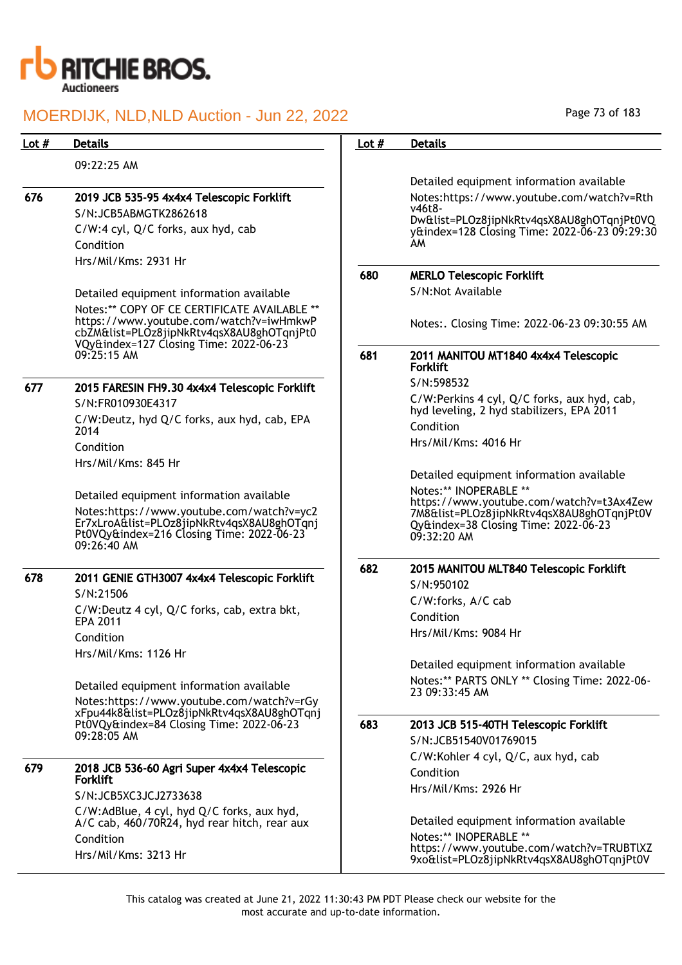

| Lot $#$ | <b>Details</b>                                                                                                                                      | Lot $#$ | <b>Details</b>                                                                                                                               |
|---------|-----------------------------------------------------------------------------------------------------------------------------------------------------|---------|----------------------------------------------------------------------------------------------------------------------------------------------|
|         | 09:22:25 AM                                                                                                                                         |         |                                                                                                                                              |
|         |                                                                                                                                                     |         | Detailed equipment information available                                                                                                     |
| 676     | 2019 JCB 535-95 4x4x4 Telescopic Forklift                                                                                                           |         | Notes:https://www.youtube.com/watch?v=Rth                                                                                                    |
|         | S/N:JCB5ABMGTK2862618                                                                                                                               |         | $v46t8-$<br>Dw&list=PLOz8jipNkRtv4qsX8AU8ghOTqnjPt0VQ                                                                                        |
|         | C/W:4 cyl, Q/C forks, aux hyd, cab                                                                                                                  |         | y&index=128 Closing Time: 2022-06-23 09:29:30                                                                                                |
|         | Condition                                                                                                                                           |         | AM.                                                                                                                                          |
|         | Hrs/Mil/Kms: 2931 Hr                                                                                                                                |         |                                                                                                                                              |
|         |                                                                                                                                                     | 680     | <b>MERLO Telescopic Forklift</b>                                                                                                             |
|         | Detailed equipment information available                                                                                                            |         | S/N:Not Available                                                                                                                            |
|         | Notes:** COPY OF CE CERTIFICATE AVAILABLE **<br>https://www.youtube.com/watch?v=iwHmkwP<br>cbZM&list=PLOz8jipNkRtv4qsX8AU8ghOTqnjPt0                |         | Notes:. Closing Time: 2022-06-23 09:30:55 AM                                                                                                 |
|         | VQy&index=127 Closing Time: 2022-06-23<br>09:25:15 AM                                                                                               | 681     | 2011 MANITOU MT1840 4x4x4 Telescopic<br><b>Forklift</b>                                                                                      |
| 677     | 2015 FARESIN FH9.30 4x4x4 Telescopic Forklift                                                                                                       |         | S/N:598532                                                                                                                                   |
|         | S/N:FR010930E4317                                                                                                                                   |         | C/W:Perkins 4 cyl, Q/C forks, aux hyd, cab,                                                                                                  |
|         | C/W:Deutz, hyd Q/C forks, aux hyd, cab, EPA                                                                                                         |         | hyd leveling, 2 hyd stabilizers, EPA 2011<br>Condition                                                                                       |
|         | 2014                                                                                                                                                |         | Hrs/Mil/Kms: 4016 Hr                                                                                                                         |
|         | Condition                                                                                                                                           |         |                                                                                                                                              |
|         | Hrs/Mil/Kms: 845 Hr                                                                                                                                 |         | Detailed equipment information available                                                                                                     |
|         | Detailed equipment information available                                                                                                            |         | Notes:** INOPERABLE **                                                                                                                       |
|         | Notes:https://www.youtube.com/watch?v=yc2<br>Er7xLroA&list=PLOz8jipNkRtv4qsX8AU8ghOTqnj<br>Pt0VQy&index=216 Closing Time: 2022-06-23<br>09:26:40 AM |         | https://www.youtube.com/watch?v=t3Ax4Zew<br>7M8&list=PLOz8jipNkRtv4qsX8AU8ghOTqnjPt0V<br>Qy&index=38 Closing Time: 2022-06-23<br>09:32:20 AM |
|         |                                                                                                                                                     |         |                                                                                                                                              |
| 678     | 2011 GENIE GTH3007 4x4x4 Telescopic Forklift                                                                                                        | 682     | 2015 MANITOU MLT840 Telescopic Forklift<br>S/N:950102                                                                                        |
|         | S/N:21506                                                                                                                                           |         | C/W:forks, A/C cab                                                                                                                           |
|         | C/W:Deutz 4 cyl, Q/C forks, cab, extra bkt,                                                                                                         |         | Condition                                                                                                                                    |
|         | <b>EPA 2011</b>                                                                                                                                     |         | Hrs/Mil/Kms: 9084 Hr                                                                                                                         |
|         | Condition                                                                                                                                           |         |                                                                                                                                              |
|         | Hrs/Mil/Kms: 1126 Hr                                                                                                                                |         | Detailed equipment information available                                                                                                     |
|         | Detailed equipment information available                                                                                                            |         | Notes:** PARTS ONLY ** Closing Time: 2022-06-                                                                                                |
|         | Notes:https://www.youtube.com/watch?v=rGy                                                                                                           |         | 23 09:33:45 AM                                                                                                                               |
|         | xFpu44k8&list=PLOz8jipNkRtv4qsX8AU8ghOTqnj                                                                                                          |         |                                                                                                                                              |
|         | Pt0VQy&index=84 Closing Time: 2022-06-23<br>09:28:05 AM                                                                                             | 683     | 2013 JCB 515-40TH Telescopic Forklift                                                                                                        |
|         |                                                                                                                                                     |         | S/N:JCB51540V01769015                                                                                                                        |
| 679     | 2018 JCB 536-60 Agri Super 4x4x4 Telescopic                                                                                                         |         | C/W:Kohler 4 cyl, Q/C, aux hyd, cab<br>Condition                                                                                             |
|         | <b>Forklift</b>                                                                                                                                     |         | Hrs/Mil/Kms: 2926 Hr                                                                                                                         |
|         | S/N:JCB5XC3JCJ2733638                                                                                                                               |         |                                                                                                                                              |
|         | C/W:AdBlue, 4 cyl, hyd Q/C forks, aux hyd,<br>A/C cab, 460/70R24, hyd rear hitch, rear aux                                                          |         | Detailed equipment information available                                                                                                     |
|         | Condition                                                                                                                                           |         | Notes:** INOPERABLE **                                                                                                                       |
|         | Hrs/Mil/Kms: 3213 Hr                                                                                                                                |         | https://www.youtube.com/watch?v=TRUBTlXZ<br>9xo&list=PLOz8jipNkRtv4qsX8AU8ghOTqnjPt0V                                                        |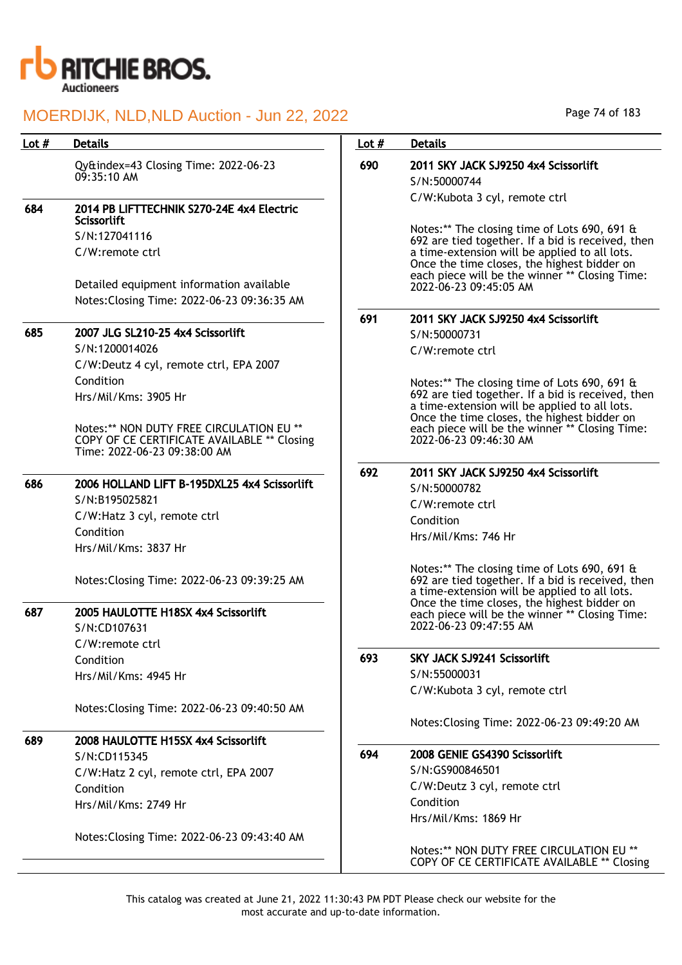

| Lot $#$ | <b>Details</b>                                                                          | Lot $#$ | <b>Details</b>                                                                                                                                                                                      |
|---------|-----------------------------------------------------------------------------------------|---------|-----------------------------------------------------------------------------------------------------------------------------------------------------------------------------------------------------|
|         | Qy&index=43 Closing Time: 2022-06-23<br>09:35:10 AM                                     | 690     | 2011 SKY JACK SJ9250 4x4 Scissorlift<br>S/N:50000744                                                                                                                                                |
|         |                                                                                         |         | C/W:Kubota 3 cyl, remote ctrl                                                                                                                                                                       |
| 684     | 2014 PB LIFTTECHNIK S270-24E 4x4 Electric<br>Scissorlift                                |         |                                                                                                                                                                                                     |
|         | S/N:127041116                                                                           |         | Notes:** The closing time of Lots 690, 691 &                                                                                                                                                        |
|         | C/W:remote ctrl                                                                         |         | 692 are tied together. If a bid is received, then<br>a time-extension will be applied to all lots.<br>Once the time closes, the highest bidder on<br>each piece will be the winner ** Closing Time: |
|         | Detailed equipment information available<br>Notes: Closing Time: 2022-06-23 09:36:35 AM |         | 2022-06-23 09:45:05 AM                                                                                                                                                                              |
|         |                                                                                         | 691     | 2011 SKY JACK SJ9250 4x4 Scissorlift                                                                                                                                                                |
| 685     | 2007 JLG SL210-25 4x4 Scissorlift                                                       |         | S/N:50000731                                                                                                                                                                                        |
|         | S/N:1200014026                                                                          |         | C/W:remote ctrl                                                                                                                                                                                     |
|         | C/W:Deutz 4 cyl, remote ctrl, EPA 2007                                                  |         |                                                                                                                                                                                                     |
|         | Condition                                                                               |         | Notes:** The closing time of Lots 690, 691 &                                                                                                                                                        |
|         | Hrs/Mil/Kms: 3905 Hr                                                                    |         | 692 are tied together. If a bid is received, then<br>a time-extension will be applied to all lots.                                                                                                  |
|         |                                                                                         |         | Once the time closes, the highest bidder on                                                                                                                                                         |
|         | Notes:** NON DUTY FREE CIRCULATION EU **<br>COPY OF CE CERTIFICATE AVAILABLE ** Closing |         | each piece will be the winner ** Closing Time:<br>2022-06-23 09:46:30 AM                                                                                                                            |
|         | Time: 2022-06-23 09:38:00 AM                                                            |         |                                                                                                                                                                                                     |
|         |                                                                                         | 692     | 2011 SKY JACK SJ9250 4x4 Scissorlift                                                                                                                                                                |
| 686     | 2006 HOLLAND LIFT B-195DXL25 4x4 Scissorlift                                            |         | S/N:50000782                                                                                                                                                                                        |
|         | S/N:B195025821                                                                          |         | C/W:remote ctrl                                                                                                                                                                                     |
|         | C/W:Hatz 3 cyl, remote ctrl                                                             |         | Condition                                                                                                                                                                                           |
|         | Condition                                                                               |         | Hrs/Mil/Kms: 746 Hr                                                                                                                                                                                 |
|         | Hrs/Mil/Kms: 3837 Hr                                                                    |         |                                                                                                                                                                                                     |
|         | Notes: Closing Time: 2022-06-23 09:39:25 AM                                             |         | Notes:** The closing time of Lots 690, 691 &<br>692 are tied together. If a bid is received, then<br>a time-extension will be applied to all lots.<br>Once the time closes, the highest bidder on   |
| 687     | 2005 HAULOTTE H18SX 4x4 Scissorlift                                                     |         | each piece will be the winner ** Closing Time:                                                                                                                                                      |
|         | S/N:CD107631                                                                            |         | 2022-06-23 09:47:55 AM                                                                                                                                                                              |
|         | C/W:remote ctrl                                                                         |         |                                                                                                                                                                                                     |
|         | Condition                                                                               | 693     | <b>SKY JACK SJ9241 Scissorlift</b>                                                                                                                                                                  |
|         | Hrs/Mil/Kms: 4945 Hr                                                                    |         | S/N:55000031                                                                                                                                                                                        |
|         |                                                                                         |         | C/W:Kubota 3 cyl, remote ctrl                                                                                                                                                                       |
|         | Notes: Closing Time: 2022-06-23 09:40:50 AM                                             |         | Notes: Closing Time: 2022-06-23 09:49:20 AM                                                                                                                                                         |
| 689     | 2008 HAULOTTE H15SX 4x4 Scissorlift                                                     |         |                                                                                                                                                                                                     |
|         | S/N:CD115345                                                                            | 694     | 2008 GENIE GS4390 Scissorlift                                                                                                                                                                       |
|         | C/W:Hatz 2 cyl, remote ctrl, EPA 2007                                                   |         | S/N:GS900846501                                                                                                                                                                                     |
|         | Condition                                                                               |         | C/W:Deutz 3 cyl, remote ctrl                                                                                                                                                                        |
|         | Hrs/Mil/Kms: 2749 Hr                                                                    |         | Condition                                                                                                                                                                                           |
|         |                                                                                         |         | Hrs/Mil/Kms: 1869 Hr                                                                                                                                                                                |
|         | Notes: Closing Time: 2022-06-23 09:43:40 AM                                             |         |                                                                                                                                                                                                     |
|         |                                                                                         |         | Notes:** NON DUTY FREE CIRCULATION EU **<br>COPY OF CE CERTIFICATE AVAILABLE ** Closing                                                                                                             |

Page 74 of 183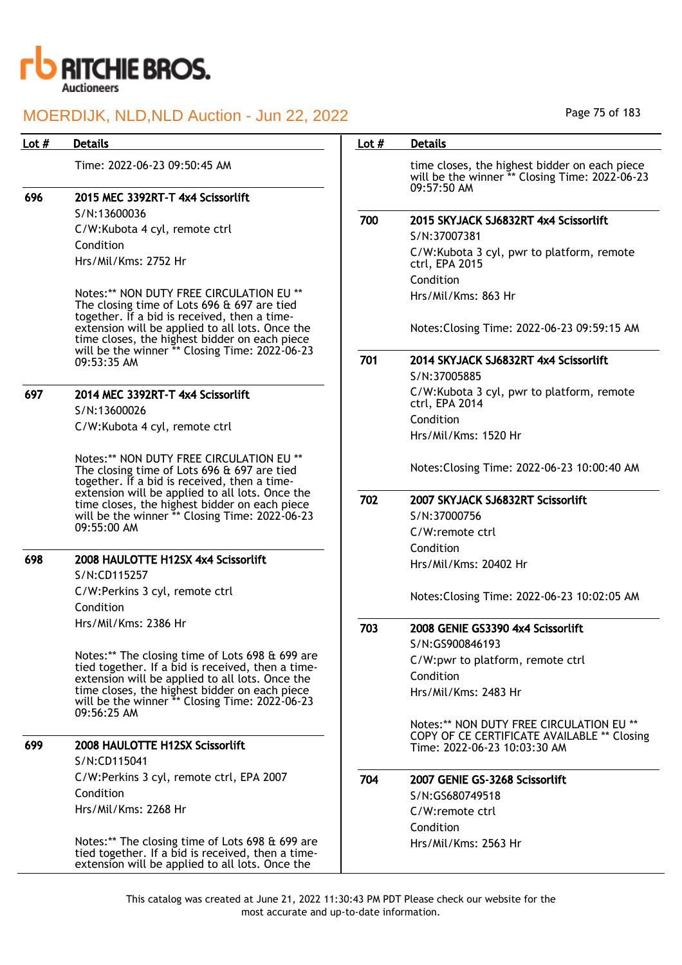

Time: 2022-06-23 09:50:45 AM

## 696 2015 MEC 3392RT-T 4x4 Scissorlift

S/N:13600036 C/W:Kubota 4 cyl, remote ctrl Condition Hrs/Mil/Kms: 2752 Hr

Notes:\*\* NON DUTY FREE CIRCULATION EU \*\* The closing time of Lots 696 & 697 are tied together. If a bid is received, then a timeextension will be applied to all lots. Once the time closes, the highest bidder on each piece will be the winner \*\* Closing Time: 2022-06-23 09:53:35 AM

## 697 2014 MEC 3392RT-T 4x4 Scissorlift S/N:13600026

C/W:Kubota 4 cyl, remote ctrl

Notes:\*\* NON DUTY FREE CIRCULATION EU \*\* The closing time of Lots 696 & 697 are tied together. If a bid is received, then a timeextension will be applied to all lots. Once the time closes, the highest bidder on each piece will be the winner \*\* Closing Time: 2022-06-23 09:55:00 AM

## 698 2008 HAULOTTE H12SX 4x4 Scissorlift

S/N:CD115257 C/W:Perkins 3 cyl, remote ctrl Condition Hrs/Mil/Kms: 2386 Hr

Notes:\*\* The closing time of Lots 698 & 699 are tied together. If a bid is received, then a timeextension will be applied to all lots. Once the time closes, the highest bidder on each piece will be the winner \*\* Closing Time: 2022-06-23 09:56:25 AM

### 699 2008 HAULOTTE H12SX Scissorlift

S/N:CD115041 C/W:Perkins 3 cyl, remote ctrl, EPA 2007 Condition Hrs/Mil/Kms: 2268 Hr

Notes:\*\* The closing time of Lots 698 & 699 are tied together. If a bid is received, then a timeextension will be applied to all lots. Once the

#### Page 75 of 183

### Lot # Details **Details According to the United States Lot # Details**

time closes, the highest bidder on each piece will be the winner \*\* Closing Time: 2022-06-23 09:57:50 AM

### 700 2015 SKYJACK SJ6832RT 4x4 Scissorlift

S/N:37007381 C/W:Kubota 3 cyl, pwr to platform, remote ctrl, EPA 2015 Condition Hrs/Mil/Kms: 863 Hr

Notes:Closing Time: 2022-06-23 09:59:15 AM

## 701 2014 SKYJACK SJ6832RT 4x4 Scissorlift

S/N:37005885 C/W:Kubota 3 cyl, pwr to platform, remote ctrl, EPA 2014 Condition Hrs/Mil/Kms: 1520 Hr

Notes:Closing Time: 2022-06-23 10:00:40 AM

## 702 2007 SKYJACK SJ6832RT Scissorlift

S/N:37000756 C/W:remote ctrl Condition Hrs/Mil/Kms: 20402 Hr

Notes:Closing Time: 2022-06-23 10:02:05 AM

703 2008 GENIE GS3390 4x4 Scissorlift

S/N:GS900846193 C/W:pwr to platform, remote ctrl Condition Hrs/Mil/Kms: 2483 Hr

Notes:\*\* NON DUTY FREE CIRCULATION EU \*\* COPY OF CE CERTIFICATE AVAILABLE \*\* Closing Time: 2022-06-23 10:03:30 AM

#### 704 2007 GENIE GS-3268 Scissorlift

S/N:GS680749518 C/W:remote ctrl Condition Hrs/Mil/Kms: 2563 Hr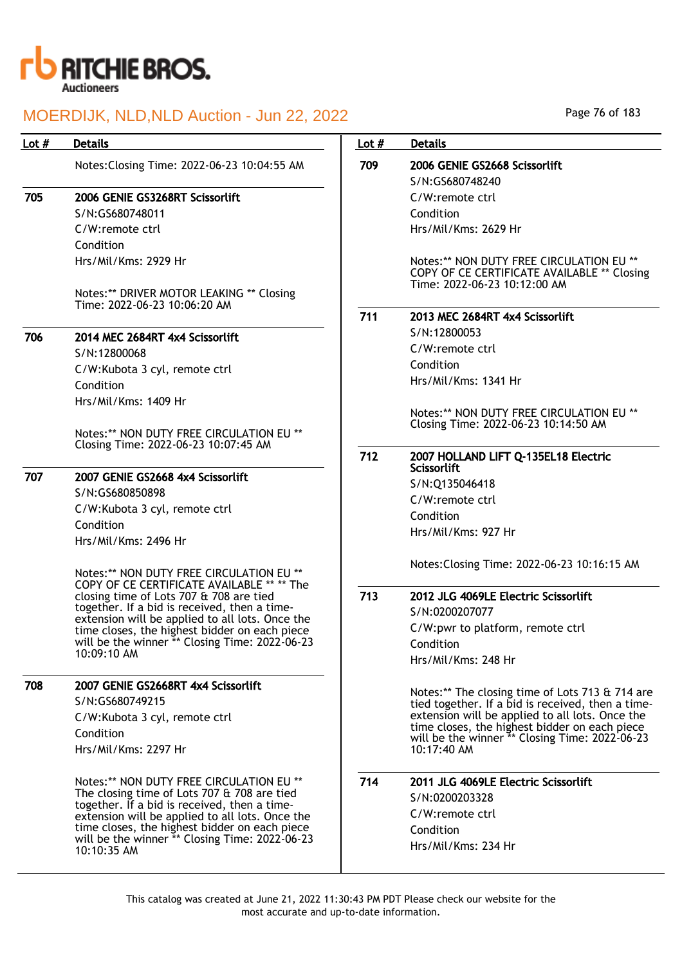

| Lot $#$ | <b>Details</b>                                                                                   | Lot $#$ | <b>Details</b>                                                                                                          |
|---------|--------------------------------------------------------------------------------------------------|---------|-------------------------------------------------------------------------------------------------------------------------|
|         | Notes: Closing Time: 2022-06-23 10:04:55 AM                                                      | 709     | 2006 GENIE GS2668 Scissorlift                                                                                           |
|         |                                                                                                  |         | S/N:GS680748240                                                                                                         |
| 705     | 2006 GENIE GS3268RT Scissorlift                                                                  |         | C/W:remote ctrl                                                                                                         |
|         | S/N:GS680748011                                                                                  |         | Condition                                                                                                               |
|         | C/W:remote ctrl                                                                                  |         | Hrs/Mil/Kms: 2629 Hr                                                                                                    |
|         | Condition                                                                                        |         |                                                                                                                         |
|         | Hrs/Mil/Kms: 2929 Hr                                                                             |         | Notes:** NON DUTY FREE CIRCULATION EU **<br>COPY OF CE CERTIFICATE AVAILABLE ** Closing<br>Time: 2022-06-23 10:12:00 AM |
|         | Notes:** DRIVER MOTOR LEAKING ** Closing<br>Time: 2022-06-23 10:06:20 AM                         |         |                                                                                                                         |
|         |                                                                                                  | 711     | 2013 MEC 2684RT 4x4 Scissorlift                                                                                         |
| 706     | 2014 MEC 2684RT 4x4 Scissorlift                                                                  |         | S/N:12800053                                                                                                            |
|         | S/N:12800068                                                                                     |         | C/W:remote ctrl                                                                                                         |
|         | C/W:Kubota 3 cyl, remote ctrl                                                                    |         | Condition                                                                                                               |
|         | Condition                                                                                        |         | Hrs/Mil/Kms: 1341 Hr                                                                                                    |
|         | Hrs/Mil/Kms: 1409 Hr                                                                             |         |                                                                                                                         |
|         |                                                                                                  |         | Notes:** NON DUTY FREE CIRCULATION EU **<br>Closing Time: 2022-06-23 10:14:50 AM                                        |
|         | Notes:** NON DUTY FREE CIRCULATION EU **                                                         |         |                                                                                                                         |
|         | Closing Time: 2022-06-23 10:07:45 AM                                                             | 712     | 2007 HOLLAND LIFT Q-135EL18 Electric<br><b>Scissorlift</b>                                                              |
| 707     | 2007 GENIE GS2668 4x4 Scissorlift                                                                |         | S/N:Q135046418                                                                                                          |
|         | S/N:GS680850898                                                                                  |         | C/W:remote ctrl                                                                                                         |
|         | C/W:Kubota 3 cyl, remote ctrl                                                                    |         | Condition                                                                                                               |
|         | Condition                                                                                        |         | Hrs/Mil/Kms: 927 Hr                                                                                                     |
|         | Hrs/Mil/Kms: 2496 Hr                                                                             |         |                                                                                                                         |
|         | Notes:** NON DUTY FREE CIRCULATION EU **<br>COPY OF CE CERTIFICATE AVAILABLE ** ** The           |         | Notes: Closing Time: 2022-06-23 10:16:15 AM                                                                             |
|         | closing time of Lots 707 & 708 are tied                                                          | 713     | 2012 JLG 4069LE Electric Scissorlift                                                                                    |
|         | together. If a bid is received, then a time-                                                     |         | S/N:0200207077                                                                                                          |
|         | extension will be applied to all lots. Once the<br>time closes, the highest bidder on each piece |         | C/W:pwr to platform, remote ctrl                                                                                        |
|         | will be the winner ** Closing Time: 2022-06-23                                                   |         | Condition                                                                                                               |
|         | 10:09:10 AM                                                                                      |         | Hrs/Mil/Kms: 248 Hr                                                                                                     |
| 708     | 2007 GENIE GS2668RT 4x4 Scissorlift                                                              |         |                                                                                                                         |
|         | S/N:GS680749215                                                                                  |         | Notes:** The closing time of Lots 713 & 714 are<br>tied together. If a bid is received, then a time-                    |
|         | C/W:Kubota 3 cyl, remote ctrl                                                                    |         | extension will be applied to all lots. Once the                                                                         |
|         | Condition                                                                                        |         | time closes, the highest bidder on each piece<br>will be the winner ** Closing Time: 2022-06-23                         |
|         | Hrs/Mil/Kms: 2297 Hr                                                                             |         | 10:17:40 AM                                                                                                             |
|         | Notes:** NON DUTY FREE CIRCULATION EU **                                                         | 714     | 2011 JLG 4069LE Electric Scissorlift                                                                                    |
|         | The closing time of Lots 707 & 708 are tied                                                      |         | S/N:0200203328                                                                                                          |
|         | together. If a bid is received, then a time-                                                     |         | C/W:remote ctrl                                                                                                         |
|         | extension will be applied to all lots. Once the<br>time closes, the highest bidder on each piece |         | Condition                                                                                                               |
|         | will be the winner ** Closing Time: 2022-06-23                                                   |         | Hrs/Mil/Kms: 234 Hr                                                                                                     |
|         | 10:10:35 AM                                                                                      |         |                                                                                                                         |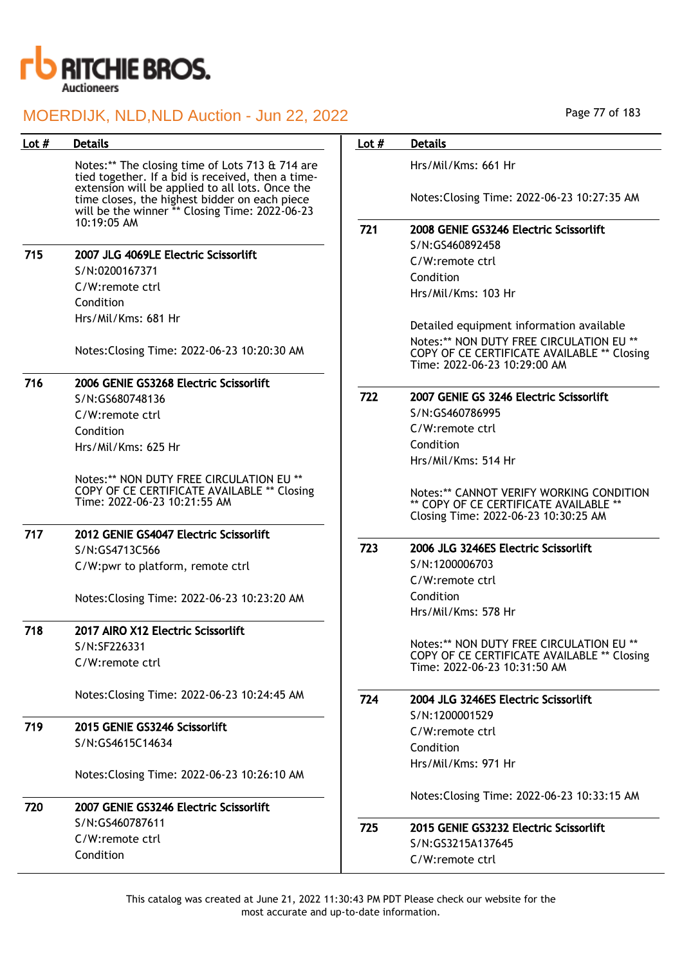

| Lot $#$ | <b>Details</b>                                                                                                                                     | Lot $#$ | <b>Details</b>                                                                                                             |
|---------|----------------------------------------------------------------------------------------------------------------------------------------------------|---------|----------------------------------------------------------------------------------------------------------------------------|
|         | Notes:** The closing time of Lots 713 & 714 are<br>tied together. If a bid is received, then a time-                                               |         | Hrs/Mil/Kms: 661 Hr                                                                                                        |
|         | extension will be applied to all lots. Once the<br>time closes, the highest bidder on each piece<br>will be the winner ** Closing Time: 2022-06-23 |         | Notes: Closing Time: 2022-06-23 10:27:35 AM                                                                                |
|         | 10:19:05 AM                                                                                                                                        | 721     | 2008 GENIE GS3246 Electric Scissorlift                                                                                     |
|         |                                                                                                                                                    |         | S/N:GS460892458                                                                                                            |
| 715     | 2007 JLG 4069LE Electric Scissorlift                                                                                                               |         | C/W:remote ctrl                                                                                                            |
|         | S/N:0200167371                                                                                                                                     |         | Condition                                                                                                                  |
|         | C/W:remote ctrl                                                                                                                                    |         | Hrs/Mil/Kms: 103 Hr                                                                                                        |
|         | Condition                                                                                                                                          |         |                                                                                                                            |
|         | Hrs/Mil/Kms: 681 Hr                                                                                                                                |         | Detailed equipment information available                                                                                   |
|         |                                                                                                                                                    |         | Notes:** NON DUTY FREE CIRCULATION EU **                                                                                   |
|         | Notes: Closing Time: 2022-06-23 10:20:30 AM                                                                                                        |         | COPY OF CE CERTIFICATE AVAILABLE ** Closing<br>Time: 2022-06-23 10:29:00 AM                                                |
| 716     | 2006 GENIE GS3268 Electric Scissorlift                                                                                                             |         |                                                                                                                            |
|         | S/N:GS680748136                                                                                                                                    | 722     | 2007 GENIE GS 3246 Electric Scissorlift                                                                                    |
|         | C/W:remote ctrl                                                                                                                                    |         | S/N:GS460786995                                                                                                            |
|         | Condition                                                                                                                                          |         | C/W:remote ctrl                                                                                                            |
|         | Hrs/Mil/Kms: 625 Hr                                                                                                                                |         | Condition                                                                                                                  |
|         |                                                                                                                                                    |         | Hrs/Mil/Kms: 514 Hr                                                                                                        |
|         | Notes:** NON DUTY FREE CIRCULATION EU **<br>COPY OF CE CERTIFICATE AVAILABLE ** Closing<br>Time: 2022-06-23 10:21:55 AM                            |         | Notes:** CANNOT VERIFY WORKING CONDITION<br>** COPY OF CE CERTIFICATE AVAILABLE **<br>Closing Time: 2022-06-23 10:30:25 AM |
| 717     | 2012 GENIE GS4047 Electric Scissorlift                                                                                                             |         |                                                                                                                            |
|         | S/N:GS4713C566                                                                                                                                     | 723     | 2006 JLG 3246ES Electric Scissorlift                                                                                       |
|         | C/W:pwr to platform, remote ctrl                                                                                                                   |         | S/N:1200006703                                                                                                             |
|         |                                                                                                                                                    |         | C/W:remote ctrl                                                                                                            |
|         | Notes: Closing Time: 2022-06-23 10:23:20 AM                                                                                                        |         | Condition                                                                                                                  |
|         |                                                                                                                                                    |         | Hrs/Mil/Kms: 578 Hr                                                                                                        |
| 718     | 2017 AIRO X12 Electric Scissorlift                                                                                                                 |         |                                                                                                                            |
|         | S/N:SF226331                                                                                                                                       |         | Notes:** NON DUTY FREE CIRCULATION EU **                                                                                   |
|         |                                                                                                                                                    |         | COPY OF CE CERTIFICATE AVAILABLE ** Closing                                                                                |
|         | C/W:remote ctrl                                                                                                                                    |         | Time: 2022-06-23 10:31:50 AM                                                                                               |
|         |                                                                                                                                                    |         |                                                                                                                            |
|         | Notes: Closing Time: 2022-06-23 10:24:45 AM                                                                                                        | 724     | 2004 JLG 3246ES Electric Scissorlift                                                                                       |
|         |                                                                                                                                                    |         | S/N:1200001529                                                                                                             |
| 719     | 2015 GENIE GS3246 Scissorlift                                                                                                                      |         | C/W:remote ctrl                                                                                                            |
|         | S/N:GS4615C14634                                                                                                                                   |         | Condition                                                                                                                  |
|         | Notes: Closing Time: 2022-06-23 10:26:10 AM                                                                                                        |         | Hrs/Mil/Kms: 971 Hr                                                                                                        |
|         |                                                                                                                                                    |         | Notes: Closing Time: 2022-06-23 10:33:15 AM                                                                                |
| 720     | 2007 GENIE GS3246 Electric Scissorlift                                                                                                             |         |                                                                                                                            |
|         | S/N:GS460787611                                                                                                                                    | 725     | 2015 GENIE GS3232 Electric Scissorlift                                                                                     |
|         | C/W:remote ctrl                                                                                                                                    |         | S/N:GS3215A137645                                                                                                          |
|         | Condition                                                                                                                                          |         | C/W:remote ctrl                                                                                                            |
|         |                                                                                                                                                    |         |                                                                                                                            |

Page 77 of 183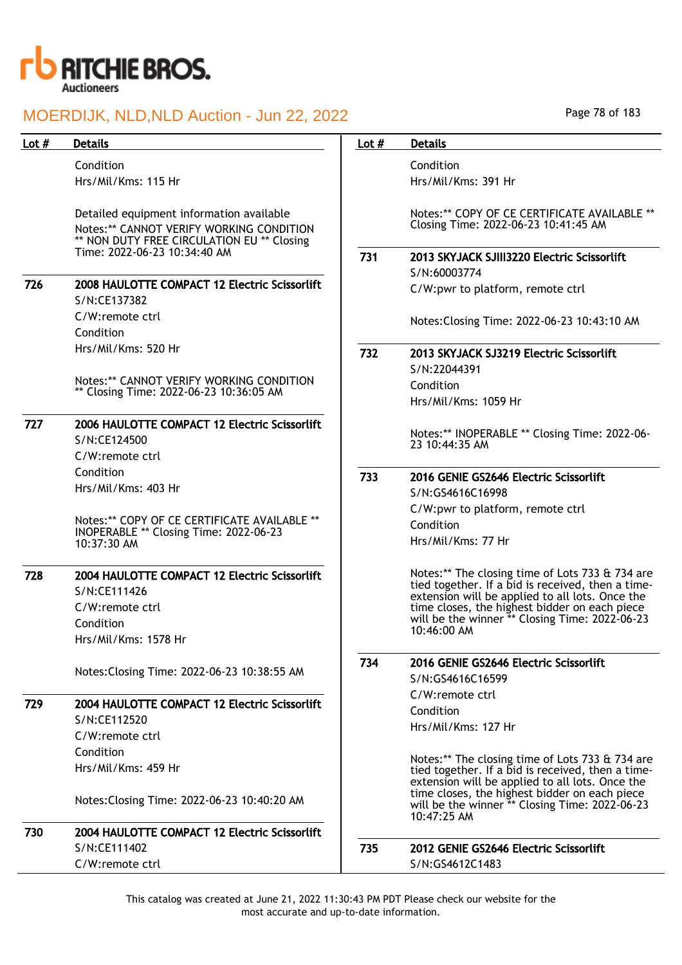

| Lot $#$ | <b>Details</b>                                                                                                                     | Lot $#$ | <b>Details</b>                                                                                                 |
|---------|------------------------------------------------------------------------------------------------------------------------------------|---------|----------------------------------------------------------------------------------------------------------------|
|         | Condition                                                                                                                          |         | Condition                                                                                                      |
|         | Hrs/Mil/Kms: 115 Hr                                                                                                                |         | Hrs/Mil/Kms: 391 Hr                                                                                            |
|         | Detailed equipment information available<br>Notes:** CANNOT VERIFY WORKING CONDITION<br>** NON DUTY FREE CIRCULATION EU ** Closing |         | Notes:** COPY OF CE CERTIFICATE AVAILABLE **<br>Closing Time: 2022-06-23 10:41:45 AM                           |
|         | Time: 2022-06-23 10:34:40 AM                                                                                                       | 731     | 2013 SKYJACK SJIII3220 Electric Scissorlift<br>S/N:60003774                                                    |
| 726     | 2008 HAULOTTE COMPACT 12 Electric Scissorlift<br>S/N:CE137382                                                                      |         | C/W:pwr to platform, remote ctrl                                                                               |
|         | C/W:remote ctrl<br>Condition                                                                                                       |         | Notes: Closing Time: 2022-06-23 10:43:10 AM                                                                    |
|         | Hrs/Mil/Kms: 520 Hr                                                                                                                | 732     | 2013 SKYJACK SJ3219 Electric Scissorlift<br>S/N:22044391                                                       |
|         | Notes:** CANNOT VERIFY WORKING CONDITION                                                                                           |         | Condition                                                                                                      |
|         | ** Closing Time: 2022-06-23 10:36:05 AM                                                                                            |         | Hrs/Mil/Kms: 1059 Hr                                                                                           |
| 727     | 2006 HAULOTTE COMPACT 12 Electric Scissorlift                                                                                      |         | Notes:** INOPERABLE ** Closing Time: 2022-06-                                                                  |
|         | S/N:CE124500                                                                                                                       |         | 23 10:44:35 AM                                                                                                 |
|         | C/W:remote ctrl                                                                                                                    |         |                                                                                                                |
|         | Condition<br>Hrs/Mil/Kms: 403 Hr                                                                                                   | 733     | 2016 GENIE GS2646 Electric Scissorlift                                                                         |
|         |                                                                                                                                    |         | S/N:GS4616C16998                                                                                               |
|         | Notes:** COPY OF CE CERTIFICATE AVAILABLE **                                                                                       |         | C/W:pwr to platform, remote ctrl                                                                               |
|         | INOPERABLE ** Closing Time: 2022-06-23                                                                                             |         | Condition                                                                                                      |
|         | 10:37:30 AM                                                                                                                        |         | Hrs/Mil/Kms: 77 Hr                                                                                             |
| 728     | 2004 HAULOTTE COMPACT 12 Electric Scissorlift<br>S/N:CE111426                                                                      |         | Notes:** The closing time of Lots 733 & 734 are<br>tied together. If a bid is received, then a time-           |
|         | C/W:remote ctrl                                                                                                                    |         | extension will be applied to all lots. Once the<br>time closes, the highest bidder on each piece               |
|         | Condition                                                                                                                          |         | will be the winner ** Closing Time: 2022-06-23                                                                 |
|         | Hrs/Mil/Kms: 1578 Hr                                                                                                               |         | 10:46:00 AM                                                                                                    |
|         | Notes: Closing Time: 2022-06-23 10:38:55 AM                                                                                        | 734     | 2016 GENIE GS2646 Electric Scissorlift                                                                         |
|         |                                                                                                                                    |         | S/N:GS4616C16599                                                                                               |
| 729     | 2004 HAULOTTE COMPACT 12 Electric Scissorlift                                                                                      |         | C/W:remote ctrl                                                                                                |
|         | S/N:CE112520                                                                                                                       |         | Condition<br>Hrs/Mil/Kms: 127 Hr                                                                               |
|         | C/W:remote ctrl                                                                                                                    |         |                                                                                                                |
|         | Condition                                                                                                                          |         | Notes:** The closing time of Lots 733 & 734 are                                                                |
|         | Hrs/Mil/Kms: 459 Hr                                                                                                                |         | tied together. If a bid is received, then a time-<br>extension will be applied to all lots. Once the           |
|         | Notes: Closing Time: 2022-06-23 10:40:20 AM                                                                                        |         | time closes, the highest bidder on each piece<br>will be the winner ** Closing Time: 2022-06-23<br>10:47:25 AM |
| 730     | 2004 HAULOTTE COMPACT 12 Electric Scissorlift                                                                                      |         |                                                                                                                |
|         | S/N:CE111402                                                                                                                       | 735     | 2012 GENIE GS2646 Electric Scissorlift                                                                         |
|         | C/W:remote ctrl                                                                                                                    |         | S/N:GS4612C1483                                                                                                |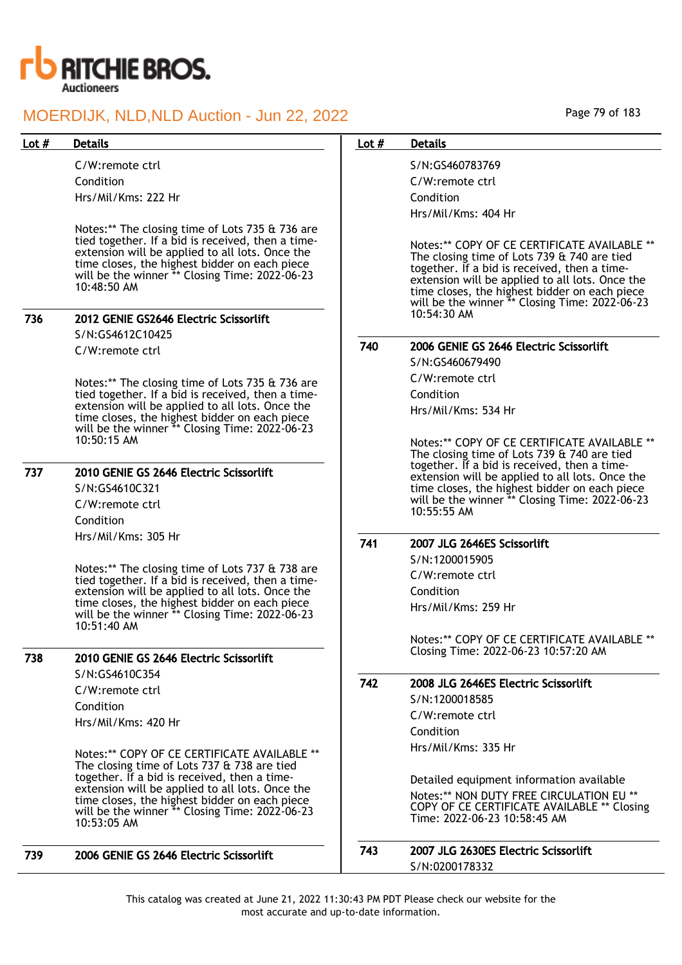

C/W:remote ctrl Condition Hrs/Mil/Kms: 222 Hr

Notes:\*\* The closing time of Lots 735 & 736 are tied together. If a bid is received, then a timeextension will be applied to all lots. Once the time closes, the highest bidder on each piece will be the winner \*\* Closing Time: 2022-06-23 10:48:50 AM

## 736 2012 GENIE GS2646 Electric Scissorlift

S/N:GS4612C10425

C/W:remote ctrl

Notes:\*\* The closing time of Lots 735 & 736 are tied together. If a bid is received, then a timeextension will be applied to all lots. Once the time closes, the highest bidder on each piece will be the winner \*\* Closing Time: 2022-06-23 10:50:15 AM

## 737 2010 GENIE GS 2646 Electric Scissorlift S/N:GS4610C321 C/W:remote ctrl

Condition Hrs/Mil/Kms: 305 Hr

Notes:\*\* The closing time of Lots 737 & 738 are tied together. If a bid is received, then a timeextension will be applied to all lots. Once the time closes, the highest bidder on each piece will be the winner \*\* Closing Time: 2022-06-23 10:51:40 AM

## 738 2010 GENIE GS 2646 Electric Scissorlift S/N:GS4610C354

C/W:remote ctrl Condition Hrs/Mil/Kms: 420 Hr

Notes:\*\* COPY OF CE CERTIFICATE AVAILABLE \*\* The closing time of Lots 737 & 738 are tied together. If a bid is received, then a timeextension will be applied to all lots. Once the time closes, the highest bidder on each piece will be the winner \*\* Closing Time: 2022-06-23 10:53:05 AM

| 739 | 2006 GENIE GS 2646 Electric Scissorlift | 743 | 2007 JLG 2630ES Electric So |
|-----|-----------------------------------------|-----|-----------------------------|
|     |                                         |     | S/N.0200178332              |

Page 79 of 183

## Lot # Details **Details According to the United States Lot # Details**

S/N:GS460783769 C/W:remote ctrl Condition Hrs/Mil/Kms: 404 Hr

Notes:\*\* COPY OF CE CERTIFICATE AVAILABLE \*\* The closing time of Lots 739 & 740 are tied together. If a bid is received, then a timeextension will be applied to all lots. Once the time closes, the highest bidder on each piece will be the winner \*\* Closing Time: 2022-06-23 10:54:30 AM

## 740 2006 GENIE GS 2646 Electric Scissorlift

S/N:GS460679490 C/W:remote ctrl Condition Hrs/Mil/Kms: 534 Hr

Notes:\*\* COPY OF CE CERTIFICATE AVAILABLE \*\* The closing time of Lots 739 & 740 are tied together. If a bid is received, then a timeextension will be applied to all lots. Once the time closes, the highest bidder on each piece will be the winner \*\* Closing Time: 2022-06-23 10:55:55 AM

## 741 2007 JLG 2646ES Scissorlift

S/N:1200015905 C/W:remote ctrl Condition Hrs/Mil/Kms: 259 Hr

> Notes:\*\* COPY OF CE CERTIFICATE AVAILABLE \*\* Closing Time: 2022-06-23 10:57:20 AM

## 742 2008 JLG 2646ES Electric Scissorlift S/N:1200018585 C/W:remote ctrl

Condition Hrs/Mil/Kms: 335 Hr

Detailed equipment information available Notes:\*\* NON DUTY FREE CIRCULATION EU \*\* COPY OF CE CERTIFICATE AVAILABLE \*\* Closing Time: 2022-06-23 10:58:45 AM

| 743 | 2007 JLG 2630ES Electric Scissorlift |
|-----|--------------------------------------|
|     | S/N:0200178332                       |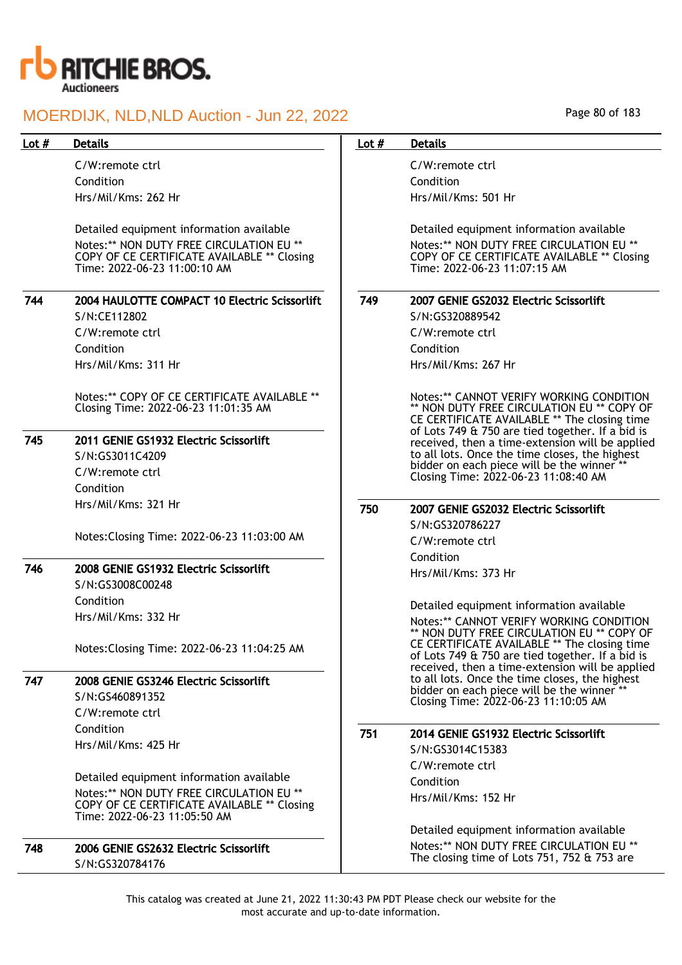

C/W:remote ctrl Condition Hrs/Mil/Kms: 262 Hr

Detailed equipment information available Notes:\*\* NON DUTY FREE CIRCULATION EU \*\* COPY OF CE CERTIFICATE AVAILABLE \*\* Closing Time: 2022-06-23 11:00:10 AM

| 744 | 2004 HAULOTTE COMPACT 10 Electric Scissorlift |
|-----|-----------------------------------------------|
|     | S/N:CE112802                                  |
|     | C/W:remote ctrl                               |
|     | Condition                                     |

Hrs/Mil/Kms: 311 Hr

Notes:\*\* COPY OF CE CERTIFICATE AVAILABLE \*\* Closing Time: 2022-06-23 11:01:35 AM

## 745 2011 GENIE GS1932 Electric Scissorlift

S/N:GS3011C4209 C/W:remote ctrl Condition

Hrs/Mil/Kms: 321 Hr

Notes:Closing Time: 2022-06-23 11:03:00 AM

## 746 2008 GENIE GS1932 Electric Scissorlift

S/N:GS3008C00248 Condition Hrs/Mil/Kms: 332 Hr

Notes:Closing Time: 2022-06-23 11:04:25 AM

## 747 2008 GENIE GS3246 Electric Scissorlift

S/N:GS460891352 C/W:remote ctrl Condition Hrs/Mil/Kms: 425 Hr

Detailed equipment information available Notes:\*\* NON DUTY FREE CIRCULATION EU \*\* COPY OF CE CERTIFICATE AVAILABLE \*\* Closing Time: 2022-06-23 11:05:50 AM

748 2006 GENIE GS2632 Electric Scissorlift S/N:GS320784176

## Page 80 of 183

### Lot # Details **Details According to the United States Lot # Details**

C/W:remote ctrl Condition Hrs/Mil/Kms: 501 Hr

Detailed equipment information available Notes:\*\* NON DUTY FREE CIRCULATION EU \*\* COPY OF CE CERTIFICATE AVAILABLE \*\* Closing Time: 2022-06-23 11:07:15 AM

## 749 2007 GENIE GS2032 Electric Scissorlift

S/N:GS320889542 C/W:remote ctrl Condition Hrs/Mil/Kms: 267 Hr

Notes:\*\* CANNOT VERIFY WORKING CONDITION \*\* NON DUTY FREE CIRCULATION EU \*\* COPY OF CE CERTIFICATE AVAILABLE \*\* The closing time of Lots 749 & 750 are tied together. If a bid is received, then a time-extension will be applied to all lots. Once the time closes, the highest bidder on each piece will be the winner Closing Time: 2022-06-23 11:08:40 AM

## 750 2007 GENIE GS2032 Electric Scissorlift

S/N:GS320786227 C/W:remote ctrl Condition Hrs/Mil/Kms: 373 Hr

Detailed equipment information available Notes:\*\* CANNOT VERIFY WORKING CONDITION \*\* NON DUTY FREE CIRCULATION EU \*\* COPY OF CE CERTIFICATE AVAILABLE \*\* The closing time of Lots 749 & 750 are tied together. If a bid is received, then a time-extension will be applied to all lots. Once the time closes, the highest bidder on each piece will be the winner Closing Time: 2022-06-23 11:10:05 AM

## 751 2014 GENIE GS1932 Electric Scissorlift

S/N:GS3014C15383 C/W:remote ctrl Condition Hrs/Mil/Kms: 152 Hr

Detailed equipment information available Notes:\*\* NON DUTY FREE CIRCULATION EU \*\* The closing time of Lots 751, 752 & 753 are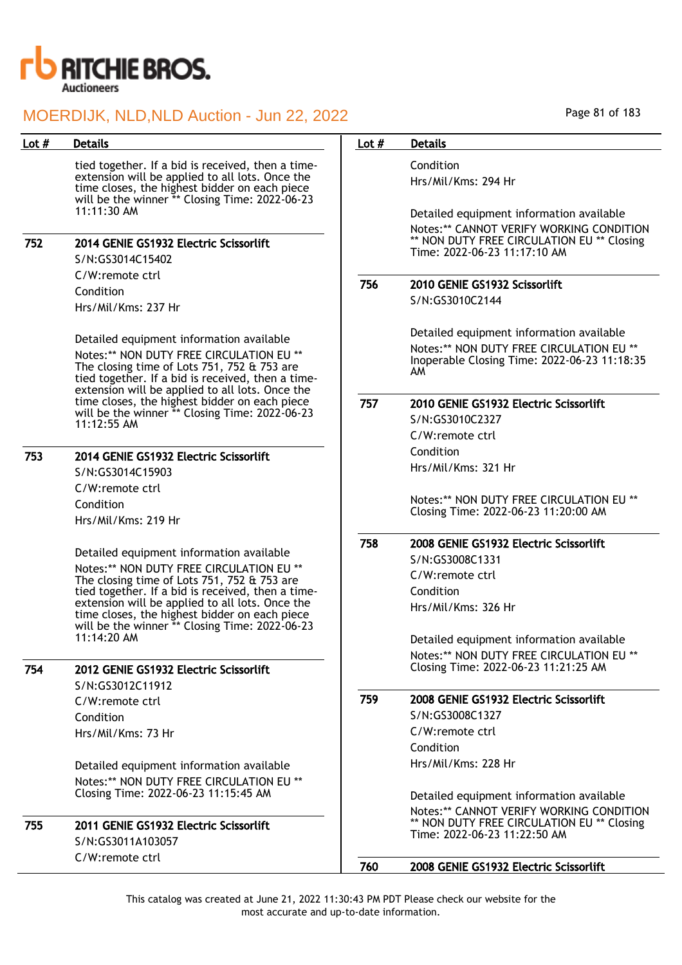

| Lot $#$ | <b>Details</b>                                                                                                                                                                                          | Lot $#$ | <b>Details</b>                                                                                                                              |
|---------|---------------------------------------------------------------------------------------------------------------------------------------------------------------------------------------------------------|---------|---------------------------------------------------------------------------------------------------------------------------------------------|
|         | tied together. If a bid is received, then a time-<br>extension will be applied to all lots. Once the<br>time closes, the highest bidder on each piece<br>will be the winner ** Closing Time: 2022-06-23 |         | Condition<br>Hrs/Mil/Kms: 294 Hr                                                                                                            |
|         | 11:11:30 AM                                                                                                                                                                                             |         | Detailed equipment information available<br>Notes:** CANNOT VERIFY WORKING CONDITION                                                        |
| 752     | 2014 GENIE GS1932 Electric Scissorlift<br>S/N:GS3014C15402                                                                                                                                              |         | ** NON DUTY FREE CIRCULATION EU ** Closing<br>Time: 2022-06-23 11:17:10 AM                                                                  |
|         | C/W:remote ctrl                                                                                                                                                                                         |         |                                                                                                                                             |
|         | Condition                                                                                                                                                                                               | 756     | 2010 GENIE GS1932 Scissorlift                                                                                                               |
|         | Hrs/Mil/Kms: 237 Hr                                                                                                                                                                                     |         | S/N:GS3010C2144                                                                                                                             |
|         | Detailed equipment information available<br>Notes:** NON DUTY FREE CIRCULATION EU **<br>The closing time of Lots 751, 752 & 753 are<br>tied together. If a bid is received, then a time-                |         | Detailed equipment information available<br>Notes:** NON DUTY FREE CIRCULATION EU **<br>Inoperable Closing Time: 2022-06-23 11:18:35<br>AM. |
|         | extension will be applied to all lots. Once the<br>time closes, the highest bidder on each piece<br>will be the winner ** Closing Time: 2022-06-23                                                      | 757     | 2010 GENIE GS1932 Electric Scissorlift<br>S/N:GS3010C2327                                                                                   |
|         | 11:12:55 AM                                                                                                                                                                                             |         | C/W:remote ctrl                                                                                                                             |
|         | 2014 GENIE GS1932 Electric Scissorlift                                                                                                                                                                  |         | Condition                                                                                                                                   |
| 753     | S/N:GS3014C15903                                                                                                                                                                                        |         | Hrs/Mil/Kms: 321 Hr                                                                                                                         |
|         | C/W:remote ctrl                                                                                                                                                                                         |         | Notes:** NON DUTY FREE CIRCULATION EU **                                                                                                    |
|         | Condition<br>Hrs/Mil/Kms: 219 Hr                                                                                                                                                                        |         | Closing Time: 2022-06-23 11:20:00 AM                                                                                                        |
|         |                                                                                                                                                                                                         | 758     | 2008 GENIE GS1932 Electric Scissorlift                                                                                                      |
|         | Detailed equipment information available<br>Notes:** NON DUTY FREE CIRCULATION EU **                                                                                                                    |         | S/N:GS3008C1331                                                                                                                             |
|         | The closing time of Lots 751, 752 & 753 are                                                                                                                                                             |         | C/W:remote ctrl                                                                                                                             |
|         | tied together. If a bid is received, then a time-                                                                                                                                                       |         | Condition                                                                                                                                   |
|         | extension will be applied to all lots. Once the<br>time closes, the highest bidder on each piece<br>will be the winner ** Closing Time: 2022-06-23                                                      |         | Hrs/Mil/Kms: 326 Hr                                                                                                                         |
|         | 11:14:20 AM                                                                                                                                                                                             |         | Detailed equipment information available                                                                                                    |
|         |                                                                                                                                                                                                         |         | Notes:** NON DUTY FREE CIRCULATION EU **                                                                                                    |
| 754     | 2012 GENIE GS1932 Electric Scissorlift                                                                                                                                                                  |         | Closing Time: 2022-06-23 11:21:25 AM                                                                                                        |
|         | S/N:GS3012C11912                                                                                                                                                                                        |         |                                                                                                                                             |
|         | C/W:remote ctrl                                                                                                                                                                                         | 759     | 2008 GENIE GS1932 Electric Scissorlift                                                                                                      |
|         | Condition                                                                                                                                                                                               |         | S/N:GS3008C1327                                                                                                                             |
|         | Hrs/Mil/Kms: 73 Hr                                                                                                                                                                                      |         | C/W:remote ctrl                                                                                                                             |
|         |                                                                                                                                                                                                         |         | Condition                                                                                                                                   |
|         | Detailed equipment information available                                                                                                                                                                |         | Hrs/Mil/Kms: 228 Hr                                                                                                                         |
|         | Notes:** NON DUTY FREE CIRCULATION EU **<br>Closing Time: 2022-06-23 11:15:45 AM                                                                                                                        |         |                                                                                                                                             |
|         |                                                                                                                                                                                                         |         | Detailed equipment information available                                                                                                    |
| 755     | 2011 GENIE GS1932 Electric Scissorlift<br>S/N:GS3011A103057                                                                                                                                             |         | Notes:** CANNOT VERIFY WORKING CONDITION<br>** NON DUTY FREE CIRCULATION EU ** Closing<br>Time: 2022-06-23 11:22:50 AM                      |
|         | C/W:remote ctrl                                                                                                                                                                                         |         |                                                                                                                                             |
|         |                                                                                                                                                                                                         | 760     | 2008 GENIE GS1932 Electric Scissorlift                                                                                                      |

Page 81 of 183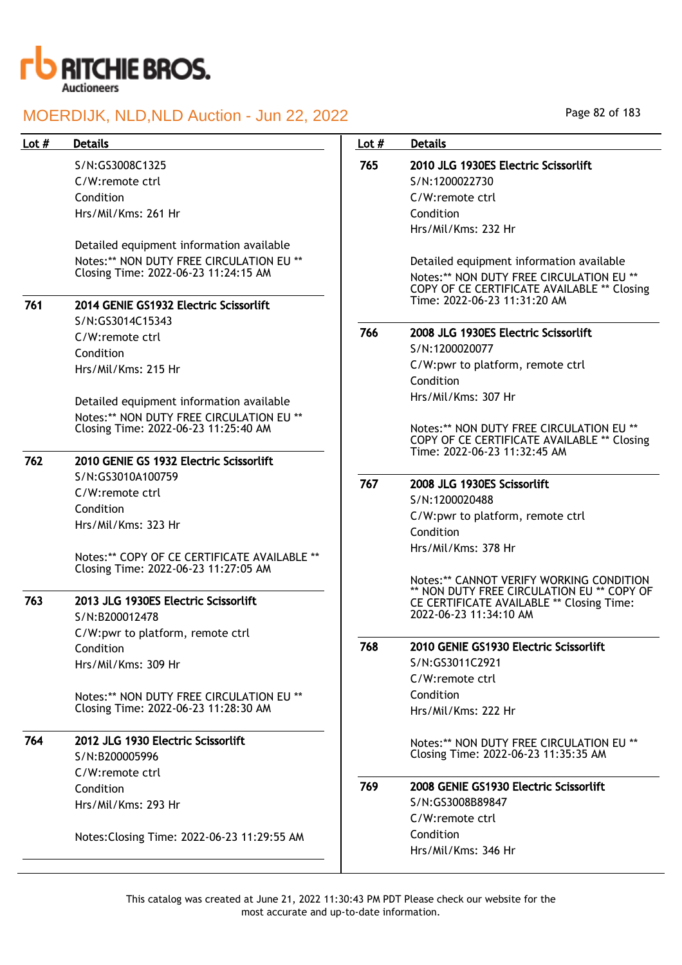

## Lot # Details **Details According to the United States Lot # Details**

S/N:GS3008C1325 C/W:remote ctrl Condition Hrs/Mil/Kms: 261 Hr

Detailed equipment information available Notes:\*\* NON DUTY FREE CIRCULATION EU \*\* Closing Time: 2022-06-23 11:24:15 AM

# 761 2014 GENIE GS1932 Electric Scissorlift

S/N:GS3014C15343 C/W:remote ctrl Condition Hrs/Mil/Kms: 215 Hr

Detailed equipment information available Notes:\*\* NON DUTY FREE CIRCULATION EU \*\* Closing Time: 2022-06-23 11:25:40 AM

### 762 2010 GENIE GS 1932 Electric Scissorlift S/N:GS3010A100759

C/W:remote ctrl Condition Hrs/Mil/Kms: 323 Hr

Notes:\*\* COPY OF CE CERTIFICATE AVAILABLE \*\* Closing Time: 2022-06-23 11:27:05 AM

## 763 2013 JLG 1930ES Electric Scissorlift S/N:B200012478 C/W:pwr to platform, remote ctrl Condition

Hrs/Mil/Kms: 309 Hr

Notes:\*\* NON DUTY FREE CIRCULATION EU \*\* Closing Time: 2022-06-23 11:28:30 AM

# 764 2012 JLG 1930 Electric Scissorlift

S/N:B200005996 C/W:remote ctrl Condition Hrs/Mil/Kms: 293 Hr

Notes:Closing Time: 2022-06-23 11:29:55 AM

### Page 82 of 183

# 765 2010 JLG 1930ES Electric Scissorlift S/N:1200022730

C/W:remote ctrl Condition Hrs/Mil/Kms: 232 Hr

Detailed equipment information available Notes:\*\* NON DUTY FREE CIRCULATION EU \*\* COPY OF CE CERTIFICATE AVAILABLE \*\* Closing Time: 2022-06-23 11:31:20 AM

## 766 2008 JLG 1930ES Electric Scissorlift

S/N:1200020077 C/W:pwr to platform, remote ctrl Condition Hrs/Mil/Kms: 307 Hr

Notes:\*\* NON DUTY FREE CIRCULATION EU \*\* COPY OF CE CERTIFICATE AVAILABLE \*\* Closing Time: 2022-06-23 11:32:45 AM

### 767 2008 JLG 1930ES Scissorlift

S/N:1200020488 C/W:pwr to platform, remote ctrl Condition Hrs/Mil/Kms: 378 Hr

Notes:\*\* CANNOT VERIFY WORKING CONDITION \*\* NON DUTY FREE CIRCULATION EU \*\* COPY OF CE CERTIFICATE AVAILABLE \*\* Closing Time: 2022-06-23 11:34:10 AM

## 768 2010 GENIE GS1930 Electric Scissorlift

S/N:GS3011C2921 C/W:remote ctrl Condition Hrs/Mil/Kms: 222 Hr

Notes:\*\* NON DUTY FREE CIRCULATION EU \*\* Closing Time: 2022-06-23 11:35:35 AM

## 769 2008 GENIE GS1930 Electric Scissorlift S/N:GS3008B89847

C/W:remote ctrl Condition Hrs/Mil/Kms: 346 Hr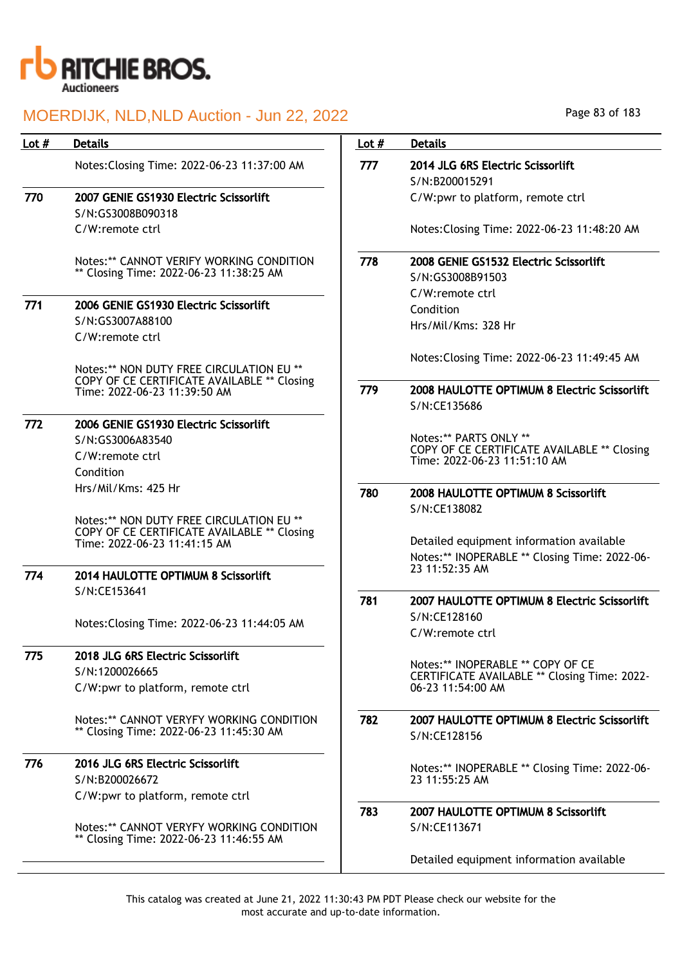

| Lot $#$ | <b>Details</b>                                                                                                                                                 | Lot $#$ | <b>Details</b>                                                                                              |
|---------|----------------------------------------------------------------------------------------------------------------------------------------------------------------|---------|-------------------------------------------------------------------------------------------------------------|
|         | Notes: Closing Time: 2022-06-23 11:37:00 AM                                                                                                                    | 777     | 2014 JLG 6RS Electric Scissorlift<br>S/N:B200015291                                                         |
| 770     | 2007 GENIE GS1930 Electric Scissorlift<br>S/N:GS3008B090318                                                                                                    |         | C/W:pwr to platform, remote ctrl                                                                            |
|         | C/W:remote ctrl                                                                                                                                                |         | Notes: Closing Time: 2022-06-23 11:48:20 AM                                                                 |
|         | Notes:** CANNOT VERIFY WORKING CONDITION<br>** Closing Time: 2022-06-23 11:38:25 AM                                                                            | 778     | 2008 GENIE GS1532 Electric Scissorlift<br>S/N:GS3008B91503                                                  |
| 771     | 2006 GENIE GS1930 Electric Scissorlift<br>S/N:GS3007A88100<br>C/W:remote ctrl                                                                                  |         | C/W:remote ctrl<br>Condition<br>Hrs/Mil/Kms: 328 Hr                                                         |
|         | Notes:** NON DUTY FREE CIRCULATION EU **                                                                                                                       |         | Notes: Closing Time: 2022-06-23 11:49:45 AM                                                                 |
|         | COPY OF CE CERTIFICATE AVAILABLE ** Closing<br>Time: 2022-06-23 11:39:50 AM                                                                                    | 779     | 2008 HAULOTTE OPTIMUM 8 Electric Scissorlift<br>S/N:CE135686                                                |
| 772     | 2006 GENIE GS1930 Electric Scissorlift<br>S/N:GS3006A83540<br>C/W:remote ctrl<br>Condition                                                                     |         | Notes:** PARTS ONLY **<br>COPY OF CE CERTIFICATE AVAILABLE ** Closing<br>Time: 2022-06-23 11:51:10 AM       |
|         | Hrs/Mil/Kms: 425 Hr                                                                                                                                            | 780     | 2008 HAULOTTE OPTIMUM 8 Scissorlift<br>S/N:CE138082                                                         |
| 774     | Notes:** NON DUTY FREE CIRCULATION EU **<br>COPY OF CE CERTIFICATE AVAILABLE ** Closing<br>Time: 2022-06-23 11:41:15 AM<br>2014 HAULOTTE OPTIMUM 8 Scissorlift |         | Detailed equipment information available<br>Notes:** INOPERABLE ** Closing Time: 2022-06-<br>23 11:52:35 AM |
|         | S/N:CE153641                                                                                                                                                   | 781     | 2007 HAULOTTE OPTIMUM 8 Electric Scissorlift                                                                |
|         | Notes: Closing Time: 2022-06-23 11:44:05 AM                                                                                                                    |         | S/N:CE128160<br>C/W:remote ctrl                                                                             |
| 775     | 2018 JLG 6RS Electric Scissorlift<br>S/N:1200026665<br>C/W:pwr to platform, remote ctrl                                                                        |         | Notes:** INOPERABLE ** COPY OF CE<br>CERTIFICATE AVAILABLE ** Closing Time: 2022-<br>06-23 11:54:00 AM      |
|         | Notes:** CANNOT VERYFY WORKING CONDITION<br>** Closing Time: 2022-06-23 11:45:30 AM                                                                            | 782     | 2007 HAULOTTE OPTIMUM 8 Electric Scissorlift<br>S/N:CE128156                                                |
| 776     | 2016 JLG 6RS Electric Scissorlift<br>S/N:B200026672                                                                                                            |         | Notes:** INOPERABLE ** Closing Time: 2022-06-<br>23 11:55:25 AM                                             |
|         | C/W:pwr to platform, remote ctrl<br>Notes:** CANNOT VERYFY WORKING CONDITION                                                                                   | 783     | 2007 HAULOTTE OPTIMUM 8 Scissor lift<br>S/N:CE113671                                                        |
|         | ** Closing Time: 2022-06-23 11:46:55 AM                                                                                                                        |         | Detailed equipment information available                                                                    |

Page 83 of 183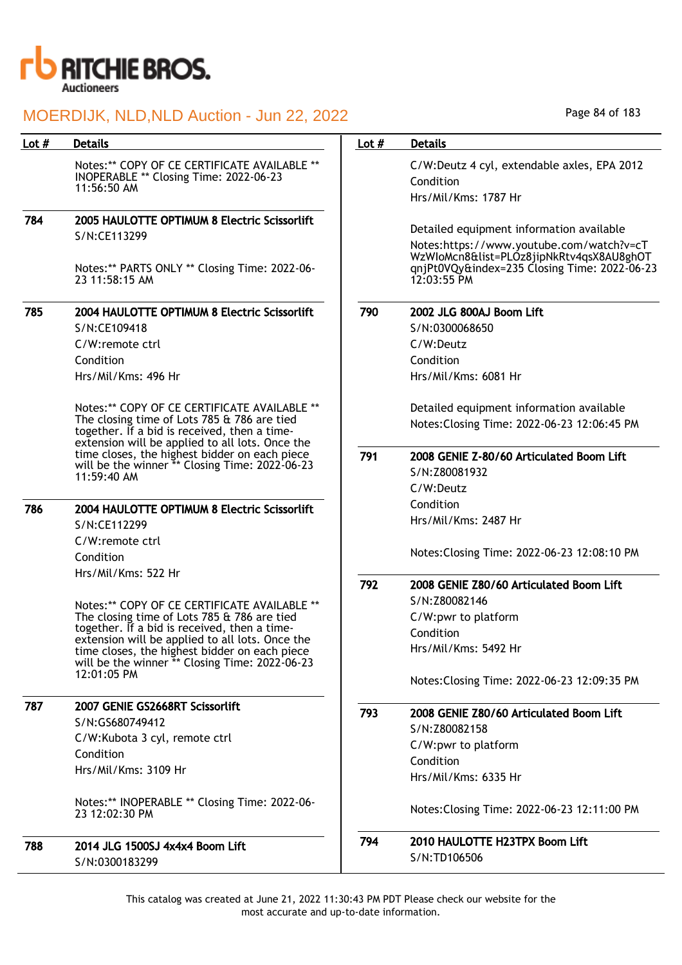

| Lot # | <b>Details</b>                                                                                                                                                                                 | Lot $#$ | <b>Details</b>                                                                                                                                      |
|-------|------------------------------------------------------------------------------------------------------------------------------------------------------------------------------------------------|---------|-----------------------------------------------------------------------------------------------------------------------------------------------------|
|       | Notes:** COPY OF CE CERTIFICATE AVAILABLE **<br>INOPERABLE ** Closing Time: 2022-06-23<br>11:56:50 AM                                                                                          |         | C/W:Deutz 4 cyl, extendable axles, EPA 2012<br>Condition<br>Hrs/Mil/Kms: 1787 Hr                                                                    |
| 784   | 2005 HAULOTTE OPTIMUM 8 Electric Scissorlift                                                                                                                                                   |         |                                                                                                                                                     |
|       | S/N:CE113299                                                                                                                                                                                   |         | Detailed equipment information available                                                                                                            |
|       | Notes:** PARTS ONLY ** Closing Time: 2022-06-<br>23 11:58:15 AM                                                                                                                                |         | Notes:https://www.youtube.com/watch?v=cT<br>WzWIoMcn8&list=PLOz8jipNkRtv4qsX8AU8ghOT<br>qnjPt0VQy&index=235 Closing Time: 2022-06-23<br>12:03:55 PM |
| 785   | 2004 HAULOTTE OPTIMUM 8 Electric Scissorlift                                                                                                                                                   | 790     | 2002 JLG 800AJ Boom Lift                                                                                                                            |
|       | S/N:CE109418<br>C/W:remote ctrl                                                                                                                                                                |         | S/N:0300068650<br>C/W:Deutz                                                                                                                         |
|       | Condition                                                                                                                                                                                      |         | Condition                                                                                                                                           |
|       | Hrs/Mil/Kms: 496 Hr                                                                                                                                                                            |         | Hrs/Mil/Kms: 6081 Hr                                                                                                                                |
|       |                                                                                                                                                                                                |         |                                                                                                                                                     |
|       | Notes:** COPY OF CE CERTIFICATE AVAILABLE **<br>The closing time of Lots 785 & 786 are tied<br>together. If a bid is received, then a time-<br>extension will be applied to all lots. Once the |         | Detailed equipment information available<br>Notes: Closing Time: 2022-06-23 12:06:45 PM                                                             |
|       | time closes, the highest bidder on each piece<br>will be the winner ** Closing Time: 2022-06-23<br>11:59:40 AM                                                                                 | 791     | 2008 GENIE Z-80/60 Articulated Boom Lift<br>S/N:Z80081932<br>C/W:Deutz                                                                              |
| 786   | 2004 HAULOTTE OPTIMUM 8 Electric Scissorlift                                                                                                                                                   |         | Condition                                                                                                                                           |
|       | S/N:CE112299                                                                                                                                                                                   |         | Hrs/Mil/Kms: 2487 Hr                                                                                                                                |
|       | C/W:remote ctrl                                                                                                                                                                                |         |                                                                                                                                                     |
|       | Condition                                                                                                                                                                                      |         | Notes: Closing Time: 2022-06-23 12:08:10 PM                                                                                                         |
|       | Hrs/Mil/Kms: 522 Hr                                                                                                                                                                            |         |                                                                                                                                                     |
|       |                                                                                                                                                                                                | 792     | 2008 GENIE Z80/60 Articulated Boom Lift                                                                                                             |
|       | Notes:** COPY OF CE CERTIFICATE AVAILABLE **                                                                                                                                                   |         | S/N:Z80082146                                                                                                                                       |
|       | The closing time of Lots 785 & 786 are tied<br>together. If a bid is received, then a time-                                                                                                    |         | C/W:pwr to platform                                                                                                                                 |
|       | extension will be applied to all lots. Once the                                                                                                                                                |         | Condition                                                                                                                                           |
|       | time closes, the highest bidder on each piece<br>will be the winner ** Closing Time: 2022-06-23                                                                                                |         | Hrs/Mil/Kms: 5492 Hr                                                                                                                                |
|       | 12:01:05 PM                                                                                                                                                                                    |         | Notes: Closing Time: 2022-06-23 12:09:35 PM                                                                                                         |
| 787   | 2007 GENIE GS2668RT Scissorlift                                                                                                                                                                | 793     | 2008 GENIE Z80/60 Articulated Boom Lift                                                                                                             |
|       | S/N:GS680749412                                                                                                                                                                                |         | S/N:Z80082158                                                                                                                                       |
|       | C/W:Kubota 3 cyl, remote ctrl                                                                                                                                                                  |         | C/W:pwr to platform                                                                                                                                 |
|       | Condition                                                                                                                                                                                      |         | Condition                                                                                                                                           |
|       | Hrs/Mil/Kms: 3109 Hr                                                                                                                                                                           |         | Hrs/Mil/Kms: 6335 Hr                                                                                                                                |
|       | Notes:** INOPERABLE ** Closing Time: 2022-06-<br>23 12:02:30 PM                                                                                                                                |         | Notes: Closing Time: 2022-06-23 12:11:00 PM                                                                                                         |
| 788   | 2014 JLG 1500SJ 4x4x4 Boom Lift                                                                                                                                                                | 794     | 2010 HAULOTTE H23TPX Boom Lift                                                                                                                      |
|       | S/N:0300183299                                                                                                                                                                                 |         | S/N:TD106506                                                                                                                                        |

Page 84 of 183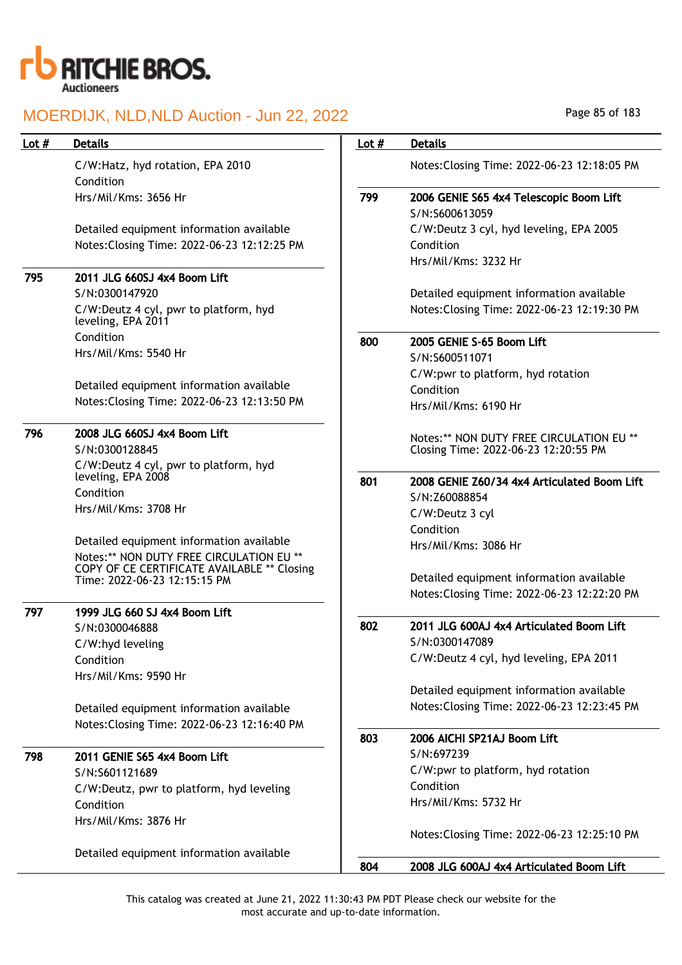

| Lot # | <b>Details</b>                                                                       | Lot $#$ | <b>Details</b>                                            |
|-------|--------------------------------------------------------------------------------------|---------|-----------------------------------------------------------|
|       |                                                                                      |         |                                                           |
|       | C/W:Hatz, hyd rotation, EPA 2010                                                     |         | Notes: Closing Time: 2022-06-23 12:18:05 PM               |
|       | Condition                                                                            |         |                                                           |
|       | Hrs/Mil/Kms: 3656 Hr                                                                 | 799     | 2006 GENIE S65 4x4 Telescopic Boom Lift<br>S/N:S600613059 |
|       | Detailed equipment information available                                             |         | C/W:Deutz 3 cyl, hyd leveling, EPA 2005                   |
|       | Notes: Closing Time: 2022-06-23 12:12:25 PM                                          |         | Condition                                                 |
|       |                                                                                      |         | Hrs/Mil/Kms: 3232 Hr                                      |
| 795   | 2011 JLG 660SJ 4x4 Boom Lift                                                         |         |                                                           |
|       | S/N:0300147920                                                                       |         | Detailed equipment information available                  |
|       | C/W:Deutz 4 cyl, pwr to platform, hyd                                                |         | Notes: Closing Time: 2022-06-23 12:19:30 PM               |
|       | leveling, EPA 2011                                                                   |         |                                                           |
|       | Condition                                                                            | 800     | 2005 GENIE S-65 Boom Lift                                 |
|       | Hrs/Mil/Kms: 5540 Hr                                                                 |         | S/N:S600511071                                            |
|       |                                                                                      |         | C/W:pwr to platform, hyd rotation                         |
|       | Detailed equipment information available                                             |         | Condition                                                 |
|       | Notes: Closing Time: 2022-06-23 12:13:50 PM                                          |         | Hrs/Mil/Kms: 6190 Hr                                      |
| 796   | 2008 JLG 660SJ 4x4 Boom Lift                                                         |         | Notes:** NON DUTY FREE CIRCULATION EU **                  |
|       | S/N:0300128845                                                                       |         | Closing Time: 2022-06-23 12:20:55 PM                      |
|       | C/W:Deutz 4 cyl, pwr to platform, hyd                                                |         |                                                           |
|       | leveling, EPA 2008                                                                   | 801     | 2008 GENIE Z60/34 4x4 Articulated Boom Lift               |
|       | Condition                                                                            |         | S/N:Z60088854                                             |
|       | Hrs/Mil/Kms: 3708 Hr                                                                 |         | C/W:Deutz 3 cyl                                           |
|       |                                                                                      |         | Condition                                                 |
|       | Detailed equipment information available<br>Notes:** NON DUTY FREE CIRCULATION EU ** |         | Hrs/Mil/Kms: 3086 Hr                                      |
|       | COPY OF CE CERTIFICATE AVAILABLE ** Closing                                          |         |                                                           |
|       | Time: 2022-06-23 12:15:15 PM                                                         |         | Detailed equipment information available                  |
|       |                                                                                      |         | Notes: Closing Time: 2022-06-23 12:22:20 PM               |
| 797   | 1999 JLG 660 SJ 4x4 Boom Lift                                                        | 802     | 2011 JLG 600AJ 4x4 Articulated Boom Lift                  |
|       | S/N:0300046888                                                                       |         | S/N:0300147089                                            |
|       | C/W:hyd leveling<br>Condition                                                        |         | C/W:Deutz 4 cyl, hyd leveling, EPA 2011                   |
|       | Hrs/Mil/Kms: 9590 Hr                                                                 |         |                                                           |
|       |                                                                                      |         | Detailed equipment information available                  |
|       | Detailed equipment information available                                             |         | Notes: Closing Time: 2022-06-23 12:23:45 PM               |
|       | Notes: Closing Time: 2022-06-23 12:16:40 PM                                          |         |                                                           |
|       |                                                                                      | 803     | 2006 AICHI SP21AJ Boom Lift                               |
| 798   | 2011 GENIE S65 4x4 Boom Lift                                                         |         | S/N:697239                                                |
|       | S/N:S601121689                                                                       |         | C/W:pwr to platform, hyd rotation                         |
|       | C/W:Deutz, pwr to platform, hyd leveling                                             |         | Condition                                                 |
|       | Condition                                                                            |         | Hrs/Mil/Kms: 5732 Hr                                      |
|       | Hrs/Mil/Kms: 3876 Hr                                                                 |         |                                                           |
|       |                                                                                      |         | Notes: Closing Time: 2022-06-23 12:25:10 PM               |
|       | Detailed equipment information available                                             |         |                                                           |
|       |                                                                                      | 804     | 2008 JLG 600AJ 4x4 Articulated Boom Lift                  |

Page 85 of 183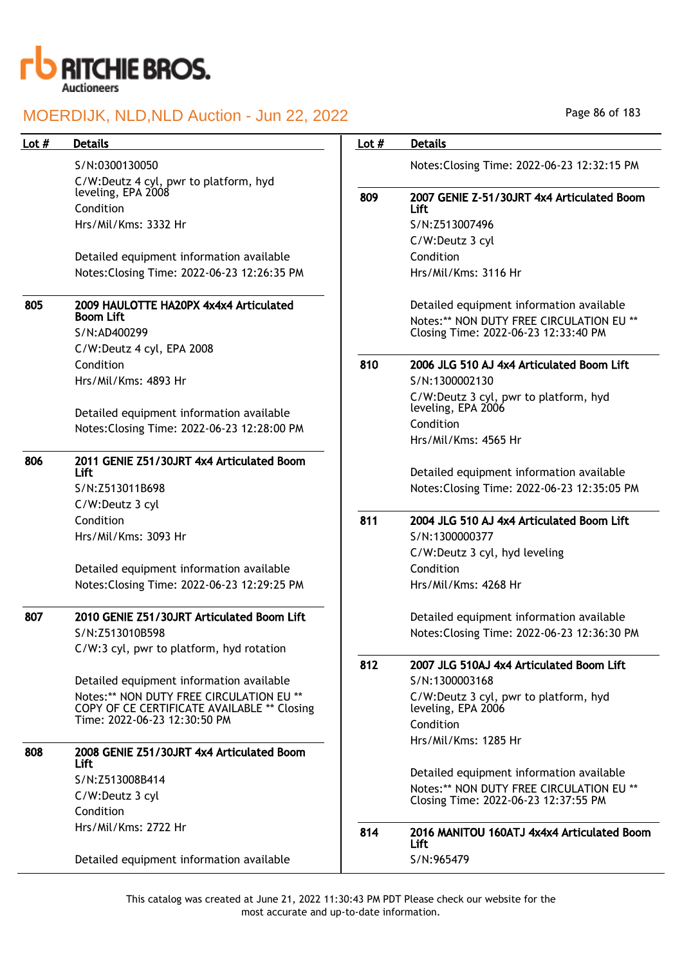

S/N:0300130050 C/W:Deutz 4 cyl, pwr to platform, hyd leveling, EPA 2008

Condition Hrs/Mil/Kms: 3332 Hr

Detailed equipment information available Notes:Closing Time: 2022-06-23 12:26:35 PM

## 805 2009 HAULOTTE HA20PX 4x4x4 Articulated Boom Lift

S/N:AD400299 C/W:Deutz 4 cyl, EPA 2008 Condition Hrs/Mil/Kms: 4893 Hr

Detailed equipment information available Notes:Closing Time: 2022-06-23 12:28:00 PM

#### 806 2011 GENIE Z51/30JRT 4x4 Articulated Boom Lift

S/N:Z513011B698 C/W:Deutz 3 cyl Condition Hrs/Mil/Kms: 3093 Hr

Detailed equipment information available Notes:Closing Time: 2022-06-23 12:29:25 PM

## 807 2010 GENIE Z51/30JRT Articulated Boom Lift S/N:Z513010B598

C/W:3 cyl, pwr to platform, hyd rotation

Detailed equipment information available Notes:\*\* NON DUTY FREE CIRCULATION EU \*\* COPY OF CE CERTIFICATE AVAILABLE \*\* Closing Time: 2022-06-23 12:30:50 PM

## 808 2008 GENIE Z51/30JRT 4x4 Articulated Boom Lift S/N:Z513008B414 C/W:Deutz 3 cyl Condition Hrs/Mil/Kms: 2722 Hr

Detailed equipment information available

## Lot # Details **Details According to the United States Lot # Details**

Notes:Closing Time: 2022-06-23 12:32:15 PM

## 809 2007 GENIE Z-51/30JRT 4x4 Articulated Boom Lift

S/N:Z513007496 C/W:Deutz 3 cyl Condition Hrs/Mil/Kms: 3116 Hr

Detailed equipment information available Notes:\*\* NON DUTY FREE CIRCULATION EU \*\* Closing Time: 2022-06-23 12:33:40 PM

## 810 2006 JLG 510 AJ 4x4 Articulated Boom Lift

S/N:1300002130 C/W:Deutz 3 cyl, pwr to platform, hyd leveling, EPA 2006 Condition Hrs/Mil/Kms: 4565 Hr

Detailed equipment information available Notes:Closing Time: 2022-06-23 12:35:05 PM

## 811 2004 JLG 510 AJ 4x4 Articulated Boom Lift

S/N:1300000377 C/W:Deutz 3 cyl, hyd leveling Condition Hrs/Mil/Kms: 4268 Hr

Detailed equipment information available Notes:Closing Time: 2022-06-23 12:36:30 PM

812 2007 JLG 510AJ 4x4 Articulated Boom Lift S/N:1300003168 C/W:Deutz 3 cyl, pwr to platform, hyd leveling, EPA 2006 Condition Hrs/Mil/Kms: 1285 Hr

> Detailed equipment information available Notes:\*\* NON DUTY FREE CIRCULATION EU \*\* Closing Time: 2022-06-23 12:37:55 PM

#### 814 2016 MANITOU 160ATJ 4x4x4 Articulated Boom Lift S/N:965479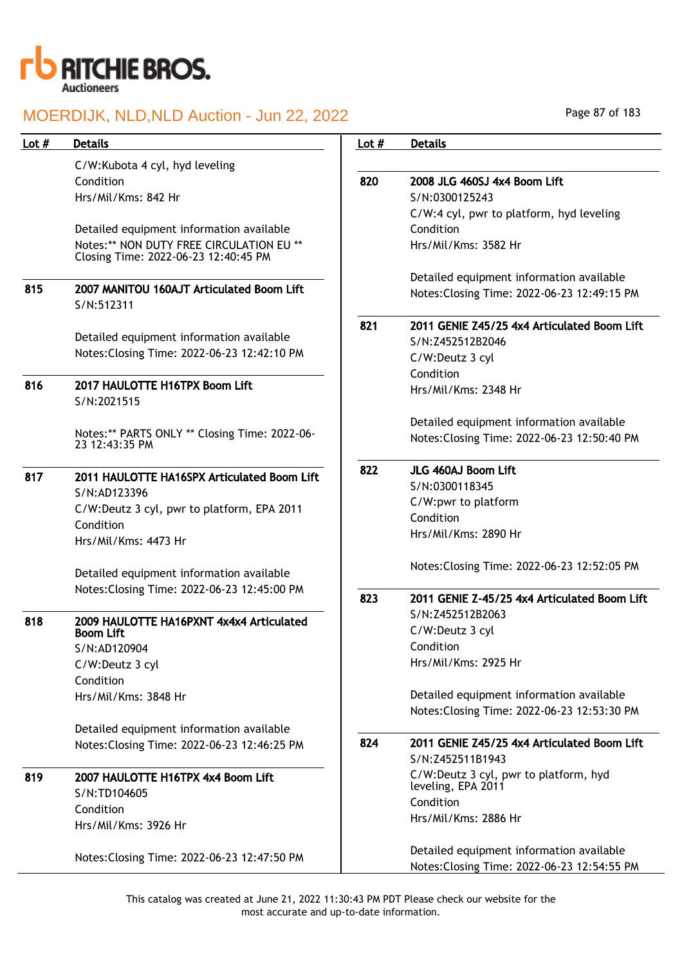

C/W:Kubota 4 cyl, hyd leveling Condition Hrs/Mil/Kms: 842 Hr

Detailed equipment information available Notes:\*\* NON DUTY FREE CIRCULATION EU \*\* Closing Time: 2022-06-23 12:40:45 PM

815 2007 MANITOU 160AJT Articulated Boom Lift S/N:512311

> Detailed equipment information available Notes:Closing Time: 2022-06-23 12:42:10 PM

## 816 2017 HAULOTTE H16TPX Boom Lift S/N:2021515

Notes:\*\* PARTS ONLY \*\* Closing Time: 2022-06- 23 12:43:35 PM

## 817 2011 HAULOTTE HA16SPX Articulated Boom Lift S/N:AD123396 C/W:Deutz 3 cyl, pwr to platform, EPA 2011 Condition Hrs/Mil/Kms: 4473 Hr

Detailed equipment information available Notes:Closing Time: 2022-06-23 12:45:00 PM

## 818 2009 HAULOTTE HA16PXNT 4x4x4 Articulated Boom Lift S/N:AD120904 C/W:Deutz 3 cyl Condition Hrs/Mil/Kms: 3848 Hr

Detailed equipment information available Notes:Closing Time: 2022-06-23 12:46:25 PM

## 819 2007 HAULOTTE H16TPX 4x4 Boom Lift S/N:TD104605 Condition Hrs/Mil/Kms: 3926 Hr

Notes:Closing Time: 2022-06-23 12:47:50 PM

# Lot # Details **Details According to the United States Lot # Details** 820 2008 JLG 460SJ 4x4 Boom Lift S/N:0300125243 C/W:4 cyl, pwr to platform, hyd leveling Condition Hrs/Mil/Kms: 3582 Hr Detailed equipment information available Notes:Closing Time: 2022-06-23 12:49:15 PM 821 2011 GENIE Z45/25 4x4 Articulated Boom Lift S/N:Z452512B2046 C/W:Deutz 3 cyl Condition Hrs/Mil/Kms: 2348 Hr Detailed equipment information available Notes:Closing Time: 2022-06-23 12:50:40 PM 822 JLG 460AJ Boom Lift S/N:0300118345 C/W:pwr to platform Condition Hrs/Mil/Kms: 2890 Hr Notes:Closing Time: 2022-06-23 12:52:05 PM 823 2011 GENIE Z-45/25 4x4 Articulated Boom Lift S/N:Z452512B2063 C/W:Deutz 3 cyl Condition Hrs/Mil/Kms: 2925 Hr Detailed equipment information available Notes:Closing Time: 2022-06-23 12:53:30 PM 824 2011 GENIE Z45/25 4x4 Articulated Boom Lift S/N:Z452511B1943 C/W:Deutz 3 cyl, pwr to platform, hyd leveling, EPA 2011 Condition Hrs/Mil/Kms: 2886 Hr Detailed equipment information available Notes:Closing Time: 2022-06-23 12:54:55 PM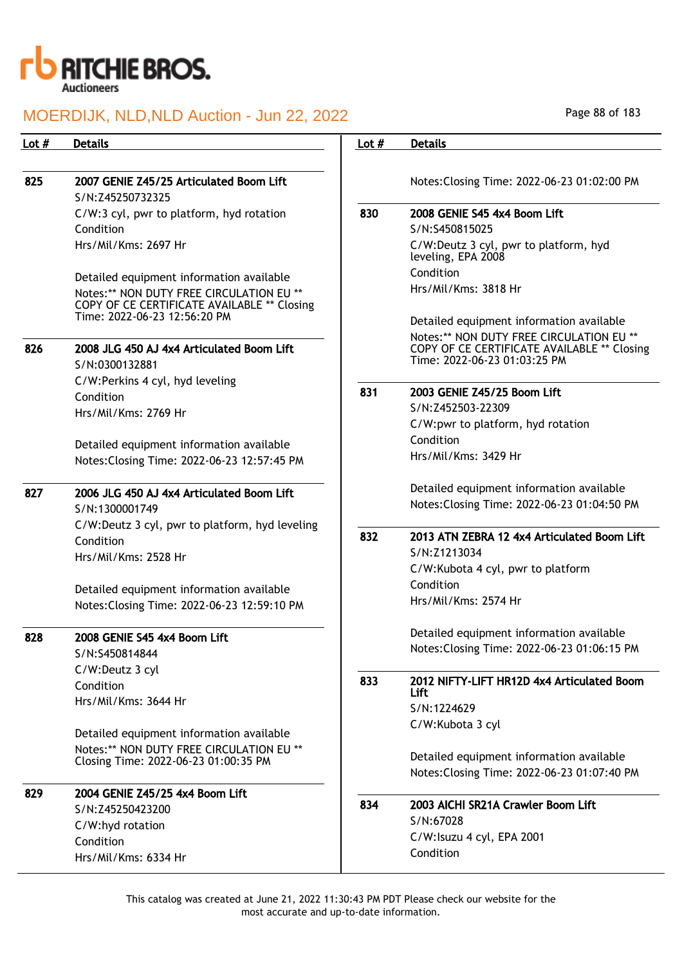

| Lot $#$ | <b>Details</b>                                                                                                          | Lot $#$ | <b>Details</b>                                                                       |
|---------|-------------------------------------------------------------------------------------------------------------------------|---------|--------------------------------------------------------------------------------------|
|         |                                                                                                                         |         |                                                                                      |
| 825     | 2007 GENIE Z45/25 Articulated Boom Lift                                                                                 |         | Notes: Closing Time: 2022-06-23 01:02:00 PM                                          |
|         | S/N:Z45250732325                                                                                                        |         |                                                                                      |
|         | C/W:3 cyl, pwr to platform, hyd rotation                                                                                | 830     | 2008 GENIE S45 4x4 Boom Lift                                                         |
|         | Condition                                                                                                               |         | S/N:S450815025                                                                       |
|         | Hrs/Mil/Kms: 2697 Hr                                                                                                    |         | C/W:Deutz 3 cyl, pwr to platform, hyd<br>leveling, EPA 2008                          |
|         |                                                                                                                         |         | Condition                                                                            |
|         | Detailed equipment information available                                                                                |         | Hrs/Mil/Kms: 3818 Hr                                                                 |
|         | Notes:** NON DUTY FREE CIRCULATION EU **<br>COPY OF CE CERTIFICATE AVAILABLE ** Closing<br>Time: 2022-06-23 12:56:20 PM |         |                                                                                      |
|         |                                                                                                                         |         | Detailed equipment information available<br>Notes:** NON DUTY FREE CIRCULATION EU ** |
| 826     | 2008 JLG 450 AJ 4x4 Articulated Boom Lift<br>S/N:0300132881                                                             |         | COPY OF CE CERTIFICATE AVAILABLE ** Closing<br>Time: 2022-06-23 01:03:25 PM          |
|         | C/W:Perkins 4 cyl, hyd leveling                                                                                         |         |                                                                                      |
|         | Condition                                                                                                               | 831     | 2003 GENIE Z45/25 Boom Lift                                                          |
|         | Hrs/Mil/Kms: 2769 Hr                                                                                                    |         | S/N:Z452503-22309                                                                    |
|         |                                                                                                                         |         | C/W:pwr to platform, hyd rotation<br>Condition                                       |
|         | Detailed equipment information available                                                                                |         | Hrs/Mil/Kms: 3429 Hr                                                                 |
|         | Notes: Closing Time: 2022-06-23 12:57:45 PM                                                                             |         |                                                                                      |
| 827     | 2006 JLG 450 AJ 4x4 Articulated Boom Lift                                                                               |         | Detailed equipment information available                                             |
|         | S/N:1300001749                                                                                                          |         | Notes: Closing Time: 2022-06-23 01:04:50 PM                                          |
|         | C/W:Deutz 3 cyl, pwr to platform, hyd leveling                                                                          |         |                                                                                      |
|         | Condition                                                                                                               | 832     | 2013 ATN ZEBRA 12 4x4 Articulated Boom Lift                                          |
|         | Hrs/Mil/Kms: 2528 Hr                                                                                                    |         | S/N:Z1213034                                                                         |
|         |                                                                                                                         |         | C/W:Kubota 4 cyl, pwr to platform                                                    |
|         | Detailed equipment information available                                                                                |         | Condition                                                                            |
|         | Notes: Closing Time: 2022-06-23 12:59:10 PM                                                                             |         | Hrs/Mil/Kms: 2574 Hr                                                                 |
| 828     | 2008 GENIE S45 4x4 Boom Lift                                                                                            |         | Detailed equipment information available                                             |
|         | S/N:S450814844                                                                                                          |         | Notes: Closing Time: 2022-06-23 01:06:15 PM                                          |
|         | C/W:Deutz 3 cyl                                                                                                         |         |                                                                                      |
|         | Condition                                                                                                               | 833     | 2012 NIFTY-LIFT HR12D 4x4 Articulated Boom<br>Lift                                   |
|         | Hrs/Mil/Kms: 3644 Hr                                                                                                    |         | S/N:1224629                                                                          |
|         |                                                                                                                         |         | C/W:Kubota 3 cyl                                                                     |
|         | Detailed equipment information available                                                                                |         |                                                                                      |
|         | Notes:** NON DUTY FREE CIRCULATION EU **                                                                                |         | Detailed equipment information available                                             |
|         | Closing Time: 2022-06-23 01:00:35 PM                                                                                    |         | Notes: Closing Time: 2022-06-23 01:07:40 PM                                          |
| 829     | 2004 GENIE Z45/25 4x4 Boom Lift                                                                                         |         |                                                                                      |
|         | S/N:Z45250423200                                                                                                        | 834     | 2003 AICHI SR21A Crawler Boom Lift                                                   |
|         | C/W:hyd rotation                                                                                                        |         | S/N:67028                                                                            |
|         | Condition                                                                                                               |         | C/W:Isuzu 4 cyl, EPA 2001                                                            |
|         | Hrs/Mil/Kms: 6334 Hr                                                                                                    |         | Condition                                                                            |
|         |                                                                                                                         |         |                                                                                      |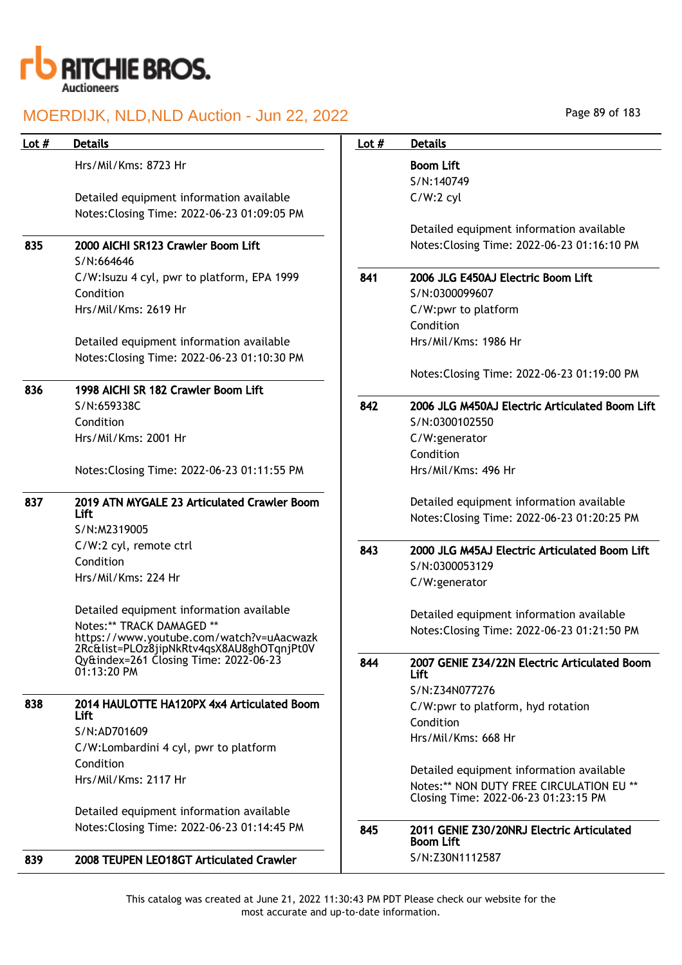

| Lot $#$ | <b>Details</b>                                                                          | Lot $#$ | <b>Details</b>                                                |
|---------|-----------------------------------------------------------------------------------------|---------|---------------------------------------------------------------|
|         | Hrs/Mil/Kms: 8723 Hr                                                                    |         | <b>Boom Lift</b>                                              |
|         |                                                                                         |         | S/N:140749                                                    |
|         | Detailed equipment information available                                                |         | $C/W:2$ cyl                                                   |
|         | Notes: Closing Time: 2022-06-23 01:09:05 PM                                             |         |                                                               |
|         |                                                                                         |         | Detailed equipment information available                      |
| 835     | 2000 AICHI SR123 Crawler Boom Lift                                                      |         | Notes: Closing Time: 2022-06-23 01:16:10 PM                   |
|         | S/N:664646                                                                              |         |                                                               |
|         | C/W:Isuzu 4 cyl, pwr to platform, EPA 1999                                              | 841     | 2006 JLG E450AJ Electric Boom Lift                            |
|         | Condition                                                                               |         | S/N:0300099607                                                |
|         | Hrs/Mil/Kms: 2619 Hr                                                                    |         | C/W:pwr to platform                                           |
|         |                                                                                         |         | Condition                                                     |
|         | Detailed equipment information available                                                |         | Hrs/Mil/Kms: 1986 Hr                                          |
|         | Notes: Closing Time: 2022-06-23 01:10:30 PM                                             |         |                                                               |
|         |                                                                                         |         | Notes: Closing Time: 2022-06-23 01:19:00 PM                   |
| 836     | 1998 AICHI SR 182 Crawler Boom Lift                                                     |         |                                                               |
|         | S/N:659338C                                                                             | 842     | 2006 JLG M450AJ Electric Articulated Boom Lift                |
|         | Condition                                                                               |         | S/N:0300102550                                                |
|         | Hrs/Mil/Kms: 2001 Hr                                                                    |         | C/W:generator                                                 |
|         |                                                                                         |         | Condition                                                     |
|         | Notes: Closing Time: 2022-06-23 01:11:55 PM                                             |         | Hrs/Mil/Kms: 496 Hr                                           |
| 837     | 2019 ATN MYGALE 23 Articulated Crawler Boom                                             |         | Detailed equipment information available                      |
|         | <b>Lift</b>                                                                             |         | Notes: Closing Time: 2022-06-23 01:20:25 PM                   |
|         | S/N:M2319005                                                                            |         |                                                               |
|         | C/W:2 cyl, remote ctrl<br>Condition                                                     | 843     | 2000 JLG M45AJ Electric Articulated Boom Lift                 |
|         | Hrs/Mil/Kms: 224 Hr                                                                     |         | S/N:0300053129                                                |
|         |                                                                                         |         | C/W:generator                                                 |
|         | Detailed equipment information available                                                |         | Detailed equipment information available                      |
|         | Notes:** TRACK DAMAGED **                                                               |         | Notes: Closing Time: 2022-06-23 01:21:50 PM                   |
|         | https://www.youtube.com/watch?v=uAacwazk<br>2Rc&list=PLOz8jipNkRtv4qsX8AU8ghOTqnjPt0V   |         |                                                               |
|         | $Qy$ &index=261 Closing Time: 2022-06-23<br>01:13:20 PM                                 | 844     | 2007 GENIE Z34/22N Electric Articulated Boom<br>Lift          |
|         |                                                                                         |         | S/N:Z34N077276                                                |
| 838     | 2014 HAULOTTE HA120PX 4x4 Articulated Boom                                              |         | C/W:pwr to platform, hyd rotation                             |
|         | <b>Lift</b>                                                                             |         | Condition                                                     |
|         | S/N:AD701609                                                                            |         | Hrs/Mil/Kms: 668 Hr                                           |
|         | C/W:Lombardini 4 cyl, pwr to platform                                                   |         |                                                               |
|         | Condition                                                                               |         | Detailed equipment information available                      |
|         | Hrs/Mil/Kms: 2117 Hr                                                                    |         | Notes:** NON DUTY FREE CIRCULATION EU **                      |
|         |                                                                                         |         | Closing Time: 2022-06-23 01:23:15 PM                          |
|         | Detailed equipment information available<br>Notes: Closing Time: 2022-06-23 01:14:45 PM |         |                                                               |
|         |                                                                                         | 845     | 2011 GENIE Z30/20NRJ Electric Articulated<br><b>Boom Lift</b> |
| 839     | 2008 TEUPEN LEO18GT Articulated Crawler                                                 |         | S/N:Z30N1112587                                               |
|         |                                                                                         |         |                                                               |

Page 89 of 183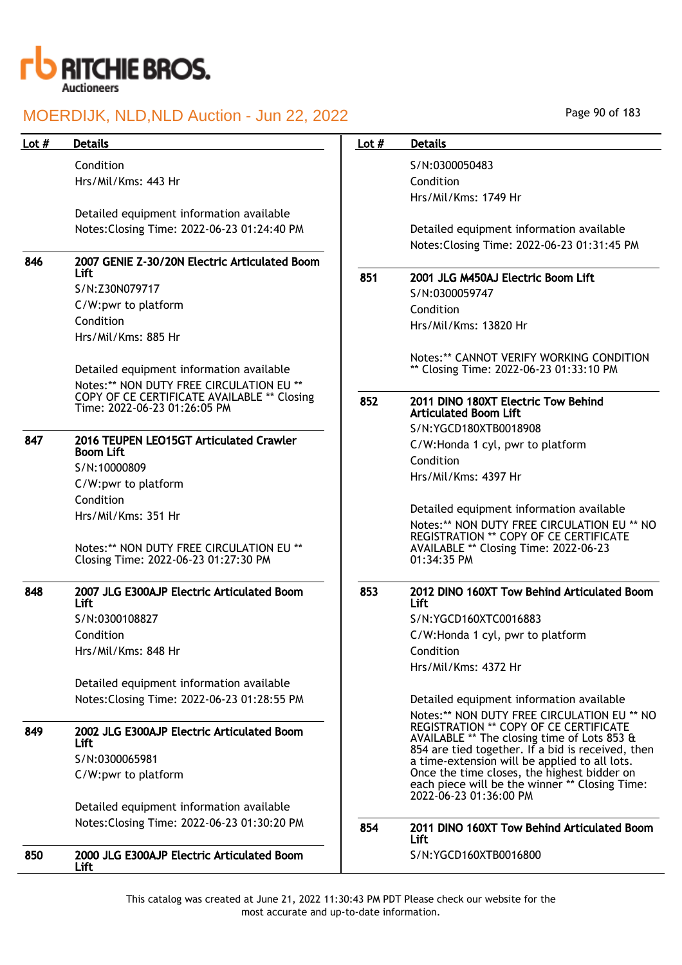

Condition Hrs/Mil/Kms: 443 Hr

Detailed equipment information available Notes:Closing Time: 2022-06-23 01:24:40 PM

## 846 2007 GENIE Z-30/20N Electric Articulated Boom Lift

S/N:Z30N079717 C/W:pwr to platform Condition Hrs/Mil/Kms: 885 Hr

Detailed equipment information available Notes:\*\* NON DUTY FREE CIRCULATION EU \*\* COPY OF CE CERTIFICATE AVAILABLE \*\* Closing Time: 2022-06-23 01:26:05 PM

## 847 2016 TEUPEN LEO15GT Articulated Crawler Boom Lift S/N:10000809

C/W:pwr to platform Condition Hrs/Mil/Kms: 351 Hr

Notes:\*\* NON DUTY FREE CIRCULATION EU \*\* Closing Time: 2022-06-23 01:27:30 PM

#### 848 2007 JLG E300AJP Electric Articulated Boom Lift S/N:0300108827 Condition

Hrs/Mil/Kms: 848 Hr

Detailed equipment information available Notes:Closing Time: 2022-06-23 01:28:55 PM

## 849 2002 JLG E300AJP Electric Articulated Boom Lift S/N:0300065981 C/W:pwr to platform

Detailed equipment information available Notes:Closing Time: 2022-06-23 01:30:20 PM

#### 850 2000 JLG E300AJP Electric Articulated Boom Lift S/N:YGCD160XTB0016800

Page 90 of 183

## Lot # Details **Details According to the United States Lot # Details** S/N:0300050483 Condition Hrs/Mil/Kms: 1749 Hr Detailed equipment information available Notes:Closing Time: 2022-06-23 01:31:45 PM 851 2001 JLG M450AJ Electric Boom Lift S/N:0300059747 Condition Hrs/Mil/Kms: 13820 Hr Notes:\*\* CANNOT VERIFY WORKING CONDITION \*\* Closing Time: 2022-06-23 01:33:10 PM 852 2011 DINO 180XT Electric Tow Behind Articulated Boom Lift S/N:YGCD180XTB0018908 C/W:Honda 1 cyl, pwr to platform Condition Hrs/Mil/Kms: 4397 Hr Detailed equipment information available Notes:\*\* NON DUTY FREE CIRCULATION EU \*\* NO REGISTRATION \*\* COPY OF CE CERTIFICATE AVAILABLE \*\* Closing Time: 2022-06-23 01:34:35 PM 853 2012 DINO 160XT Tow Behind Articulated Boom Lift S/N:YGCD160XTC0016883 C/W:Honda 1 cyl, pwr to platform Condition Hrs/Mil/Kms: 4372 Hr Detailed equipment information available Notes:\*\* NON DUTY FREE CIRCULATION EU \*\* NO REGISTRATION \*\* COPY OF CE CERTIFICATE AVAILABLE \*\* The closing time of Lots 853 & 854 are tied together. If a bid is received, then a time-extension will be applied to all lots. Once the time closes, the highest bidder on each piece will be the winner \*\* Closing Time: 2022-06-23 01:36:00 PM 854 2011 DINO 160XT Tow Behind Articulated Boom Lift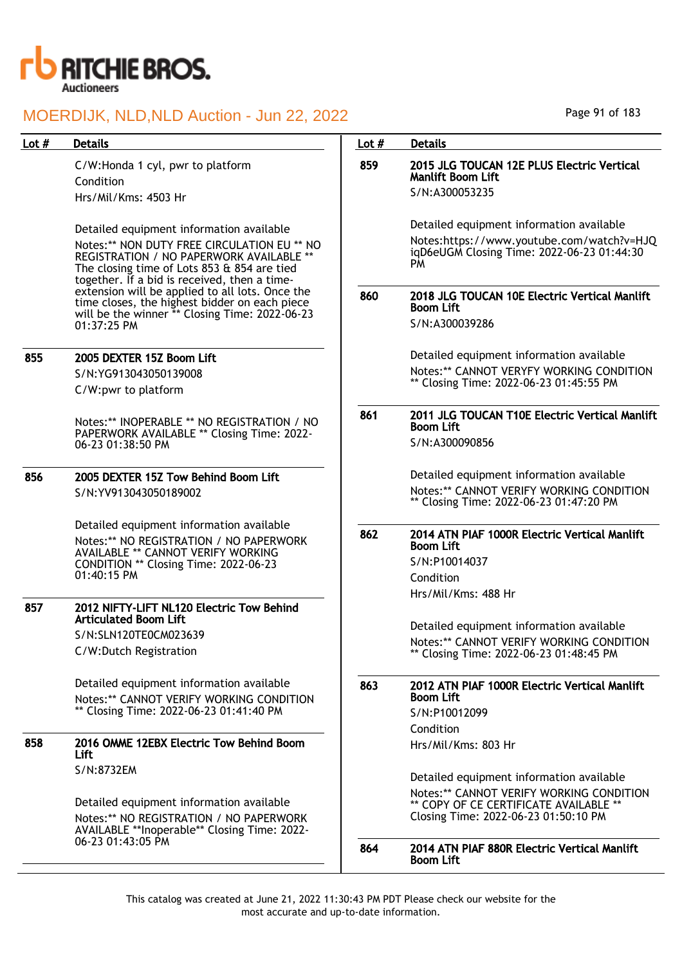

## 855 2005 DEXTER 15Z Boom Lift

### 856 2005 DEXTER 15Z Tow Behind Boom Lift S/N:YV913043050189002

## 857 2012 NIFTY-LIFT NL120 Electric Tow Behind Articulated Boom Lift S/N:SLN120TE0CM023639

## 858 2016 OMME 12EBX Electric Tow Behind Boom Lift

| Lot # | <b>Details</b>                                                                                  | Lot $#$ | <b>Details</b>                                                                       |
|-------|-------------------------------------------------------------------------------------------------|---------|--------------------------------------------------------------------------------------|
|       |                                                                                                 | 859     | 2015 JLG TOUCAN 12E PLUS Electric Vertical                                           |
|       | C/W:Honda 1 cyl, pwr to platform<br>Condition                                                   |         | <b>Manlift Boom Lift</b>                                                             |
|       | Hrs/Mil/Kms: 4503 Hr                                                                            |         | S/N:A300053235                                                                       |
|       |                                                                                                 |         |                                                                                      |
|       | Detailed equipment information available                                                        |         | Detailed equipment information available                                             |
|       | Notes:** NON DUTY FREE CIRCULATION EU ** NO                                                     |         | Notes:https://www.youtube.com/watch?v=HJQ                                            |
|       | REGISTRATION / NO PAPERWORK AVAILABLE **                                                        |         | igD6eUGM Closing Time: 2022-06-23 01:44:30<br>PM                                     |
|       | The closing time of Lots 853 & 854 are tied<br>together. If a bid is received, then a time-     |         |                                                                                      |
|       | extension will be applied to all lots. Once the                                                 | 860     | 2018 JLG TOUCAN 10E Electric Vertical Manlift                                        |
|       | time closes, the highest bidder on each piece<br>will be the winner ** Closing Time: 2022-06-23 |         | <b>Boom Lift</b>                                                                     |
|       | 01:37:25 PM                                                                                     |         | S/N:A300039286                                                                       |
|       |                                                                                                 |         |                                                                                      |
| 855   | 2005 DEXTER 15Z Boom Lift                                                                       |         | Detailed equipment information available<br>Notes:** CANNOT VERYFY WORKING CONDITION |
|       | S/N:YG913043050139008                                                                           |         | ** Closing Time: 2022-06-23 01:45:55 PM                                              |
|       | C/W:pwr to platform                                                                             |         |                                                                                      |
|       | Notes:** INOPERABLE ** NO REGISTRATION / NO                                                     | 861     | 2011 JLG TOUCAN T10E Electric Vertical Manlift                                       |
|       | PAPERWORK AVAILABLE ** Closing Time: 2022-                                                      |         | <b>Boom Lift</b>                                                                     |
|       | 06-23 01:38:50 PM                                                                               |         | S/N:A300090856                                                                       |
| 856   | 2005 DEXTER 15Z Tow Behind Boom Lift                                                            |         | Detailed equipment information available                                             |
|       | S/N:YV913043050189002                                                                           |         | Notes:** CANNOT VERIFY WORKING CONDITION                                             |
|       |                                                                                                 |         | ** Closing Time: 2022-06-23 01:47:20 PM                                              |
|       | Detailed equipment information available                                                        | 862     |                                                                                      |
|       | Notes:** NO REGISTRATION / NO PAPERWORK                                                         |         | 2014 ATN PIAF 1000R Electric Vertical Manlift<br><b>Boom Lift</b>                    |
|       | <b>AVAILABLE ** CANNOT VERIFY WORKING</b><br>CONDITION ** Closing Time: 2022-06-23              |         | S/N:P10014037                                                                        |
|       | 01:40:15 PM                                                                                     |         | Condition                                                                            |
|       |                                                                                                 |         | Hrs/Mil/Kms: 488 Hr                                                                  |
| 857   | 2012 NIFTY-LIFT NL120 Electric Tow Behind                                                       |         |                                                                                      |
|       | <b>Articulated Boom Lift</b>                                                                    |         | Detailed equipment information available                                             |
|       | S/N:SLN120TE0CM023639                                                                           |         | Notes:** CANNOT VERIFY WORKING CONDITION                                             |
|       | C/W:Dutch Registration                                                                          |         | ** Closing Time: 2022-06-23 01:48:45 PM                                              |
|       | Detailed equipment information available                                                        | 863     | 2012 ATN PIAF 1000R Electric Vertical Manlift                                        |
|       | Notes:** CANNOT VERIFY WORKING CONDITION                                                        |         | <b>Boom Lift</b>                                                                     |
|       | ** Closing Time: 2022-06-23 01:41:40 PM                                                         |         | S/N:P10012099                                                                        |
|       |                                                                                                 |         | Condition                                                                            |
| 858   | 2016 OMME 12EBX Electric Tow Behind Boom<br>Lift                                                |         | Hrs/Mil/Kms: 803 Hr                                                                  |
|       | S/N:8732EM                                                                                      |         |                                                                                      |
|       |                                                                                                 |         | Detailed equipment information available                                             |
|       | Detailed equipment information available                                                        |         | Notes:** CANNOT VERIFY WORKING CONDITION<br>** COPY OF CE CERTIFICATE AVAILABLE **   |
|       | Notes:** NO REGISTRATION / NO PAPERWORK                                                         |         | Closing Time: 2022-06-23 01:50:10 PM                                                 |
|       | AVAILABLE **Inoperable** Closing Time: 2022-<br>06-23 01:43:05 PM                               |         |                                                                                      |
|       |                                                                                                 | 864     | 2014 ATN PIAF 880R Electric Vertical Manlift<br><b>Boom Lift</b>                     |
|       |                                                                                                 |         |                                                                                      |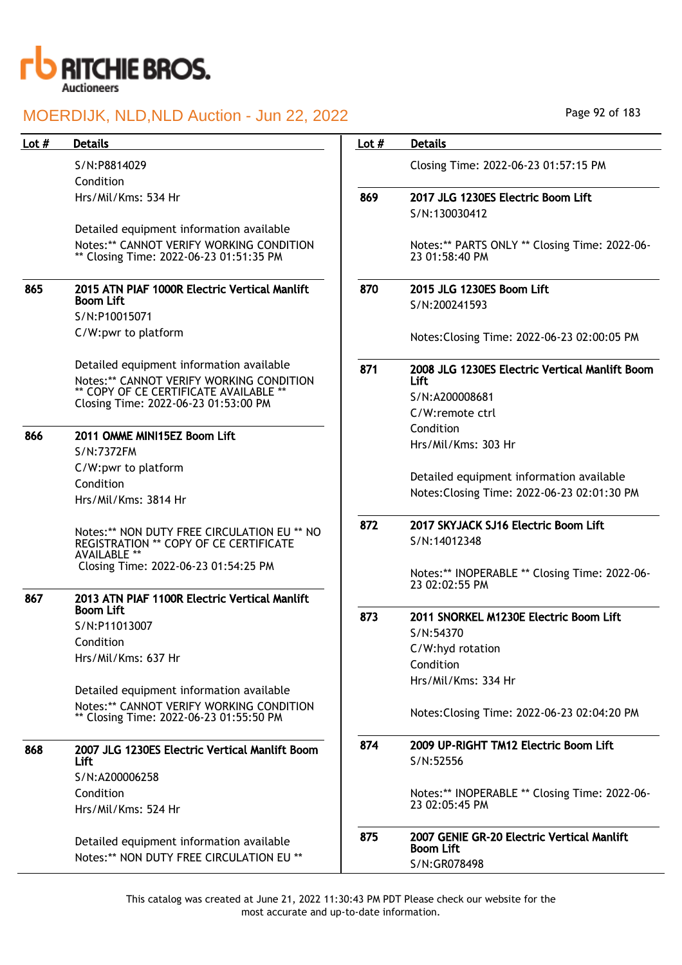

### Lot # Details **Details According to the United States Lot # Details**

S/N:P8814029 Condition Hrs/Mil/Kms: 534 Hr

Detailed equipment information available Notes:\*\* CANNOT VERIFY WORKING CONDITION

|     | Notes:** CANNOT VERIFY WORKING CONDITION<br>** Closing Time: 2022-06-23 01:51:35 PM                                                                                    |     | Notes:** PARTS ONLY ** Closing Time: 2022-06-<br>23 01:58:40 PM                                    |
|-----|------------------------------------------------------------------------------------------------------------------------------------------------------------------------|-----|----------------------------------------------------------------------------------------------------|
| 865 | 2015 ATN PIAF 1000R Electric Vertical Manlift<br><b>Boom Lift</b>                                                                                                      | 870 | 2015 JLG 1230ES Boom Lift<br>S/N:200241593                                                         |
|     | S/N:P10015071                                                                                                                                                          |     |                                                                                                    |
|     | C/W:pwr to platform                                                                                                                                                    |     | Notes: Closing Time: 2022-06-23 02:00:05 PM                                                        |
|     | Detailed equipment information available<br>Notes:** CANNOT VERIFY WORKING CONDITION<br>** COPY OF CE CERTIFICATE AVAILABLE **<br>Closing Time: 2022-06-23 01:53:00 PM | 871 | 2008 JLG 1230ES Electric Vertical Manlift Boom<br><b>Lift</b><br>S/N:A200008681<br>C/W:remote ctrl |
| 866 | 2011 OMME MINI15EZ Boom Lift                                                                                                                                           |     | Condition                                                                                          |
|     | S/N:7372FM                                                                                                                                                             |     | Hrs/Mil/Kms: 303 Hr                                                                                |
|     | C/W:pwr to platform<br>Condition<br>Hrs/Mil/Kms: 3814 Hr                                                                                                               |     | Detailed equipment information available<br>Notes: Closing Time: 2022-06-23 02:01:30 PM            |
|     | Notes:** NON DUTY FREE CIRCULATION EU ** NO<br><b>REGISTRATION ** COPY OF CE CERTIFICATE</b><br><b>AVAILABLE **</b>                                                    | 872 | 2017 SKYJACK SJ16 Electric Boom Lift<br>S/N:14012348                                               |
|     | Closing Time: 2022-06-23 01:54:25 PM                                                                                                                                   |     | Notes:** INOPERABLE ** Closing Time: 2022-06-<br>23 02:02:55 PM                                    |
| 867 | 2013 ATN PIAF 1100R Electric Vertical Manlift                                                                                                                          |     |                                                                                                    |
|     | <b>Boom Lift</b><br>S/N:P11013007                                                                                                                                      | 873 | 2011 SNORKEL M1230E Electric Boom Lift                                                             |
|     | Condition                                                                                                                                                              |     | S/N:54370                                                                                          |
|     | Hrs/Mil/Kms: 637 Hr                                                                                                                                                    |     | C/W:hyd rotation                                                                                   |
|     |                                                                                                                                                                        |     | Condition                                                                                          |
|     | Detailed equipment information available                                                                                                                               |     | Hrs/Mil/Kms: 334 Hr                                                                                |
|     | Notes:** CANNOT VERIFY WORKING CONDITION<br>** Closing Time: 2022-06-23 01:55:50 PM                                                                                    |     | Notes: Closing Time: 2022-06-23 02:04:20 PM                                                        |
| 868 | 2007 JLG 1230ES Electric Vertical Manlift Boom                                                                                                                         | 874 | 2009 UP-RIGHT TM12 Electric Boom Lift                                                              |
|     | Lift                                                                                                                                                                   |     | S/N:52556                                                                                          |
|     | S/N:A200006258                                                                                                                                                         |     |                                                                                                    |
|     | Condition                                                                                                                                                              |     | Notes:** INOPERABLE ** Closing Time: 2022-06-                                                      |
|     | Hrs/Mil/Kms: 524 Hr                                                                                                                                                    |     | 23 02:05:45 PM                                                                                     |
|     | Detailed equipment information available<br>Notes: ** NON DUTY FREE CIRCULATION EU **                                                                                  | 875 | 2007 GENIE GR-20 Electric Vertical Manlift<br><b>Boom Lift</b>                                     |
|     |                                                                                                                                                                        |     | S/N:GR078498                                                                                       |

This catalog was created at June 21, 2022 11:30:43 PM PDT Please check our website for the most accurate and up-to-date information.

Closing Time: 2022-06-23 01:57:15 PM

869 2017 JLG 1230ES Electric Boom Lift

S/N:130030412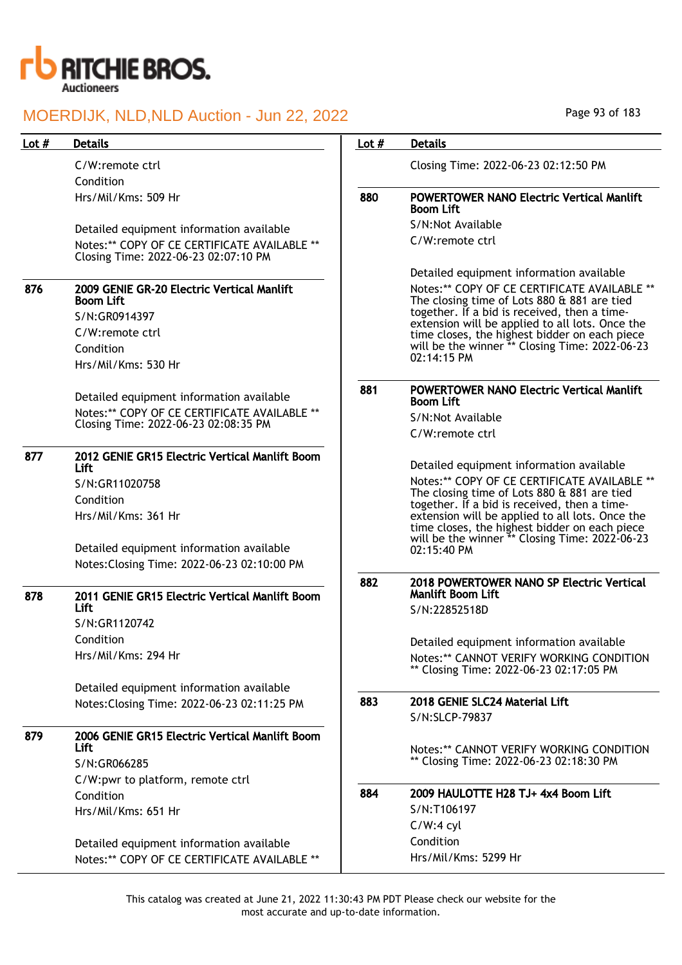

## Page 93 of 183

| Lot $#$ | <b>Details</b>                                                 | Lot $#$ | <b>Details</b>                                                                                   |
|---------|----------------------------------------------------------------|---------|--------------------------------------------------------------------------------------------------|
|         | C/W:remote ctrl                                                |         | Closing Time: 2022-06-23 02:12:50 PM                                                             |
|         | Condition                                                      |         |                                                                                                  |
|         | Hrs/Mil/Kms: 509 Hr                                            | 880     | <b>POWERTOWER NANO Electric Vertical Manlift</b><br><b>Boom Lift</b>                             |
|         | Detailed equipment information available                       |         | S/N:Not Available                                                                                |
|         | Notes:** COPY OF CE CERTIFICATE AVAILABLE **                   |         | C/W:remote ctrl                                                                                  |
|         | Closing Time: 2022-06-23 02:07:10 PM                           |         |                                                                                                  |
|         |                                                                |         | Detailed equipment information available                                                         |
| 876     | 2009 GENIE GR-20 Electric Vertical Manlift<br><b>Boom Lift</b> |         | Notes:** COPY OF CE CERTIFICATE AVAILABLE **<br>The closing time of Lots 880 & 881 are tied      |
|         | S/N:GR0914397                                                  |         | together. If a bid is received, then a time-                                                     |
|         | C/W:remote ctrl                                                |         | extension will be applied to all lots. Once the<br>time closes, the highest bidder on each piece |
|         | Condition                                                      |         | will be the winner ** Closing Time: 2022-06-23                                                   |
|         | Hrs/Mil/Kms: 530 Hr                                            |         | $02:14:15 \text{ PM}$                                                                            |
|         |                                                                |         |                                                                                                  |
|         | Detailed equipment information available                       | 881     | <b>POWERTOWER NANO Electric Vertical Manlift</b><br><b>Boom Lift</b>                             |
|         | Notes:** COPY OF CE CERTIFICATE AVAILABLE **                   |         | S/N:Not Available                                                                                |
|         | Closing Time: 2022-06-23 02:08:35 PM                           |         | C/W:remote ctrl                                                                                  |
|         |                                                                |         |                                                                                                  |
| 877     | 2012 GENIE GR15 Electric Vertical Manlift Boom<br>Lift         |         | Detailed equipment information available                                                         |
|         | S/N:GR11020758                                                 |         | Notes:** COPY OF CE CERTIFICATE AVAILABLE **                                                     |
|         | Condition                                                      |         | The closing time of Lots 880 & 881 are tied                                                      |
|         | Hrs/Mil/Kms: 361 Hr                                            |         | together. If a bid is received, then a time-<br>extension will be applied to all lots. Once the  |
|         |                                                                |         | time closes, the highest bidder on each piece                                                    |
|         | Detailed equipment information available                       |         | will be the winner ** Closing Time: 2022-06-23<br>02:15:40 PM                                    |
|         | Notes: Closing Time: 2022-06-23 02:10:00 PM                    |         |                                                                                                  |
|         |                                                                | 882     | 2018 POWERTOWER NANO SP Electric Vertical                                                        |
| 878     | 2011 GENIE GR15 Electric Vertical Manlift Boom                 |         | <b>Manlift Boom Lift</b>                                                                         |
|         | Lift                                                           |         | S/N:22852518D                                                                                    |
|         | S/N:GR1120742                                                  |         |                                                                                                  |
|         | Condition                                                      |         | Detailed equipment information available                                                         |
|         | Hrs/Mil/Kms: 294 Hr                                            |         | Notes:** CANNOT VERIFY WORKING CONDITION                                                         |
|         |                                                                |         | ** Closing Time: 2022-06-23 02:17:05 PM                                                          |
|         | Detailed equipment information available                       |         |                                                                                                  |
|         | Notes: Closing Time: 2022-06-23 02:11:25 PM                    | 883     | 2018 GENIE SLC24 Material Lift                                                                   |
|         |                                                                |         | S/N:SLCP-79837                                                                                   |
| 879     | 2006 GENIE GR15 Electric Vertical Manlift Boom                 |         |                                                                                                  |
|         | Lift.                                                          |         | Notes:** CANNOT VERIFY WORKING CONDITION                                                         |
|         | S/N:GR066285                                                   |         | ** Closing Time: 2022-06-23 02:18:30 PM                                                          |
|         | C/W:pwr to platform, remote ctrl                               |         |                                                                                                  |
|         | Condition                                                      | 884     | 2009 HAULOTTE H28 TJ+ 4x4 Boom Lift                                                              |
|         | Hrs/Mil/Kms: 651 Hr                                            |         | S/N:T106197                                                                                      |
|         |                                                                |         | $C/W:4$ cyl                                                                                      |
|         | Detailed equipment information available                       |         | Condition                                                                                        |
|         | Notes:** COPY OF CE CERTIFICATE AVAILABLE **                   |         | Hrs/Mil/Kms: 5299 Hr                                                                             |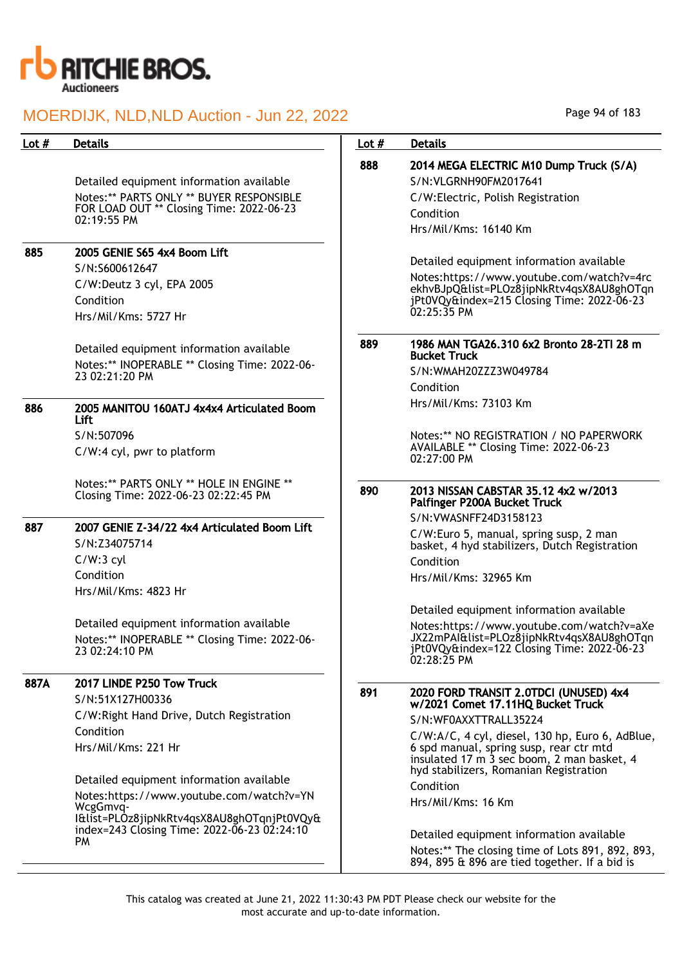

| Lot $#$ | <b>Details</b>                                                                                              | Lot $#$ | <b>Details</b>                                                                                                                                      |
|---------|-------------------------------------------------------------------------------------------------------------|---------|-----------------------------------------------------------------------------------------------------------------------------------------------------|
|         |                                                                                                             | 888     | 2014 MEGA ELECTRIC M10 Dump Truck (S/A)                                                                                                             |
|         | Detailed equipment information available                                                                    |         | S/N: VLGRNH90FM2017641                                                                                                                              |
|         | Notes:** PARTS ONLY ** BUYER RESPONSIBLE                                                                    |         | C/W:Electric, Polish Registration                                                                                                                   |
|         | FOR LOAD OUT ** Closing Time: 2022-06-23                                                                    |         | Condition                                                                                                                                           |
|         | $02:19:55$ PM                                                                                               |         | Hrs/Mil/Kms: 16140 Km                                                                                                                               |
| 885     | 2005 GENIE S65 4x4 Boom Lift                                                                                |         | Detailed equipment information available                                                                                                            |
|         | S/N:S600612647                                                                                              |         |                                                                                                                                                     |
|         | C/W:Deutz 3 cyl, EPA 2005                                                                                   |         | Notes:https://www.youtube.com/watch?v=4rc<br>ekhvBJpQ&list=PLOz8jipNkRtv4qsX8AU8ghOTqn                                                              |
|         | Condition                                                                                                   |         | jPt0VQy&index=215 Closing Time: 2022-06-23                                                                                                          |
|         | Hrs/Mil/Kms: 5727 Hr                                                                                        |         | $02:25:35$ PM                                                                                                                                       |
|         | Detailed equipment information available                                                                    | 889     | 1986 MAN TGA26.310 6x2 Bronto 28-2TI 28 m<br><b>Bucket Truck</b>                                                                                    |
|         | Notes:** INOPERABLE ** Closing Time: 2022-06-<br>23 02:21:20 PM                                             |         | S/N:WMAH20ZZZ3W049784                                                                                                                               |
|         |                                                                                                             |         | Condition                                                                                                                                           |
| 886     | 2005 MANITOU 160ATJ 4x4x4 Articulated Boom<br>Lift                                                          |         | Hrs/Mil/Kms: 73103 Km                                                                                                                               |
|         | S/N:507096                                                                                                  |         | Notes:** NO REGISTRATION / NO PAPERWORK                                                                                                             |
|         | C/W:4 cyl, pwr to platform                                                                                  |         | AVAILABLE ** Closing Time: 2022-06-23<br>02:27:00 PM                                                                                                |
|         | Notes:** PARTS ONLY ** HOLE IN ENGINE **<br>Closing Time: 2022-06-23 02:22:45 PM                            | 890     | 2013 NISSAN CABSTAR 35.12 4x2 w/2013<br>Palfinger P200A Bucket Truck                                                                                |
| 887     | 2007 GENIE Z-34/22 4x4 Articulated Boom Lift                                                                |         | S/N: VWASNFF24D3158123                                                                                                                              |
|         | S/N:Z34075714                                                                                               |         | C/W:Euro 5, manual, spring susp, 2 man<br>basket, 4 hyd stabilizers, Dutch Registration                                                             |
|         | $C/W:3$ cyl                                                                                                 |         | Condition                                                                                                                                           |
|         | Condition                                                                                                   |         | Hrs/Mil/Kms: 32965 Km                                                                                                                               |
|         | Hrs/Mil/Kms: 4823 Hr                                                                                        |         |                                                                                                                                                     |
|         |                                                                                                             |         | Detailed equipment information available                                                                                                            |
|         | Detailed equipment information available<br>Notes:** INOPERABLE ** Closing Time: 2022-06-<br>23 02:24:10 PM |         | Notes:https://www.youtube.com/watch?v=aXe<br>JX22mPAI&list=PLOz8jipNkRtv4qsX8AU8ghOTqn<br>jPt0VQy&index=122 Closing Time: 2022-06-23<br>02:28:25 PM |
| 887A    | 2017 LINDE P250 Tow Truck                                                                                   |         |                                                                                                                                                     |
|         | S/N:51X127H00336                                                                                            | 891     | 2020 FORD TRANSIT 2.0TDCI (UNUSED) 4x4<br>w/2021 Comet 17.11HQ Bucket Truck                                                                         |
|         | C/W: Right Hand Drive, Dutch Registration                                                                   |         | S/N:WF0AXXTTRALL35224                                                                                                                               |
|         | Condition                                                                                                   |         | C/W:A/C, 4 cyl, diesel, 130 hp, Euro 6, AdBlue,                                                                                                     |
|         | Hrs/Mil/Kms: 221 Hr                                                                                         |         | 6 spd manual, spring susp, rear ctr mtd<br>insulated 17 m 3 sec boom, 2 man basket, 4<br>hyd stabilizers, Romanian Registration                     |
|         | Detailed equipment information available                                                                    |         | Condition                                                                                                                                           |
|         | Notes: https://www.youtube.com/watch?v=YN                                                                   |         | Hrs/Mil/Kms: 16 Km                                                                                                                                  |
|         | WcgGmvq-<br>I&list=PLOz8jipNkRtv4qsX8AU8ghOTqnjPt0VQy&                                                      |         |                                                                                                                                                     |
|         | index=243 Closing Time: 2022-06-23 02:24:10                                                                 |         | Detailed equipment information available                                                                                                            |
|         | PM                                                                                                          |         | Notes:** The closing time of Lots 891, 892, 893,                                                                                                    |
|         |                                                                                                             |         | 894, 895 & 896 are tied together. If a bid is                                                                                                       |

Page 94 of 183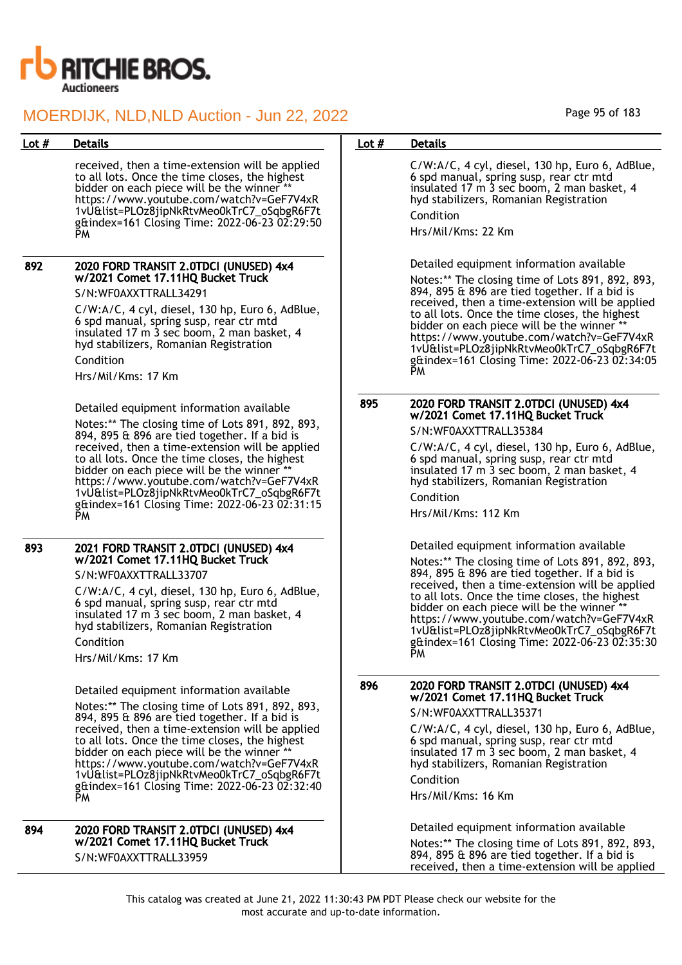

received, then a time-extension will be applied to all lots. Once the time closes, the highest bidder on each piece will be the winner \* https://www.youtube.com/watch?v=GeF7V4xR 1vU&list=PLOz8jipNkRtvMeo0kTrC7\_oSqbgR6F7t g&index=161 Closing Time: 2022-06-23 02:29:50 PM

#### 892 2020 FORD TRANSIT 2.0TDCI (UNUSED) 4x4 w/2021 Comet 17.11HQ Bucket Truck S/N:WF0AXXTTRALL34291

C/W:A/C, 4 cyl, diesel, 130 hp, Euro 6, AdBlue, 6 spd manual, spring susp, rear ctr mtd insulated 17 m 3 sec boom, 2 man basket, 4 hyd stabilizers, Romanian Registration Condition

Hrs/Mil/Kms: 17 Km

Detailed equipment information available Notes:\*\* The closing time of Lots 891, 892, 893, 894, 895 & 896 are tied together. If a bid is received, then a time-extension will be applied to all lots. Once the time closes, the highest bidder on each piece will be the winner https://www.youtube.com/watch?v=GeF7V4xR 1vU&list=PLOz8jipNkRtvMeo0kTrC7\_oSqbgR6F7t g&index=161 Closing Time: 2022-06-23 02:31:15 PM

## 893 2021 FORD TRANSIT 2.0TDCI (UNUSED) 4x4 w/2021 Comet 17.11HQ Bucket Truck

S/N:WF0AXXTTRALL33707

C/W:A/C, 4 cyl, diesel, 130 hp, Euro 6, AdBlue, 6 spd manual, spring susp, rear ctr mtd insulated 17 m 3 sec boom, 2 man basket, 4 hyd stabilizers, Romanian Registration

Condition

Hrs/Mil/Kms: 17 Km

#### Detailed equipment information available

Notes:\*\* The closing time of Lots 891, 892, 893, 894, 895 & 896 are tied together. If a bid is received, then a time-extension will be applied to all lots. Once the time closes, the highest bidder on each piece will be the winner https://www.youtube.com/watch?v=GeF7V4xR 1vU&list=PLOz8jipNkRtvMeo0kTrC7\_oSqbgR6F7t g&index=161 Closing Time: 2022-06-23 02:32:40 PM

894 2020 FORD TRANSIT 2.0TDCI (UNUSED) 4x4 w/2021 Comet 17.11HQ Bucket Truck S/N:WF0AXXTTRALL33959

### Lot # Details **Details According to the United States Lot # Details**

C/W:A/C, 4 cyl, diesel, 130 hp, Euro 6, AdBlue, 6 spd manual, spring susp, rear ctr mtd insulated 17 m 3 sec boom, 2 man basket, 4 hyd stabilizers, Romanian Registration Condition

Hrs/Mil/Kms: 22 Km

Detailed equipment information available

Notes:\*\* The closing time of Lots 891, 892, 893, 894, 895 & 896 are tied together. If a bid is received, then a time-extension will be applied to all lots. Once the time closes, the highest bidder on each piece will be the winner \*\* https://www.youtube.com/watch?v=GeF7V4xR 1vU&list=PLOz8jipNkRtvMeo0kTrC7\_oSqbgR6F7t g&index=161 Closing Time: 2022-06-23 02:34:05 PM

#### 895 2020 FORD TRANSIT 2.0TDCI (UNUSED) 4x4 w/2021 Comet 17.11HQ Bucket Truck S/N:WF0AXXTTRALL35384

C/W:A/C, 4 cyl, diesel, 130 hp, Euro 6, AdBlue, 6 spd manual, spring susp, rear ctr mtd insulated 17 m 3 sec boom, 2 man basket, 4 hyd stabilizers, Romanian Registration Condition

Hrs/Mil/Kms: 112 Km

Detailed equipment information available

Notes:\*\* The closing time of Lots 891, 892, 893, 894, 895 & 896 are tied together. If a bid is received, then a time-extension will be applied to all lots. Once the time closes, the highest bidder on each piece will be the winner \*\* https://www.youtube.com/watch?v=GeF7V4xR 1vU&list=PLOz8jipNkRtvMeo0kTrC7\_oSqbgR6F7t g&index=161 Closing Time: 2022-06-23 02:35:30 PM

## 896 2020 FORD TRANSIT 2.0TDCI (UNUSED) 4x4 w/2021 Comet 17.11HQ Bucket Truck

#### S/N:WF0AXXTTRALL35371

C/W:A/C, 4 cyl, diesel, 130 hp, Euro 6, AdBlue, 6 spd manual, spring susp, rear ctr mtd insulated 17 m 3 sec boom, 2 man basket, 4 hyd stabilizers, Romanian Registration Condition

Hrs/Mil/Kms: 16 Km

Detailed equipment information available

Notes:\*\* The closing time of Lots 891, 892, 893, 894, 895 & 896 are tied together. If a bid is received, then a time-extension will be applied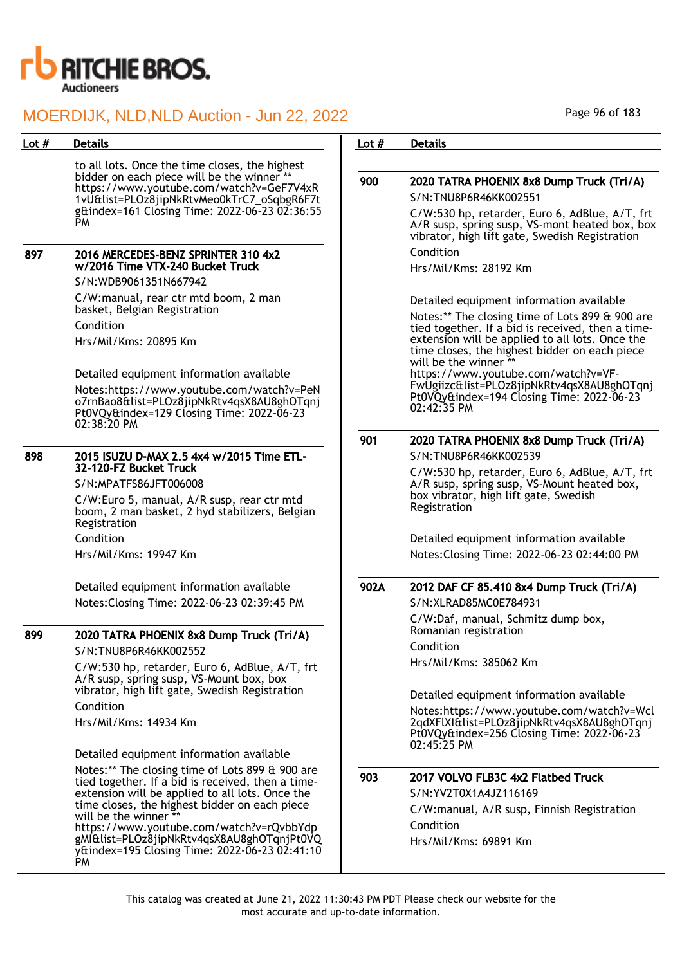

to all lots. Once the time closes, the highest bidder on each piece will be the winner<sup>\*</sup> https://www.youtube.com/watch?v=GeF7V4xR 1vU&list=PLOz8jipNkRtvMeo0kTrC7\_oSqbgR6F7t g&index=161 Closing Time: 2022-06-23 02:36:55 PM

#### 897 2016 MERCEDES-BENZ SPRINTER 310 4x2 w/2016 Time VTX-240 Bucket Truck

S/N:WDB9061351N667942

C/W:manual, rear ctr mtd boom, 2 man basket, Belgian Registration Condition Hrs/Mil/Kms: 20895 Km

Detailed equipment information available Notes:https://www.youtube.com/watch?v=PeN o7rnBao8&list=PLOz8jipNkRtv4qsX8AU8ghOTqnj Pt0VQy&index=129 Closing Time: 2022-06-23 02:38:20 PM

#### 898 2015 ISUZU D-MAX 2.5 4x4 w/2015 Time ETL-32-120-FZ Bucket Truck

S/N:MPATFS86JFT006008

C/W:Euro 5, manual, A/R susp, rear ctr mtd boom, 2 man basket, 2 hyd stabilizers, Belgian Registration Condition

Hrs/Mil/Kms: 19947 Km

Detailed equipment information available Notes:Closing Time: 2022-06-23 02:39:45 PM

## 899 2020 TATRA PHOENIX 8x8 Dump Truck (Tri/A)

S/N:TNU8P6R46KK002552

C/W:530 hp, retarder, Euro 6, AdBlue, A/T, frt A/R susp, spring susp, VS-Mount box, box vibrator, high lift gate, Swedish Registration Condition

Hrs/Mil/Kms: 14934 Km

Detailed equipment information available Notes:\*\* The closing time of Lots 899 & 900 are tied together. If a bid is received, then a timeextension will be applied to all lots. Once the time closes, the highest bidder on each piece will be the winner https://www.youtube.com/watch?v=rQvbbYdp gMI&list=PLOz8jipNkRtv4qsX8AU8ghOTqnjPt0VQ y&index=195 Closing Time: 2022-06-23 02:41:10 PM

Page 96 of 183

### Lot # Details **Details According to the United States Lot # Details**

## 900 2020 TATRA PHOENIX 8x8 Dump Truck (Tri/A) S/N:TNU8P6R46KK002551 C/W:530 hp, retarder, Euro 6, AdBlue, A/T, frt A/R susp, spring susp, VS-mont heated box, box vibrator, high lift gate, Swedish Registration Condition

Hrs/Mil/Kms: 28192 Km

02:42:35 PM

Detailed equipment information available

Notes:\*\* The closing time of Lots 899 & 900 are tied together. If a bid is received, then a timeextension will be applied to all lots. Once the time closes, the highest bidder on each piece will be the winner https://www.youtube.com/watch?v=VF-FwUgiizc&list=PLOz8jipNkRtv4qsX8AU8ghOTqnj Pt0VQy&index=194 Closing Time: 2022-06-23

901 2020 TATRA PHOENIX 8x8 Dump Truck (Tri/A) S/N:TNU8P6R46KK002539

C/W:530 hp, retarder, Euro 6, AdBlue, A/T, frt A/R susp, spring susp, VS-Mount heated box, box vibrator, high lift gate, Swedish Registration

Detailed equipment information available Notes:Closing Time: 2022-06-23 02:44:00 PM

## 902A 2012 DAF CF 85.410 8x4 Dump Truck (Tri/A)

S/N:XLRAD85MC0E784931 C/W:Daf, manual, Schmitz dump box, Romanian registration Condition Hrs/Mil/Kms: 385062 Km

Detailed equipment information available

Notes:https://www.youtube.com/watch?v=Wcl 2qdXFlXI&list=PLOz8jipNkRtv4qsX8AU8ghOTqnj Pt0VQy&index=256 Closing Time: 2022-06-23 02:45:25 PM

### 903 2017 VOLVO FLB3C 4x2 Flatbed Truck

S/N:YV2T0X1A4JZ116169 C/W:manual, A/R susp, Finnish Registration Condition Hrs/Mil/Kms: 69891 Km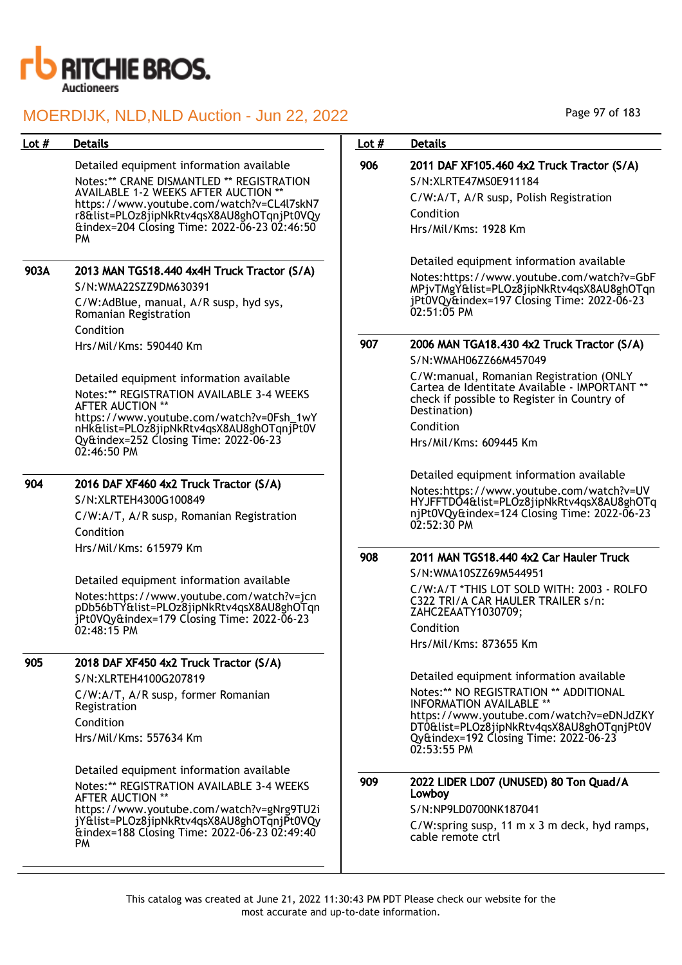

| Lot $#$ | <b>Details</b>                                                                                                                                                                                                                                                                        | Lot $#$ | <b>Details</b>                                                                                                                                                                                                                                                           |
|---------|---------------------------------------------------------------------------------------------------------------------------------------------------------------------------------------------------------------------------------------------------------------------------------------|---------|--------------------------------------------------------------------------------------------------------------------------------------------------------------------------------------------------------------------------------------------------------------------------|
|         | Detailed equipment information available<br>Notes:** CRANE DISMANTLED ** REGISTRATION<br>AVAILABLE 1-2 WEEKS AFTER AUCTION **<br>https://www.youtube.com/watch?v=CL4l7skN7<br>r8&list=PLOz8jipNkRtv4qsX8AU8ghOTqnjPt0VQy<br>&index=204 Closing Time: 2022-06-23 02:46:50<br><b>PM</b> | 906     | 2011 DAF XF105.460 4x2 Truck Tractor (S/A)<br>S/N:XLRTE47MS0E911184<br>C/W:A/T, A/R susp, Polish Registration<br>Condition<br>Hrs/Mil/Kms: 1928 Km                                                                                                                       |
| 903A    | 2013 MAN TGS18.440 4x4H Truck Tractor (S/A)<br>S/N:WMA22SZZ9DM630391<br>C/W:AdBlue, manual, A/R susp, hyd sys,<br>Romanian Registration<br>Condition                                                                                                                                  |         | Detailed equipment information available<br>Notes:https://www.youtube.com/watch?v=GbF<br>MPjvTMgY&list=PLOz8jipNkRtv4qsX8AU8ghOTqn<br>jPt0VQy&index=197 Closing Time: 2022-06-23<br>$02:51:05$ PM                                                                        |
|         | Hrs/Mil/Kms: 590440 Km                                                                                                                                                                                                                                                                | 907     | 2006 MAN TGA18.430 4x2 Truck Tractor (S/A)<br>S/N:WMAH06ZZ66M457049                                                                                                                                                                                                      |
|         | Detailed equipment information available<br>Notes:** REGISTRATION AVAILABLE 3-4 WEEKS<br>AFTER AUCTION **<br>https://www.youtube.com/watch?v=0Fsh_1wY<br>nHk&list=PLOz8jipNkRtv4qsX8AU8ghOTqnjPt0V<br>Qy&index=252 Closing Time: 2022-06-23<br>$02:46:50$ PM                          |         | C/W:manual, Romanian Registration (ONLY<br>Cartea de Identitate Available - IMPORTANT **<br>check if possible to Register in Country of<br>Destination)<br>Condition<br>Hrs/Mil/Kms: 609445 Km                                                                           |
| 904     | 2016 DAF XF460 4x2 Truck Tractor (S/A)<br>S/N:XLRTEH4300G100849<br>C/W:A/T, A/R susp, Romanian Registration<br>Condition                                                                                                                                                              |         | Detailed equipment information available<br>Notes:https://www.youtube.com/watch?v=UV<br>HYJFFTDO4&list=PLOz8jipNkRtv4qsX8AU8ghOTq<br>njPt0VQy&index=124 Closing Time: 2022-06-23<br>$02:52:30$ PM                                                                        |
|         | Hrs/Mil/Kms: 615979 Km<br>Detailed equipment information available<br>Notes: https://www.youtube.com/watch?v=jcn<br>pDb56bTY&list=PLOz8jipNkRtv4qsX8AU8ghOTqn<br>jPt0VQy&index=179 Closing Time: 2022-06-23<br>02:48:15 PM                                                            | 908     | 2011 MAN TGS18.440 4x2 Car Hauler Truck<br>S/N:WMA10SZZ69M544951<br>C/W:A/T *THIS LOT SOLD WITH: 2003 - ROLFO<br>C322 TRI/A CAR HAULER TRAILER s/n:<br>ZAHC2EAATY1030709;<br>Condition<br>Hrs/Mil/Kms: 873655 Km                                                         |
| 905     | 2018 DAF XF450 4x2 Truck Tractor (S/A)<br>S/N:XLRTEH4100G207819<br>C/W:A/T, A/R susp, former Romanian<br>Registration<br>Condition<br>Hrs/Mil/Kms: 557634 Km                                                                                                                          |         | Detailed equipment information available<br>Notes:** NO REGISTRATION ** ADDITIONAL<br><b>INFORMATION AVAILABLE **</b><br>https://www.youtube.com/watch?v=eDNJdZKY<br>DT0&list=PLOz8jipNkRtv4qsX8AU8ghOTqnjPt0V<br>Qy&index=192 Closing Time: 2022-06-23<br>$02:53:55$ PM |
|         | Detailed equipment information available<br>Notes:** REGISTRATION AVAILABLE 3-4 WEEKS<br>AFTER AUCTION **<br>https://www.youtube.com/watch?v=gNrg9TU2i<br>jY&list=PLOz8jipNkRtv4qsX8AU8ghOTqnjPt0VQy<br>&index=188 Closing Time: 2022-06-23 02:49:40<br><b>PM</b>                     | 909     | 2022 LIDER LD07 (UNUSED) 80 Ton Quad/A<br>Lowboy<br>S/N:NP9LD0700NK187041<br>C/W:spring susp, 11 m x 3 m deck, hyd ramps,<br>cable remote ctrl                                                                                                                           |

Page 97 of 183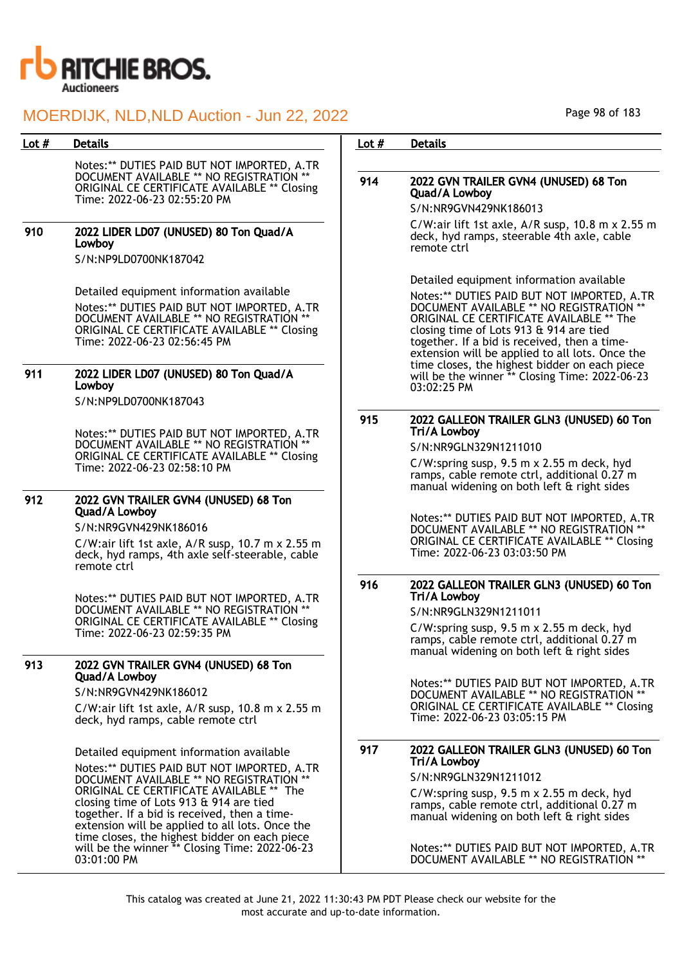

Notes:\*\* DUTIES PAID BUT NOT IMPORTED, A.TR DOCUMENT AVAILABLE \*\* NO REGISTRATION \*\* ORIGINAL CE CERTIFICATE AVAILABLE \*\* Closing Time: 2022-06-23 02:55:20 PM

## 910 2022 LIDER LD07 (UNUSED) 80 Ton Quad/A Lowboy

S/N:NP9LD0700NK187042

Detailed equipment information available Notes:\*\* DUTIES PAID BUT NOT IMPORTED, A.TR DOCUMENT AVAILABLE \*\* NO REGISTRATION \*\* ORIGINAL CE CERTIFICATE AVAILABLE \*\* Closing Time: 2022-06-23 02:56:45 PM

### 911 2022 LIDER LD07 (UNUSED) 80 Ton Quad/A Lowboy

S/N:NP9LD0700NK187043

Notes:\*\* DUTIES PAID BUT NOT IMPORTED, A.TR DOCUMENT AVAILABLE \*\* NO REGISTRATION \*\* ORIGINAL CE CERTIFICATE AVAILABLE \*\* Closing Time: 2022-06-23 02:58:10 PM

#### 912 2022 GVN TRAILER GVN4 (UNUSED) 68 Ton Quad/A Lowboy

S/N:NR9GVN429NK186016

C/W:air lift 1st axle, A/R susp, 10.7 m x 2.55 m deck, hyd ramps, 4th axle self-steerable, cable remote ctrl

Notes:\*\* DUTIES PAID BUT NOT IMPORTED, A.TR DOCUMENT AVAILABLE \*\* NO REGISTRATION \*\* ORIGINAL CE CERTIFICATE AVAILABLE \*\* Closing Time: 2022-06-23 02:59:35 PM

## 913 2022 GVN TRAILER GVN4 (UNUSED) 68 Ton Quad/A Lowboy

S/N:NR9GVN429NK186012

C/W:air lift 1st axle, A/R susp, 10.8 m x 2.55 m deck, hyd ramps, cable remote ctrl

Detailed equipment information available Notes:\*\* DUTIES PAID BUT NOT IMPORTED, A.TR DOCUMENT AVAILABLE \*\* NO REGISTRATION \*\* ORIGINAL CE CERTIFICATE AVAILABLE \*\* The closing time of Lots 913 & 914 are tied together. If a bid is received, then a timeextension will be applied to all lots. Once the time closes, the highest bidder on each piece will be the winner \*\* Closing Time: 2022-06-23 03:01:00 PM

### Lot # Details **Details According to the United States Lot # Details**

## 914 2022 GVN TRAILER GVN4 (UNUSED) 68 Ton Quad/A Lowboy

S/N:NR9GVN429NK186013

C/W:air lift 1st axle, A/R susp, 10.8 m x 2.55 m deck, hyd ramps, steerable 4th axle, cable remote ctrl

Detailed equipment information available

Notes:\*\* DUTIES PAID BUT NOT IMPORTED, A.TR DOCUMENT AVAILABLE \*\* NO REGISTRATION \*\* ORIGINAL CE CERTIFICATE AVAILABLE \*\* The closing time of Lots 913 & 914 are tied together. If a bid is received, then a timeextension will be applied to all lots. Once the time closes, the highest bidder on each piece will be the winner \*\* Closing Time: 2022-06-23 03:02:25 PM

### 915 2022 GALLEON TRAILER GLN3 (UNUSED) 60 Ton Tri/A Lowboy

S/N:NR9GLN329N1211010

C/W:spring susp, 9.5 m x 2.55 m deck, hyd ramps, cable remote ctrl, additional 0.27 m manual widening on both left & right sides

Notes:\*\* DUTIES PAID BUT NOT IMPORTED, A.TR DOCUMENT AVAILABLE \*\* NO REGISTRATION \*\* ORIGINAL CE CERTIFICATE AVAILABLE \*\* Closing Time: 2022-06-23 03:03:50 PM

### 916 2022 GALLEON TRAILER GLN3 (UNUSED) 60 Ton Tri/A Lowboy

S/N:NR9GLN329N1211011

C/W:spring susp, 9.5 m x 2.55 m deck, hyd ramps, cable remote ctrl, additional 0.27 m manual widening on both left & right sides

Notes:\*\* DUTIES PAID BUT NOT IMPORTED, A.TR DOCUMENT AVAILABLE \*\* NO REGISTRATION \*\* ORIGINAL CE CERTIFICATE AVAILABLE \*\* Closing Time: 2022-06-23 03:05:15 PM

## 917 2022 GALLEON TRAILER GLN3 (UNUSED) 60 Ton Tri/A Lowboy

S/N:NR9GLN329N1211012

C/W:spring susp,  $9.5$  m  $\times$  2.55 m deck, hyd ramps, cable remote ctrl, additional 0.27 m manual widening on both left & right sides

Notes:\*\* DUTIES PAID BUT NOT IMPORTED, A.TR DOCUMENT AVAILABLE \*\* NO REGISTRATION \*\*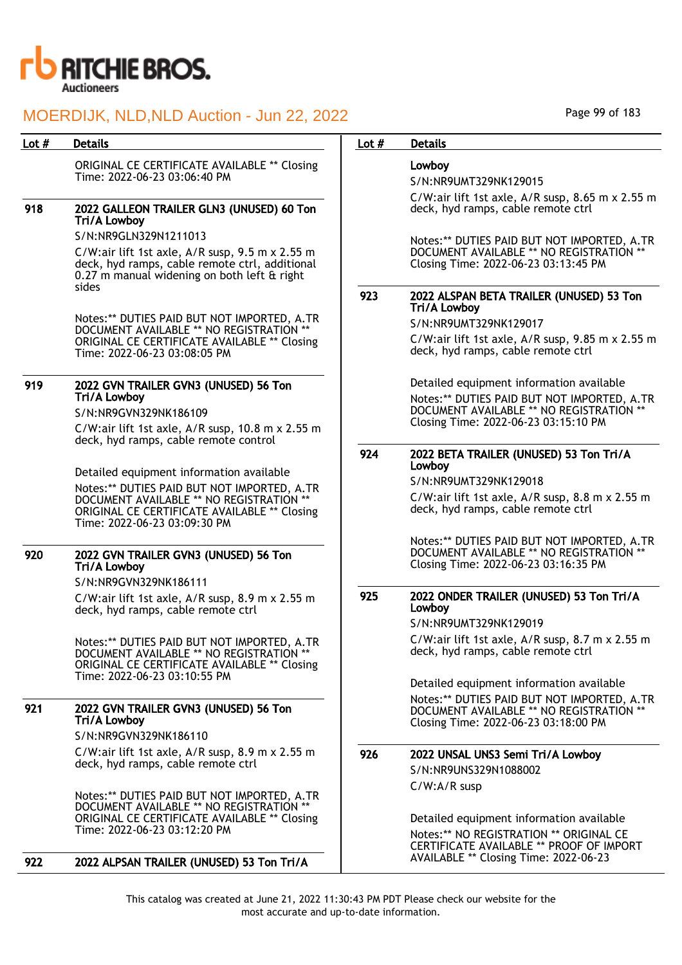

ORIGINAL CE CERTIFICATE AVAILABLE \*\* Closing Time: 2022-06-23 03:06:40 PM

## 918 2022 GALLEON TRAILER GLN3 (UNUSED) 60 Ton Tri/A Lowboy

S/N:NR9GLN329N1211013

C/W:air lift 1st axle, A/R susp, 9.5 m x 2.55 m deck, hyd ramps, cable remote ctrl, additional 0.27 m manual widening on both left & right sides

Notes:\*\* DUTIES PAID BUT NOT IMPORTED, A.TR DOCUMENT AVAILABLE \*\* NO REGISTRATION \*\* ORIGINAL CE CERTIFICATE AVAILABLE \*\* Closing Time: 2022-06-23 03:08:05 PM

## 919 2022 GVN TRAILER GVN3 (UNUSED) 56 Ton Tri/A Lowboy

S/N:NR9GVN329NK186109

C/W:air lift 1st axle, A/R susp, 10.8 m x 2.55 m deck, hyd ramps, cable remote control

Detailed equipment information available

Notes:\*\* DUTIES PAID BUT NOT IMPORTED, A.TR DOCUMENT AVAILABLE \*\* NO REGISTRATION \*\* ORIGINAL CE CERTIFICATE AVAILABLE \*\* Closing Time: 2022-06-23 03:09:30 PM

#### 920 2022 GVN TRAILER GVN3 (UNUSED) 56 Ton Tri/A Lowboy

S/N:NR9GVN329NK186111

C/W:air lift 1st axle, A/R susp, 8.9 m x 2.55 m deck, hyd ramps, cable remote ctrl

Notes:\*\* DUTIES PAID BUT NOT IMPORTED, A.TR DOCUMENT AVAILABLE \*\* NO REGISTRATION \*\* ORIGINAL CE CERTIFICATE AVAILABLE \*\* Closing Time: 2022-06-23 03:10:55 PM

#### 921 2022 GVN TRAILER GVN3 (UNUSED) 56 Ton Tri/A Lowboy S/N:NR9GVN329NK186110

C/W:air lift 1st axle, A/R susp, 8.9 m x 2.55 m

deck, hyd ramps, cable remote ctrl

Notes:\*\* DUTIES PAID BUT NOT IMPORTED, A.TR DOCUMENT AVAILABLE \*\* NO REGISTRATION \*\* ORIGINAL CE CERTIFICATE AVAILABLE \*\* Closing Time: 2022-06-23 03:12:20 PM

922 2022 ALPSAN TRAILER (UNUSED) 53 Ton Tri/A

### Lot # Details **Details According to the United States Lot # Details**

## Lowboy

S/N:NR9UMT329NK129015

C/W:air lift 1st axle, A/R susp, 8.65 m x 2.55 m deck, hyd ramps, cable remote ctrl

Notes:\*\* DUTIES PAID BUT NOT IMPORTED, A.TR DOCUMENT AVAILABLE \*\* NO REGISTRATION \* Closing Time: 2022-06-23 03:13:45 PM

#### 923 2022 ALSPAN BETA TRAILER (UNUSED) 53 Ton Tri/A Lowboy

S/N:NR9UMT329NK129017

C/W:air lift 1st axle, A/R susp, 9.85 m x 2.55 m deck, hyd ramps, cable remote ctrl

Detailed equipment information available

Notes:\*\* DUTIES PAID BUT NOT IMPORTED, A.TR DOCUMENT AVAILABLE \*\* NO REGISTRATION Closing Time: 2022-06-23 03:15:10 PM

### 924 2022 BETA TRAILER (UNUSED) 53 Ton Tri/A Lowboy

S/N:NR9UMT329NK129018

C/W:air lift 1st axle, A/R susp, 8.8 m x 2.55 m deck, hyd ramps, cable remote ctrl

Notes:\*\* DUTIES PAID BUT NOT IMPORTED, A.TR DOCUMENT AVAILABLE \*\* NO REGISTRATION \*\* Closing Time: 2022-06-23 03:16:35 PM

### 925 2022 ONDER TRAILER (UNUSED) 53 Ton Tri/A Lowboy

S/N:NR9UMT329NK129019

C/W:air lift 1st axle, A/R susp, 8.7 m x 2.55 m deck, hyd ramps, cable remote ctrl

Detailed equipment information available Notes:\*\* DUTIES PAID BUT NOT IMPORTED, A.TR DOCUMENT AVAILABLE \*\* NO REGISTRATION \*\*

Closing Time: 2022-06-23 03:18:00 PM

## 926 2022 UNSAL UNS3 Semi Tri/A Lowboy S/N:NR9UNS329N1088002 C/W:A/R susp

Detailed equipment information available Notes:\*\* NO REGISTRATION \*\* ORIGINAL CE CERTIFICATE AVAILABLE \*\* PROOF OF IMPORT AVAILABLE \*\* Closing Time: 2022-06-23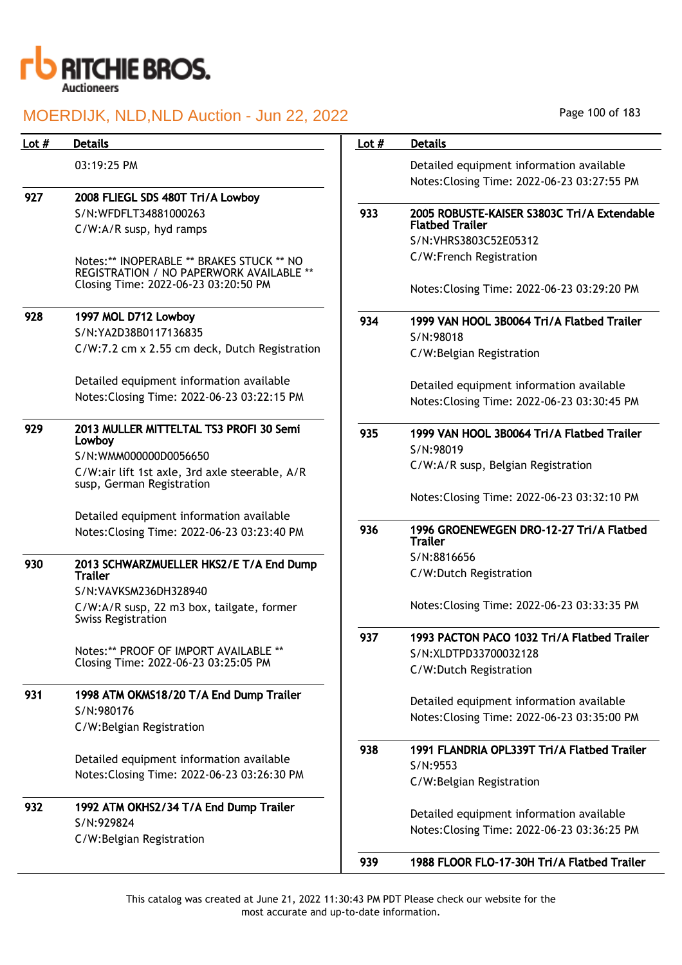

| Lot $#$ | <b>Details</b>                                                                                                                | Lot $#$ | <b>Details</b>                                                         |
|---------|-------------------------------------------------------------------------------------------------------------------------------|---------|------------------------------------------------------------------------|
|         | 03:19:25 PM                                                                                                                   |         | Detailed equipment information available                               |
|         |                                                                                                                               |         | Notes: Closing Time: 2022-06-23 03:27:55 PM                            |
| 927     | 2008 FLIEGL SDS 480T Tri/A Lowboy                                                                                             |         |                                                                        |
|         | S/N:WFDFLT34881000263                                                                                                         | 933     | 2005 ROBUSTE-KAISER S3803C Tri/A Extendable                            |
|         | C/W:A/R susp, hyd ramps                                                                                                       |         | <b>Flatbed Trailer</b>                                                 |
|         |                                                                                                                               |         | S/N:VHRS3803C52E05312                                                  |
|         | Notes:** INOPERABLE ** BRAKES STUCK ** NO<br>REGISTRATION / NO PAPERWORK AVAILABLE **<br>Closing Time: 2022-06-23 03:20:50 PM |         | C/W:French Registration<br>Notes: Closing Time: 2022-06-23 03:29:20 PM |
|         |                                                                                                                               |         |                                                                        |
| 928     | 1997 MOL D712 Lowboy                                                                                                          | 934     | 1999 VAN HOOL 3B0064 Tri/A Flatbed Trailer                             |
|         | S/N:YA2D38B0117136835                                                                                                         |         | S/N:98018                                                              |
|         | C/W:7.2 cm x 2.55 cm deck, Dutch Registration                                                                                 |         | C/W:Belgian Registration                                               |
|         | Detailed equipment information available                                                                                      |         | Detailed equipment information available                               |
|         | Notes: Closing Time: 2022-06-23 03:22:15 PM                                                                                   |         | Notes: Closing Time: 2022-06-23 03:30:45 PM                            |
| 929     | 2013 MULLER MITTELTAL TS3 PROFI 30 Semi<br>Lowboy                                                                             | 935     | 1999 VAN HOOL 3B0064 Tri/A Flatbed Trailer                             |
|         | S/N:WMM000000D0056650                                                                                                         |         | S/N:98019                                                              |
|         | C/W:air lift 1st axle, 3rd axle steerable, A/R<br>susp, German Registration                                                   |         | C/W:A/R susp, Belgian Registration                                     |
|         |                                                                                                                               |         | Notes: Closing Time: 2022-06-23 03:32:10 PM                            |
|         | Detailed equipment information available                                                                                      |         |                                                                        |
|         | Notes: Closing Time: 2022-06-23 03:23:40 PM                                                                                   | 936     | 1996 GROENEWEGEN DRO-12-27 Tri/A Flatbed<br><b>Trailer</b>             |
| 930     | 2013 SCHWARZMUELLER HKS2/E T/A End Dump                                                                                       |         | S/N:8816656                                                            |
|         | <b>Trailer</b>                                                                                                                |         | C/W:Dutch Registration                                                 |
|         | S/N:VAVKSM236DH328940                                                                                                         |         |                                                                        |
|         | C/W:A/R susp, 22 m3 box, tailgate, former<br><b>Swiss Registration</b>                                                        |         | Notes: Closing Time: 2022-06-23 03:33:35 PM                            |
|         |                                                                                                                               | 937     | 1993 PACTON PACO 1032 Tri/A Flatbed Trailer                            |
|         | Notes:** PROOF OF IMPORT AVAILABLE **                                                                                         |         | S/N:XLDTPD33700032128                                                  |
|         | Closing Time: 2022-06-23 03:25:05 PM                                                                                          |         | C/W:Dutch Registration                                                 |
| 931     | 1998 ATM OKMS18/20 T/A End Dump Trailer                                                                                       |         |                                                                        |
|         | S/N:980176                                                                                                                    |         | Detailed equipment information available                               |
|         | C/W:Belgian Registration                                                                                                      |         | Notes: Closing Time: 2022-06-23 03:35:00 PM                            |
|         |                                                                                                                               | 938     | 1991 FLANDRIA OPL339T Tri/A Flatbed Trailer                            |
|         | Detailed equipment information available<br>Notes: Closing Time: 2022-06-23 03:26:30 PM                                       |         | S/N:9553                                                               |
|         |                                                                                                                               |         | C/W:Belgian Registration                                               |
| 932     | 1992 ATM OKHS2/34 T/A End Dump Trailer                                                                                        |         |                                                                        |
|         | S/N:929824                                                                                                                    |         | Detailed equipment information available                               |
|         | C/W:Belgian Registration                                                                                                      |         | Notes: Closing Time: 2022-06-23 03:36:25 PM                            |
|         |                                                                                                                               | 939     | 1988 FLOOR FLO-17-30H Tri/A Flatbed Trailer                            |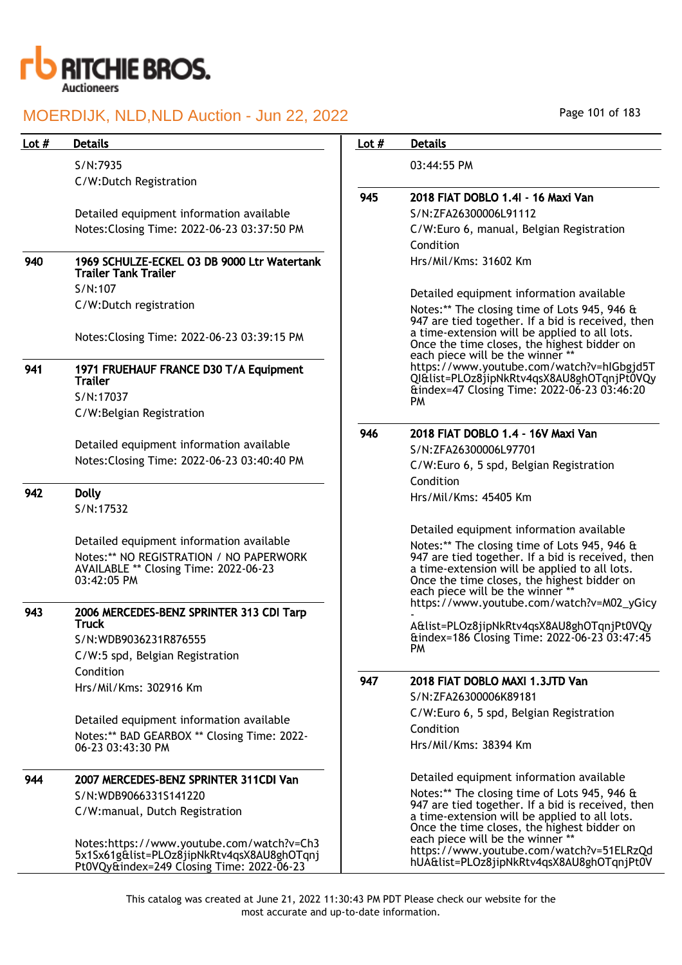

## 940 1969 SCHULZE-ECKEL O3 DB 9000 Ltr Watertanl Trailer Tank Trailer S/N:107

## 941 1971 FRUEHAUF FRANCE D30 T/A Equipment **Trailer** S/N:17037

## 942 Dolly

#### 943 2006 MERCEDES-BENZ SPRINTER 313 CDI Tarp **Truck** S/N:WDB9036231R876555

## 944 2007 MERCEDES-BENZ SPRINTER 311CDI Van S/N:WDB9066331S141220 C/W:manual, Dutch Registration

Notes:https://www.youtube.com/watch?v=Ch3 5x1Sx61g&list=PLOz8jipNkRtv4qsX8AU8ghOTqnj Pt0VQy&index=249 Closing Time: 2022-06-23

| Page 101 of 183 |  |  |  |
|-----------------|--|--|--|
|-----------------|--|--|--|

| Lot # | <b>Details</b>                                                                                                                              | Lot $#$ | <b>Details</b>                                                                                                                                                                                                                        |
|-------|---------------------------------------------------------------------------------------------------------------------------------------------|---------|---------------------------------------------------------------------------------------------------------------------------------------------------------------------------------------------------------------------------------------|
|       | S/N:7935<br>C/W:Dutch Registration                                                                                                          |         | 03:44:55 PM                                                                                                                                                                                                                           |
|       |                                                                                                                                             | 945     | 2018 FIAT DOBLO 1.4I - 16 Maxi Van                                                                                                                                                                                                    |
|       | Detailed equipment information available                                                                                                    |         | S/N:ZFA26300006L91112                                                                                                                                                                                                                 |
|       | Notes: Closing Time: 2022-06-23 03:37:50 PM                                                                                                 |         | C/W:Euro 6, manual, Belgian Registration<br>Condition                                                                                                                                                                                 |
| 940   | 1969 SCHULZE-ECKEL O3 DB 9000 Ltr Watertank<br><b>Trailer Tank Trailer</b>                                                                  |         | Hrs/Mil/Kms: 31602 Km                                                                                                                                                                                                                 |
|       | S/N:107                                                                                                                                     |         | Detailed equipment information available                                                                                                                                                                                              |
|       | C/W:Dutch registration                                                                                                                      |         | Notes:** The closing time of Lots 945, 946 &<br>947 are tied together. If a bid is received, then                                                                                                                                     |
|       | Notes: Closing Time: 2022-06-23 03:39:15 PM                                                                                                 |         | a time-extension will be applied to all lots.<br>Once the time closes, the highest bidder on<br>each piece will be the winner **                                                                                                      |
| 941   | 1971 FRUEHAUF FRANCE D30 T/A Equipment<br><b>Trailer</b>                                                                                    |         | https://www.youtube.com/watch?v=hIGbgjd5T<br>QI&list=PLOz8jipNkRtv4qsX8AU8ghOTqnjPt0VQy<br>&index=47 Closing Time: 2022-06-23 03:46:20                                                                                                |
|       | S/N:17037                                                                                                                                   |         | PM                                                                                                                                                                                                                                    |
|       | C/W:Belgian Registration                                                                                                                    |         |                                                                                                                                                                                                                                       |
|       |                                                                                                                                             | 946     | 2018 FIAT DOBLO 1.4 - 16V Maxi Van                                                                                                                                                                                                    |
|       | Detailed equipment information available                                                                                                    |         | S/N:ZFA26300006L97701                                                                                                                                                                                                                 |
|       | Notes: Closing Time: 2022-06-23 03:40:40 PM                                                                                                 |         | C/W: Euro 6, 5 spd, Belgian Registration                                                                                                                                                                                              |
|       |                                                                                                                                             |         | Condition                                                                                                                                                                                                                             |
| 942   | <b>Dolly</b>                                                                                                                                |         | Hrs/Mil/Kms: 45405 Km                                                                                                                                                                                                                 |
|       | S/N:17532                                                                                                                                   |         |                                                                                                                                                                                                                                       |
|       |                                                                                                                                             |         | Detailed equipment information available                                                                                                                                                                                              |
|       | Detailed equipment information available<br>Notes:** NO REGISTRATION / NO PAPERWORK<br>AVAILABLE ** Closing Time: 2022-06-23<br>03:42:05 PM |         | Notes:** The closing time of Lots 945, 946 &<br>947 are tied together. If a bid is received, then<br>a time-extension will be applied to all lots.<br>Once the time closes, the highest bidder on<br>each piece will be the winner ** |
| 943   | 2006 MERCEDES-BENZ SPRINTER 313 CDI Tarp                                                                                                    |         | https://www.youtube.com/watch?v=M02_yGicy                                                                                                                                                                                             |
|       | <b>Truck</b><br>S/N:WDB9036231R876555                                                                                                       |         | A&list=PLOz8jipNkRtv4qsX8AU8ghOTqnjPt0VQy<br>&index=186 Closing Time: 2022-06-23 03:47:45                                                                                                                                             |
|       | C/W:5 spd, Belgian Registration                                                                                                             |         | PM                                                                                                                                                                                                                                    |
|       | Condition                                                                                                                                   |         |                                                                                                                                                                                                                                       |
|       | Hrs/Mil/Kms: 302916 Km                                                                                                                      | 947     | 2018 FIAT DOBLO MAXI 1.3JTD Van<br>S/N:ZFA26300006K89181                                                                                                                                                                              |
|       | Detailed equipment information available                                                                                                    |         | C/W: Euro 6, 5 spd, Belgian Registration                                                                                                                                                                                              |
|       | Notes:** BAD GEARBOX ** Closing Time: 2022-                                                                                                 |         | Condition                                                                                                                                                                                                                             |
|       | 06-23 03:43:30 PM                                                                                                                           |         | Hrs/Mil/Kms: 38394 Km                                                                                                                                                                                                                 |
| 944   | 2007 MERCEDES-BENZ SPRINTER 311CDI Van                                                                                                      |         | Detailed equipment information available                                                                                                                                                                                              |
|       | S/N:WDB9066331S141220                                                                                                                       |         | Notes:** The closing time of Lots 945, 946 &                                                                                                                                                                                          |
|       | C/W:manual, Dutch Registration                                                                                                              |         | 947 are tied together. If a bid is received, then<br>a time-extension will be applied to all lots.<br>Once the time closes, the highest bidder on                                                                                     |
|       | Notes:https://www.youtube.com/watch?v=Ch3<br>5x1Sx61g&list=PLOz8ijpNkRty4qsX8ALI8ghOTqni                                                    |         | each piece will be the winner **<br>https://www.youtube.com/watch?v=51ELRzQd                                                                                                                                                          |

hUA&list=PLOz8jipNkRtv4qsX8AU8ghOTqnjPt0V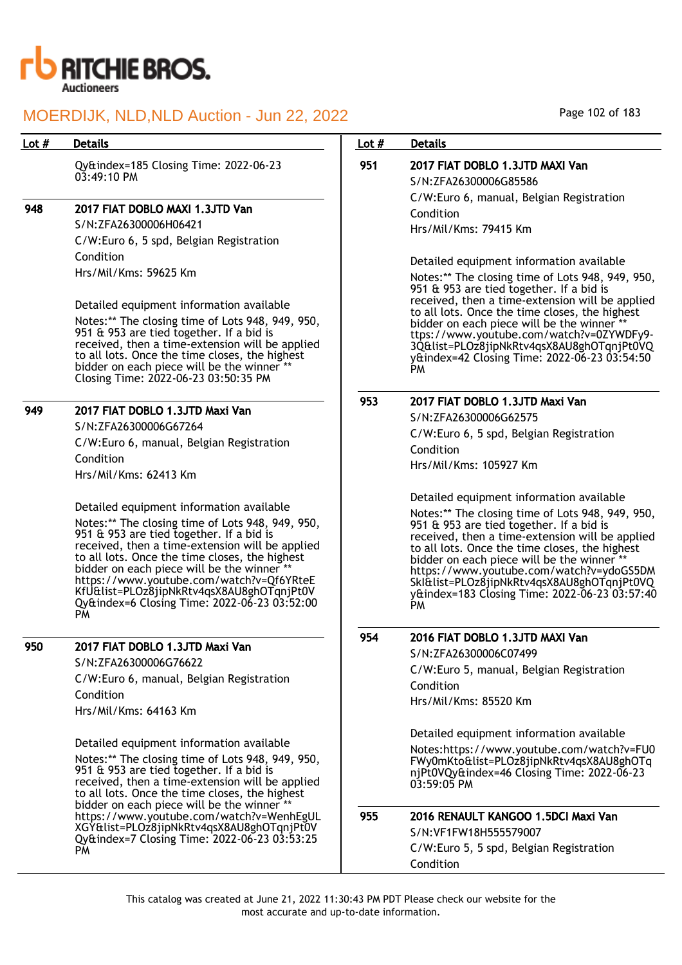

## Lot # Details **Details According to the United States Lot # Details**

Qy&index=185 Closing Time: 2022-06-23  $03:49:10 \text{ PM}$ 

## 948 2017 FIAT DOBLO MAXI 1.3JTD Van

S/N:ZFA26300006H06421 C/W:Euro 6, 5 spd, Belgian Registration Condition Hrs/Mil/Kms: 59625 Km

Detailed equipment information available Notes:\*\* The closing time of Lots 948, 949, 950, 951 & 953 are tied together. If a bid is received, then a time-extension will be applied to all lots. Once the time closes, the highest bidder on each piece will be the winner \*\* Closing Time: 2022-06-23 03:50:35 PM

## 949 2017 FIAT DOBLO 1.3JTD Maxi Van

S/N:ZFA26300006G67264 C/W:Euro 6, manual, Belgian Registration Condition Hrs/Mil/Kms: 62413 Km

Detailed equipment information available Notes:\*\* The closing time of Lots 948, 949, 950, 951 & 953 are tied together. If a bid is received, then a time-extension will be applied to all lots. Once the time closes, the highest bidder on each piece will be the winner \*\* https://www.youtube.com/watch?v=Qf6YRteE KfU&list=PLOz8jipNkRtv4qsX8AU8ghOTqnjPt0V Qy&index=6 Closing Time: 2022-06-23 03:52:00 PM

## 950 2017 FIAT DOBLO 1.3JTD Maxi Van

S/N:ZFA26300006G76622 C/W:Euro 6, manual, Belgian Registration Condition Hrs/Mil/Kms: 64163 Km

Detailed equipment information available

Notes:\*\* The closing time of Lots 948, 949, 950, 951 & 953 are tied together. If a bid is received, then a time-extension will be applied to all lots. Once the time closes, the highest bidder on each piece will be the winner https://www.youtube.com/watch?v=WenhEgUL XGY&list=PLOz8jipNkRtv4qsX8AU8ghOTqnjPt0V Qy&index=7 Closing Time: 2022-06-23 03:53:25 PM

## 951 2017 FIAT DOBLO 1.3JTD MAXI Van S/N:ZFA26300006G85586 C/W:Euro 6, manual, Belgian Registration Condition

Hrs/Mil/Kms: 79415 Km

Detailed equipment information available

Notes:\*\* The closing time of Lots 948, 949, 950, 951 & 953 are tied together. If a bid is received, then a time-extension will be applied to all lots. Once the time closes, the highest bidder on each piece will be the winner ttps://www.youtube.com/watch?v=0ZYWDFy9- 3Q&list=PLOz8jipNkRtv4qsX8AU8ghOTqnjPt0VQ y&index=42 Closing Time: 2022-06-23 03:54:50 PM

## 953 2017 FIAT DOBLO 1.3JTD Maxi Van

S/N:ZFA26300006G62575 C/W:Euro 6, 5 spd, Belgian Registration Condition Hrs/Mil/Kms: 105927 Km

Detailed equipment information available

Notes:\*\* The closing time of Lots 948, 949, 950, 951 & 953 are tied together. If a bid is received, then a time-extension will be applied to all lots. Once the time closes, the highest bidder on each piece will be the winner https://www.youtube.com/watch?v=ydoGS5DM SkI&list=PLOz8jipNkRtv4qsX8AU8ghOTqnjPt0VQ y&index=183 Closing Time: 2022-06-23 03:57:40 PM

## 954 2016 FIAT DOBLO 1.3JTD MAXI Van

S/N:ZFA26300006C07499

C/W:Euro 5, manual, Belgian Registration

Condition Hrs/Mil/Kms: 85520 Km

Condition

Detailed equipment information available Notes:https://www.youtube.com/watch?v=FU0 FWy0mKto&list=PLOz8jipNkRtv4qsX8AU8ghOTq njPt0VQy&index=46 Closing Time: 2022-06-23 03:59:05 PM

## 955 2016 RENAULT KANGOO 1.5DCI Maxi Van S/N:VF1FW18H555579007 C/W:Euro 5, 5 spd, Belgian Registration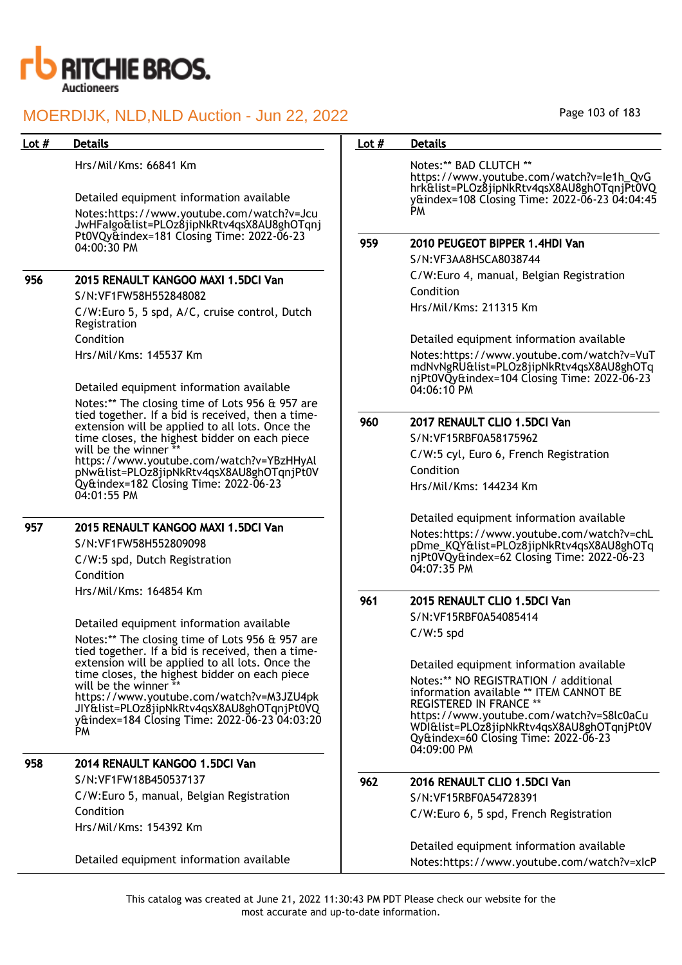

| Lot # | <b>Details</b>                                                                                       | Lot $#$ | <b>Details</b>                                                                                                                       |
|-------|------------------------------------------------------------------------------------------------------|---------|--------------------------------------------------------------------------------------------------------------------------------------|
|       | Hrs/Mil/Kms: 66841 Km                                                                                |         | Notes:** BAD CLUTCH **<br>https://www.youtube.com/watch?v=le1h_QvG                                                                   |
|       | Detailed equipment information available                                                             |         | hrk&list=PLOz8jipNkRtv4qsX8AU8ghOTqnjPt0VQ<br>y&index=108 Closing Time: 2022-06-23 04:04:45                                          |
|       | Notes:https://www.youtube.com/watch?v=Jcu<br>JwHFalgo&list=PLOz8jipNkRtv4qsX8AU8ghOTqnj              |         | <b>PM</b>                                                                                                                            |
|       | Pt0VQy&index=181 Closing Time: 2022-06-23<br>04:00:30 PM                                             | 959     | 2010 PEUGEOT BIPPER 1.4HDI Van<br>S/N:VF3AA8HSCA8038744                                                                              |
| 956   | 2015 RENAULT KANGOO MAXI 1.5DCI Van                                                                  |         | C/W:Euro 4, manual, Belgian Registration                                                                                             |
|       | S/N:VF1FW58H552848082                                                                                |         | Condition                                                                                                                            |
|       | C/W:Euro 5, 5 spd, A/C, cruise control, Dutch<br>Registration                                        |         | Hrs/Mil/Kms: 211315 Km                                                                                                               |
|       | Condition                                                                                            |         | Detailed equipment information available                                                                                             |
|       | Hrs/Mil/Kms: 145537 Km                                                                               |         | Notes:https://www.youtube.com/watch?v=VuT<br>mdNvNgRU&list=PLOz8jipNkRtv4qsX8AU8ghOTq<br>njPt0VQy&index=104 Closing Time: 2022-06-23 |
|       | Detailed equipment information available                                                             |         | 04:06:10 PM                                                                                                                          |
|       | Notes:** The closing time of Lots 956 & 957 are                                                      |         |                                                                                                                                      |
|       | tied together. If a bid is received, then a time-<br>extension will be applied to all lots. Once the | 960     | 2017 RENAULT CLIO 1.5DCI Van                                                                                                         |
|       | time closes, the highest bidder on each piece                                                        |         | S/N:VF15RBF0A58175962                                                                                                                |
|       | will be the winner *<br>https://www.youtube.com/watch?v=YBzHHyAl                                     |         | C/W:5 cyl, Euro 6, French Registration                                                                                               |
|       | pNw&list=PLOz8jipNkRtv4qsX8AU8ghOTqnjPt0V                                                            |         | Condition                                                                                                                            |
|       | Qy&index=182 Closing Time: 2022-06-23<br>04:01:55 PM                                                 |         | Hrs/Mil/Kms: 144234 Km                                                                                                               |
| 957   | 2015 RENAULT KANGOO MAXI 1.5DCI Van                                                                  |         | Detailed equipment information available                                                                                             |
|       | S/N:VF1FW58H552809098                                                                                |         | Notes:https://www.youtube.com/watch?v=chL                                                                                            |
|       | C/W:5 spd, Dutch Registration                                                                        |         | pDme_KQY&list=PLOz8jipNkRtv4qsX8AU8ghOTq<br>njPt0VQy&index=62 Closing Time: 2022-06-23                                               |
|       | Condition                                                                                            |         | 04:07:35 PM                                                                                                                          |
|       | Hrs/Mil/Kms: 164854 Km                                                                               |         |                                                                                                                                      |
|       |                                                                                                      | 961     | 2015 RENAULT CLIO 1.5DCI Van                                                                                                         |
|       | Detailed equipment information available                                                             |         | S/N:VF15RBF0A54085414                                                                                                                |
|       | Notes:** The closing time of Lots 956 & 957 are<br>tied together. If a bid is received, then a time- |         | $C/W:5$ spd                                                                                                                          |
|       | extension will be applied to all lots. Once the                                                      |         | Detailed equipment information available                                                                                             |
|       | time closes, the highest bidder on each piece<br>will be the winner **                               |         | Notes:** NO REGISTRATION / additional                                                                                                |
|       | https://www.youtube.com/watch?v=M3JZU4pk                                                             |         | information available ** ITEM CANNOT BE                                                                                              |
|       | JIY&list=PLOz8jipNkRtv4qsX8AU8ghOTqnjPt0VQ                                                           |         | <b>REGISTERED IN FRANCE **</b><br>https://www.youtube.com/watch?v=S8lc0aCu                                                           |
|       | y&index=184 Closing Time: 2022-06-23 04:03:20<br>PM                                                  |         | WDI&list=PLOz8jipNkRtv4qsX8AU8ghOTqnjPt0V<br>Qy&index=60 Closing Time: 2022-06-23<br>04:09:00 PM                                     |
| 958   | 2014 RENAULT KANGOO 1.5DCI Van                                                                       |         |                                                                                                                                      |
|       | S/N:VF1FW18B450537137                                                                                | 962     | 2016 RENAULT CLIO 1.5DCI Van                                                                                                         |
|       | C/W:Euro 5, manual, Belgian Registration                                                             |         | S/N:VF15RBF0A54728391                                                                                                                |
|       | Condition                                                                                            |         | C/W:Euro 6, 5 spd, French Registration                                                                                               |
|       | Hrs/Mil/Kms: 154392 Km                                                                               |         |                                                                                                                                      |
|       |                                                                                                      |         | Detailed equipment information available                                                                                             |
|       | Detailed equipment information available                                                             |         | Notes:https://www.youtube.com/watch?v=xlcP                                                                                           |

This catalog was created at June 21, 2022 11:30:43 PM PDT Please check our website for the most accurate and up-to-date information.

Notes:https://www.youtube.com/watch?v=xIcP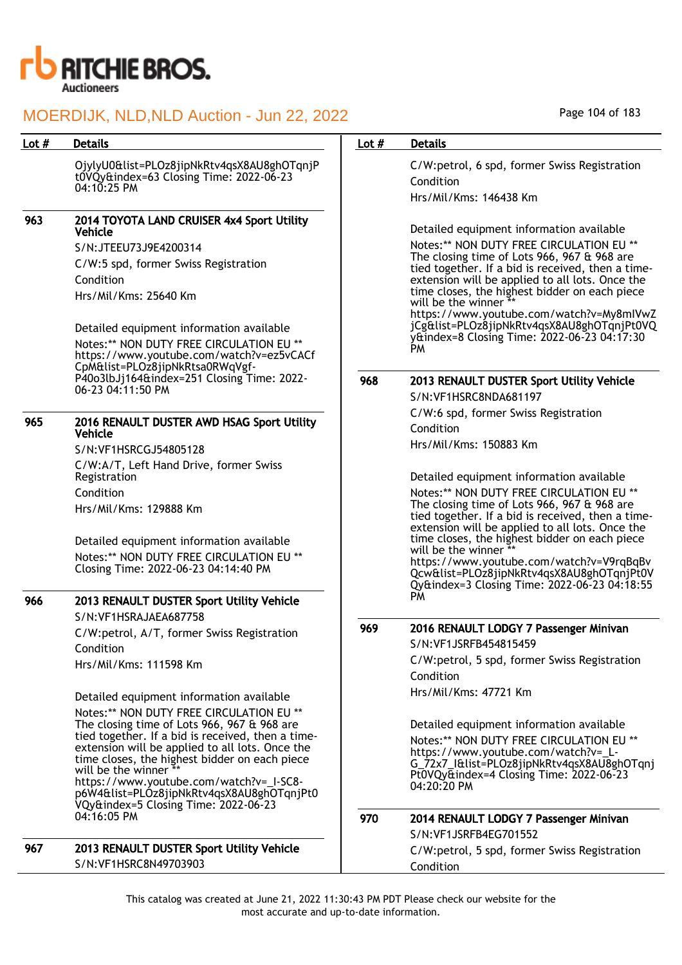

|         | <b>Details</b>                                                                                       |         | <b>Details</b>                                                                                       |
|---------|------------------------------------------------------------------------------------------------------|---------|------------------------------------------------------------------------------------------------------|
| Lot $#$ |                                                                                                      | Lot $#$ |                                                                                                      |
|         | OjylyU0&list=PLOz8jipNkRtv4qsX8AU8ghOTqnjP<br>t0VQy&index=63 Closing Time: 2022-06-23                |         | C/W:petrol, 6 spd, former Swiss Registration                                                         |
|         | 04:10:25 PM                                                                                          |         | Condition                                                                                            |
|         |                                                                                                      |         | Hrs/Mil/Kms: 146438 Km                                                                               |
| 963     | 2014 TOYOTA LAND CRUISER 4x4 Sport Utility<br>Vehicle                                                |         | Detailed equipment information available                                                             |
|         | S/N:JTEEU73J9E4200314                                                                                |         | Notes:** NON DUTY FREE CIRCULATION EU **                                                             |
|         | C/W:5 spd, former Swiss Registration                                                                 |         | The closing time of Lots 966, 967 & 968 are                                                          |
|         | Condition                                                                                            |         | tied together. If a bid is received, then a time-<br>extension will be applied to all lots. Once the |
|         | Hrs/Mil/Kms: 25640 Km                                                                                |         | time closes, the highest bidder on each piece                                                        |
|         |                                                                                                      |         | will be the winner **<br>https://www.youtube.com/watch?v=My8mIVwZ                                    |
|         | Detailed equipment information available                                                             |         | jCg&list=PLOz8jipNkRtv4qsX8AU8ghOTqnjPt0VQ                                                           |
|         | Notes:** NON DUTY FREE CIRCULATION EU **                                                             |         | y&index=8 Closing Time: 2022-06-23 04:17:30<br><b>PM</b>                                             |
|         | https://www.youtube.com/watch?v=ez5vCACf<br>CpM&list=PLOz8jipNkRtsa0RWqVgf-                          |         |                                                                                                      |
|         | P40o3lbJj164&index=251 Closing Time: 2022-                                                           | 968     | 2013 RENAULT DUSTER Sport Utility Vehicle                                                            |
|         | 06-23 04:11:50 PM                                                                                    |         | S/N:VF1HSRC8NDA681197                                                                                |
|         |                                                                                                      |         | C/W:6 spd, former Swiss Registration                                                                 |
| 965     | 2016 RENAULT DUSTER AWD HSAG Sport Utility<br><b>Vehicle</b>                                         |         | Condition                                                                                            |
|         | S/N:VF1HSRCGJ54805128                                                                                |         | Hrs/Mil/Kms: 150883 Km                                                                               |
|         | C/W:A/T, Left Hand Drive, former Swiss                                                               |         |                                                                                                      |
|         | Registration                                                                                         |         | Detailed equipment information available                                                             |
|         | Condition                                                                                            |         | Notes:** NON DUTY FREE CIRCULATION EU **<br>The closing time of Lots 966, 967 & 968 are              |
|         | Hrs/Mil/Kms: 129888 Km                                                                               |         | tied together. If a bid is received, then a time-                                                    |
|         | Detailed equipment information available                                                             |         | extension will be applied to all lots. Once the<br>time closes, the highest bidder on each piece     |
|         | Notes:** NON DUTY FREE CIRCULATION EU **                                                             |         | will be the winner **                                                                                |
|         | Closing Time: 2022-06-23 04:14:40 PM                                                                 |         | https://www.youtube.com/watch?v=V9rqBqBv<br>Qcw&list=PLOz8jipNkRtv4qsX8AU8ghOTqnjPt0V                |
|         |                                                                                                      |         | Qy&index=3 Closing Time: 2022-06-23 04:18:55                                                         |
| 966     | 2013 RENAULT DUSTER Sport Utility Vehicle                                                            |         | PM                                                                                                   |
|         | S/N:VF1HSRAJAEA687758                                                                                | 969     | 2016 RENAULT LODGY 7 Passenger Minivan                                                               |
|         | C/W:petrol, A/T, former Swiss Registration                                                           |         | S/N:VF1JSRFB454815459                                                                                |
|         | Condition                                                                                            |         | C/W:petrol, 5 spd, former Swiss Registration                                                         |
|         | Hrs/Mil/Kms: 111598 Km                                                                               |         | Condition                                                                                            |
|         | Detailed equipment information available                                                             |         | Hrs/Mil/Kms: 47721 Km                                                                                |
|         | Notes:** NON DUTY FREE CIRCULATION EU **                                                             |         |                                                                                                      |
|         | The closing time of Lots 966, 967 & 968 are                                                          |         | Detailed equipment information available                                                             |
|         | tied together. If a bid is received, then a time-<br>extension will be applied to all lots. Once the |         | Notes:** NON DUTY FREE CIRCULATION EU **                                                             |
|         | time closes, the highest bidder on each piece                                                        |         | https://www.youtube.com/watch?v=_L-<br>G_72x7_I&list=PLOz8jipNkRtv4qsX8AU8ghOTqnj                    |
|         | will be the winner **<br>https://www.youtube.com/watch?v=_I-SC8-                                     |         | Pt0VQy&index=4 Closing Time: 2022-06-23                                                              |
|         | p6W4&list=PLOz8jipNkRtv4qsX8AU8ghOTqnjPt0                                                            |         | 04:20:20 PM                                                                                          |
|         | VQy&index=5 Closing Time: 2022-06-23<br>04:16:05 PM                                                  | 970     | 2014 RENAULT LODGY 7 Passenger Minivan                                                               |
|         |                                                                                                      |         | S/N:VF1JSRFB4EG701552                                                                                |
| 967     | 2013 RENAULT DUSTER Sport Utility Vehicle                                                            |         | C/W:petrol, 5 spd, former Swiss Registration                                                         |
|         | S/N:VF1HSRC8N49703903                                                                                |         | Condition                                                                                            |

Page 104 of 183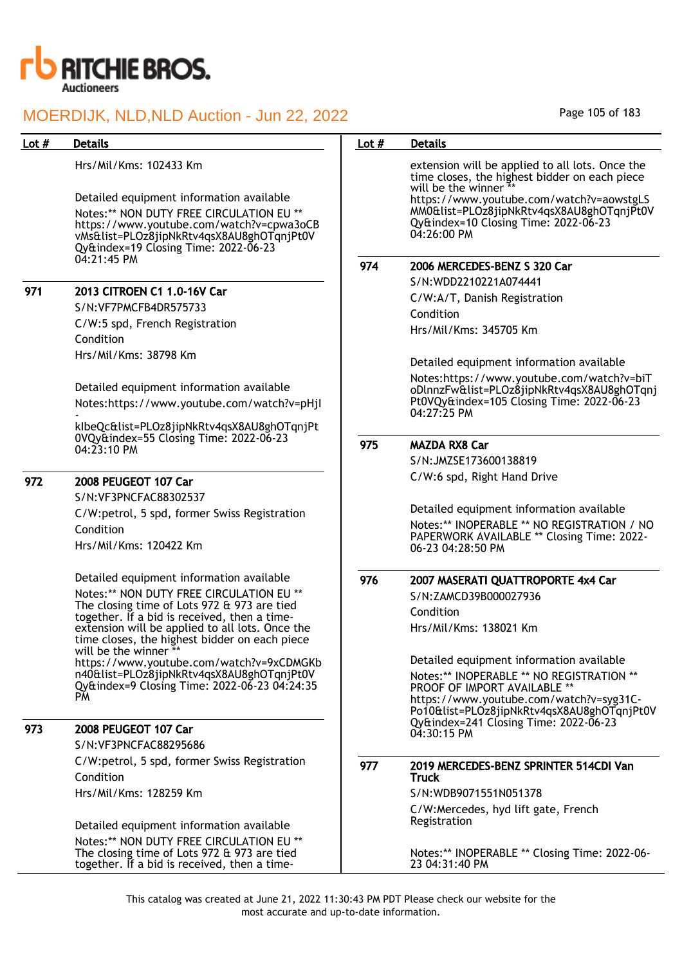

Hrs/Mil/Kms: 102433 Km

Detailed equipment information available Notes:\*\* NON DUTY FREE CIRCULATION EU \*\* https://www.youtube.com/watch?v=cpwa3oCB vMs&list=PLOz8jipNkRtv4qsX8AU8ghOTqnjPt0V Qy&index=19 Closing Time: 2022-06-23 04:21:45 PM

## 971 2013 CITROEN C1 1.0-16V Car

S/N:VF7PMCFB4DR575733

C/W:5 spd, French Registration Condition Hrs/Mil/Kms: 38798 Km

Detailed equipment information available Notes:https://www.youtube.com/watch?v=pHjI

 kIbeQc&list=PLOz8jipNkRtv4qsX8AU8ghOTqnjPt 0VQy&index=55 Closing Time: 2022-06-23 04:23:10 PM

## 972 2008 PEUGEOT 107 Car

S/N:VF3PNCFAC88302537 C/W:petrol, 5 spd, former Swiss Registration Condition Hrs/Mil/Kms: 120422 Km

Detailed equipment information available Notes:\*\* NON DUTY FREE CIRCULATION EU \*\* The closing time of Lots 972 & 973 are tied together. If a bid is received, then a timeextension will be applied to all lots. Once the time closes, the highest bidder on each piece will be the winner  $*$ https://www.youtube.com/watch?v=9xCDMGKb n40&list=PLOz8jipNkRtv4qsX8AU8ghOTqnjPt0V Qy&index=9 Closing Time: 2022-06-23 04:24:35 PM

## 973 2008 PEUGEOT 107 Car

S/N:VF3PNCFAC88295686

C/W:petrol, 5 spd, former Swiss Registration Condition Hrs/Mil/Kms: 128259 Km

Detailed equipment information available Notes:\*\* NON DUTY FREE CIRCULATION EU \*\* The closing time of Lots 972 & 973 are tied together. If a bid is received, then a time-

## Page 105 of 183

## Lot # Details **Details According to the United States Lot # Details**

extension will be applied to all lots. Once the time closes, the highest bidder on each piece will be the winner https://www.youtube.com/watch?v=aowstgLS MM0&list=PLOz8jipNkRtv4qsX8AU8ghOTqnjPt0V Qy&index=10 Closing Time: 2022-06-23 04:26:00 PM

#### 974 2006 MERCEDES-BENZ S 320 Car

S/N:WDD2210221A074441 C/W:A/T, Danish Registration Condition Hrs/Mil/Kms: 345705 Km

Detailed equipment information available

Notes:https://www.youtube.com/watch?v=biT oDlnnzFw&list=PLOz8jipNkRtv4qsX8AU8ghOTqnj Pt0VQy&index=105 Closing Time: 2022-06-23 04:27:25 PM

## 975 MAZDA RX8 Car

S/N:JMZSE173600138819 C/W:6 spd, Right Hand Drive

Detailed equipment information available Notes:\*\* INOPERABLE \*\* NO REGISTRATION / NO PAPERWORK AVAILABLE \*\* Closing Time: 2022- 06-23 04:28:50 PM

### 976 2007 MASERATI QUATTROPORTE 4x4 Car

S/N:ZAMCD39B000027936 Condition Hrs/Mil/Kms: 138021 Km

Detailed equipment information available Notes:\*\* INOPERABLE \*\* NO REGISTRATION \*\* PROOF OF IMPORT AVAILABLE \* https://www.youtube.com/watch?v=syg31C-Po10&list=PLOz8jipNkRtv4qsX8AU8ghOTqnjPt0V Qy&index=241 Closing Time: 2022-06-23 04:30:15 PM

#### 977 2019 MERCEDES-BENZ SPRINTER 514CDI Van Truck

S/N:WDB9071551N051378 C/W:Mercedes, hyd lift gate, French Registration

Notes:\*\* INOPERABLE \*\* Closing Time: 2022-06- 23 04:31:40 PM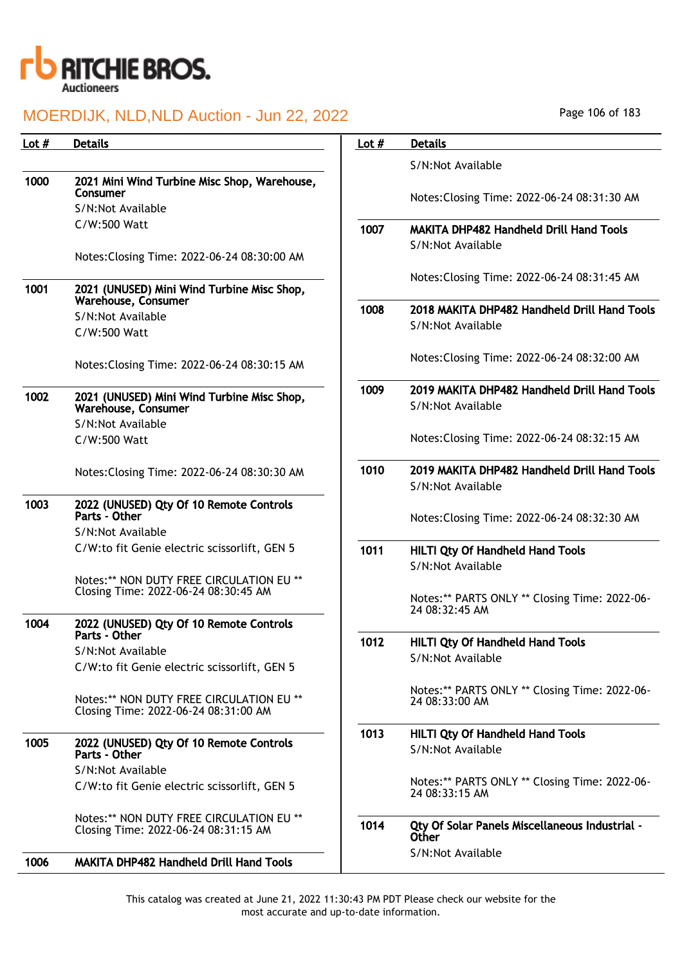

| Lot $#$ | <b>Details</b>                                                                   | Lot $#$ | <b>Details</b>                                                  |
|---------|----------------------------------------------------------------------------------|---------|-----------------------------------------------------------------|
|         |                                                                                  |         | S/N:Not Available                                               |
| 1000    | 2021 Mini Wind Turbine Misc Shop, Warehouse,                                     |         |                                                                 |
|         | Consumer<br>S/N:Not Available                                                    |         | Notes: Closing Time: 2022-06-24 08:31:30 AM                     |
|         | $C/W:500$ Watt                                                                   | 1007    | <b>MAKITA DHP482 Handheld Drill Hand Tools</b>                  |
|         |                                                                                  |         | S/N:Not Available                                               |
|         | Notes: Closing Time: 2022-06-24 08:30:00 AM                                      |         |                                                                 |
| 1001    |                                                                                  |         | Notes: Closing Time: 2022-06-24 08:31:45 AM                     |
|         | 2021 (UNUSED) Mini Wind Turbine Misc Shop,<br><b>Warehouse, Consumer</b>         |         |                                                                 |
|         | S/N:Not Available                                                                | 1008    | 2018 MAKITA DHP482 Handheld Drill Hand Tools                    |
|         | C/W:500 Watt                                                                     |         | S/N:Not Available                                               |
|         | Notes: Closing Time: 2022-06-24 08:30:15 AM                                      |         | Notes: Closing Time: 2022-06-24 08:32:00 AM                     |
|         |                                                                                  | 1009    | 2019 MAKITA DHP482 Handheld Drill Hand Tools                    |
| 1002    | 2021 (UNUSED) Mini Wind Turbine Misc Shop,<br>Warehouse, Consumer                |         | S/N:Not Available                                               |
|         | S/N:Not Available                                                                |         |                                                                 |
|         | C/W:500 Watt                                                                     |         | Notes: Closing Time: 2022-06-24 08:32:15 AM                     |
|         |                                                                                  | 1010    | 2019 MAKITA DHP482 Handheld Drill Hand Tools                    |
|         | Notes: Closing Time: 2022-06-24 08:30:30 AM                                      |         | S/N:Not Available                                               |
| 1003    | 2022 (UNUSED) Qty Of 10 Remote Controls<br>Parts - Other                         |         | Notes: Closing Time: 2022-06-24 08:32:30 AM                     |
|         | S/N:Not Available                                                                |         |                                                                 |
|         | C/W:to fit Genie electric scissorlift, GEN 5                                     | 1011    | HILTI Qty Of Handheld Hand Tools                                |
|         |                                                                                  |         | S/N:Not Available                                               |
|         | Notes:** NON DUTY FREE CIRCULATION EU **<br>Closing Time: 2022-06-24 08:30:45 AM |         |                                                                 |
|         |                                                                                  |         | Notes:** PARTS ONLY ** Closing Time: 2022-06-<br>24 08:32:45 AM |
| 1004    | 2022 (UNUSED) Qty Of 10 Remote Controls                                          |         |                                                                 |
|         | Parts - Other                                                                    | 1012    | HILTI Qty Of Handheld Hand Tools                                |
|         | S/N:Not Available<br>C/W:to fit Genie electric scissorlift, GEN 5                |         | S/N:Not Available                                               |
|         |                                                                                  |         |                                                                 |
|         | Notes:** NON DUTY FREE CIRCULATION EU **<br>Closing Time: 2022-06-24 08:31:00 AM |         | Notes:** PARTS ONLY ** Closing Time: 2022-06-<br>24 08:33:00 AM |
|         |                                                                                  | 1013    | <b>HILTI Qty Of Handheld Hand Tools</b>                         |
| 1005    | 2022 (UNUSED) Qty Of 10 Remote Controls<br>Parts - Other                         |         | S/N:Not Available                                               |
|         | S/N:Not Available                                                                |         | Notes:** PARTS ONLY ** Closing Time: 2022-06-                   |
|         | C/W:to fit Genie electric scissorlift, GEN 5                                     |         | 24 08:33:15 AM                                                  |
|         | Notes:** NON DUTY FREE CIRCULATION EU **                                         |         |                                                                 |
|         | Closing Time: 2022-06-24 08:31:15 AM                                             | 1014    | Qty Of Solar Panels Miscellaneous Industrial -<br>Other         |
| 1006    | <b>MAKITA DHP482 Handheld Drill Hand Tools</b>                                   |         | S/N:Not Available                                               |

Page 106 of 183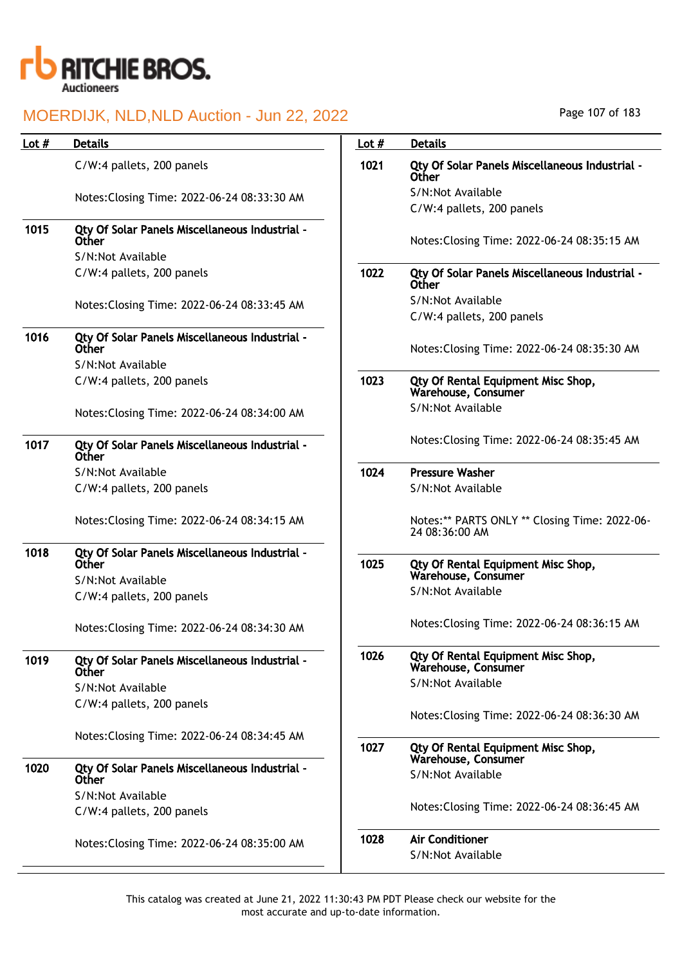

| Lot # | <b>Details</b>                                                 | Lot $#$ | <b>Details</b>                                                   |
|-------|----------------------------------------------------------------|---------|------------------------------------------------------------------|
|       | C/W:4 pallets, 200 panels                                      | 1021    | Qty Of Solar Panels Miscellaneous Industrial -<br>Other          |
|       | Notes: Closing Time: 2022-06-24 08:33:30 AM                    |         | S/N:Not Available                                                |
|       |                                                                |         | C/W:4 pallets, 200 panels                                        |
| 1015  | Qty Of Solar Panels Miscellaneous Industrial -<br><b>Other</b> |         | Notes: Closing Time: 2022-06-24 08:35:15 AM                      |
|       | S/N:Not Available                                              |         |                                                                  |
|       | C/W:4 pallets, 200 panels                                      | 1022    | Qty Of Solar Panels Miscellaneous Industrial -<br><b>Other</b>   |
|       | Notes: Closing Time: 2022-06-24 08:33:45 AM                    |         | S/N:Not Available                                                |
|       |                                                                |         | C/W:4 pallets, 200 panels                                        |
| 1016  | Qty Of Solar Panels Miscellaneous Industrial -<br><b>Other</b> |         | Notes: Closing Time: 2022-06-24 08:35:30 AM                      |
|       | S/N:Not Available                                              |         |                                                                  |
|       | C/W:4 pallets, 200 panels                                      | 1023    | <b>Qty Of Rental Equipment Misc Shop,</b><br>Warehouse, Consumer |
|       | Notes: Closing Time: 2022-06-24 08:34:00 AM                    |         | S/N:Not Available                                                |
| 1017  | Qty Of Solar Panels Miscellaneous Industrial -<br><b>Other</b> |         | Notes: Closing Time: 2022-06-24 08:35:45 AM                      |
|       | S/N:Not Available                                              | 1024    | <b>Pressure Washer</b>                                           |
|       | C/W:4 pallets, 200 panels                                      |         | S/N:Not Available                                                |
|       | Notes: Closing Time: 2022-06-24 08:34:15 AM                    |         | Notes:** PARTS ONLY ** Closing Time: 2022-0<br>24 08:36:00 AM    |
| 1018  | Qty Of Solar Panels Miscellaneous Industrial -<br>Other        | 1025    | Qty Of Rental Equipment Misc Shop,<br>Warehouse, Consumer        |
|       | S/N:Not Available                                              |         |                                                                  |
|       | C/W:4 pallets, 200 panels                                      |         | S/N:Not Available                                                |
|       | Notes: Closing Time: 2022-06-24 08:34:30 AM                    |         | Notes: Closing Time: 2022-06-24 08:36:15 AM                      |
| 1019  | Qty Of Solar Panels Miscellaneous Industrial -<br>Other        | 1026    | Qty Of Rental Equipment Misc Shop,<br>Warehouse, Consumer        |
|       | S/N:Not Available                                              |         | S/N:Not Available                                                |
|       | C/W:4 pallets, 200 panels                                      |         |                                                                  |
|       |                                                                |         | Notes: Closing Time: 2022-06-24 08:36:30 AM                      |
|       | Notes: Closing Time: 2022-06-24 08:34:45 AM                    | 1027    | Qty Of Rental Equipment Misc Shop,                               |
| 1020  | Qty Of Solar Panels Miscellaneous Industrial -<br><b>Other</b> |         | Warehouse, Consumer<br>S/N:Not Available                         |
|       | S/N:Not Available                                              |         |                                                                  |
|       | C/W:4 pallets, 200 panels                                      |         | Notes: Closing Time: 2022-06-24 08:36:45 AM                      |
|       | Notes: Closing Time: 2022-06-24 08:35:00 AM                    | 1028    | <b>Air Conditioner</b>                                           |
|       |                                                                |         | S/N:Not Available                                                |
|       |                                                                |         |                                                                  |

This catalog was created at June 21, 2022 11:30:43 PM PDT Please check our website for the most accurate and up-to-date information.

\*\* Closing Time: 2022-06-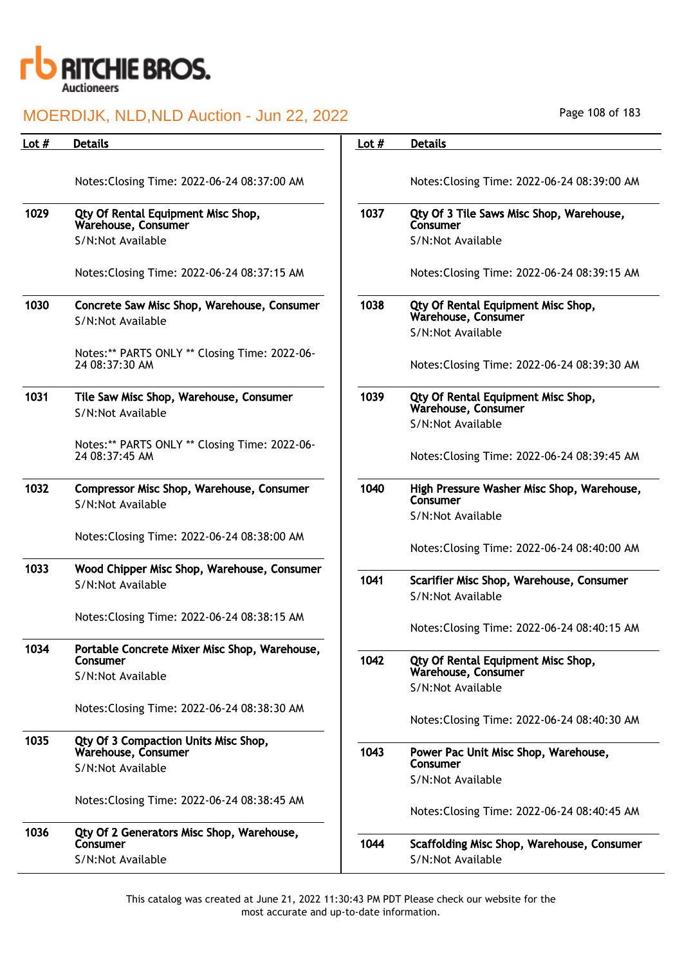

| Lot $#$ | <b>Details</b>                                                  | Lot $#$ | <b>Details</b>                                                |
|---------|-----------------------------------------------------------------|---------|---------------------------------------------------------------|
|         |                                                                 |         |                                                               |
|         | Notes: Closing Time: 2022-06-24 08:37:00 AM                     |         | Notes: Closing Time: 2022-06-24 08:39:00 AM                   |
| 1029    | Qty Of Rental Equipment Misc Shop,<br>Warehouse, Consumer       | 1037    | Qty Of 3 Tile Saws Misc Shop, Warehouse,<br>Consumer          |
|         | S/N:Not Available                                               |         | S/N:Not Available                                             |
|         | Notes: Closing Time: 2022-06-24 08:37:15 AM                     |         | Notes: Closing Time: 2022-06-24 08:39:15 AM                   |
| 1030    | Concrete Saw Misc Shop, Warehouse, Consumer                     | 1038    | Qty Of Rental Equipment Misc Shop,<br>Warehouse, Consumer     |
|         | S/N:Not Available                                               |         | S/N:Not Available                                             |
|         | Notes:** PARTS ONLY ** Closing Time: 2022-06-                   |         |                                                               |
|         | 24 08:37:30 AM                                                  |         | Notes: Closing Time: 2022-06-24 08:39:30 AM                   |
| 1031    | Tile Saw Misc Shop, Warehouse, Consumer<br>S/N:Not Available    | 1039    | Qty Of Rental Equipment Misc Shop,<br>Warehouse, Consumer     |
|         |                                                                 |         | S/N:Not Available                                             |
|         | Notes:** PARTS ONLY ** Closing Time: 2022-06-<br>24 08:37:45 AM |         | Notes: Closing Time: 2022-06-24 08:39:45 AM                   |
| 1032    | Compressor Misc Shop, Warehouse, Consumer<br>S/N:Not Available  | 1040    | High Pressure Washer Misc Shop, Warehouse,<br>Consumer        |
|         |                                                                 |         | S/N:Not Available                                             |
|         | Notes: Closing Time: 2022-06-24 08:38:00 AM                     |         | Notes: Closing Time: 2022-06-24 08:40:00 AM                   |
| 1033    | Wood Chipper Misc Shop, Warehouse, Consumer                     |         |                                                               |
|         | S/N:Not Available                                               | 1041    | Scarifier Misc Shop, Warehouse, Consumer<br>S/N:Not Available |
|         | Notes: Closing Time: 2022-06-24 08:38:15 AM                     |         |                                                               |
|         |                                                                 |         | Notes: Closing Time: 2022-06-24 08:40:15 AM                   |
| 1034    | Portable Concrete Mixer Misc Shop, Warehouse,<br>Consumer       | 1042    |                                                               |
|         | S/N:Not Available                                               |         | Qty Of Rental Equipment Misc Shop,<br>Warehouse, Consumer     |
|         |                                                                 |         | S/N:Not Available                                             |
|         | Notes: Closing Time: 2022-06-24 08:38:30 AM                     |         | Notes: Closing Time: 2022-06-24 08:40:30 AM                   |
| 1035    | Qty Of 3 Compaction Units Misc Shop,                            |         |                                                               |
|         | Warehouse, Consumer                                             | 1043    | Power Pac Unit Misc Shop, Warehouse,<br>Consumer              |
|         | S/N:Not Available                                               |         | S/N:Not Available                                             |
|         | Notes: Closing Time: 2022-06-24 08:38:45 AM                     |         | Notes: Closing Time: 2022-06-24 08:40:45 AM                   |
| 1036    | Qty Of 2 Generators Misc Shop, Warehouse,                       |         |                                                               |
|         | Consumer                                                        | 1044    | Scaffolding Misc Shop, Warehouse, Consumer                    |
|         | S/N:Not Available                                               |         | S/N:Not Available                                             |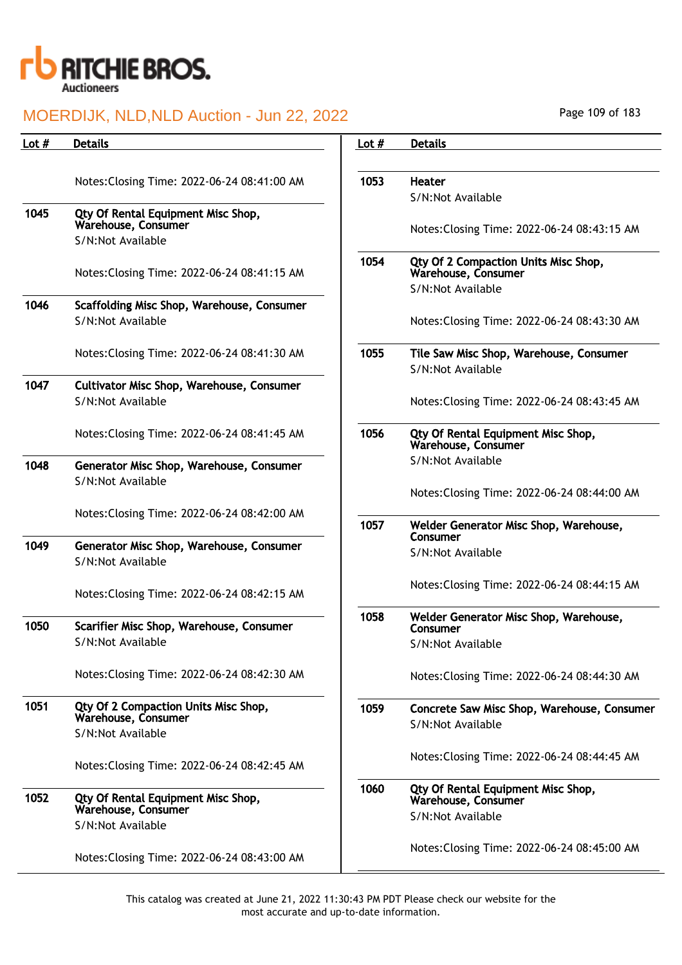

| Lot $#$ | <b>Details</b>                                                        | Lot $#$ | <b>Details</b>             |
|---------|-----------------------------------------------------------------------|---------|----------------------------|
|         | Notes: Closing Time: 2022-06-24 08:41:00 AM                           | 1053    | Heater<br>S/N:No           |
| 1045    | Qty Of Rental Equipment Misc Shop,<br>Warehouse, Consumer             |         |                            |
|         | S/N:Not Available                                                     |         | Notes:                     |
|         | Notes: Closing Time: 2022-06-24 08:41:15 AM                           | 1054    | Qty Of<br>Wareho<br>S/N:No |
| 1046    | Scaffolding Misc Shop, Warehouse, Consumer<br>S/N:Not Available       |         | Notes:                     |
|         | Notes: Closing Time: 2022-06-24 08:41:30 AM                           | 1055    | Tile Sa<br>S/N:No          |
| 1047    | <b>Cultivator Misc Shop, Warehouse, Consumer</b><br>S/N:Not Available |         | Notes:                     |
|         | Notes: Closing Time: 2022-06-24 08:41:45 AM                           | 1056    | Qty Of<br>Wareho           |
| 1048    | Generator Misc Shop, Warehouse, Consumer                              |         | S/N:No                     |
|         | S/N:Not Available                                                     |         | Notes:                     |
|         | Notes: Closing Time: 2022-06-24 08:42:00 AM                           | 1057    | Welder                     |
| 1049    | Generator Misc Shop, Warehouse, Consumer<br>S/N:Not Available         |         | Consun<br>S/N:No           |
|         | Notes: Closing Time: 2022-06-24 08:42:15 AM                           |         | Notes:                     |
| 1050    | Scarifier Misc Shop, Warehouse, Consumer<br>S/N:Not Available         | 1058    | Welder<br>Consun<br>S/N:No |
|         | Notes: Closing Time: 2022-06-24 08:42:30 AM                           |         | Notes:                     |
| 1051    | Qty Of 2 Compaction Units Misc Shop,<br>Warehouse, Consumer           | 1059    | Concre<br>S/N:No           |
|         | S/N:Not Available                                                     |         |                            |
|         | Notes: Closing Time: 2022-06-24 08:42:45 AM                           |         | Notes:                     |
| 1052    | Qty Of Rental Equipment Misc Shop,<br>Warehouse, Consumer             | 1060    | Qty Of<br>Wareho           |
|         | S/N:Not Available                                                     |         | S/N:No                     |
|         | Notes: Closing Time: 2022-06-24 08:43:00 AM                           |         | Notes:                     |

| Lot # | <b>Details</b>                                              |
|-------|-------------------------------------------------------------|
|       |                                                             |
| 1053  | Heater                                                      |
|       | S/N:Not Available                                           |
|       | Notes: Closing Time: 2022-06-24 08:43:15 AM                 |
| 1054  | Qty Of 2 Compaction Units Misc Shop,<br>Warehouse, Consumer |
|       | S/N:Not Available                                           |
|       | Notes: Closing Time: 2022-06-24 08:43:30 AM                 |
| 1055  | Tile Saw Misc Shop, Warehouse, Consumer                     |
|       | S/N:Not Available                                           |
|       | Notes: Closing Time: 2022-06-24 08:43:45 AM                 |
| 1056  | Qty Of Rental Equipment Misc Shop,<br>Warehouse, Consumer   |
|       | S/N:Not Available                                           |
|       | Notes: Closing Time: 2022-06-24 08:44:00 AM                 |
| 1057  | Welder Generator Misc Shop, Warehouse,<br>Consumer          |
|       | S/N:Not Available                                           |
|       | Notes: Closing Time: 2022-06-24 08:44:15 AM                 |
| 1058  | Welder Generator Misc Shop, Warehouse,<br>Consumer          |
|       | S/N:Not Available                                           |
|       | Notes: Closing Time: 2022-06-24 08:44:30 AM                 |
| 1059  | Concrete Saw Misc Shop, Warehouse, Consumer                 |
|       | S/N:Not Available                                           |
|       | Notes: Closing Time: 2022-06-24 08:44:45 AM                 |
| 1060  | Qty Of Rental Equipment Misc Shop,<br>Warehouse, Consumer   |
|       | S/N:Not Available                                           |
|       | Notes: Closing Time: 2022-06-24 08:45:00 AM                 |
|       |                                                             |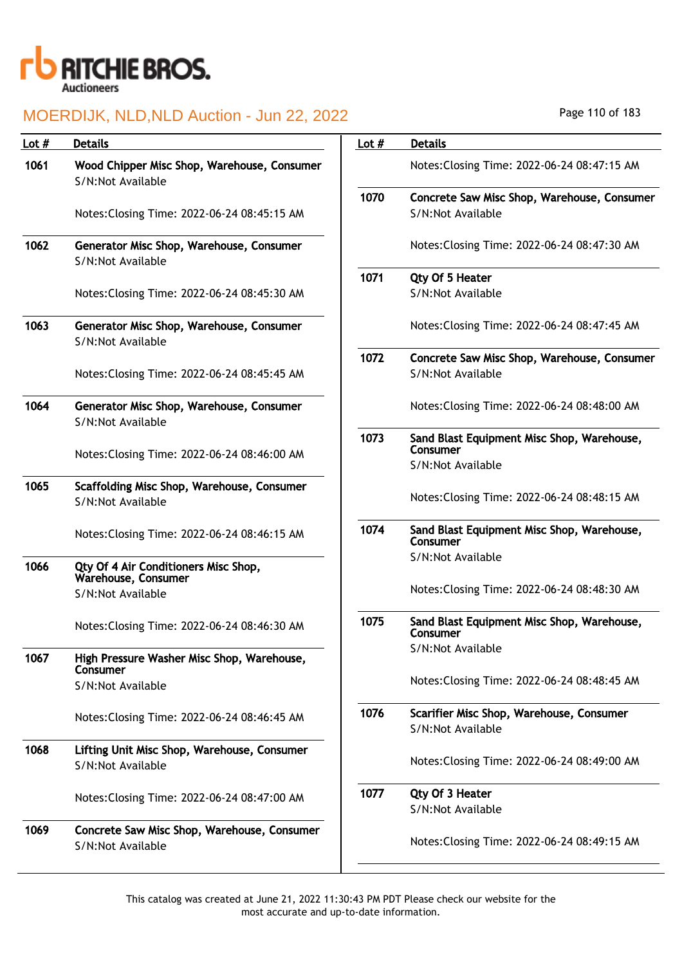

| Lot # | <b>Details</b>                                                   | Lot $#$ | <b>Details</b>                                                              |
|-------|------------------------------------------------------------------|---------|-----------------------------------------------------------------------------|
| 1061  | Wood Chipper Misc Shop, Warehouse, Consumer<br>S/N:Not Available |         | Notes: Closing Time: 2022-06-24 08:47:15 AM                                 |
|       | Notes: Closing Time: 2022-06-24 08:45:15 AM                      | 1070    | Concrete Saw Misc Shop, Warehouse, Consumer<br>S/N:Not Available            |
| 1062  | Generator Misc Shop, Warehouse, Consumer<br>S/N:Not Available    |         | Notes: Closing Time: 2022-06-24 08:47:30 AM                                 |
|       |                                                                  | 1071    | Qty Of 5 Heater                                                             |
|       | Notes: Closing Time: 2022-06-24 08:45:30 AM                      |         | S/N:Not Available                                                           |
| 1063  | Generator Misc Shop, Warehouse, Consumer<br>S/N:Not Available    |         | Notes: Closing Time: 2022-06-24 08:47:45 AM                                 |
|       | Notes: Closing Time: 2022-06-24 08:45:45 AM                      | 1072    | Concrete Saw Misc Shop, Warehouse, Consumer<br>S/N:Not Available            |
| 1064  | Generator Misc Shop, Warehouse, Consumer<br>S/N:Not Available    |         | Notes: Closing Time: 2022-06-24 08:48:00 AM                                 |
|       | Notes: Closing Time: 2022-06-24 08:46:00 AM                      | 1073    | Sand Blast Equipment Misc Shop, Warehouse,<br>Consumer<br>S/N:Not Available |
| 1065  | Scaffolding Misc Shop, Warehouse, Consumer                       |         |                                                                             |
|       | S/N:Not Available                                                |         | Notes: Closing Time: 2022-06-24 08:48:15 AM                                 |
|       | Notes: Closing Time: 2022-06-24 08:46:15 AM                      | 1074    | Sand Blast Equipment Misc Shop, Warehouse,<br>Consumer                      |
| 1066  | Qty Of 4 Air Conditioners Misc Shop,<br>Warehouse, Consumer      |         | S/N:Not Available                                                           |
|       | S/N:Not Available                                                |         | Notes: Closing Time: 2022-06-24 08:48:30 AM                                 |
|       | Notes: Closing Time: 2022-06-24 08:46:30 AM                      | 1075    | Sand Blast Equipment Misc Shop, Warehouse,<br>Consumer                      |
| 1067  | High Pressure Washer Misc Shop, Warehouse,<br>Consumer           |         | S/N:Not Available                                                           |
|       | S/N:Not Available                                                |         | Notes: Closing Time: 2022-06-24 08:48:45 AM                                 |
|       | Notes: Closing Time: 2022-06-24 08:46:45 AM                      | 1076    | Scarifier Misc Shop, Warehouse, Consumer<br>S/N:Not Available               |
| 1068  | Lifting Unit Misc Shop, Warehouse, Consumer<br>S/N:Not Available |         | Notes: Closing Time: 2022-06-24 08:49:00 AM                                 |
|       | Notes: Closing Time: 2022-06-24 08:47:00 AM                      | 1077    | Qty Of 3 Heater<br>S/N:Not Available                                        |
| 1069  | Concrete Saw Misc Shop, Warehouse, Consumer<br>S/N:Not Available |         | Notes: Closing Time: 2022-06-24 08:49:15 AM                                 |

Page 110 of 183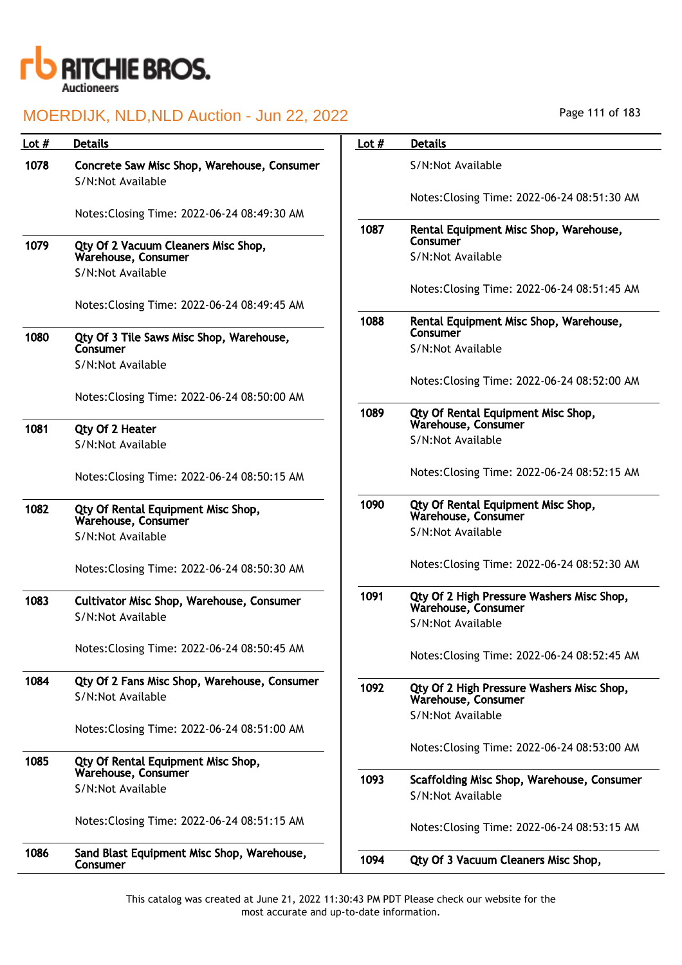

| Lot $#$ | <b>Details</b>                                                                  | Lot $#$ | <b>Details</b>                                                   |
|---------|---------------------------------------------------------------------------------|---------|------------------------------------------------------------------|
| 1078    | Concrete Saw Misc Shop, Warehouse, Consumer<br>S/N:Not Available                |         | S/N:Not Available                                                |
|         | Notes: Closing Time: 2022-06-24 08:49:30 AM                                     |         | Notes: Closing Time: 2022-06-24 08:51:30 AM                      |
|         |                                                                                 | 1087    | Rental Equipment Misc Shop, Warehouse,<br>Consumer               |
| 1079    | Qty Of 2 Vacuum Cleaners Misc Shop,<br>Warehouse, Consumer<br>S/N:Not Available |         | S/N:Not Available                                                |
|         | Notes: Closing Time: 2022-06-24 08:49:45 AM                                     |         | Notes: Closing Time: 2022-06-24 08:51:45 AM                      |
| 1080    | Qty Of 3 Tile Saws Misc Shop, Warehouse,                                        | 1088    | Rental Equipment Misc Shop, Warehouse,<br>Consumer               |
|         | Consumer<br>S/N:Not Available                                                   |         | S/N:Not Available                                                |
|         | Notes: Closing Time: 2022-06-24 08:50:00 AM                                     |         | Notes: Closing Time: 2022-06-24 08:52:00 AM                      |
| 1081    |                                                                                 | 1089    | Qty Of Rental Equipment Misc Shop,<br>Warehouse, Consumer        |
|         | Qty Of 2 Heater<br>S/N:Not Available                                            |         | S/N:Not Available                                                |
|         | Notes: Closing Time: 2022-06-24 08:50:15 AM                                     |         | Notes: Closing Time: 2022-06-24 08:52:15 AM                      |
| 1082    | Qty Of Rental Equipment Misc Shop,<br>Warehouse, Consumer                       | 1090    | Qty Of Rental Equipment Misc Shop,<br>Warehouse, Consumer        |
|         | S/N:Not Available                                                               |         | S/N:Not Available                                                |
|         | Notes: Closing Time: 2022-06-24 08:50:30 AM                                     |         | Notes: Closing Time: 2022-06-24 08:52:30 AM                      |
| 1083    | <b>Cultivator Misc Shop, Warehouse, Consumer</b><br>S/N:Not Available           | 1091    | Qty Of 2 High Pressure Washers Misc Shop,<br>Warehouse, Consumer |
|         |                                                                                 |         | S/N:Not Available                                                |
|         | Notes: Closing Time: 2022-06-24 08:50:45 AM                                     |         | Notes: Closing Time: 2022-06-24 08:52:45 AM                      |
| 1084    | Qty Of 2 Fans Misc Shop, Warehouse, Consumer<br>S/N:Not Available               | 1092    | Qty Of 2 High Pressure Washers Misc Shop,<br>Warehouse, Consumer |
|         | Notes: Closing Time: 2022-06-24 08:51:00 AM                                     |         | S/N:Not Available                                                |
|         |                                                                                 |         | Notes: Closing Time: 2022-06-24 08:53:00 AM                      |
| 1085    | Qty Of Rental Equipment Misc Shop,<br>Warehouse, Consumer                       | 1093    |                                                                  |
|         | S/N:Not Available                                                               |         | Scaffolding Misc Shop, Warehouse, Consumer<br>S/N:Not Available  |
|         | Notes: Closing Time: 2022-06-24 08:51:15 AM                                     |         | Notes: Closing Time: 2022-06-24 08:53:15 AM                      |
| 1086    | Sand Blast Equipment Misc Shop, Warehouse,<br>Consumer                          | 1094    | Qty Of 3 Vacuum Cleaners Misc Shop,                              |

Page 111 of 183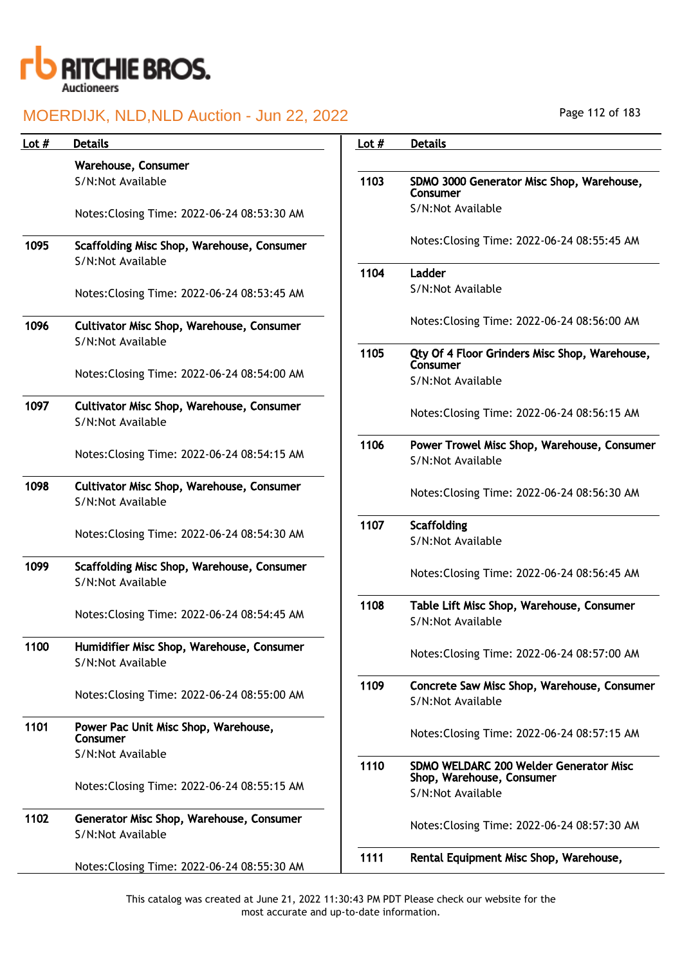

| Lot $#$ | <b>Details</b>                                                        | Lot $#$ | <b>Details</b>                                                   |
|---------|-----------------------------------------------------------------------|---------|------------------------------------------------------------------|
|         | Warehouse, Consumer                                                   |         |                                                                  |
|         | S/N:Not Available                                                     | 1103    | SDMO 3000 Generator Misc Shop, Warehouse,<br>Consumer            |
|         | Notes: Closing Time: 2022-06-24 08:53:30 AM                           |         | S/N:Not Available                                                |
| 1095    | Scaffolding Misc Shop, Warehouse, Consumer<br>S/N:Not Available       |         | Notes: Closing Time: 2022-06-24 08:55:45 AM                      |
|         |                                                                       | 1104    | Ladder                                                           |
|         | Notes: Closing Time: 2022-06-24 08:53:45 AM                           |         | S/N:Not Available                                                |
| 1096    | <b>Cultivator Misc Shop, Warehouse, Consumer</b><br>S/N:Not Available |         | Notes: Closing Time: 2022-06-24 08:56:00 AM                      |
|         |                                                                       | 1105    | Qty Of 4 Floor Grinders Misc Shop, Warehouse,<br>Consumer        |
|         | Notes: Closing Time: 2022-06-24 08:54:00 AM                           |         | S/N:Not Available                                                |
| 1097    | <b>Cultivator Misc Shop, Warehouse, Consumer</b><br>S/N:Not Available |         | Notes: Closing Time: 2022-06-24 08:56:15 AM                      |
|         | Notes: Closing Time: 2022-06-24 08:54:15 AM                           | 1106    | Power Trowel Misc Shop, Warehouse, Consumer<br>S/N:Not Available |
| 1098    | <b>Cultivator Misc Shop, Warehouse, Consumer</b><br>S/N:Not Available |         | Notes: Closing Time: 2022-06-24 08:56:30 AM                      |
|         | Notes: Closing Time: 2022-06-24 08:54:30 AM                           | 1107    | Scaffolding<br>S/N:Not Available                                 |
| 1099    | Scaffolding Misc Shop, Warehouse, Consumer<br>S/N:Not Available       |         | Notes: Closing Time: 2022-06-24 08:56:45 AM                      |
|         | Notes: Closing Time: 2022-06-24 08:54:45 AM                           | 1108    | Table Lift Misc Shop, Warehouse, Consumer<br>S/N:Not Available   |
| 1100    | Humidifier Misc Shop, Warehouse, Consumer<br>S/N:Not Available        |         | Notes: Closing Time: 2022-06-24 08:57:00 AM                      |
|         | Notes: Closing Time: 2022-06-24 08:55:00 AM                           | 1109    | Concrete Saw Misc Shop, Warehouse, Consumer<br>S/N:Not Available |
| 1101    | Power Pac Unit Misc Shop, Warehouse,<br>Consumer                      |         | Notes: Closing Time: 2022-06-24 08:57:15 AM                      |
|         | S/N:Not Available                                                     | 1110    | SDMO WELDARC 200 Welder Generator Misc                           |
|         | Notes: Closing Time: 2022-06-24 08:55:15 AM                           |         | Shop, Warehouse, Consumer<br>S/N:Not Available                   |
| 1102    | Generator Misc Shop, Warehouse, Consumer<br>S/N:Not Available         |         | Notes: Closing Time: 2022-06-24 08:57:30 AM                      |
|         |                                                                       | 1111    | Rental Equipment Misc Shop, Warehouse,                           |
|         | Notes: Closing Time: 2022-06-24 08:55:30 AM                           |         |                                                                  |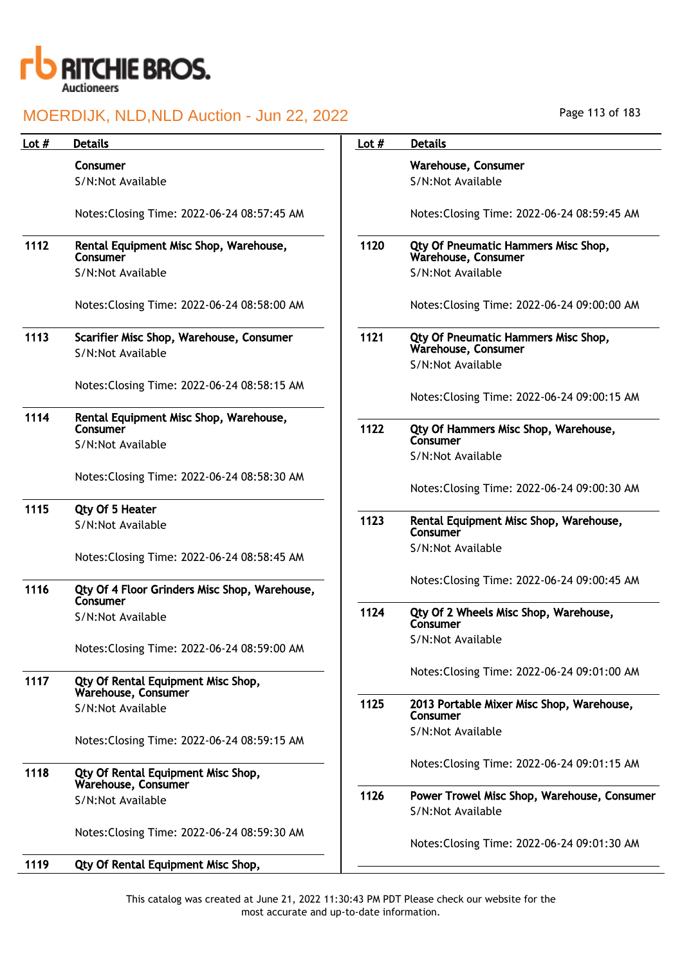

| Lot $#$ | <b>Details</b>                                                | Lot $#$ | <b>Details</b>                                                   |
|---------|---------------------------------------------------------------|---------|------------------------------------------------------------------|
|         | Consumer                                                      |         | Warehouse, Consumer                                              |
|         | S/N:Not Available                                             |         | S/N:Not Available                                                |
|         | Notes: Closing Time: 2022-06-24 08:57:45 AM                   |         | Notes: Closing Time: 2022-06-24 08:59:45 AM                      |
| 1112    | Rental Equipment Misc Shop, Warehouse,<br>Consumer            | 1120    | Qty Of Pneumatic Hammers Misc Shop,<br>Warehouse, Consumer       |
|         | S/N:Not Available                                             |         | S/N:Not Available                                                |
|         | Notes: Closing Time: 2022-06-24 08:58:00 AM                   |         | Notes: Closing Time: 2022-06-24 09:00:00 AM                      |
| 1113    | Scarifier Misc Shop, Warehouse, Consumer<br>S/N:Not Available | 1121    | Qty Of Pneumatic Hammers Misc Shop,<br>Warehouse, Consumer       |
|         |                                                               |         | S/N:Not Available                                                |
|         | Notes: Closing Time: 2022-06-24 08:58:15 AM                   |         | Notes: Closing Time: 2022-06-24 09:00:15 AM                      |
| 1114    | Rental Equipment Misc Shop, Warehouse,<br>Consumer            | 1122    | Qty Of Hammers Misc Shop, Warehouse,<br>Consumer                 |
|         | S/N:Not Available                                             |         | S/N:Not Available                                                |
|         | Notes: Closing Time: 2022-06-24 08:58:30 AM                   |         | Notes: Closing Time: 2022-06-24 09:00:30 AM                      |
| 1115    | Qty Of 5 Heater                                               |         |                                                                  |
|         | S/N:Not Available                                             | 1123    | Rental Equipment Misc Shop, Warehouse,<br>Consumer               |
|         | Notes: Closing Time: 2022-06-24 08:58:45 AM                   |         | S/N:Not Available                                                |
| 1116    | Qty Of 4 Floor Grinders Misc Shop, Warehouse,<br>Consumer     |         | Notes: Closing Time: 2022-06-24 09:00:45 AM                      |
|         | S/N:Not Available                                             | 1124    | Qty Of 2 Wheels Misc Shop, Warehouse,<br>Consumer                |
|         | Notes: Closing Time: 2022-06-24 08:59:00 AM                   |         | S/N:Not Available                                                |
| 1117    | Qty Of Rental Equipment Misc Shop,<br>Warehouse, Consumer     |         | Notes: Closing Time: 2022-06-24 09:01:00 AM                      |
|         | S/N:Not Available                                             | 1125    | 2013 Portable Mixer Misc Shop, Warehouse,<br>Consumer            |
|         | Notes: Closing Time: 2022-06-24 08:59:15 AM                   |         | S/N:Not Available                                                |
|         |                                                               |         | Notes: Closing Time: 2022-06-24 09:01:15 AM                      |
| 1118    | Qty Of Rental Equipment Misc Shop,<br>Warehouse, Consumer     |         |                                                                  |
|         | S/N:Not Available                                             | 1126    | Power Trowel Misc Shop, Warehouse, Consumer<br>S/N:Not Available |
|         | Notes: Closing Time: 2022-06-24 08:59:30 AM                   |         | Notes: Closing Time: 2022-06-24 09:01:30 AM                      |
| 1119    | Qty Of Rental Equipment Misc Shop,                            |         |                                                                  |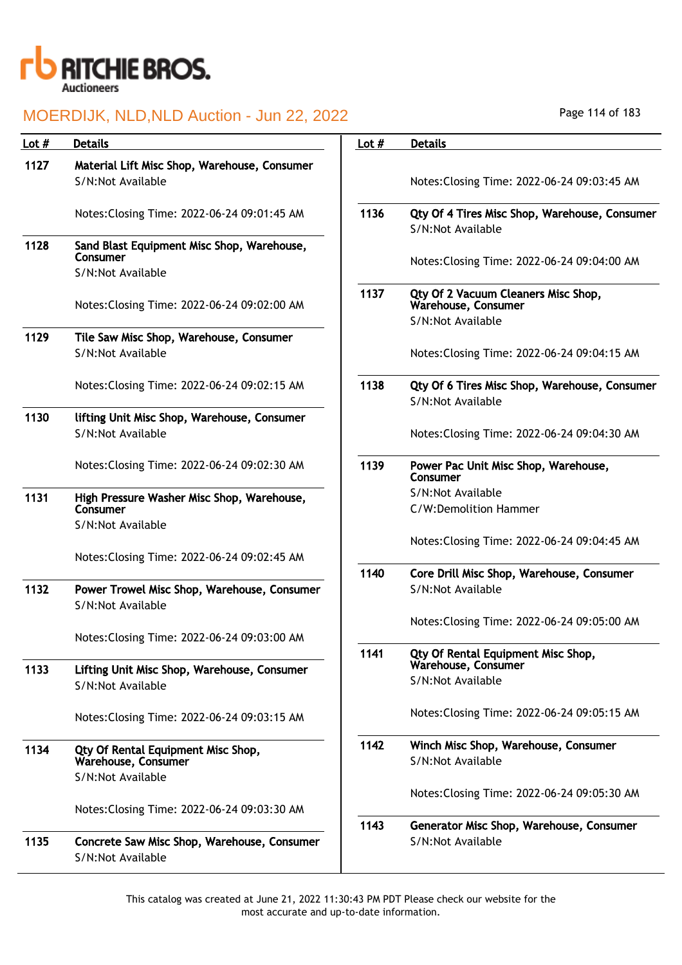

| Lot $#$ |                                                                             |         |                                                                                 |
|---------|-----------------------------------------------------------------------------|---------|---------------------------------------------------------------------------------|
|         | <b>Details</b>                                                              | Lot $#$ | <b>Details</b>                                                                  |
| 1127    | Material Lift Misc Shop, Warehouse, Consumer                                |         |                                                                                 |
|         | S/N:Not Available                                                           |         | Notes: Closing Time: 2022-06-24 09:03:45 AM                                     |
|         | Notes: Closing Time: 2022-06-24 09:01:45 AM                                 | 1136    | Qty Of 4 Tires Misc Shop, Warehouse, Consumer<br>S/N:Not Available              |
| 1128    | Sand Blast Equipment Misc Shop, Warehouse,<br>Consumer<br>S/N:Not Available |         | Notes: Closing Time: 2022-06-24 09:04:00 AM                                     |
|         | Notes: Closing Time: 2022-06-24 09:02:00 AM                                 | 1137    | Qty Of 2 Vacuum Cleaners Misc Shop,<br>Warehouse, Consumer<br>S/N:Not Available |
| 1129    | Tile Saw Misc Shop, Warehouse, Consumer                                     |         |                                                                                 |
|         | S/N:Not Available                                                           |         | Notes: Closing Time: 2022-06-24 09:04:15 AM                                     |
|         | Notes: Closing Time: 2022-06-24 09:02:15 AM                                 | 1138    | Qty Of 6 Tires Misc Shop, Warehouse, Consumer<br>S/N:Not Available              |
| 1130    | lifting Unit Misc Shop, Warehouse, Consumer                                 |         |                                                                                 |
|         | S/N:Not Available                                                           |         | Notes: Closing Time: 2022-06-24 09:04:30 AM                                     |
|         | Notes: Closing Time: 2022-06-24 09:02:30 AM                                 | 1139    | Power Pac Unit Misc Shop, Warehouse,<br>Consumer                                |
| 1131    | High Pressure Washer Misc Shop, Warehouse,                                  |         | S/N:Not Available                                                               |
|         | Consumer                                                                    |         | C/W:Demolition Hammer                                                           |
|         | S/N:Not Available                                                           |         |                                                                                 |
|         | Notes: Closing Time: 2022-06-24 09:02:45 AM                                 |         | Notes: Closing Time: 2022-06-24 09:04:45 AM                                     |
|         |                                                                             | 1140    | Core Drill Misc Shop, Warehouse, Consumer                                       |
| 1132    | Power Trowel Misc Shop, Warehouse, Consumer                                 |         | S/N:Not Available                                                               |
|         | S/N:Not Available                                                           |         |                                                                                 |
|         |                                                                             |         | Notes: Closing Time: 2022-06-24 09:05:00 AM                                     |
|         | Notes: Closing Time: 2022-06-24 09:03:00 AM                                 | 1141    | Qty Of Rental Equipment Misc Shop,                                              |
| 1133    | Lifting Unit Misc Shop, Warehouse, Consumer                                 |         | Warehouse, Consumer                                                             |
|         | S/N:Not Available                                                           |         | S/N:Not Available                                                               |
|         | Notes: Closing Time: 2022-06-24 09:03:15 AM                                 |         | Notes: Closing Time: 2022-06-24 09:05:15 AM                                     |
| 1134    | Qty Of Rental Equipment Misc Shop,<br>Warehouse, Consumer                   | 1142    | Winch Misc Shop, Warehouse, Consumer<br>S/N:Not Available                       |
|         | S/N:Not Available                                                           |         |                                                                                 |
|         | Notes: Closing Time: 2022-06-24 09:03:30 AM                                 |         | Notes: Closing Time: 2022-06-24 09:05:30 AM                                     |
|         |                                                                             | 1143    | Generator Misc Shop, Warehouse, Consumer                                        |
|         |                                                                             |         |                                                                                 |
| 1135    | Concrete Saw Misc Shop, Warehouse, Consumer                                 |         | S/N:Not Available                                                               |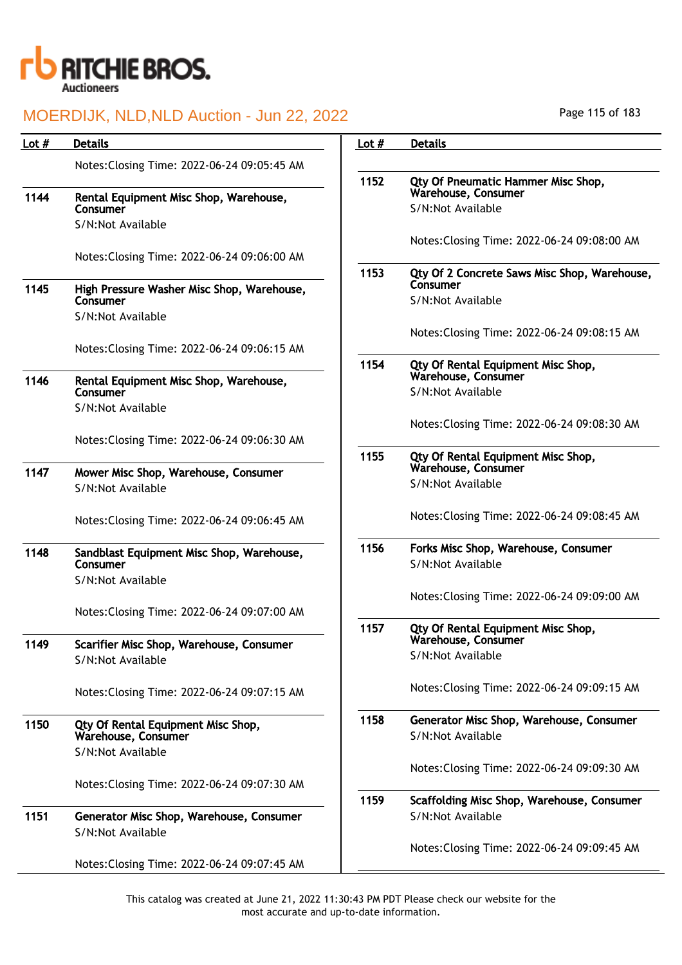

| Lot # | <b>Details</b>                                                | Lot $#$ | <b>Details</b>                                                |
|-------|---------------------------------------------------------------|---------|---------------------------------------------------------------|
|       | Notes: Closing Time: 2022-06-24 09:05:45 AM                   |         |                                                               |
| 1144  | Rental Equipment Misc Shop, Warehouse,                        | 1152    | Qty Of Pneumatic Hammer Misc Shop,<br>Warehouse, Consumer     |
|       | Consumer                                                      |         | S/N:Not Available                                             |
|       | S/N:Not Available                                             |         | Notes: Closing Time: 2022-06-24 09:08:00 AM                   |
|       | Notes: Closing Time: 2022-06-24 09:06:00 AM                   | 1153    | Qty Of 2 Concrete Saws Misc Shop, Warehouse,                  |
| 1145  | High Pressure Washer Misc Shop, Warehouse,<br>Consumer        |         | Consumer<br>S/N:Not Available                                 |
|       | S/N:Not Available                                             |         |                                                               |
|       | Notes: Closing Time: 2022-06-24 09:06:15 AM                   |         | Notes: Closing Time: 2022-06-24 09:08:15 AM                   |
| 1146  | Rental Equipment Misc Shop, Warehouse,                        | 1154    | Qty Of Rental Equipment Misc Shop,<br>Warehouse, Consumer     |
|       | Consumer<br>S/N:Not Available                                 |         | S/N:Not Available                                             |
|       |                                                               |         | Notes: Closing Time: 2022-06-24 09:08:30 AM                   |
|       | Notes: Closing Time: 2022-06-24 09:06:30 AM                   | 1155    | Qty Of Rental Equipment Misc Shop,                            |
| 1147  | Mower Misc Shop, Warehouse, Consumer                          |         | Warehouse, Consumer                                           |
|       | S/N:Not Available                                             |         | S/N:Not Available                                             |
|       | Notes: Closing Time: 2022-06-24 09:06:45 AM                   |         | Notes: Closing Time: 2022-06-24 09:08:45 AM                   |
| 1148  | Sandblast Equipment Misc Shop, Warehouse,<br>Consumer         | 1156    | Forks Misc Shop, Warehouse, Consumer<br>S/N:Not Available     |
|       | S/N:Not Available                                             |         | Notes: Closing Time: 2022-06-24 09:09:00 AM                   |
|       | Notes: Closing Time: 2022-06-24 09:07:00 AM                   |         |                                                               |
| 1149  | Scarifier Misc Shop, Warehouse, Consumer                      | 1157    | Qty Of Rental Equipment Misc Shop,<br>Warehouse, Consumer     |
|       | S/N:Not Available                                             |         | S/N:Not Available                                             |
|       | Notes: Closing Time: 2022-06-24 09:07:15 AM                   |         | Notes: Closing Time: 2022-06-24 09:09:15 AM                   |
| 1150  | Qty Of Rental Equipment Misc Shop,<br>Warehouse, Consumer     | 1158    | Generator Misc Shop, Warehouse, Consumer<br>S/N:Not Available |
|       | S/N:Not Available                                             |         |                                                               |
|       | Notes: Closing Time: 2022-06-24 09:07:30 AM                   |         | Notes: Closing Time: 2022-06-24 09:09:30 AM                   |
|       |                                                               | 1159    | Scaffolding Misc Shop, Warehouse, Consumer                    |
| 1151  | Generator Misc Shop, Warehouse, Consumer<br>S/N:Not Available |         | S/N:Not Available                                             |
|       |                                                               |         | Notes: Closing Time: 2022-06-24 09:09:45 AM                   |
|       | Notes: Closing Time: 2022-06-24 09:07:45 AM                   |         |                                                               |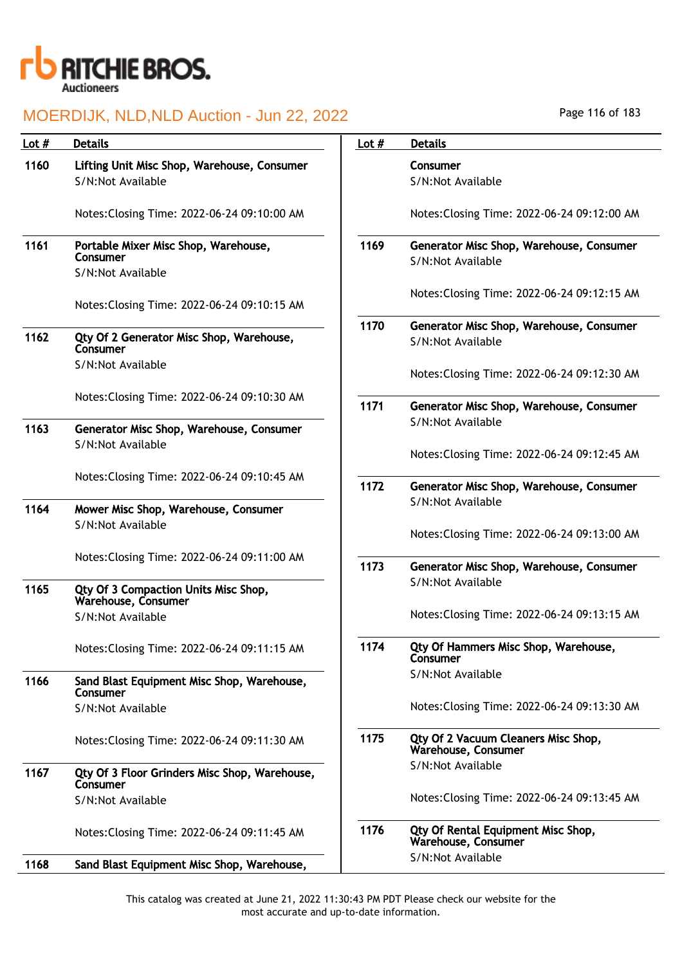

| Lot $#$ | <b>Details</b>                                                   | Lot $#$ | <b>Details</b>                                                |
|---------|------------------------------------------------------------------|---------|---------------------------------------------------------------|
| 1160    | Lifting Unit Misc Shop, Warehouse, Consumer<br>S/N:Not Available |         | Consumer<br>S/N:Not Available                                 |
|         | Notes: Closing Time: 2022-06-24 09:10:00 AM                      |         | Notes: Closing Time: 2022-06-24 09:12:00 AM                   |
| 1161    | Portable Mixer Misc Shop, Warehouse,<br>Consumer                 | 1169    | Generator Misc Shop, Warehouse, Consumer<br>S/N:Not Available |
|         | S/N:Not Available                                                |         |                                                               |
|         | Notes: Closing Time: 2022-06-24 09:10:15 AM                      |         | Notes: Closing Time: 2022-06-24 09:12:15 AM                   |
| 1162    | Qty Of 2 Generator Misc Shop, Warehouse,<br>Consumer             | 1170    | Generator Misc Shop, Warehouse, Consumer<br>S/N:Not Available |
|         | S/N:Not Available                                                |         | Notes: Closing Time: 2022-06-24 09:12:30 AM                   |
|         | Notes: Closing Time: 2022-06-24 09:10:30 AM                      | 1171    | Generator Misc Shop, Warehouse, Consumer                      |
| 1163    | Generator Misc Shop, Warehouse, Consumer                         |         | S/N:Not Available                                             |
|         | S/N:Not Available                                                |         | Notes: Closing Time: 2022-06-24 09:12:45 AM                   |
|         | Notes: Closing Time: 2022-06-24 09:10:45 AM                      | 1172    | Generator Misc Shop, Warehouse, Consumer                      |
|         |                                                                  |         | S/N:Not Available                                             |
| 1164    | Mower Misc Shop, Warehouse, Consumer<br>S/N:Not Available        |         | Notes: Closing Time: 2022-06-24 09:13:00 AM                   |
|         | Notes: Closing Time: 2022-06-24 09:11:00 AM                      | 1173    | Generator Misc Shop, Warehouse, Consumer                      |
| 1165    | Qty Of 3 Compaction Units Misc Shop,<br>Warehouse, Consumer      |         | S/N:Not Available                                             |
|         | S/N:Not Available                                                |         | Notes: Closing Time: 2022-06-24 09:13:15 AM                   |
|         | Notes: Closing Time: 2022-06-24 09:11:15 AM                      | 1174    | Qty Of Hammers Misc Shop, Warehouse,<br>Consumer              |
| 1166    | Sand Blast Equipment Misc Shop, Warehouse,<br>Consumer           |         | S/N:Not Available                                             |
|         | S/N:Not Available                                                |         | Notes: Closing Time: 2022-06-24 09:13:30 AM                   |
|         | Notes: Closing Time: 2022-06-24 09:11:30 AM                      | 1175    | Qty Of 2 Vacuum Cleaners Misc Shop,<br>Warehouse, Consumer    |
| 1167    | Qty Of 3 Floor Grinders Misc Shop, Warehouse,<br>Consumer        |         | S/N:Not Available                                             |
|         | S/N:Not Available                                                |         | Notes: Closing Time: 2022-06-24 09:13:45 AM                   |
|         | Notes: Closing Time: 2022-06-24 09:11:45 AM                      | 1176    | Qty Of Rental Equipment Misc Shop,<br>Warehouse, Consumer     |
| 1168    | Sand Blast Equipment Misc Shop, Warehouse,                       |         | S/N:Not Available                                             |

Page 116 of 183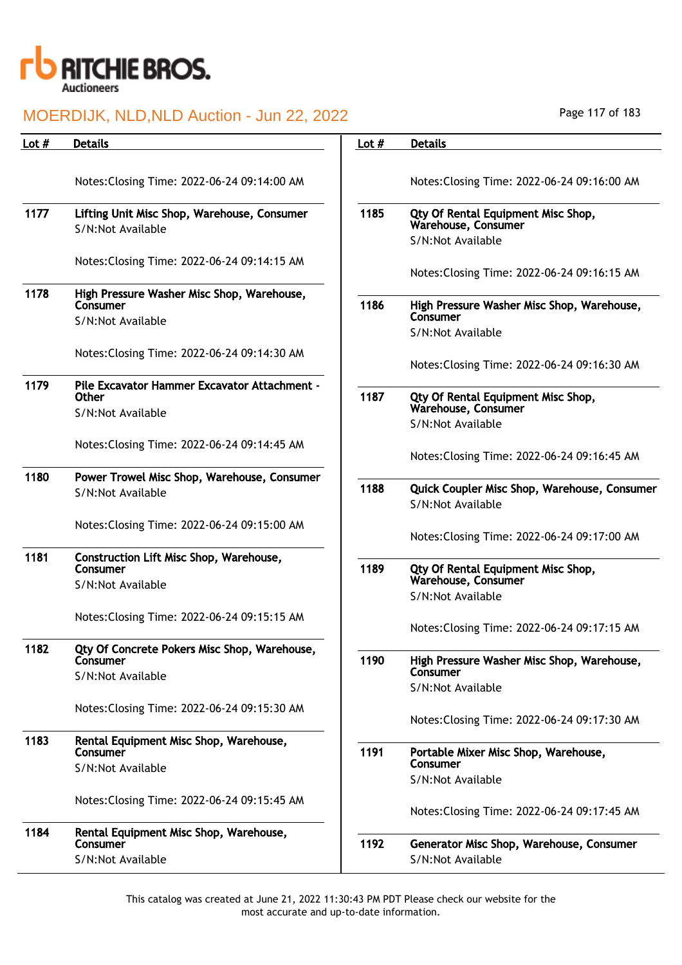

| Lot $#$ | <b>Details</b>                                         | Lot $#$ | <b>Details</b>                                                |
|---------|--------------------------------------------------------|---------|---------------------------------------------------------------|
|         |                                                        |         |                                                               |
|         | Notes: Closing Time: 2022-06-24 09:14:00 AM            |         | Notes: Closing Time: 2022-06-24 09:16:00 AM                   |
| 1177    | Lifting Unit Misc Shop, Warehouse, Consumer            | 1185    | Qty Of Rental Equipment Misc Shop,                            |
|         | S/N:Not Available                                      |         | Warehouse, Consumer<br>S/N:Not Available                      |
|         | Notes: Closing Time: 2022-06-24 09:14:15 AM            |         |                                                               |
|         |                                                        |         | Notes: Closing Time: 2022-06-24 09:16:15 AM                   |
| 1178    | High Pressure Washer Misc Shop, Warehouse,<br>Consumer | 1186    | High Pressure Washer Misc Shop, Warehouse,                    |
|         | S/N:Not Available                                      |         | Consumer                                                      |
|         |                                                        |         | S/N:Not Available                                             |
|         | Notes: Closing Time: 2022-06-24 09:14:30 AM            |         | Notes: Closing Time: 2022-06-24 09:16:30 AM                   |
| 1179    | Pile Excavator Hammer Excavator Attachment -           |         |                                                               |
|         | <b>Other</b>                                           | 1187    | Qty Of Rental Equipment Misc Shop,<br>Warehouse, Consumer     |
|         | S/N:Not Available                                      |         | S/N:Not Available                                             |
|         | Notes: Closing Time: 2022-06-24 09:14:45 AM            |         |                                                               |
|         |                                                        |         | Notes: Closing Time: 2022-06-24 09:16:45 AM                   |
| 1180    | Power Trowel Misc Shop, Warehouse, Consumer            | 1188    | Quick Coupler Misc Shop, Warehouse, Consumer                  |
|         | S/N:Not Available                                      |         | S/N:Not Available                                             |
|         | Notes: Closing Time: 2022-06-24 09:15:00 AM            |         |                                                               |
|         |                                                        |         | Notes: Closing Time: 2022-06-24 09:17:00 AM                   |
| 1181    | Construction Lift Misc Shop, Warehouse,<br>Consumer    | 1189    |                                                               |
|         | S/N:Not Available                                      |         | Qty Of Rental Equipment Misc Shop,<br>Warehouse, Consumer     |
|         |                                                        |         | S/N:Not Available                                             |
|         | Notes: Closing Time: 2022-06-24 09:15:15 AM            |         | Notes: Closing Time: 2022-06-24 09:17:15 AM                   |
| 1182    | Qty Of Concrete Pokers Misc Shop, Warehouse,           |         |                                                               |
|         | Consumer                                               | 1190    | High Pressure Washer Misc Shop, Warehouse,<br>Consumer        |
|         | S/N:Not Available                                      |         | S/N:Not Available                                             |
|         | Notes: Closing Time: 2022-06-24 09:15:30 AM            |         |                                                               |
|         |                                                        |         | Notes: Closing Time: 2022-06-24 09:17:30 AM                   |
| 1183    | Rental Equipment Misc Shop, Warehouse,<br>Consumer     | 1191    | Portable Mixer Misc Shop, Warehouse,                          |
|         | S/N:Not Available                                      |         | Consumer                                                      |
|         |                                                        |         | S/N:Not Available                                             |
|         | Notes: Closing Time: 2022-06-24 09:15:45 AM            |         | Notes: Closing Time: 2022-06-24 09:17:45 AM                   |
| 1184    | Rental Equipment Misc Shop, Warehouse,                 |         |                                                               |
|         | Consumer<br>S/N:Not Available                          | 1192    | Generator Misc Shop, Warehouse, Consumer<br>S/N:Not Available |
|         |                                                        |         |                                                               |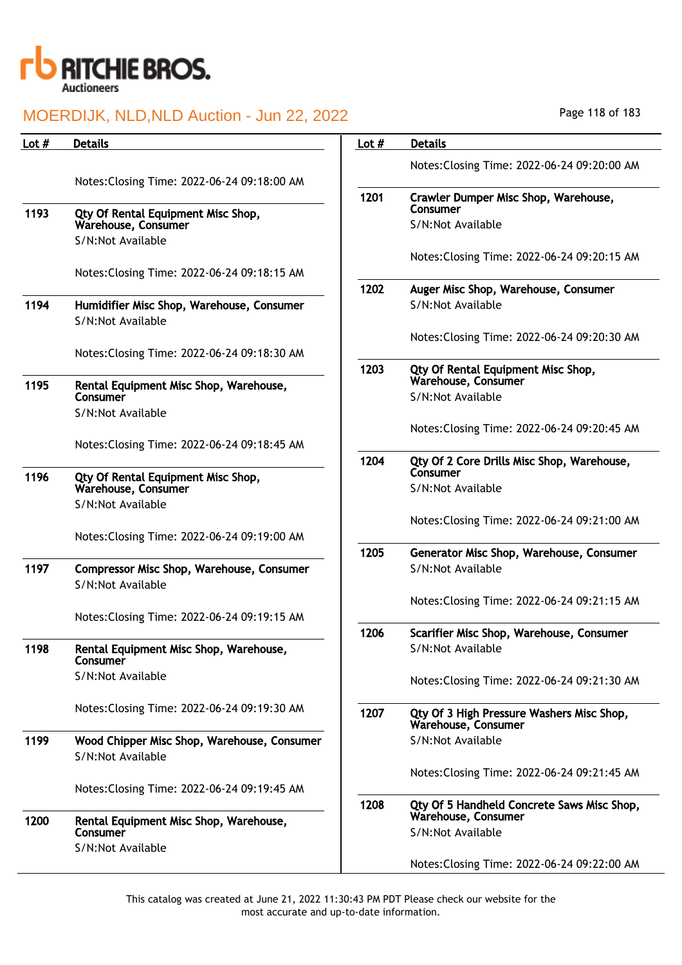

| Page 118 of 183 |  |  |  |  |  |
|-----------------|--|--|--|--|--|
|-----------------|--|--|--|--|--|

| Lot $#$ | <b>Details</b>                                     | Lot $#$ | <b>Details</b>                                                   |
|---------|----------------------------------------------------|---------|------------------------------------------------------------------|
|         |                                                    |         | Notes: Closing Time: 2022-06-24 09:20:00 AM                      |
|         | Notes: Closing Time: 2022-06-24 09:18:00 AM        |         |                                                                  |
| 1193    | Qty Of Rental Equipment Misc Shop,                 | 1201    | Crawler Dumper Misc Shop, Warehouse,<br>Consumer                 |
|         | Warehouse, Consumer                                |         | S/N:Not Available                                                |
|         | S/N:Not Available                                  |         |                                                                  |
|         | Notes: Closing Time: 2022-06-24 09:18:15 AM        |         | Notes: Closing Time: 2022-06-24 09:20:15 AM                      |
|         |                                                    | 1202    | Auger Misc Shop, Warehouse, Consumer                             |
| 1194    | Humidifier Misc Shop, Warehouse, Consumer          |         | S/N:Not Available                                                |
|         | S/N:Not Available                                  |         |                                                                  |
|         | Notes: Closing Time: 2022-06-24 09:18:30 AM        |         | Notes: Closing Time: 2022-06-24 09:20:30 AM                      |
|         |                                                    | 1203    | Qty Of Rental Equipment Misc Shop,                               |
| 1195    | Rental Equipment Misc Shop, Warehouse,<br>Consumer |         | Warehouse, Consumer<br>S/N:Not Available                         |
|         | S/N:Not Available                                  |         |                                                                  |
|         |                                                    |         | Notes: Closing Time: 2022-06-24 09:20:45 AM                      |
|         | Notes: Closing Time: 2022-06-24 09:18:45 AM        |         |                                                                  |
| 1196    | Qty Of Rental Equipment Misc Shop,                 | 1204    | Qty Of 2 Core Drills Misc Shop, Warehouse,<br>Consumer           |
|         | Warehouse, Consumer                                |         | S/N:Not Available                                                |
|         | S/N:Not Available                                  |         | Notes: Closing Time: 2022-06-24 09:21:00 AM                      |
|         | Notes: Closing Time: 2022-06-24 09:19:00 AM        |         |                                                                  |
|         |                                                    | 1205    | Generator Misc Shop, Warehouse, Consumer                         |
| 1197    | Compressor Misc Shop, Warehouse, Consumer          |         | S/N:Not Available                                                |
|         | S/N:Not Available                                  |         | Notes: Closing Time: 2022-06-24 09:21:15 AM                      |
|         | Notes: Closing Time: 2022-06-24 09:19:15 AM        |         |                                                                  |
|         |                                                    | 1206    | Scarifier Misc Shop, Warehouse, Consumer                         |
| 1198    | Rental Equipment Misc Shop, Warehouse,<br>Consumer |         | S/N:Not Available                                                |
|         | S/N:Not Available                                  |         | Notes: Closing Time: 2022-06-24 09:21:30 AM                      |
|         |                                                    |         |                                                                  |
|         | Notes: Closing Time: 2022-06-24 09:19:30 AM        | 1207    | Qty Of 3 High Pressure Washers Misc Shop,<br>Warehouse, Consumer |
| 1199    | Wood Chipper Misc Shop, Warehouse, Consumer        |         | S/N:Not Available                                                |
|         | S/N:Not Available                                  |         |                                                                  |
|         |                                                    |         | Notes: Closing Time: 2022-06-24 09:21:45 AM                      |
|         | Notes: Closing Time: 2022-06-24 09:19:45 AM        | 1208    | Qty Of 5 Handheld Concrete Saws Misc Shop,                       |
| 1200    | Rental Equipment Misc Shop, Warehouse,             |         | Warehouse, Consumer                                              |
|         | Consumer<br>S/N:Not Available                      |         | S/N:Not Available                                                |
|         |                                                    |         | Notes: Closing Time: 2022-06-24 09:22:00 AM                      |
|         |                                                    |         |                                                                  |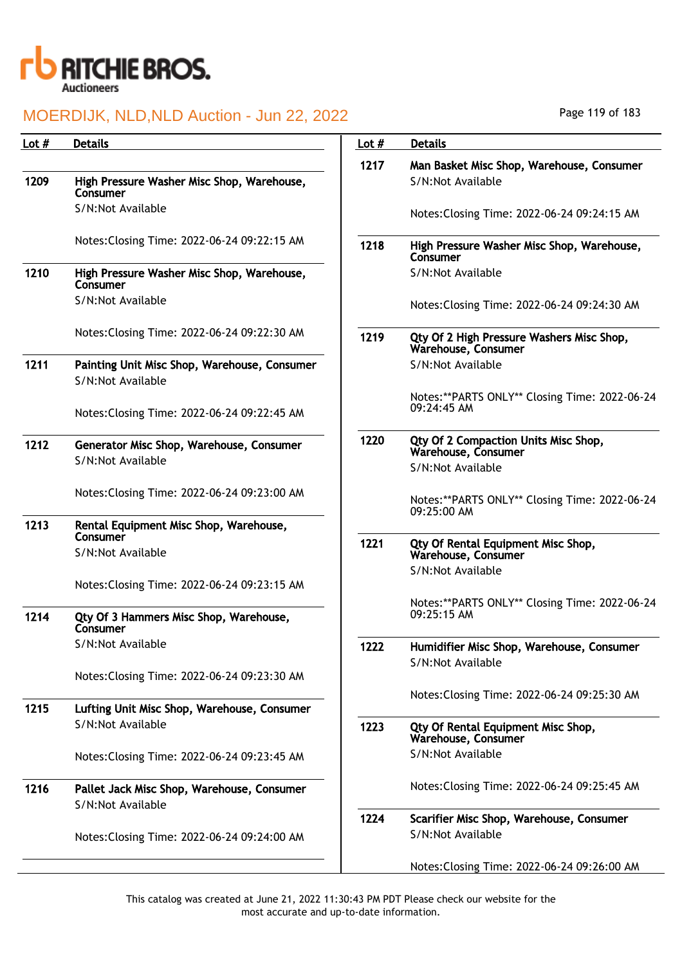

| Lot $#$ | <b>Details</b>                                                    | Lot $#$ | <b>Details</b>                                                   |
|---------|-------------------------------------------------------------------|---------|------------------------------------------------------------------|
|         |                                                                   | 1217    | Man Basket Misc Shop, Warehouse, Consumer                        |
| 1209    | High Pressure Washer Misc Shop, Warehouse,<br>Consumer            |         | S/N:Not Available                                                |
|         | S/N:Not Available                                                 |         | Notes: Closing Time: 2022-06-24 09:24:15 AM                      |
|         | Notes: Closing Time: 2022-06-24 09:22:15 AM                       | 1218    | High Pressure Washer Misc Shop, Warehouse,<br>Consumer           |
| 1210    | High Pressure Washer Misc Shop, Warehouse,<br>Consumer            |         | S/N:Not Available                                                |
|         | S/N:Not Available                                                 |         | Notes: Closing Time: 2022-06-24 09:24:30 AM                      |
|         | Notes: Closing Time: 2022-06-24 09:22:30 AM                       | 1219    | Qty Of 2 High Pressure Washers Misc Shop,<br>Warehouse, Consumer |
| 1211    | Painting Unit Misc Shop, Warehouse, Consumer<br>S/N:Not Available |         | S/N:Not Available                                                |
|         | Notes: Closing Time: 2022-06-24 09:22:45 AM                       |         | Notes:**PARTS ONLY** Closing Time: 2022-06-24<br>09:24:45 AM     |
| 1212    | Generator Misc Shop, Warehouse, Consumer<br>S/N:Not Available     | 1220    | Qty Of 2 Compaction Units Misc Shop,<br>Warehouse, Consumer      |
|         |                                                                   |         | S/N:Not Available                                                |
|         | Notes: Closing Time: 2022-06-24 09:23:00 AM                       |         | Notes:**PARTS ONLY** Closing Time: 2022-06-24<br>09:25:00 AM     |
| 1213    | Rental Equipment Misc Shop, Warehouse,<br>Consumer                |         |                                                                  |
|         | S/N:Not Available                                                 | 1221    | Qty Of Rental Equipment Misc Shop,<br>Warehouse, Consumer        |
|         | Notes: Closing Time: 2022-06-24 09:23:15 AM                       |         | S/N:Not Available                                                |
| 1214    | Qty Of 3 Hammers Misc Shop, Warehouse,<br>Consumer                |         | Notes:**PARTS ONLY** Closing Time: 2022-06-24<br>09:25:15 AM     |
|         | S/N:Not Available                                                 | 1222    | Humidifier Misc Shop, Warehouse, Consumer<br>S/N:Not Available   |
|         | Notes: Closing Time: 2022-06-24 09:23:30 AM                       |         | Notes: Closing Time: 2022-06-24 09:25:30 AM                      |
| 1215    | Lufting Unit Misc Shop, Warehouse, Consumer                       |         |                                                                  |
|         | S/N:Not Available                                                 | 1223    | Qty Of Rental Equipment Misc Shop,<br>Warehouse, Consumer        |
|         | Notes: Closing Time: 2022-06-24 09:23:45 AM                       |         | S/N:Not Available                                                |
| 1216    | Pallet Jack Misc Shop, Warehouse, Consumer<br>S/N:Not Available   |         | Notes: Closing Time: 2022-06-24 09:25:45 AM                      |
|         | Notes: Closing Time: 2022-06-24 09:24:00 AM                       | 1224    | Scarifier Misc Shop, Warehouse, Consumer<br>S/N:Not Available    |
|         |                                                                   |         | Notes: Closing Time: 2022-06-24 09:26:00 AM                      |

Page 119 of 183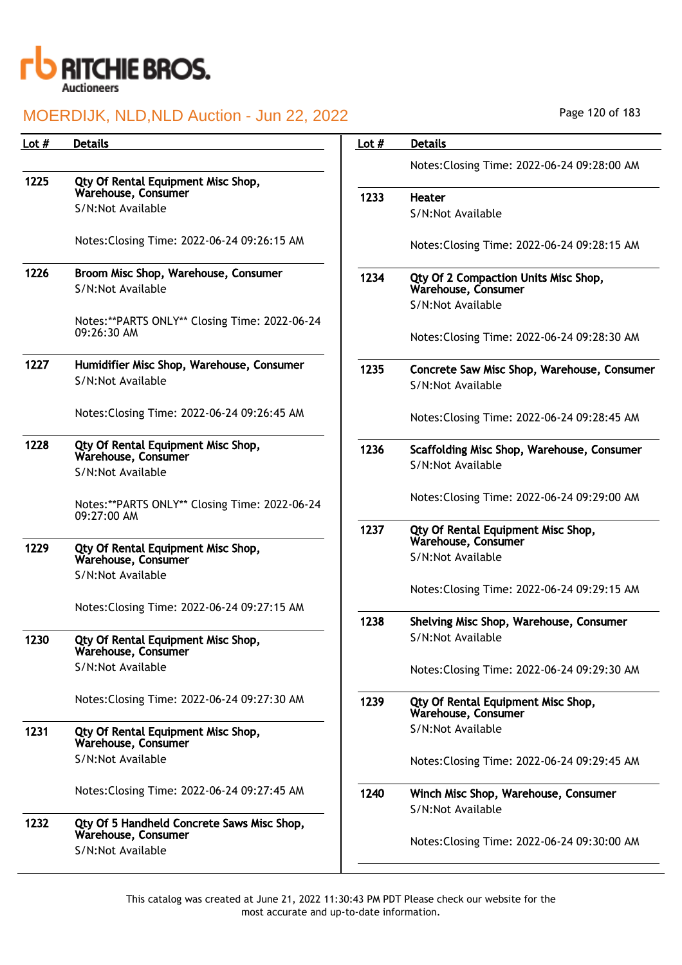

| Lot $#$ | <b>Details</b>                                                    | Lot $#$ | <b>Details</b>                                            |
|---------|-------------------------------------------------------------------|---------|-----------------------------------------------------------|
|         |                                                                   |         | Notes: Closing Time: 2022-06-24 09:28:00 AM               |
| 1225    | Qty Of Rental Equipment Misc Shop,<br>Warehouse, Consumer         |         |                                                           |
|         | S/N:Not Available                                                 | 1233    | <b>Heater</b><br>S/N:Not Available                        |
|         |                                                                   |         |                                                           |
|         | Notes: Closing Time: 2022-06-24 09:26:15 AM                       |         | Notes: Closing Time: 2022-06-24 09:28:15 AM               |
| 1226    | Broom Misc Shop, Warehouse, Consumer                              | 1234    | Qty Of 2 Compaction Units Misc Shop,                      |
|         | S/N:Not Available                                                 |         | Warehouse, Consumer                                       |
|         | Notes:**PARTS ONLY** Closing Time: 2022-06-24                     |         | S/N:Not Available                                         |
|         | 09:26:30 AM                                                       |         | Notes: Closing Time: 2022-06-24 09:28:30 AM               |
|         |                                                                   |         |                                                           |
| 1227    | Humidifier Misc Shop, Warehouse, Consumer<br>S/N:Not Available    | 1235    | Concrete Saw Misc Shop, Warehouse, Consumer               |
|         |                                                                   |         | S/N:Not Available                                         |
|         | Notes: Closing Time: 2022-06-24 09:26:45 AM                       |         | Notes: Closing Time: 2022-06-24 09:28:45 AM               |
| 1228    | Qty Of Rental Equipment Misc Shop,                                | 1236    | Scaffolding Misc Shop, Warehouse, Consumer                |
|         | Warehouse, Consumer<br>S/N:Not Available                          |         | S/N:Not Available                                         |
|         |                                                                   |         |                                                           |
|         | Notes:**PARTS ONLY** Closing Time: 2022-06-24                     |         | Notes: Closing Time: 2022-06-24 09:29:00 AM               |
|         | 09:27:00 AM                                                       | 1237    | Qty Of Rental Equipment Misc Shop,                        |
| 1229    | Qty Of Rental Equipment Misc Shop,                                |         | Warehouse, Consumer                                       |
|         | Warehouse, Consumer                                               |         | S/N:Not Available                                         |
|         | S/N:Not Available                                                 |         | Notes: Closing Time: 2022-06-24 09:29:15 AM               |
|         | Notes: Closing Time: 2022-06-24 09:27:15 AM                       |         |                                                           |
|         |                                                                   | 1238    | Shelving Misc Shop, Warehouse, Consumer                   |
| 1230    | Qty Of Rental Equipment Misc Shop,<br>Warehouse, Consumer         |         | S/N:Not Available                                         |
|         | S/N:Not Available                                                 |         | Notes: Closing Time: 2022-06-24 09:29:30 AM               |
|         |                                                                   |         |                                                           |
|         | Notes: Closing Time: 2022-06-24 09:27:30 AM                       | 1239    | Qty Of Rental Equipment Misc Shop,<br>Warehouse, Consumer |
| 1231    | Qty Of Rental Equipment Misc Shop,                                |         | S/N:Not Available                                         |
|         | Warehouse, Consumer                                               |         |                                                           |
|         | S/N:Not Available                                                 |         | Notes: Closing Time: 2022-06-24 09:29:45 AM               |
|         | Notes: Closing Time: 2022-06-24 09:27:45 AM                       | 1240    | Winch Misc Shop, Warehouse, Consumer                      |
|         |                                                                   |         | S/N:Not Available                                         |
| 1232    | Qty Of 5 Handheld Concrete Saws Misc Shop,<br>Warehouse, Consumer |         |                                                           |
|         | S/N:Not Available                                                 |         | Notes: Closing Time: 2022-06-24 09:30:00 AM               |
|         |                                                                   |         |                                                           |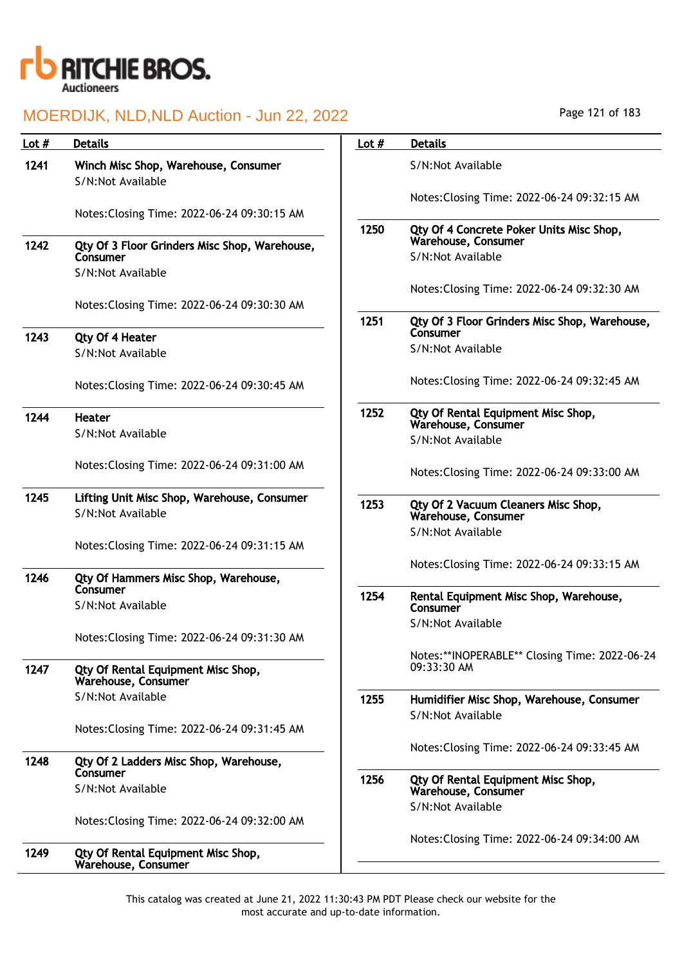

| <b>Details</b>                                                   | Lot $#$                                                                                                                                                                                                                                                                               | <b>Details</b>                                                  |
|------------------------------------------------------------------|---------------------------------------------------------------------------------------------------------------------------------------------------------------------------------------------------------------------------------------------------------------------------------------|-----------------------------------------------------------------|
| Winch Misc Shop, Warehouse, Consumer<br>S/N:Not Available        |                                                                                                                                                                                                                                                                                       | S/N:Not Available                                               |
| Notes: Closing Time: 2022-06-24 09:30:15 AM                      |                                                                                                                                                                                                                                                                                       | Notes: Closing Time: 2022-06-24 09:32:15 AM                     |
|                                                                  | 1250                                                                                                                                                                                                                                                                                  | Qty Of 4 Concrete Poker Units Misc Shop,<br>Warehouse, Consumer |
| Consumer                                                         |                                                                                                                                                                                                                                                                                       | S/N:Not Available                                               |
| Notes: Closing Time: 2022-06-24 09:30:30 AM                      |                                                                                                                                                                                                                                                                                       | Notes: Closing Time: 2022-06-24 09:32:30 AM                     |
|                                                                  | 1251                                                                                                                                                                                                                                                                                  | Qty Of 3 Floor Grinders Misc Shop, Warehouse,<br>Consumer       |
| S/N:Not Available                                                |                                                                                                                                                                                                                                                                                       | S/N:Not Available                                               |
| Notes: Closing Time: 2022-06-24 09:30:45 AM                      |                                                                                                                                                                                                                                                                                       | Notes: Closing Time: 2022-06-24 09:32:45 AM                     |
| <b>Heater</b>                                                    | 1252                                                                                                                                                                                                                                                                                  | Qty Of Rental Equipment Misc Shop,<br>Warehouse, Consumer       |
|                                                                  |                                                                                                                                                                                                                                                                                       | S/N:Not Available                                               |
| Notes: Closing Time: 2022-06-24 09:31:00 AM                      |                                                                                                                                                                                                                                                                                       | Notes: Closing Time: 2022-06-24 09:33:00 AM                     |
| Lifting Unit Misc Shop, Warehouse, Consumer<br>S/N:Not Available | 1253                                                                                                                                                                                                                                                                                  | Qty Of 2 Vacuum Cleaners Misc Shop,<br>Warehouse, Consumer      |
|                                                                  |                                                                                                                                                                                                                                                                                       | S/N:Not Available                                               |
|                                                                  |                                                                                                                                                                                                                                                                                       |                                                                 |
| Qty Of Hammers Misc Shop, Warehouse,                             |                                                                                                                                                                                                                                                                                       | Notes: Closing Time: 2022-06-24 09:33:15 AM                     |
| Consumer<br>S/N:Not Available                                    | 1254                                                                                                                                                                                                                                                                                  | Rental Equipment Misc Shop, Warehouse,<br>Consumer              |
|                                                                  |                                                                                                                                                                                                                                                                                       | S/N:Not Available                                               |
| Qty Of Rental Equipment Misc Shop,                               |                                                                                                                                                                                                                                                                                       | Notes:**INOPERABLE** Closing Time: 2022-06-24<br>09:33:30 AM    |
|                                                                  |                                                                                                                                                                                                                                                                                       |                                                                 |
|                                                                  |                                                                                                                                                                                                                                                                                       | Humidifier Misc Shop, Warehouse, Consumer<br>S/N:Not Available  |
| Notes: Closing Time: 2022-06-24 09:31:45 AM                      |                                                                                                                                                                                                                                                                                       | Notes: Closing Time: 2022-06-24 09:33:45 AM                     |
| Qty Of 2 Ladders Misc Shop, Warehouse,                           |                                                                                                                                                                                                                                                                                       |                                                                 |
|                                                                  | 1256                                                                                                                                                                                                                                                                                  | Qty Of Rental Equipment Misc Shop,                              |
|                                                                  |                                                                                                                                                                                                                                                                                       | Warehouse, Consumer<br>S/N:Not Available                        |
| Notes: Closing Time: 2022-06-24 09:32:00 AM                      |                                                                                                                                                                                                                                                                                       |                                                                 |
| Qty Of Rental Equipment Misc Shop,<br>Warehouse, Consumer        |                                                                                                                                                                                                                                                                                       | Notes: Closing Time: 2022-06-24 09:34:00 AM                     |
|                                                                  | Qty Of 3 Floor Grinders Misc Shop, Warehouse,<br>S/N:Not Available<br>Qty Of 4 Heater<br>S/N:Not Available<br>Notes: Closing Time: 2022-06-24 09:31:15 AM<br>Notes: Closing Time: 2022-06-24 09:31:30 AM<br>Warehouse, Consumer<br>S/N:Not Available<br>Consumer<br>S/N:Not Available | 1255                                                            |

Page 121 of 183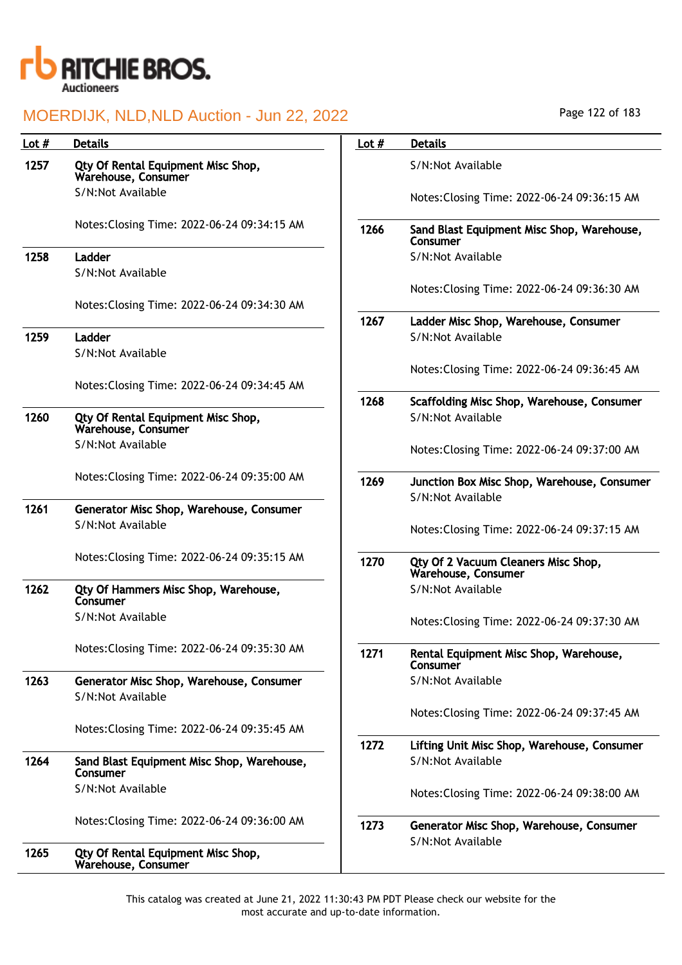

| Lot $#$ | <b>Details</b>                                                | Lot $#$ | <b>Details</b>                                                   |
|---------|---------------------------------------------------------------|---------|------------------------------------------------------------------|
| 1257    | Qty Of Rental Equipment Misc Shop,<br>Warehouse, Consumer     |         | S/N:Not Available                                                |
|         | S/N:Not Available                                             |         | Notes: Closing Time: 2022-06-24 09:36:15 AM                      |
|         | Notes: Closing Time: 2022-06-24 09:34:15 AM                   | 1266    | Sand Blast Equipment Misc Shop, Warehouse,<br>Consumer           |
| 1258    | Ladder                                                        |         | S/N:Not Available                                                |
|         | S/N:Not Available                                             |         |                                                                  |
|         | Notes: Closing Time: 2022-06-24 09:34:30 AM                   |         | Notes: Closing Time: 2022-06-24 09:36:30 AM                      |
|         |                                                               | 1267    | Ladder Misc Shop, Warehouse, Consumer                            |
| 1259    | Ladder                                                        |         | S/N:Not Available                                                |
|         | S/N:Not Available                                             |         |                                                                  |
|         | Notes: Closing Time: 2022-06-24 09:34:45 AM                   |         | Notes: Closing Time: 2022-06-24 09:36:45 AM                      |
|         |                                                               | 1268    | Scaffolding Misc Shop, Warehouse, Consumer                       |
| 1260    | Qty Of Rental Equipment Misc Shop,<br>Warehouse, Consumer     |         | S/N:Not Available                                                |
|         | S/N:Not Available                                             |         | Notes: Closing Time: 2022-06-24 09:37:00 AM                      |
|         | Notes: Closing Time: 2022-06-24 09:35:00 AM                   | 1269    | Junction Box Misc Shop, Warehouse, Consumer<br>S/N:Not Available |
| 1261    | Generator Misc Shop, Warehouse, Consumer                      |         |                                                                  |
|         | S/N:Not Available                                             |         | Notes: Closing Time: 2022-06-24 09:37:15 AM                      |
|         | Notes: Closing Time: 2022-06-24 09:35:15 AM                   | 1270    | Qty Of 2 Vacuum Cleaners Misc Shop,<br>Warehouse, Consumer       |
| 1262    | Qty Of Hammers Misc Shop, Warehouse,<br>Consumer              |         | S/N:Not Available                                                |
|         | S/N:Not Available                                             |         | Notes: Closing Time: 2022-06-24 09:37:30 AM                      |
|         | Notes: Closing Time: 2022-06-24 09:35:30 AM                   | 1271    | Rental Equipment Misc Shop, Warehouse,<br>Consumer               |
| 1263    | Generator Misc Shop, Warehouse, Consumer<br>S/N:Not Available |         | S/N:Not Available                                                |
|         |                                                               |         | Notes: Closing Time: 2022-06-24 09:37:45 AM                      |
|         | Notes: Closing Time: 2022-06-24 09:35:45 AM                   |         |                                                                  |
|         |                                                               | 1272    | Lifting Unit Misc Shop, Warehouse, Consumer                      |
| 1264    | Sand Blast Equipment Misc Shop, Warehouse,<br>Consumer        |         | S/N:Not Available                                                |
|         | S/N:Not Available                                             |         | Notes: Closing Time: 2022-06-24 09:38:00 AM                      |
|         | Notes: Closing Time: 2022-06-24 09:36:00 AM                   | 1273    | Generator Misc Shop, Warehouse, Consumer<br>S/N:Not Available    |
| 1265    | Qty Of Rental Equipment Misc Shop,<br>Warehouse, Consumer     |         |                                                                  |

Page 122 of 183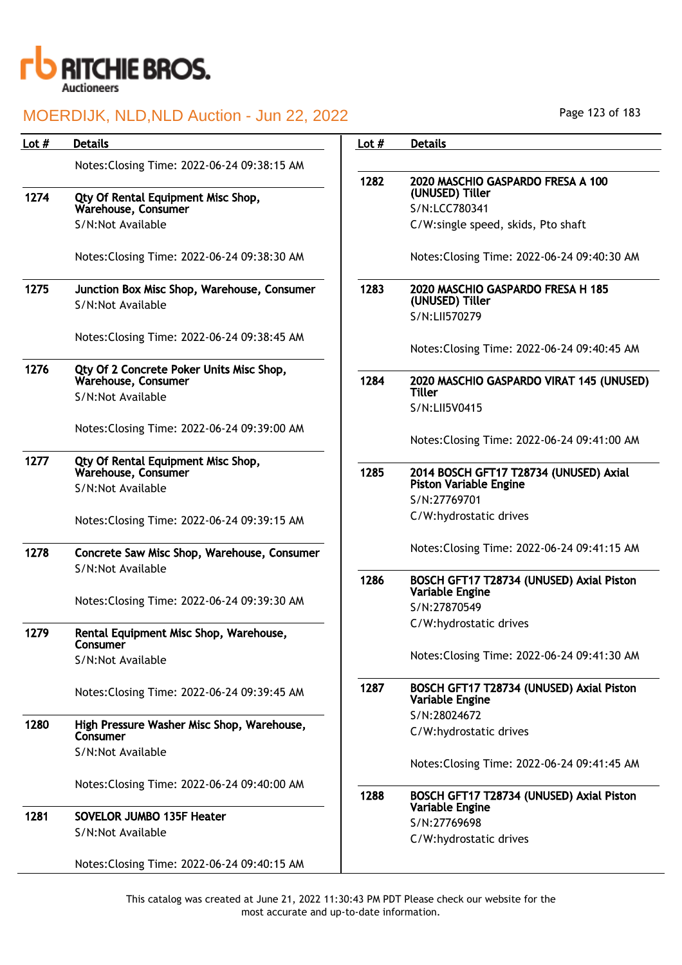

| Lot $#$ | <b>Details</b>                                                   | Lot $#$ | <b>Details</b>                                                     |
|---------|------------------------------------------------------------------|---------|--------------------------------------------------------------------|
|         | Notes: Closing Time: 2022-06-24 09:38:15 AM                      | 1282    | 2020 MASCHIO GASPARDO FRESA A 100                                  |
| 1274    | Qty Of Rental Equipment Misc Shop,                               |         | (UNUSED) Tiller                                                    |
|         | Warehouse, Consumer                                              |         | S/N:LCC780341                                                      |
|         | S/N:Not Available                                                |         | C/W:single speed, skids, Pto shaft                                 |
|         | Notes: Closing Time: 2022-06-24 09:38:30 AM                      |         | Notes: Closing Time: 2022-06-24 09:40:30 AM                        |
| 1275    | Junction Box Misc Shop, Warehouse, Consumer<br>S/N:Not Available | 1283    | 2020 MASCHIO GASPARDO FRESA H 185<br>(UNUSED) Tiller               |
|         |                                                                  |         | S/N:LII570279                                                      |
|         | Notes: Closing Time: 2022-06-24 09:38:45 AM                      |         | Notes: Closing Time: 2022-06-24 09:40:45 AM                        |
|         |                                                                  |         |                                                                    |
| 1276    | Qty Of 2 Concrete Poker Units Misc Shop,<br>Warehouse, Consumer  | 1284    | 2020 MASCHIO GASPARDO VIRAT 145 (UNUSED)<br><b>Tiller</b>          |
|         | S/N:Not Available                                                |         | S/N:LII5V0415                                                      |
|         |                                                                  |         |                                                                    |
|         | Notes: Closing Time: 2022-06-24 09:39:00 AM                      |         | Notes: Closing Time: 2022-06-24 09:41:00 AM                        |
| 1277    | Qty Of Rental Equipment Misc Shop,<br>Warehouse, Consumer        | 1285    | 2014 BOSCH GFT17 T28734 (UNUSED) Axial                             |
|         | S/N:Not Available                                                |         | <b>Piston Variable Engine</b><br>S/N:27769701                      |
|         | Notes: Closing Time: 2022-06-24 09:39:15 AM                      |         | C/W:hydrostatic drives                                             |
| 1278    | Concrete Saw Misc Shop, Warehouse, Consumer                      |         | Notes: Closing Time: 2022-06-24 09:41:15 AM                        |
|         | S/N:Not Available                                                |         |                                                                    |
|         |                                                                  | 1286    | BOSCH GFT17 T28734 (UNUSED) Axial Piston<br><b>Variable Engine</b> |
|         | Notes: Closing Time: 2022-06-24 09:39:30 AM                      |         | S/N:27870549                                                       |
|         |                                                                  |         | C/W:hydrostatic drives                                             |
| 1279    | Rental Equipment Misc Shop, Warehouse,<br>Consumer               |         |                                                                    |
|         | S/N:Not Available                                                |         | Notes: Closing Time: 2022-06-24 09:41:30 AM                        |
|         | Notes: Closing Time: 2022-06-24 09:39:45 AM                      | 1287    | BOSCH GFT17 T28734 (UNUSED) Axial Piston<br>Variable Engine        |
| 1280    | High Pressure Washer Misc Shop, Warehouse,<br>Consumer           |         | S/N:28024672<br>C/W:hydrostatic drives                             |
|         | S/N:Not Available                                                |         |                                                                    |
|         |                                                                  |         | Notes: Closing Time: 2022-06-24 09:41:45 AM                        |
|         | Notes: Closing Time: 2022-06-24 09:40:00 AM                      | 1288    | BOSCH GFT17 T28734 (UNUSED) Axial Piston                           |
| 1281    | <b>SOVELOR JUMBO 135F Heater</b>                                 |         | Variable Engine                                                    |
|         | S/N:Not Available                                                |         | S/N:27769698<br>C/W:hydrostatic drives                             |
|         | Notes: Closing Time: 2022-06-24 09:40:15 AM                      |         |                                                                    |
|         |                                                                  |         |                                                                    |

Page 123 of 183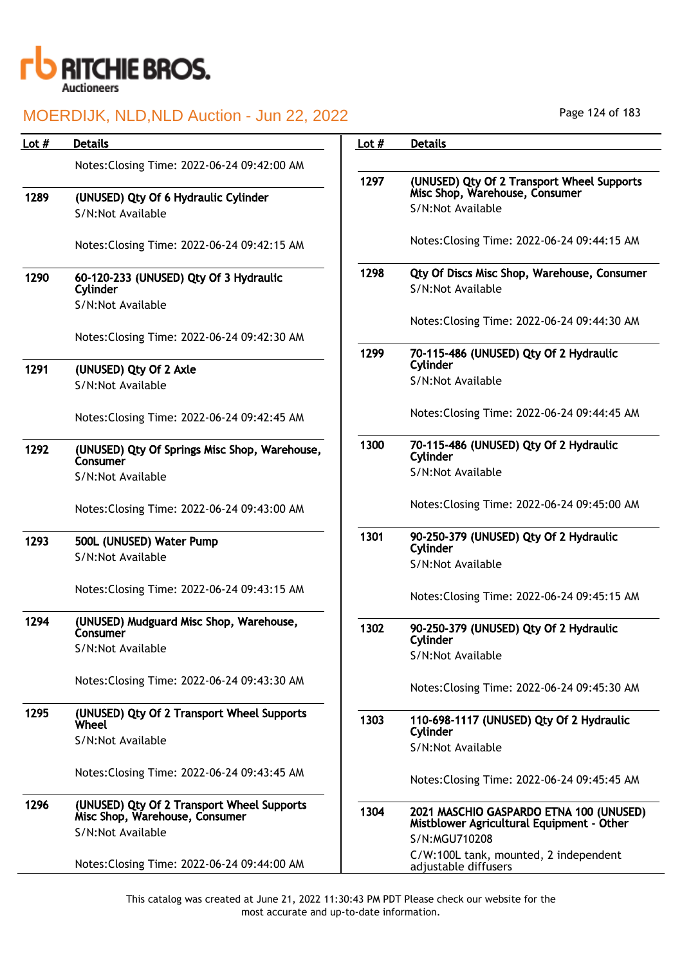

 $1291$ 

1293

#### MOERDIJK, NLD,NLD Auction - Jun 22, 2022

| Lot $#$ | <b>Details</b>                                                               | Lot $#$ | <b>Details</b>                                                                       |
|---------|------------------------------------------------------------------------------|---------|--------------------------------------------------------------------------------------|
|         | Notes: Closing Time: 2022-06-24 09:42:00 AM                                  |         |                                                                                      |
| 1289    | (UNUSED) Qty Of 6 Hydraulic Cylinder                                         | 1297    | (UNUSED) Qty Of 2 Transport Wheel Supports<br>Misc Shop, Warehouse, Consumer         |
|         | S/N:Not Available                                                            |         | S/N:Not Available                                                                    |
|         | Notes: Closing Time: 2022-06-24 09:42:15 AM                                  |         | Notes: Closing Time: 2022-06-24 09:44:15 AM                                          |
| 1290    | 60-120-233 (UNUSED) Qty Of 3 Hydraulic<br>Cylinder<br>S/N:Not Available      | 1298    | <b>Qty Of Discs Misc Shop, Warehouse, Consumer</b><br>S/N:Not Available              |
|         | Notes: Closing Time: 2022-06-24 09:42:30 AM                                  |         | Notes: Closing Time: 2022-06-24 09:44:30 AM                                          |
| 1291    | (UNUSED) Qty Of 2 Axle                                                       | 1299    | 70-115-486 (UNUSED) Qty Of 2 Hydraulic<br>Cylinder                                   |
|         | S/N:Not Available                                                            |         | S/N:Not Available                                                                    |
|         | Notes: Closing Time: 2022-06-24 09:42:45 AM                                  |         | Notes: Closing Time: 2022-06-24 09:44:45 AM                                          |
| 1292    | (UNUSED) Qty Of Springs Misc Shop, Warehouse,<br>Consumer                    | 1300    | 70-115-486 (UNUSED) Qty Of 2 Hydraulic<br>Cylinder                                   |
|         | S/N:Not Available                                                            |         | S/N:Not Available                                                                    |
|         | Notes: Closing Time: 2022-06-24 09:43:00 AM                                  |         | Notes: Closing Time: 2022-06-24 09:45:00 AM                                          |
| 1293    | 500L (UNUSED) Water Pump<br>S/N:Not Available                                | 1301    | 90-250-379 (UNUSED) Qty Of 2 Hydraulic<br>Cylinder                                   |
|         |                                                                              |         | S/N:Not Available                                                                    |
|         | Notes: Closing Time: 2022-06-24 09:43:15 AM                                  |         | Notes: Closing Time: 2022-06-24 09:45:15 AM                                          |
| 1294    | (UNUSED) Mudguard Misc Shop, Warehouse,<br>Consumer                          | 1302    | 90-250-379 (UNUSED) Qty Of 2 Hydraulic<br>Cylinder                                   |
|         | S/N:Not Available                                                            |         | S/N:Not Available                                                                    |
|         | Notes: Closing Time: 2022-06-24 09:43:30 AM                                  |         | Notes: Closing Time: 2022-06-24 09:45:30 AM                                          |
| 1295    | (UNUSED) Qty Of 2 Transport Wheel Supports<br><b>Wheel</b>                   | 1303    | 110-698-1117 (UNUSED) Qty Of 2 Hydraulic<br>Cylinder                                 |
|         | S/N:Not Available                                                            |         | S/N:Not Available                                                                    |
|         | Notes: Closing Time: 2022-06-24 09:43:45 AM                                  |         | Notes: Closing Time: 2022-06-24 09:45:45 AM                                          |
| 1296    | (UNUSED) Qty Of 2 Transport Wheel Supports<br>Misc Shop, Warehouse, Consumer | 1304    | 2021 MASCHIO GASPARDO ETNA 100 (UNUSED)<br>Mistblower Agricultural Equipment - Other |
|         | S/N:Not Available                                                            |         | S/N:MGU710208                                                                        |
|         | Notes: Closing Time: 2022-06-24 09:44:00 AM                                  |         | C/W:100L tank, mounted, 2 independent<br>adjustable diffusers                        |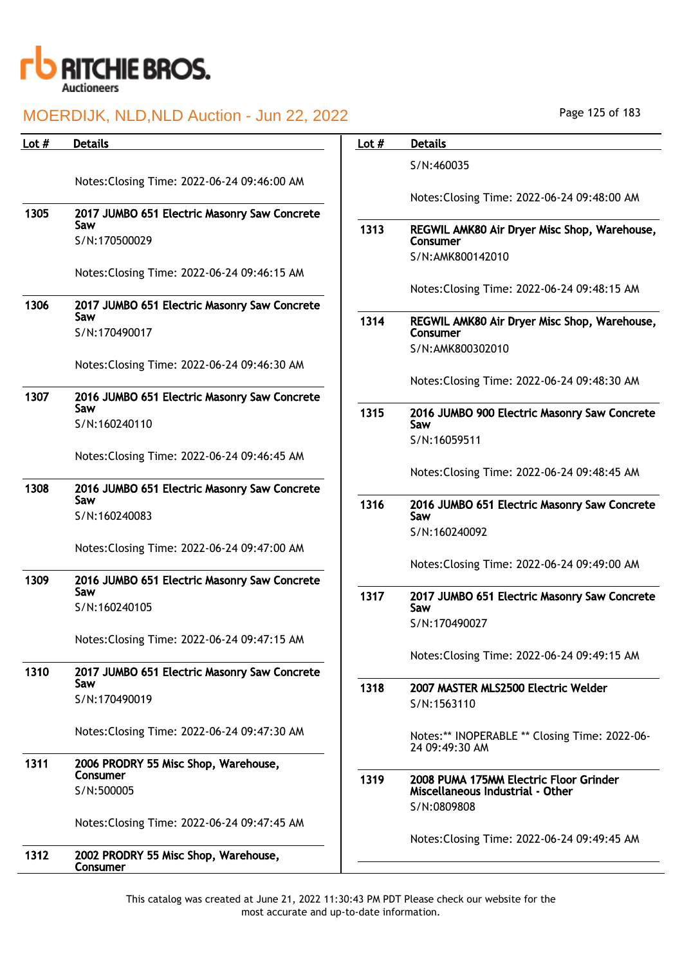

| Lot # | <b>Details</b>                                                       | Lot $#$ | <b>Details</b>                                                  |
|-------|----------------------------------------------------------------------|---------|-----------------------------------------------------------------|
|       | Notes: Closing Time: 2022-06-24 09:46:00 AM                          |         | S/N:460035                                                      |
| 1305  | 2017 JUMBO 651 Electric Masonry Saw Concrete                         |         | Notes: Closing Time: 2022-06-24 09:48:00 AM                     |
|       | Saw<br>S/N:170500029                                                 | 1313    | REGWIL AMK80 Air Dryer Misc Shop, Warehouse,<br>Consumer        |
|       | Notes: Closing Time: 2022-06-24 09:46:15 AM                          |         | S/N:AMK800142010                                                |
|       |                                                                      |         | Notes: Closing Time: 2022-06-24 09:48:15 AM                     |
| 1306  | 2017 JUMBO 651 Electric Masonry Saw Concrete<br>Saw<br>S/N:170490017 | 1314    | REGWIL AMK80 Air Dryer Misc Shop, Warehouse,<br>Consumer        |
|       | Notes: Closing Time: 2022-06-24 09:46:30 AM                          |         | S/N:AMK800302010                                                |
|       |                                                                      |         | Notes: Closing Time: 2022-06-24 09:48:30 AM                     |
| 1307  | 2016 JUMBO 651 Electric Masonry Saw Concrete<br>Saw<br>S/N:160240110 | 1315    | 2016 JUMBO 900 Electric Masonry Saw Concrete<br>Saw             |
|       |                                                                      |         | S/N:16059511                                                    |
|       | Notes: Closing Time: 2022-06-24 09:46:45 AM                          |         | Notes: Closing Time: 2022-06-24 09:48:45 AM                     |
| 1308  | 2016 JUMBO 651 Electric Masonry Saw Concrete<br>Saw<br>S/N:160240083 | 1316    | 2016 JUMBO 651 Electric Masonry Saw Concrete<br>Saw             |
|       |                                                                      |         | S/N:160240092                                                   |
|       | Notes: Closing Time: 2022-06-24 09:47:00 AM                          |         | Notes: Closing Time: 2022-06-24 09:49:00 AM                     |
| 1309  | 2016 JUMBO 651 Electric Masonry Saw Concrete<br>Saw<br>S/N:160240105 | 1317    | 2017 JUMBO 651 Electric Masonry Saw Concrete<br>Saw             |
|       |                                                                      |         | S/N:170490027                                                   |
|       | Notes: Closing Time: 2022-06-24 09:47:15 AM                          |         | Notes: Closing Time: 2022-06-24 09:49:15 AM                     |
| 1310  | 2017 JUMBO 651 Electric Masonry Saw Concrete<br>Saw                  | 1318    | 2007 MASTER MLS2500 Electric Welder                             |
|       | S/N:170490019                                                        |         | S/N:1563110                                                     |
|       | Notes: Closing Time: 2022-06-24 09:47:30 AM                          |         | Notes:** INOPERABLE ** Closing Time: 2022-06-<br>24 09:49:30 AM |
| 1311  | 2006 PRODRY 55 Misc Shop, Warehouse,<br>Consumer                     | 1319    | 2008 PUMA 175MM Electric Floor Grinder                          |
|       | S/N:500005                                                           |         | Miscellaneous Industrial - Other<br>S/N:0809808                 |
|       | Notes: Closing Time: 2022-06-24 09:47:45 AM                          |         | Notes: Closing Time: 2022-06-24 09:49:45 AM                     |
| 1312  | 2002 PRODRY 55 Misc Shop, Warehouse,<br>Consumer                     |         |                                                                 |

Page 125 of 183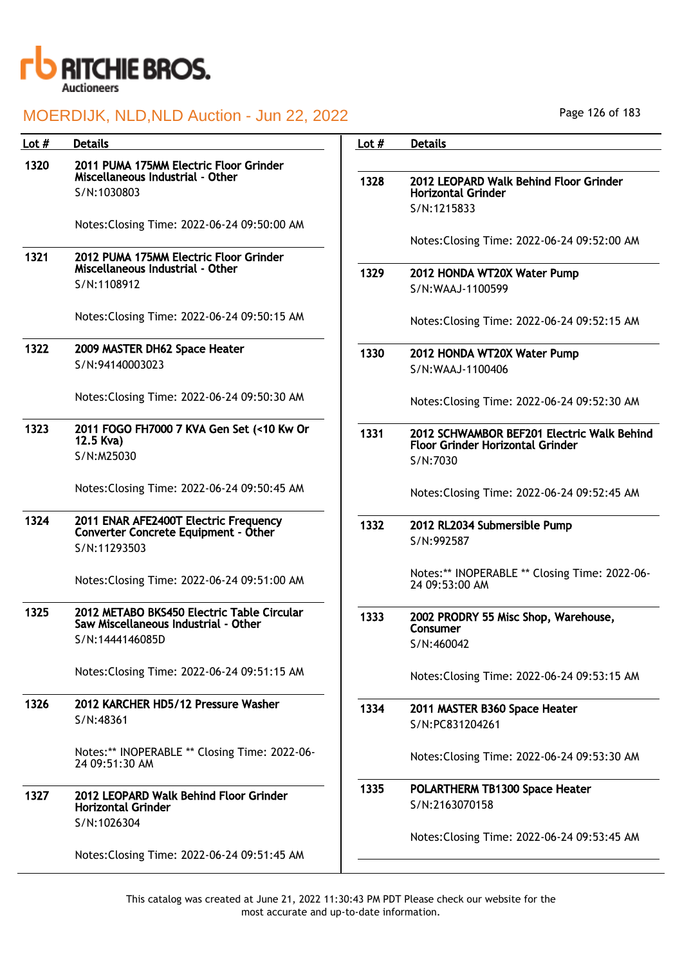

| Lot $#$ | <b>Details</b>                                                                       | Lot $#$ | <b>Details</b>                                                      |
|---------|--------------------------------------------------------------------------------------|---------|---------------------------------------------------------------------|
| 1320    | 2011 PUMA 175MM Electric Floor Grinder<br>Miscellaneous Industrial - Other           |         |                                                                     |
|         | S/N:1030803                                                                          | 1328    | 2012 LEOPARD Walk Behind Floor Grinder<br><b>Horizontal Grinder</b> |
|         | Notes: Closing Time: 2022-06-24 09:50:00 AM                                          |         | S/N:1215833                                                         |
|         |                                                                                      |         | Notes: Closing Time: 2022-06-24 09:52:00 AM                         |
| 1321    | 2012 PUMA 175MM Electric Floor Grinder<br>Miscellaneous Industrial - Other           | 1329    | 2012 HONDA WT20X Water Pump                                         |
|         | S/N:1108912                                                                          |         | S/N:WAAJ-1100599                                                    |
|         | Notes: Closing Time: 2022-06-24 09:50:15 AM                                          |         | Notes: Closing Time: 2022-06-24 09:52:15 AM                         |
| 1322    | 2009 MASTER DH62 Space Heater                                                        | 1330    | 2012 HONDA WT20X Water Pump                                         |
|         | S/N:94140003023                                                                      |         | S/N:WAAJ-1100406                                                    |
|         | Notes: Closing Time: 2022-06-24 09:50:30 AM                                          |         | Notes: Closing Time: 2022-06-24 09:52:30 AM                         |
| 1323    | 2011 FOGO FH7000 7 KVA Gen Set (<10 Kw Or<br>12.5 Kva)                               | 1331    | 2012 SCHWAMBOR BEF201 Electric Walk Behind                          |
|         | S/N:M25030                                                                           |         | <b>Floor Grinder Horizontal Grinder</b><br>S/N:7030                 |
|         | Notes: Closing Time: 2022-06-24 09:50:45 AM                                          |         | Notes: Closing Time: 2022-06-24 09:52:45 AM                         |
| 1324    | 2011 ENAR AFE2400T Electric Frequency<br><b>Converter Concrete Equipment - Other</b> | 1332    | 2012 RL2034 Submersible Pump                                        |
|         | S/N:11293503                                                                         |         | S/N:992587                                                          |
|         | Notes: Closing Time: 2022-06-24 09:51:00 AM                                          |         | Notes:** INOPERABLE ** Closing Time: 2022-06-<br>24 09:53:00 AM     |
| 1325    | 2012 METABO BKS450 Electric Table Circular<br>Saw Miscellaneous Industrial - Other   | 1333    | 2002 PRODRY 55 Misc Shop, Warehouse,                                |
|         | S/N:1444146085D                                                                      |         | Consumer<br>S/N:460042                                              |
|         | Notes: Closing Time: 2022-06-24 09:51:15 AM                                          |         | Notes: Closing Time: 2022-06-24 09:53:15 AM                         |
| 1326    | 2012 KARCHER HD5/12 Pressure Washer                                                  | 1334    | 2011 MASTER B360 Space Heater                                       |
|         | S/N:48361                                                                            |         | S/N:PC831204261                                                     |
|         | Notes:** INOPERABLE ** Closing Time: 2022-06-<br>24 09:51:30 AM                      |         | Notes: Closing Time: 2022-06-24 09:53:30 AM                         |
| 1327    | 2012 LEOPARD Walk Behind Floor Grinder                                               | 1335    | POLARTHERM TB1300 Space Heater                                      |
|         | <b>Horizontal Grinder</b><br>S/N:1026304                                             |         | S/N:2163070158                                                      |
|         |                                                                                      |         | Notes: Closing Time: 2022-06-24 09:53:45 AM                         |
|         | Notes: Closing Time: 2022-06-24 09:51:45 AM                                          |         |                                                                     |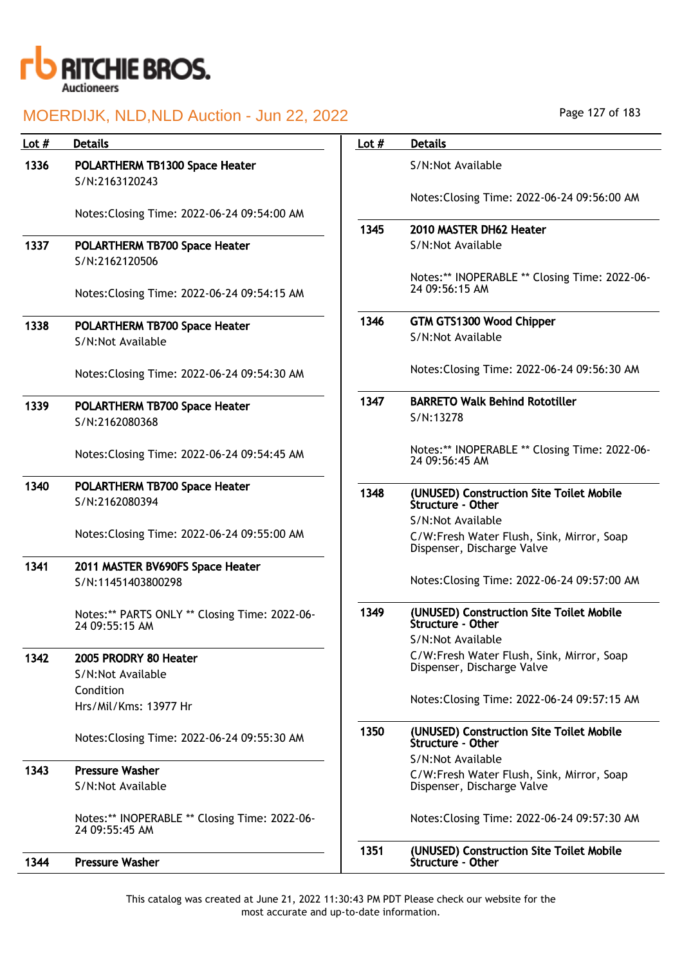

| Lot $#$ | <b>Details</b>                                                  | Lot $#$ | <b>Details</b>                                                  |
|---------|-----------------------------------------------------------------|---------|-----------------------------------------------------------------|
| 1336    | POLARTHERM TB1300 Space Heater<br>S/N:2163120243                |         | S/N:Not Available                                               |
|         |                                                                 |         | Notes: Closing Time: 2022-06-24 09:56:00 AM                     |
|         | Notes: Closing Time: 2022-06-24 09:54:00 AM                     |         |                                                                 |
|         |                                                                 | 1345    | 2010 MASTER DH62 Heater                                         |
| 1337    | POLARTHERM TB700 Space Heater                                   |         | S/N:Not Available                                               |
|         | S/N:2162120506                                                  |         | Notes:** INOPERABLE ** Closing Time: 2022-06-                   |
|         | Notes: Closing Time: 2022-06-24 09:54:15 AM                     |         | 24 09:56:15 AM                                                  |
|         |                                                                 | 1346    | GTM GTS1300 Wood Chipper                                        |
| 1338    | POLARTHERM TB700 Space Heater                                   |         | S/N:Not Available                                               |
|         | S/N:Not Available                                               |         |                                                                 |
|         | Notes: Closing Time: 2022-06-24 09:54:30 AM                     |         | Notes: Closing Time: 2022-06-24 09:56:30 AM                     |
| 1339    | POLARTHERM TB700 Space Heater                                   | 1347    | <b>BARRETO Walk Behind Rototiller</b>                           |
|         | S/N:2162080368                                                  |         | S/N:13278                                                       |
|         |                                                                 |         |                                                                 |
|         | Notes: Closing Time: 2022-06-24 09:54:45 AM                     |         | Notes:** INOPERABLE ** Closing Time: 2022-06-<br>24 09:56:45 AM |
| 1340    | POLARTHERM TB700 Space Heater                                   |         |                                                                 |
|         | S/N:2162080394                                                  | 1348    | (UNUSED) Construction Site Toilet Mobile<br>Structure - Other   |
|         |                                                                 |         | S/N:Not Available                                               |
|         | Notes: Closing Time: 2022-06-24 09:55:00 AM                     |         | C/W:Fresh Water Flush, Sink, Mirror, Soap                       |
|         |                                                                 |         | Dispenser, Discharge Valve                                      |
| 1341    | 2011 MASTER BV690FS Space Heater                                |         |                                                                 |
|         | S/N:11451403800298                                              |         | Notes: Closing Time: 2022-06-24 09:57:00 AM                     |
|         |                                                                 | 1349    | (UNUSED) Construction Site Toilet Mobile                        |
|         | Notes:** PARTS ONLY ** Closing Time: 2022-06-24 09:55:15 AM     |         | Structure - Other                                               |
|         |                                                                 |         | S/N:Not Available                                               |
| 1342    | 2005 PRODRY 80 Heater                                           |         | C/W:Fresh Water Flush, Sink, Mirror, Soap                       |
|         | S/N:Not Available                                               |         | Dispenser, Discharge Valve                                      |
|         | Condition                                                       |         |                                                                 |
|         | Hrs/Mil/Kms: 13977 Hr                                           |         | Notes: Closing Time: 2022-06-24 09:57:15 AM                     |
|         | Notes: Closing Time: 2022-06-24 09:55:30 AM                     | 1350    | (UNUSED) Construction Site Toilet Mobile<br>Structure - Other   |
|         |                                                                 |         | S/N:Not Available                                               |
| 1343    | <b>Pressure Washer</b>                                          |         | C/W:Fresh Water Flush, Sink, Mirror, Soap                       |
|         | S/N:Not Available                                               |         | Dispenser, Discharge Valve                                      |
|         | Notes:** INOPERABLE ** Closing Time: 2022-06-<br>24 09:55:45 AM |         | Notes: Closing Time: 2022-06-24 09:57:30 AM                     |
| 1344    | <b>Pressure Washer</b>                                          | 1351    | (UNUSED) Construction Site Toilet Mobile<br>Structure - Other   |

Page 127 of 183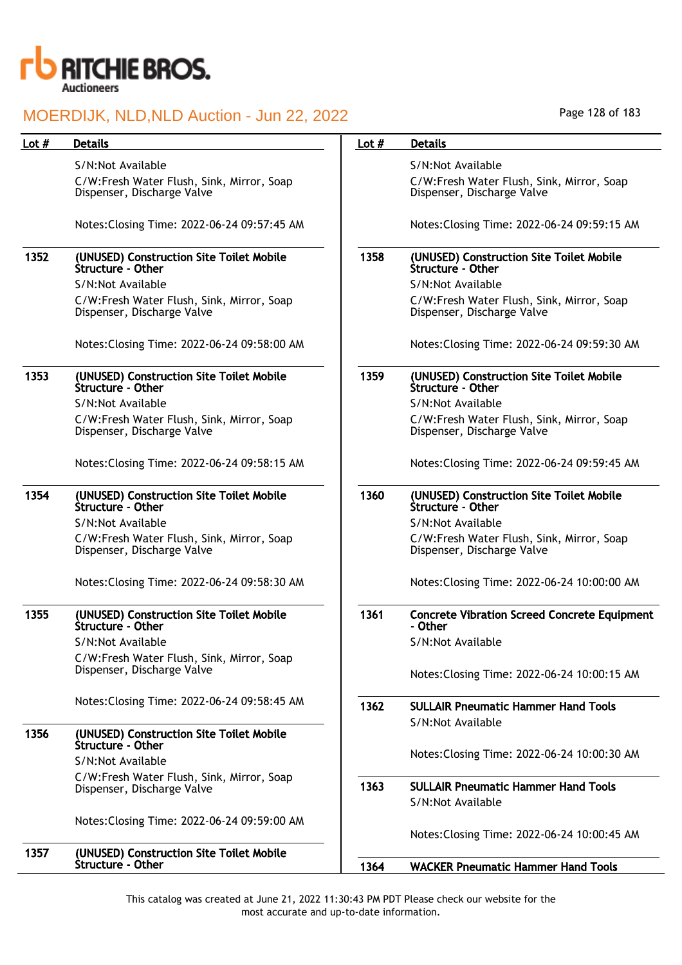

Structure - Other

#### MOERDIJK, NLD,NLD Auction - Jun 22, 2022

| Lot # | <b>Details</b>                                                          | Lot $#$ | <b>Details</b>                                                          |
|-------|-------------------------------------------------------------------------|---------|-------------------------------------------------------------------------|
|       | S/N:Not Available                                                       |         | S/N:Not Available                                                       |
|       | C/W:Fresh Water Flush, Sink, Mirror, Soap<br>Dispenser, Discharge Valve |         | C/W:Fresh Water Flush, Sink, Mirror, Soap<br>Dispenser, Discharge Valve |
|       | Notes: Closing Time: 2022-06-24 09:57:45 AM                             |         | Notes: Closing Time: 2022-06-24 09:59:15 AM                             |
| 1352  | (UNUSED) Construction Site Toilet Mobile<br>Structure - Other           | 1358    | (UNUSED) Construction Site Toilet Mobile<br>Structure - Other           |
|       | S/N:Not Available                                                       |         | S/N:Not Available                                                       |
|       | C/W:Fresh Water Flush, Sink, Mirror, Soap<br>Dispenser, Discharge Valve |         | C/W:Fresh Water Flush, Sink, Mirror, Soap<br>Dispenser, Discharge Valve |
|       | Notes: Closing Time: 2022-06-24 09:58:00 AM                             |         | Notes: Closing Time: 2022-06-24 09:59:30 AM                             |
| 1353  | (UNUSED) Construction Site Toilet Mobile<br>Structure - Other           | 1359    | (UNUSED) Construction Site Toilet Mobile<br>Structure - Other           |
|       | S/N:Not Available                                                       |         | S/N:Not Available                                                       |
|       | C/W:Fresh Water Flush, Sink, Mirror, Soap<br>Dispenser, Discharge Valve |         | C/W:Fresh Water Flush, Sink, Mirror, Soap<br>Dispenser, Discharge Valve |
|       | Notes: Closing Time: 2022-06-24 09:58:15 AM                             |         | Notes: Closing Time: 2022-06-24 09:59:45 AM                             |
| 1354  | (UNUSED) Construction Site Toilet Mobile<br>Structure - Other           | 1360    | (UNUSED) Construction Site Toilet Mobile<br>Structure - Other           |
|       | S/N:Not Available                                                       |         | S/N:Not Available                                                       |
|       | C/W:Fresh Water Flush, Sink, Mirror, Soap<br>Dispenser, Discharge Valve |         | C/W:Fresh Water Flush, Sink, Mirror, Soap<br>Dispenser, Discharge Valve |
|       | Notes: Closing Time: 2022-06-24 09:58:30 AM                             |         | Notes: Closing Time: 2022-06-24 10:00:00 AM                             |
| 1355  | (UNUSED) Construction Site Toilet Mobile<br><b>Structure - Other</b>    | 1361    | <b>Concrete Vibration Screed Concrete Equipment</b><br>- Other          |
|       | S/N:Not Available                                                       |         | S/N:Not Available                                                       |
|       | C/W:Fresh Water Flush, Sink, Mirror, Soap<br>Dispenser, Discharge Valve |         | Notes: Closing Time: 2022-06-24 10:00:15 AM                             |
|       | Notes: Closing Time: 2022-06-24 09:58:45 AM                             | 1362    | <b>SULLAIR Pneumatic Hammer Hand Tools</b>                              |
| 1356  | (UNUSED) Construction Site Toilet Mobile<br>Structure - Other           |         | S/N:Not Available                                                       |
|       | S/N:Not Available                                                       |         | Notes: Closing Time: 2022-06-24 10:00:30 AM                             |
|       | C/W:Fresh Water Flush, Sink, Mirror, Soap<br>Dispenser, Discharge Valve | 1363    | <b>SULLAIR Pneumatic Hammer Hand Tools</b><br>S/N:Not Available         |
|       | Notes: Closing Time: 2022-06-24 09:59:00 AM                             |         | Notes: Closing Time: 2022-06-24 10:00:45 AM                             |
| 1357  | (UNUSED) Construction Site Toilet Mobile                                |         |                                                                         |

1364 WACKER Pneumatic Hammer Hand Tools

Page 128 of 183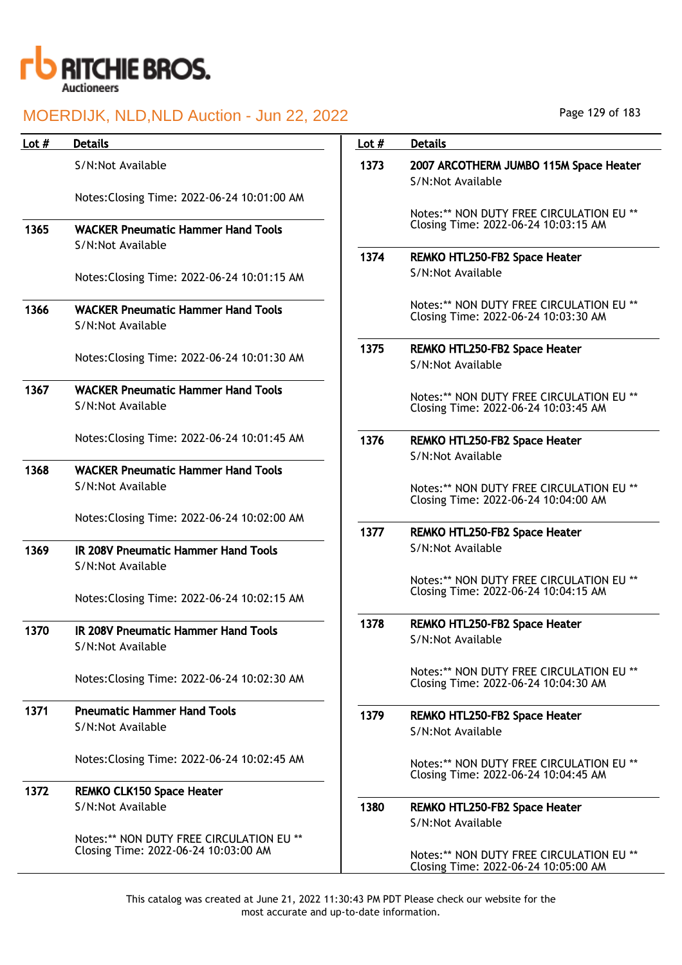

| Lot $#$ | <b>Details</b>                                                 | Lot $#$ | <b>Details</b>                                                                   |
|---------|----------------------------------------------------------------|---------|----------------------------------------------------------------------------------|
|         | S/N:Not Available                                              | 1373    | 2007 ARCOTHERM JUMBO 115M Space Heater<br>S/N:Not Available                      |
|         | Notes: Closing Time: 2022-06-24 10:01:00 AM                    |         | Notes:** NON DUTY FREE CIRCULATION EU **                                         |
| 1365    | <b>WACKER Pneumatic Hammer Hand Tools</b>                      |         | Closing Time: 2022-06-24 10:03:15 AM                                             |
|         | S/N:Not Available                                              | 1374    | REMKO HTL250-FB2 Space Heater                                                    |
|         | Notes: Closing Time: 2022-06-24 10:01:15 AM                    |         | S/N:Not Available                                                                |
| 1366    | <b>WACKER Pneumatic Hammer Hand Tools</b><br>S/N:Not Available |         | Notes:** NON DUTY FREE CIRCULATION EU **<br>Closing Time: 2022-06-24 10:03:30 AM |
|         |                                                                | 1375    | REMKO HTL250-FB2 Space Heater                                                    |
|         | Notes: Closing Time: 2022-06-24 10:01:30 AM                    |         | S/N:Not Available                                                                |
| 1367    | <b>WACKER Pneumatic Hammer Hand Tools</b><br>S/N:Not Available |         | Notes:** NON DUTY FREE CIRCULATION EU **                                         |
|         |                                                                |         | Closing Time: 2022-06-24 10:03:45 AM                                             |
|         | Notes: Closing Time: 2022-06-24 10:01:45 AM                    | 1376    | REMKO HTL250-FB2 Space Heater<br>S/N:Not Available                               |
| 1368    | <b>WACKER Pneumatic Hammer Hand Tools</b>                      |         |                                                                                  |
|         | S/N:Not Available                                              |         | Notes:** NON DUTY FREE CIRCULATION EU **<br>Closing Time: 2022-06-24 10:04:00 AM |
|         | Notes: Closing Time: 2022-06-24 10:02:00 AM                    |         |                                                                                  |
|         |                                                                | 1377    | REMKO HTL250-FB2 Space Heater                                                    |
| 1369    | IR 208V Pneumatic Hammer Hand Tools                            |         | S/N:Not Available                                                                |
|         | S/N:Not Available                                              |         | Notes:** NON DUTY FREE CIRCULATION EU **                                         |
|         | Notes: Closing Time: 2022-06-24 10:02:15 AM                    |         | Closing Time: 2022-06-24 10:04:15 AM                                             |
|         |                                                                | 1378    | REMKO HTL250-FB2 Space Heater                                                    |
| 1370    | IR 208V Pneumatic Hammer Hand Tools<br>S/N:Not Available       |         | S/N:Not Available                                                                |
|         | Notes: Closing Time: 2022-06-24 10:02:30 AM                    |         | Notes:** NON DUTY FREE CIRCULATION EU **<br>Closing Time: 2022-06-24 10:04:30 AM |
| 1371    | <b>Pneumatic Hammer Hand Tools</b>                             | 1379    | REMKO HTL250-FB2 Space Heater                                                    |
|         | S/N:Not Available                                              |         | S/N:Not Available                                                                |
|         | Notes: Closing Time: 2022-06-24 10:02:45 AM                    |         | Notes:** NON DUTY FREE CIRCULATION EU **<br>Closing Time: 2022-06-24 10:04:45 AM |
| 1372    | <b>REMKO CLK150 Space Heater</b>                               |         |                                                                                  |
|         | S/N:Not Available                                              | 1380    | REMKO HTL250-FB2 Space Heater<br>S/N:Not Available                               |
|         | Notes:** NON DUTY FREE CIRCULATION EU **                       |         |                                                                                  |
|         | Closing Time: 2022-06-24 10:03:00 AM                           |         | Notes:** NON DUTY FREE CIRCULATION EU **<br>Closing Time: 2022-06-24 10:05:00 AM |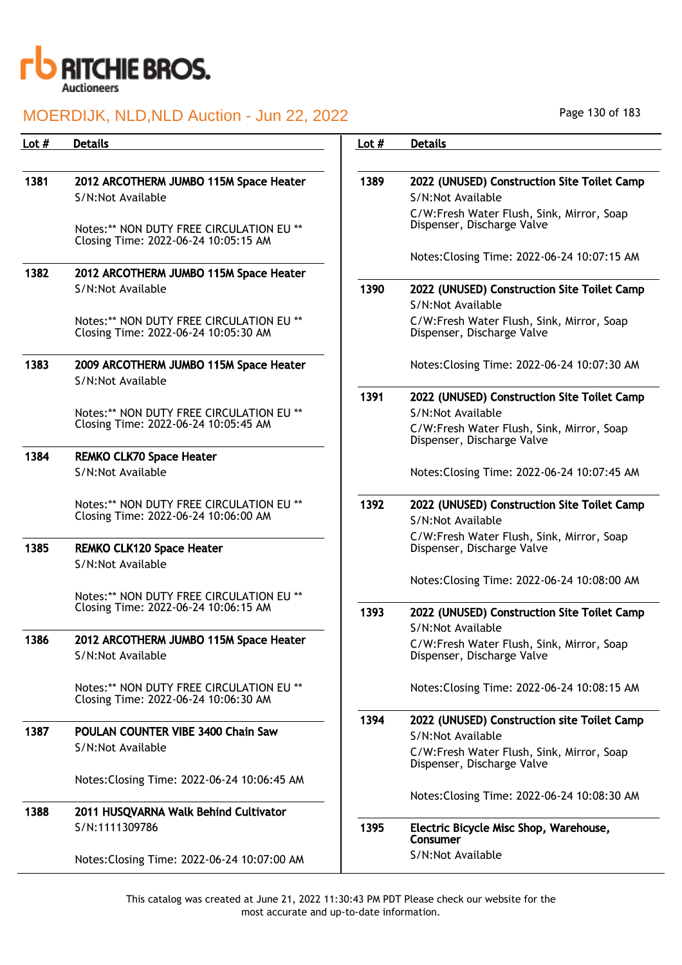

## MOERDIJK, NLD,NLD Auction - Jun 22, 2022

| Lot # | <b>Details</b>                                                                   | Lot $#$ | <b>Details</b>                                                          |
|-------|----------------------------------------------------------------------------------|---------|-------------------------------------------------------------------------|
|       |                                                                                  |         |                                                                         |
| 1381  | 2012 ARCOTHERM JUMBO 115M Space Heater                                           | 1389    | 2022 (UNUSED) Construction Site Toilet Camp                             |
|       | S/N:Not Available                                                                |         | S/N:Not Available                                                       |
|       | Notes:** NON DUTY FREE CIRCULATION EU **<br>Closing Time: 2022-06-24 10:05:15 AM |         | C/W:Fresh Water Flush, Sink, Mirror, Soap<br>Dispenser, Discharge Valve |
|       |                                                                                  |         | Notes: Closing Time: 2022-06-24 10:07:15 AM                             |
| 1382  | 2012 ARCOTHERM JUMBO 115M Space Heater                                           |         |                                                                         |
|       | S/N:Not Available                                                                | 1390    | 2022 (UNUSED) Construction Site Toilet Camp                             |
|       |                                                                                  |         | S/N:Not Available                                                       |
|       | Notes:** NON DUTY FREE CIRCULATION EU **<br>Closing Time: 2022-06-24 10:05:30 AM |         | C/W:Fresh Water Flush, Sink, Mirror, Soap<br>Dispenser, Discharge Valve |
| 1383  | 2009 ARCOTHERM JUMBO 115M Space Heater                                           |         | Notes: Closing Time: 2022-06-24 10:07:30 AM                             |
|       | S/N:Not Available                                                                |         |                                                                         |
|       | Notes:** NON DUTY FREE CIRCULATION EU **                                         | 1391    | 2022 (UNUSED) Construction Site Toilet Camp<br>S/N:Not Available        |
|       | Closing Time: 2022-06-24 10:05:45 AM                                             |         | C/W:Fresh Water Flush, Sink, Mirror, Soap<br>Dispenser, Discharge Valve |
| 1384  | <b>REMKO CLK70 Space Heater</b>                                                  |         |                                                                         |
|       | S/N:Not Available                                                                |         | Notes: Closing Time: 2022-06-24 10:07:45 AM                             |
|       | Notes:** NON DUTY FREE CIRCULATION EU **<br>Closing Time: 2022-06-24 10:06:00 AM | 1392    | 2022 (UNUSED) Construction Site Toilet Camp<br>S/N:Not Available        |
|       |                                                                                  |         | C/W:Fresh Water Flush, Sink, Mirror, Soap                               |
| 1385  | <b>REMKO CLK120 Space Heater</b><br>S/N:Not Available                            |         | Dispenser, Discharge Valve                                              |
|       |                                                                                  |         | Notes: Closing Time: 2022-06-24 10:08:00 AM                             |
|       | Notes:** NON DUTY FREE CIRCULATION EU **<br>Closing Time: 2022-06-24 10:06:15 AM |         |                                                                         |
|       |                                                                                  | 1393    | 2022 (UNUSED) Construction Site Toilet Camp                             |
|       |                                                                                  |         | S/N:Not Available                                                       |
| 1386  | 2012 ARCOTHERM JUMBO 115M Space Heater                                           |         | C/W:Fresh Water Flush, Sink, Mirror, Soap                               |
|       | S/N:Not Available                                                                |         | Dispenser, Discharge Valve                                              |
|       | Notes:** NON DUTY FREE CIRCULATION EU **<br>Closing Time: 2022-06-24 10:06:30 AM |         | Notes: Closing Time: 2022-06-24 10:08:15 AM                             |
|       |                                                                                  | 1394    | 2022 (UNUSED) Construction site Toilet Camp                             |
| 1387  | POULAN COUNTER VIBE 3400 Chain Saw                                               |         | S/N:Not Available                                                       |
|       | S/N:Not Available                                                                |         | C/W:Fresh Water Flush, Sink, Mirror, Soap<br>Dispenser, Discharge Valve |
|       | Notes: Closing Time: 2022-06-24 10:06:45 AM                                      |         |                                                                         |
| 1388  | 2011 HUSQVARNA Walk Behind Cultivator                                            |         | Notes: Closing Time: 2022-06-24 10:08:30 AM                             |
|       | S/N:1111309786                                                                   | 1395    | Electric Bicycle Misc Shop, Warehouse,<br>Consumer                      |
|       | Notes: Closing Time: 2022-06-24 10:07:00 AM                                      |         | S/N:Not Available                                                       |

Page 130 of 183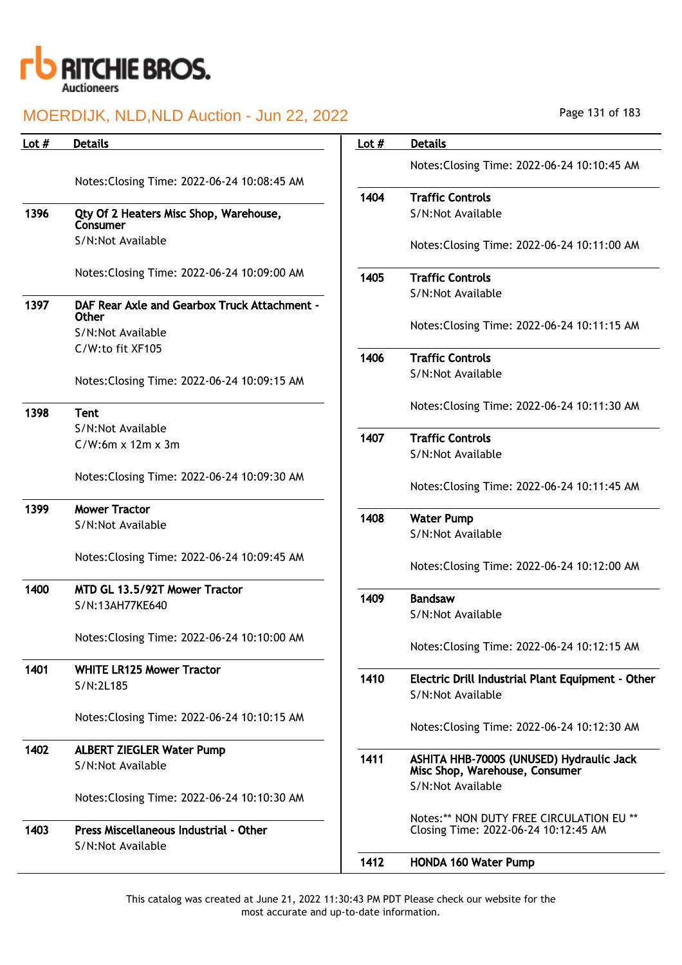

| Lot $#$ | <b>Details</b>                                                      | Lot $#$ | <b>Details</b>                                                             |
|---------|---------------------------------------------------------------------|---------|----------------------------------------------------------------------------|
|         |                                                                     |         | Notes: Closing Time: 2022-06-24 10:10:45 AM                                |
|         | Notes: Closing Time: 2022-06-24 10:08:45 AM                         |         |                                                                            |
|         |                                                                     | 1404    | <b>Traffic Controls</b>                                                    |
| 1396    | Qty Of 2 Heaters Misc Shop, Warehouse,                              |         | S/N:Not Available                                                          |
|         | Consumer                                                            |         |                                                                            |
|         | S/N:Not Available                                                   |         | Notes: Closing Time: 2022-06-24 10:11:00 AM                                |
|         | Notes: Closing Time: 2022-06-24 10:09:00 AM                         | 1405    | <b>Traffic Controls</b>                                                    |
|         |                                                                     |         | S/N:Not Available                                                          |
| 1397    | <b>DAF Rear Axle and Gearbox Truck Attachment -</b><br><b>Other</b> |         |                                                                            |
|         | S/N:Not Available                                                   |         | Notes: Closing Time: 2022-06-24 10:11:15 AM                                |
|         | C/W:to fit XF105                                                    |         |                                                                            |
|         |                                                                     | 1406    | <b>Traffic Controls</b>                                                    |
|         | Notes: Closing Time: 2022-06-24 10:09:15 AM                         |         | S/N:Not Available                                                          |
| 1398    | <b>Tent</b>                                                         |         | Notes: Closing Time: 2022-06-24 10:11:30 AM                                |
|         | S/N:Not Available                                                   |         |                                                                            |
|         | $C/W:6m \times 12m \times 3m$                                       | 1407    | <b>Traffic Controls</b>                                                    |
|         |                                                                     |         | S/N:Not Available                                                          |
|         | Notes: Closing Time: 2022-06-24 10:09:30 AM                         |         | Notes: Closing Time: 2022-06-24 10:11:45 AM                                |
| 1399    | <b>Mower Tractor</b>                                                | 1408    | <b>Water Pump</b>                                                          |
|         | S/N:Not Available                                                   |         | S/N:Not Available                                                          |
|         |                                                                     |         |                                                                            |
|         | Notes: Closing Time: 2022-06-24 10:09:45 AM                         |         | Notes: Closing Time: 2022-06-24 10:12:00 AM                                |
| 1400    | MTD GL 13.5/92T Mower Tractor                                       |         |                                                                            |
|         | S/N:13AH77KE640                                                     | 1409    | <b>Bandsaw</b>                                                             |
|         |                                                                     |         | S/N:Not Available                                                          |
|         | Notes: Closing Time: 2022-06-24 10:10:00 AM                         |         | Notes: Closing Time: 2022-06-24 10:12:15 AM                                |
|         |                                                                     |         |                                                                            |
| 1401    | <b>WHITE LR125 Mower Tractor</b>                                    | 1410    | Electric Drill Industrial Plant Equipment - Other                          |
|         | S/N:2L185                                                           |         | S/N:Not Available                                                          |
|         |                                                                     |         |                                                                            |
|         | Notes: Closing Time: 2022-06-24 10:10:15 AM                         |         | Notes: Closing Time: 2022-06-24 10:12:30 AM                                |
| 1402    | <b>ALBERT ZIEGLER Water Pump</b>                                    |         |                                                                            |
|         | S/N:Not Available                                                   | 1411    | ASHITA HHB-7000S (UNUSED) Hydraulic Jack<br>Misc Shop, Warehouse, Consumer |
|         |                                                                     |         | S/N:Not Available                                                          |
|         | Notes: Closing Time: 2022-06-24 10:10:30 AM                         |         |                                                                            |
|         |                                                                     |         | Notes:** NON DUTY FREE CIRCULATION EU **                                   |
| 1403    | Press Miscellaneous Industrial - Other<br>S/N:Not Available         |         | Closing Time: 2022-06-24 10:12:45 AM                                       |
|         |                                                                     | 1412    | <b>HONDA 160 Water Pump</b>                                                |
|         |                                                                     |         |                                                                            |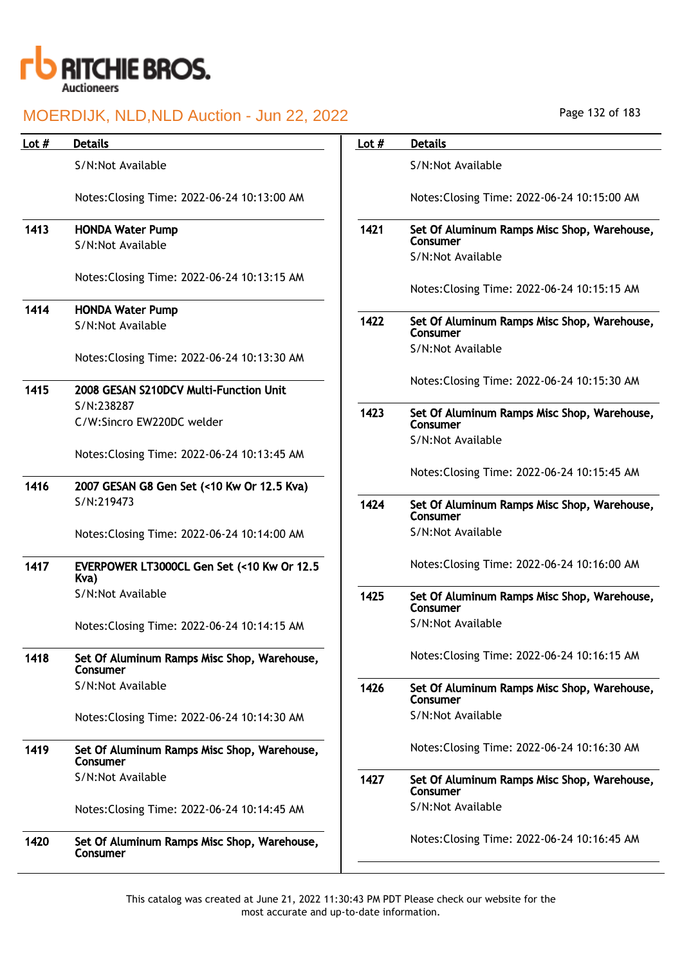

| Page 132 of 183 |
|-----------------|
|-----------------|

| Lot $#$ | <b>Details</b>                                           | Lot $#$ | <b>Details</b>                                          |
|---------|----------------------------------------------------------|---------|---------------------------------------------------------|
|         | S/N:Not Available                                        |         | S/N:Not Available                                       |
|         | Notes: Closing Time: 2022-06-24 10:13:00 AM              |         | Notes: Closing Time: 2022-06-24 10:15:00 AM             |
| 1413    | <b>HONDA Water Pump</b>                                  | 1421    | Set Of Aluminum Ramps Misc Shop, Warehouse,<br>Consumer |
|         | S/N:Not Available                                        |         | S/N:Not Available                                       |
|         | Notes: Closing Time: 2022-06-24 10:13:15 AM              |         | Notes: Closing Time: 2022-06-24 10:15:15 AM             |
| 1414    | <b>HONDA Water Pump</b>                                  |         |                                                         |
|         | S/N:Not Available                                        | 1422    | Set Of Aluminum Ramps Misc Shop, Warehouse,<br>Consumer |
|         | Notes: Closing Time: 2022-06-24 10:13:30 AM              |         | S/N:Not Available                                       |
| 1415    | 2008 GESAN S210DCV Multi-Function Unit                   |         | Notes: Closing Time: 2022-06-24 10:15:30 AM             |
|         | S/N:238287<br>C/W:Sincro EW220DC welder                  | 1423    | Set Of Aluminum Ramps Misc Shop, Warehouse,<br>Consumer |
|         | Notes: Closing Time: 2022-06-24 10:13:45 AM              |         | S/N:Not Available                                       |
|         |                                                          |         | Notes: Closing Time: 2022-06-24 10:15:45 AM             |
| 1416    | 2007 GESAN G8 Gen Set (<10 Kw Or 12.5 Kva)<br>S/N:219473 |         |                                                         |
|         |                                                          | 1424    | Set Of Aluminum Ramps Misc Shop, Warehouse,<br>Consumer |
|         | Notes: Closing Time: 2022-06-24 10:14:00 AM              |         | S/N:Not Available                                       |
| 1417    | EVERPOWER LT3000CL Gen Set (<10 Kw Or 12.5<br>Kva)       |         | Notes: Closing Time: 2022-06-24 10:16:00 AM             |
|         | S/N:Not Available                                        | 1425    | Set Of Aluminum Ramps Misc Shop, Warehouse,<br>Consumer |
|         | Notes: Closing Time: 2022-06-24 10:14:15 AM              |         | S/N:Not Available                                       |
| 1418    | Set Of Aluminum Ramps Misc Shop, Warehouse,<br>Consumer  |         | Notes: Closing Time: 2022-06-24 10:16:15 AM             |
|         | S/N:Not Available                                        | 1426    | Set Of Aluminum Ramps Misc Shop, Warehouse,<br>Consumer |
|         | Notes: Closing Time: 2022-06-24 10:14:30 AM              |         | S/N:Not Available                                       |
| 1419    | Set Of Aluminum Ramps Misc Shop, Warehouse,<br>Consumer  |         | Notes: Closing Time: 2022-06-24 10:16:30 AM             |
|         | S/N:Not Available                                        | 1427    | Set Of Aluminum Ramps Misc Shop, Warehouse,<br>Consumer |
|         | Notes: Closing Time: 2022-06-24 10:14:45 AM              |         | S/N:Not Available                                       |
| 1420    | Set Of Aluminum Ramps Misc Shop, Warehouse,<br>Consumer  |         | Notes: Closing Time: 2022-06-24 10:16:45 AM             |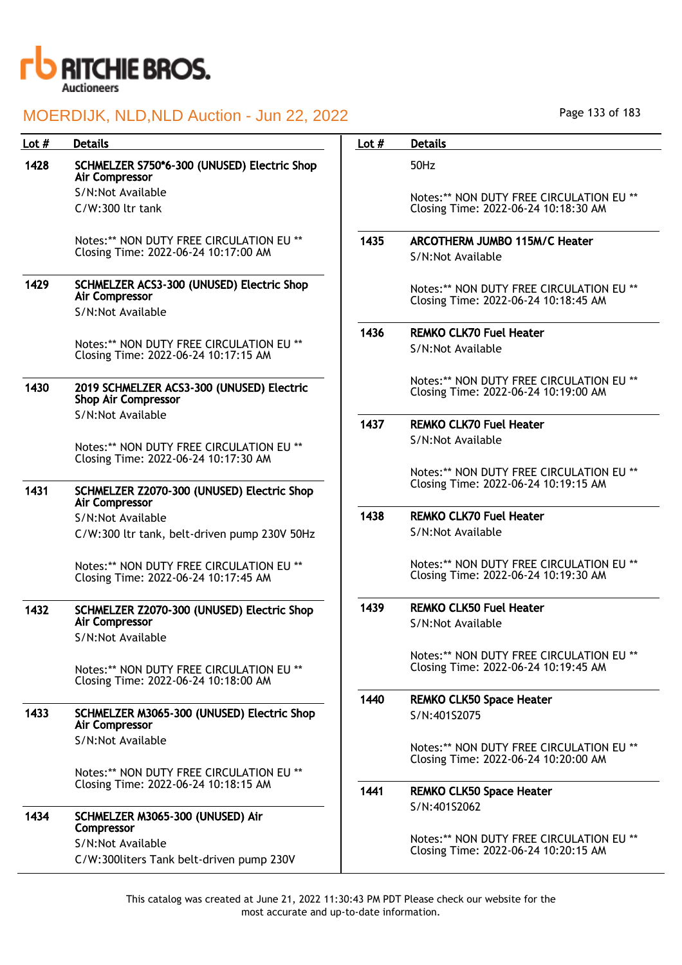

| Lot $#$ | <b>Details</b>                                                                   | Lot $#$ | <b>Details</b>                                                                   |
|---------|----------------------------------------------------------------------------------|---------|----------------------------------------------------------------------------------|
| 1428    | SCHMELZER S750*6-300 (UNUSED) Electric Shop<br><b>Air Compressor</b>             |         | 50Hz                                                                             |
|         | S/N:Not Available                                                                |         | Notes:** NON DUTY FREE CIRCULATION EU **                                         |
|         | C/W:300 ltr tank                                                                 |         | Closing Time: 2022-06-24 10:18:30 AM                                             |
|         | Notes:** NON DUTY FREE CIRCULATION EU **                                         | 1435    | <b>ARCOTHERM JUMBO 115M/C Heater</b>                                             |
|         | Closing Time: 2022-06-24 10:17:00 AM                                             |         | S/N:Not Available                                                                |
| 1429    | SCHMELZER ACS3-300 (UNUSED) Electric Shop<br><b>Air Compressor</b>               |         | Notes:** NON DUTY FREE CIRCULATION EU **<br>Closing Time: 2022-06-24 10:18:45 AM |
|         | S/N:Not Available                                                                |         |                                                                                  |
|         |                                                                                  | 1436    | <b>REMKO CLK70 Fuel Heater</b>                                                   |
|         | Notes:** NON DUTY FREE CIRCULATION EU **<br>Closing Time: 2022-06-24 10:17:15 AM |         | S/N:Not Available                                                                |
| 1430    | 2019 SCHMELZER ACS3-300 (UNUSED) Electric<br><b>Shop Air Compressor</b>          |         | Notes:** NON DUTY FREE CIRCULATION EU **<br>Closing Time: 2022-06-24 10:19:00 AM |
|         | S/N:Not Available                                                                | 1437    | <b>REMKO CLK70 Fuel Heater</b>                                                   |
|         | Notes:** NON DUTY FREE CIRCULATION EU **                                         |         | S/N:Not Available                                                                |
|         | Closing Time: 2022-06-24 10:17:30 AM                                             |         |                                                                                  |
|         |                                                                                  |         | Notes:** NON DUTY FREE CIRCULATION EU **<br>Closing Time: 2022-06-24 10:19:15 AM |
| 1431    | SCHMELZER Z2070-300 (UNUSED) Electric Shop<br>Air Compressor                     |         |                                                                                  |
|         | S/N:Not Available                                                                | 1438    | <b>REMKO CLK70 Fuel Heater</b>                                                   |
|         | C/W:300 ltr tank, belt-driven pump 230V 50Hz                                     |         | S/N:Not Available                                                                |
|         | Notes:** NON DUTY FREE CIRCULATION EU **                                         |         | Notes:** NON DUTY FREE CIRCULATION EU **                                         |
|         | Closing Time: 2022-06-24 10:17:45 AM                                             |         | Closing Time: 2022-06-24 10:19:30 AM                                             |
| 1432    | SCHMELZER Z2070-300 (UNUSED) Electric Shop                                       | 1439    | <b>REMKO CLK50 Fuel Heater</b>                                                   |
|         | Air Compressor                                                                   |         | S/N:Not Available                                                                |
|         | S/N:Not Available                                                                |         |                                                                                  |
|         | Notes:** NON DUTY FREE CIRCULATION EU **                                         |         | Notes:** NON DUTY FREE CIRCULATION EU **<br>Closing Time: 2022-06-24 10:19:45 AM |
|         | Closing Time: 2022-06-24 10:18:00 AM                                             |         |                                                                                  |
| 1433    | SCHMELZER M3065-300 (UNUSED) Electric Shop                                       | 1440    | <b>REMKO CLK50 Space Heater</b>                                                  |
|         | <b>Air Compressor</b>                                                            |         | S/N:401S2075                                                                     |
|         | S/N:Not Available                                                                |         | Notes:** NON DUTY FREE CIRCULATION EU **                                         |
|         |                                                                                  |         | Closing Time: 2022-06-24 10:20:00 AM                                             |
|         | Notes:** NON DUTY FREE CIRCULATION EU **<br>Closing Time: 2022-06-24 10:18:15 AM |         |                                                                                  |
|         |                                                                                  | 1441    | <b>REMKO CLK50 Space Heater</b>                                                  |
| 1434    | SCHMELZER M3065-300 (UNUSED) Air<br>Compressor                                   |         | S/N:401S2062                                                                     |
|         | S/N:Not Available                                                                |         | Notes:** NON DUTY FREE CIRCULATION EU **<br>Closing Time: 2022-06-24 10:20:15 AM |
|         | C/W:300liters Tank belt-driven pump 230V                                         |         |                                                                                  |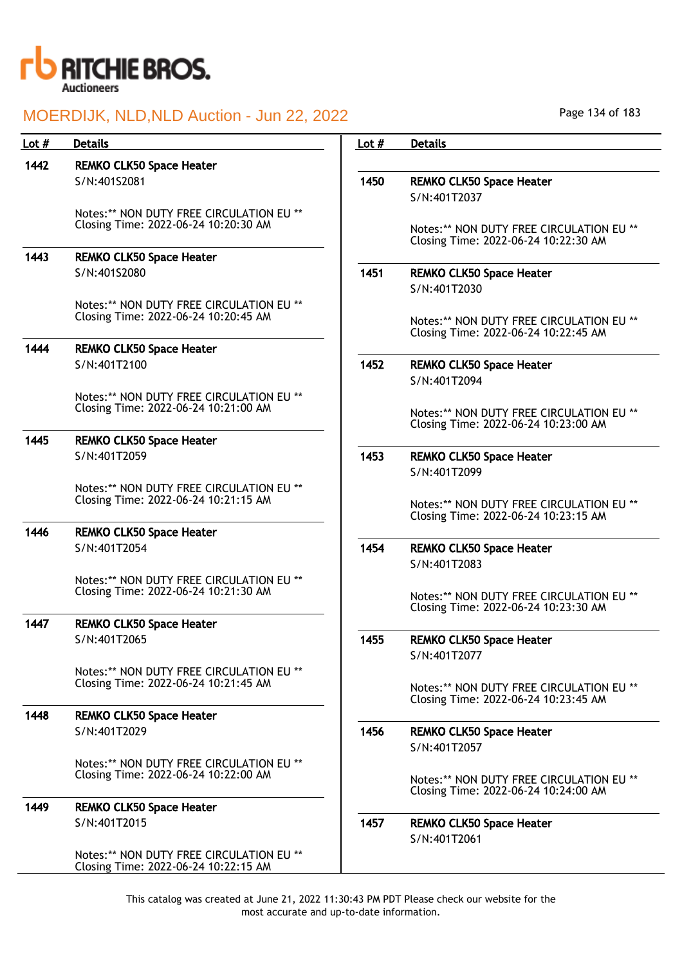

| 1442<br><b>REMKO CLK50 Space Heater</b><br>S/N:40152081<br>1450<br>S/N:401T2037<br>Notes:** NON DUTY FREE CIRCULATION EU ** | <b>REMKO CLK50 Space Heater</b>                                                  |
|-----------------------------------------------------------------------------------------------------------------------------|----------------------------------------------------------------------------------|
|                                                                                                                             |                                                                                  |
|                                                                                                                             |                                                                                  |
|                                                                                                                             |                                                                                  |
|                                                                                                                             |                                                                                  |
| Closing Time: 2022-06-24 10:20:30 AM                                                                                        | Notes:** NON DUTY FREE CIRCULATION EU **<br>Closing Time: 2022-06-24 10:22:30 AM |
| 1443<br><b>REMKO CLK50 Space Heater</b>                                                                                     |                                                                                  |
| 1451<br>S/N:401S2080                                                                                                        | <b>REMKO CLK50 Space Heater</b>                                                  |
| S/N:401T2030                                                                                                                |                                                                                  |
| Notes:** NON DUTY FREE CIRCULATION EU **                                                                                    |                                                                                  |
| Closing Time: 2022-06-24 10:20:45 AM                                                                                        | Notes:** NON DUTY FREE CIRCULATION EU **<br>Closing Time: 2022-06-24 10:22:45 AM |
| 1444<br><b>REMKO CLK50 Space Heater</b>                                                                                     |                                                                                  |
| S/N:401T2100<br>1452                                                                                                        | <b>REMKO CLK50 Space Heater</b>                                                  |
| S/N:401T2094                                                                                                                |                                                                                  |
| Notes:** NON DUTY FREE CIRCULATION EU **                                                                                    |                                                                                  |
| Closing Time: 2022-06-24 10:21:00 AM                                                                                        | Notes:** NON DUTY FREE CIRCULATION EU **                                         |
| 1445<br><b>REMKO CLK50 Space Heater</b>                                                                                     | Closing Time: 2022-06-24 10:23:00 AM                                             |
| 1453<br>S/N:401T2059                                                                                                        | <b>REMKO CLK50 Space Heater</b>                                                  |
| S/N:401T2099                                                                                                                |                                                                                  |
| Notes:** NON DUTY FREE CIRCULATION EU **                                                                                    |                                                                                  |
| Closing Time: 2022-06-24 10:21:15 AM                                                                                        | Notes:** NON DUTY FREE CIRCULATION EU **                                         |
| 1446                                                                                                                        | Closing Time: 2022-06-24 10:23:15 AM                                             |
| <b>REMKO CLK50 Space Heater</b><br>S/N:401T2054<br>1454                                                                     | <b>REMKO CLK50 Space Heater</b>                                                  |
| S/N:401T2083                                                                                                                |                                                                                  |
| Notes:** NON DUTY FREE CIRCULATION EU **                                                                                    |                                                                                  |
| Closing Time: 2022-06-24 10:21:30 AM                                                                                        | Notes:** NON DUTY FREE CIRCULATION EU **                                         |
| 1447                                                                                                                        | Closing Time: 2022-06-24 10:23:30 AM                                             |
| <b>REMKO CLK50 Space Heater</b><br>S/N:401T2065<br>1455                                                                     | <b>REMKO CLK50 Space Heater</b>                                                  |
| S/N:401T2077                                                                                                                |                                                                                  |
| Notes:** NON DUTY FREE CIRCULATION EU **                                                                                    |                                                                                  |
| Closing Time: 2022-06-24 10:21:45 AM                                                                                        | Notes:** NON DUTY FREE CIRCULATION EU **                                         |
|                                                                                                                             | Closing Time: 2022-06-24 10:23:45 AM                                             |
| 1448<br><b>REMKO CLK50 Space Heater</b><br>S/N:401T2029<br>1456                                                             | <b>REMKO CLK50 Space Heater</b>                                                  |
| S/N:401T2057                                                                                                                |                                                                                  |
| Notes:** NON DUTY FREE CIRCULATION EU **                                                                                    |                                                                                  |
| Closing Time: 2022-06-24 10:22:00 AM                                                                                        | Notes:** NON DUTY FREE CIRCULATION EU **                                         |
|                                                                                                                             | Closing Time: 2022-06-24 10:24:00 AM                                             |
| 1449<br><b>REMKO CLK50 Space Heater</b>                                                                                     |                                                                                  |
| S/N:401T2015<br>1457<br>S/N:401T2061                                                                                        | <b>REMKO CLK50 Space Heater</b>                                                  |
| Notes:** NON DUTY FREE CIRCULATION EU **                                                                                    |                                                                                  |
| Closing Time: 2022-06-24 10:22:15 AM                                                                                        |                                                                                  |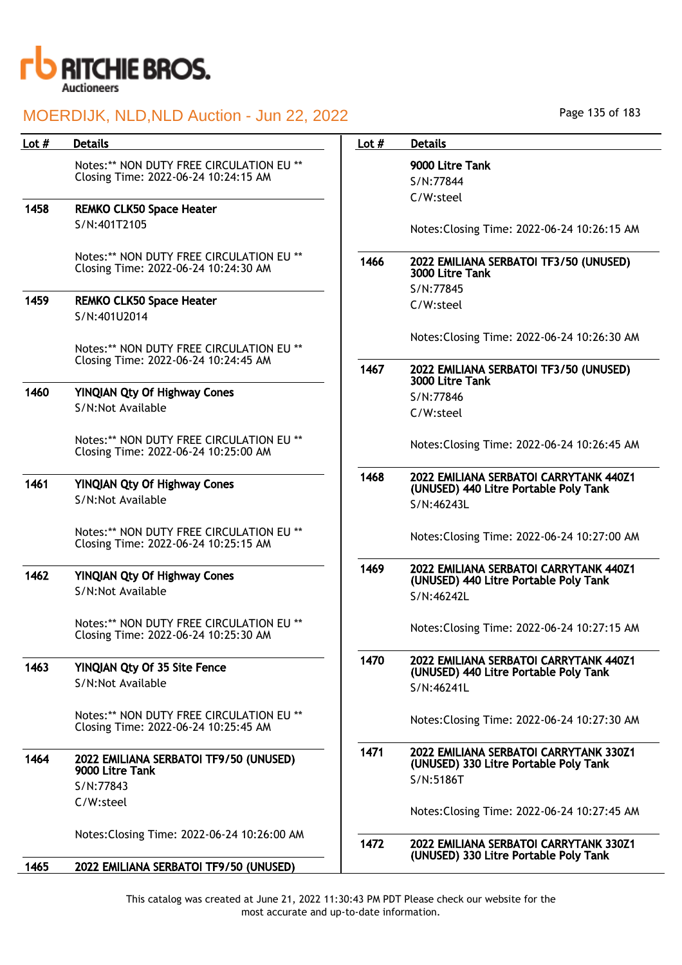

| Lot $#$ | <b>Details</b>                                                                   | Lot $#$ | <b>Details</b>                                                              |
|---------|----------------------------------------------------------------------------------|---------|-----------------------------------------------------------------------------|
|         | Notes:** NON DUTY FREE CIRCULATION EU **                                         |         | 9000 Litre Tank                                                             |
|         | Closing Time: 2022-06-24 10:24:15 AM                                             |         | S/N:77844                                                                   |
| 1458    | <b>REMKO CLK50 Space Heater</b>                                                  |         | C/W:steel                                                                   |
|         | S/N:401T2105                                                                     |         |                                                                             |
|         |                                                                                  |         | Notes: Closing Time: 2022-06-24 10:26:                                      |
|         | Notes:** NON DUTY FREE CIRCULATION EU **<br>Closing Time: 2022-06-24 10:24:30 AM | 1466    | 2022 EMILIANA SERBATOI TF3/50 (UNUS<br>3000 Litre Tank                      |
| 1459    | <b>REMKO CLK50 Space Heater</b>                                                  |         | S/N:77845                                                                   |
|         | S/N:401U2014                                                                     |         | C/W:steel                                                                   |
|         |                                                                                  |         | Notes: Closing Time: 2022-06-24 10:26:                                      |
|         | Notes:** NON DUTY FREE CIRCULATION EU **<br>Closing Time: 2022-06-24 10:24:45 AM |         |                                                                             |
|         |                                                                                  | 1467    | 2022 EMILIANA SERBATOI TF3/50 (UNUS<br>3000 Litre Tank                      |
| 1460    | <b>YINQIAN Qty Of Highway Cones</b>                                              |         | S/N:77846                                                                   |
|         | S/N:Not Available                                                                |         | C/W:steel                                                                   |
|         | Notes:** NON DUTY FREE CIRCULATION EU **<br>Closing Time: 2022-06-24 10:25:00 AM |         | Notes: Closing Time: 2022-06-24 10:26:4                                     |
| 1461    | <b>YINQIAN Qty Of Highway Cones</b>                                              | 1468    | 2022 EMILIANA SERBATOI CARRYTANK 4                                          |
|         | S/N:Not Available                                                                |         | (UNUSED) 440 Litre Portable Poly Tank<br>S/N:46243L                         |
|         |                                                                                  |         |                                                                             |
|         | Notes:** NON DUTY FREE CIRCULATION EU **<br>Closing Time: 2022-06-24 10:25:15 AM |         | Notes: Closing Time: 2022-06-24 10:27:                                      |
|         |                                                                                  |         |                                                                             |
| 1462    | <b>YINQIAN Qty Of Highway Cones</b>                                              | 1469    | 2022 EMILIANA SERBATOI CARRYTANK 4<br>(UNUSED) 440 Litre Portable Poly Tank |
|         | S/N:Not Available                                                                |         | S/N:46242L                                                                  |
|         | Notes:** NON DUTY FREE CIRCULATION EU **                                         |         |                                                                             |
|         | Closing Time: 2022-06-24 10:25:30 AM                                             |         | Notes: Closing Time: 2022-06-24 10:27:                                      |
| 1463    | <b>YINQIAN Qty Of 35 Site Fence</b>                                              | 1470    | 2022 EMILIANA SERBATOI CARRYTANK 4                                          |
|         | S/N:Not Available                                                                |         | (UNUSED) 440 Litre Portable Poly Tank<br>S/N:46241L                         |
|         |                                                                                  |         |                                                                             |
|         | Notes:** NON DUTY FREE CIRCULATION EU **                                         |         | Notes: Closing Time: 2022-06-24 10:27:                                      |
|         | Closing Time: 2022-06-24 10:25:45 AM                                             |         |                                                                             |
| 1464    | 2022 EMILIANA SERBATOI TF9/50 (UNUSED)                                           | 1471    | 2022 EMILIANA SERBATOI CARRYTANK 3<br>(UNUSED) 330 Litre Portable Poly Tank |
|         | 9000 Litre Tank                                                                  |         | S/N:5186T                                                                   |
|         | S/N:77843                                                                        |         |                                                                             |
|         | C/W:steel                                                                        |         | Notes: Closing Time: 2022-06-24 10:27:                                      |
|         | Notes: Closing Time: 2022-06-24 10:26:00 AM                                      |         |                                                                             |
|         |                                                                                  | 1472    | 2022 EMILIANA SERBATOI CARRYTANK 3<br>(UNUSED) 330 Litre Portable Poly Tank |
| 1465    | 2022 EMILIANA SERBATOI TF9/50 (UNUSED)                                           |         |                                                                             |

Page 135 of 183

# me: 2022-06-24 10:26:15 AM ERBATOI TF3/50 (UNUSED) me: 2022-06-24 10:26:30 AM ERBATOI TF3/50 (UNUSED) me: 2022-06-24 10:26:45 AM ERBATOI CARRYTANK 440Z1 itre Portable Poly Tank me: 2022-06-24 10:27:00 AM ERBATOI CARRYTANK 440Z1 itre Portable Poly Tank me: 2022-06-24 10:27:15 AM ERBATOI CARRYTANK 440Z1 itre Portable Poly Tank me: 2022-06-24 10:27:30 AM **ERBATOI CARRYTANK 330Z1**

 $me: 2022-06-24 10:27:45 AM$ 

#### **ERBATOI CARRYTANK 330Z1** itre Portable Poly Tank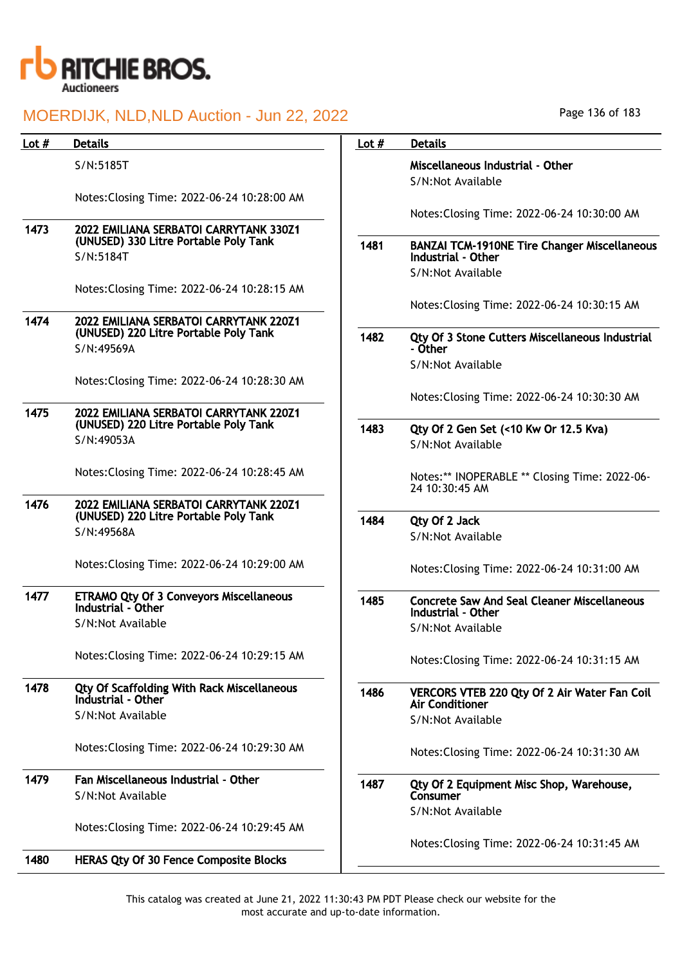

| Lot $#$ | <b>Details</b>                                                                  | Lot $#$ | <b>Details</b>                                                                                 |
|---------|---------------------------------------------------------------------------------|---------|------------------------------------------------------------------------------------------------|
|         | S/N:5185T                                                                       |         | Miscellaneous Industrial - Other<br>S/N:Not Available                                          |
|         | Notes: Closing Time: 2022-06-24 10:28:00 AM                                     |         | Notes: Closing Time: 2022-06-24 10:30:00 AM                                                    |
| 1473    | 2022 EMILIANA SERBATOI CARRYTANK 330Z1<br>(UNUSED) 330 Litre Portable Poly Tank |         |                                                                                                |
|         | S/N:5184T                                                                       | 1481    | <b>BANZAI TCM-1910NE Tire Changer Miscellaneous</b><br>Industrial - Other<br>S/N:Not Available |
|         | Notes: Closing Time: 2022-06-24 10:28:15 AM                                     |         |                                                                                                |
| 1474    | 2022 EMILIANA SERBATOI CARRYTANK 220Z1                                          |         | Notes: Closing Time: 2022-06-24 10:30:15 AM                                                    |
|         | (UNUSED) 220 Litre Portable Poly Tank<br>S/N:49569A                             | 1482    | Qty Of 3 Stone Cutters Miscellaneous Industrial<br>- Other                                     |
|         | Notes: Closing Time: 2022-06-24 10:28:30 AM                                     |         | S/N:Not Available                                                                              |
|         |                                                                                 |         | Notes: Closing Time: 2022-06-24 10:30:30 AM                                                    |
| 1475    | 2022 EMILIANA SERBATOI CARRYTANK 220Z1<br>(UNUSED) 220 Litre Portable Poly Tank | 1483    | Qty Of 2 Gen Set (<10 Kw Or 12.5 Kva)                                                          |
|         | S/N:49053A                                                                      |         | S/N:Not Available                                                                              |
|         | Notes: Closing Time: 2022-06-24 10:28:45 AM                                     |         | Notes:** INOPERABLE ** Closing Time: 2022-06-<br>24 10:30:45 AM                                |
| 1476    | 2022 EMILIANA SERBATOI CARRYTANK 220Z1<br>(UNUSED) 220 Litre Portable Poly Tank | 1484    | Qty Of 2 Jack                                                                                  |
|         | S/N:49568A                                                                      |         | S/N:Not Available                                                                              |
|         | Notes: Closing Time: 2022-06-24 10:29:00 AM                                     |         | Notes: Closing Time: 2022-06-24 10:31:00 AM                                                    |
| 1477    | <b>ETRAMO Qty Of 3 Conveyors Miscellaneous</b><br>Industrial - Other            | 1485    | <b>Concrete Saw And Seal Cleaner Miscellaneous</b><br>Industrial - Other                       |
|         | S/N:Not Available                                                               |         | S/N:Not Available                                                                              |
|         | Notes: Closing Time: 2022-06-24 10:29:15 AM                                     |         | Notes: Closing Time: 2022-06-24 10:31:15 AM                                                    |
| 1478    | <b>Qty Of Scaffolding With Rack Miscellaneous</b><br>Industrial - Other         | 1486    | VERCORS VTEB 220 Qty Of 2 Air Water Fan Coil<br><b>Air Conditioner</b>                         |
|         | S/N:Not Available                                                               |         | S/N:Not Available                                                                              |
|         | Notes: Closing Time: 2022-06-24 10:29:30 AM                                     |         | Notes: Closing Time: 2022-06-24 10:31:30 AM                                                    |
| 1479    | Fan Miscellaneous Industrial - Other<br>S/N:Not Available                       | 1487    | Qty Of 2 Equipment Misc Shop, Warehouse,<br>Consumer                                           |
|         |                                                                                 |         | S/N:Not Available                                                                              |
|         | Notes: Closing Time: 2022-06-24 10:29:45 AM                                     |         | Notes: Closing Time: 2022-06-24 10:31:45 AM                                                    |
| 1480    | <b>HERAS Qty Of 30 Fence Composite Blocks</b>                                   |         |                                                                                                |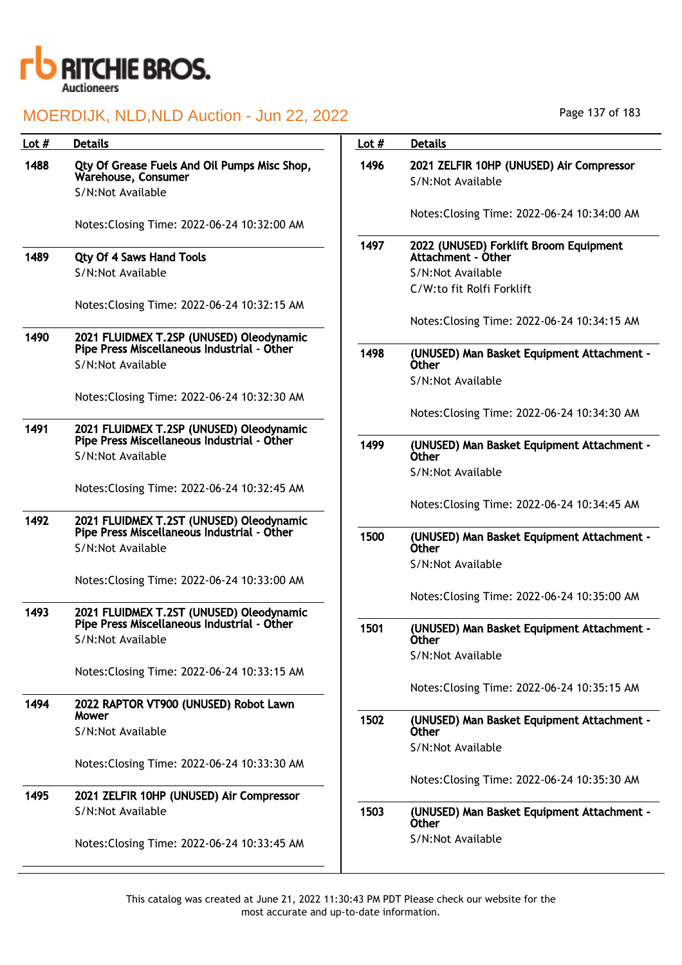

| Lot $#$ | <b>Details</b>                                                                           | Lot $#$ | <b>Details</b>                                                |
|---------|------------------------------------------------------------------------------------------|---------|---------------------------------------------------------------|
| 1488    | Qty Of Grease Fuels And Oil Pumps Misc Shop,<br>Warehouse, Consumer<br>S/N:Not Available | 1496    | 2021 ZELFIR 10HP (UNUSED) Air Compressor<br>S/N:Not Available |
|         | Notes: Closing Time: 2022-06-24 10:32:00 AM                                              |         | Notes: Closing Time: 2022-06-24 10:34:00 AM                   |
| 1489    | <b>Qty Of 4 Saws Hand Tools</b>                                                          | 1497    | 2022 (UNUSED) Forklift Broom Equipment<br>Attachment - Other  |
|         | S/N:Not Available                                                                        |         | S/N:Not Available                                             |
|         |                                                                                          |         | C/W:to fit Rolfi Forklift                                     |
|         | Notes: Closing Time: 2022-06-24 10:32:15 AM                                              |         |                                                               |
| 1490    | 2021 FLUIDMEX T.2SP (UNUSED) Oleodynamic                                                 |         | Notes: Closing Time: 2022-06-24 10:34:15 AM                   |
|         | Pipe Press Miscellaneous Industrial - Other<br>S/N:Not Available                         | 1498    | (UNUSED) Man Basket Equipment Attachment -<br><b>Other</b>    |
|         |                                                                                          |         | S/N:Not Available                                             |
|         | Notes: Closing Time: 2022-06-24 10:32:30 AM                                              |         |                                                               |
|         |                                                                                          |         | Notes: Closing Time: 2022-06-24 10:34:30 AM                   |
| 1491    | 2021 FLUIDMEX T.2SP (UNUSED) Oleodynamic<br>Pipe Press Miscellaneous Industrial - Other  | 1499    | (UNUSED) Man Basket Equipment Attachment -                    |
|         | S/N:Not Available                                                                        |         | <b>Other</b>                                                  |
|         |                                                                                          |         | S/N:Not Available                                             |
|         | Notes: Closing Time: 2022-06-24 10:32:45 AM                                              |         |                                                               |
|         |                                                                                          |         | Notes: Closing Time: 2022-06-24 10:34:45 AM                   |
| 1492    | 2021 FLUIDMEX T.2ST (UNUSED) Oleodynamic<br>Pipe Press Miscellaneous Industrial - Other  | 1500    | (UNUSED) Man Basket Equipment Attachment -                    |
|         | S/N:Not Available                                                                        |         | <b>Other</b>                                                  |
|         |                                                                                          |         | S/N:Not Available                                             |
|         | Notes: Closing Time: 2022-06-24 10:33:00 AM                                              |         | Notes: Closing Time: 2022-06-24 10:35:00 AM                   |
| 1493    | 2021 FLUIDMEX T.2ST (UNUSED) Oleodynamic<br>Pipe Press Miscellaneous Industrial - Other  |         |                                                               |
|         | S/N:Not Available                                                                        | 1501    | (UNUSED) Man Basket Equipment Attachment -<br>Other           |
|         |                                                                                          |         | S/N:Not Available                                             |
|         | Notes: Closing Time: 2022-06-24 10:33:15 AM                                              |         |                                                               |
|         |                                                                                          |         | Notes: Closing Time: 2022-06-24 10:35:15 AM                   |
| 1494    | 2022 RAPTOR VT900 (UNUSED) Robot Lawn                                                    |         |                                                               |
|         | Mower<br>S/N:Not Available                                                               | 1502    | (UNUSED) Man Basket Equipment Attachment -<br><b>Other</b>    |
|         |                                                                                          |         | S/N:Not Available                                             |
|         | Notes: Closing Time: 2022-06-24 10:33:30 AM                                              |         |                                                               |
|         |                                                                                          |         | Notes: Closing Time: 2022-06-24 10:35:30 AM                   |
| 1495    | 2021 ZELFIR 10HP (UNUSED) Air Compressor                                                 |         |                                                               |
|         | S/N:Not Available                                                                        | 1503    | (UNUSED) Man Basket Equipment Attachment -<br><b>Other</b>    |
|         | Notes: Closing Time: 2022-06-24 10:33:45 AM                                              |         | S/N:Not Available                                             |

Page 137 of 183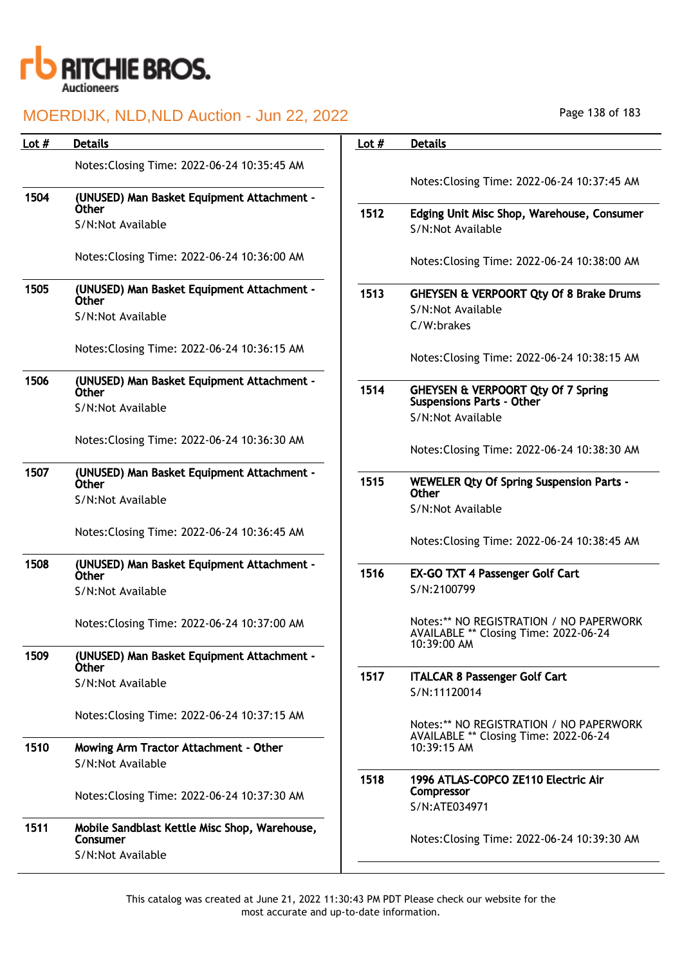

| Lot $#$ | <b>Details</b>                                             | Lot $#$ | <b>Details</b>                                                                                  |
|---------|------------------------------------------------------------|---------|-------------------------------------------------------------------------------------------------|
|         | Notes: Closing Time: 2022-06-24 10:35:45 AM                |         |                                                                                                 |
| 1504    | (UNUSED) Man Basket Equipment Attachment -                 |         | Notes: Closing Time: 2022-06-24 10:37:45 AM                                                     |
|         | <b>Other</b>                                               | 1512    | Edging Unit Misc Shop, Warehouse, Consumer                                                      |
|         | S/N:Not Available                                          |         | S/N:Not Available                                                                               |
|         | Notes: Closing Time: 2022-06-24 10:36:00 AM                |         | Notes: Closing Time: 2022-06-24 10:38:00 AM                                                     |
| 1505    | (UNUSED) Man Basket Equipment Attachment -<br><b>Other</b> | 1513    | <b>GHEYSEN &amp; VERPOORT Qty Of 8 Brake Drums</b>                                              |
|         | S/N:Not Available                                          |         | S/N:Not Available                                                                               |
|         |                                                            |         | C/W:brakes                                                                                      |
|         | Notes: Closing Time: 2022-06-24 10:36:15 AM                |         | Notes: Closing Time: 2022-06-24 10:38:15 AM                                                     |
| 1506    | (UNUSED) Man Basket Equipment Attachment -<br><b>Other</b> | 1514    | <b>GHEYSEN &amp; VERPOORT Qty Of 7 Spring</b>                                                   |
|         | S/N:Not Available                                          |         | <b>Suspensions Parts - Other</b>                                                                |
|         |                                                            |         | S/N:Not Available                                                                               |
|         | Notes: Closing Time: 2022-06-24 10:36:30 AM                |         | Notes: Closing Time: 2022-06-24 10:38:30 AM                                                     |
| 1507    | (UNUSED) Man Basket Equipment Attachment -                 |         |                                                                                                 |
|         | <b>Other</b>                                               | 1515    | <b>WEWELER Qty Of Spring Suspension Parts -</b><br>Other                                        |
|         | S/N:Not Available                                          |         | S/N:Not Available                                                                               |
|         | Notes: Closing Time: 2022-06-24 10:36:45 AM                |         | Notes: Closing Time: 2022-06-24 10:38:45 AM                                                     |
| 1508    | (UNUSED) Man Basket Equipment Attachment -<br><b>Other</b> | 1516    | <b>EX-GO TXT 4 Passenger Golf Cart</b>                                                          |
|         | S/N:Not Available                                          |         | S/N:2100799                                                                                     |
|         | Notes: Closing Time: 2022-06-24 10:37:00 AM                |         | Notes:** NO REGISTRATION / NO PAPERWORK<br>AVAILABLE ** Closing Time: 2022-06-24<br>10:39:00 AM |
| 1509    | (UNUSED) Man Basket Equipment Attachment -                 |         |                                                                                                 |
|         | Other<br>S/N:Not Available                                 | 1517    | <b>ITALCAR 8 Passenger Golf Cart</b><br>S/N:11120014                                            |
|         | Notes: Closing Time: 2022-06-24 10:37:15 AM                |         |                                                                                                 |
|         |                                                            |         | Notes:** NO REGISTRATION / NO PAPERWORK<br>AVAILABLE ** Closing Time: 2022-06-24                |
| 1510    | Mowing Arm Tractor Attachment - Other<br>S/N:Not Available |         | 10:39:15 AM                                                                                     |
|         | Notes: Closing Time: 2022-06-24 10:37:30 AM                | 1518    | 1996 ATLAS-COPCO ZE110 Electric Air<br>Compressor<br>S/N:ATE034971                              |
| 1511    | Mobile Sandblast Kettle Misc Shop, Warehouse,<br>Consumer  |         | Notes: Closing Time: 2022-06-24 10:39:30 AM                                                     |
|         | S/N:Not Available                                          |         |                                                                                                 |

Page 138 of 183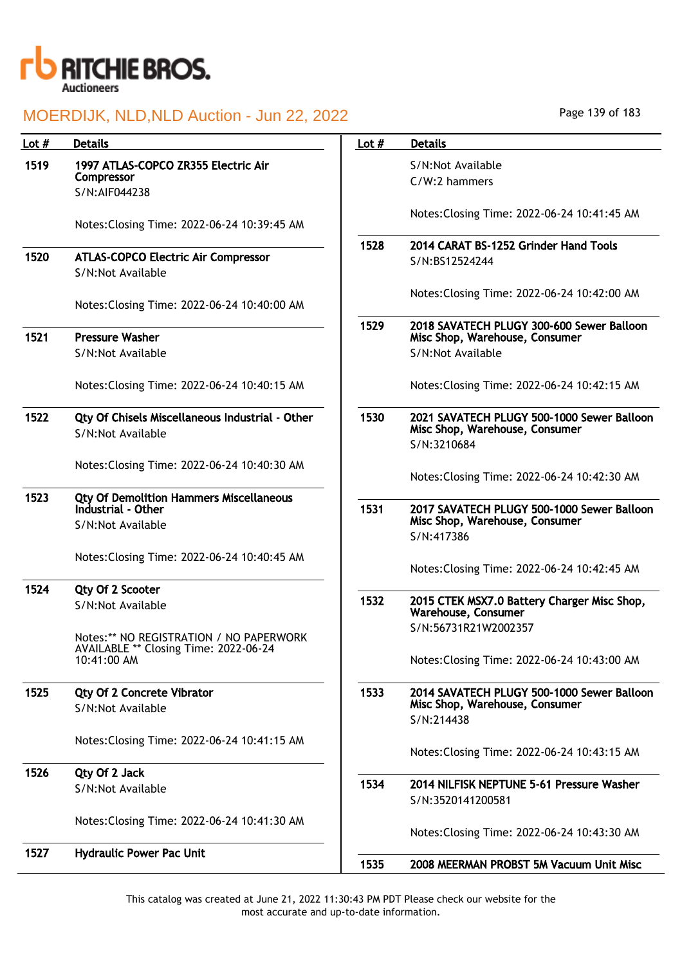

|  | Page 139 of 183 |  |  |  |
|--|-----------------|--|--|--|
|--|-----------------|--|--|--|

| Lot $#$ | <b>Details</b>                                                                                  | Lot $#$ | <b>Details</b>                                                                                   |
|---------|-------------------------------------------------------------------------------------------------|---------|--------------------------------------------------------------------------------------------------|
| 1519    | 1997 ATLAS-COPCO ZR355 Electric Air<br>Compressor<br>S/N:AlF044238                              |         | S/N:Not Available<br>C/W:2 hammers                                                               |
|         | Notes: Closing Time: 2022-06-24 10:39:45 AM                                                     |         | Notes: Closing Time: 2022-06-24 10:41:45 AM                                                      |
| 1520    | <b>ATLAS-COPCO Electric Air Compressor</b><br>S/N:Not Available                                 | 1528    | 2014 CARAT BS-1252 Grinder Hand Tools<br>S/N:BS12524244                                          |
|         | Notes: Closing Time: 2022-06-24 10:40:00 AM                                                     |         | Notes: Closing Time: 2022-06-24 10:42:00 AM                                                      |
| 1521    | <b>Pressure Washer</b><br>S/N:Not Available                                                     | 1529    | 2018 SAVATECH PLUGY 300-600 Sewer Balloon<br>Misc Shop, Warehouse, Consumer<br>S/N:Not Available |
|         | Notes: Closing Time: 2022-06-24 10:40:15 AM                                                     |         | Notes: Closing Time: 2022-06-24 10:42:15 AM                                                      |
| 1522    | Qty Of Chisels Miscellaneous Industrial - Other<br>S/N:Not Available                            | 1530    | 2021 SAVATECH PLUGY 500-1000 Sewer Balloon<br>Misc Shop, Warehouse, Consumer<br>S/N:3210684      |
|         | Notes: Closing Time: 2022-06-24 10:40:30 AM                                                     |         | Notes: Closing Time: 2022-06-24 10:42:30 AM                                                      |
| 1523    | <b>Qty Of Demolition Hammers Miscellaneous</b><br>Industrial - Other<br>S/N:Not Available       | 1531    | 2017 SAVATECH PLUGY 500-1000 Sewer Balloon<br>Misc Shop, Warehouse, Consumer<br>S/N:417386       |
|         | Notes: Closing Time: 2022-06-24 10:40:45 AM                                                     |         | Notes: Closing Time: 2022-06-24 10:42:45 AM                                                      |
| 1524    | Qty Of 2 Scooter<br>S/N:Not Available                                                           | 1532    | 2015 CTEK MSX7.0 Battery Charger Misc Shop,<br>Warehouse, Consumer                               |
|         | Notes:** NO REGISTRATION / NO PAPERWORK<br>AVAILABLE ** Closing Time: 2022-06-24<br>10:41:00 AM |         | S/N:56731R21W2002357<br>Notes: Closing Time: 2022-06-24 10:43:00 AM                              |
| 1525    | <b>Qty Of 2 Concrete Vibrator</b><br>S/N:Not Available                                          | 1533    | 2014 SAVATECH PLUGY 500-1000 Sewer Balloon<br>Misc Shop, Warehouse, Consumer<br>S/N:214438       |
|         | Notes: Closing Time: 2022-06-24 10:41:15 AM                                                     |         | Notes: Closing Time: 2022-06-24 10:43:15 AM                                                      |
| 1526    | Qty Of 2 Jack<br>S/N:Not Available                                                              | 1534    | 2014 NILFISK NEPTUNE 5-61 Pressure Washer<br>S/N:3520141200581                                   |
|         | Notes: Closing Time: 2022-06-24 10:41:30 AM                                                     |         | Notes: Closing Time: 2022-06-24 10:43:30 AM                                                      |
| 1527    | <b>Hydraulic Power Pac Unit</b>                                                                 | 1535    | 2008 MEERMAN PROBST 5M Vacuum Unit Misc                                                          |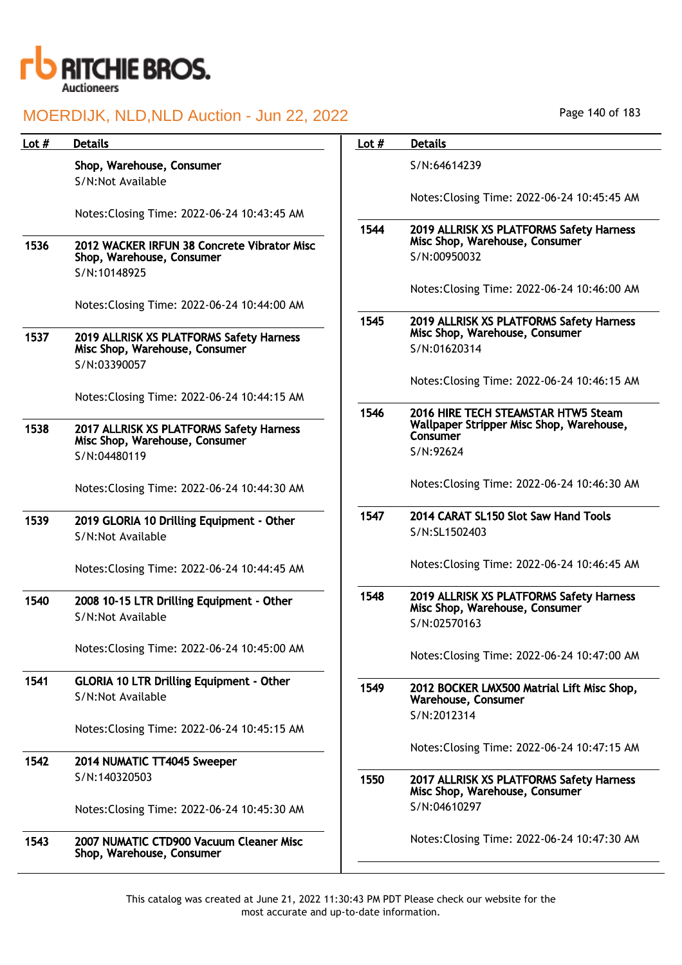

| Lot $#$ | <b>Details</b>                                                             | Lot $#$ | <b>Details</b>                                                                             |
|---------|----------------------------------------------------------------------------|---------|--------------------------------------------------------------------------------------------|
|         | Shop, Warehouse, Consumer<br>S/N:Not Available                             |         | S/N:64614239                                                                               |
|         | Notes: Closing Time: 2022-06-24 10:43:45 AM                                |         | Notes: Closing Time: 2022-06-24 10:45:45 AM                                                |
|         |                                                                            | 1544    | 2019 ALLRISK XS PLATFORMS Safety Harness<br>Misc Shop, Warehouse, Consumer                 |
| 1536    | 2012 WACKER IRFUN 38 Concrete Vibrator Misc<br>Shop, Warehouse, Consumer   |         | S/N:00950032                                                                               |
|         | S/N:10148925                                                               |         | Notes: Closing Time: 2022-06-24 10:46:00 AM                                                |
|         | Notes: Closing Time: 2022-06-24 10:44:00 AM                                |         |                                                                                            |
| 1537    | 2019 ALLRISK XS PLATFORMS Safety Harness                                   | 1545    | 2019 ALLRISK XS PLATFORMS Safety Harness<br>Misc Shop, Warehouse, Consumer                 |
|         | Misc Shop, Warehouse, Consumer<br>S/N:03390057                             |         | S/N:01620314                                                                               |
|         |                                                                            |         | Notes: Closing Time: 2022-06-24 10:46:15 AM                                                |
|         | Notes: Closing Time: 2022-06-24 10:44:15 AM                                | 1546    | 2016 HIRE TECH STEAMSTAR HTW5 Steam                                                        |
| 1538    | 2017 ALLRISK XS PLATFORMS Safety Harness<br>Misc Shop, Warehouse, Consumer |         | Wallpaper Stripper Misc Shop, Warehouse,<br>Consumer                                       |
|         | S/N:04480119                                                               |         | S/N:92624                                                                                  |
|         | Notes: Closing Time: 2022-06-24 10:44:30 AM                                |         | Notes: Closing Time: 2022-06-24 10:46:30 AM                                                |
| 1539    | 2019 GLORIA 10 Drilling Equipment - Other                                  | 1547    | 2014 CARAT SL150 Slot Saw Hand Tools                                                       |
|         | S/N:Not Available                                                          |         | S/N:SL1502403                                                                              |
|         | Notes: Closing Time: 2022-06-24 10:44:45 AM                                |         | Notes: Closing Time: 2022-06-24 10:46:45 AM                                                |
| 1540    | 2008 10-15 LTR Drilling Equipment - Other<br>S/N:Not Available             | 1548    | 2019 ALLRISK XS PLATFORMS Safety Harness<br>Misc Shop, Warehouse, Consumer<br>S/N:02570163 |
|         | Notes: Closing Time: 2022-06-24 10:45:00 AM                                |         | Notes: Closing Time: 2022-06-24 10:47:00 AM                                                |
| 1541    | <b>GLORIA 10 LTR Drilling Equipment - Other</b><br>S/N:Not Available       | 1549    | 2012 BOCKER LMX500 Matrial Lift Misc Shop,<br>Warehouse, Consumer<br>S/N:2012314           |
|         | Notes: Closing Time: 2022-06-24 10:45:15 AM                                |         | Notes: Closing Time: 2022-06-24 10:47:15 AM                                                |
| 1542    | 2014 NUMATIC TT4045 Sweeper                                                |         |                                                                                            |
|         | S/N:140320503                                                              | 1550    | 2017 ALLRISK XS PLATFORMS Safety Harness<br>Misc Shop, Warehouse, Consumer                 |
|         | Notes: Closing Time: 2022-06-24 10:45:30 AM                                |         | S/N:04610297                                                                               |
| 1543    | 2007 NUMATIC CTD900 Vacuum Cleaner Misc<br>Shop, Warehouse, Consumer       |         | Notes: Closing Time: 2022-06-24 10:47:30 AM                                                |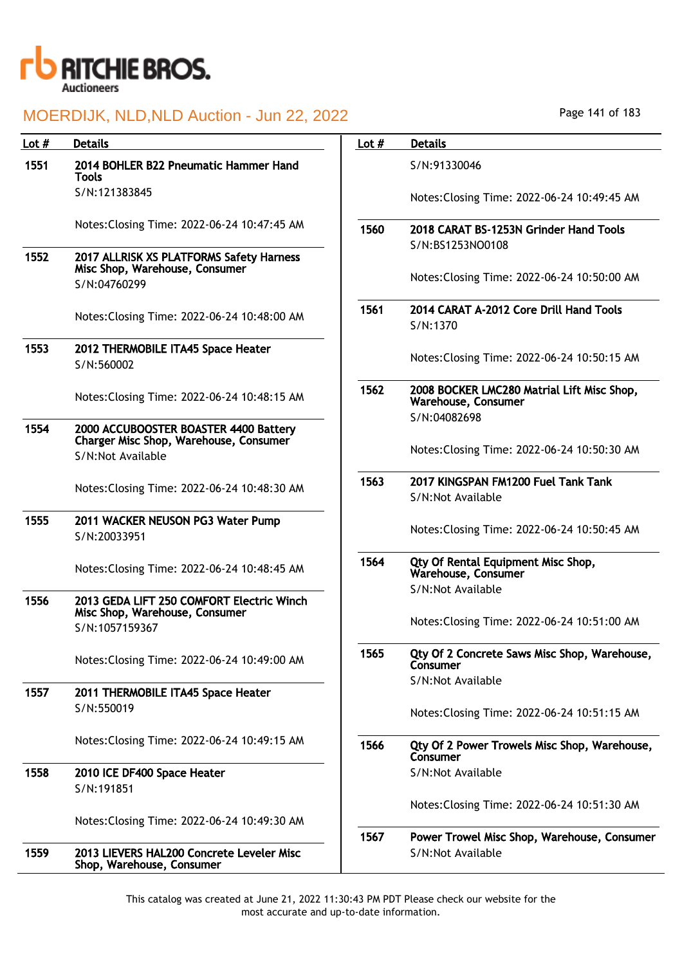

| Lot $#$ | <b>Details</b>                                                                  | Lot $#$ | <b>Details</b>                                                                    |
|---------|---------------------------------------------------------------------------------|---------|-----------------------------------------------------------------------------------|
| 1551    | 2014 BOHLER B22 Pneumatic Hammer Hand<br><b>Tools</b>                           |         | S/N:91330046                                                                      |
|         | S/N:121383845                                                                   |         | Notes: Closing Time: 2022-06-24 10:49:45 AM                                       |
|         | Notes: Closing Time: 2022-06-24 10:47:45 AM                                     | 1560    | 2018 CARAT BS-1253N Grinder Hand Tools<br>S/N:BS1253NO0108                        |
| 1552    | 2017 ALLRISK XS PLATFORMS Safety Harness<br>Misc Shop, Warehouse, Consumer      |         |                                                                                   |
|         | S/N:04760299                                                                    |         | Notes: Closing Time: 2022-06-24 10:50:00 AM                                       |
|         | Notes: Closing Time: 2022-06-24 10:48:00 AM                                     | 1561    | 2014 CARAT A-2012 Core Drill Hand Tools<br>S/N:1370                               |
| 1553    | 2012 THERMOBILE ITA45 Space Heater<br>S/N:560002                                |         | Notes: Closing Time: 2022-06-24 10:50:15 AM                                       |
|         | Notes: Closing Time: 2022-06-24 10:48:15 AM                                     | 1562    | 2008 BOCKER LMC280 Matrial Lift Misc Shop,<br>Warehouse, Consumer<br>S/N:04082698 |
| 1554    | 2000 ACCUBOOSTER BOASTER 4400 Battery<br>Charger Misc Shop, Warehouse, Consumer |         |                                                                                   |
|         | S/N:Not Available                                                               |         | Notes: Closing Time: 2022-06-24 10:50:30 AM                                       |
|         | Notes: Closing Time: 2022-06-24 10:48:30 AM                                     | 1563    | 2017 KINGSPAN FM1200 Fuel Tank Tank<br>S/N:Not Available                          |
| 1555    | 2011 WACKER NEUSON PG3 Water Pump<br>S/N:20033951                               |         | Notes: Closing Time: 2022-06-24 10:50:45 AM                                       |
|         | Notes: Closing Time: 2022-06-24 10:48:45 AM                                     | 1564    | Qty Of Rental Equipment Misc Shop,<br>Warehouse, Consumer                         |
| 1556    | 2013 GEDA LIFT 250 COMFORT Electric Winch                                       |         | S/N:Not Available                                                                 |
|         | Misc Shop, Warehouse, Consumer<br>S/N:1057159367                                |         | Notes: Closing Time: 2022-06-24 10:51:00 AM                                       |
|         | Notes: Closing Time: 2022-06-24 10:49:00 AM                                     | 1565    | Qty Of 2 Concrete Saws Misc Shop, Warehouse,<br>Consumer                          |
| 1557    | 2011 THERMOBILE ITA45 Space Heater                                              |         | S/N:Not Available                                                                 |
|         | S/N:550019                                                                      |         | Notes: Closing Time: 2022-06-24 10:51:15 AM                                       |
|         | Notes: Closing Time: 2022-06-24 10:49:15 AM                                     | 1566    | Qty Of 2 Power Trowels Misc Shop, Warehouse,<br>Consumer                          |
| 1558    | 2010 ICE DF400 Space Heater                                                     |         | S/N:Not Available                                                                 |
|         | S/N:191851                                                                      |         | Notes: Closing Time: 2022-06-24 10:51:30 AM                                       |
|         | Notes: Closing Time: 2022-06-24 10:49:30 AM                                     |         |                                                                                   |
|         |                                                                                 | 1567    | Power Trowel Misc Shop, Warehouse, Consumer                                       |
| 1559    | 2013 LIEVERS HAL200 Concrete Leveler Misc<br>Shop, Warehouse, Consumer          |         | S/N:Not Available                                                                 |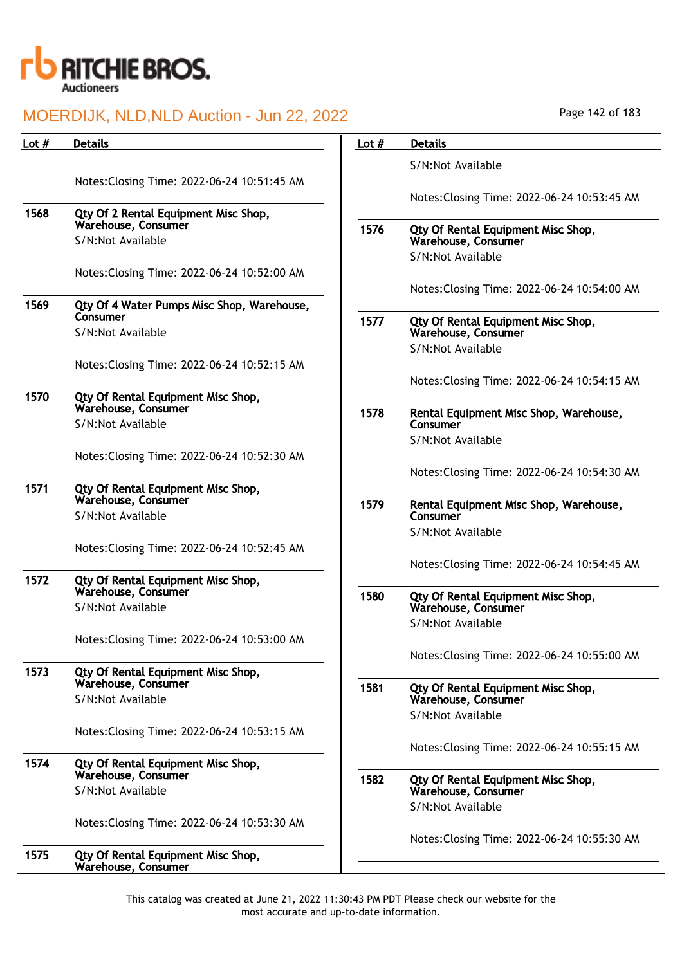

| Lot $#$ | <b>Details</b>                                              | Lot $#$ | <b>Details</b>                                            |
|---------|-------------------------------------------------------------|---------|-----------------------------------------------------------|
|         |                                                             |         | S/N:Not Available                                         |
|         | Notes: Closing Time: 2022-06-24 10:51:45 AM                 |         |                                                           |
|         |                                                             |         | Notes: Closing Time: 2022-06-24 10:53:45 AM               |
| 1568    | Qty Of 2 Rental Equipment Misc Shop,<br>Warehouse, Consumer | 1576    |                                                           |
|         | S/N:Not Available                                           |         | Qty Of Rental Equipment Misc Shop,<br>Warehouse, Consumer |
|         |                                                             |         | S/N:Not Available                                         |
|         | Notes: Closing Time: 2022-06-24 10:52:00 AM                 |         |                                                           |
| 1569    | Qty Of 4 Water Pumps Misc Shop, Warehouse,                  |         | Notes: Closing Time: 2022-06-24 10:54:00 AM               |
|         | Consumer                                                    | 1577    | Qty Of Rental Equipment Misc Shop,                        |
|         | S/N:Not Available                                           |         | Warehouse, Consumer                                       |
|         |                                                             |         | S/N:Not Available                                         |
|         | Notes: Closing Time: 2022-06-24 10:52:15 AM                 |         |                                                           |
| 1570    | Qty Of Rental Equipment Misc Shop,                          |         | Notes: Closing Time: 2022-06-24 10:54:15 AM               |
|         | Warehouse, Consumer                                         | 1578    | Rental Equipment Misc Shop, Warehouse,                    |
|         | S/N:Not Available                                           |         | Consumer                                                  |
|         | Notes: Closing Time: 2022-06-24 10:52:30 AM                 |         | S/N:Not Available                                         |
|         |                                                             |         | Notes: Closing Time: 2022-06-24 10:54:30 AM               |
| 1571    | Qty Of Rental Equipment Misc Shop,                          |         |                                                           |
|         | Warehouse, Consumer                                         | 1579    | Rental Equipment Misc Shop, Warehouse,                    |
|         | S/N:Not Available                                           |         | Consumer<br>S/N:Not Available                             |
|         | Notes: Closing Time: 2022-06-24 10:52:45 AM                 |         |                                                           |
|         |                                                             |         | Notes: Closing Time: 2022-06-24 10:54:45 AM               |
| 1572    | Qty Of Rental Equipment Misc Shop,                          |         |                                                           |
|         | Warehouse, Consumer<br>S/N:Not Available                    | 1580    | Qty Of Rental Equipment Misc Shop,<br>Warehouse, Consumer |
|         |                                                             |         | S/N:Not Available                                         |
|         | Notes: Closing Time: 2022-06-24 10:53:00 AM                 |         |                                                           |
|         |                                                             |         | Notes: Closing Time: 2022-06-24 10:55:00 AM               |
| 1573    | Qty Of Rental Equipment Misc Shop,<br>Warehouse, Consumer   |         |                                                           |
|         | S/N:Not Available                                           | 1581    | Qty Of Rental Equipment Misc Shop,<br>Warehouse, Consumer |
|         |                                                             |         | S/N:Not Available                                         |
|         | Notes: Closing Time: 2022-06-24 10:53:15 AM                 |         |                                                           |
|         |                                                             |         | Notes: Closing Time: 2022-06-24 10:55:15 AM               |
| 1574    | Qty Of Rental Equipment Misc Shop,<br>Warehouse, Consumer   |         |                                                           |
|         | S/N:Not Available                                           | 1582    | Qty Of Rental Equipment Misc Shop,<br>Warehouse, Consumer |
|         |                                                             |         | S/N:Not Available                                         |
|         | Notes: Closing Time: 2022-06-24 10:53:30 AM                 |         |                                                           |
|         |                                                             |         | Notes: Closing Time: 2022-06-24 10:55:30 AM               |
| 1575    | Qty Of Rental Equipment Misc Shop,<br>Warehouse, Consumer   |         |                                                           |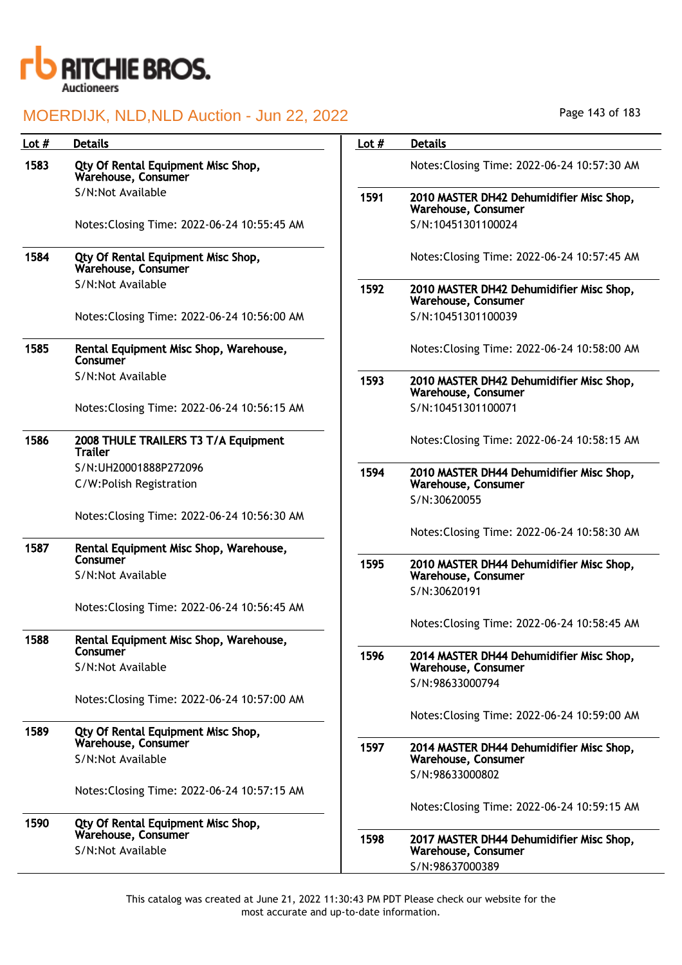

| Lot $#$ | <b>Details</b>                                            | Lot $#$ | <b>Details</b>                                                  |
|---------|-----------------------------------------------------------|---------|-----------------------------------------------------------------|
| 1583    | Qty Of Rental Equipment Misc Shop,<br>Warehouse, Consumer |         | Notes: Closing Time: 2022-06-24 10:57:30 AM                     |
|         | S/N:Not Available                                         | 1591    | 2010 MASTER DH42 Dehumidifier Misc Shop,<br>Warehouse, Consumer |
|         | Notes: Closing Time: 2022-06-24 10:55:45 AM               |         | S/N:10451301100024                                              |
| 1584    | Qty Of Rental Equipment Misc Shop,<br>Warehouse, Consumer |         | Notes: Closing Time: 2022-06-24 10:57:45 AM                     |
|         | S/N:Not Available                                         | 1592    | 2010 MASTER DH42 Dehumidifier Misc Shop,<br>Warehouse, Consumer |
|         | Notes: Closing Time: 2022-06-24 10:56:00 AM               |         | S/N:10451301100039                                              |
| 1585    | Rental Equipment Misc Shop, Warehouse,<br>Consumer        |         | Notes: Closing Time: 2022-06-24 10:58:00 AM                     |
|         | S/N:Not Available                                         | 1593    | 2010 MASTER DH42 Dehumidifier Misc Shop,<br>Warehouse, Consumer |
|         | Notes: Closing Time: 2022-06-24 10:56:15 AM               |         | S/N:10451301100071                                              |
| 1586    | 2008 THULE TRAILERS T3 T/A Equipment<br><b>Trailer</b>    |         | Notes: Closing Time: 2022-06-24 10:58:15 AM                     |
|         | S/N:UH20001888P272096                                     | 1594    | 2010 MASTER DH44 Dehumidifier Misc Shop,                        |
|         | C/W:Polish Registration                                   |         | Warehouse, Consumer                                             |
|         |                                                           |         | S/N:30620055                                                    |
|         | Notes: Closing Time: 2022-06-24 10:56:30 AM               |         | Notes: Closing Time: 2022-06-24 10:58:30 AM                     |
| 1587    | Rental Equipment Misc Shop, Warehouse,                    |         |                                                                 |
|         | Consumer                                                  | 1595    | 2010 MASTER DH44 Dehumidifier Misc Shop,                        |
|         | S/N:Not Available                                         |         | Warehouse, Consumer                                             |
|         | Notes: Closing Time: 2022-06-24 10:56:45 AM               |         | S/N:30620191                                                    |
|         |                                                           |         | Notes: Closing Time: 2022-06-24 10:58:45 AM                     |
| 1588    | Rental Equipment Misc Shop, Warehouse,                    |         |                                                                 |
|         | Consumer                                                  | 1596    | 2014 MASTER DH44 Dehumidifier Misc Shop,                        |
|         | S/N:Not Available                                         |         | Warehouse, Consumer<br>S/N:98633000794                          |
|         | Notes: Closing Time: 2022-06-24 10:57:00 AM               |         |                                                                 |
|         |                                                           |         | Notes: Closing Time: 2022-06-24 10:59:00 AM                     |
| 1589    | Qty Of Rental Equipment Misc Shop,                        |         |                                                                 |
|         | Warehouse, Consumer                                       | 1597    | 2014 MASTER DH44 Dehumidifier Misc Shop,                        |
|         | S/N:Not Available                                         |         | Warehouse, Consumer<br>S/N:98633000802                          |
|         | Notes: Closing Time: 2022-06-24 10:57:15 AM               |         |                                                                 |
|         |                                                           |         | Notes: Closing Time: 2022-06-24 10:59:15 AM                     |
| 1590    | Qty Of Rental Equipment Misc Shop,                        |         |                                                                 |
|         | Warehouse, Consumer<br>S/N:Not Available                  | 1598    | 2017 MASTER DH44 Dehumidifier Misc Shop,<br>Warehouse, Consumer |
|         |                                                           |         | S/N:98637000389                                                 |
|         |                                                           |         |                                                                 |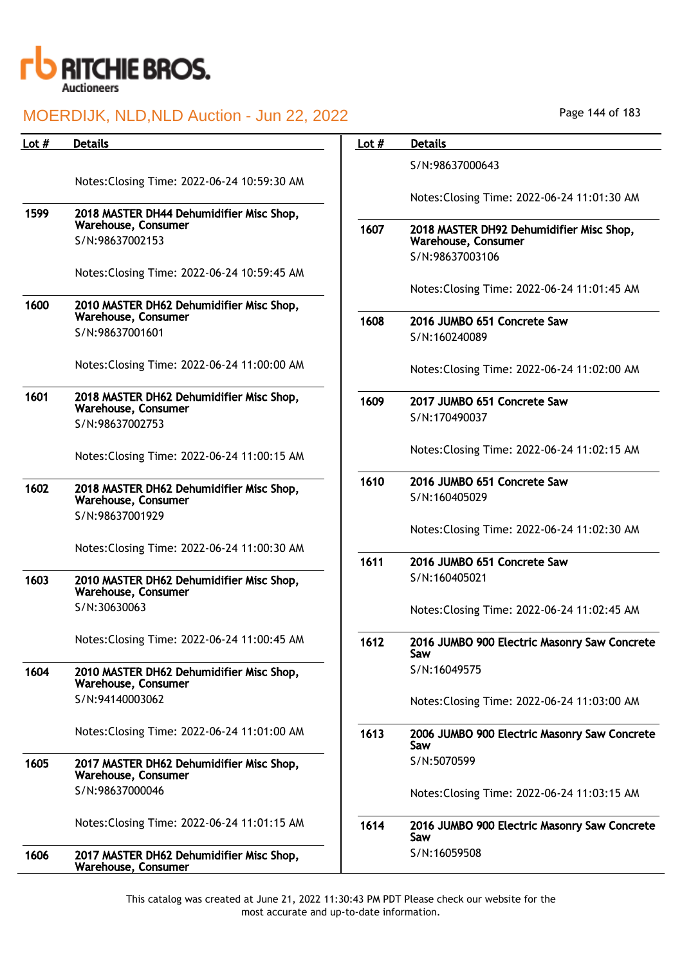

| Lot # | <b>Details</b>                                                  | Lot $#$ | <b>Details</b>                                                  |
|-------|-----------------------------------------------------------------|---------|-----------------------------------------------------------------|
|       | Notes: Closing Time: 2022-06-24 10:59:30 AM                     |         | S/N:98637000643                                                 |
|       |                                                                 |         | Notes: Closing Time: 2022-06-24 11:01:30 AM                     |
| 1599  | 2018 MASTER DH44 Dehumidifier Misc Shop,<br>Warehouse, Consumer | 1607    |                                                                 |
|       | S/N:98637002153                                                 |         | 2018 MASTER DH92 Dehumidifier Misc Shop,<br>Warehouse, Consumer |
|       | Notes: Closing Time: 2022-06-24 10:59:45 AM                     |         | S/N:98637003106                                                 |
|       |                                                                 |         | Notes: Closing Time: 2022-06-24 11:01:45 AM                     |
| 1600  | 2010 MASTER DH62 Dehumidifier Misc Shop,<br>Warehouse, Consumer |         |                                                                 |
|       | S/N:98637001601                                                 | 1608    | 2016 JUMBO 651 Concrete Saw<br>S/N:160240089                    |
|       |                                                                 |         |                                                                 |
|       | Notes: Closing Time: 2022-06-24 11:00:00 AM                     |         | Notes: Closing Time: 2022-06-24 11:02:00 AM                     |
| 1601  | 2018 MASTER DH62 Dehumidifier Misc Shop,<br>Warehouse, Consumer | 1609    | 2017 JUMBO 651 Concrete Saw                                     |
|       | S/N:98637002753                                                 |         | S/N:170490037                                                   |
|       | Notes: Closing Time: 2022-06-24 11:00:15 AM                     |         | Notes: Closing Time: 2022-06-24 11:02:15 AM                     |
| 1602  |                                                                 | 1610    | 2016 JUMBO 651 Concrete Saw                                     |
|       | 2018 MASTER DH62 Dehumidifier Misc Shop,<br>Warehouse, Consumer |         | S/N:160405029                                                   |
|       | S/N:98637001929                                                 |         |                                                                 |
|       |                                                                 |         | Notes: Closing Time: 2022-06-24 11:02:30 AM                     |
|       | Notes: Closing Time: 2022-06-24 11:00:30 AM                     | 1611    | 2016 JUMBO 651 Concrete Saw                                     |
| 1603  | 2010 MASTER DH62 Dehumidifier Misc Shop,<br>Warehouse, Consumer |         | S/N:160405021                                                   |
|       | S/N:30630063                                                    |         | Notes: Closing Time: 2022-06-24 11:02:45 AM                     |
|       | Notes: Closing Time: 2022-06-24 11:00:45 AM                     | 1612    | 2016 JUMBO 900 Electric Masonry Saw Concrete                    |
|       |                                                                 |         | Saw                                                             |
| 1604  | 2010 MASTER DH62 Dehumidifier Misc Shop,<br>Warehouse, Consumer |         | S/N:16049575                                                    |
|       | S/N:94140003062                                                 |         | Notes: Closing Time: 2022-06-24 11:03:00 AM                     |
|       | Notes: Closing Time: 2022-06-24 11:01:00 AM                     | 1613    | 2006 JUMBO 900 Electric Masonry Saw Concrete<br>Saw             |
| 1605  | 2017 MASTER DH62 Dehumidifier Misc Shop,<br>Warehouse, Consumer |         | S/N:5070599                                                     |
|       | S/N:98637000046                                                 |         | Notes: Closing Time: 2022-06-24 11:03:15 AM                     |
|       | Notes: Closing Time: 2022-06-24 11:01:15 AM                     | 1614    | 2016 JUMBO 900 Electric Masonry Saw Concrete<br>Saw             |
| 1606  | 2017 MASTER DH62 Dehumidifier Misc Shop,<br>Warehouse, Consumer |         | S/N:16059508                                                    |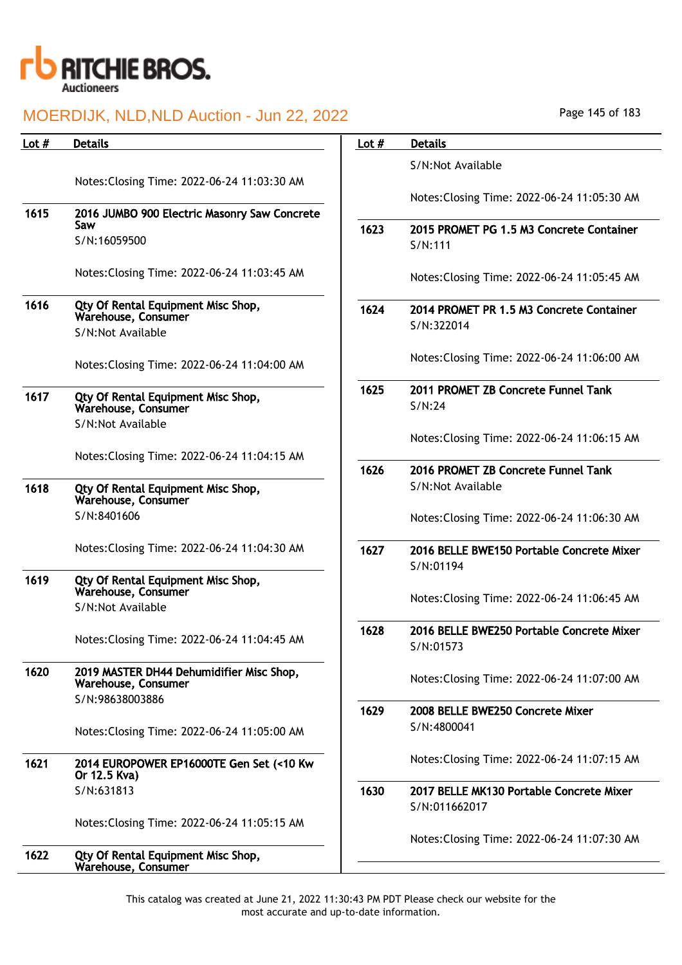

| Lot # | <b>Details</b>                                                  | Lot $#$ | <b>Details</b>                              |
|-------|-----------------------------------------------------------------|---------|---------------------------------------------|
|       |                                                                 |         | S/N:Not Available                           |
|       | Notes: Closing Time: 2022-06-24 11:03:30 AM                     |         |                                             |
|       |                                                                 |         | Notes: Closing Time: 2022-06-24 11:05:30 AM |
| 1615  | 2016 JUMBO 900 Electric Masonry Saw Concrete<br>Saw             |         |                                             |
|       | S/N:16059500                                                    | 1623    | 2015 PROMET PG 1.5 M3 Concrete Container    |
|       |                                                                 |         | S/N:111                                     |
|       | Notes: Closing Time: 2022-06-24 11:03:45 AM                     |         |                                             |
|       |                                                                 |         | Notes: Closing Time: 2022-06-24 11:05:45 AM |
| 1616  | Qty Of Rental Equipment Misc Shop,                              | 1624    | 2014 PROMET PR 1.5 M3 Concrete Container    |
|       | Warehouse, Consumer                                             |         | S/N:322014                                  |
|       | S/N:Not Available                                               |         |                                             |
|       |                                                                 |         | Notes: Closing Time: 2022-06-24 11:06:00 AM |
|       | Notes: Closing Time: 2022-06-24 11:04:00 AM                     |         |                                             |
|       |                                                                 | 1625    | 2011 PROMET ZB Concrete Funnel Tank         |
| 1617  | Qty Of Rental Equipment Misc Shop,<br>Warehouse, Consumer       |         | S/N:24                                      |
|       | S/N:Not Available                                               |         |                                             |
|       |                                                                 |         | Notes: Closing Time: 2022-06-24 11:06:15 AM |
|       | Notes: Closing Time: 2022-06-24 11:04:15 AM                     |         |                                             |
|       |                                                                 | 1626    | 2016 PROMET ZB Concrete Funnel Tank         |
| 1618  | Qty Of Rental Equipment Misc Shop,                              |         | S/N:Not Available                           |
|       | Warehouse, Consumer                                             |         |                                             |
|       | S/N:8401606                                                     |         | Notes: Closing Time: 2022-06-24 11:06:30 AM |
|       |                                                                 |         |                                             |
|       | Notes: Closing Time: 2022-06-24 11:04:30 AM                     | 1627    | 2016 BELLE BWE150 Portable Concrete Mixer   |
| 1619  | Qty Of Rental Equipment Misc Shop,                              |         | S/N:01194                                   |
|       | Warehouse, Consumer                                             |         |                                             |
|       | S/N:Not Available                                               |         | Notes: Closing Time: 2022-06-24 11:06:45 AM |
|       |                                                                 | 1628    | 2016 BELLE BWE250 Portable Concrete Mixer   |
|       | Notes: Closing Time: 2022-06-24 11:04:45 AM                     |         | S/N:01573                                   |
|       |                                                                 |         |                                             |
| 1620  | 2019 MASTER DH44 Dehumidifier Misc Shop,<br>Warehouse, Consumer |         | Notes: Closing Time: 2022-06-24 11:07:00 AM |
|       | S/N:98638003886                                                 |         |                                             |
|       |                                                                 | 1629    | 2008 BELLE BWE250 Concrete Mixer            |
|       | Notes: Closing Time: 2022-06-24 11:05:00 AM                     |         | S/N:4800041                                 |
|       |                                                                 |         |                                             |
| 1621  | 2014 EUROPOWER EP16000TE Gen Set (<10 Kw                        |         | Notes: Closing Time: 2022-06-24 11:07:15 AM |
|       | Or 12.5 Kva)                                                    |         |                                             |
|       | S/N:631813                                                      | 1630    | 2017 BELLE MK130 Portable Concrete Mixer    |
|       |                                                                 |         | S/N:011662017                               |
|       | Notes: Closing Time: 2022-06-24 11:05:15 AM                     |         |                                             |
|       |                                                                 |         | Notes: Closing Time: 2022-06-24 11:07:30 AM |
| 1622  | Qty Of Rental Equipment Misc Shop,<br>Warehouse, Consumer       |         |                                             |
|       |                                                                 |         |                                             |

Page 145 of 183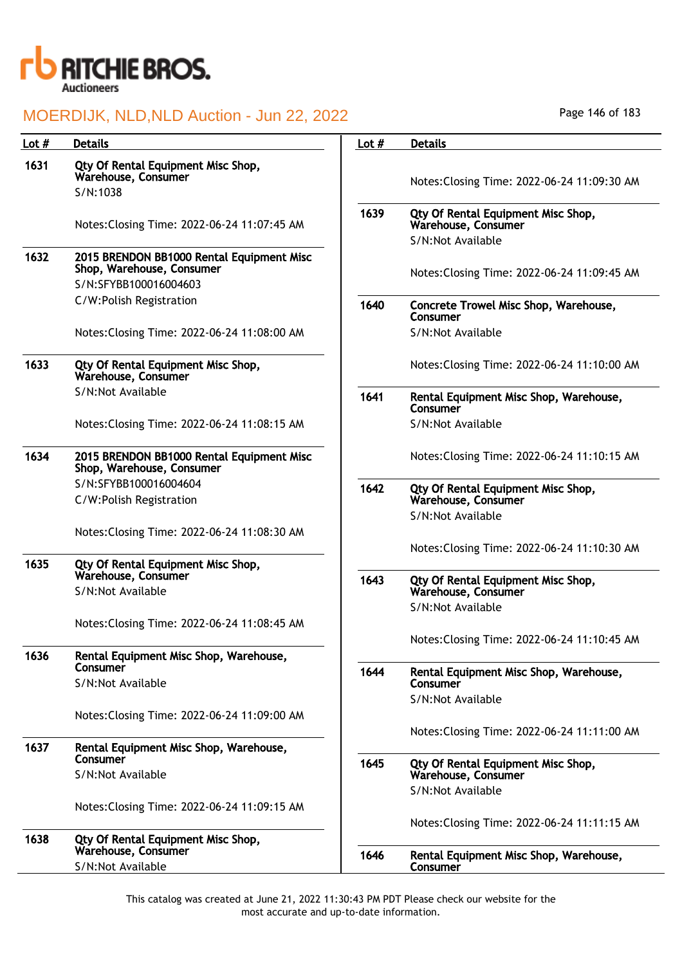

| Lot $#$ | <b>Details</b>                                                         | Lot $#$ | <b>Details</b>                                            |
|---------|------------------------------------------------------------------------|---------|-----------------------------------------------------------|
| 1631    | Qty Of Rental Equipment Misc Shop,<br>Warehouse, Consumer              |         | Notes: Closing Time: 2022-06-24 11:09:30 AM               |
|         | S/N:1038                                                               |         |                                                           |
|         | Notes: Closing Time: 2022-06-24 11:07:45 AM                            | 1639    | Qty Of Rental Equipment Misc Shop,<br>Warehouse, Consumer |
|         |                                                                        |         | S/N:Not Available                                         |
| 1632    | 2015 BRENDON BB1000 Rental Equipment Misc<br>Shop, Warehouse, Consumer |         | Notes: Closing Time: 2022-06-24 11:09:45 AM               |
|         | S/N:SFYBB100016004603                                                  |         |                                                           |
|         | C/W:Polish Registration                                                | 1640    | Concrete Trowel Misc Shop, Warehouse,<br>Consumer         |
|         | Notes: Closing Time: 2022-06-24 11:08:00 AM                            |         | S/N:Not Available                                         |
| 1633    | Qty Of Rental Equipment Misc Shop,<br>Warehouse, Consumer              |         | Notes: Closing Time: 2022-06-24 11:10:00 AM               |
|         | S/N:Not Available                                                      | 1641    | Rental Equipment Misc Shop, Warehouse,<br>Consumer        |
|         | Notes: Closing Time: 2022-06-24 11:08:15 AM                            |         | S/N:Not Available                                         |
| 1634    | 2015 BRENDON BB1000 Rental Equipment Misc<br>Shop, Warehouse, Consumer |         | Notes: Closing Time: 2022-06-24 11:10:15 AM               |
|         | S/N:SFYBB100016004604<br>C/W:Polish Registration                       | 1642    | Qty Of Rental Equipment Misc Shop,<br>Warehouse, Consumer |
|         |                                                                        |         | S/N:Not Available                                         |
|         | Notes: Closing Time: 2022-06-24 11:08:30 AM                            |         |                                                           |
|         |                                                                        |         | Notes: Closing Time: 2022-06-24 11:10:30 AM               |
| 1635    | Qty Of Rental Equipment Misc Shop,                                     |         |                                                           |
|         | Warehouse, Consumer                                                    | 1643    | Qty Of Rental Equipment Misc Shop,                        |
|         | S/N:Not Available                                                      |         | Warehouse, Consumer                                       |
|         | Notes: Closing Time: 2022-06-24 11:08:45 AM                            |         | S/N:Not Available                                         |
|         |                                                                        |         | Notes: Closing Time: 2022-06-24 11:10:45 AM               |
| 1636    | Rental Equipment Misc Shop, Warehouse,                                 |         |                                                           |
|         | Consumer                                                               | 1644    | Rental Equipment Misc Shop, Warehouse,                    |
|         | S/N:Not Available                                                      |         | Consumer                                                  |
|         |                                                                        |         | S/N:Not Available                                         |
|         | Notes: Closing Time: 2022-06-24 11:09:00 AM                            |         |                                                           |
|         |                                                                        |         | Notes: Closing Time: 2022-06-24 11:11:00 AM               |
| 1637    | Rental Equipment Misc Shop, Warehouse,<br>Consumer                     |         |                                                           |
|         | S/N:Not Available                                                      | 1645    | Qty Of Rental Equipment Misc Shop,<br>Warehouse, Consumer |
|         |                                                                        |         | S/N:Not Available                                         |
|         | Notes: Closing Time: 2022-06-24 11:09:15 AM                            |         |                                                           |
|         |                                                                        |         | Notes: Closing Time: 2022-06-24 11:11:15 AM               |
| 1638    | Qty Of Rental Equipment Misc Shop,                                     |         |                                                           |
|         | Warehouse, Consumer                                                    | 1646    | Rental Equipment Misc Shop, Warehouse,                    |
|         | S/N:Not Available                                                      |         | Consumer                                                  |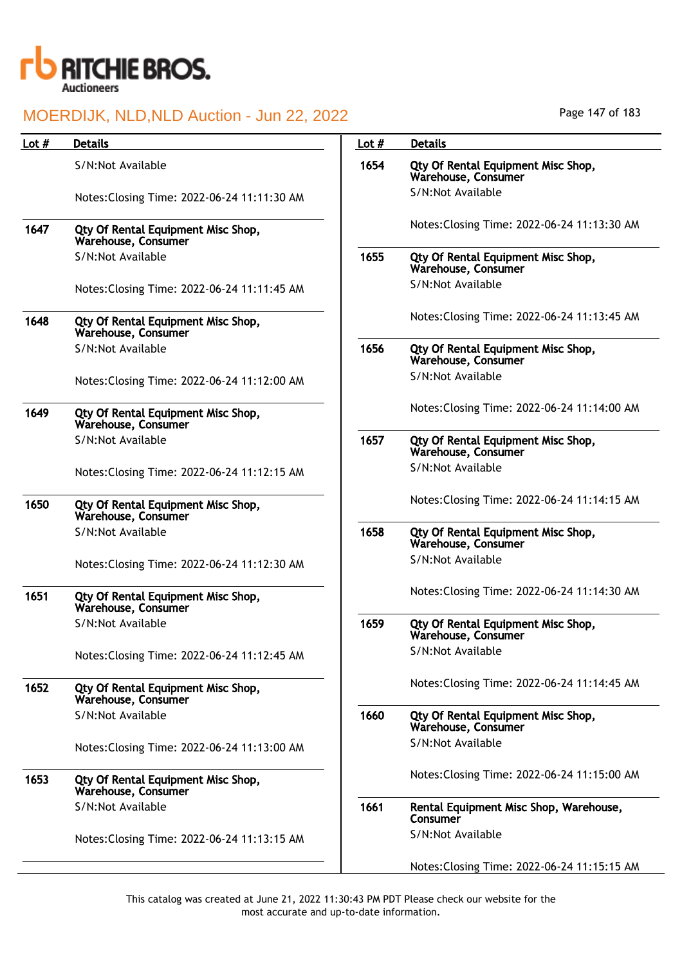

|         | MOERDIJK, NLD, NLD Auction - Jun 22, 2022                 |         | Page 147 OF 183                                           |
|---------|-----------------------------------------------------------|---------|-----------------------------------------------------------|
| Lot $#$ | <b>Details</b>                                            | Lot $#$ | <b>Details</b>                                            |
|         | S/N:Not Available                                         | 1654    | Qty Of Rental Equipment Misc Shop,<br>Warehouse, Consumer |
|         | Notes: Closing Time: 2022-06-24 11:11:30 AM               |         | S/N:Not Available                                         |
| 1647    | Qty Of Rental Equipment Misc Shop,<br>Warehouse, Consumer |         | Notes: Closing Time: 2022-06-24 11:13:30 AM               |
|         | S/N:Not Available                                         | 1655    | Qty Of Rental Equipment Misc Shop,<br>Warehouse, Consumer |
|         | Notes: Closing Time: 2022-06-24 11:11:45 AM               |         | S/N:Not Available                                         |
| 1648    | Qty Of Rental Equipment Misc Shop,<br>Warehouse, Consumer |         | Notes: Closing Time: 2022-06-24 11:13:45 AM               |
|         | S/N:Not Available                                         | 1656    | Qty Of Rental Equipment Misc Shop,<br>Warehouse, Consumer |
|         | Notes: Closing Time: 2022-06-24 11:12:00 AM               |         | S/N:Not Available                                         |
| 1649    | Qty Of Rental Equipment Misc Shop,<br>Warehouse, Consumer |         | Notes: Closing Time: 2022-06-24 11:14:00 AM               |
|         | S/N:Not Available                                         | 1657    | Qty Of Rental Equipment Misc Shop,<br>Warehouse, Consumer |
|         | Notes: Closing Time: 2022-06-24 11:12:15 AM               |         | S/N:Not Available                                         |
| 1650    | Qty Of Rental Equipment Misc Shop,<br>Warehouse, Consumer |         | Notes: Closing Time: 2022-06-24 11:14:15 AM               |
|         | S/N:Not Available                                         | 1658    | Qty Of Rental Equipment Misc Shop,<br>Warehouse, Consumer |
|         | Notes: Closing Time: 2022-06-24 11:12:30 AM               |         | S/N:Not Available                                         |
| 1651    | Qty Of Rental Equipment Misc Shop,<br>Warehouse, Consumer |         | Notes: Closing Time: 2022-06-24 11:14:30 AM               |
|         | S/N:Not Available                                         | 1659    | Qty Of Rental Equipment Misc Shop,<br>Warehouse, Consumer |
|         | Notes: Closing Time: 2022-06-24 11:12:45 AM               |         | S/N:Not Available                                         |
| 1652    | Qty Of Rental Equipment Misc Shop,<br>Warehouse, Consumer |         | Notes: Closing Time: 2022-06-24 11:14:45 AM               |
|         | S/N:Not Available                                         | 1660    | Qty Of Rental Equipment Misc Shop,<br>Warehouse, Consumer |
|         | Notes: Closing Time: 2022-06-24 11:13:00 AM               |         | S/N:Not Available                                         |
| 1653    | Qty Of Rental Equipment Misc Shop,<br>Warehouse, Consumer |         | Notes: Closing Time: 2022-06-24 11:15:00 AM               |
|         | S/N:Not Available                                         | 1661    | Rental Equipment Misc Shop, Warehouse,<br>Consumer        |
|         | Notes: Closing Time: 2022-06-24 11:13:15 AM               |         | S/N:Not Available                                         |
|         |                                                           |         | Notes: Closing Time: 2022-06-24 11:15:15 AM               |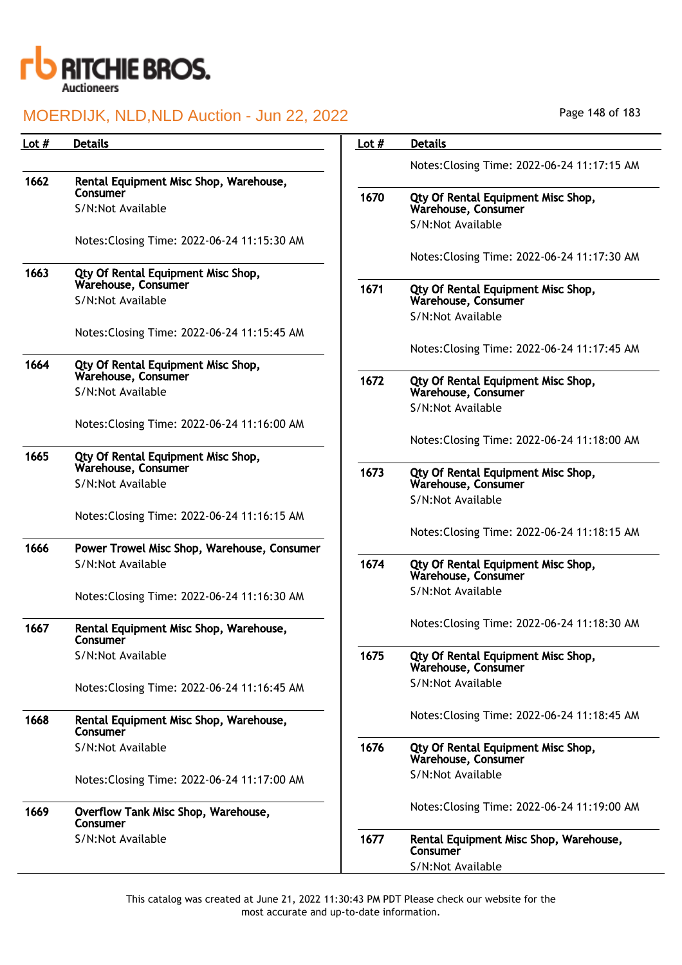

| Lot $#$ | <b>Details</b>                                            | Lot $#$ | <b>Details</b>                                            |
|---------|-----------------------------------------------------------|---------|-----------------------------------------------------------|
|         |                                                           |         | Notes: Closing Time: 2022-06-24 11:17:15 AM               |
| 1662    | Rental Equipment Misc Shop, Warehouse,<br>Consumer        |         |                                                           |
|         | S/N:Not Available                                         | 1670    | Qty Of Rental Equipment Misc Shop,<br>Warehouse, Consumer |
|         |                                                           |         | S/N:Not Available                                         |
|         | Notes: Closing Time: 2022-06-24 11:15:30 AM               |         | Notes: Closing Time: 2022-06-24 11:17:30 AM               |
| 1663    | Qty Of Rental Equipment Misc Shop,                        |         |                                                           |
|         | Warehouse, Consumer<br>S/N:Not Available                  | 1671    | Qty Of Rental Equipment Misc Shop,<br>Warehouse, Consumer |
|         |                                                           |         | S/N:Not Available                                         |
|         | Notes: Closing Time: 2022-06-24 11:15:45 AM               |         |                                                           |
| 1664    | Qty Of Rental Equipment Misc Shop,                        |         | Notes: Closing Time: 2022-06-24 11:17:45 AM               |
|         | Warehouse, Consumer<br>S/N:Not Available                  | 1672    | Qty Of Rental Equipment Misc Shop,<br>Warehouse, Consumer |
|         |                                                           |         | S/N:Not Available                                         |
|         | Notes: Closing Time: 2022-06-24 11:16:00 AM               |         |                                                           |
|         |                                                           |         | Notes: Closing Time: 2022-06-24 11:18:00 AM               |
| 1665    | Qty Of Rental Equipment Misc Shop,<br>Warehouse, Consumer | 1673    | Qty Of Rental Equipment Misc Shop,                        |
|         | S/N:Not Available                                         |         | Warehouse, Consumer                                       |
|         |                                                           |         | S/N:Not Available                                         |
|         | Notes: Closing Time: 2022-06-24 11:16:15 AM               |         | Notes: Closing Time: 2022-06-24 11:18:15 AM               |
| 1666    | Power Trowel Misc Shop, Warehouse, Consumer               |         |                                                           |
|         | S/N:Not Available                                         | 1674    | Qty Of Rental Equipment Misc Shop,<br>Warehouse, Consumer |
|         | Notes: Closing Time: 2022-06-24 11:16:30 AM               |         | S/N:Not Available                                         |
|         |                                                           |         |                                                           |
| 1667    | Rental Equipment Misc Shop, Warehouse,<br>Consumer        |         | Notes: Closing Time: 2022-06-24 11:18:30 AM               |
|         | S/N:Not Available                                         | 1675    | Qty Of Rental Equipment Misc Shop,<br>Warehouse, Consumer |
|         | Notes: Closing Time: 2022-06-24 11:16:45 AM               |         | S/N:Not Available                                         |
| 1668    | Rental Equipment Misc Shop, Warehouse,<br>Consumer        |         | Notes: Closing Time: 2022-06-24 11:18:45 AM               |
|         | S/N:Not Available                                         | 1676    | Qty Of Rental Equipment Misc Shop,<br>Warehouse, Consumer |
|         | Notes: Closing Time: 2022-06-24 11:17:00 AM               |         | S/N:Not Available                                         |
| 1669    | Overflow Tank Misc Shop, Warehouse,<br>Consumer           |         | Notes: Closing Time: 2022-06-24 11:19:00 AM               |
|         | S/N:Not Available                                         | 1677    | Rental Equipment Misc Shop, Warehouse,<br>Consumer        |
|         |                                                           |         | S/N:Not Available                                         |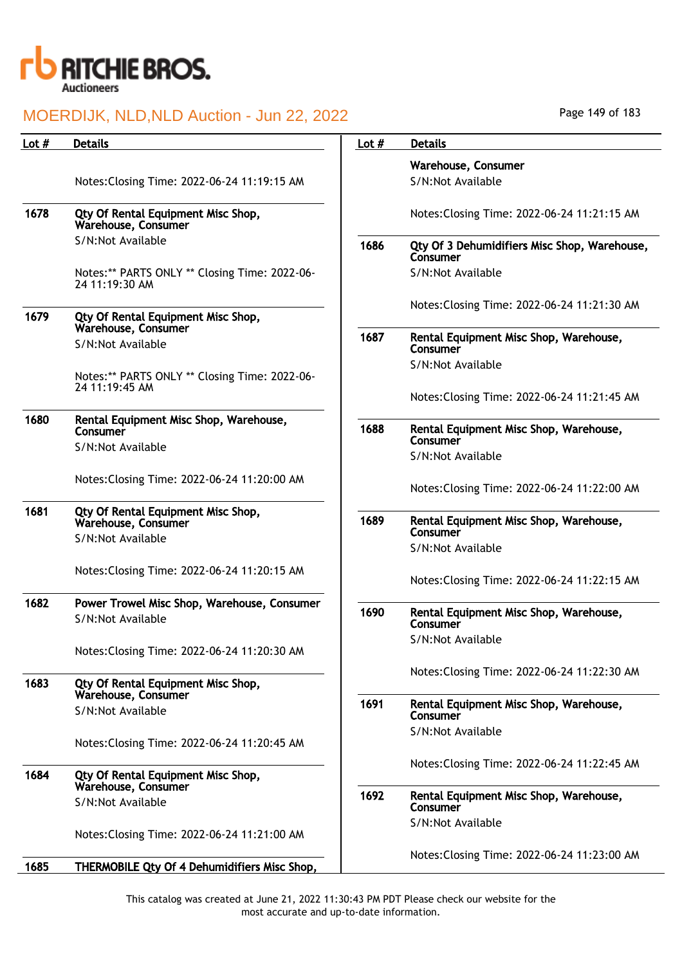

| Lot $#$ | <b>Details</b>                                                   | Lot $#$ | <b>Details</b>              |
|---------|------------------------------------------------------------------|---------|-----------------------------|
|         |                                                                  |         | Warehou                     |
|         | Notes: Closing Time: 2022-06-24 11:19:15 AM                      |         | S/N:Not                     |
| 1678    | Qty Of Rental Equipment Misc Shop,<br>Warehouse, Consumer        |         | Notes:Clo                   |
|         | S/N:Not Available                                                | 1686    | Qty Of 3                    |
|         | Notes:** PARTS ONLY ** Closing Time: 2022-06-<br>24 11:19:30 AM  |         | Consume<br>S/N:Not          |
| 1679    | Qty Of Rental Equipment Misc Shop,<br>Warehouse, Consumer        |         | Notes:Clo                   |
|         | S/N:Not Available                                                | 1687    | <b>Rental Ed</b><br>Consume |
|         | Notes:** PARTS ONLY ** Closing Time: 2022-06-<br>24 11:19:45 AM  |         | S/N:Not                     |
|         |                                                                  |         | Notes:Clo                   |
| 1680    | Rental Equipment Misc Shop, Warehouse,<br>Consumer               | 1688    | <b>Rental Ed</b><br>Consume |
|         | S/N:Not Available                                                |         | S/N:Not                     |
|         | Notes: Closing Time: 2022-06-24 11:20:00 AM                      |         | Notes:Clo                   |
| 1681    | Qty Of Rental Equipment Misc Shop,<br>Warehouse, Consumer        | 1689    | <b>Rental Ed</b>            |
|         | S/N:Not Available                                                |         | Consume                     |
|         | Notes: Closing Time: 2022-06-24 11:20:15 AM                      |         | S/N:Not                     |
|         |                                                                  |         | Notes:Clo                   |
| 1682    | Power Trowel Misc Shop, Warehouse, Consumer<br>S/N:Not Available | 1690    | <b>Rental Ed</b><br>Consume |
|         | Notes: Closing Time: 2022-06-24 11:20:30 AM                      |         | S/N:Not                     |
| 1683    | Qty Of Rental Equipment Misc Shop,<br>Warehouse, Consumer        |         | Notes:Clo                   |
|         | S/N:Not Available                                                | 1691    | <b>Rental Ed</b><br>Consume |
|         | Notes: Closing Time: 2022-06-24 11:20:45 AM                      |         | S/N:Not                     |
| 1684    | Qty Of Rental Equipment Misc Shop,<br>Warehouse, Consumer        |         | Notes:Clo                   |
|         | S/N:Not Available                                                | 1692    | <b>Rental Ed</b><br>Consume |
|         | Notes: Closing Time: 2022-06-24 11:21:00 AM                      |         | S/N:Not                     |
| 1685    | THERMOBILE Qty Of 4 Dehumidifiers Misc Shop,                     |         | Notes:Clo                   |

Page 149 of 183

|      | Warehouse, Consumer                                      |
|------|----------------------------------------------------------|
|      | S/N:Not Available                                        |
|      |                                                          |
|      | Notes: Closing Time: 2022-06-24 11:21:15 AM              |
| 1686 | Qty Of 3 Dehumidifiers Misc Shop, Warehouse,<br>Consumer |
|      | S/N:Not Available                                        |
|      | Notes: Closing Time: 2022-06-24 11:21:30 AM              |
| 1687 | Rental Equipment Misc Shop, Warehouse,<br>Consumer       |
|      | S/N:Not Available                                        |
|      | Notes: Closing Time: 2022-06-24 11:21:45 AM              |
| 1688 | Rental Equipment Misc Shop, Warehouse,<br>Consumer       |
|      | S/N:Not Available                                        |
|      | Notes: Closing Time: 2022-06-24 11:22:00 AM              |
| 1689 | Rental Equipment Misc Shop, Warehouse,<br>Consumer       |
|      | S/N:Not Available                                        |
|      | Notes: Closing Time: 2022-06-24 11:22:15 AM              |
| 1690 | Rental Equipment Misc Shop, Warehouse,<br>Consumer       |
|      | S/N:Not Available                                        |
|      | Notes: Closing Time: 2022-06-24 11:22:30 AM              |
| 1691 | Rental Equipment Misc Shop, Warehouse,<br>Consumer       |
|      | S/N:Not Available                                        |
|      | Notes: Closing Time: 2022-06-24 11:22:45 AM              |
| 1692 | Rental Equipment Misc Shop, Warehouse,<br>Consumer       |
|      | S/N:Not Available                                        |
|      | Notes: Closing Time: 2022-06-24 11:23:00 AM              |
|      |                                                          |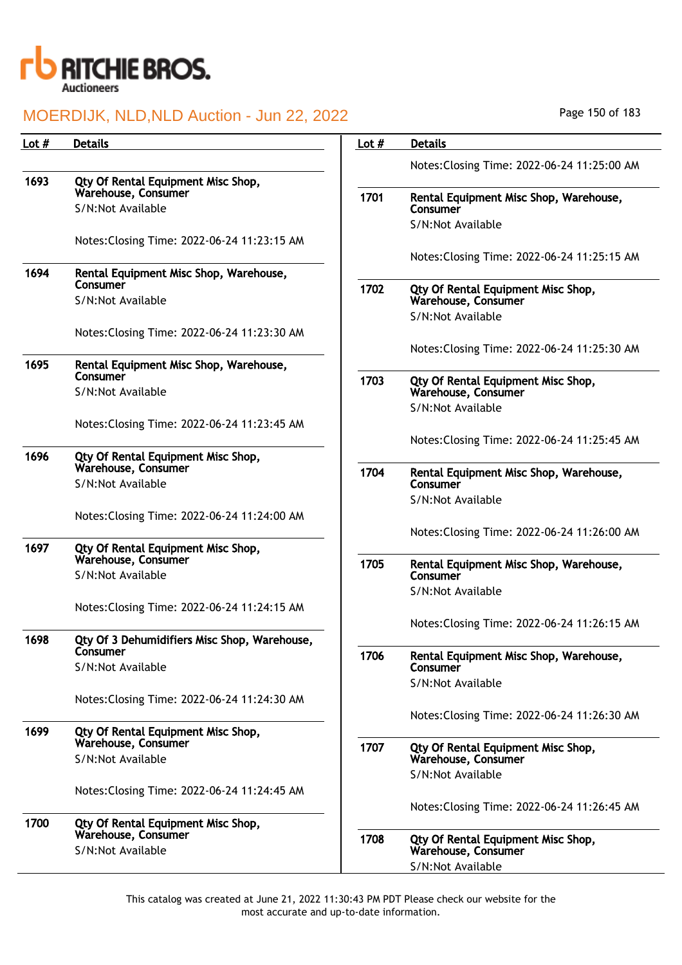

| Lot $#$ | <b>Details</b>                                            | Lot $#$ | <b>Details</b>                                            |
|---------|-----------------------------------------------------------|---------|-----------------------------------------------------------|
|         |                                                           |         | Notes: Closing Time: 2022-06-24 11:25:00 AM               |
| 1693    | Qty Of Rental Equipment Misc Shop,<br>Warehouse, Consumer |         |                                                           |
|         | S/N:Not Available                                         | 1701    | Rental Equipment Misc Shop, Warehouse,<br>Consumer        |
|         |                                                           |         | S/N:Not Available                                         |
|         | Notes: Closing Time: 2022-06-24 11:23:15 AM               |         |                                                           |
| 1694    | Rental Equipment Misc Shop, Warehouse,                    |         | Notes: Closing Time: 2022-06-24 11:25:15 AM               |
|         | Consumer                                                  | 1702    | Qty Of Rental Equipment Misc Shop,                        |
|         | S/N:Not Available                                         |         | Warehouse, Consumer<br>S/N:Not Available                  |
|         | Notes: Closing Time: 2022-06-24 11:23:30 AM               |         |                                                           |
|         |                                                           |         | Notes: Closing Time: 2022-06-24 11:25:30 AM               |
| 1695    | Rental Equipment Misc Shop, Warehouse,<br>Consumer        |         |                                                           |
|         | S/N:Not Available                                         | 1703    | Qty Of Rental Equipment Misc Shop,<br>Warehouse, Consumer |
|         |                                                           |         | S/N:Not Available                                         |
|         | Notes: Closing Time: 2022-06-24 11:23:45 AM               |         |                                                           |
| 1696    | Qty Of Rental Equipment Misc Shop,                        |         | Notes: Closing Time: 2022-06-24 11:25:45 AM               |
|         | Warehouse, Consumer                                       | 1704    | Rental Equipment Misc Shop, Warehouse,                    |
|         | S/N:Not Available                                         |         | Consumer<br>S/N:Not Available                             |
|         | Notes: Closing Time: 2022-06-24 11:24:00 AM               |         |                                                           |
|         |                                                           |         | Notes: Closing Time: 2022-06-24 11:26:00 AM               |
| 1697    | Qty Of Rental Equipment Misc Shop,<br>Warehouse, Consumer |         |                                                           |
|         | S/N:Not Available                                         | 1705    | Rental Equipment Misc Shop, Warehouse,<br>Consumer        |
|         |                                                           |         | S/N:Not Available                                         |
|         | Notes: Closing Time: 2022-06-24 11:24:15 AM               |         | Notes: Closing Time: 2022-06-24 11:26:15 AM               |
| 1698    | Qty Of 3 Dehumidifiers Misc Shop, Warehouse,              |         |                                                           |
|         | Consumer                                                  | 1706    | Rental Equipment Misc Shop, Warehouse,                    |
|         | S/N:Not Available                                         |         | Consumer<br>S/N:Not Available                             |
|         | Notes: Closing Time: 2022-06-24 11:24:30 AM               |         |                                                           |
|         |                                                           |         | Notes: Closing Time: 2022-06-24 11:26:30 AM               |
| 1699    | Qty Of Rental Equipment Misc Shop,<br>Warehouse, Consumer |         |                                                           |
|         | S/N:Not Available                                         | 1707    | Qty Of Rental Equipment Misc Shop,<br>Warehouse, Consumer |
|         |                                                           |         | S/N:Not Available                                         |
|         | Notes: Closing Time: 2022-06-24 11:24:45 AM               |         |                                                           |
| 1700    | Qty Of Rental Equipment Misc Shop,                        |         | Notes: Closing Time: 2022-06-24 11:26:45 AM               |
|         | Warehouse, Consumer                                       | 1708    | Qty Of Rental Equipment Misc Shop,                        |
|         | S/N:Not Available                                         |         | Warehouse, Consumer<br>S/N:Not Available                  |
|         |                                                           |         |                                                           |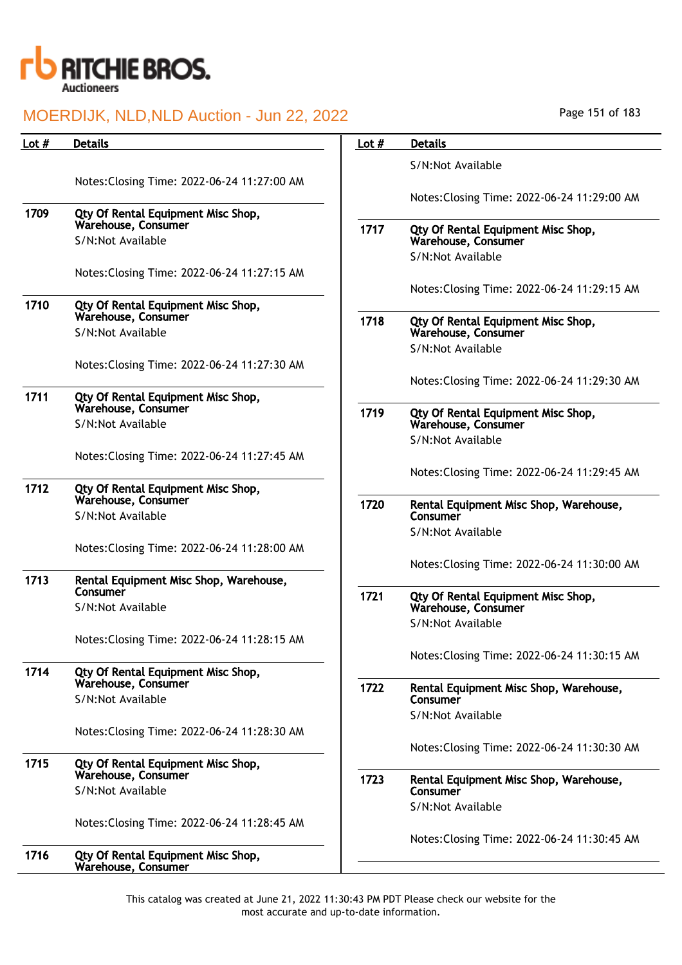

| Lot $#$ | <b>Details</b>                                            | Lot $#$ | <b>Details</b>                                            |
|---------|-----------------------------------------------------------|---------|-----------------------------------------------------------|
|         |                                                           |         | S/N:Not Available                                         |
|         | Notes: Closing Time: 2022-06-24 11:27:00 AM               |         |                                                           |
|         |                                                           |         | Notes: Closing Time: 2022-06-24 11:29:00 AM               |
| 1709    | Qty Of Rental Equipment Misc Shop,<br>Warehouse, Consumer |         |                                                           |
|         | S/N:Not Available                                         | 1717    | Qty Of Rental Equipment Misc Shop,<br>Warehouse, Consumer |
|         |                                                           |         | S/N:Not Available                                         |
|         | Notes: Closing Time: 2022-06-24 11:27:15 AM               |         |                                                           |
|         |                                                           |         | Notes: Closing Time: 2022-06-24 11:29:15 AM               |
| 1710    | Qty Of Rental Equipment Misc Shop,                        |         |                                                           |
|         | Warehouse, Consumer<br>S/N:Not Available                  | 1718    | Qty Of Rental Equipment Misc Shop,<br>Warehouse, Consumer |
|         |                                                           |         | S/N:Not Available                                         |
|         | Notes: Closing Time: 2022-06-24 11:27:30 AM               |         |                                                           |
|         |                                                           |         | Notes: Closing Time: 2022-06-24 11:29:30 AM               |
| 1711    | Qty Of Rental Equipment Misc Shop,                        |         |                                                           |
|         | Warehouse, Consumer                                       | 1719    | Qty Of Rental Equipment Misc Shop,                        |
|         | S/N:Not Available                                         |         | Warehouse, Consumer<br>S/N:Not Available                  |
|         | Notes: Closing Time: 2022-06-24 11:27:45 AM               |         |                                                           |
|         |                                                           |         | Notes: Closing Time: 2022-06-24 11:29:45 AM               |
| 1712    | Qty Of Rental Equipment Misc Shop,                        |         |                                                           |
|         | Warehouse, Consumer                                       | 1720    | Rental Equipment Misc Shop, Warehouse,                    |
|         | S/N:Not Available                                         |         | Consumer                                                  |
|         | Notes: Closing Time: 2022-06-24 11:28:00 AM               |         | S/N:Not Available                                         |
|         |                                                           |         | Notes: Closing Time: 2022-06-24 11:30:00 AM               |
| 1713    | Rental Equipment Misc Shop, Warehouse,                    |         |                                                           |
|         | Consumer                                                  | 1721    | Qty Of Rental Equipment Misc Shop,                        |
|         | S/N:Not Available                                         |         | Warehouse, Consumer                                       |
|         |                                                           |         | S/N:Not Available                                         |
|         | Notes: Closing Time: 2022-06-24 11:28:15 AM               |         | Notes: Closing Time: 2022-06-24 11:30:15 AM               |
| 1714    | Qty Of Rental Equipment Misc Shop,                        |         |                                                           |
|         | Warehouse, Consumer                                       | 1722    | Rental Equipment Misc Shop, Warehouse,                    |
|         | S/N:Not Available                                         |         | Consumer                                                  |
|         |                                                           |         | S/N:Not Available                                         |
|         | Notes: Closing Time: 2022-06-24 11:28:30 AM               |         |                                                           |
| 1715    | Qty Of Rental Equipment Misc Shop,                        |         | Notes: Closing Time: 2022-06-24 11:30:30 AM               |
|         | Warehouse, Consumer                                       | 1723    | Rental Equipment Misc Shop, Warehouse,                    |
|         | S/N:Not Available                                         |         | Consumer                                                  |
|         |                                                           |         | S/N:Not Available                                         |
|         | Notes: Closing Time: 2022-06-24 11:28:45 AM               |         |                                                           |
|         |                                                           |         | Notes: Closing Time: 2022-06-24 11:30:45 AM               |
| 1716    | Qty Of Rental Equipment Misc Shop,<br>Warehouse, Consumer |         |                                                           |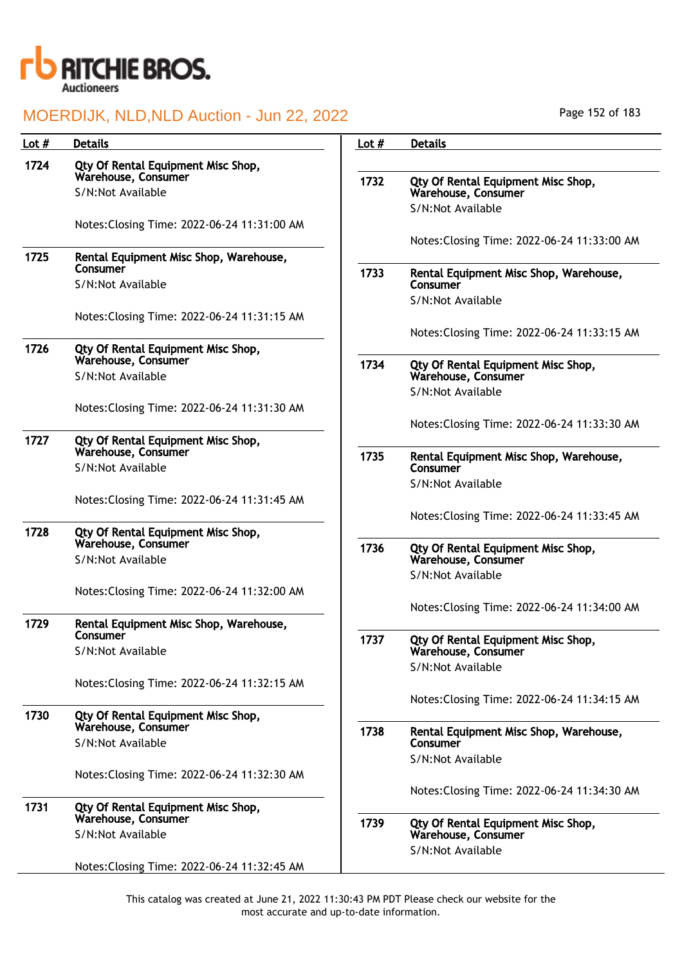

| Page 152 of 183 |  |  |  |
|-----------------|--|--|--|
|-----------------|--|--|--|

| Lot $#$ | <b>Details</b>                                            | Lot $#$ | <b>Details</b>                                            |
|---------|-----------------------------------------------------------|---------|-----------------------------------------------------------|
| 1724    | Qty Of Rental Equipment Misc Shop,                        |         |                                                           |
|         | Warehouse, Consumer<br>S/N:Not Available                  | 1732    | Qty Of Rental Equipment Misc Shop,<br>Warehouse, Consumer |
|         |                                                           |         | S/N:Not Available                                         |
|         | Notes: Closing Time: 2022-06-24 11:31:00 AM               |         | Notes: Closing Time: 2022-06-24 11:33:00 AM               |
| 1725    | Rental Equipment Misc Shop, Warehouse,                    |         |                                                           |
|         | Consumer<br>S/N:Not Available                             | 1733    | Rental Equipment Misc Shop, Warehouse,<br>Consumer        |
|         |                                                           |         | S/N:Not Available                                         |
|         | Notes: Closing Time: 2022-06-24 11:31:15 AM               |         | Notes: Closing Time: 2022-06-24 11:33:15 AM               |
| 1726    | Qty Of Rental Equipment Misc Shop,                        |         |                                                           |
|         | Warehouse, Consumer<br>S/N:Not Available                  | 1734    | Qty Of Rental Equipment Misc Shop,<br>Warehouse, Consumer |
|         |                                                           |         | S/N:Not Available                                         |
|         | Notes: Closing Time: 2022-06-24 11:31:30 AM               |         |                                                           |
| 1727    | Qty Of Rental Equipment Misc Shop,                        |         | Notes: Closing Time: 2022-06-24 11:33:30 AM               |
|         | Warehouse, Consumer<br>S/N:Not Available                  | 1735    | Rental Equipment Misc Shop, Warehouse,<br>Consumer        |
|         |                                                           |         | S/N:Not Available                                         |
|         | Notes: Closing Time: 2022-06-24 11:31:45 AM               |         |                                                           |
| 1728    | Qty Of Rental Equipment Misc Shop,                        |         | Notes: Closing Time: 2022-06-24 11:33:45 AM               |
|         | Warehouse, Consumer                                       | 1736    | Qty Of Rental Equipment Misc Shop,                        |
|         | S/N:Not Available                                         |         | Warehouse, Consumer<br>S/N:Not Available                  |
|         | Notes: Closing Time: 2022-06-24 11:32:00 AM               |         |                                                           |
|         |                                                           |         | Notes: Closing Time: 2022-06-24 11:34:00 AM               |
| 1729    | Rental Equipment Misc Shop, Warehouse,<br>Consumer        | 1737    | Qty Of Rental Equipment Misc Shop,                        |
|         | S/N:Not Available                                         |         | Warehouse, Consumer                                       |
|         | Notes: Closing Time: 2022-06-24 11:32:15 AM               |         | S/N:Not Available                                         |
|         |                                                           |         | Notes: Closing Time: 2022-06-24 11:34:15 AM               |
| 1730    | Qty Of Rental Equipment Misc Shop,<br>Warehouse, Consumer | 1738    |                                                           |
|         | S/N:Not Available                                         |         | Rental Equipment Misc Shop, Warehouse,<br>Consumer        |
|         |                                                           |         | S/N:Not Available                                         |
|         | Notes: Closing Time: 2022-06-24 11:32:30 AM               |         | Notes: Closing Time: 2022-06-24 11:34:30 AM               |
| 1731    | Qty Of Rental Equipment Misc Shop,                        |         |                                                           |
|         | Warehouse, Consumer<br>S/N:Not Available                  | 1739    | Qty Of Rental Equipment Misc Shop,<br>Warehouse, Consumer |
|         |                                                           |         | S/N:Not Available                                         |
|         | Notes: Closing Time: 2022-06-24 11:32:45 AM               |         |                                                           |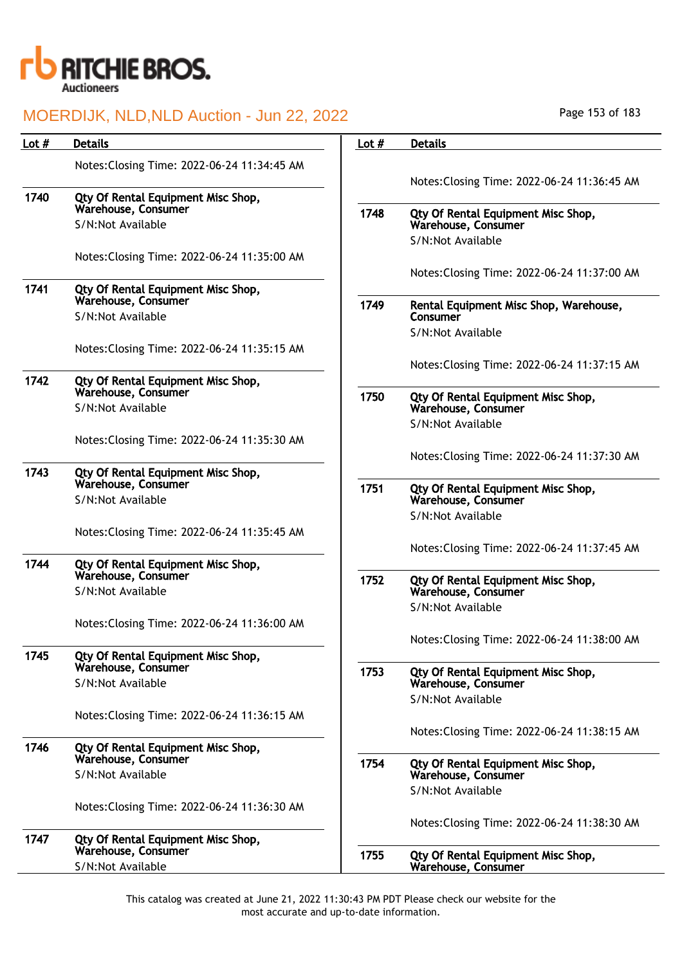

# MOERDIJK, NLD,NLD Auction - Jun 22, 2022

| Lot $#$ | <b>Details</b>                                            | Lot $#$ | <b>Details</b>                                            |
|---------|-----------------------------------------------------------|---------|-----------------------------------------------------------|
|         | Notes: Closing Time: 2022-06-24 11:34:45 AM               |         | Notes: Closing Time: 2022-06-24 11:36:45 AM               |
| 1740    | Qty Of Rental Equipment Misc Shop,<br>Warehouse, Consumer | 1748    |                                                           |
|         | S/N:Not Available                                         |         | Qty Of Rental Equipment Misc Shop,<br>Warehouse, Consumer |
|         |                                                           |         | S/N:Not Available                                         |
|         | Notes: Closing Time: 2022-06-24 11:35:00 AM               |         | Notes: Closing Time: 2022-06-24 11:37:00 AM               |
| 1741    | Qty Of Rental Equipment Misc Shop,<br>Warehouse, Consumer | 1749    | Rental Equipment Misc Shop, Warehouse,                    |
|         | S/N:Not Available                                         |         | Consumer                                                  |
|         |                                                           |         | S/N:Not Available                                         |
|         | Notes: Closing Time: 2022-06-24 11:35:15 AM               |         | Notes: Closing Time: 2022-06-24 11:37:15 AM               |
| 1742    | Qty Of Rental Equipment Misc Shop,                        |         |                                                           |
|         | Warehouse, Consumer<br>S/N:Not Available                  | 1750    | Qty Of Rental Equipment Misc Shop,<br>Warehouse, Consumer |
|         |                                                           |         | S/N:Not Available                                         |
|         | Notes: Closing Time: 2022-06-24 11:35:30 AM               |         | Notes: Closing Time: 2022-06-24 11:37:30 AM               |
| 1743    | Qty Of Rental Equipment Misc Shop,                        |         |                                                           |
|         | Warehouse, Consumer<br>S/N:Not Available                  | 1751    | Qty Of Rental Equipment Misc Shop,<br>Warehouse, Consumer |
|         |                                                           |         | S/N:Not Available                                         |
|         | Notes: Closing Time: 2022-06-24 11:35:45 AM               |         |                                                           |
| 1744    | Qty Of Rental Equipment Misc Shop,<br>Warehouse, Consumer |         | Notes: Closing Time: 2022-06-24 11:37:45 AM               |
|         |                                                           | 1752    | Qty Of Rental Equipment Misc Shop,                        |
|         | S/N:Not Available                                         |         | Warehouse, Consumer<br>S/N:Not Available                  |
|         | Notes: Closing Time: 2022-06-24 11:36:00 AM               |         |                                                           |
|         |                                                           |         | Notes: Closing Time: 2022-06-24 11:38:00 AM               |
| 1745    | Qty Of Rental Equipment Misc Shop,                        |         |                                                           |
|         | Warehouse, Consumer<br>S/N:Not Available                  | 1753    | Qty Of Rental Equipment Misc Shop,<br>Warehouse, Consumer |
|         |                                                           |         | S/N:Not Available                                         |
|         | Notes: Closing Time: 2022-06-24 11:36:15 AM               |         |                                                           |
|         |                                                           |         | Notes: Closing Time: 2022-06-24 11:38:15 AM               |
| 1746    | Qty Of Rental Equipment Misc Shop,<br>Warehouse, Consumer | 1754    | Qty Of Rental Equipment Misc Shop,                        |
|         | S/N:Not Available                                         |         | Warehouse, Consumer                                       |
|         | Notes: Closing Time: 2022-06-24 11:36:30 AM               |         | S/N:Not Available                                         |
|         |                                                           |         | Notes: Closing Time: 2022-06-24 11:38:30 AM               |
| 1747    | Qty Of Rental Equipment Misc Shop,                        |         |                                                           |
|         | Warehouse, Consumer                                       | 1755    | Qty Of Rental Equipment Misc Shop,                        |
|         | S/N:Not Available                                         |         | Warehouse, Consumer                                       |

Page 153 of 183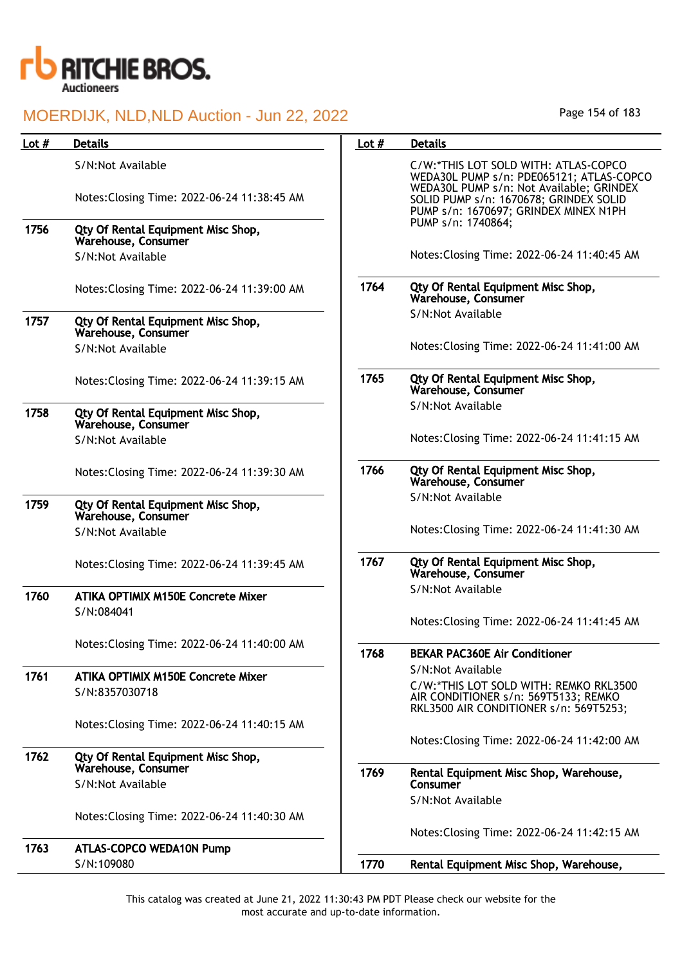

|         | <b>MULNDIJK, NLD,NLD AUGHUH - JUHZZ, ZUZZ</b>             |         |                                                                                                                              |
|---------|-----------------------------------------------------------|---------|------------------------------------------------------------------------------------------------------------------------------|
| Lot $#$ | <b>Details</b>                                            | Lot $#$ | <b>Details</b>                                                                                                               |
|         | S/N:Not Available                                         |         | C/W:*THIS LOT SOLD WITH: ATLAS-COPCO<br>WEDA30L PUMP s/n: PDE065121; ATLAS-COPCO<br>WEDA30L PUMP s/n: Not Available; GRINDEX |
|         | Notes: Closing Time: 2022-06-24 11:38:45 AM               |         | SOLID PUMP s/n: 1670678; GRINDEX SOLID<br>PUMP s/n: 1670697; GRINDEX MINEX N1PH                                              |
| 1756    | Qty Of Rental Equipment Misc Shop,<br>Warehouse, Consumer |         | PUMP s/n: 1740864;                                                                                                           |
|         | S/N:Not Available                                         |         | Notes: Closing Time: 2022-06-24 11:40:45 AM                                                                                  |
|         | Notes: Closing Time: 2022-06-24 11:39:00 AM               | 1764    | Qty Of Rental Equipment Misc Shop,<br>Warehouse, Consumer                                                                    |
| 1757    | Qty Of Rental Equipment Misc Shop,<br>Warehouse, Consumer |         | S/N:Not Available                                                                                                            |
|         | S/N:Not Available                                         |         | Notes: Closing Time: 2022-06-24 11:41:00 AM                                                                                  |
|         | Notes: Closing Time: 2022-06-24 11:39:15 AM               | 1765    | Qty Of Rental Equipment Misc Shop,<br>Warehouse, Consumer                                                                    |
| 1758    | Qty Of Rental Equipment Misc Shop,<br>Warehouse, Consumer |         | S/N:Not Available                                                                                                            |
|         | S/N:Not Available                                         |         | Notes: Closing Time: 2022-06-24 11:41:15 AM                                                                                  |
|         | Notes: Closing Time: 2022-06-24 11:39:30 AM               | 1766    | Qty Of Rental Equipment Misc Shop,<br>Warehouse, Consumer                                                                    |
| 1759    | Qty Of Rental Equipment Misc Shop,<br>Warehouse, Consumer |         | S/N:Not Available                                                                                                            |
|         | S/N:Not Available                                         |         | Notes: Closing Time: 2022-06-24 11:41:30 AM                                                                                  |
|         | Notes: Closing Time: 2022-06-24 11:39:45 AM               | 1767    | Qty Of Rental Equipment Misc Shop,<br>Warehouse, Consumer                                                                    |
| 1760    | <b>ATIKA OPTIMIX M150E Concrete Mixer</b><br>S/N:084041   |         | S/N:Not Available                                                                                                            |
|         |                                                           |         | Notes: Closing Time: 2022-06-24 11:41:45 AM                                                                                  |
|         | Notes: Closing Time: 2022-06-24 11:40:00 AM               | 1768    | <b>BEKAR PAC360E Air Conditioner</b>                                                                                         |
| 1761    | <b>ATIKA OPTIMIX M150E Concrete Mixer</b>                 |         | S/N:Not Available                                                                                                            |
|         | S/N:8357030718                                            |         | C/W:*THIS LOT SOLD WITH: REMKO RKL3500<br>AIR CONDITIONER s/n: 569T5133; REMKO<br>RKL3500 AIR CONDITIONER s/n: 569T5253;     |
|         | Notes: Closing Time: 2022-06-24 11:40:15 AM               |         | Notes: Closing Time: 2022-06-24 11:42:00 AM                                                                                  |
| 1762    | Qty Of Rental Equipment Misc Shop,                        |         |                                                                                                                              |
|         | Warehouse, Consumer                                       | 1769    | Rental Equipment Misc Shop, Warehouse,                                                                                       |
|         | S/N:Not Available                                         |         | Consumer<br>S/N:Not Available                                                                                                |
|         | Notes: Closing Time: 2022-06-24 11:40:30 AM               |         |                                                                                                                              |
|         |                                                           |         | Notes: Closing Time: 2022-06-24 11:42:15 AM                                                                                  |
| 1763    | <b>ATLAS-COPCO WEDA10N Pump</b>                           |         |                                                                                                                              |
|         | S/N:109080                                                | 1770    | Rental Equipment Misc Shop, Warehouse,                                                                                       |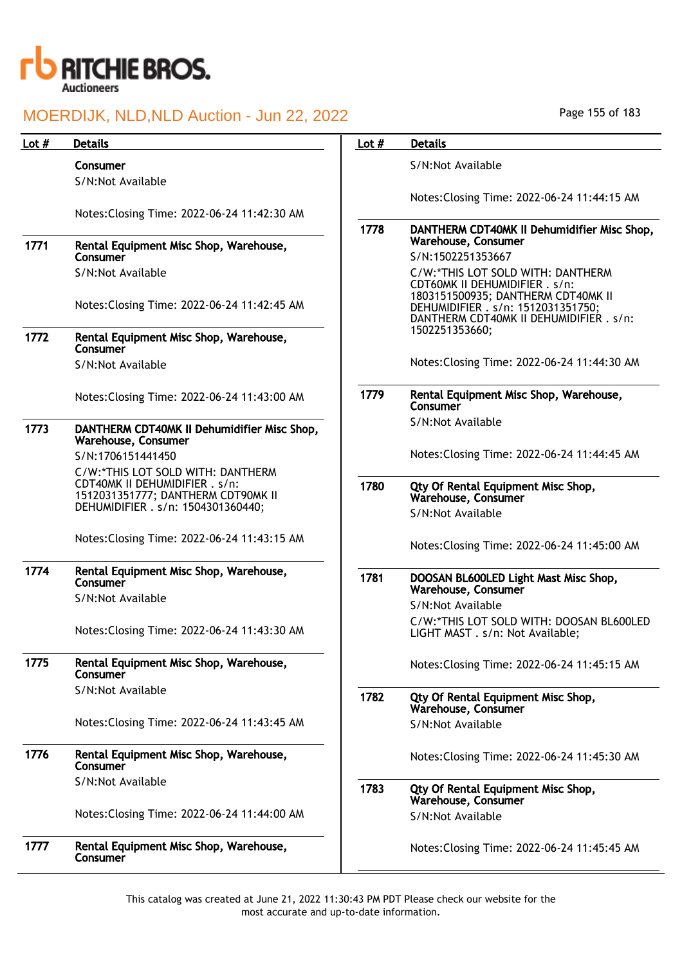

### MOERDIJK, NLD, NLD /

|         | MOERDIJK, NLD, NLD Auction - Jun 22, 2022                            |         | Page 155 of 183                                                                                                     |
|---------|----------------------------------------------------------------------|---------|---------------------------------------------------------------------------------------------------------------------|
| Lot $#$ | <b>Details</b>                                                       | Lot $#$ | <b>Details</b>                                                                                                      |
|         | Consumer                                                             |         | S/N:Not Available                                                                                                   |
|         | S/N:Not Available                                                    |         |                                                                                                                     |
|         | Notes: Closing Time: 2022-06-24 11:42:30 AM                          |         | Notes: Closing Time: 2022-06-24 11:44:15 AM                                                                         |
|         |                                                                      | 1778    | DANTHERM CDT40MK II Dehumidifier Misc Shop,                                                                         |
| 1771    | Rental Equipment Misc Shop, Warehouse,                               |         | Warehouse, Consumer                                                                                                 |
|         | Consumer<br>S/N:Not Available                                        |         | S/N:1502251353667                                                                                                   |
|         |                                                                      |         | C/W:*THIS LOT SOLD WITH: DANTHERM<br>CDT60MK II DEHUMIDIFIER . s/n:                                                 |
|         | Notes: Closing Time: 2022-06-24 11:42:45 AM                          |         | 1803151500935; DANTHERM CDT40MK II<br>DEHUMIDIFIER . s/n: 1512031351750;<br>DANTHERM CDT40MK II DEHUMIDIFIER . s/n: |
| 1772    | Rental Equipment Misc Shop, Warehouse,<br>Consumer                   |         | 1502251353660;                                                                                                      |
|         | S/N:Not Available                                                    |         | Notes: Closing Time: 2022-06-24 11:44:30 AM                                                                         |
|         | Notes: Closing Time: 2022-06-24 11:43:00 AM                          | 1779    | Rental Equipment Misc Shop, Warehouse,<br>Consumer                                                                  |
| 1773    | DANTHERM CDT40MK II Dehumidifier Misc Shop,                          |         | S/N:Not Available                                                                                                   |
|         | Warehouse, Consumer<br>S/N:1706151441450                             |         | Notes: Closing Time: 2022-06-24 11:44:45 AM                                                                         |
|         | C/W:*THIS LOT SOLD WITH: DANTHERM                                    |         |                                                                                                                     |
|         | CDT40MK II DEHUMIDIFIER . s/n:<br>1512031351777; DANTHERM CDT90MK II | 1780    | Qty Of Rental Equipment Misc Shop,<br>Warehouse, Consumer                                                           |
|         | DEHUMIDIFIER . s/n: 1504301360440;                                   |         | S/N:Not Available                                                                                                   |
|         | Notes: Closing Time: 2022-06-24 11:43:15 AM                          |         | Notes: Closing Time: 2022-06-24 11:45:00 AM                                                                         |
| 1774    | Rental Equipment Misc Shop, Warehouse,<br>Consumer                   | 1781    | DOOSAN BL600LED Light Mast Misc Shop,<br>Warehouse, Consumer                                                        |
|         | S/N:Not Available                                                    |         | S/N:Not Available                                                                                                   |
|         | Notes: Closing Time: 2022-06-24 11:43:30 AM                          |         | C/W:*THIS LOT SOLD WITH: DOOSAN BL600LED<br>LIGHT MAST . s/n: Not Available;                                        |
| 1775    | Rental Equipment Misc Shop, Warehouse,<br>Consumer                   |         | Notes: Closing Time: 2022-06-24 11:45:15 AM                                                                         |
|         | S/N:Not Available                                                    | 1782    | Qty Of Rental Equipment Misc Shop,<br>Warehouse, Consumer                                                           |
|         | Notes: Closing Time: 2022-06-24 11:43:45 AM                          |         | S/N:Not Available                                                                                                   |
| 1776    | Rental Equipment Misc Shop, Warehouse,<br>Consumer                   |         | Notes: Closing Time: 2022-06-24 11:45:30 AM                                                                         |
|         | S/N:Not Available                                                    | 1783    | Qty Of Rental Equipment Misc Shop,<br>Warehouse, Consumer                                                           |
|         | Notes: Closing Time: 2022-06-24 11:44:00 AM                          |         | S/N:Not Available                                                                                                   |
| 1777    | Rental Equipment Misc Shop, Warehouse,<br>Consumer                   |         | Notes: Closing Time: 2022-06-24 11:45:45 AM                                                                         |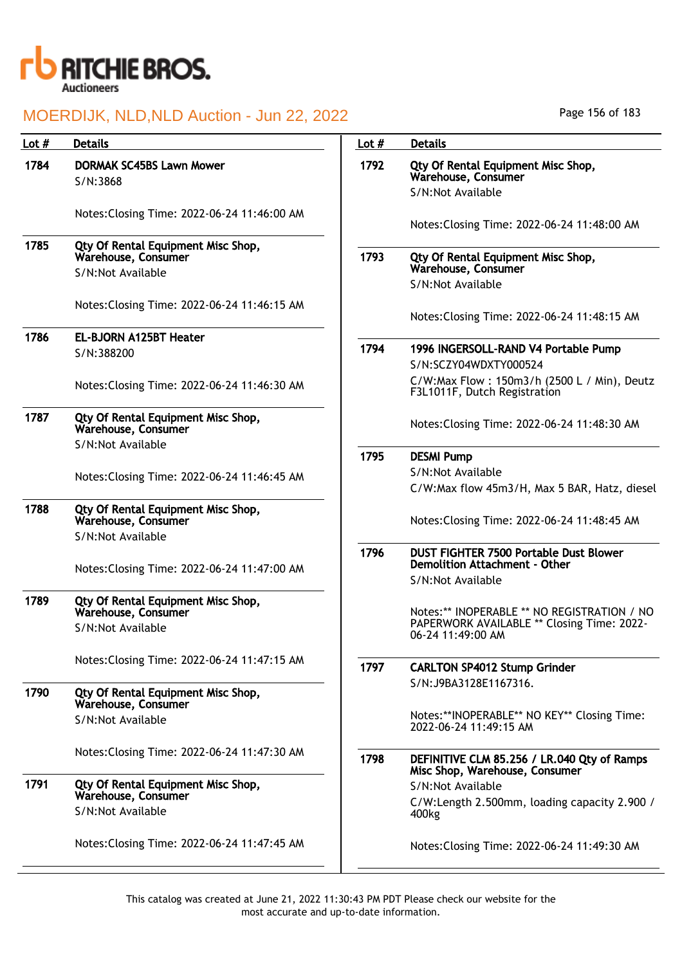

| Lot $#$ | <b>Details</b>                                            | Lot $#$ | <b>Details</b>                                                                 |
|---------|-----------------------------------------------------------|---------|--------------------------------------------------------------------------------|
| 1784    | <b>DORMAK SC45BS Lawn Mower</b>                           | 1792    | Qty Of Rental Equipment Misc Shop,                                             |
|         | S/N:3868                                                  |         | Warehouse, Consumer<br>S/N:Not Available                                       |
|         |                                                           |         |                                                                                |
|         | Notes: Closing Time: 2022-06-24 11:46:00 AM               |         | Notes: Closing Time: 2022-06-24 11:48:00 AM                                    |
| 1785    | Qty Of Rental Equipment Misc Shop,<br>Warehouse, Consumer | 1793    | Qty Of Rental Equipment Misc Shop,<br>Warehouse, Consumer                      |
|         | S/N:Not Available                                         |         | S/N:Not Available                                                              |
|         |                                                           |         |                                                                                |
|         | Notes: Closing Time: 2022-06-24 11:46:15 AM               |         | Notes: Closing Time: 2022-06-24 11:48:15 AM                                    |
| 1786    | <b>EL-BJORN A125BT Heater</b>                             |         |                                                                                |
|         | S/N:388200                                                | 1794    | 1996 INGERSOLL-RAND V4 Portable Pump                                           |
|         |                                                           |         | S/N:SCZY04WDXTY000524                                                          |
|         | Notes: Closing Time: 2022-06-24 11:46:30 AM               |         | C/W:Max Flow: 150m3/h (2500 L / Min), Deutz<br>F3L1011F, Dutch Registration    |
| 1787    | Qty Of Rental Equipment Misc Shop,<br>Warehouse, Consumer |         | Notes: Closing Time: 2022-06-24 11:48:30 AM                                    |
|         | S/N:Not Available                                         | 1795    |                                                                                |
|         |                                                           |         | <b>DESMI Pump</b><br>S/N:Not Available                                         |
|         | Notes: Closing Time: 2022-06-24 11:46:45 AM               |         | C/W:Max flow 45m3/H, Max 5 BAR, Hatz, diesel                                   |
| 1788    | Qty Of Rental Equipment Misc Shop,<br>Warehouse, Consumer |         | Notes: Closing Time: 2022-06-24 11:48:45 AM                                    |
|         | S/N:Not Available                                         |         |                                                                                |
|         | Notes: Closing Time: 2022-06-24 11:47:00 AM               | 1796    | <b>DUST FIGHTER 7500 Portable Dust Blower</b><br>Demolition Attachment - Other |
|         |                                                           |         | S/N:Not Available                                                              |
| 1789    | Qty Of Rental Equipment Misc Shop,<br>Warehouse, Consumer |         | Notes:** INOPERABLE ** NO REGISTRATION / NO                                    |
|         | S/N:Not Available                                         |         | PAPERWORK AVAILABLE ** Closing Time: 2022-                                     |
|         |                                                           |         | 06-24 11:49:00 AM                                                              |
|         | Notes: Closing Time: 2022-06-24 11:47:15 AM               | 1797    | <b>CARLTON SP4012 Stump Grinder</b>                                            |
|         |                                                           |         | S/N:J9BA3128E1167316.                                                          |
| 1790    | Qty Of Rental Equipment Misc Shop,<br>Warehouse, Consumer |         |                                                                                |
|         | S/N:Not Available                                         |         | Notes:**INOPERABLE** NO KEY** Closing Time:                                    |
|         |                                                           |         | 2022-06-24 11:49:15 AM                                                         |
|         | Notes: Closing Time: 2022-06-24 11:47:30 AM               | 1798    | DEFINITIVE CLM 85.256 / LR.040 Qty of Ramps<br>Misc Shop, Warehouse, Consumer  |
| 1791    | Qty Of Rental Equipment Misc Shop,                        |         | S/N:Not Available                                                              |
|         | Warehouse, Consumer                                       |         | C/W:Length 2.500mm, loading capacity 2.900 /                                   |
|         | S/N:Not Available                                         |         | 400 <sub>kg</sub>                                                              |
|         | Notes: Closing Time: 2022-06-24 11:47:45 AM               |         | Notes: Closing Time: 2022-06-24 11:49:30 AM                                    |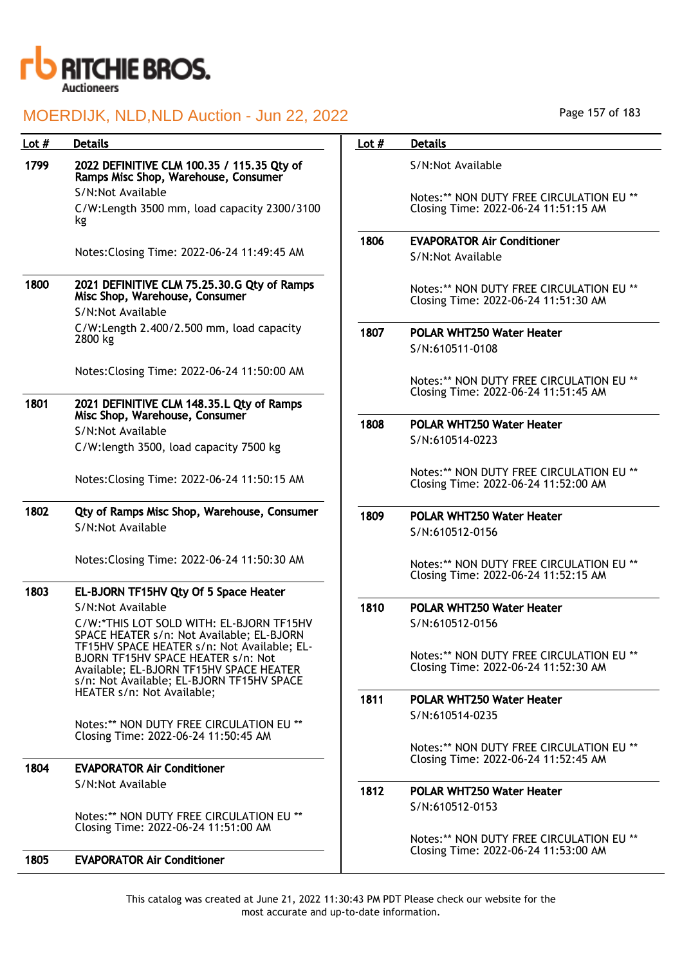

| Lot # | <b>Details</b>                                                                                                                                                            | Lot $#$ | <b>Details</b>                                                                   |
|-------|---------------------------------------------------------------------------------------------------------------------------------------------------------------------------|---------|----------------------------------------------------------------------------------|
| 1799  | 2022 DEFINITIVE CLM 100.35 / 115.35 Qty of<br>Ramps Misc Shop, Warehouse, Consumer                                                                                        |         | S/N:Not Available                                                                |
|       | S/N:Not Available                                                                                                                                                         |         | Notes:** NON DUTY FREE CIRCULATION EU **                                         |
|       | C/W:Length 3500 mm, load capacity 2300/3100<br>kg                                                                                                                         |         | Closing Time: 2022-06-24 11:51:15 AM                                             |
|       |                                                                                                                                                                           | 1806    | <b>EVAPORATOR Air Conditioner</b>                                                |
|       | Notes: Closing Time: 2022-06-24 11:49:45 AM                                                                                                                               |         | S/N:Not Available                                                                |
| 1800  | 2021 DEFINITIVE CLM 75.25.30.G Qty of Ramps<br>Misc Shop, Warehouse, Consumer                                                                                             |         | Notes:** NON DUTY FREE CIRCULATION EU **<br>Closing Time: 2022-06-24 11:51:30 AM |
|       | S/N:Not Available                                                                                                                                                         |         |                                                                                  |
|       | C/W:Length 2.400/2.500 mm, load capacity<br>2800 kg                                                                                                                       | 1807    | POLAR WHT250 Water Heater                                                        |
|       |                                                                                                                                                                           |         | S/N:610511-0108                                                                  |
|       | Notes: Closing Time: 2022-06-24 11:50:00 AM                                                                                                                               |         |                                                                                  |
|       |                                                                                                                                                                           |         | Notes:** NON DUTY FREE CIRCULATION EU **                                         |
| 1801  | 2021 DEFINITIVE CLM 148.35.L Qty of Ramps<br>Misc Shop, Warehouse, Consumer                                                                                               |         | Closing Time: 2022-06-24 11:51:45 AM                                             |
|       | S/N:Not Available                                                                                                                                                         | 1808    | <b>POLAR WHT250 Water Heater</b>                                                 |
|       | C/W:length 3500, load capacity 7500 kg                                                                                                                                    |         | S/N:610514-0223                                                                  |
|       | Notes: Closing Time: 2022-06-24 11:50:15 AM                                                                                                                               |         | Notes:** NON DUTY FREE CIRCULATION EU **<br>Closing Time: 2022-06-24 11:52:00 AM |
| 1802  | Qty of Ramps Misc Shop, Warehouse, Consumer                                                                                                                               | 1809    |                                                                                  |
|       | S/N:Not Available                                                                                                                                                         |         | POLAR WHT250 Water Heater                                                        |
|       |                                                                                                                                                                           |         | S/N:610512-0156                                                                  |
|       | Notes: Closing Time: 2022-06-24 11:50:30 AM                                                                                                                               |         | Notes:** NON DUTY FREE CIRCULATION EU **<br>Closing Time: 2022-06-24 11:52:15 AM |
| 1803  | EL-BJORN TF15HV Qty Of 5 Space Heater                                                                                                                                     |         |                                                                                  |
|       | S/N:Not Available                                                                                                                                                         | 1810    | POLAR WHT250 Water Heater                                                        |
|       | C/W:*THIS LOT SOLD WITH: EL-BJORN TF15HV                                                                                                                                  |         | S/N:610512-0156                                                                  |
|       | SPACE HEATER s/n: Not Available; EL-BJORN                                                                                                                                 |         |                                                                                  |
|       | TF15HV SPACE HEATER s/n: Not Available; EL-<br>BJORN TF15HV SPACE HEATER s/n: Not<br>Available; EL-BJORN TF15HV SPACE HEATER<br>s/n: Not Available; EL-BJORN TF15HV SPACE |         | Notes:** NON DUTY FREE CIRCULATION EU **<br>Closing Time: 2022-06-24 11:52:30 AM |
|       | HEATER s/n: Not Available;                                                                                                                                                | 1811    | POLAR WHT250 Water Heater                                                        |
|       |                                                                                                                                                                           |         | S/N:610514-0235                                                                  |
|       | Notes:** NON DUTY FREE CIRCULATION EU **<br>Closing Time: 2022-06-24 11:50:45 AM                                                                                          |         |                                                                                  |
|       |                                                                                                                                                                           |         | Notes:** NON DUTY FREE CIRCULATION EU **                                         |
| 1804  | <b>EVAPORATOR Air Conditioner</b>                                                                                                                                         |         | Closing Time: 2022-06-24 11:52:45 AM                                             |
|       | S/N:Not Available                                                                                                                                                         |         |                                                                                  |
|       |                                                                                                                                                                           | 1812    | POLAR WHT250 Water Heater                                                        |
|       | Notes:** NON DUTY FREE CIRCULATION EU **                                                                                                                                  |         | S/N:610512-0153                                                                  |
|       | Closing Time: 2022-06-24 11:51:00 AM                                                                                                                                      |         |                                                                                  |
|       |                                                                                                                                                                           |         | Notes:** NON DUTY FREE CIRCULATION EU **<br>Closing Time: 2022-06-24 11:53:00 AM |
| 1805  | <b>EVAPORATOR Air Conditioner</b>                                                                                                                                         |         |                                                                                  |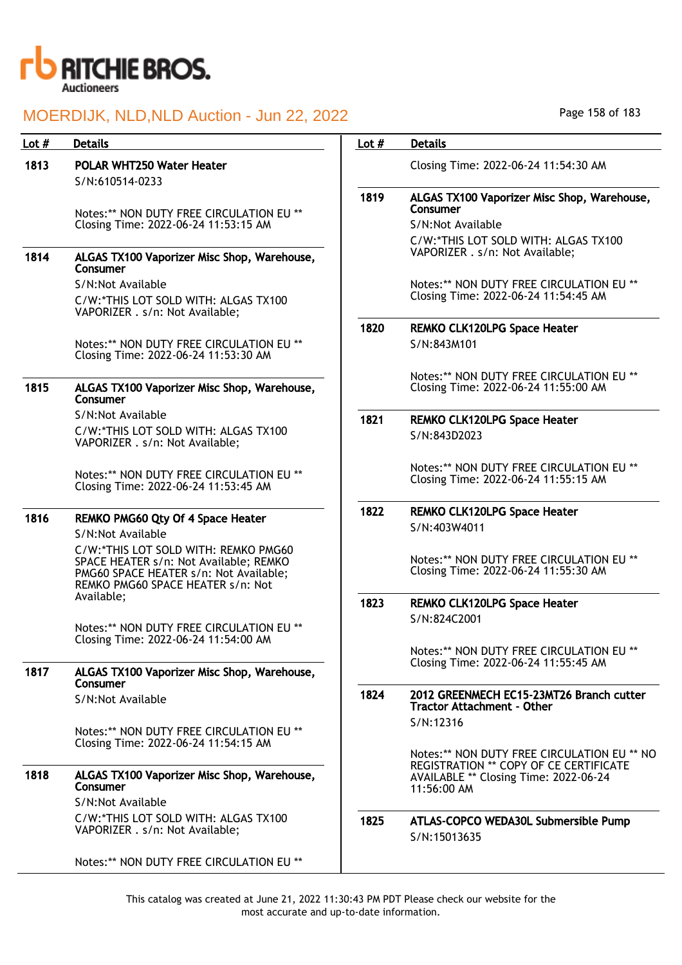

| Lot $#$ | <b>Details</b>                                                                                                                                                | Lot $#$ | <b>Details</b>                                                                                                       |
|---------|---------------------------------------------------------------------------------------------------------------------------------------------------------------|---------|----------------------------------------------------------------------------------------------------------------------|
| 1813    | <b>POLAR WHT250 Water Heater</b><br>S/N:610514-0233                                                                                                           |         | Closing Time: 2022-06-24 11:54:30 AM                                                                                 |
|         | Notes:** NON DUTY FREE CIRCULATION EU **<br>Closing Time: 2022-06-24 11:53:15 AM                                                                              | 1819    | ALGAS TX100 Vaporizer Misc Shop, Warehouse,<br>Consumer<br>S/N:Not Available<br>C/W:*THIS LOT SOLD WITH: ALGAS TX100 |
| 1814    | ALGAS TX100 Vaporizer Misc Shop, Warehouse,<br>Consumer                                                                                                       |         | VAPORIZER . s/n: Not Available;                                                                                      |
|         | S/N:Not Available<br>C/W:*THIS LOT SOLD WITH: ALGAS TX100<br>VAPORIZER . s/n: Not Available;                                                                  |         | Notes:** NON DUTY FREE CIRCULATION EU **<br>Closing Time: 2022-06-24 11:54:45 AM                                     |
|         | Notes:** NON DUTY FREE CIRCULATION EU **<br>Closing Time: 2022-06-24 11:53:30 AM                                                                              | 1820    | <b>REMKO CLK120LPG Space Heater</b><br>S/N:843M101                                                                   |
| 1815    | ALGAS TX100 Vaporizer Misc Shop, Warehouse,<br>Consumer                                                                                                       |         | Notes:** NON DUTY FREE CIRCULATION EU **<br>Closing Time: 2022-06-24 11:55:00 AM                                     |
|         | S/N:Not Available<br>C/W:*THIS LOT SOLD WITH: ALGAS TX100<br>VAPORIZER . s/n: Not Available;                                                                  | 1821    | <b>REMKO CLK120LPG Space Heater</b><br>S/N:843D2023                                                                  |
|         | Notes:** NON DUTY FREE CIRCULATION EU **<br>Closing Time: 2022-06-24 11:53:45 AM                                                                              |         | Notes:** NON DUTY FREE CIRCULATION EU **<br>Closing Time: 2022-06-24 11:55:15 AM                                     |
| 1816    | REMKO PMG60 Qty Of 4 Space Heater<br>S/N:Not Available                                                                                                        | 1822    | REMKO CLK120LPG Space Heater<br>S/N:403W4011                                                                         |
|         | C/W:*THIS LOT SOLD WITH: REMKO PMG60<br>SPACE HEATER s/n: Not Available; REMKO<br>PMG60 SPACE HEATER s/n: Not Available;<br>REMKO PMG60 SPACE HEATER s/n: Not |         | Notes:** NON DUTY FREE CIRCULATION EU **<br>Closing Time: 2022-06-24 11:55:30 AM                                     |
|         | Available;<br>Notes:** NON DUTY FREE CIRCULATION EU **                                                                                                        | 1823    | <b>REMKO CLK120LPG Space Heater</b><br>S/N:824C2001                                                                  |
| 1817    | Closing Time: 2022-06-24 11:54:00 AM                                                                                                                          |         | Notes:** NON DUTY FREE CIRCULATION EU **<br>Closing Time: 2022-06-24 11:55:45 AM                                     |
|         | ALGAS TX100 Vaporizer Misc Shop, Warehouse,<br>Consumer                                                                                                       |         |                                                                                                                      |
|         | S/N:Not Available                                                                                                                                             | 1824    | 2012 GREENMECH EC15-23MT26 Branch cutter<br><b>Tractor Attachment - Other</b><br>S/N:12316                           |
|         | Notes:** NON DUTY FREE CIRCULATION EU **<br>Closing Time: 2022-06-24 11:54:15 AM                                                                              |         | Notes:** NON DUTY FREE CIRCULATION EU ** NO                                                                          |
| 1818    | ALGAS TX100 Vaporizer Misc Shop, Warehouse,<br>Consumer<br>S/N:Not Available                                                                                  |         | REGISTRATION ** COPY OF CE CERTIFICATE<br>AVAILABLE ** Closing Time: 2022-06-24<br>11:56:00 AM                       |
|         | C/W:*THIS LOT SOLD WITH: ALGAS TX100<br>VAPORIZER . s/n: Not Available;                                                                                       | 1825    | ATLAS-COPCO WEDA30L Submersible Pump<br>S/N:15013635                                                                 |
|         | Notes:** NON DUTY FREE CIRCULATION EU **                                                                                                                      |         |                                                                                                                      |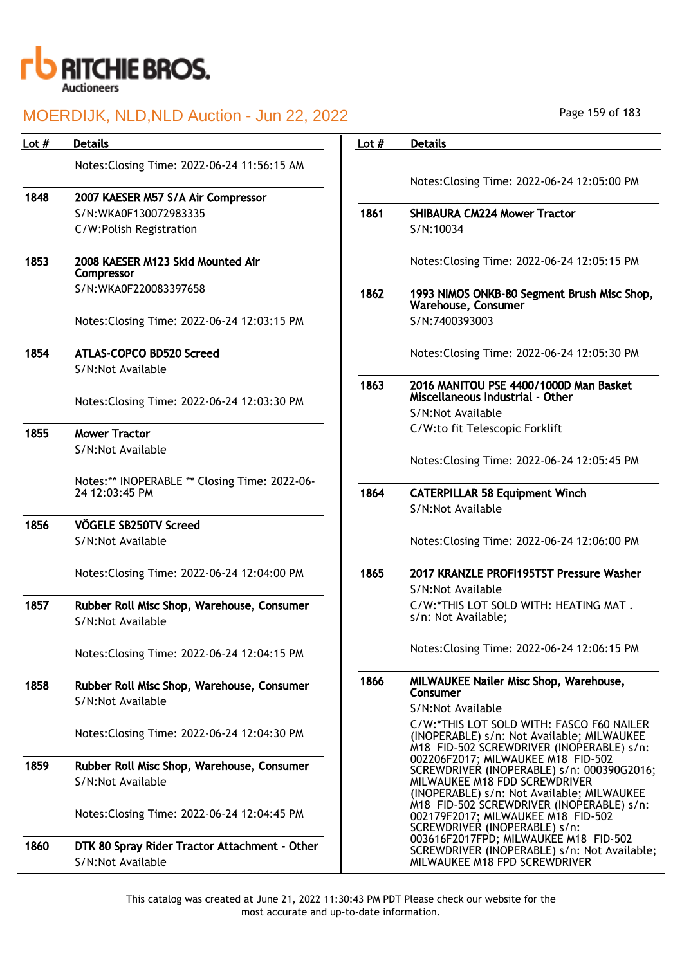

| Lot $#$ | <b>Details</b>                                  | Lot $#$ | <b>Details</b>                                                                                          |
|---------|-------------------------------------------------|---------|---------------------------------------------------------------------------------------------------------|
|         | Notes: Closing Time: 2022-06-24 11:56:15 AM     |         | Notes: Closing Time: 2022-06-24 12:                                                                     |
| 1848    | 2007 KAESER M57 S/A Air Compressor              |         |                                                                                                         |
|         | S/N:WKA0F130072983335                           | 1861    | <b>SHIBAURA CM224 Mower Tractor</b>                                                                     |
|         | C/W:Polish Registration                         |         | S/N:10034                                                                                               |
| 1853    | 2008 KAESER M123 Skid Mounted Air<br>Compressor |         | Notes: Closing Time: 2022-06-24 12:                                                                     |
|         | S/N:WKA0F220083397658                           | 1862    | 1993 NIMOS ONKB-80 Segment Brus<br>Warehouse, Consumer                                                  |
|         | Notes: Closing Time: 2022-06-24 12:03:15 PM     |         | S/N:7400393003                                                                                          |
| 1854    | ATLAS-COPCO BD520 Screed                        |         | Notes: Closing Time: 2022-06-24 12:                                                                     |
|         | S/N:Not Available                               |         |                                                                                                         |
|         |                                                 | 1863    | 2016 MANITOU PSE 4400/1000D Mai<br>Miscellaneous Industrial - Other                                     |
|         | Notes: Closing Time: 2022-06-24 12:03:30 PM     |         | S/N:Not Available                                                                                       |
| 1855    | <b>Mower Tractor</b>                            |         | C/W:to fit Telescopic Forklift                                                                          |
|         | S/N:Not Available                               |         |                                                                                                         |
|         |                                                 |         | Notes: Closing Time: 2022-06-24 12:                                                                     |
|         | Notes:** INOPERABLE ** Closing Time: 2022-06-   |         |                                                                                                         |
|         | 24 12:03:45 PM                                  | 1864    | <b>CATERPILLAR 58 Equipment Winch</b>                                                                   |
|         |                                                 |         | S/N:Not Available                                                                                       |
| 1856    | VÖGELE SB250TV Screed                           |         |                                                                                                         |
|         | S/N:Not Available                               |         | Notes: Closing Time: 2022-06-24 12:                                                                     |
|         | Notes: Closing Time: 2022-06-24 12:04:00 PM     | 1865    | 2017 KRANZLE PROFI195TST Pressu                                                                         |
|         |                                                 |         | S/N:Not Available                                                                                       |
| 1857    | Rubber Roll Misc Shop, Warehouse, Consumer      |         | C/W:*THIS LOT SOLD WITH: HEATIN                                                                         |
|         | S/N:Not Available                               |         | s/n: Not Available;                                                                                     |
|         | Notes: Closing Time: 2022-06-24 12:04:15 PM     |         | Notes: Closing Time: 2022-06-24 12:                                                                     |
| 1858    | Rubber Roll Misc Shop, Warehouse, Consumer      | 1866    | <b>MILWAUKEE Nailer Misc Shop, Ware</b><br>Consumer                                                     |
|         | S/N:Not Available                               |         | S/N:Not Available                                                                                       |
|         | Notes: Closing Time: 2022-06-24 12:04:30 PM     |         | C/W:*THIS LOT SOLD WITH: FASCO<br>(INOPERABLE) s/n: Not Available; M<br>M18 FID-502 SCREWDRIVER (INOPE) |
| 1859    | Rubber Roll Misc Shop, Warehouse, Consumer      |         | 002206F2017; MILWAUKEE M18 FID                                                                          |
|         | S/N:Not Available                               |         | SCREWDRIVER (INOPERABLE) s/n: 0<br>MILWAUKEE M18 FDD SCREWDRIVER<br>(INOPERABLE) s/n: Not Available; M  |
|         | Notes: Closing Time: 2022-06-24 12:04:45 PM     |         | M18 FID-502 SCREWDRIVER (INOPE)<br>002179F2017; MILWAUKEE M18 FID<br>SCREWDRIVER (INOPERABLE) s/n:      |
| 1860    | DTK 80 Spray Rider Tractor Attachment - Other   |         | 003616F2017FPD; MILWAUKEE M18<br>SCREWDRIVER (INOPERABLE) s/n: N                                        |
|         | S/N:Not Available                               |         | MILWAUKEE M18 FPD SCREWDRIVER                                                                           |

| Lot $#$ | <b>Details</b>                                                                                                                                                                                                                                                                                                                                                                             |
|---------|--------------------------------------------------------------------------------------------------------------------------------------------------------------------------------------------------------------------------------------------------------------------------------------------------------------------------------------------------------------------------------------------|
|         |                                                                                                                                                                                                                                                                                                                                                                                            |
|         | Notes: Closing Time: 2022-06-24 12:05:00 PM                                                                                                                                                                                                                                                                                                                                                |
| 1861    | <b>SHIBAURA CM224 Mower Tractor</b>                                                                                                                                                                                                                                                                                                                                                        |
|         | S/N:10034                                                                                                                                                                                                                                                                                                                                                                                  |
|         |                                                                                                                                                                                                                                                                                                                                                                                            |
|         | Notes: Closing Time: 2022-06-24 12:05:15 PM                                                                                                                                                                                                                                                                                                                                                |
| 1862    | 1993 NIMOS ONKB-80 Segment Brush Misc Shop,<br><b>Warehouse, Consumer</b>                                                                                                                                                                                                                                                                                                                  |
|         | S/N:7400393003                                                                                                                                                                                                                                                                                                                                                                             |
|         | Notes: Closing Time: 2022-06-24 12:05:30 PM                                                                                                                                                                                                                                                                                                                                                |
| 1863    | 2016 MANITOU PSE 4400/1000D Man Basket<br>Miscellaneous Industrial - Other                                                                                                                                                                                                                                                                                                                 |
|         | S/N:Not Available                                                                                                                                                                                                                                                                                                                                                                          |
|         | C/W:to fit Telescopic Forklift                                                                                                                                                                                                                                                                                                                                                             |
|         | Notes: Closing Time: 2022-06-24 12:05:45 PM                                                                                                                                                                                                                                                                                                                                                |
| 1864    | <b>CATERPILLAR 58 Equipment Winch</b>                                                                                                                                                                                                                                                                                                                                                      |
|         | S/N:Not Available                                                                                                                                                                                                                                                                                                                                                                          |
|         | Notes: Closing Time: 2022-06-24 12:06:00 PM                                                                                                                                                                                                                                                                                                                                                |
| 1865    | 2017 KRANZLE PROFI195TST Pressure Washer                                                                                                                                                                                                                                                                                                                                                   |
|         | S/N:Not Available                                                                                                                                                                                                                                                                                                                                                                          |
|         | C/W:*THIS LOT SOLD WITH: HEATING MAT.                                                                                                                                                                                                                                                                                                                                                      |
|         | s/n: Not Available;                                                                                                                                                                                                                                                                                                                                                                        |
|         | Notes: Closing Time: 2022-06-24 12:06:15 PM                                                                                                                                                                                                                                                                                                                                                |
| 1866    | MILWAUKEE Nailer Misc Shop, Warehouse,<br>Consumer                                                                                                                                                                                                                                                                                                                                         |
|         | S/N:Not Available                                                                                                                                                                                                                                                                                                                                                                          |
|         | C/W:*THIS LOT SOLD WITH: FASCO F60 NAILER<br>(INOPERABLE) s/n: Not Available; MILWAUKEE<br>M18 FID-502 SCREWDRIVER (INOPERABLE) s/n:<br>002206F2017; MILWAUKEE M18 FID-502<br>SCREWDRIVER (INOPERABLE) s/n: 000390G2016;<br>MILWAUKEE M18 FDD SCREWDRIVER<br>(INOPERABLE) s/n: Not Available; MILWAUKEE<br>M18 FID-502 SCREWDRIVER (INOPERABLE) s/n:<br>002179F2017; MILWAUKEE M18 FID-502 |
|         | SCREWDRIVER (INOPERABLE) s/n:<br>003616F2017FPD; MILWAUKEE M18 FID-502<br>SCREWDRIVER (INOPERABLE) s/n: Not Available;                                                                                                                                                                                                                                                                     |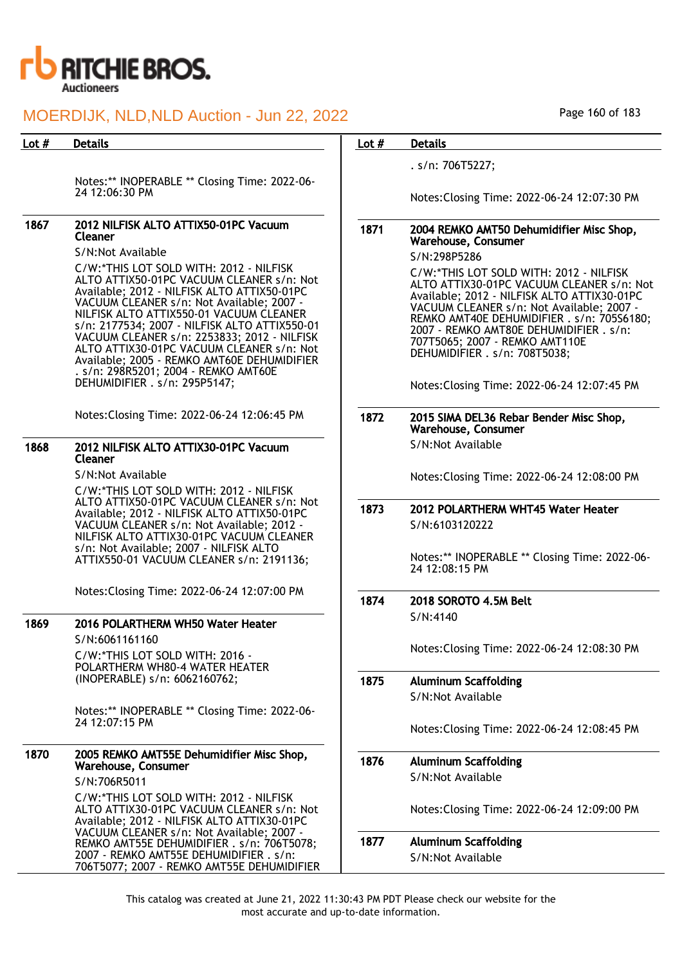

Notes:\*\* INOPERABLE \*\* Closing Time: 2022-06- 24 12:06:30 PM

#### 1867 2012 NILFISK ALTO ATTIX50-01PC Vacuum Cleaner

#### S/N:Not Available

C/W:\*THIS LOT SOLD WITH: 2012 - NILFISK ALTO ATTIX50-01PC VACUUM CLEANER s/n: Not Available; 2012 - NILFISK ALTO ATTIX50-01PC VACUUM CLEANER s/n: Not Available; 2007 - NILFISK ALTO ATTIX550-01 VACUUM CLEANER s/n: 2177534; 2007 - NILFISK ALTO ATTIX550-01 VACUUM CLEANER s/n: 2253833; 2012 - NILFISK ALTO ATTIX30-01PC VACUUM CLEANER s/n: Not Available; 2005 - REMKO AMT60E DEHUMIDIFIER . s/n: 298R5201; 2004 - REMKO AMT60E DEHUMIDIFIER . s/n: 295P5147;

Notes:Closing Time: 2022-06-24 12:06:45 PM

#### 1868 2012 NILFISK ALTO ATTIX30-01PC Vacuum Cleaner

S/N:Not Available

C/W:\*THIS LOT SOLD WITH: 2012 - NILFISK ALTO ATTIX50-01PC VACUUM CLEANER s/n: Not Available; 2012 - NILFISK ALTO ATTIX50-01PC VACUUM CLEANER s/n: Not Available; 2012 - NILFISK ALTO ATTIX30-01PC VACUUM CLEANER s/n: Not Available; 2007 - NILFISK ALTO ATTIX550-01 VACUUM CLEANER s/n: 2191136;

Notes:Closing Time: 2022-06-24 12:07:00 PM

#### 1869 2016 POLARTHERM WH50 Water Heater

S/N:6061161160 C/W:\*THIS LOT SOLD WITH: 2016 - POLARTHERM WH80-4 WATER HEATER (INOPERABLE) s/n: 6062160762;

Notes:\*\* INOPERABLE \*\* Closing Time: 2022-06- 24 12:07:15 PM

#### 1870 2005 REMKO AMT55E Dehumidifier Misc Shop, Warehouse, Consumer

S/N:706R5011

C/W:\*THIS LOT SOLD WITH: 2012 - NILFISK ALTO ATTIX30-01PC VACUUM CLEANER s/n: Not Available; 2012 - NILFISK ALTO ATTIX30-01PC VACUUM CLEANER s/n: Not Available; 2007 - REMKO AMT55E DEHUMIDIFIER . s/n: 706T5078; 2007 - REMKO AMT55E DEHUMIDIFIER . s/n: 706T5077; 2007 - REMKO AMT55E DEHUMIDIFIER

### Page 160 of 183

#### Lot # Details **Details According to the United States Lot # Details**

. s/n: 706T5227;

Notes:Closing Time: 2022-06-24 12:07:30 PM

#### 1871 2004 REMKO AMT50 Dehumidifier Misc Shop, Warehouse, Consumer

S/N:298P5286

C/W:\*THIS LOT SOLD WITH: 2012 - NILFISK ALTO ATTIX30-01PC VACUUM CLEANER s/n: Not Available; 2012 - NILFISK ALTO ATTIX30-01PC VACUUM CLEANER s/n: Not Available; 2007 - REMKO AMT40E DEHUMIDIFIER . s/n: 705S6180; 2007 - REMKO AMT80E DEHUMIDIFIER . s/n: 707T5065; 2007 - REMKO AMT110E DEHUMIDIFIER . s/n: 708T5038;

Notes:Closing Time: 2022-06-24 12:07:45 PM

#### 1872 2015 SIMA DEL36 Rebar Bender Misc Shop, Warehouse, Consumer S/N:Not Available

Notes:Closing Time: 2022-06-24 12:08:00 PM

### 1873 2012 POLARTHERM WHT45 Water Heater S/N:6103120222

Notes:\*\* INOPERABLE \*\* Closing Time: 2022-06- 24 12:08:15 PM

1874 2018 SOROTO 4.5M Belt S/N:4140

Notes:Closing Time: 2022-06-24 12:08:30 PM

1875 Aluminum Scaffolding S/N:Not Available

Notes:Closing Time: 2022-06-24 12:08:45 PM

1876 Aluminum Scaffolding S/N:Not Available

Notes:Closing Time: 2022-06-24 12:09:00 PM

1877 Aluminum Scaffolding S/N:Not Available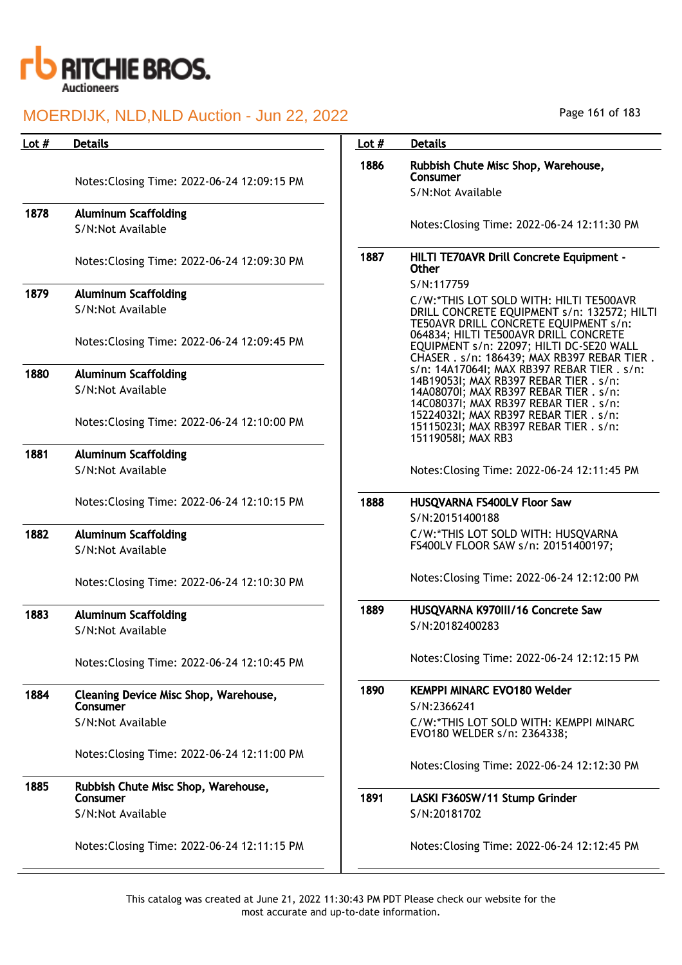

| Lot $#$ | <b>Details</b>                                   | Lot $#$ | <b>Details</b>                                                                                                                                                            |
|---------|--------------------------------------------------|---------|---------------------------------------------------------------------------------------------------------------------------------------------------------------------------|
|         | Notes: Closing Time: 2022-06-24 12:09:15 PM      | 1886    | Rubbish Chute Misc Shop, Warehouse,<br>Consumer<br>S/N:Not Available                                                                                                      |
| 1878    | <b>Aluminum Scaffolding</b>                      |         |                                                                                                                                                                           |
|         | S/N:Not Available                                |         | Notes: Closing Time: 2022-06-24 12:11:30 PM                                                                                                                               |
|         | Notes: Closing Time: 2022-06-24 12:09:30 PM      | 1887    | HILTI TE70AVR Drill Concrete Equipment -<br>Other                                                                                                                         |
| 1879    | <b>Aluminum Scaffolding</b>                      |         | S/N:117759                                                                                                                                                                |
|         | S/N:Not Available                                |         | C/W:*THIS LOT SOLD WITH: HILTI TE500AVR<br>DRILL CONCRETE EQUIPMENT s/n: 132572; HILTI                                                                                    |
|         | Notes: Closing Time: 2022-06-24 12:09:45 PM      |         | TE50AVR DRILL CONCRETE EQUIPMENT s/n:<br>064834; HILTI TE500AVR DRILL CONCRETE<br>EQUIPMENT s/n: 22097; HILTI DC-SE20 WALL<br>CHASER . s/n: 186439; MAX RB397 REBAR TIER. |
| 1880    | <b>Aluminum Scaffolding</b>                      |         | s/n: 14A17064I; MAX RB397 REBAR TIER . s/n:                                                                                                                               |
|         | S/N:Not Available                                |         | 14B19053I; MAX RB397 REBAR TIER . s/n:<br>14A08070I; MAX RB397 REBAR TIER . s/n:                                                                                          |
|         | Notes: Closing Time: 2022-06-24 12:10:00 PM      |         | 14C08037I; MAX RB397 REBAR TIER . s/n:<br>152240321; MAX RB397 REBAR TIER . s/n:<br>15115023I; MAX RB397 REBAR TIER . s/n:<br>15119058I; MAX RB3                          |
| 1881    | <b>Aluminum Scaffolding</b>                      |         |                                                                                                                                                                           |
|         | S/N:Not Available                                |         | Notes: Closing Time: 2022-06-24 12:11:45 PM                                                                                                                               |
|         | Notes: Closing Time: 2022-06-24 12:10:15 PM      | 1888    | HUSQVARNA FS400LV Floor Saw                                                                                                                                               |
|         |                                                  |         | S/N:20151400188                                                                                                                                                           |
| 1882    | <b>Aluminum Scaffolding</b><br>S/N:Not Available |         | C/W:*THIS LOT SOLD WITH: HUSQVARNA<br>FS400LV FLOOR SAW s/n: 20151400197;                                                                                                 |
|         | Notes: Closing Time: 2022-06-24 12:10:30 PM      |         | Notes: Closing Time: 2022-06-24 12:12:00 PM                                                                                                                               |
| 1883    | <b>Aluminum Scaffolding</b>                      | 1889    | HUSQVARNA K970III/16 Concrete Saw                                                                                                                                         |
|         | S/N:Not Available                                |         | S/N:20182400283                                                                                                                                                           |
|         |                                                  |         |                                                                                                                                                                           |
|         | Notes: Closing Time: 2022-06-24 12:10:45 PM      |         | Notes: Closing Time: 2022-06-24 12:12:15 PM                                                                                                                               |
| 1884    | Cleaning Device Misc Shop, Warehouse,            | 1890    | <b>KEMPPI MINARC EVO180 Welder</b>                                                                                                                                        |
|         | Consumer                                         |         | S/N:2366241                                                                                                                                                               |
|         | S/N:Not Available                                |         | C/W:*THIS LOT SOLD WITH: KEMPPI MINARC<br>EVO180 WELDER s/n: 2364338;                                                                                                     |
|         | Notes: Closing Time: 2022-06-24 12:11:00 PM      |         | Notes: Closing Time: 2022-06-24 12:12:30 PM                                                                                                                               |
| 1885    | Rubbish Chute Misc Shop, Warehouse,              |         |                                                                                                                                                                           |
|         | Consumer                                         | 1891    | LASKI F360SW/11 Stump Grinder                                                                                                                                             |
|         | S/N:Not Available                                |         | S/N:20181702                                                                                                                                                              |
|         | Notes: Closing Time: 2022-06-24 12:11:15 PM      |         | Notes: Closing Time: 2022-06-24 12:12:45 PM                                                                                                                               |
|         |                                                  |         |                                                                                                                                                                           |

Page 161 of 183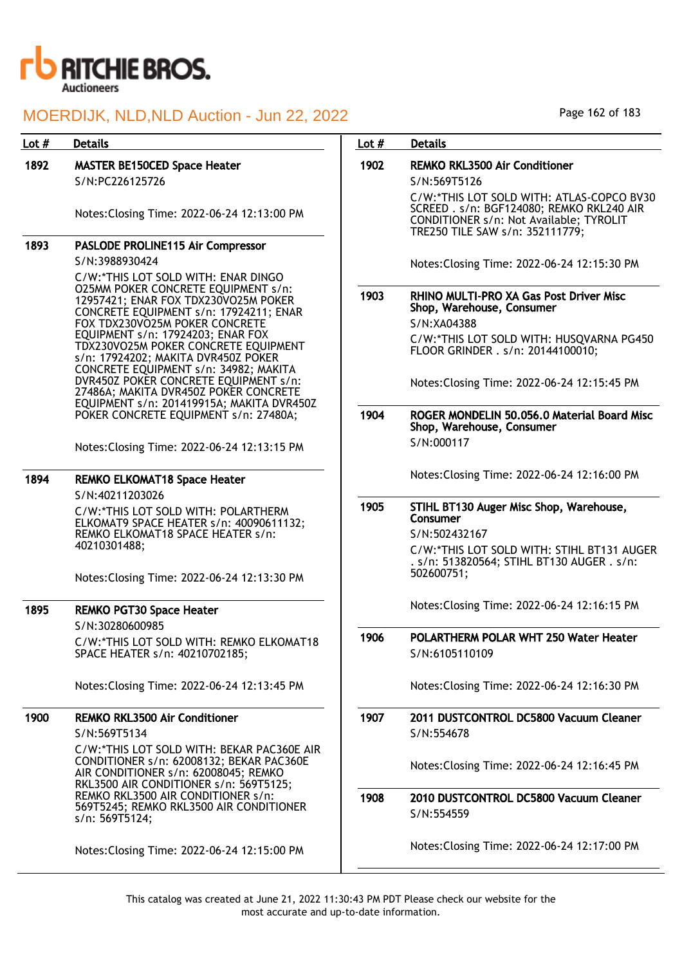

| Lot $#$ | <b>Details</b>                                                                                                                                                                                                                                                                     | Lot $#$ | <b>Details</b>                                                                                                                                                       |
|---------|------------------------------------------------------------------------------------------------------------------------------------------------------------------------------------------------------------------------------------------------------------------------------------|---------|----------------------------------------------------------------------------------------------------------------------------------------------------------------------|
| 1892    | <b>MASTER BE150CED Space Heater</b><br>S/N:PC226125726                                                                                                                                                                                                                             | 1902    | <b>REMKO RKL3500 Air Conditioner</b><br>S/N:569T5126                                                                                                                 |
|         | Notes: Closing Time: 2022-06-24 12:13:00 PM                                                                                                                                                                                                                                        |         | C/W:*THIS LOT SOLD WITH: ATLAS-COPCO BV30<br>SCREED . s/n: BGF124080; REMKO RKL240 AIR<br>CONDITIONER s/n: Not Available; TYROLIT<br>TRE250 TILE SAW s/n: 352111779; |
| 1893    | PASLODE PROLINE115 Air Compressor                                                                                                                                                                                                                                                  |         |                                                                                                                                                                      |
|         | S/N:3988930424                                                                                                                                                                                                                                                                     |         | Notes: Closing Time: 2022-06-24 12:15:30 PM                                                                                                                          |
|         | C/W:*THIS LOT SOLD WITH: ENAR DINGO<br><b>O25MM POKER CONCRETE EQUIPMENT s/n:</b><br>12957421; ENAR FOX TDX230VO25M POKER<br>CONCRETE EQUIPMENT s/n: 17924211; ENAR<br>FOX TDX230VO25M POKER CONCRETE<br>EQUIPMENT s/n: 17924203; ENAR FOX<br>TDX230VO25M POKER CONCRETE EQUIPMENT | 1903    | RHINO MULTI-PRO XA Gas Post Driver Misc<br>Shop, Warehouse, Consumer<br>S/N:XA04388<br>C/W:*THIS LOT SOLD WITH: HUSQVARNA PG450<br>FLOOR GRINDER . s/n: 20144100010; |
|         | s/n: 17924202; MAKITA DVR450Z POKER<br>CONCRETE EQUIPMENT s/n: 34982; MAKITA<br>DVR450Z POKER CONCRETE EQUIPMENT s/n:<br>27486A; MAKITA DVR450Z POKER CONCRETE<br>EQUIPMENT s/n: 201419915A; MAKITA DVR450Z                                                                        |         | Notes: Closing Time: 2022-06-24 12:15:45 PM                                                                                                                          |
|         | POKER CONCRETE EQUIPMENT s/n: 27480A;                                                                                                                                                                                                                                              | 1904    | ROGER MONDELIN 50.056.0 Material Board Misc<br>Shop, Warehouse, Consumer                                                                                             |
|         | Notes: Closing Time: 2022-06-24 12:13:15 PM                                                                                                                                                                                                                                        |         | S/N:000117                                                                                                                                                           |
| 1894    | <b>REMKO ELKOMAT18 Space Heater</b>                                                                                                                                                                                                                                                |         | Notes: Closing Time: 2022-06-24 12:16:00 PM                                                                                                                          |
|         | S/N:40211203026                                                                                                                                                                                                                                                                    | 1905    | STIHL BT130 Auger Misc Shop, Warehouse,                                                                                                                              |
|         | C/W:*THIS LOT SOLD WITH: POLARTHERM<br>ELKOMAT9 SPACE HEATER s/n: 40090611132;                                                                                                                                                                                                     |         | Consumer                                                                                                                                                             |
|         | REMKO ELKOMAT18 SPACE HEATER s/n:                                                                                                                                                                                                                                                  |         | S/N:502432167                                                                                                                                                        |
|         | 40210301488;<br>Notes: Closing Time: 2022-06-24 12:13:30 PM                                                                                                                                                                                                                        |         | C/W:*THIS LOT SOLD WITH: STIHL BT131 AUGER<br>. s/n: 513820564; STIHL BT130 AUGER . s/n:<br>502600751;                                                               |
| 1895    | <b>REMKO PGT30 Space Heater</b>                                                                                                                                                                                                                                                    |         | Notes: Closing Time: 2022-06-24 12:16:15 PM                                                                                                                          |
|         | S/N:30280600985<br>C/W:*THIS LOT SOLD WITH: REMKO ELKOMAT18<br>SPACE HEATER s/n: 40210702185;                                                                                                                                                                                      | 1906    | POLARTHERM POLAR WHT 250 Water Heater<br>S/N:6105110109                                                                                                              |
|         | Notes: Closing Time: 2022-06-24 12:13:45 PM                                                                                                                                                                                                                                        |         | Notes: Closing Time: 2022-06-24 12:16:30 PM                                                                                                                          |
| 1900    | <b>REMKO RKL3500 Air Conditioner</b><br>S/N:569T5134                                                                                                                                                                                                                               | 1907    | 2011 DUSTCONTROL DC5800 Vacuum Cleaner<br>S/N:554678                                                                                                                 |
|         | C/W:*THIS LOT SOLD WITH: BEKAR PAC360E AIR<br>CONDITIONER s/n: 62008132; BEKAR PAC360E<br>AIR CONDITIONER s/n: 62008045; REMKO<br>RKL3500 AIR CONDITIONER s/n: 569T5125;                                                                                                           |         | Notes: Closing Time: 2022-06-24 12:16:45 PM                                                                                                                          |
|         | REMKO RKL3500 AIR CONDITIONER s/n:<br>569T5245; REMKO RKL3500 AIR CONDITIONER<br>s/n: 569T5124;                                                                                                                                                                                    | 1908    | 2010 DUSTCONTROL DC5800 Vacuum Cleaner<br>S/N:554559                                                                                                                 |
|         | Notes: Closing Time: 2022-06-24 12:15:00 PM                                                                                                                                                                                                                                        |         | Notes: Closing Time: 2022-06-24 12:17:00 PM                                                                                                                          |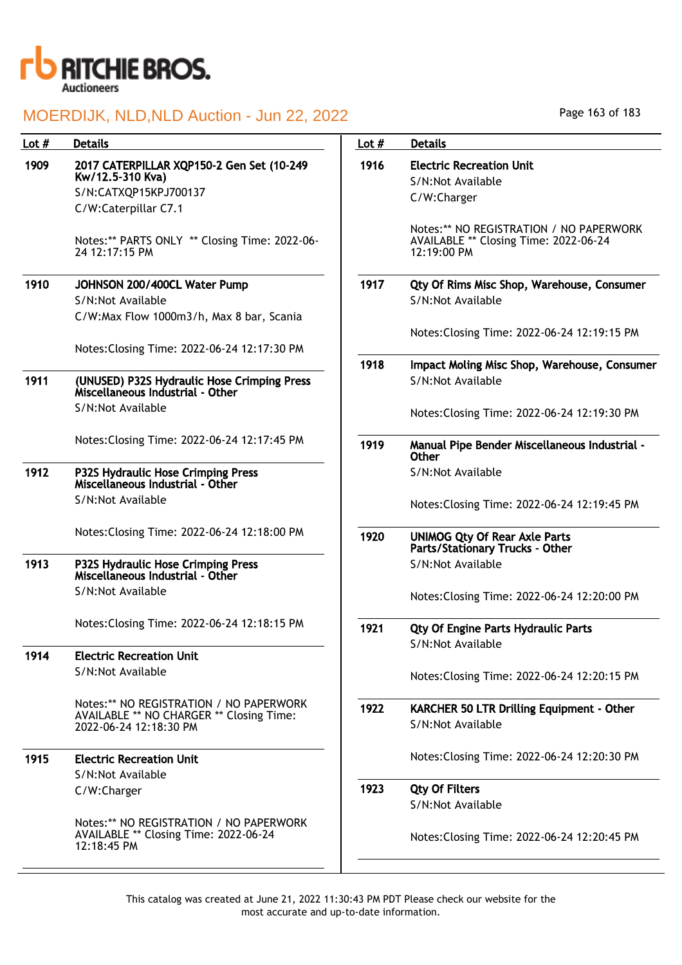

| Lot $#$ | <b>Details</b>                                                                                  | Lot $#$ | <b>Details</b>                                                                                  |
|---------|-------------------------------------------------------------------------------------------------|---------|-------------------------------------------------------------------------------------------------|
| 1909    | 2017 CATERPILLAR XQP150-2 Gen Set (10-249                                                       | 1916    | <b>Electric Recreation Unit</b>                                                                 |
|         | Kw/12.5-310 Kva)                                                                                |         | S/N:Not Available                                                                               |
|         | S/N:CATXQP15KPJ700137                                                                           |         | C/W:Charger                                                                                     |
|         | C/W:Caterpillar C7.1                                                                            |         |                                                                                                 |
|         | Notes:** PARTS ONLY ** Closing Time: 2022-06-<br>24 12:17:15 PM                                 |         | Notes:** NO REGISTRATION / NO PAPERWORK<br>AVAILABLE ** Closing Time: 2022-06-24<br>12:19:00 PM |
| 1910    | JOHNSON 200/400CL Water Pump                                                                    | 1917    | Qty Of Rims Misc Shop, Warehouse, Consumer                                                      |
|         | S/N:Not Available                                                                               |         | S/N:Not Available                                                                               |
|         | C/W:Max Flow 1000m3/h, Max 8 bar, Scania                                                        |         |                                                                                                 |
|         |                                                                                                 |         | Notes: Closing Time: 2022-06-24 12:19:15 PM                                                     |
|         | Notes: Closing Time: 2022-06-24 12:17:30 PM                                                     |         |                                                                                                 |
|         |                                                                                                 | 1918    | Impact Moling Misc Shop, Warehouse, Consumer                                                    |
| 1911    | (UNUSED) P32S Hydraulic Hose Crimping Press<br>Miscellaneous Industrial - Other                 |         | S/N:Not Available                                                                               |
|         | S/N:Not Available                                                                               |         | Notes: Closing Time: 2022-06-24 12:19:30 PM                                                     |
|         | Notes: Closing Time: 2022-06-24 12:17:45 PM                                                     | 1919    | Manual Pipe Bender Miscellaneous Industrial -<br><b>Other</b>                                   |
| 1912    | P32S Hydraulic Hose Crimping Press<br>Miscellaneous Industrial - Other                          |         | S/N:Not Available                                                                               |
|         | S/N:Not Available                                                                               |         | Notes: Closing Time: 2022-06-24 12:19:45 PM                                                     |
|         | Notes: Closing Time: 2022-06-24 12:18:00 PM                                                     | 1920    | <b>UNIMOG Qty Of Rear Axle Parts</b><br>Parts/Stationary Trucks - Other                         |
| 1913    | P32S Hydraulic Hose Crimping Press<br>Miscellaneous Industrial - Other                          |         | S/N:Not Available                                                                               |
|         | S/N:Not Available                                                                               |         | Notes: Closing Time: 2022-06-24 12:20:00 PM                                                     |
|         | Notes: Closing Time: 2022-06-24 12:18:15 PM                                                     | 1921    | <b>Qty Of Engine Parts Hydraulic Parts</b>                                                      |
| 1914    | <b>Electric Recreation Unit</b>                                                                 |         | S/N:Not Available                                                                               |
|         | S/N:Not Available                                                                               |         |                                                                                                 |
|         |                                                                                                 |         | Notes: Closing Time: 2022-06-24 12:20:15 PM                                                     |
|         | Notes:** NO REGISTRATION / NO PAPERWORK                                                         | 1922    | KARCHER 50 LTR Drilling Equipment - Other                                                       |
|         | AVAILABLE ** NO CHARGER ** Closing Time:<br>2022-06-24 12:18:30 PM                              |         | S/N:Not Available                                                                               |
| 1915    | <b>Electric Recreation Unit</b>                                                                 |         | Notes: Closing Time: 2022-06-24 12:20:30 PM                                                     |
|         | S/N:Not Available                                                                               |         |                                                                                                 |
|         | C/W:Charger                                                                                     | 1923    | <b>Qty Of Filters</b>                                                                           |
|         |                                                                                                 |         | S/N:Not Available                                                                               |
|         | Notes:** NO REGISTRATION / NO PAPERWORK<br>AVAILABLE ** Closing Time: 2022-06-24<br>12:18:45 PM |         | Notes: Closing Time: 2022-06-24 12:20:45 PM                                                     |

Page 163 of 183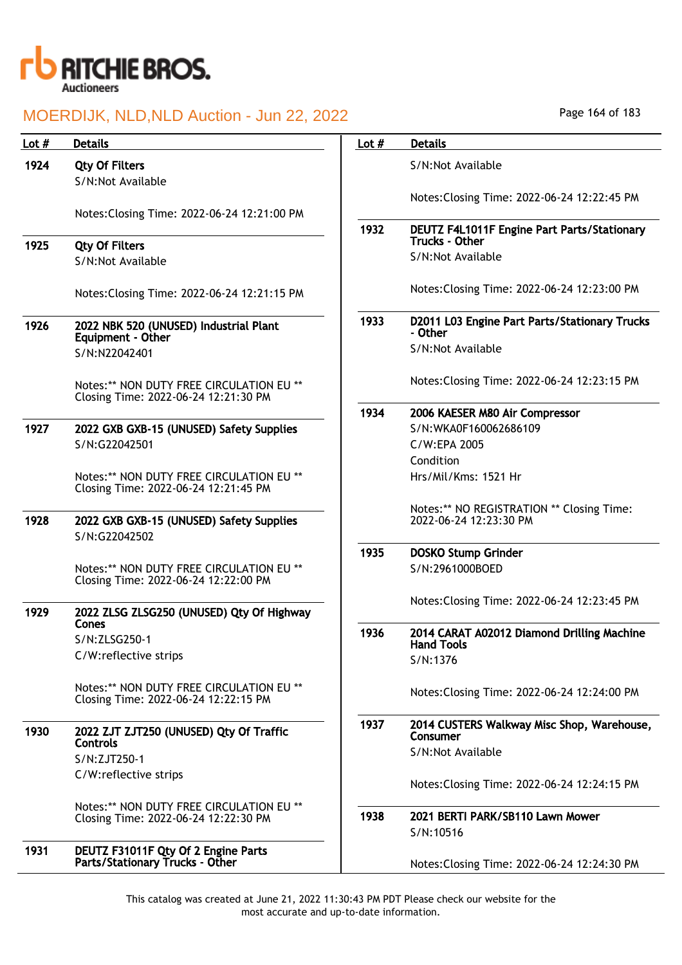

| Lot $#$ | <b>Details</b>                                                                   | Lot $#$ | <b>Details</b>                                           |
|---------|----------------------------------------------------------------------------------|---------|----------------------------------------------------------|
| 1924    | <b>Qty Of Filters</b>                                                            |         | S/N:Not Available                                        |
|         | S/N:Not Available                                                                |         |                                                          |
|         |                                                                                  |         | Notes: Closing Time: 2022-06-24 12:22:45 PM              |
|         | Notes: Closing Time: 2022-06-24 12:21:00 PM                                      |         |                                                          |
|         |                                                                                  | 1932    | DEUTZ F4L1011F Engine Part Parts/Stationary              |
| 1925    | <b>Qty Of Filters</b>                                                            |         | <b>Trucks - Other</b>                                    |
|         | S/N:Not Available                                                                |         | S/N:Not Available                                        |
|         | Notes: Closing Time: 2022-06-24 12:21:15 PM                                      |         | Notes: Closing Time: 2022-06-24 12:23:00 PM              |
| 1926    | 2022 NBK 520 (UNUSED) Industrial Plant<br>Equipment - Other                      | 1933    | D2011 L03 Engine Part Parts/Stationary Trucks<br>- Other |
|         | S/N:N22042401                                                                    |         | S/N:Not Available                                        |
|         |                                                                                  |         |                                                          |
|         | Notes:** NON DUTY FREE CIRCULATION EU **<br>Closing Time: 2022-06-24 12:21:30 PM |         | Notes: Closing Time: 2022-06-24 12:23:15 PM              |
|         |                                                                                  | 1934    | 2006 KAESER M80 Air Compressor                           |
| 1927    | 2022 GXB GXB-15 (UNUSED) Safety Supplies                                         |         | S/N:WKA0F160062686109                                    |
|         | S/N:G22042501                                                                    |         | C/W:EPA 2005                                             |
|         |                                                                                  |         | Condition                                                |
|         | Notes:** NON DUTY FREE CIRCULATION EU **<br>Closing Time: 2022-06-24 12:21:45 PM |         | Hrs/Mil/Kms: 1521 Hr                                     |
|         |                                                                                  |         | Notes:** NO REGISTRATION ** Closing Time:                |
| 1928    | 2022 GXB GXB-15 (UNUSED) Safety Supplies                                         |         | 2022-06-24 12:23:30 PM                                   |
|         | S/N:G22042502                                                                    | 1935    | <b>DOSKO Stump Grinder</b>                               |
|         | Notes:** NON DUTY FREE CIRCULATION EU **                                         |         | S/N:2961000BOED                                          |
|         | Closing Time: 2022-06-24 12:22:00 PM                                             |         |                                                          |
|         |                                                                                  |         | Notes: Closing Time: 2022-06-24 12:23:45 PM              |
| 1929    | 2022 ZLSG ZLSG250 (UNUSED) Qty Of Highway                                        |         |                                                          |
|         | <b>Cones</b><br>S/N:ZLSG250-1                                                    | 1936    | 2014 CARAT A02012 Diamond Drilling Machine               |
|         | C/W:reflective strips                                                            |         | <b>Hand Tools</b>                                        |
|         |                                                                                  |         | S/N:1376                                                 |
|         | Notes:** NON DUTY FREE CIRCULATION EU **<br>Closing Time: 2022-06-24 12:22:15 PM |         | Notes: Closing Time: 2022-06-24 12:24:00 PM              |
|         |                                                                                  |         |                                                          |
| 1930    | 2022 ZJT ZJT250 (UNUSED) Qty Of Traffic<br><b>Controls</b>                       | 1937    | 2014 CUSTERS Walkway Misc Shop, Warehouse,<br>Consumer   |
|         | S/N:ZJT250-1                                                                     |         | S/N:Not Available                                        |
|         | C/W:reflective strips                                                            |         |                                                          |
|         |                                                                                  |         | Notes: Closing Time: 2022-06-24 12:24:15 PM              |
|         | Notes:** NON DUTY FREE CIRCULATION EU **                                         |         |                                                          |
|         | Closing Time: 2022-06-24 12:22:30 PM                                             | 1938    | 2021 BERTI PARK/SB110 Lawn Mower<br>S/N:10516            |
| 1931    | DEUTZ F31011F Qty Of 2 Engine Parts                                              |         |                                                          |
|         | Parts/Stationary Trucks - Other                                                  |         | Notes: Closing Time: 2022-06-24 12:24:30 PM              |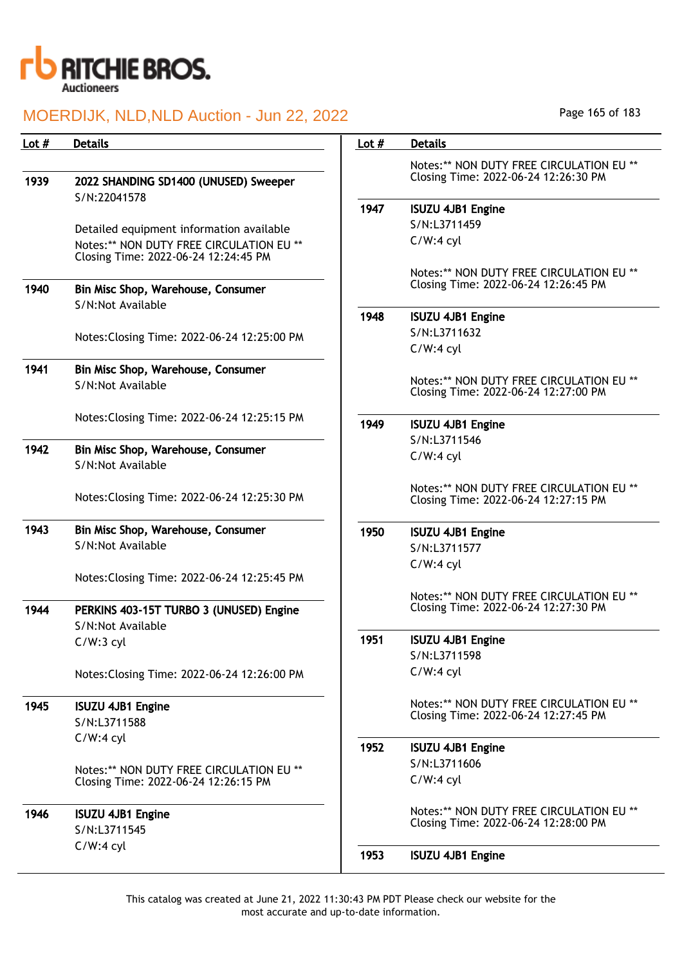

| Lot # | <b>Details</b>                              | Lot $#$ | <b>Details</b>                                                                   |
|-------|---------------------------------------------|---------|----------------------------------------------------------------------------------|
|       |                                             |         | Notes:** NON DUTY FREE CIRCULATION EU **                                         |
| 1939  | 2022 SHANDING SD1400 (UNUSED) Sweeper       |         | Closing Time: 2022-06-24 12:26:30 PM                                             |
|       | S/N:22041578                                | 1947    | <b>ISUZU 4JB1 Engine</b>                                                         |
|       | Detailed equipment information available    |         | S/N:L3711459                                                                     |
|       | Notes:** NON DUTY FREE CIRCULATION EU **    |         | $C/W:4$ cyl                                                                      |
|       | Closing Time: 2022-06-24 12:24:45 PM        |         |                                                                                  |
|       |                                             |         | Notes:** NON DUTY FREE CIRCULATION EU **                                         |
| 1940  | Bin Misc Shop, Warehouse, Consumer          |         | Closing Time: 2022-06-24 12:26:45 PM                                             |
|       | S/N:Not Available                           |         |                                                                                  |
|       |                                             | 1948    | <b>ISUZU 4JB1 Engine</b>                                                         |
|       | Notes: Closing Time: 2022-06-24 12:25:00 PM |         | S/N:L3711632                                                                     |
|       |                                             |         | $C/W:4$ cyl                                                                      |
| 1941  | Bin Misc Shop, Warehouse, Consumer          |         | Notes:** NON DUTY FREE CIRCULATION EU **                                         |
|       | S/N:Not Available                           |         | Closing Time: 2022-06-24 12:27:00 PM                                             |
|       |                                             |         |                                                                                  |
|       | Notes: Closing Time: 2022-06-24 12:25:15 PM | 1949    | <b>ISUZU 4JB1 Engine</b>                                                         |
| 1942  | Bin Misc Shop, Warehouse, Consumer          |         | S/N:L3711546                                                                     |
|       | S/N:Not Available                           |         | $C/W:4$ cyl                                                                      |
|       |                                             |         |                                                                                  |
|       | Notes: Closing Time: 2022-06-24 12:25:30 PM |         | Notes:** NON DUTY FREE CIRCULATION EU **<br>Closing Time: 2022-06-24 12:27:15 PM |
|       |                                             |         |                                                                                  |
| 1943  | Bin Misc Shop, Warehouse, Consumer          | 1950    | <b>ISUZU 4JB1 Engine</b>                                                         |
|       | S/N:Not Available                           |         | S/N:L3711577                                                                     |
|       |                                             |         | $C/W:4$ cyl                                                                      |
|       | Notes: Closing Time: 2022-06-24 12:25:45 PM |         |                                                                                  |
|       |                                             |         | Notes:** NON DUTY FREE CIRCULATION EU **                                         |
| 1944  | PERKINS 403-15T TURBO 3 (UNUSED) Engine     |         | Closing Time: 2022-06-24 12:27:30 PM                                             |
|       | S/N:Not Available                           | 1951    | <b>ISUZU 4JB1 Engine</b>                                                         |
|       | $C/W:3$ cyl                                 |         | S/N:L3711598                                                                     |
|       | Notes: Closing Time: 2022-06-24 12:26:00 PM |         | $C/W:4$ cyl                                                                      |
|       |                                             |         |                                                                                  |
| 1945  | <b>ISUZU 4JB1 Engine</b>                    |         | Notes:** NON DUTY FREE CIRCULATION EU **                                         |
|       | S/N:L3711588                                |         | Closing Time: 2022-06-24 12:27:45 PM                                             |
|       | $C/W:4$ cyl                                 |         |                                                                                  |
|       |                                             | 1952    | <b>ISUZU 4JB1 Engine</b>                                                         |
|       | Notes:** NON DUTY FREE CIRCULATION EU **    |         | S/N:L3711606                                                                     |
|       | Closing Time: 2022-06-24 12:26:15 PM        |         | $C/W:4$ cyl                                                                      |
|       |                                             |         | Notes:** NON DUTY FREE CIRCULATION EU **                                         |
| 1946  | <b>ISUZU 4JB1 Engine</b><br>S/N:L3711545    |         | Closing Time: 2022-06-24 12:28:00 PM                                             |
|       | $C/W:4$ cyl                                 |         |                                                                                  |
|       |                                             | 1953    | <b>ISUZU 4JB1 Engine</b>                                                         |

Page 165 of 183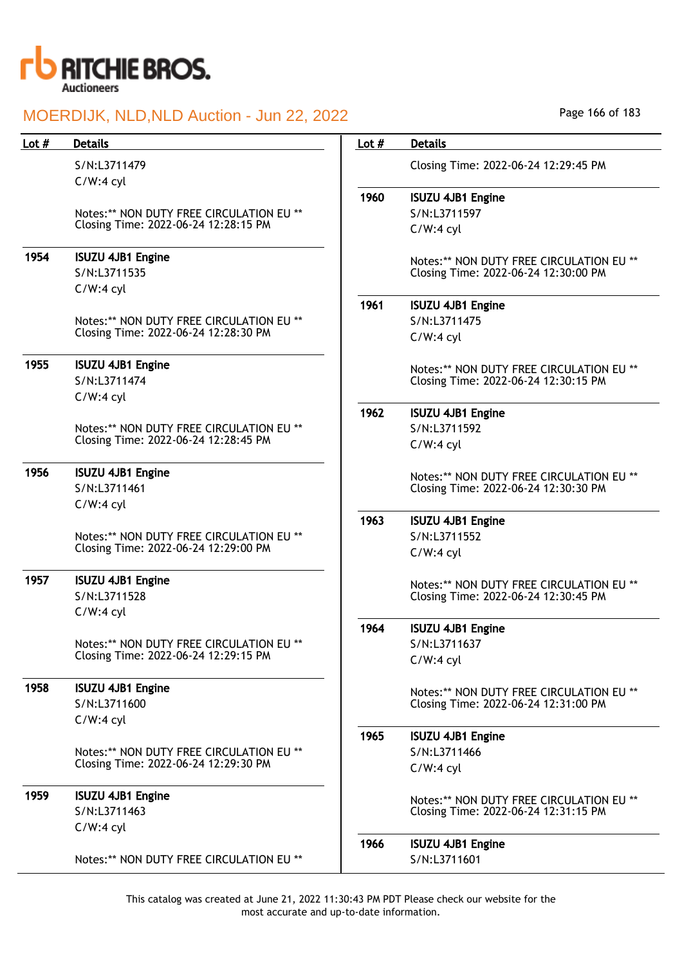

| S/N:L3711479<br>Closing Time: 2022-06-24 12:29:45 PM<br>$C/W:4$ cyl<br>1960<br><b>ISUZU 4JB1 Engine</b><br>Notes:** NON DUTY FREE CIRCULATION EU **<br>S/N:L3711597<br>Closing Time: 2022-06-24 12:28:15 PM<br>$C/W:4$ cyl<br>1954<br><b>ISUZU 4JB1 Engine</b><br>Notes:** NON DUTY FREE CIRCULATION EU **<br>S/N:L3711535<br>Closing Time: 2022-06-24 12:30:00 PM<br>$C/W:4$ cyl<br>1961<br><b>ISUZU 4JB1 Engine</b><br>Notes:** NON DUTY FREE CIRCULATION EU **<br>S/N:L3711475<br>Closing Time: 2022-06-24 12:28:30 PM<br>$C/W:4$ cyl<br>1955<br><b>ISUZU 4JB1 Engine</b><br>Notes:** NON DUTY FREE CIRCULATION EU **<br>S/N:L3711474<br>Closing Time: 2022-06-24 12:30:15 PM<br>$C/W:4$ cyl<br>1962<br><b>ISUZU 4JB1 Engine</b><br>Notes:** NON DUTY FREE CIRCULATION EU **<br>S/N:L3711592<br>Closing Time: 2022-06-24 12:28:45 PM<br>$C/W:4$ cyl<br>1956<br><b>ISUZU 4JB1 Engine</b><br>Notes:** NON DUTY FREE CIRCULATION EU **<br>S/N:L3711461<br>Closing Time: 2022-06-24 12:30:30 PM<br>$C/W:4$ cyl |  |
|---------------------------------------------------------------------------------------------------------------------------------------------------------------------------------------------------------------------------------------------------------------------------------------------------------------------------------------------------------------------------------------------------------------------------------------------------------------------------------------------------------------------------------------------------------------------------------------------------------------------------------------------------------------------------------------------------------------------------------------------------------------------------------------------------------------------------------------------------------------------------------------------------------------------------------------------------------------------------------------------------------------|--|
|                                                                                                                                                                                                                                                                                                                                                                                                                                                                                                                                                                                                                                                                                                                                                                                                                                                                                                                                                                                                               |  |
|                                                                                                                                                                                                                                                                                                                                                                                                                                                                                                                                                                                                                                                                                                                                                                                                                                                                                                                                                                                                               |  |
|                                                                                                                                                                                                                                                                                                                                                                                                                                                                                                                                                                                                                                                                                                                                                                                                                                                                                                                                                                                                               |  |
|                                                                                                                                                                                                                                                                                                                                                                                                                                                                                                                                                                                                                                                                                                                                                                                                                                                                                                                                                                                                               |  |
|                                                                                                                                                                                                                                                                                                                                                                                                                                                                                                                                                                                                                                                                                                                                                                                                                                                                                                                                                                                                               |  |
|                                                                                                                                                                                                                                                                                                                                                                                                                                                                                                                                                                                                                                                                                                                                                                                                                                                                                                                                                                                                               |  |
|                                                                                                                                                                                                                                                                                                                                                                                                                                                                                                                                                                                                                                                                                                                                                                                                                                                                                                                                                                                                               |  |
|                                                                                                                                                                                                                                                                                                                                                                                                                                                                                                                                                                                                                                                                                                                                                                                                                                                                                                                                                                                                               |  |
|                                                                                                                                                                                                                                                                                                                                                                                                                                                                                                                                                                                                                                                                                                                                                                                                                                                                                                                                                                                                               |  |
|                                                                                                                                                                                                                                                                                                                                                                                                                                                                                                                                                                                                                                                                                                                                                                                                                                                                                                                                                                                                               |  |
|                                                                                                                                                                                                                                                                                                                                                                                                                                                                                                                                                                                                                                                                                                                                                                                                                                                                                                                                                                                                               |  |
|                                                                                                                                                                                                                                                                                                                                                                                                                                                                                                                                                                                                                                                                                                                                                                                                                                                                                                                                                                                                               |  |
|                                                                                                                                                                                                                                                                                                                                                                                                                                                                                                                                                                                                                                                                                                                                                                                                                                                                                                                                                                                                               |  |
|                                                                                                                                                                                                                                                                                                                                                                                                                                                                                                                                                                                                                                                                                                                                                                                                                                                                                                                                                                                                               |  |
|                                                                                                                                                                                                                                                                                                                                                                                                                                                                                                                                                                                                                                                                                                                                                                                                                                                                                                                                                                                                               |  |
|                                                                                                                                                                                                                                                                                                                                                                                                                                                                                                                                                                                                                                                                                                                                                                                                                                                                                                                                                                                                               |  |
|                                                                                                                                                                                                                                                                                                                                                                                                                                                                                                                                                                                                                                                                                                                                                                                                                                                                                                                                                                                                               |  |
|                                                                                                                                                                                                                                                                                                                                                                                                                                                                                                                                                                                                                                                                                                                                                                                                                                                                                                                                                                                                               |  |
| 1963<br><b>ISUZU 4JB1 Engine</b>                                                                                                                                                                                                                                                                                                                                                                                                                                                                                                                                                                                                                                                                                                                                                                                                                                                                                                                                                                              |  |
| Notes:** NON DUTY FREE CIRCULATION EU **<br>S/N:L3711552                                                                                                                                                                                                                                                                                                                                                                                                                                                                                                                                                                                                                                                                                                                                                                                                                                                                                                                                                      |  |
| Closing Time: 2022-06-24 12:29:00 PM<br>$C/W:4$ cyl                                                                                                                                                                                                                                                                                                                                                                                                                                                                                                                                                                                                                                                                                                                                                                                                                                                                                                                                                           |  |
| 1957<br><b>ISUZU 4JB1 Engine</b><br>Notes:** NON DUTY FREE CIRCULATION EU **                                                                                                                                                                                                                                                                                                                                                                                                                                                                                                                                                                                                                                                                                                                                                                                                                                                                                                                                  |  |
| S/N:L3711528<br>Closing Time: 2022-06-24 12:30:45 PM                                                                                                                                                                                                                                                                                                                                                                                                                                                                                                                                                                                                                                                                                                                                                                                                                                                                                                                                                          |  |
| $C/W:4$ cyl                                                                                                                                                                                                                                                                                                                                                                                                                                                                                                                                                                                                                                                                                                                                                                                                                                                                                                                                                                                                   |  |
| 1964<br><b>ISUZU 4JB1 Engine</b>                                                                                                                                                                                                                                                                                                                                                                                                                                                                                                                                                                                                                                                                                                                                                                                                                                                                                                                                                                              |  |
| S/N:L3711637<br>Notes:** NON DUTY FREE CIRCULATION EU **                                                                                                                                                                                                                                                                                                                                                                                                                                                                                                                                                                                                                                                                                                                                                                                                                                                                                                                                                      |  |
| Closing Time: 2022-06-24 12:29:15 PM<br>$C/W:4$ cyl                                                                                                                                                                                                                                                                                                                                                                                                                                                                                                                                                                                                                                                                                                                                                                                                                                                                                                                                                           |  |
| 1958<br><b>ISUZU 4JB1 Engine</b><br>Notes:** NON DUTY FREE CIRCULATION EU **                                                                                                                                                                                                                                                                                                                                                                                                                                                                                                                                                                                                                                                                                                                                                                                                                                                                                                                                  |  |
| S/N:L3711600<br>Closing Time: 2022-06-24 12:31:00 PM                                                                                                                                                                                                                                                                                                                                                                                                                                                                                                                                                                                                                                                                                                                                                                                                                                                                                                                                                          |  |
| $C/W:4$ cyl                                                                                                                                                                                                                                                                                                                                                                                                                                                                                                                                                                                                                                                                                                                                                                                                                                                                                                                                                                                                   |  |
| 1965<br><b>ISUZU 4JB1 Engine</b>                                                                                                                                                                                                                                                                                                                                                                                                                                                                                                                                                                                                                                                                                                                                                                                                                                                                                                                                                                              |  |
| Notes:** NON DUTY FREE CIRCULATION EU **<br>S/N:L3711466                                                                                                                                                                                                                                                                                                                                                                                                                                                                                                                                                                                                                                                                                                                                                                                                                                                                                                                                                      |  |
| Closing Time: 2022-06-24 12:29:30 PM<br>$C/W:4$ cyl                                                                                                                                                                                                                                                                                                                                                                                                                                                                                                                                                                                                                                                                                                                                                                                                                                                                                                                                                           |  |
| 1959<br><b>ISUZU 4JB1 Engine</b><br>Notes:** NON DUTY FREE CIRCULATION EU **                                                                                                                                                                                                                                                                                                                                                                                                                                                                                                                                                                                                                                                                                                                                                                                                                                                                                                                                  |  |
| S/N:L3711463<br>Closing Time: 2022-06-24 12:31:15 PM                                                                                                                                                                                                                                                                                                                                                                                                                                                                                                                                                                                                                                                                                                                                                                                                                                                                                                                                                          |  |
| $C/W:4$ cyl                                                                                                                                                                                                                                                                                                                                                                                                                                                                                                                                                                                                                                                                                                                                                                                                                                                                                                                                                                                                   |  |
| 1966<br><b>ISUZU 4JB1 Engine</b>                                                                                                                                                                                                                                                                                                                                                                                                                                                                                                                                                                                                                                                                                                                                                                                                                                                                                                                                                                              |  |
| S/N:L3711601<br>Notes:** NON DUTY FREE CIRCULATION EU **                                                                                                                                                                                                                                                                                                                                                                                                                                                                                                                                                                                                                                                                                                                                                                                                                                                                                                                                                      |  |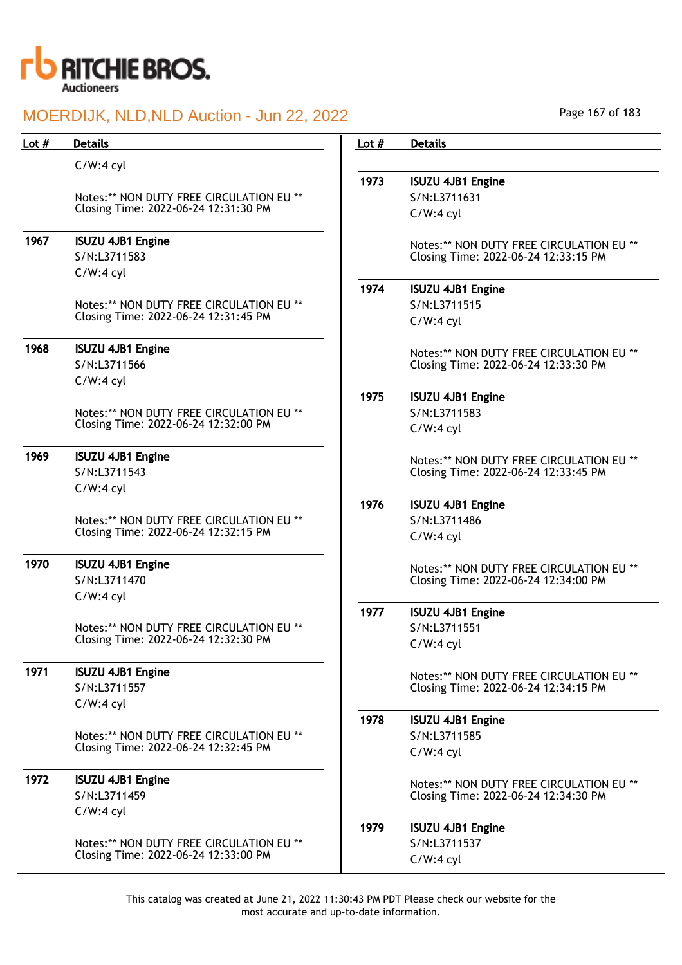

Page 167 of 183

| Lot $#$ | <b>Details</b>                           | Lot $#$ | <b>Details</b>                           |
|---------|------------------------------------------|---------|------------------------------------------|
|         | $C/W:4$ cyl                              |         |                                          |
|         |                                          | 1973    | <b>ISUZU 4JB1 Engine</b>                 |
|         | Notes:** NON DUTY FREE CIRCULATION EU ** |         | S/N:L3711631                             |
|         | Closing Time: 2022-06-24 12:31:30 PM     |         | $C/W:4$ cyl                              |
| 1967    | <b>ISUZU 4JB1 Engine</b>                 |         | Notes:** NON DUTY FREE CIRCULATION EU ** |
|         | S/N:L3711583                             |         | Closing Time: 2022-06-24 12:33:15 PM     |
|         | $C/W:4$ cyl                              |         |                                          |
|         |                                          | 1974    | <b>ISUZU 4JB1 Engine</b>                 |
|         | Notes:** NON DUTY FREE CIRCULATION EU ** |         | S/N:L3711515                             |
|         | Closing Time: 2022-06-24 12:31:45 PM     |         | $C/W:4$ cyl                              |
| 1968    | <b>ISUZU 4JB1 Engine</b>                 |         | Notes:** NON DUTY FREE CIRCULATION EU ** |
|         | S/N:L3711566                             |         | Closing Time: 2022-06-24 12:33:30 PM     |
|         | $C/W:4$ cyl                              |         |                                          |
|         |                                          | 1975    | <b>ISUZU 4JB1 Engine</b>                 |
|         | Notes:** NON DUTY FREE CIRCULATION EU ** |         | S/N:L3711583                             |
|         | Closing Time: 2022-06-24 12:32:00 PM     |         | $C/W:4$ cyl                              |
| 1969    | <b>ISUZU 4JB1 Engine</b>                 |         |                                          |
|         | S/N:L3711543                             |         | Notes:** NON DUTY FREE CIRCULATION EU ** |
|         | $C/W:4$ cyl                              |         | Closing Time: 2022-06-24 12:33:45 PM     |
|         |                                          | 1976    | <b>ISUZU 4JB1 Engine</b>                 |
|         | Notes:** NON DUTY FREE CIRCULATION EU ** |         | S/N:L3711486                             |
|         | Closing Time: 2022-06-24 12:32:15 PM     |         | $C/W:4$ cyl                              |
|         |                                          |         |                                          |
| 1970    | <b>ISUZU 4JB1 Engine</b>                 |         | Notes:** NON DUTY FREE CIRCULATION EU ** |
|         | S/N:L3711470                             |         | Closing Time: 2022-06-24 12:34:00 PM     |
|         | $C/W:4$ cyl                              |         |                                          |
|         |                                          | 1977    | <b>ISUZU 4JB1 Engine</b>                 |
|         | Notes:** NON DUTY FREE CIRCULATION EU ** |         | S/N:L3711551                             |
|         | Closing Time: 2022-06-24 12:32:30 PM     |         | $C/W:4$ cyl                              |
| 1971    | <b>ISUZU 4JB1 Engine</b>                 |         | Notes:** NON DUTY FREE CIRCULATION EU ** |
|         | S/N:L3711557                             |         | Closing Time: 2022-06-24 12:34:15 PM     |
|         | $C/W:4$ cyl                              |         |                                          |
|         |                                          | 1978    | <b>ISUZU 4JB1 Engine</b>                 |
|         | Notes:** NON DUTY FREE CIRCULATION EU ** |         | S/N:L3711585                             |
|         | Closing Time: 2022-06-24 12:32:45 PM     |         | $C/W:4$ cyl                              |
| 1972    | <b>ISUZU 4JB1 Engine</b>                 |         | Notes:** NON DUTY FREE CIRCULATION EU ** |
|         | S/N:L3711459                             |         | Closing Time: 2022-06-24 12:34:30 PM     |
|         | $C/W:4$ cyl                              |         |                                          |
|         |                                          | 1979    | <b>ISUZU 4JB1 Engine</b>                 |
|         | Notes:** NON DUTY FREE CIRCULATION EU ** |         | S/N:L3711537                             |
|         | Closing Time: 2022-06-24 12:33:00 PM     |         | $C/W:4$ cyl                              |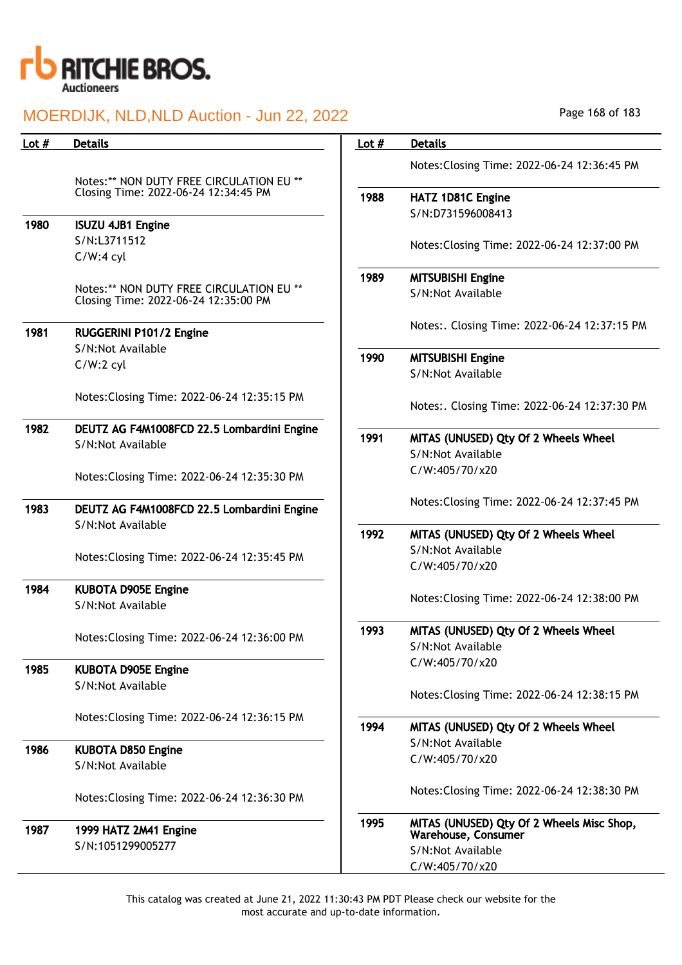

| Lot $#$ | <b>Details</b>                                                                   | Lot $#$ | <b>Details</b>                                                   |
|---------|----------------------------------------------------------------------------------|---------|------------------------------------------------------------------|
|         |                                                                                  |         | Notes: Closing Time: 2022-06-24 12:36:45 PM                      |
|         | Notes:** NON DUTY FREE CIRCULATION EU **                                         |         |                                                                  |
|         | Closing Time: 2022-06-24 12:34:45 PM                                             | 1988    | HATZ 1D81C Engine                                                |
|         |                                                                                  |         | S/N:D731596008413                                                |
| 1980    | <b>ISUZU 4JB1 Engine</b>                                                         |         |                                                                  |
|         | S/N:L3711512                                                                     |         | Notes: Closing Time: 2022-06-24 12:37:00 PM                      |
|         | $C/W:4$ cyl                                                                      |         |                                                                  |
|         |                                                                                  | 1989    | <b>MITSUBISHI Engine</b>                                         |
|         | Notes:** NON DUTY FREE CIRCULATION EU **<br>Closing Time: 2022-06-24 12:35:00 PM |         | S/N:Not Available                                                |
| 1981    | RUGGERINI P101/2 Engine                                                          |         | Notes:. Closing Time: 2022-06-24 12:37:15 PM                     |
|         | S/N:Not Available                                                                |         |                                                                  |
|         | $C/W:2$ cyl                                                                      | 1990    | <b>MITSUBISHI Engine</b><br>S/N:Not Available                    |
|         |                                                                                  |         |                                                                  |
|         | Notes: Closing Time: 2022-06-24 12:35:15 PM                                      |         | Notes:. Closing Time: 2022-06-24 12:37:30 PM                     |
| 1982    | DEUTZ AG F4M1008FCD 22.5 Lombardini Engine                                       |         |                                                                  |
|         | S/N:Not Available                                                                | 1991    | MITAS (UNUSED) Qty Of 2 Wheels Wheel                             |
|         |                                                                                  |         | S/N:Not Available                                                |
|         | Notes: Closing Time: 2022-06-24 12:35:30 PM                                      |         | C/W:405/70/x20                                                   |
| 1983    | DEUTZ AG F4M1008FCD 22.5 Lombardini Engine                                       |         | Notes: Closing Time: 2022-06-24 12:37:45 PM                      |
|         | S/N:Not Available                                                                |         |                                                                  |
|         |                                                                                  | 1992    | MITAS (UNUSED) Qty Of 2 Wheels Wheel                             |
|         | Notes: Closing Time: 2022-06-24 12:35:45 PM                                      |         | S/N:Not Available                                                |
|         |                                                                                  |         | C/W:405/70/x20                                                   |
| 1984    | <b>KUBOTA D905E Engine</b>                                                       |         |                                                                  |
|         | S/N:Not Available                                                                |         | Notes: Closing Time: 2022-06-24 12:38:00 PM                      |
|         | Notes: Closing Time: 2022-06-24 12:36:00 PM                                      | 1993    | MITAS (UNUSED) Qty Of 2 Wheels Wheel                             |
|         |                                                                                  |         | S/N:Not Available                                                |
| 1985    | <b>KUBOTA D905E Engine</b>                                                       |         | C/W:405/70/x20                                                   |
|         | S/N:Not Available                                                                |         |                                                                  |
|         |                                                                                  |         | Notes: Closing Time: 2022-06-24 12:38:15 PM                      |
|         | Notes: Closing Time: 2022-06-24 12:36:15 PM                                      |         |                                                                  |
|         |                                                                                  | 1994    | MITAS (UNUSED) Qty Of 2 Wheels Wheel                             |
| 1986    | <b>KUBOTA D850 Engine</b>                                                        |         | S/N:Not Available                                                |
|         | S/N:Not Available                                                                |         | C/W:405/70/x20                                                   |
|         | Notes: Closing Time: 2022-06-24 12:36:30 PM                                      |         | Notes: Closing Time: 2022-06-24 12:38:30 PM                      |
| 1987    | 1999 HATZ 2M41 Engine                                                            | 1995    | MITAS (UNUSED) Qty Of 2 Wheels Misc Shop,<br>Warehouse, Consumer |
|         | S/N:1051299005277                                                                |         | S/N:Not Available                                                |
|         |                                                                                  |         | C/W:405/70/x20                                                   |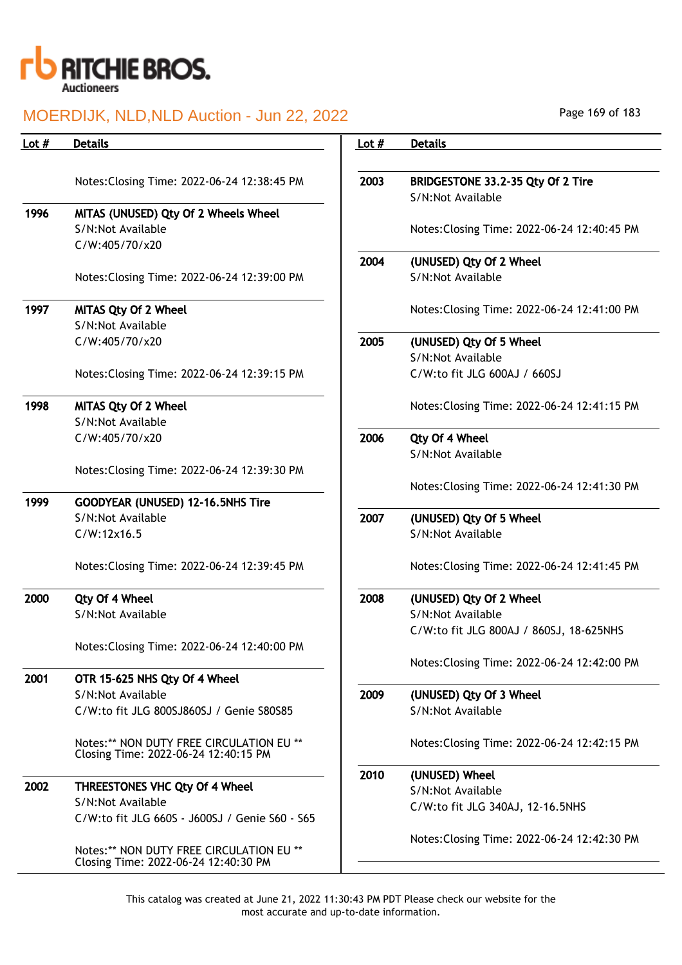

| Lot $#$ | <b>Details</b>                                                                   | Lot $#$ | <b>Details</b>                                         |
|---------|----------------------------------------------------------------------------------|---------|--------------------------------------------------------|
|         | Notes: Closing Time: 2022-06-24 12:38:45 PM                                      | 2003    | BRIDGESTONE 33.2-35 Qty Of 2 Tire<br>S/N:Not Available |
| 1996    | MITAS (UNUSED) Qty Of 2 Wheels Wheel<br>S/N:Not Available<br>C/W:405/70/x20      |         | Notes: Closing Time: 2022-06-24 12:40:45 PM            |
|         | Notes: Closing Time: 2022-06-24 12:39:00 PM                                      | 2004    | (UNUSED) Qty Of 2 Wheel<br>S/N:Not Available           |
| 1997    | MITAS Qty Of 2 Wheel<br>S/N:Not Available                                        |         | Notes: Closing Time: 2022-06-24 12:41:00 PM            |
|         | C/W:405/70/x20                                                                   | 2005    | (UNUSED) Qty Of 5 Wheel<br>S/N:Not Available           |
|         | Notes: Closing Time: 2022-06-24 12:39:15 PM                                      |         | C/W:to fit JLG 600AJ / 660SJ                           |
| 1998    | MITAS Qty Of 2 Wheel<br>S/N:Not Available                                        |         | Notes: Closing Time: 2022-06-24 12:41:15 PM            |
|         | C/W:405/70/x20                                                                   | 2006    | Qty Of 4 Wheel<br>S/N:Not Available                    |
|         | Notes: Closing Time: 2022-06-24 12:39:30 PM                                      |         | Notes: Closing Time: 2022-06-24 12:41:30 PM            |
| 1999    | GOODYEAR (UNUSED) 12-16.5NHS Tire<br>S/N:Not Available                           | 2007    | (UNUSED) Qty Of 5 Wheel                                |
|         | C/W:12x16.5                                                                      |         | S/N:Not Available                                      |
|         | Notes: Closing Time: 2022-06-24 12:39:45 PM                                      |         | Notes: Closing Time: 2022-06-24 12:41:45 PM            |
| 2000    | Qty Of 4 Wheel<br>S/N:Not Available                                              | 2008    | (UNUSED) Qty Of 2 Wheel<br>S/N:Not Available           |
|         | Notes: Closing Time: 2022-06-24 12:40:00 PM                                      |         | C/W:to fit JLG 800AJ / 860SJ, 18-625NHS                |
|         |                                                                                  |         | Notes: Closing Time: 2022-06-24 12:42:00 PM            |
| 2001    | OTR 15-625 NHS Qty Of 4 Wheel<br>S/N:Not Available                               | 2009    | (UNUSED) Qty Of 3 Wheel                                |
|         | C/W:to fit JLG 800SJ860SJ / Genie S80S85                                         |         | S/N:Not Available                                      |
|         | Notes:** NON DUTY FREE CIRCULATION EU **<br>Closing Time: 2022-06-24 12:40:15 PM |         | Notes: Closing Time: 2022-06-24 12:42:15 PM            |
| 2002    | <b>THREESTONES VHC Qty Of 4 Wheel</b>                                            | 2010    | (UNUSED) Wheel                                         |
|         | S/N:Not Available                                                                |         | S/N:Not Available<br>C/W:to fit JLG 340AJ, 12-16.5NHS  |
|         | C/W:to fit JLG 660S - J600SJ / Genie S60 - S65                                   |         |                                                        |
|         | Notes:** NON DUTY FREE CIRCULATION EU **<br>Closing Time: 2022-06-24 12:40:30 PM |         | Notes: Closing Time: 2022-06-24 12:42:30 PM            |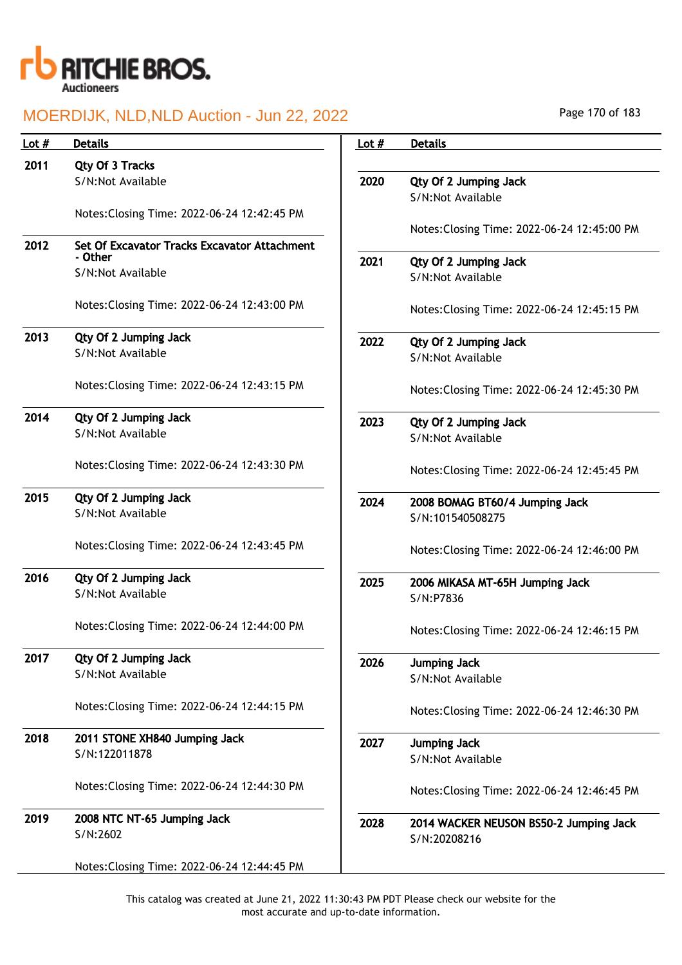

| Lot $#$ | <b>Details</b>                                          | Lot $#$ | <b>Details</b>                              |
|---------|---------------------------------------------------------|---------|---------------------------------------------|
| 2011    | Qty Of 3 Tracks                                         |         |                                             |
|         | S/N:Not Available                                       | 2020    | Qty Of 2 Jumping Jack                       |
|         |                                                         |         | S/N:Not Available                           |
|         | Notes: Closing Time: 2022-06-24 12:42:45 PM             |         |                                             |
|         |                                                         |         | Notes: Closing Time: 2022-06-24 12:45:00 PM |
| 2012    | Set Of Excavator Tracks Excavator Attachment<br>- Other |         |                                             |
|         | S/N:Not Available                                       | 2021    | Qty Of 2 Jumping Jack<br>S/N:Not Available  |
|         |                                                         |         |                                             |
|         | Notes: Closing Time: 2022-06-24 12:43:00 PM             |         | Notes: Closing Time: 2022-06-24 12:45:15 PM |
| 2013    | Qty Of 2 Jumping Jack                                   | 2022    | Qty Of 2 Jumping Jack                       |
|         | S/N:Not Available                                       |         | S/N:Not Available                           |
|         |                                                         |         |                                             |
|         | Notes: Closing Time: 2022-06-24 12:43:15 PM             |         | Notes: Closing Time: 2022-06-24 12:45:30 PM |
| 2014    | Qty Of 2 Jumping Jack                                   | 2023    | Qty Of 2 Jumping Jack                       |
|         | S/N:Not Available                                       |         | S/N:Not Available                           |
|         |                                                         |         |                                             |
|         | Notes: Closing Time: 2022-06-24 12:43:30 PM             |         | Notes: Closing Time: 2022-06-24 12:45:45 PM |
| 2015    | Qty Of 2 Jumping Jack                                   | 2024    | 2008 BOMAG BT60/4 Jumping Jack              |
|         | S/N:Not Available                                       |         | S/N:101540508275                            |
|         |                                                         |         |                                             |
|         | Notes: Closing Time: 2022-06-24 12:43:45 PM             |         | Notes: Closing Time: 2022-06-24 12:46:00 PM |
| 2016    | Qty Of 2 Jumping Jack                                   | 2025    | 2006 MIKASA MT-65H Jumping Jack             |
|         | S/N:Not Available                                       |         | S/N:P7836                                   |
|         |                                                         |         |                                             |
|         | Notes: Closing Time: 2022-06-24 12:44:00 PM             |         | Notes: Closing Time: 2022-06-24 12:46:15 PM |
|         |                                                         |         |                                             |
| 2017    | Qty Of 2 Jumping Jack                                   | 2026    | <b>Jumping Jack</b>                         |
|         | S/N:Not Available                                       |         | S/N:Not Available                           |
|         | Notes: Closing Time: 2022-06-24 12:44:15 PM             |         |                                             |
|         |                                                         |         | Notes: Closing Time: 2022-06-24 12:46:30 PM |
| 2018    | 2011 STONE XH840 Jumping Jack                           | 2027    | <b>Jumping Jack</b>                         |
|         | S/N:122011878                                           |         | S/N:Not Available                           |
|         |                                                         |         |                                             |
|         | Notes: Closing Time: 2022-06-24 12:44:30 PM             |         | Notes: Closing Time: 2022-06-24 12:46:45 PM |
|         |                                                         |         |                                             |
| 2019    | 2008 NTC NT-65 Jumping Jack                             | 2028    | 2014 WACKER NEUSON BS50-2 Jumping Jack      |
|         | S/N:2602                                                |         | S/N:20208216                                |
|         |                                                         |         |                                             |
|         | Notes: Closing Time: 2022-06-24 12:44:45 PM             |         |                                             |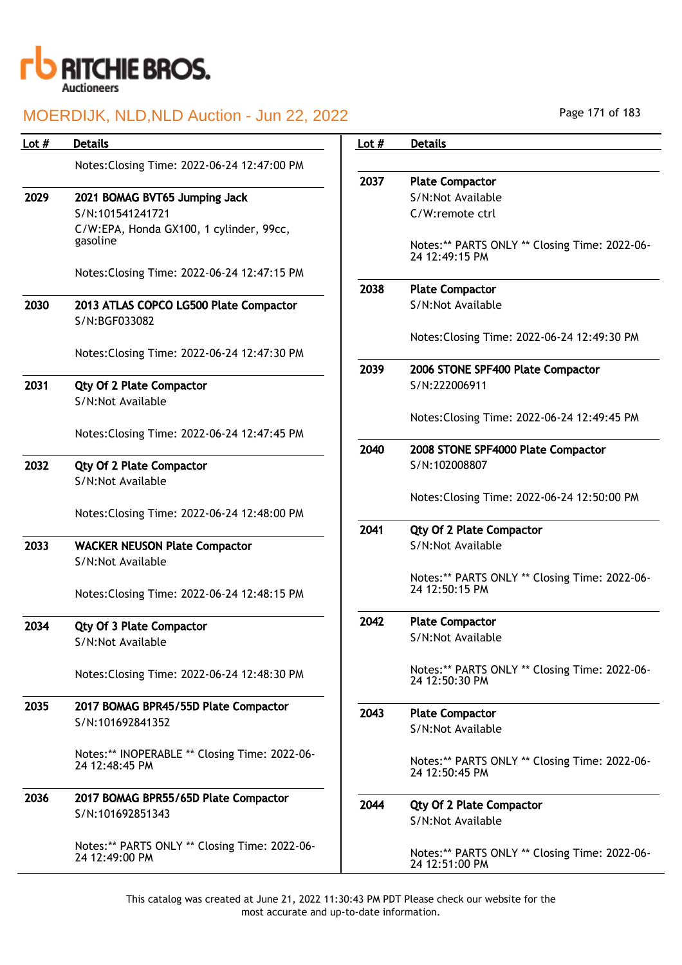

| Lot $#$ | <b>Details</b>                                                  | Lot $#$ | <b>Details</b>                                                  |
|---------|-----------------------------------------------------------------|---------|-----------------------------------------------------------------|
|         | Notes: Closing Time: 2022-06-24 12:47:00 PM                     |         |                                                                 |
|         |                                                                 | 2037    | <b>Plate Compactor</b>                                          |
| 2029    | 2021 BOMAG BVT65 Jumping Jack                                   |         | S/N:Not Available                                               |
|         | S/N:101541241721                                                |         | C/W:remote ctrl                                                 |
|         | C/W:EPA, Honda GX100, 1 cylinder, 99cc,                         |         |                                                                 |
|         | gasoline                                                        |         | Notes:** PARTS ONLY ** Closing Time: 2022-06-<br>24 12:49:15 PM |
|         | Notes: Closing Time: 2022-06-24 12:47:15 PM                     |         |                                                                 |
|         |                                                                 | 2038    | <b>Plate Compactor</b>                                          |
| 2030    | 2013 ATLAS COPCO LG500 Plate Compactor<br>S/N:BGF033082         |         | S/N:Not Available                                               |
|         |                                                                 |         | Notes: Closing Time: 2022-06-24 12:49:30 PM                     |
|         | Notes: Closing Time: 2022-06-24 12:47:30 PM                     |         |                                                                 |
|         |                                                                 | 2039    | 2006 STONE SPF400 Plate Compactor                               |
| 2031    | <b>Qty Of 2 Plate Compactor</b>                                 |         | S/N:222006911                                                   |
|         | S/N:Not Available                                               |         |                                                                 |
|         |                                                                 |         | Notes: Closing Time: 2022-06-24 12:49:45 PM                     |
|         | Notes: Closing Time: 2022-06-24 12:47:45 PM                     |         |                                                                 |
|         |                                                                 | 2040    | 2008 STONE SPF4000 Plate Compactor                              |
| 2032    | <b>Qty Of 2 Plate Compactor</b>                                 |         | S/N:102008807                                                   |
|         | S/N:Not Available                                               |         |                                                                 |
|         |                                                                 |         | Notes: Closing Time: 2022-06-24 12:50:00 PM                     |
|         | Notes: Closing Time: 2022-06-24 12:48:00 PM                     |         |                                                                 |
|         |                                                                 | 2041    | <b>Qty Of 2 Plate Compactor</b>                                 |
| 2033    | <b>WACKER NEUSON Plate Compactor</b>                            |         | S/N:Not Available                                               |
|         | S/N:Not Available                                               |         |                                                                 |
|         |                                                                 |         | Notes:** PARTS ONLY ** Closing Time: 2022-06-                   |
|         | Notes: Closing Time: 2022-06-24 12:48:15 PM                     |         | 24 12:50:15 PM                                                  |
|         |                                                                 |         |                                                                 |
| 2034    | <b>Qty Of 3 Plate Compactor</b>                                 | 2042    | <b>Plate Compactor</b>                                          |
|         | S/N:Not Available                                               |         | S/N:Not Available                                               |
|         |                                                                 |         |                                                                 |
|         | Notes: Closing Time: 2022-06-24 12:48:30 PM                     |         | Notes:** PARTS ONLY ** Closing Time: 2022-06-<br>24 12:50:30 PM |
|         |                                                                 |         |                                                                 |
| 2035    | 2017 BOMAG BPR45/55D Plate Compactor                            | 2043    | <b>Plate Compactor</b>                                          |
|         | S/N:101692841352                                                |         | S/N:Not Available                                               |
|         |                                                                 |         |                                                                 |
|         | Notes:** INOPERABLE ** Closing Time: 2022-06-                   |         | Notes:** PARTS ONLY ** Closing Time: 2022-06-                   |
|         | 24 12:48:45 PM                                                  |         | 24 12:50:45 PM                                                  |
|         |                                                                 |         |                                                                 |
| 2036    | 2017 BOMAG BPR55/65D Plate Compactor                            | 2044    | <b>Qty Of 2 Plate Compactor</b>                                 |
|         | S/N:101692851343                                                |         | S/N:Not Available                                               |
|         |                                                                 |         |                                                                 |
|         | Notes:** PARTS ONLY ** Closing Time: 2022-06-<br>24 12:49:00 PM |         | Notes:** PARTS ONLY ** Closing Time: 2022-06-                   |
|         |                                                                 |         | 24 12:51:00 PM                                                  |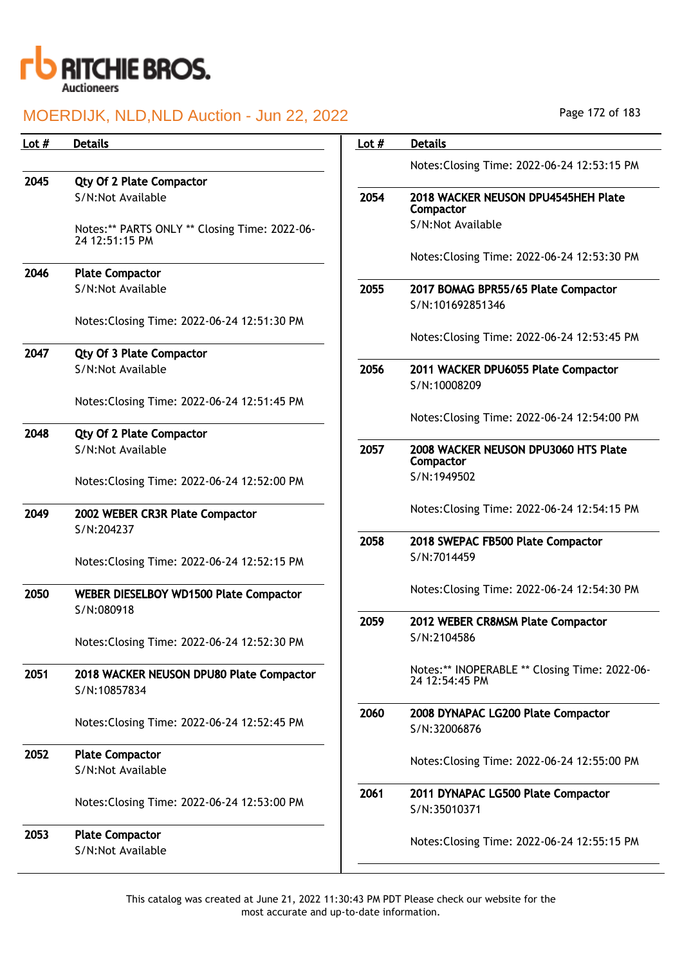

| Lot $#$ | <b>Details</b>                                                  | Lot $#$ | <b>Details</b>                                   |
|---------|-----------------------------------------------------------------|---------|--------------------------------------------------|
|         |                                                                 |         | Notes: Closing Time: 2022-06-24 12:53:15 PM      |
| 2045    | <b>Qty Of 2 Plate Compactor</b>                                 |         |                                                  |
|         | S/N:Not Available                                               | 2054    | 2018 WACKER NEUSON DPU4545HEH Plate<br>Compactor |
|         | Notes:** PARTS ONLY ** Closing Time: 2022-06-<br>24 12:51:15 PM |         | S/N:Not Available                                |
|         |                                                                 |         | Notes: Closing Time: 2022-06-24 12:53:30 PM      |
| 2046    | <b>Plate Compactor</b>                                          |         |                                                  |
|         | S/N:Not Available                                               | 2055    | 2017 BOMAG BPR55/65 Plate Compactor              |
|         | Notes: Closing Time: 2022-06-24 12:51:30 PM                     |         | S/N:101692851346                                 |
|         |                                                                 |         | Notes: Closing Time: 2022-06-24 12:53:45 PM      |
| 2047    | <b>Qty Of 3 Plate Compactor</b>                                 |         |                                                  |
|         | S/N:Not Available                                               | 2056    | 2011 WACKER DPU6055 Plate Compactor              |
|         |                                                                 |         | S/N:10008209                                     |
|         | Notes: Closing Time: 2022-06-24 12:51:45 PM                     |         | Notes: Closing Time: 2022-06-24 12:54:00 PM      |
| 2048    | <b>Qty Of 2 Plate Compactor</b>                                 |         |                                                  |
|         | S/N:Not Available                                               | 2057    | 2008 WACKER NEUSON DPU3060 HTS Plate             |
|         |                                                                 |         | Compactor                                        |
|         | Notes: Closing Time: 2022-06-24 12:52:00 PM                     |         | S/N:1949502                                      |
| 2049    | 2002 WEBER CR3R Plate Compactor                                 |         | Notes: Closing Time: 2022-06-24 12:54:15 PM      |
|         | S/N:204237                                                      |         |                                                  |
|         |                                                                 | 2058    | 2018 SWEPAC FB500 Plate Compactor                |
|         | Notes: Closing Time: 2022-06-24 12:52:15 PM                     |         | S/N:7014459                                      |
| 2050    | WEBER DIESELBOY WD1500 Plate Compactor                          |         | Notes: Closing Time: 2022-06-24 12:54:30 PM      |
|         | S/N:080918                                                      |         |                                                  |
|         |                                                                 | 2059    | 2012 WEBER CR8MSM Plate Compactor                |
|         | Notes: Closing Time: 2022-06-24 12:52:30 PM                     |         | S/N:2104586                                      |
| 2051    | 2018 WACKER NEUSON DPU80 Plate Compactor                        |         | Notes:** INOPERABLE ** Closing Time: 2022-06-    |
|         | S/N:10857834                                                    |         | 24 12:54:45 PM                                   |
|         |                                                                 | 2060    | 2008 DYNAPAC LG200 Plate Compactor               |
|         | Notes: Closing Time: 2022-06-24 12:52:45 PM                     |         | S/N:32006876                                     |
| 2052    | <b>Plate Compactor</b>                                          |         |                                                  |
|         | S/N:Not Available                                               |         | Notes: Closing Time: 2022-06-24 12:55:00 PM      |
|         |                                                                 | 2061    | 2011 DYNAPAC LG500 Plate Compactor               |
|         | Notes: Closing Time: 2022-06-24 12:53:00 PM                     |         | S/N:35010371                                     |
| 2053    | <b>Plate Compactor</b>                                          |         |                                                  |
|         | S/N:Not Available                                               |         | Notes: Closing Time: 2022-06-24 12:55:15 PM      |
|         |                                                                 |         |                                                  |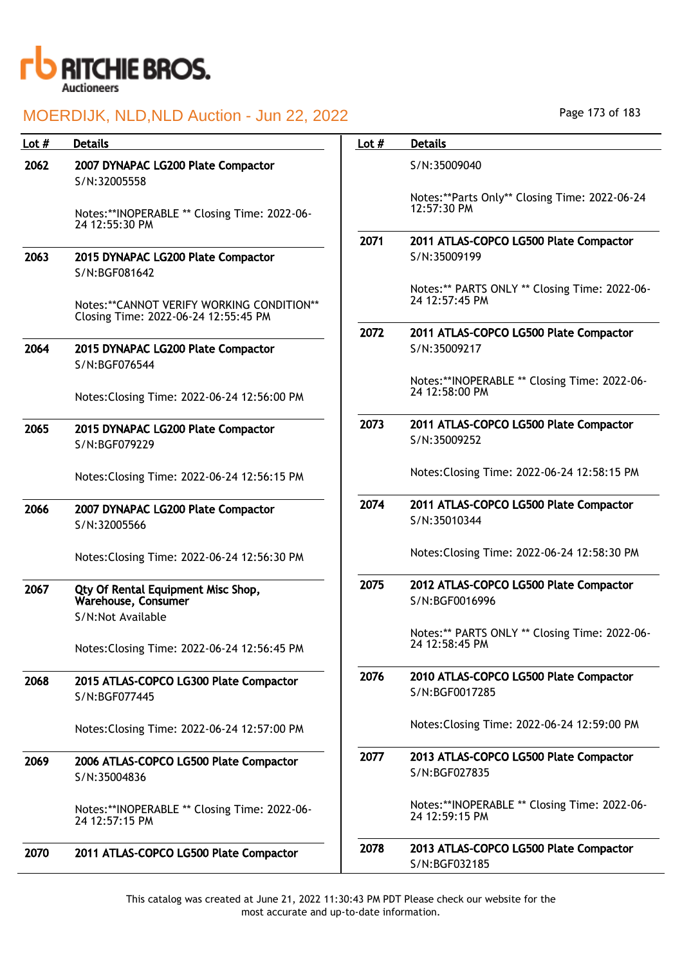

| Lot $#$ | <b>Details</b>                                                                       | Lot $#$ | <b>Details</b>                                                  |
|---------|--------------------------------------------------------------------------------------|---------|-----------------------------------------------------------------|
| 2062    | 2007 DYNAPAC LG200 Plate Compactor<br>S/N:32005558                                   |         | S/N:35009040                                                    |
|         | Notes:**INOPERABLE ** Closing Time: 2022-06-<br>24 12:55:30 PM                       |         | Notes:**Parts Only** Closing Time: 2022-06-24<br>12:57:30 PM    |
|         |                                                                                      | 2071    | 2011 ATLAS-COPCO LG500 Plate Compactor                          |
| 2063    | 2015 DYNAPAC LG200 Plate Compactor<br>S/N:BGF081642                                  |         | S/N:35009199                                                    |
|         | Notes: ** CANNOT VERIFY WORKING CONDITION **<br>Closing Time: 2022-06-24 12:55:45 PM |         | Notes:** PARTS ONLY ** Closing Time: 2022-06-<br>24 12:57:45 PM |
|         |                                                                                      | 2072    | 2011 ATLAS-COPCO LG500 Plate Compactor                          |
| 2064    | 2015 DYNAPAC LG200 Plate Compactor<br>S/N:BGF076544                                  |         | S/N:35009217                                                    |
|         | Notes: Closing Time: 2022-06-24 12:56:00 PM                                          |         | Notes:**INOPERABLE ** Closing Time: 2022-06-<br>24 12:58:00 PM  |
| 2065    | 2015 DYNAPAC LG200 Plate Compactor<br>S/N:BGF079229                                  | 2073    | 2011 ATLAS-COPCO LG500 Plate Compactor<br>S/N:35009252          |
|         | Notes: Closing Time: 2022-06-24 12:56:15 PM                                          |         | Notes: Closing Time: 2022-06-24 12:58:15 PM                     |
| 2066    | 2007 DYNAPAC LG200 Plate Compactor<br>S/N:32005566                                   | 2074    | 2011 ATLAS-COPCO LG500 Plate Compactor<br>S/N:35010344          |
|         | Notes: Closing Time: 2022-06-24 12:56:30 PM                                          |         | Notes: Closing Time: 2022-06-24 12:58:30 PM                     |
| 2067    | Qty Of Rental Equipment Misc Shop,<br>Warehouse, Consumer<br>S/N:Not Available       | 2075    | 2012 ATLAS-COPCO LG500 Plate Compactor<br>S/N:BGF0016996        |
|         | Notes: Closing Time: 2022-06-24 12:56:45 PM                                          |         | Notes:** PARTS ONLY ** Closing Time: 2022-06-<br>24 12:58:45 PM |
| 2068    | 2015 ATLAS-COPCO LG300 Plate Compactor<br>S/N:BGF077445                              | 2076    | 2010 ATLAS-COPCO LG500 Plate Compactor<br>S/N:BGF0017285        |
|         | Notes: Closing Time: 2022-06-24 12:57:00 PM                                          |         | Notes: Closing Time: 2022-06-24 12:59:00 PM                     |
| 2069    | 2006 ATLAS-COPCO LG500 Plate Compactor                                               | 2077    | 2013 ATLAS-COPCO LG500 Plate Compactor                          |
|         | S/N:35004836                                                                         |         | S/N:BGF027835                                                   |
|         | Notes:**INOPERABLE ** Closing Time: 2022-06-<br>24 12:57:15 PM                       |         | Notes:**INOPERABLE ** Closing Time: 2022-06-<br>24 12:59:15 PM  |
| 2070    | 2011 ATLAS-COPCO LG500 Plate Compactor                                               | 2078    | 2013 ATLAS-COPCO LG500 Plate Compactor<br>S/N:BGF032185         |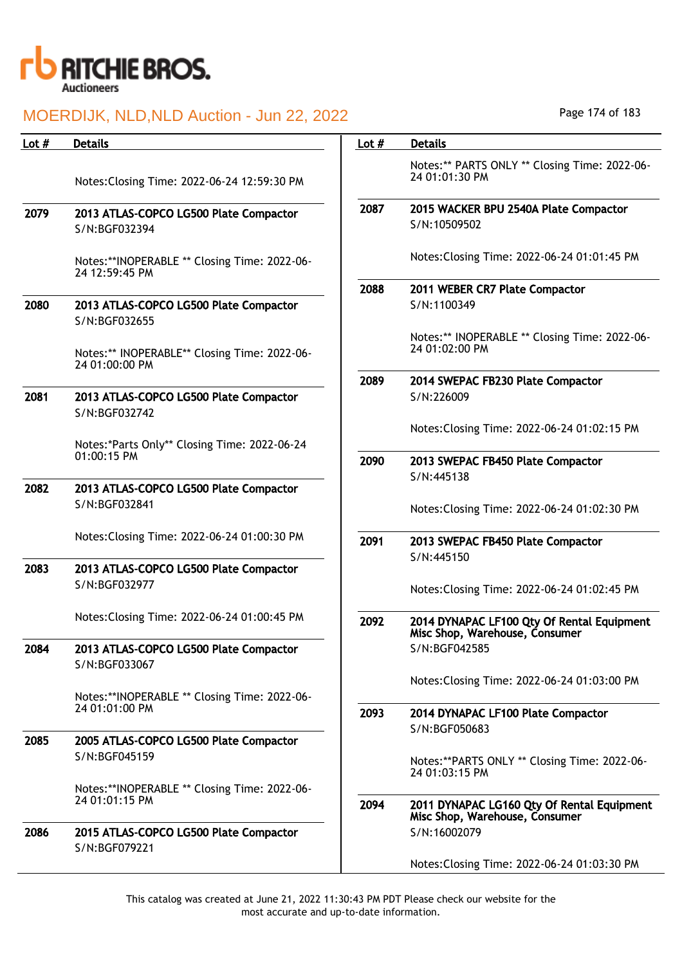

| Lot $#$ | <b>Details</b>                                                 | Lot $#$ | <b>Details</b>                                                               |
|---------|----------------------------------------------------------------|---------|------------------------------------------------------------------------------|
|         | Notes: Closing Time: 2022-06-24 12:59:30 PM                    |         | Notes:** PARTS ONLY ** Closing Time: 2022-06-<br>24 01:01:30 PM              |
| 2079    | 2013 ATLAS-COPCO LG500 Plate Compactor<br>S/N:BGF032394        | 2087    | 2015 WACKER BPU 2540A Plate Compactor<br>S/N:10509502                        |
|         | Notes:**INOPERABLE ** Closing Time: 2022-06-<br>24 12:59:45 PM |         | Notes: Closing Time: 2022-06-24 01:01:45 PM                                  |
| 2080    | 2013 ATLAS-COPCO LG500 Plate Compactor<br>S/N:BGF032655        | 2088    | 2011 WEBER CR7 Plate Compactor<br>S/N:1100349                                |
|         | Notes:** INOPERABLE** Closing Time: 2022-06-<br>24 01:00:00 PM |         | Notes:** INOPERABLE ** Closing Time: 2022-06-<br>24 01:02:00 PM              |
| 2081    | 2013 ATLAS-COPCO LG500 Plate Compactor<br>S/N:BGF032742        | 2089    | 2014 SWEPAC FB230 Plate Compactor<br>S/N:226009                              |
|         | Notes:*Parts Only** Closing Time: 2022-06-24                   |         | Notes: Closing Time: 2022-06-24 01:02:15 PM                                  |
|         | 01:00:15 PM                                                    | 2090    | 2013 SWEPAC FB450 Plate Compactor<br>S/N:445138                              |
| 2082    | 2013 ATLAS-COPCO LG500 Plate Compactor<br>S/N:BGF032841        |         | Notes: Closing Time: 2022-06-24 01:02:30 PM                                  |
|         | Notes: Closing Time: 2022-06-24 01:00:30 PM                    | 2091    | 2013 SWEPAC FB450 Plate Compactor<br>S/N:445150                              |
| 2083    | 2013 ATLAS-COPCO LG500 Plate Compactor<br>S/N:BGF032977        |         | Notes: Closing Time: 2022-06-24 01:02:45 PM                                  |
|         | Notes: Closing Time: 2022-06-24 01:00:45 PM                    | 2092    | 2014 DYNAPAC LF100 Qty Of Rental Equipment<br>Misc Shop, Warehouse, Consumer |
| 2084    | 2013 ATLAS-COPCO LG500 Plate Compactor<br>S/N:BGF033067        |         | S/N:BGF042585                                                                |
|         | Notes:**INOPERABLE ** Closing Time: 2022-06-                   |         | Notes: Closing Time: 2022-06-24 01:03:00 PM                                  |
|         | 24 01:01:00 PM                                                 | 2093    | 2014 DYNAPAC LF100 Plate Compactor<br>S/N:BGF050683                          |
| 2085    | 2005 ATLAS-COPCO LG500 Plate Compactor<br>S/N:BGF045159        |         | Notes:**PARTS ONLY ** Closing Time: 2022-06-<br>24 01:03:15 PM               |
|         | Notes:**INOPERABLE ** Closing Time: 2022-06-<br>24 01:01:15 PM | 2094    | 2011 DYNAPAC LG160 Qty Of Rental Equipment<br>Misc Shop, Warehouse, Consumer |
| 2086    | 2015 ATLAS-COPCO LG500 Plate Compactor<br>S/N:BGF079221        |         | S/N:16002079                                                                 |
|         |                                                                |         | Notes: Closing Time: 2022-06-24 01:03:30 PM                                  |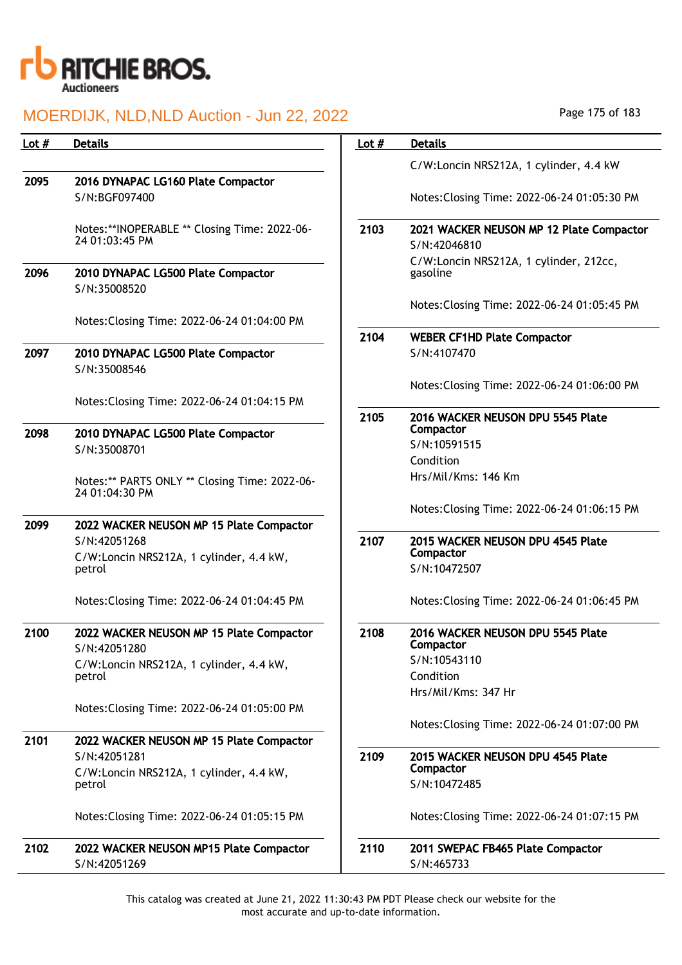

| Lot $#$ | <b>Details</b>                                                  | Lot $#$ | <b>Details</b>                                           |
|---------|-----------------------------------------------------------------|---------|----------------------------------------------------------|
|         |                                                                 |         | C/W:Loncin NRS212A, 1 cylinder, 4.4 kW                   |
| 2095    | 2016 DYNAPAC LG160 Plate Compactor                              |         |                                                          |
|         | S/N:BGF097400                                                   |         | Notes: Closing Time: 2022-06-24 01:05:30 PM              |
|         | Notes:**INOPERABLE ** Closing Time: 2022-06-<br>24 01:03:45 PM  | 2103    | 2021 WACKER NEUSON MP 12 Plate Compactor<br>S/N:42046810 |
| 2096    | 2010 DYNAPAC LG500 Plate Compactor<br>S/N:35008520              |         | C/W:Loncin NRS212A, 1 cylinder, 212cc,<br>gasoline       |
|         | Notes: Closing Time: 2022-06-24 01:04:00 PM                     |         | Notes: Closing Time: 2022-06-24 01:05:45 PM              |
|         |                                                                 | 2104    | <b>WEBER CF1HD Plate Compactor</b>                       |
| 2097    | 2010 DYNAPAC LG500 Plate Compactor<br>S/N:35008546              |         | S/N:4107470                                              |
|         | Notes: Closing Time: 2022-06-24 01:04:15 PM                     |         | Notes: Closing Time: 2022-06-24 01:06:00 PM              |
|         |                                                                 | 2105    | 2016 WACKER NEUSON DPU 5545 Plate                        |
| 2098    | 2010 DYNAPAC LG500 Plate Compactor                              |         | Compactor<br>S/N:10591515                                |
|         | S/N:35008701                                                    |         | Condition                                                |
|         | Notes:** PARTS ONLY ** Closing Time: 2022-06-<br>24 01:04:30 PM |         | Hrs/Mil/Kms: 146 Km                                      |
|         |                                                                 |         | Notes: Closing Time: 2022-06-24 01:06:15 PM              |
| 2099    | 2022 WACKER NEUSON MP 15 Plate Compactor<br>S/N:42051268        | 2107    | 2015 WACKER NEUSON DPU 4545 Plate                        |
|         | C/W:Loncin NRS212A, 1 cylinder, 4.4 kW,                         |         | Compactor                                                |
|         | petrol                                                          |         | S/N:10472507                                             |
|         | Notes: Closing Time: 2022-06-24 01:04:45 PM                     |         | Notes: Closing Time: 2022-06-24 01:06:45 PM              |
| 2100    | 2022 WACKER NEUSON MP 15 Plate Compactor<br>S/N:42051280        | 2108    | 2016 WACKER NEUSON DPU 5545 Plate<br>Compactor           |
|         | C/W:Loncin NRS212A, 1 cylinder, 4.4 kW,                         |         | S/N:10543110                                             |
|         | petrol                                                          |         | Condition                                                |
|         |                                                                 |         | Hrs/Mil/Kms: 347 Hr                                      |
|         | Notes: Closing Time: 2022-06-24 01:05:00 PM                     |         | Notes: Closing Time: 2022-06-24 01:07:00 PM              |
| 2101    | 2022 WACKER NEUSON MP 15 Plate Compactor                        |         |                                                          |
|         | S/N:42051281                                                    | 2109    | 2015 WACKER NEUSON DPU 4545 Plate                        |
|         | C/W:Loncin NRS212A, 1 cylinder, 4.4 kW,<br>petrol               |         | Compactor<br>S/N:10472485                                |
|         | Notes: Closing Time: 2022-06-24 01:05:15 PM                     |         | Notes: Closing Time: 2022-06-24 01:07:15 PM              |
| 2102    | 2022 WACKER NEUSON MP15 Plate Compactor                         | 2110    | 2011 SWEPAC FB465 Plate Compactor                        |
|         | S/N:42051269                                                    |         | S/N:465733                                               |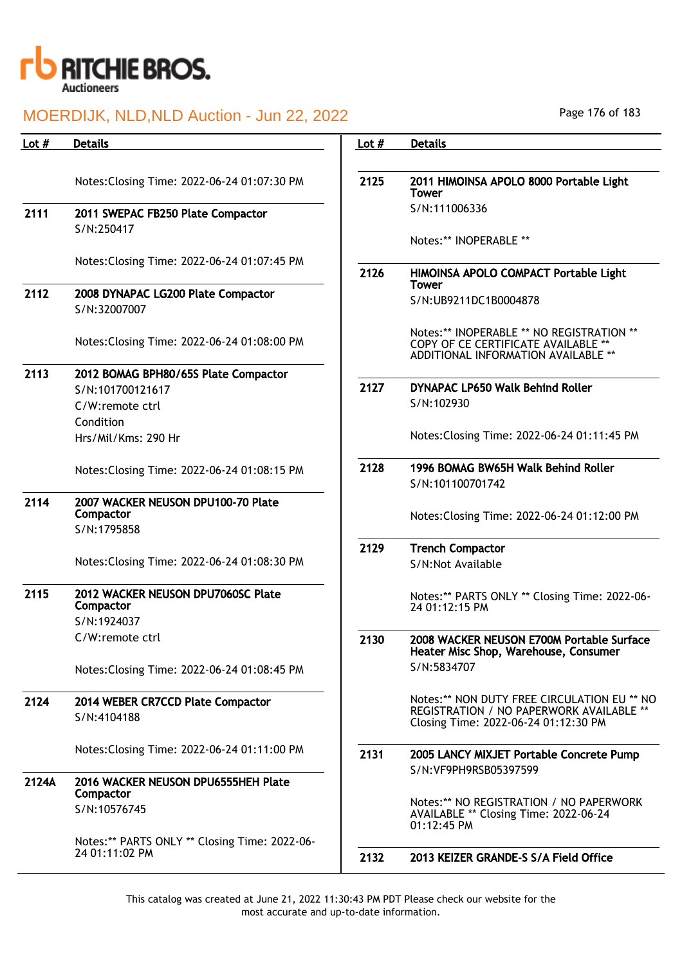

| Lot $#$ | <b>Details</b>                                                  | Lot $#$ | <b>Details</b>                                                                                                          |
|---------|-----------------------------------------------------------------|---------|-------------------------------------------------------------------------------------------------------------------------|
|         |                                                                 |         |                                                                                                                         |
|         | Notes: Closing Time: 2022-06-24 01:07:30 PM                     | 2125    | 2011 HIMOINSA APOLO 8000 Portable Light<br><b>Tower</b>                                                                 |
| 2111    | 2011 SWEPAC FB250 Plate Compactor                               |         | S/N:111006336                                                                                                           |
|         | S/N:250417                                                      |         | Notes:** INOPERABLE **                                                                                                  |
|         | Notes: Closing Time: 2022-06-24 01:07:45 PM                     | 2126    | HIMOINSA APOLO COMPACT Portable Light                                                                                   |
| 2112    | 2008 DYNAPAC LG200 Plate Compactor<br>S/N:32007007              |         | <b>Tower</b><br>S/N:UB9211DC1B0004878                                                                                   |
|         | Notes: Closing Time: 2022-06-24 01:08:00 PM                     |         | Notes:** INOPERABLE ** NO REGISTRATION **<br>COPY OF CE CERTIFICATE AVAILABLE **<br>ADDITIONAL INFORMATION AVAILABLE ** |
| 2113    | 2012 BOMAG BPH80/65S Plate Compactor                            |         |                                                                                                                         |
|         | S/N:101700121617<br>C/W:remote ctrl                             | 2127    | DYNAPAC LP650 Walk Behind Roller<br>S/N:102930                                                                          |
|         | Condition<br>Hrs/Mil/Kms: 290 Hr                                |         | Notes: Closing Time: 2022-06-24 01:11:45 PM                                                                             |
|         | Notes: Closing Time: 2022-06-24 01:08:15 PM                     | 2128    | 1996 BOMAG BW65H Walk Behind Roller<br>S/N:101100701742                                                                 |
| 2114    | 2007 WACKER NEUSON DPU100-70 Plate<br>Compactor                 |         | Notes: Closing Time: 2022-06-24 01:12:00 PM                                                                             |
|         | S/N:1795858                                                     |         |                                                                                                                         |
|         | Notes: Closing Time: 2022-06-24 01:08:30 PM                     | 2129    | <b>Trench Compactor</b><br>S/N:Not Available                                                                            |
| 2115    | 2012 WACKER NEUSON DPU7060SC Plate<br>Compactor                 |         | Notes:** PARTS ONLY ** Closing Time: 2022-06-<br>24 01:12:15 PM                                                         |
|         | S/N:1924037                                                     |         |                                                                                                                         |
|         | C/W:remote ctrl                                                 | 2130    | 2008 WACKER NEUSON E700M Portable Surface<br>Heater Misc Shop, Warehouse, Consumer                                      |
|         | Notes: Closing Time: 2022-06-24 01:08:45 PM                     |         | S/N:5834707                                                                                                             |
| 2124    | 2014 WEBER CR7CCD Plate Compactor                               |         | Notes:** NON DUTY FREE CIRCULATION EU ** NO                                                                             |
|         | S/N:4104188                                                     |         | REGISTRATION / NO PAPERWORK AVAILABLE **<br>Closing Time: 2022-06-24 01:12:30 PM                                        |
|         | Notes: Closing Time: 2022-06-24 01:11:00 PM                     | 2131    | 2005 LANCY MIXJET Portable Concrete Pump<br>S/N:VF9PH9RSB05397599                                                       |
| 2124A   | 2016 WACKER NEUSON DPU6555HEH Plate<br>Compactor                |         |                                                                                                                         |
|         | S/N:10576745                                                    |         | Notes:** NO REGISTRATION / NO PAPERWORK<br>AVAILABLE ** Closing Time: 2022-06-24<br>01:12:45 PM                         |
|         | Notes:** PARTS ONLY ** Closing Time: 2022-06-<br>24 01:11:02 PM |         |                                                                                                                         |
|         |                                                                 | 2132    | 2013 KEIZER GRANDE-S S/A Field Office                                                                                   |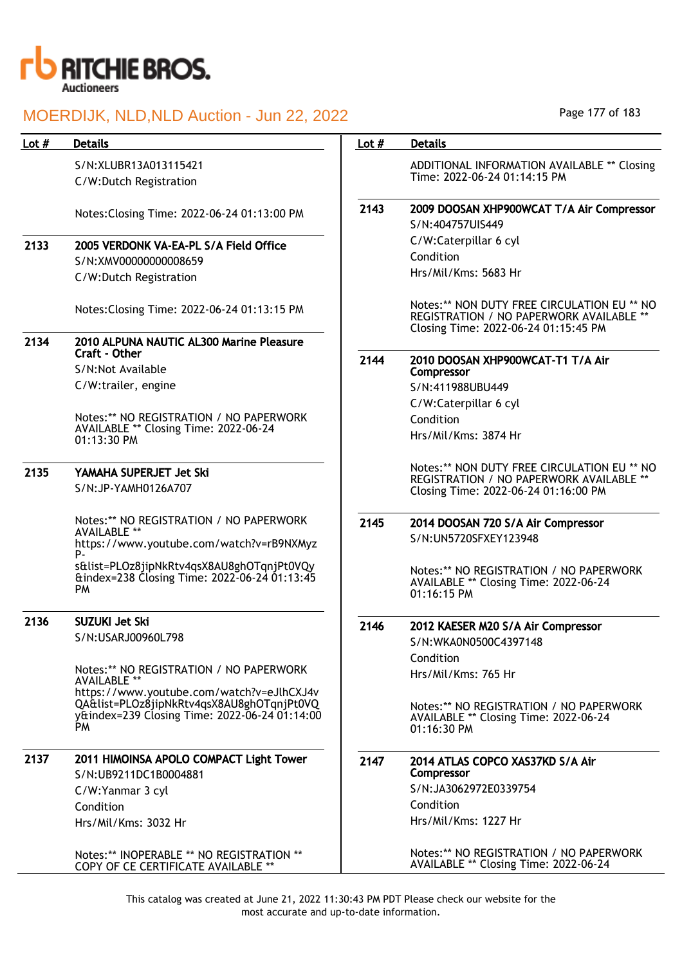

S/N:XLUBR13A013115421 C/W:Dutch Registration

Notes:Closing Time: 2022-06-24 01:13:00 PM

### 2133 2005 VERDONK VA-EA-PL S/A Field Office S/N:XMV00000000008659 C/W:Dutch Registration

Notes:Closing Time: 2022-06-24 01:13:15 PM

#### 2134 2010 ALPUNA NAUTIC AL300 Marine Pleasure Craft - Other S/N:Not Available C/W:trailer, engine

Notes:\*\* NO REGISTRATION / NO PAPERWORK

AVAILABLE \*\* Closing Time: 2022-06-24 01:13:30 PM

#### 2135 YAMAHA SUPERJET Jet Ski S/N:JP-YAMH0126A707

Notes:\*\* NO REGISTRATION / NO PAPERWORK AVAILABLE \*\* https://www.youtube.com/watch?v=rB9NXMyz P-

s&list=PLOz8jipNkRtv4qsX8AU8ghOTqnjPt0VQy &index=238 Closing Time: 2022-06-24 01:13:45 PM

#### 2136 SUZUKI Jet Ski

S/N:USARJ00960L798

Notes:\*\* NO REGISTRATION / NO PAPERWORK AVAILABLE \*\* https://www.youtube.com/watch?v=eJlhCXJ4v QA&list=PLOz8jipNkRtv4qsX8AU8ghOTqnjPt0VQ y&index=239 Closing Time: 2022-06-24 01:14:00 PM

### 2137 2011 HIMOINSA APOLO COMPACT Light Tower S/N:UB9211DC1B0004881 C/W:Yanmar 3 cyl Condition Hrs/Mil/Kms: 3032 Hr

Notes:\*\* INOPERABLE \*\* NO REGISTRATION \*\* COPY OF CE CERTIFICATE AVAILABLE \*\*

Page 177 of 183

#### Lot # Details **Details According to Lot # Details**

ADDITIONAL INFORMATION AVAILABLE \*\* Closing Time: 2022-06-24 01:14:15 PM

### 2143 2009 DOOSAN XHP900WCAT T/A Air Compressor S/N:404757UIS449

C/W:Caterpillar 6 cyl Condition Hrs/Mil/Kms: 5683 Hr

Notes:\*\* NON DUTY FREE CIRCULATION EU \*\* NO REGISTRATION / NO PAPERWORK AVAILABLE \* Closing Time: 2022-06-24 01:15:45 PM

2144 2010 DOOSAN XHP900WCAT-T1 T/A Air Compressor S/N:411988UBU449

C/W:Caterpillar 6 cyl Condition

Hrs/Mil/Kms: 3874 Hr

Notes:\*\* NON DUTY FREE CIRCULATION EU \*\* NO REGISTRATION / NO PAPERWORK AVAILABLE \*\* Closing Time: 2022-06-24 01:16:00 PM

#### 2145 2014 DOOSAN 720 S/A Air Compressor S/N:UN5720SFXEY123948

Notes:\*\* NO REGISTRATION / NO PAPERWORK AVAILABLE \*\* Closing Time: 2022-06-24 01:16:15 PM

### 2146 2012 KAESER M20 S/A Air Compressor

S/N:WKA0N0500C4397148 Condition Hrs/Mil/Kms: 765 Hr

Notes:\*\* NO REGISTRATION / NO PAPERWORK AVAILABLE \*\* Closing Time: 2022-06-24 01:16:30 PM

#### 2147 2014 ATLAS COPCO XAS37KD S/A Air Compressor S/N:JA3062972E0339754

Condition Hrs/Mil/Kms: 1227 Hr

Notes:\*\* NO REGISTRATION / NO PAPERWORK AVAILABLE \*\* Closing Time: 2022-06-24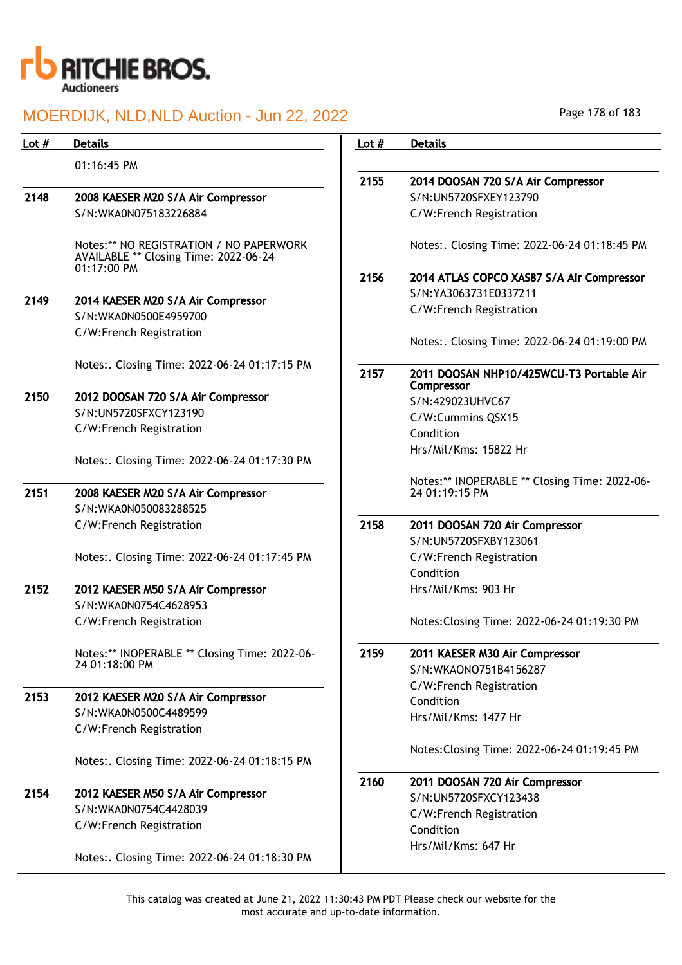

| Lot $#$ | <b>Details</b>                                                                                  | Lot $#$ | <b>Details</b>                                         |
|---------|-------------------------------------------------------------------------------------------------|---------|--------------------------------------------------------|
|         | 01:16:45 PM                                                                                     |         |                                                        |
|         |                                                                                                 | 2155    | 2014 DOOSAN 720 S/A Air Compressor                     |
| 2148    | 2008 KAESER M20 S/A Air Compressor                                                              |         | S/N:UN5720SFXEY123790                                  |
|         | S/N:WKA0N075183226884                                                                           |         | C/W:French Registration                                |
|         | Notes:** NO REGISTRATION / NO PAPERWORK<br>AVAILABLE ** Closing Time: 2022-06-24<br>01:17:00 PM |         | Notes:. Closing Time: 2022-06-24 01:18:45 PM           |
|         |                                                                                                 | 2156    | 2014 ATLAS COPCO XAS87 S/A Air Compressor              |
| 2149    | 2014 KAESER M20 S/A Air Compressor                                                              |         | S/N:YA3063731E0337211                                  |
|         | S/N:WKA0N0500E4959700                                                                           |         | C/W:French Registration                                |
|         | C/W:French Registration                                                                         |         |                                                        |
|         |                                                                                                 |         | Notes:. Closing Time: 2022-06-24 01:19:00 PM           |
|         | Notes:. Closing Time: 2022-06-24 01:17:15 PM                                                    | 2157    | 2011 DOOSAN NHP10/425WCU-T3 Portable Air<br>Compressor |
| 2150    | 2012 DOOSAN 720 S/A Air Compressor                                                              |         | S/N:429023UHVC67                                       |
|         | S/N:UN5720SFXCY123190                                                                           |         | C/W:Cummins QSX15                                      |
|         | C/W:French Registration                                                                         |         | Condition                                              |
|         |                                                                                                 |         | Hrs/Mil/Kms: 15822 Hr                                  |
|         | Notes:. Closing Time: 2022-06-24 01:17:30 PM                                                    |         |                                                        |
|         |                                                                                                 |         | Notes:** INOPERABLE ** Closing Time: 2022-06-          |
| 2151    | 2008 KAESER M20 S/A Air Compressor                                                              |         | 24 01:19:15 PM                                         |
|         | S/N:WKA0N050083288525                                                                           |         |                                                        |
|         | C/W:French Registration                                                                         | 2158    | 2011 DOOSAN 720 Air Compressor                         |
|         |                                                                                                 |         | S/N:UN5720SFXBY123061                                  |
|         | Notes:. Closing Time: 2022-06-24 01:17:45 PM                                                    |         | C/W:French Registration<br>Condition                   |
| 2152    | 2012 KAESER M50 S/A Air Compressor                                                              |         | Hrs/Mil/Kms: 903 Hr                                    |
|         | S/N:WKA0N0754C4628953                                                                           |         |                                                        |
|         | C/W:French Registration                                                                         |         | Notes: Closing Time: 2022-06-24 01:19:30 PM            |
|         |                                                                                                 |         |                                                        |
|         | Notes:** INOPERABLE ** Closing Time: 2022-06-                                                   | 2159    | 2011 KAESER M30 Air Compressor                         |
|         | 24 01:18:00 PM                                                                                  |         | S/N:WKAONO751B4156287                                  |
|         |                                                                                                 |         | C/W:French Registration                                |
| 2153    | 2012 KAESER M20 S/A Air Compressor                                                              |         | Condition                                              |
|         | S/N:WKA0N0500C4489599                                                                           |         | Hrs/Mil/Kms: 1477 Hr                                   |
|         | C/W:French Registration                                                                         |         |                                                        |
|         | Notes:. Closing Time: 2022-06-24 01:18:15 PM                                                    |         | Notes: Closing Time: 2022-06-24 01:19:45 PM            |
|         |                                                                                                 | 2160    | 2011 DOOSAN 720 Air Compressor                         |
| 2154    | 2012 KAESER M50 S/A Air Compressor                                                              |         | S/N:UN5720SFXCY123438                                  |
|         | S/N:WKA0N0754C4428039                                                                           |         | C/W:French Registration                                |
|         | C/W:French Registration                                                                         |         | Condition                                              |
|         |                                                                                                 |         | Hrs/Mil/Kms: 647 Hr                                    |
|         | Notes:. Closing Time: 2022-06-24 01:18:30 PM                                                    |         |                                                        |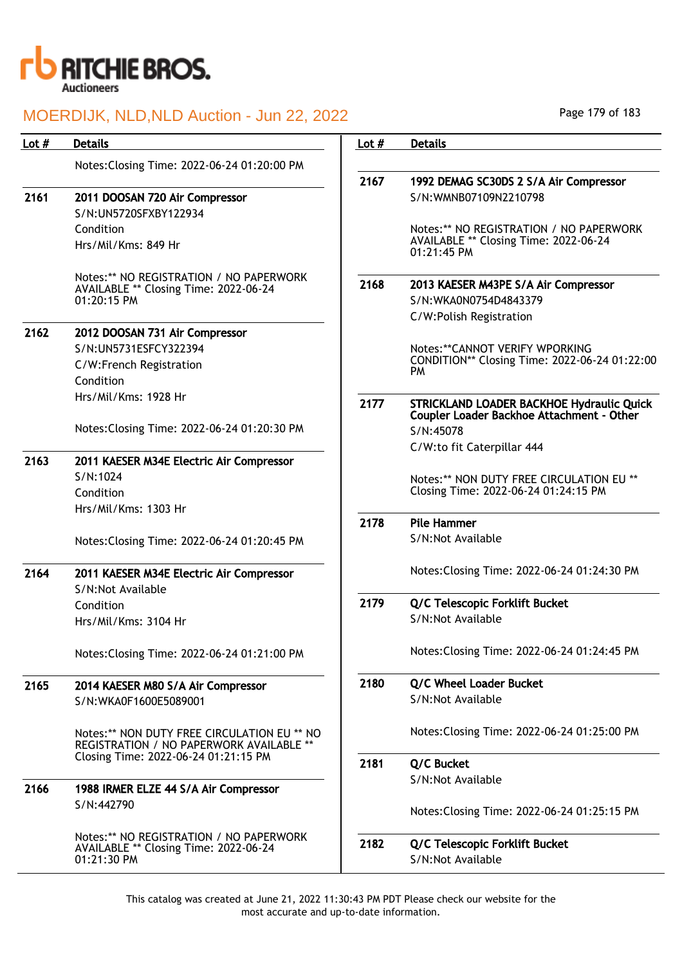

| Lot $#$ | <b>Details</b>                                                                          | Lot $#$ | <b>Details</b>                                       |
|---------|-----------------------------------------------------------------------------------------|---------|------------------------------------------------------|
|         | Notes: Closing Time: 2022-06-24 01:20:00 PM                                             |         |                                                      |
|         |                                                                                         | 2167    | 1992 DEMAG SC30DS 2 S/A Air Compressor               |
| 2161    | 2011 DOOSAN 720 Air Compressor                                                          |         | S/N:WMNB07109N2210798                                |
|         | S/N:UN5720SFXBY122934                                                                   |         |                                                      |
|         | Condition                                                                               |         | Notes:** NO REGISTRATION / NO PAPERWORK              |
|         | Hrs/Mil/Kms: 849 Hr                                                                     |         | AVAILABLE ** Closing Time: 2022-06-24<br>01:21:45 PM |
|         | Notes:** NO REGISTRATION / NO PAPERWORK                                                 | 2168    | 2013 KAESER M43PE S/A Air Compressor                 |
|         | AVAILABLE ** Closing Time: 2022-06-24<br>01:20:15 PM                                    |         | S/N:WKA0N0754D4843379                                |
|         |                                                                                         |         | C/W:Polish Registration                              |
| 2162    | 2012 DOOSAN 731 Air Compressor                                                          |         |                                                      |
|         | S/N:UN5731ESFCY322394                                                                   |         | Notes: ** CANNOT VERIFY WPORKING                     |
|         | C/W:French Registration                                                                 |         | CONDITION** Closing Time: 2022-06-24 01:22:00        |
|         | Condition                                                                               |         | PM                                                   |
|         | Hrs/Mil/Kms: 1928 Hr                                                                    | 2177    | STRICKLAND LOADER BACKHOE Hydraulic Quick            |
|         |                                                                                         |         | Coupler Loader Backhoe Attachment - Other            |
|         | Notes: Closing Time: 2022-06-24 01:20:30 PM                                             |         | S/N:45078                                            |
|         |                                                                                         |         | C/W:to fit Caterpillar 444                           |
| 2163    | 2011 KAESER M34E Electric Air Compressor                                                |         |                                                      |
|         | S/N:1024                                                                                |         | Notes:** NON DUTY FREE CIRCULATION EU **             |
|         | Condition                                                                               |         | Closing Time: 2022-06-24 01:24:15 PM                 |
|         | Hrs/Mil/Kms: 1303 Hr                                                                    |         |                                                      |
|         |                                                                                         | 2178    | <b>Pile Hammer</b>                                   |
|         | Notes: Closing Time: 2022-06-24 01:20:45 PM                                             |         | S/N:Not Available                                    |
| 2164    | 2011 KAESER M34E Electric Air Compressor                                                |         | Notes: Closing Time: 2022-06-24 01:24:30 PM          |
|         | S/N:Not Available                                                                       |         |                                                      |
|         | Condition                                                                               | 2179    | Q/C Telescopic Forklift Bucket                       |
|         | Hrs/Mil/Kms: 3104 Hr                                                                    |         | S/N:Not Available                                    |
|         |                                                                                         |         |                                                      |
|         | Notes: Closing Time: 2022-06-24 01:21:00 PM                                             |         | Notes: Closing Time: 2022-06-24 01:24:45 PM          |
| 2165    | 2014 KAESER M80 S/A Air Compressor                                                      | 2180    | Q/C Wheel Loader Bucket                              |
|         | S/N:WKA0F1600E5089001                                                                   |         | S/N:Not Available                                    |
|         | Notes:** NON DUTY FREE CIRCULATION EU ** NO<br>REGISTRATION / NO PAPERWORK AVAILABLE ** |         | Notes: Closing Time: 2022-06-24 01:25:00 PM          |
|         | Closing Time: 2022-06-24 01:21:15 PM                                                    | 2181    | Q/C Bucket                                           |
|         |                                                                                         |         | S/N:Not Available                                    |
| 2166    | 1988 IRMER ELZE 44 S/A Air Compressor                                                   |         |                                                      |
|         | S/N:442790                                                                              |         | Notes: Closing Time: 2022-06-24 01:25:15 PM          |
|         | Notes:** NO REGISTRATION / NO PAPERWORK                                                 | 2182    | Q/C Telescopic Forklift Bucket                       |
|         | AVAILABLE ** Closing Time: 2022-06-24<br>01:21:30 PM                                    |         | S/N:Not Available                                    |
|         |                                                                                         |         |                                                      |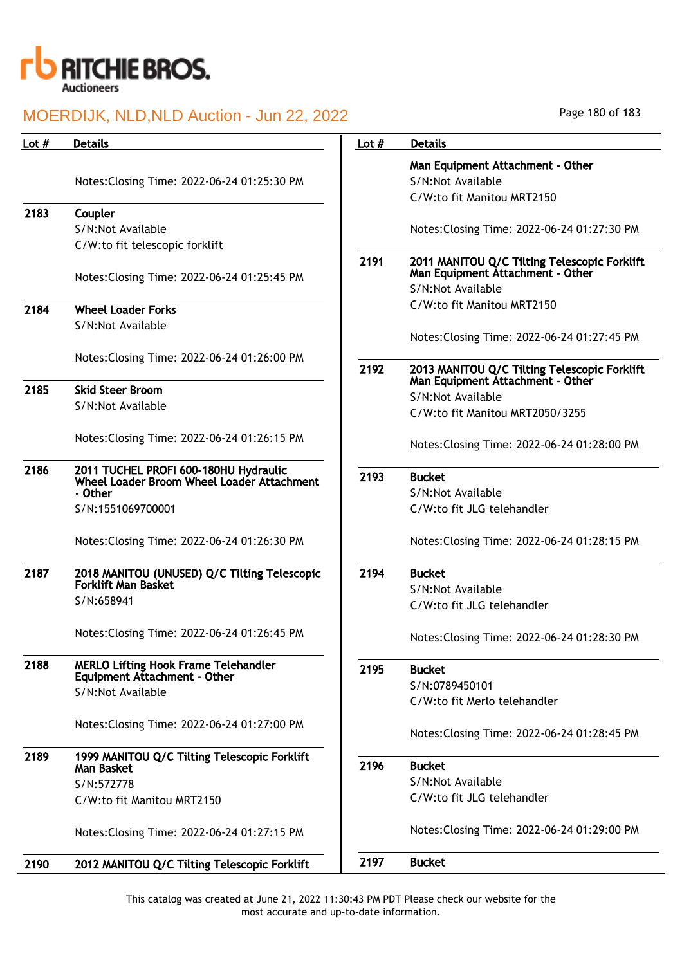

| Lot $#$ | <b>Details</b>                                                    | Lot $#$ | <b>Details</b>                                                                                        |
|---------|-------------------------------------------------------------------|---------|-------------------------------------------------------------------------------------------------------|
|         |                                                                   |         | Man Equipment Attachment - Other                                                                      |
|         | Notes: Closing Time: 2022-06-24 01:25:30 PM                       |         | S/N:Not Available                                                                                     |
|         |                                                                   |         | C/W:to fit Manitou MRT2150                                                                            |
| 2183    | Coupler                                                           |         |                                                                                                       |
|         | S/N:Not Available                                                 |         | Notes: Closing Time: 2022-06-24 01:27:30 PM                                                           |
|         | C/W:to fit telescopic forklift                                    |         |                                                                                                       |
|         | Notes: Closing Time: 2022-06-24 01:25:45 PM                       | 2191    | 2011 MANITOU Q/C Tilting Telescopic Forklift<br>Man Equipment Attachment - Other<br>S/N:Not Available |
| 2184    | <b>Wheel Loader Forks</b>                                         |         | C/W:to fit Manitou MRT2150                                                                            |
|         | S/N:Not Available                                                 |         |                                                                                                       |
|         |                                                                   |         | Notes: Closing Time: 2022-06-24 01:27:45 PM                                                           |
|         |                                                                   |         |                                                                                                       |
|         | Notes: Closing Time: 2022-06-24 01:26:00 PM                       | 2192    | 2013 MANITOU Q/C Tilting Telescopic Forklift                                                          |
| 2185    | <b>Skid Steer Broom</b>                                           |         | Man Equipment Attachment - Other                                                                      |
|         | S/N:Not Available                                                 |         | S/N:Not Available                                                                                     |
|         |                                                                   |         | C/W:to fit Manitou MRT2050/3255                                                                       |
|         | Notes: Closing Time: 2022-06-24 01:26:15 PM                       |         | Notes: Closing Time: 2022-06-24 01:28:00 PM                                                           |
| 2186    | 2011 TUCHEL PROFI 600-180HU Hydraulic                             |         |                                                                                                       |
|         | Wheel Loader Broom Wheel Loader Attachment                        | 2193    | <b>Bucket</b>                                                                                         |
|         | - Other                                                           |         | S/N:Not Available                                                                                     |
|         | S/N:1551069700001                                                 |         | C/W:to fit JLG telehandler                                                                            |
|         | Notes: Closing Time: 2022-06-24 01:26:30 PM                       |         | Notes: Closing Time: 2022-06-24 01:28:15 PM                                                           |
| 2187    | 2018 MANITOU (UNUSED) Q/C Tilting Telescopic                      | 2194    | <b>Bucket</b>                                                                                         |
|         | <b>Forklift Man Basket</b>                                        |         | S/N:Not Available                                                                                     |
|         | S/N:658941                                                        |         | C/W:to fit JLG telehandler                                                                            |
|         | Notes: Closing Time: 2022-06-24 01:26:45 PM                       |         |                                                                                                       |
|         |                                                                   |         | Notes: Closing Time: 2022-06-24 01:28:30 PM                                                           |
| 2188    | <b>MERLO Lifting Hook Frame Telehandler</b>                       | 2195    | <b>Bucket</b>                                                                                         |
|         | <b>Equipment Attachment - Other</b><br>S/N:Not Available          |         | S/N:0789450101                                                                                        |
|         |                                                                   |         | C/W:to fit Merlo telehandler                                                                          |
|         | Notes: Closing Time: 2022-06-24 01:27:00 PM                       |         |                                                                                                       |
|         |                                                                   |         | Notes: Closing Time: 2022-06-24 01:28:45 PM                                                           |
| 2189    | 1999 MANITOU Q/C Tilting Telescopic Forklift<br><b>Man Basket</b> | 2196    | <b>Bucket</b>                                                                                         |
|         | S/N:572778                                                        |         | S/N:Not Available                                                                                     |
|         | C/W:to fit Manitou MRT2150                                        |         | C/W:to fit JLG telehandler                                                                            |
|         | Notes: Closing Time: 2022-06-24 01:27:15 PM                       |         | Notes: Closing Time: 2022-06-24 01:29:00 PM                                                           |
|         |                                                                   |         |                                                                                                       |
| 2190    | 2012 MANITOU Q/C Tilting Telescopic Forklift                      | 2197    | <b>Bucket</b>                                                                                         |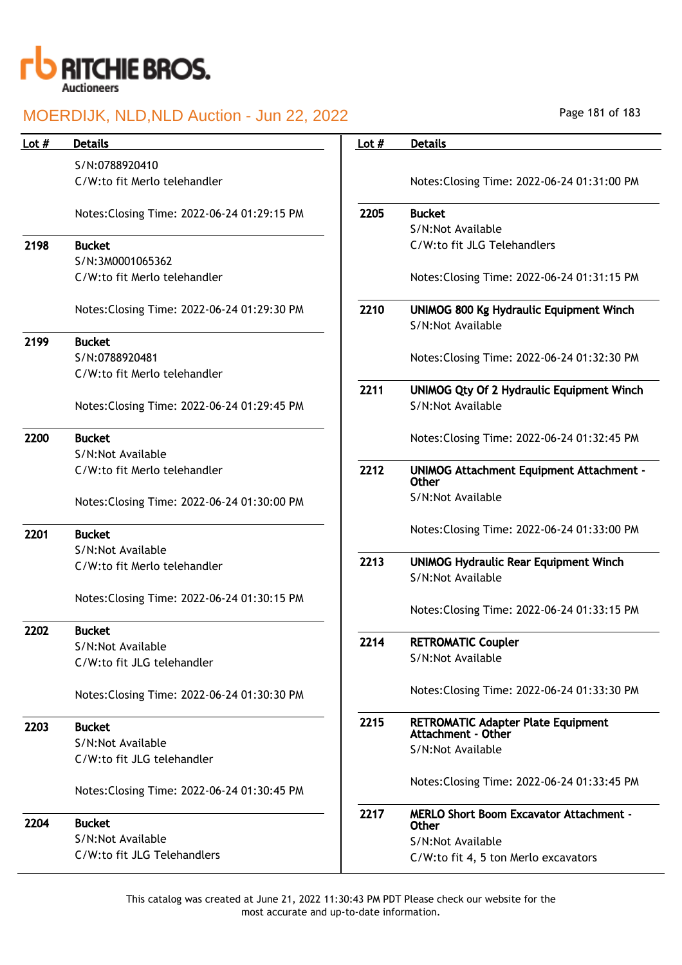

## MOERDIJK, NLD,NLD Auction - Jun 22, 2022

| Lot $#$ | <b>Details</b>                              | Lot $#$ | <b>Details</b>                                                      |
|---------|---------------------------------------------|---------|---------------------------------------------------------------------|
|         | S/N:0788920410                              |         |                                                                     |
|         | C/W:to fit Merlo telehandler                |         | Notes: Closing Time: 2022-06-24 01:31:00 PM                         |
|         | Notes: Closing Time: 2022-06-24 01:29:15 PM | 2205    | <b>Bucket</b>                                                       |
|         |                                             |         | S/N:Not Available                                                   |
| 2198    | <b>Bucket</b>                               |         | C/W:to fit JLG Telehandlers                                         |
|         | S/N:3M0001065362                            |         |                                                                     |
|         | C/W:to fit Merlo telehandler                |         | Notes: Closing Time: 2022-06-24 01:31:15 PM                         |
|         | Notes: Closing Time: 2022-06-24 01:29:30 PM | 2210    | <b>UNIMOG 800 Kg Hydraulic Equipment Winch</b><br>S/N:Not Available |
| 2199    | <b>Bucket</b>                               |         |                                                                     |
|         | S/N:0788920481                              |         | Notes: Closing Time: 2022-06-24 01:32:30 PM                         |
|         | C/W:to fit Merlo telehandler                |         |                                                                     |
|         |                                             | 2211    | <b>UNIMOG Qty Of 2 Hydraulic Equipment Winch</b>                    |
|         | Notes: Closing Time: 2022-06-24 01:29:45 PM |         | S/N:Not Available                                                   |
| 2200    | <b>Bucket</b>                               |         | Notes: Closing Time: 2022-06-24 01:32:45 PM                         |
|         | S/N:Not Available                           |         |                                                                     |
|         | C/W:to fit Merlo telehandler                | 2212    | <b>UNIMOG Attachment Equipment Attachment -</b><br><b>Other</b>     |
|         | Notes: Closing Time: 2022-06-24 01:30:00 PM |         | S/N:Not Available                                                   |
| 2201    | <b>Bucket</b>                               |         | Notes: Closing Time: 2022-06-24 01:33:00 PM                         |
|         | S/N:Not Available                           |         |                                                                     |
|         | C/W:to fit Merlo telehandler                | 2213    | <b>UNIMOG Hydraulic Rear Equipment Winch</b><br>S/N:Not Available   |
|         |                                             |         |                                                                     |
|         | Notes: Closing Time: 2022-06-24 01:30:15 PM |         | Notes: Closing Time: 2022-06-24 01:33:15 PM                         |
| 2202    | <b>Bucket</b>                               |         |                                                                     |
|         | S/N:Not Available                           | 2214    | <b>RETROMATIC Coupler</b>                                           |
|         | C/W:to fit JLG telehandler                  |         | S/N:Not Available                                                   |
|         | Notes: Closing Time: 2022-06-24 01:30:30 PM |         | Notes: Closing Time: 2022-06-24 01:33:30 PM                         |
| 2203    | <b>Bucket</b>                               | 2215    | <b>RETROMATIC Adapter Plate Equipment</b><br>Attachment - Other     |
|         | S/N:Not Available                           |         | S/N:Not Available                                                   |
|         | C/W:to fit JLG telehandler                  |         |                                                                     |
|         | Notes: Closing Time: 2022-06-24 01:30:45 PM |         | Notes: Closing Time: 2022-06-24 01:33:45 PM                         |
| 2204    | <b>Bucket</b>                               | 2217    | <b>MERLO Short Boom Excavator Attachment -</b><br>Other             |
|         | S/N:Not Available                           |         | S/N:Not Available                                                   |
|         | C/W:to fit JLG Telehandlers                 |         | C/W:to fit 4, 5 ton Merlo excavators                                |

This catalog was created at June 21, 2022 11:30:43 PM PDT Please check our website for the most accurate and up-to-date information.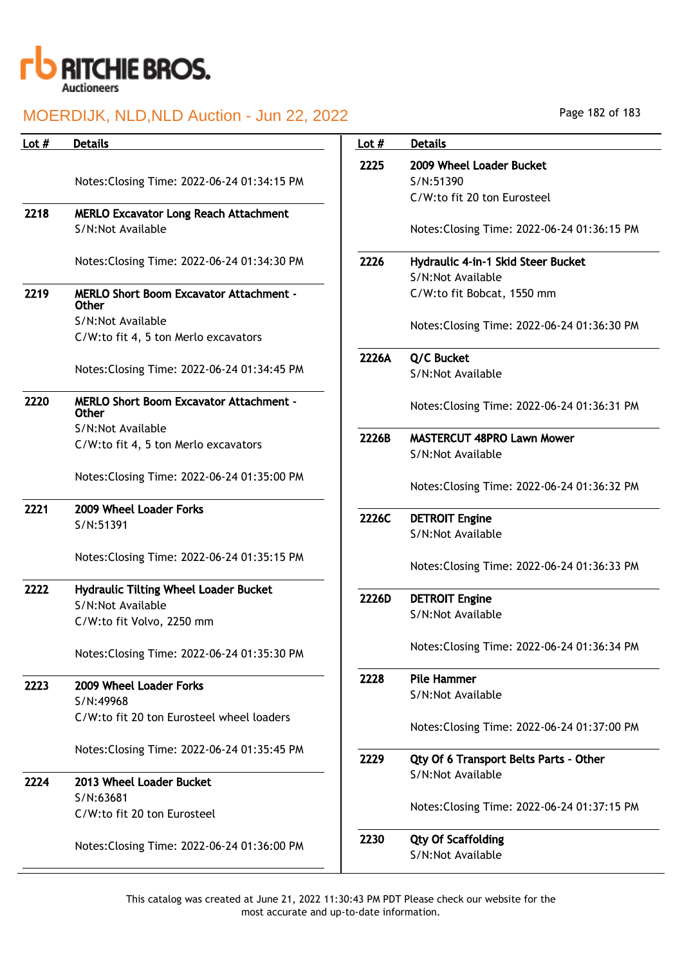

## MOERDIJK, NLD,NLD Auction - Jun 22, 2022

| 2009 W<br>S/N:51<br>$C/W:$ tc<br>Notes:<br>Hydrau<br>S/N:No<br>$C/W:$ tc<br>Notes:<br>Q/C Bu<br>S/N:No<br>Notes:<br><b>MASTEI</b><br>S/N:No<br>Notes: |
|-------------------------------------------------------------------------------------------------------------------------------------------------------|
|                                                                                                                                                       |
|                                                                                                                                                       |
|                                                                                                                                                       |
|                                                                                                                                                       |
|                                                                                                                                                       |
|                                                                                                                                                       |
|                                                                                                                                                       |
|                                                                                                                                                       |
|                                                                                                                                                       |
|                                                                                                                                                       |
|                                                                                                                                                       |
|                                                                                                                                                       |
|                                                                                                                                                       |
|                                                                                                                                                       |
|                                                                                                                                                       |
|                                                                                                                                                       |
|                                                                                                                                                       |
| <b>DETRO</b>                                                                                                                                          |
| S/N:No                                                                                                                                                |
|                                                                                                                                                       |
| Notes:                                                                                                                                                |
|                                                                                                                                                       |
| <b>DETRO</b>                                                                                                                                          |
| S/N:No                                                                                                                                                |
| Notes:                                                                                                                                                |
| Pile Ha                                                                                                                                               |
| S/N:No                                                                                                                                                |
| Notes:                                                                                                                                                |
|                                                                                                                                                       |
| Qty Of                                                                                                                                                |
| S/N:No                                                                                                                                                |
|                                                                                                                                                       |
| Notes:                                                                                                                                                |
|                                                                                                                                                       |
|                                                                                                                                                       |
| Qty Of<br>S/N:No                                                                                                                                      |
|                                                                                                                                                       |

Page 182 of 183

| Lot $#$ | <b>Details</b>                              |  |  |  |
|---------|---------------------------------------------|--|--|--|
| 2225    | 2009 Wheel Loader Bucket                    |  |  |  |
|         | S/N:51390<br>C/W:to fit 20 ton Eurosteel    |  |  |  |
|         |                                             |  |  |  |
|         | Notes: Closing Time: 2022-06-24 01:36:15 PM |  |  |  |
| 2226    | Hydraulic 4-in-1 Skid Steer Bucket          |  |  |  |
|         | S/N:Not Available                           |  |  |  |
|         | C/W:to fit Bobcat, 1550 mm                  |  |  |  |
|         |                                             |  |  |  |
|         | Notes: Closing Time: 2022-06-24 01:36:30 PM |  |  |  |
|         |                                             |  |  |  |
| 2226A   | Q/C Bucket                                  |  |  |  |
|         | S/N:Not Available                           |  |  |  |
|         | Notes: Closing Time: 2022-06-24 01:36:31 PM |  |  |  |
|         |                                             |  |  |  |
| 2226B   | <b>MASTERCUT 48PRO Lawn Mower</b>           |  |  |  |
|         | S/N:Not Available                           |  |  |  |
|         |                                             |  |  |  |
|         | Notes: Closing Time: 2022-06-24 01:36:32 PM |  |  |  |
|         |                                             |  |  |  |
| 2226C   | <b>DETROIT Engine</b>                       |  |  |  |
|         | S/N:Not Available                           |  |  |  |
|         |                                             |  |  |  |
|         | Notes: Closing Time: 2022-06-24 01:36:33 PM |  |  |  |
| 2226D   | <b>DETROIT Engine</b>                       |  |  |  |
|         | S/N:Not Available                           |  |  |  |
|         |                                             |  |  |  |
|         | Notes: Closing Time: 2022-06-24 01:36:34 PM |  |  |  |
|         |                                             |  |  |  |
| 2228    | Pile Hammer                                 |  |  |  |
|         | S/N:Not Available                           |  |  |  |
|         |                                             |  |  |  |
|         | Notes: Closing Time: 2022-06-24 01:37:00 PM |  |  |  |
| 2229    | Qty Of 6 Transport Belts Parts - Other      |  |  |  |
|         | S/N:Not Available                           |  |  |  |
|         |                                             |  |  |  |
|         | Notes: Closing Time: 2022-06-24 01:37:15 PM |  |  |  |
|         |                                             |  |  |  |
| 2230    | <b>Qty Of Scaffolding</b>                   |  |  |  |
|         | S/N:Not Available                           |  |  |  |